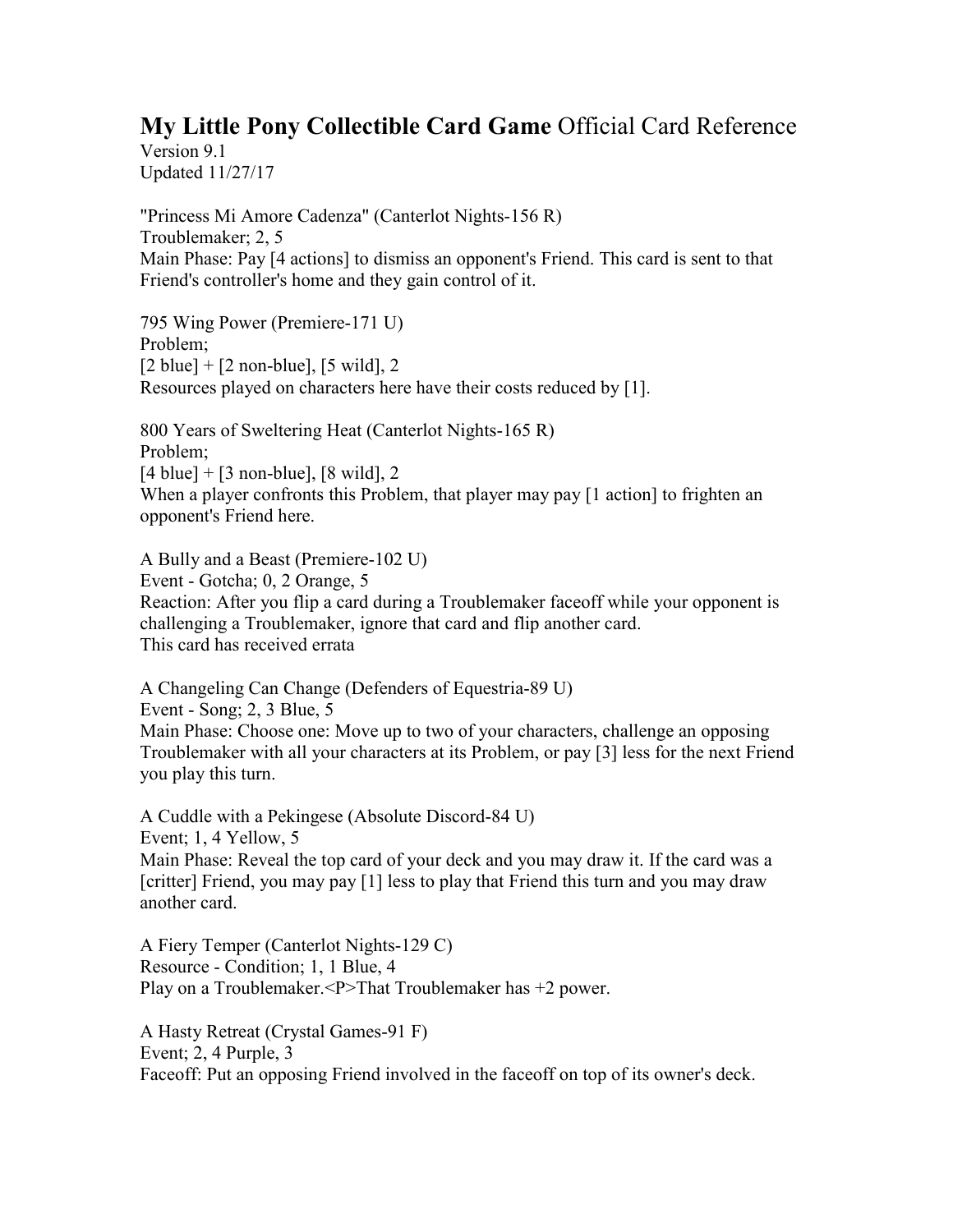## **My Little Pony Collectible Card Game** Official Card Reference

Version 9.1 Updated 11/27/17

"Princess Mi Amore Cadenza" (Canterlot Nights-156 R) Troublemaker; 2, 5 Main Phase: Pay [4 actions] to dismiss an opponent's Friend. This card is sent to that Friend's controller's home and they gain control of it.

795 Wing Power (Premiere-171 U) Problem;  $[2 \text{ blue}] + [2 \text{ non-blue}], [5 \text{ wild}], 2$ Resources played on characters here have their costs reduced by [1].

800 Years of Sweltering Heat (Canterlot Nights-165 R) Problem;  $[4 \text{ blue}] + [3 \text{ non-blue}], [8 \text{ wild}], 2$ When a player confronts this Problem, that player may pay [1 action] to frighten an opponent's Friend here.

A Bully and a Beast (Premiere-102 U) Event - Gotcha; 0, 2 Orange, 5 Reaction: After you flip a card during a Troublemaker faceoff while your opponent is challenging a Troublemaker, ignore that card and flip another card. This card has received errata

A Changeling Can Change (Defenders of Equestria-89 U) Event - Song; 2, 3 Blue, 5 Main Phase: Choose one: Move up to two of your characters, challenge an opposing Troublemaker with all your characters at its Problem, or pay [3] less for the next Friend you play this turn.

A Cuddle with a Pekingese (Absolute Discord-84 U) Event; 1, 4 Yellow, 5 Main Phase: Reveal the top card of your deck and you may draw it. If the card was a [critter] Friend, you may pay [1] less to play that Friend this turn and you may draw another card.

A Fiery Temper (Canterlot Nights-129 C) Resource - Condition; 1, 1 Blue, 4 Play on a Troublemaker.<P>That Troublemaker has +2 power.

A Hasty Retreat (Crystal Games-91 F) Event; 2, 4 Purple, 3 Faceoff: Put an opposing Friend involved in the faceoff on top of its owner's deck.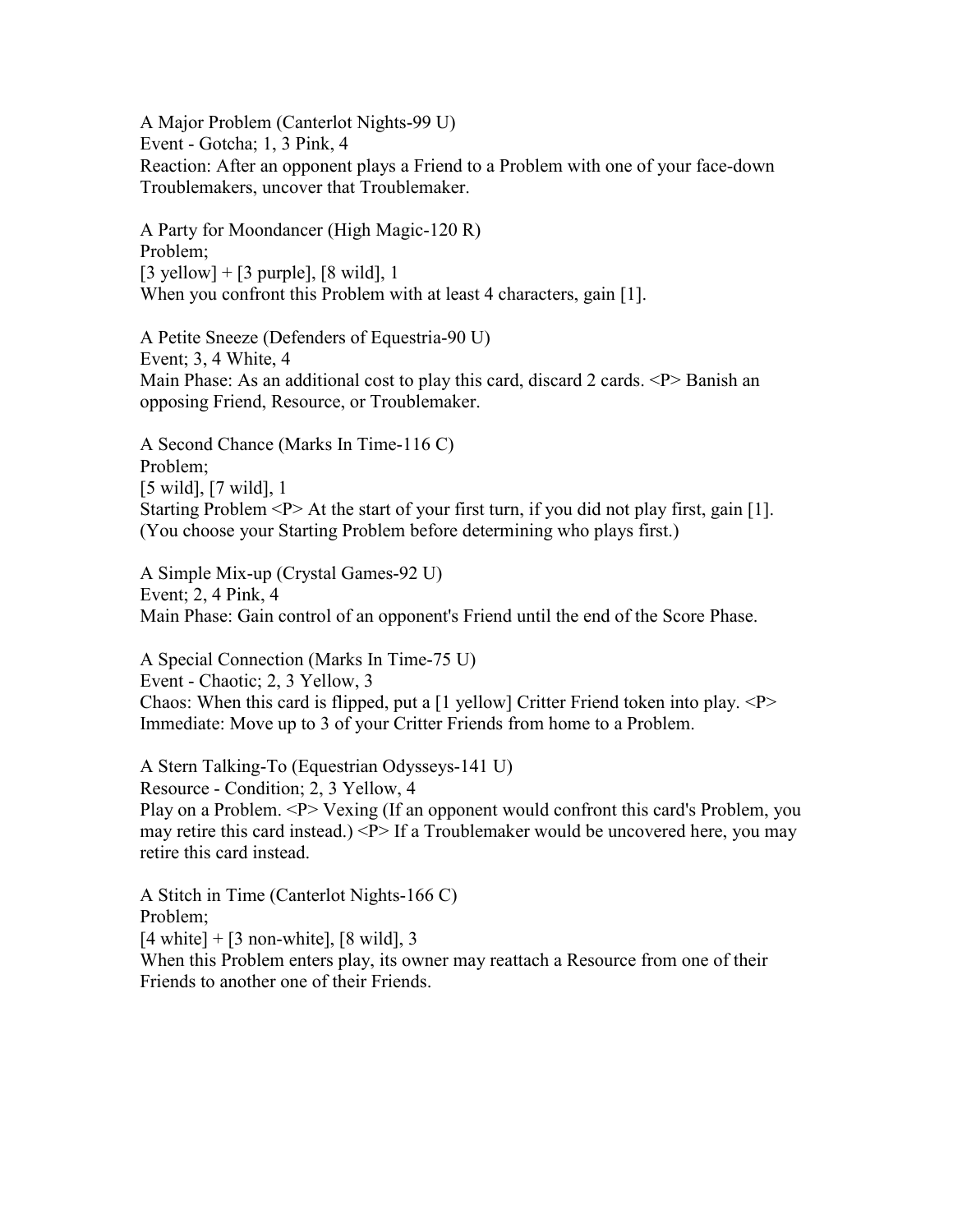A Major Problem (Canterlot Nights-99 U) Event - Gotcha; 1, 3 Pink, 4 Reaction: After an opponent plays a Friend to a Problem with one of your face-down Troublemakers, uncover that Troublemaker.

A Party for Moondancer (High Magic-120 R) Problem;  $[3 \text{ yellow}] + [3 \text{ purple}], [8 \text{ wild}], 1$ When you confront this Problem with at least 4 characters, gain [1].

A Petite Sneeze (Defenders of Equestria-90 U) Event; 3, 4 White, 4 Main Phase: As an additional cost to play this card, discard 2 cards.  $\langle P \rangle$  Banish an opposing Friend, Resource, or Troublemaker.

A Second Chance (Marks In Time-116 C) Problem; [5 wild], [7 wild], 1 Starting Problem  $\langle P \rangle$  At the start of your first turn, if you did not play first, gain [1]. (You choose your Starting Problem before determining who plays first.)

A Simple Mix-up (Crystal Games-92 U) Event; 2, 4 Pink, 4 Main Phase: Gain control of an opponent's Friend until the end of the Score Phase.

A Special Connection (Marks In Time-75 U) Event - Chaotic; 2, 3 Yellow, 3 Chaos: When this card is flipped, put a  $[1$  yellow] Critter Friend token into play.  $\langle P \rangle$ Immediate: Move up to 3 of your Critter Friends from home to a Problem.

A Stern Talking-To (Equestrian Odysseys-141 U) Resource - Condition; 2, 3 Yellow, 4 Play on a Problem. <P> Vexing (If an opponent would confront this card's Problem, you may retire this card instead.) <P> If a Troublemaker would be uncovered here, you may retire this card instead.

A Stitch in Time (Canterlot Nights-166 C) Problem;  $[4 \text{ white}] + [3 \text{ non-white}], [8 \text{ wild}], 3$ When this Problem enters play, its owner may reattach a Resource from one of their Friends to another one of their Friends.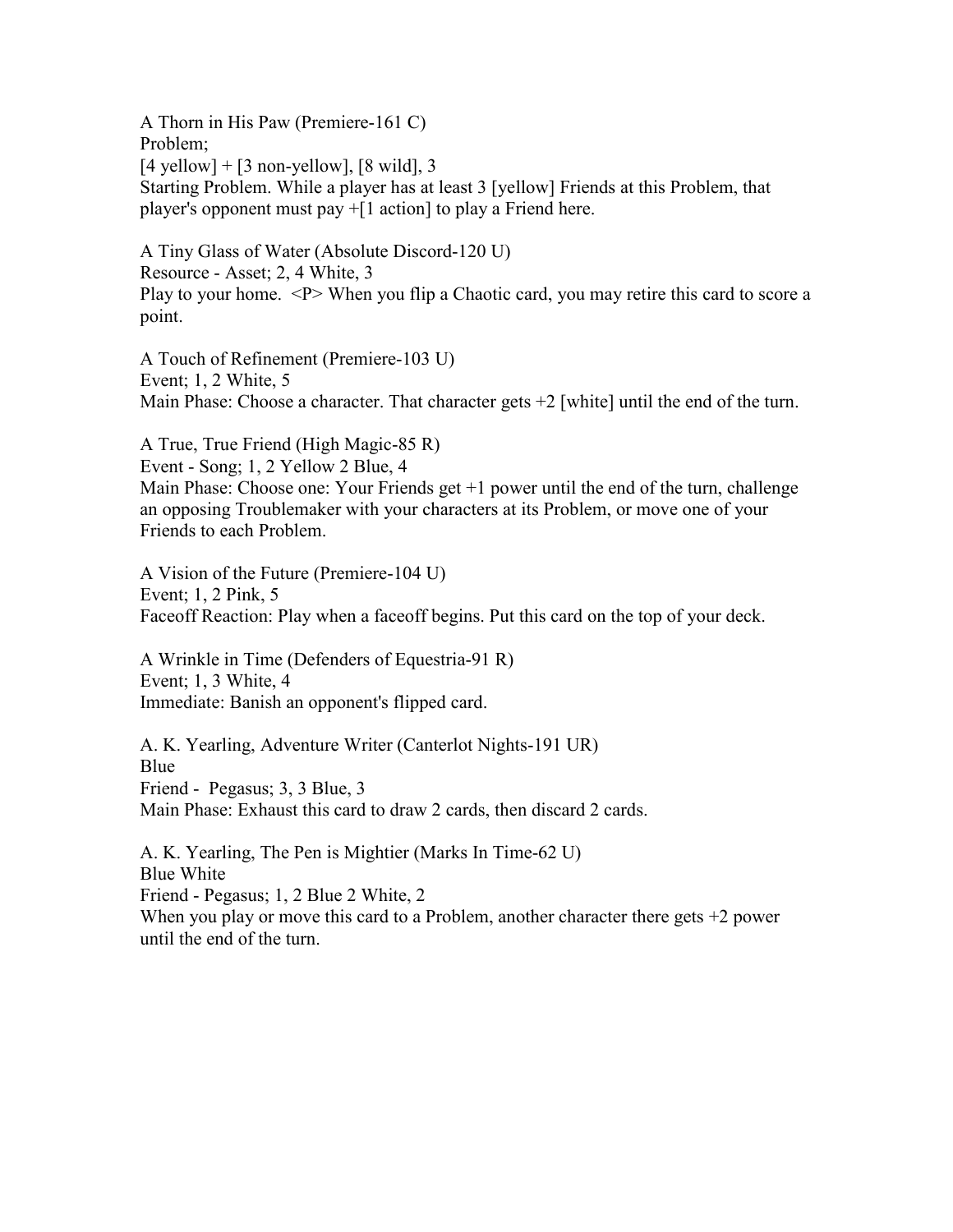A Thorn in His Paw (Premiere-161 C) Problem;  $[4$  yellow] +  $[3$  non-yellow],  $[8 \text{ wild}]$ , 3 Starting Problem. While a player has at least 3 [yellow] Friends at this Problem, that player's opponent must pay +[1 action] to play a Friend here.

A Tiny Glass of Water (Absolute Discord-120 U) Resource - Asset; 2, 4 White, 3 Play to your home. <P> When you flip a Chaotic card, you may retire this card to score a point.

A Touch of Refinement (Premiere-103 U) Event; 1, 2 White, 5 Main Phase: Choose a character. That character gets +2 [white] until the end of the turn.

A True, True Friend (High Magic-85 R) Event - Song; 1, 2 Yellow 2 Blue, 4 Main Phase: Choose one: Your Friends get +1 power until the end of the turn, challenge an opposing Troublemaker with your characters at its Problem, or move one of your Friends to each Problem.

A Vision of the Future (Premiere-104 U) Event; 1, 2 Pink, 5 Faceoff Reaction: Play when a faceoff begins. Put this card on the top of your deck.

A Wrinkle in Time (Defenders of Equestria-91 R) Event; 1, 3 White, 4 Immediate: Banish an opponent's flipped card.

A. K. Yearling, Adventure Writer (Canterlot Nights-191 UR) Blue Friend - Pegasus; 3, 3 Blue, 3 Main Phase: Exhaust this card to draw 2 cards, then discard 2 cards.

A. K. Yearling, The Pen is Mightier (Marks In Time-62 U) Blue White Friend - Pegasus; 1, 2 Blue 2 White, 2 When you play or move this card to a Problem, another character there gets  $+2$  power until the end of the turn.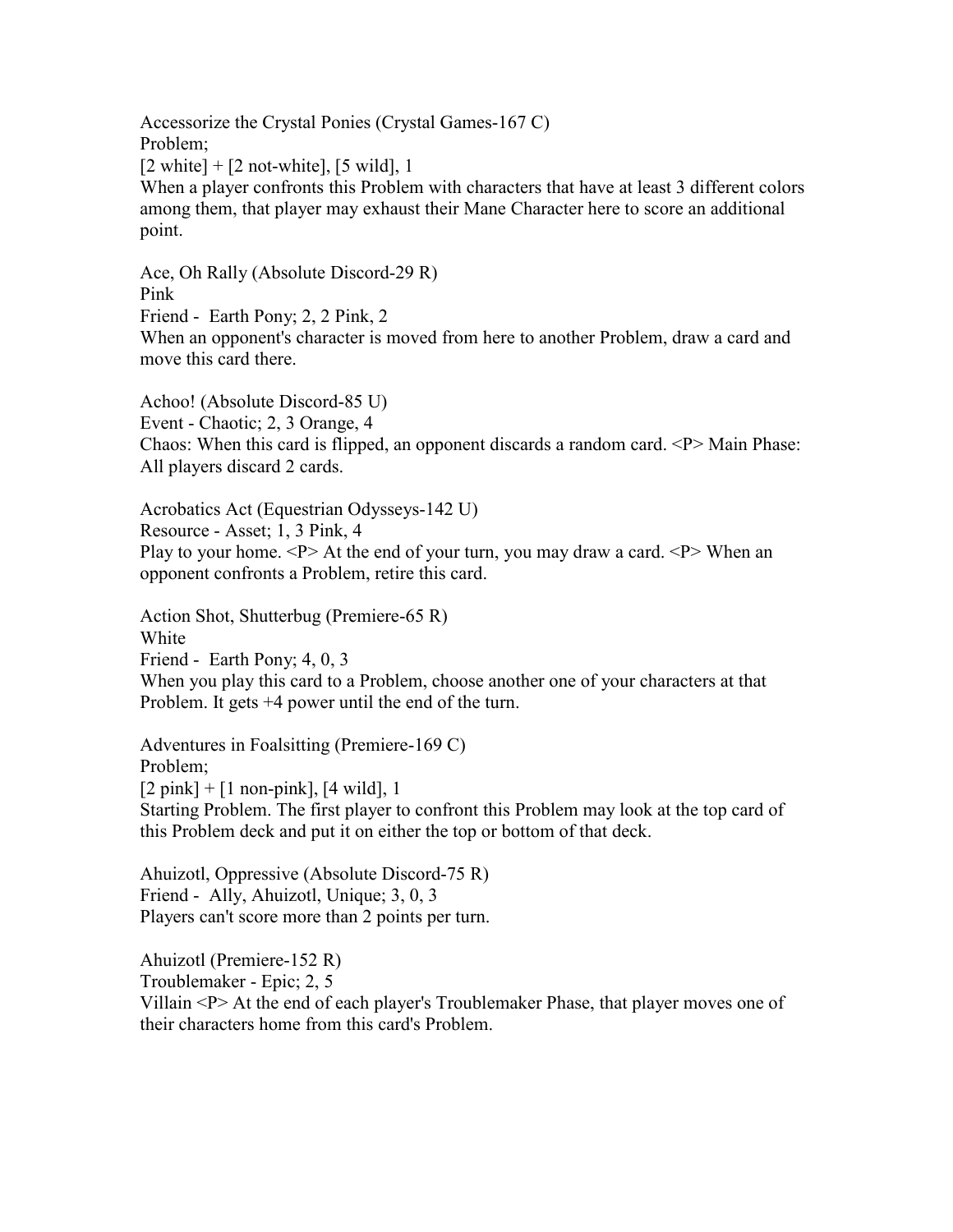Accessorize the Crystal Ponies (Crystal Games-167 C) Problem;  $[2 \text{ white}] + [2 \text{ not-white}], [5 \text{ wild}], 1$ When a player confronts this Problem with characters that have at least 3 different colors among them, that player may exhaust their Mane Character here to score an additional point.

Ace, Oh Rally (Absolute Discord-29 R) Pink Friend - Earth Pony; 2, 2 Pink, 2 When an opponent's character is moved from here to another Problem, draw a card and move this card there.

Achoo! (Absolute Discord-85 U) Event - Chaotic; 2, 3 Orange, 4 Chaos: When this card is flipped, an opponent discards a random card.  $\langle P \rangle$  Main Phase: All players discard 2 cards.

Acrobatics Act (Equestrian Odysseys-142 U) Resource - Asset; 1, 3 Pink, 4 Play to your home.  $\langle P \rangle$  At the end of your turn, you may draw a card.  $\langle P \rangle$  When an opponent confronts a Problem, retire this card.

Action Shot, Shutterbug (Premiere-65 R) White

Friend - Earth Pony; 4, 0, 3

When you play this card to a Problem, choose another one of your characters at that Problem. It gets +4 power until the end of the turn.

Adventures in Foalsitting (Premiere-169 C) Problem;  $[2 \text{ pink}] + [1 \text{ non-pink}], [4 \text{ wild}], 1$ Starting Problem. The first player to confront this Problem may look at the top card of this Problem deck and put it on either the top or bottom of that deck.

Ahuizotl, Oppressive (Absolute Discord-75 R) Friend - Ally, Ahuizotl, Unique; 3, 0, 3 Players can't score more than 2 points per turn.

Ahuizotl (Premiere-152 R) Troublemaker - Epic; 2, 5 Villain <P> At the end of each player's Troublemaker Phase, that player moves one of their characters home from this card's Problem.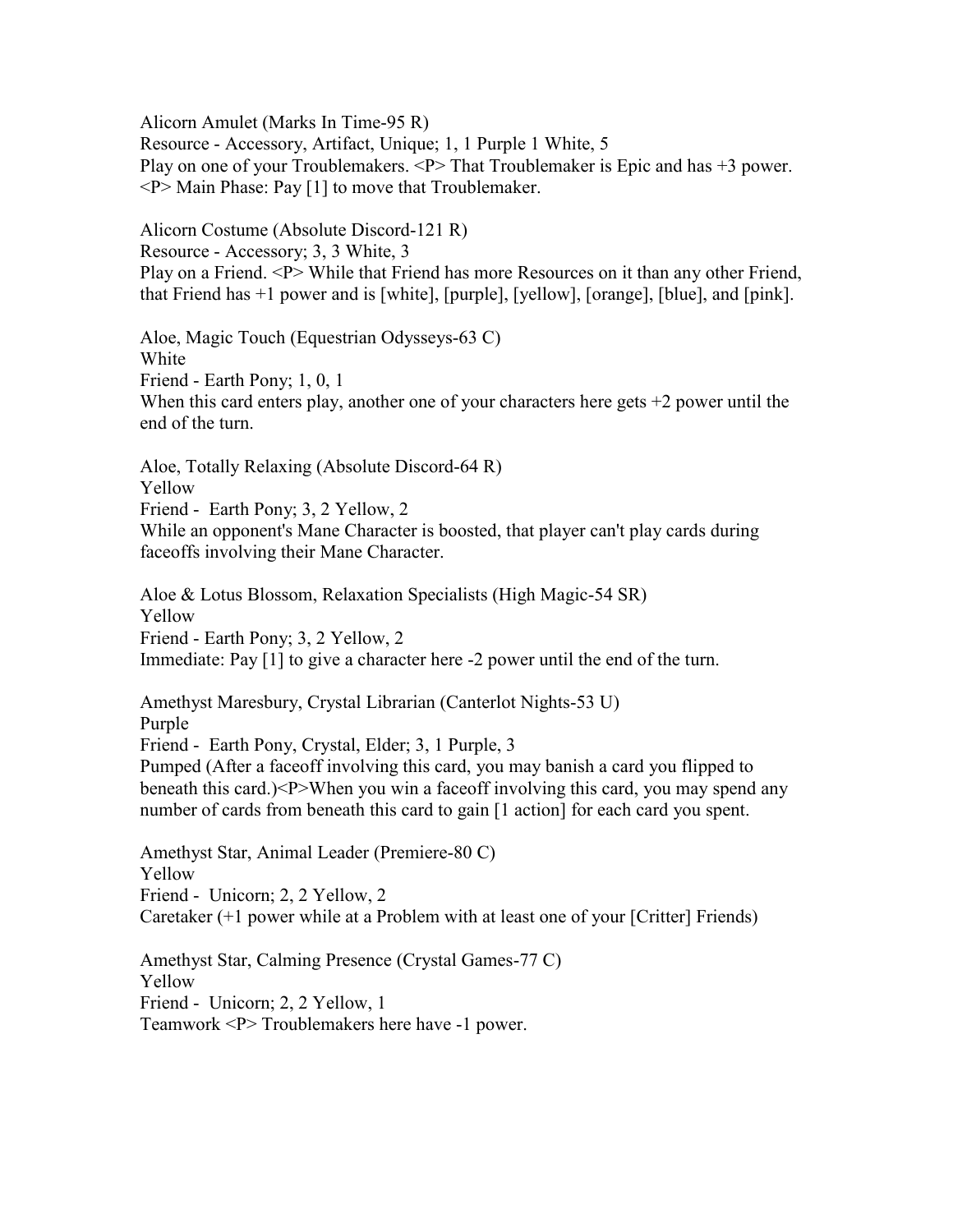Alicorn Amulet (Marks In Time-95 R)

Resource - Accessory, Artifact, Unique; 1, 1 Purple 1 White, 5 Play on one of your Troublemakers. <P> That Troublemaker is Epic and has +3 power.  $\langle P \rangle$  Main Phase: Pay [1] to move that Troublemaker.

Alicorn Costume (Absolute Discord-121 R) Resource - Accessory; 3, 3 White, 3 Play on a Friend. <P> While that Friend has more Resources on it than any other Friend, that Friend has +1 power and is [white], [purple], [yellow], [orange], [blue], and [pink].

Aloe, Magic Touch (Equestrian Odysseys-63 C) White Friend - Earth Pony; 1, 0, 1 When this card enters play, another one of your characters here gets  $+2$  power until the end of the turn.

Aloe, Totally Relaxing (Absolute Discord-64 R) Yellow Friend - Earth Pony; 3, 2 Yellow, 2 While an opponent's Mane Character is boosted, that player can't play cards during faceoffs involving their Mane Character.

Aloe & Lotus Blossom, Relaxation Specialists (High Magic-54 SR) Yellow Friend - Earth Pony; 3, 2 Yellow, 2 Immediate: Pay [1] to give a character here -2 power until the end of the turn.

Amethyst Maresbury, Crystal Librarian (Canterlot Nights-53 U) Purple Friend - Earth Pony, Crystal, Elder; 3, 1 Purple, 3 Pumped (After a faceoff involving this card, you may banish a card you flipped to beneath this card.)<P>When you win a faceoff involving this card, you may spend any number of cards from beneath this card to gain [1 action] for each card you spent.

Amethyst Star, Animal Leader (Premiere-80 C) Yellow Friend - Unicorn; 2, 2 Yellow, 2 Caretaker (+1 power while at a Problem with at least one of your [Critter] Friends)

Amethyst Star, Calming Presence (Crystal Games-77 C) Yellow Friend - Unicorn; 2, 2 Yellow, 1 Teamwork <P> Troublemakers here have -1 power.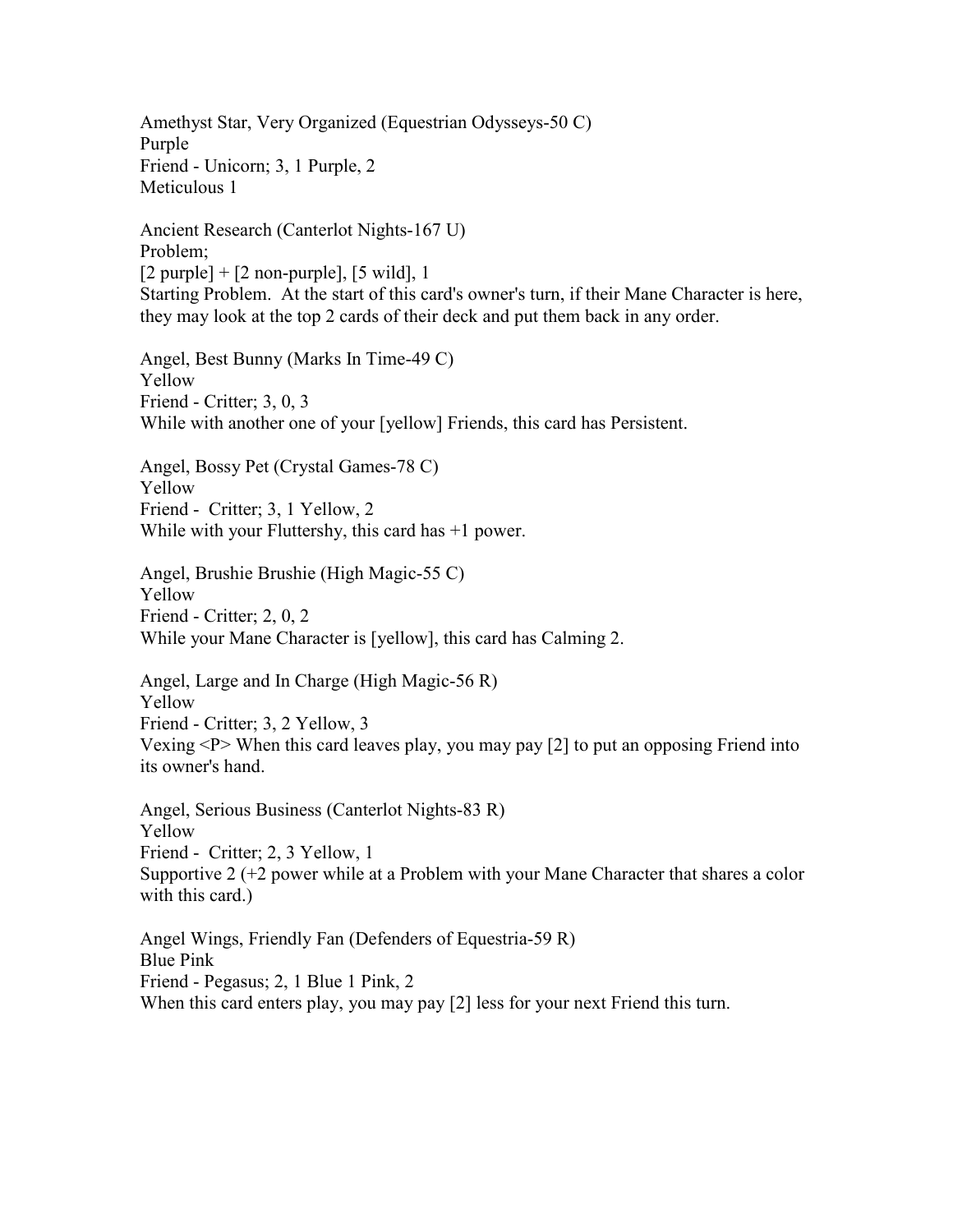Amethyst Star, Very Organized (Equestrian Odysseys-50 C) Purple Friend - Unicorn; 3, 1 Purple, 2 Meticulous 1 Ancient Research (Canterlot Nights-167 U) Problem;  $[2$  purple] +  $[2$  non-purple],  $[5 \text{ wild}]$ , 1 Starting Problem. At the start of this card's owner's turn, if their Mane Character is here, they may look at the top 2 cards of their deck and put them back in any order.

Angel, Best Bunny (Marks In Time-49 C) Yellow Friend - Critter; 3, 0, 3 While with another one of your [yellow] Friends, this card has Persistent.

Angel, Bossy Pet (Crystal Games-78 C) Yellow Friend - Critter; 3, 1 Yellow, 2 While with your Fluttershy, this card has +1 power.

Angel, Brushie Brushie (High Magic-55 C) Yellow Friend - Critter; 2, 0, 2 While your Mane Character is [yellow], this card has Calming 2.

Angel, Large and In Charge (High Magic-56 R) Yellow Friend - Critter; 3, 2 Yellow, 3 Vexing  $\langle P \rangle$  When this card leaves play, you may pay [2] to put an opposing Friend into its owner's hand.

Angel, Serious Business (Canterlot Nights-83 R) Yellow Friend - Critter; 2, 3 Yellow, 1 Supportive 2 (+2 power while at a Problem with your Mane Character that shares a color with this card.)

Angel Wings, Friendly Fan (Defenders of Equestria-59 R) Blue Pink Friend - Pegasus; 2, 1 Blue 1 Pink, 2 When this card enters play, you may pay [2] less for your next Friend this turn.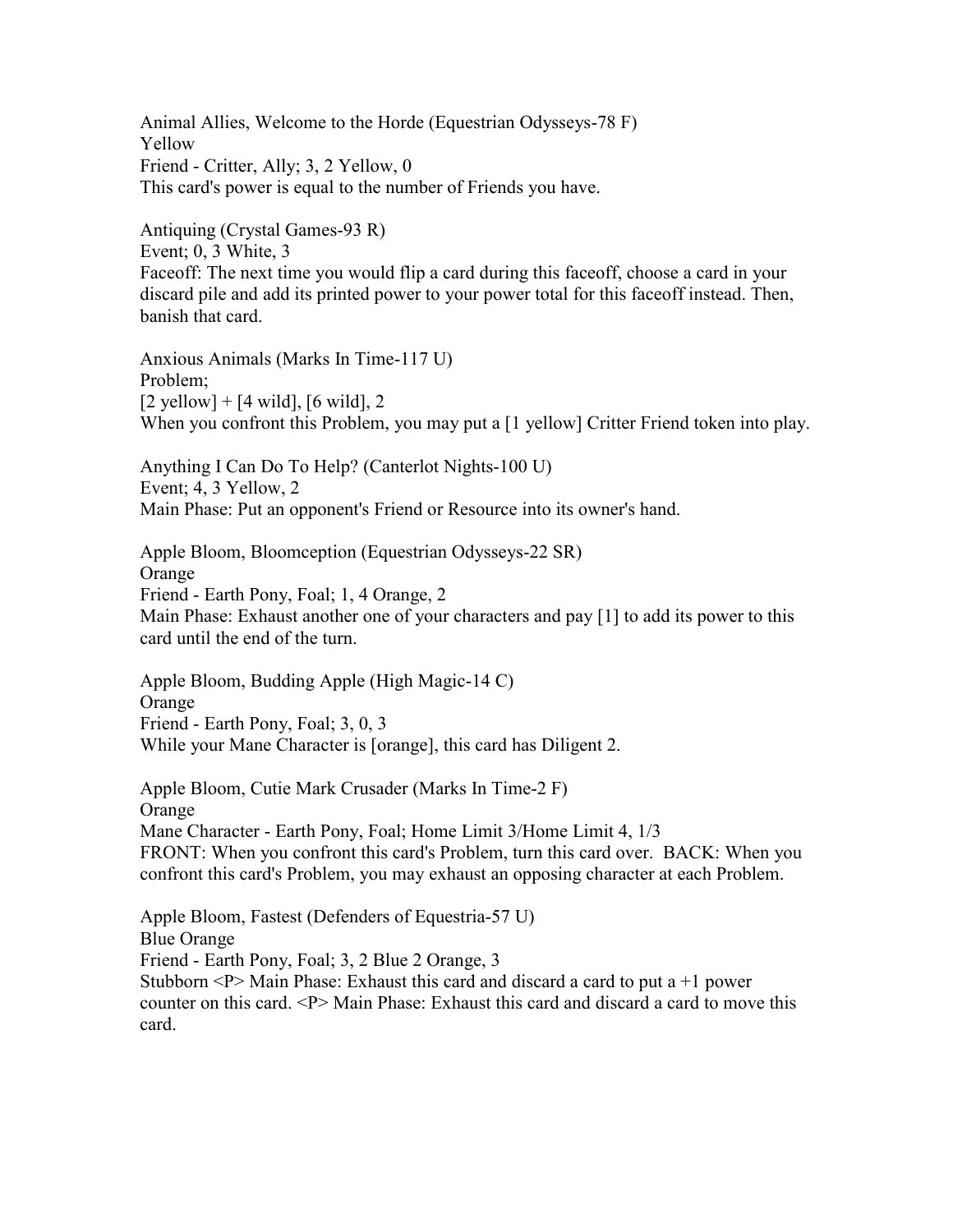Animal Allies, Welcome to the Horde (Equestrian Odysseys-78 F) Yellow Friend - Critter, Ally; 3, 2 Yellow, 0 This card's power is equal to the number of Friends you have.

Antiquing (Crystal Games-93 R) Event; 0, 3 White, 3 Faceoff: The next time you would flip a card during this faceoff, choose a card in your discard pile and add its printed power to your power total for this faceoff instead. Then, banish that card.

Anxious Animals (Marks In Time-117 U) Problem;  $[2 \text{ yellow}] + [4 \text{ wild}], [6 \text{ wild}], 2$ When you confront this Problem, you may put a [1 yellow] Critter Friend token into play.

Anything I Can Do To Help? (Canterlot Nights-100 U) Event; 4, 3 Yellow, 2 Main Phase: Put an opponent's Friend or Resource into its owner's hand.

Apple Bloom, Bloomception (Equestrian Odysseys-22 SR) Orange Friend - Earth Pony, Foal; 1, 4 Orange, 2 Main Phase: Exhaust another one of your characters and pay [1] to add its power to this card until the end of the turn.

Apple Bloom, Budding Apple (High Magic-14 C) Orange Friend - Earth Pony, Foal; 3, 0, 3 While your Mane Character is [orange], this card has Diligent 2.

Apple Bloom, Cutie Mark Crusader (Marks In Time-2 F) Orange Mane Character - Earth Pony, Foal; Home Limit 3/Home Limit 4, 1/3 FRONT: When you confront this card's Problem, turn this card over. BACK: When you confront this card's Problem, you may exhaust an opposing character at each Problem.

Apple Bloom, Fastest (Defenders of Equestria-57 U) Blue Orange Friend - Earth Pony, Foal; 3, 2 Blue 2 Orange, 3 Stubborn  $\leq P$  Main Phase: Exhaust this card and discard a card to put a +1 power counter on this card. <P> Main Phase: Exhaust this card and discard a card to move this card.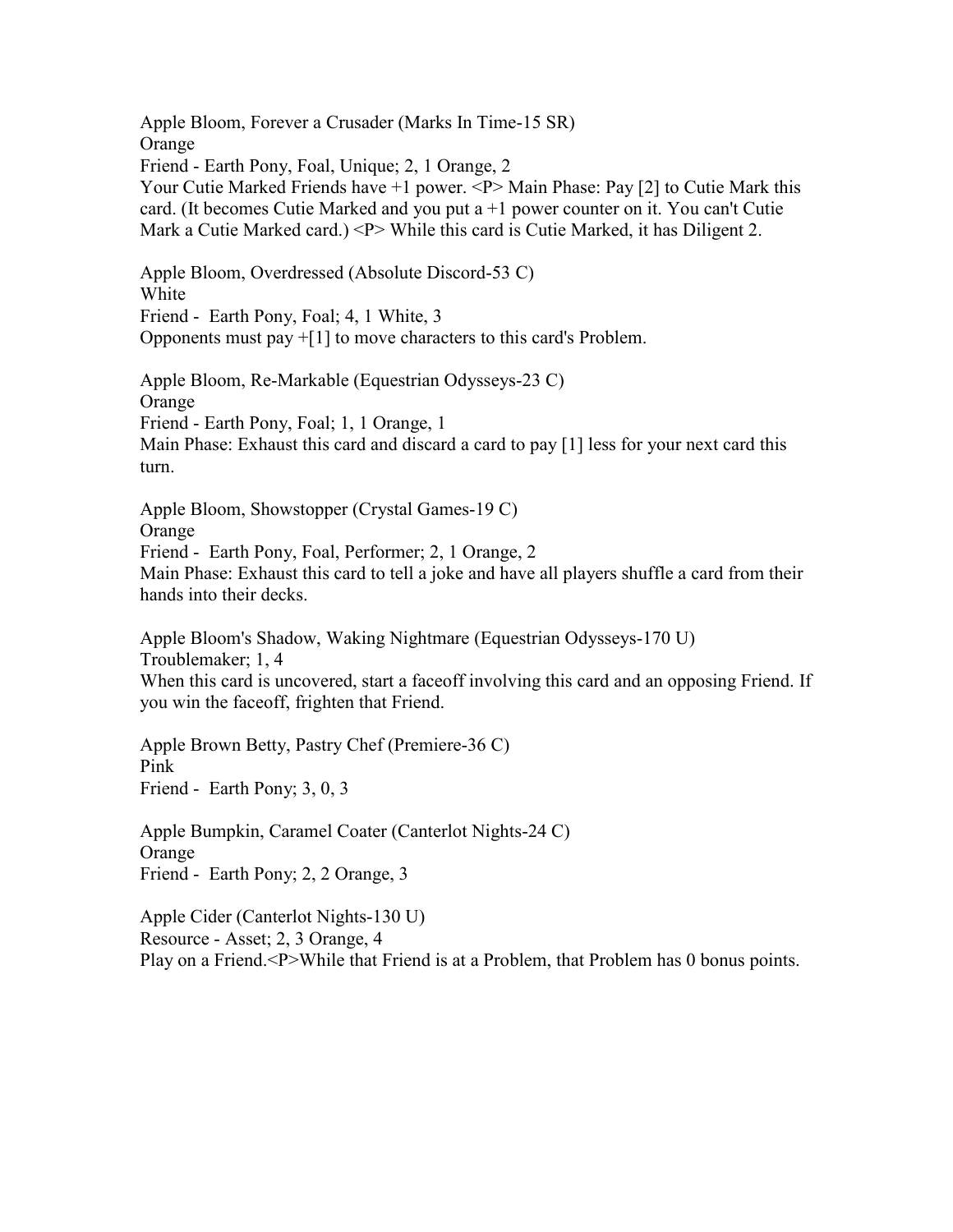Apple Bloom, Forever a Crusader (Marks In Time-15 SR) Orange Friend - Earth Pony, Foal, Unique; 2, 1 Orange, 2 Your Cutie Marked Friends have +1 power. <P>Main Phase: Pay [2] to Cutie Mark this card. (It becomes Cutie Marked and you put a +1 power counter on it. You can't Cutie Mark a Cutie Marked card.) <P> While this card is Cutie Marked, it has Diligent 2.

Apple Bloom, Overdressed (Absolute Discord-53 C) White Friend - Earth Pony, Foal; 4, 1 White, 3 Opponents must pay +[1] to move characters to this card's Problem.

Apple Bloom, Re-Markable (Equestrian Odysseys-23 C) Orange Friend - Earth Pony, Foal; 1, 1 Orange, 1 Main Phase: Exhaust this card and discard a card to pay [1] less for your next card this turn.

Apple Bloom, Showstopper (Crystal Games-19 C) Orange Friend - Earth Pony, Foal, Performer; 2, 1 Orange, 2 Main Phase: Exhaust this card to tell a joke and have all players shuffle a card from their hands into their decks.

Apple Bloom's Shadow, Waking Nightmare (Equestrian Odysseys-170 U) Troublemaker; 1, 4 When this card is uncovered, start a faceoff involving this card and an opposing Friend. If you win the faceoff, frighten that Friend.

Apple Brown Betty, Pastry Chef (Premiere-36 C) Pink Friend - Earth Pony; 3, 0, 3

Apple Bumpkin, Caramel Coater (Canterlot Nights-24 C) Orange Friend - Earth Pony; 2, 2 Orange, 3

Apple Cider (Canterlot Nights-130 U) Resource - Asset; 2, 3 Orange, 4 Play on a Friend.<P>While that Friend is at a Problem, that Problem has 0 bonus points.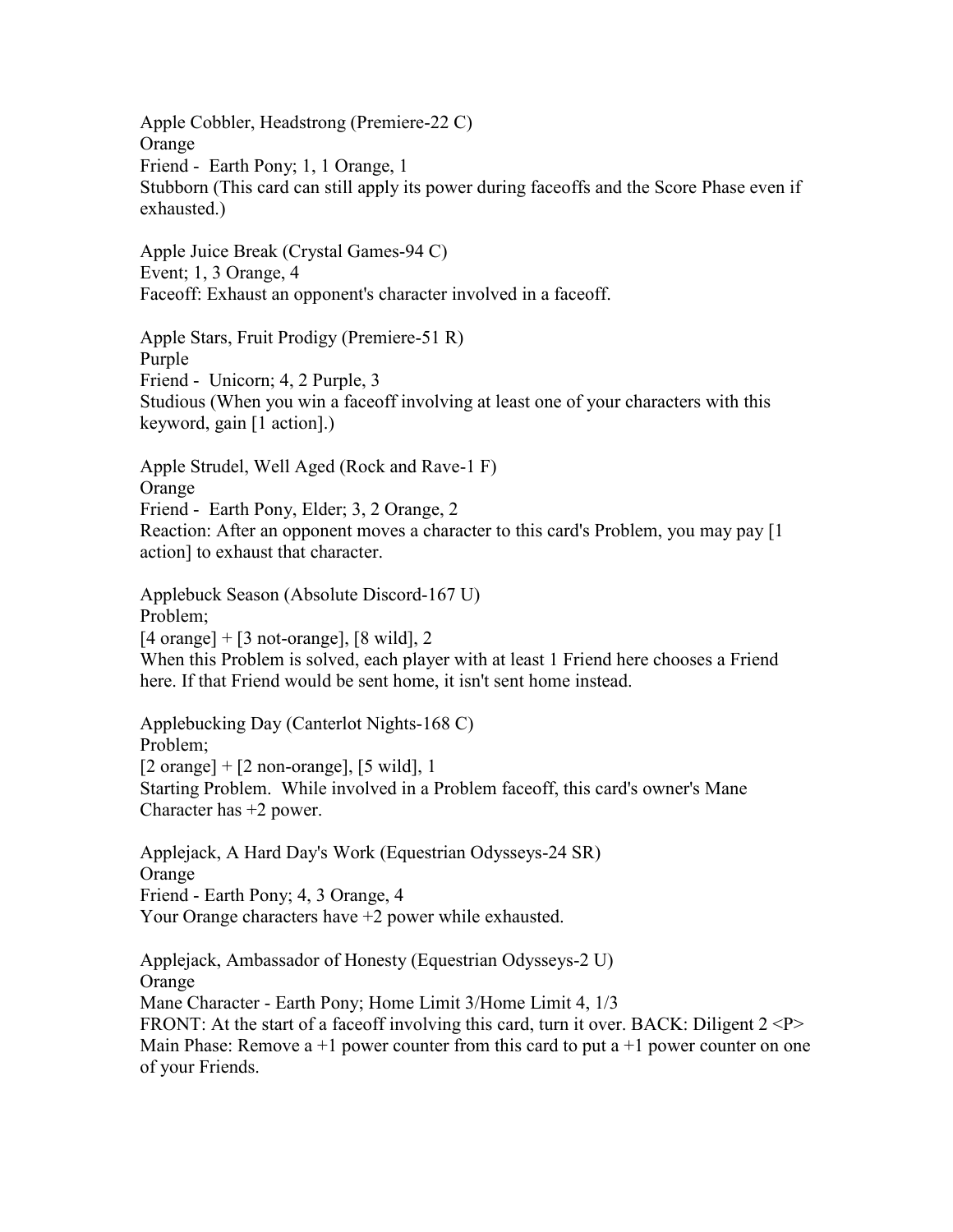Apple Cobbler, Headstrong (Premiere-22 C) Orange Friend - Earth Pony; 1, 1 Orange, 1 Stubborn (This card can still apply its power during faceoffs and the Score Phase even if exhausted.)

Apple Juice Break (Crystal Games-94 C) Event; 1, 3 Orange, 4 Faceoff: Exhaust an opponent's character involved in a faceoff.

Apple Stars, Fruit Prodigy (Premiere-51 R) Purple Friend - Unicorn; 4, 2 Purple, 3 Studious (When you win a faceoff involving at least one of your characters with this keyword, gain [1 action].)

Apple Strudel, Well Aged (Rock and Rave-1 F) Orange Friend - Earth Pony, Elder; 3, 2 Orange, 2 Reaction: After an opponent moves a character to this card's Problem, you may pay [1 action] to exhaust that character.

Applebuck Season (Absolute Discord-167 U) Problem;  $[4 \text{ orange}] + [3 \text{ not-orange}], [8 \text{ wild}], 2$ When this Problem is solved, each player with at least 1 Friend here chooses a Friend here. If that Friend would be sent home, it isn't sent home instead.

Applebucking Day (Canterlot Nights-168 C) Problem;  $[2 \text{ orange}] + [2 \text{ non-orange}], [5 \text{ wild}], 1$ Starting Problem. While involved in a Problem faceoff, this card's owner's Mane Character has +2 power.

Applejack, A Hard Day's Work (Equestrian Odysseys-24 SR) Orange Friend - Earth Pony; 4, 3 Orange, 4 Your Orange characters have +2 power while exhausted.

Applejack, Ambassador of Honesty (Equestrian Odysseys-2 U) Orange Mane Character - Earth Pony; Home Limit 3/Home Limit 4, 1/3 FRONT: At the start of a faceoff involving this card, turn it over. BACK: Diligent  $2 < P$ Main Phase: Remove a  $+1$  power counter from this card to put a  $+1$  power counter on one of your Friends.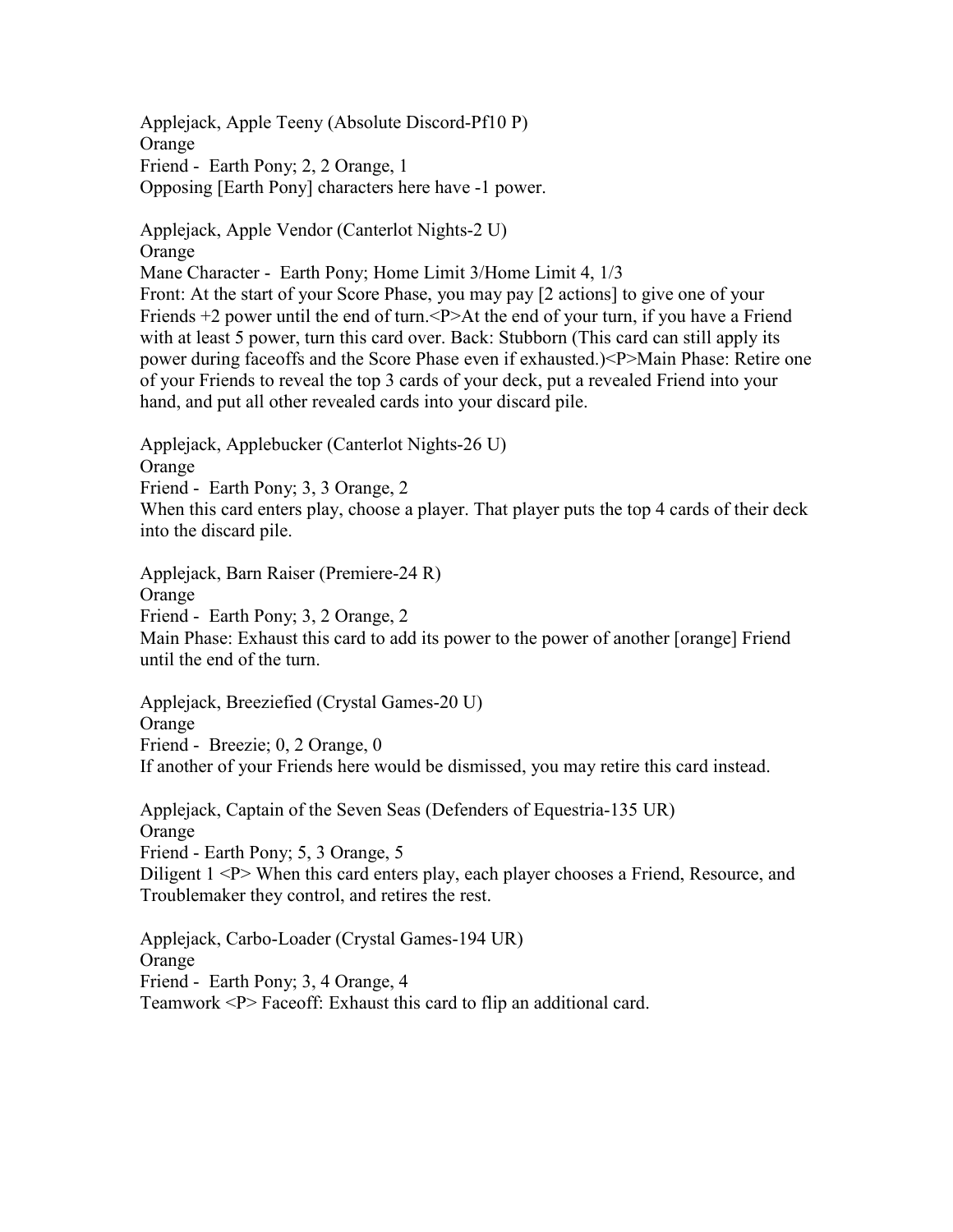Applejack, Apple Teeny (Absolute Discord-Pf10 P) **Orange** Friend - Earth Pony; 2, 2 Orange, 1 Opposing [Earth Pony] characters here have -1 power.

hand, and put all other revealed cards into your discard pile.

Applejack, Apple Vendor (Canterlot Nights-2 U) Orange Mane Character - Earth Pony; Home Limit 3/Home Limit 4, 1/3 Front: At the start of your Score Phase, you may pay [2 actions] to give one of your Friends +2 power until the end of turn.<P>At the end of your turn, if you have a Friend with at least 5 power, turn this card over. Back: Stubborn (This card can still apply its power during faceoffs and the Score Phase even if exhausted.)<P>Main Phase: Retire one

Applejack, Applebucker (Canterlot Nights-26 U) Orange Friend - Earth Pony; 3, 3 Orange, 2 When this card enters play, choose a player. That player puts the top 4 cards of their deck into the discard pile.

of your Friends to reveal the top 3 cards of your deck, put a revealed Friend into your

Applejack, Barn Raiser (Premiere-24 R) Orange Friend - Earth Pony; 3, 2 Orange, 2 Main Phase: Exhaust this card to add its power to the power of another [orange] Friend until the end of the turn.

Applejack, Breeziefied (Crystal Games-20 U) Orange Friend - Breezie; 0, 2 Orange, 0 If another of your Friends here would be dismissed, you may retire this card instead.

Applejack, Captain of the Seven Seas (Defenders of Equestria-135 UR) Orange Friend - Earth Pony; 5, 3 Orange, 5 Diligent 1 <P> When this card enters play, each player chooses a Friend, Resource, and Troublemaker they control, and retires the rest.

Applejack, Carbo-Loader (Crystal Games-194 UR) **Orange** Friend - Earth Pony; 3, 4 Orange, 4 Teamwork <P> Faceoff: Exhaust this card to flip an additional card.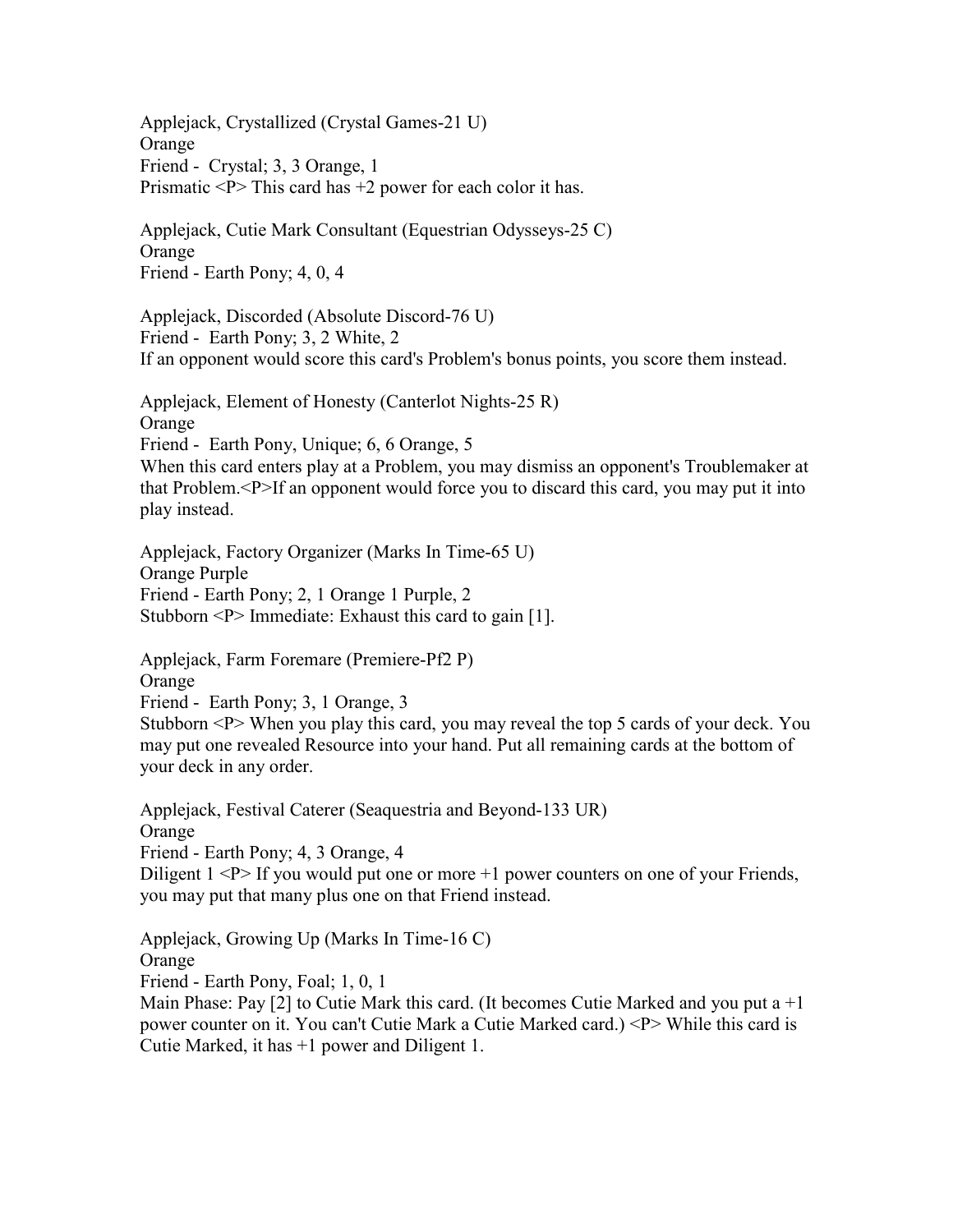Applejack, Crystallized (Crystal Games-21 U) **Orange** Friend - Crystal; 3, 3 Orange, 1 Prismatic  $P$  This card has  $+2$  power for each color it has.

Applejack, Cutie Mark Consultant (Equestrian Odysseys-25 C) **Orange** Friend - Earth Pony; 4, 0, 4

Applejack, Discorded (Absolute Discord-76 U) Friend - Earth Pony; 3, 2 White, 2 If an opponent would score this card's Problem's bonus points, you score them instead.

Applejack, Element of Honesty (Canterlot Nights-25 R) **Orange** Friend - Earth Pony, Unique; 6, 6 Orange, 5 When this card enters play at a Problem, you may dismiss an opponent's Troublemaker at that Problem.<P>If an opponent would force you to discard this card, you may put it into

play instead.

Applejack, Factory Organizer (Marks In Time-65 U) Orange Purple Friend - Earth Pony; 2, 1 Orange 1 Purple, 2 Stubborn <P> Immediate: Exhaust this card to gain [1].

Applejack, Farm Foremare (Premiere-Pf2 P)

**Orange** 

Friend - Earth Pony; 3, 1 Orange, 3

Stubborn <P> When you play this card, you may reveal the top 5 cards of your deck. You may put one revealed Resource into your hand. Put all remaining cards at the bottom of your deck in any order.

Applejack, Festival Caterer (Seaquestria and Beyond-133 UR) Orange Friend - Earth Pony; 4, 3 Orange, 4 Diligent  $1 \le P$  If you would put one or more  $+1$  power counters on one of your Friends, you may put that many plus one on that Friend instead.

Applejack, Growing Up (Marks In Time-16 C) Orange Friend - Earth Pony, Foal; 1, 0, 1 Main Phase: Pay  $[2]$  to Cutie Mark this card. (It becomes Cutie Marked and you put a  $+1$ power counter on it. You can't Cutie Mark a Cutie Marked card.) <P> While this card is Cutie Marked, it has +1 power and Diligent 1.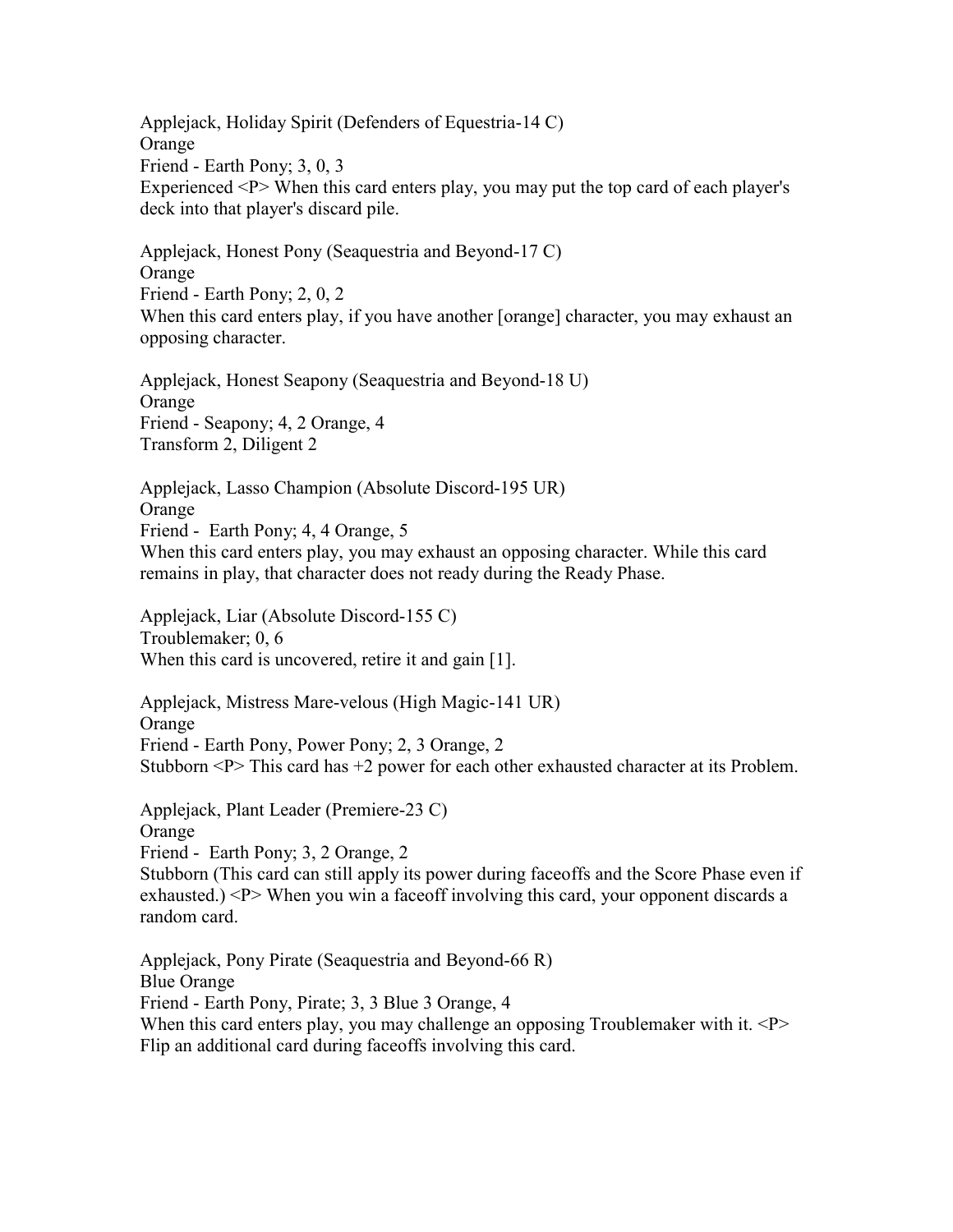Applejack, Holiday Spirit (Defenders of Equestria-14 C) Orange Friend - Earth Pony; 3, 0, 3 Experienced <P> When this card enters play, you may put the top card of each player's deck into that player's discard pile.

Applejack, Honest Pony (Seaquestria and Beyond-17 C) Orange Friend - Earth Pony; 2, 0, 2 When this card enters play, if you have another [orange] character, you may exhaust an opposing character.

Applejack, Honest Seapony (Seaquestria and Beyond-18 U) Orange Friend - Seapony; 4, 2 Orange, 4 Transform 2, Diligent 2

Applejack, Lasso Champion (Absolute Discord-195 UR) Orange Friend - Earth Pony; 4, 4 Orange, 5 When this card enters play, you may exhaust an opposing character. While this card remains in play, that character does not ready during the Ready Phase.

Applejack, Liar (Absolute Discord-155 C) Troublemaker; 0, 6 When this card is uncovered, retire it and gain [1].

Applejack, Mistress Mare-velous (High Magic-141 UR) Orange Friend - Earth Pony, Power Pony; 2, 3 Orange, 2 Stubborn  $\leq P$  This card has  $+2$  power for each other exhausted character at its Problem.

Applejack, Plant Leader (Premiere-23 C) Orange Friend - Earth Pony; 3, 2 Orange, 2 Stubborn (This card can still apply its power during faceoffs and the Score Phase even if exhausted.)  $\langle P \rangle$  When you win a faceoff involving this card, your opponent discards a random card.

Applejack, Pony Pirate (Seaquestria and Beyond-66 R) Blue Orange Friend - Earth Pony, Pirate; 3, 3 Blue 3 Orange, 4 When this card enters play, you may challenge an opposing Troublemaker with it. <P> Flip an additional card during faceoffs involving this card.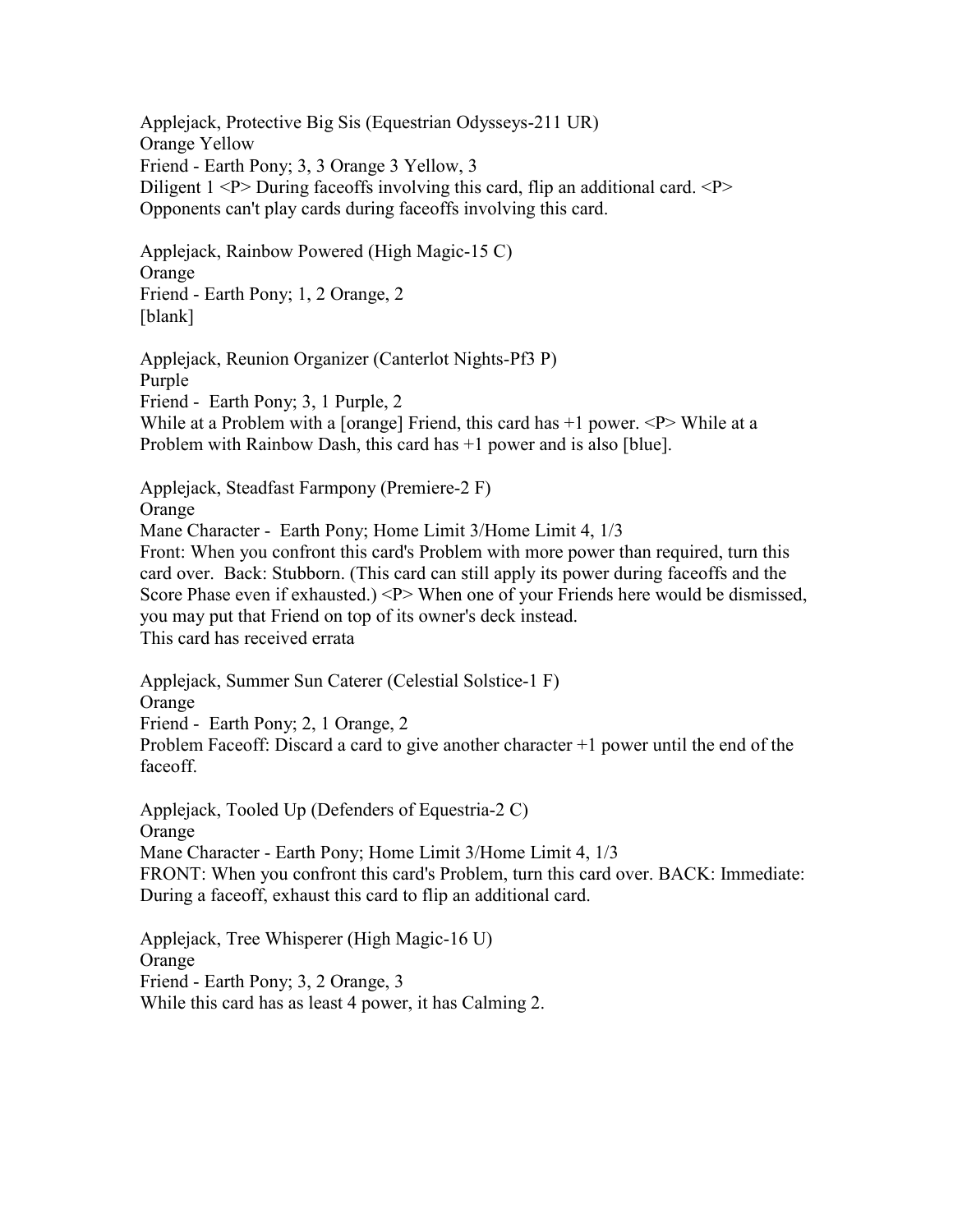Applejack, Protective Big Sis (Equestrian Odysseys-211 UR) Orange Yellow Friend - Earth Pony; 3, 3 Orange 3 Yellow, 3 Diligent  $1 \leq P$  During faceoffs involving this card, flip an additional card.  $\leq P$ Opponents can't play cards during faceoffs involving this card.

Applejack, Rainbow Powered (High Magic-15 C) Orange Friend - Earth Pony; 1, 2 Orange, 2 [blank]

Applejack, Reunion Organizer (Canterlot Nights-Pf3 P) Purple Friend - Earth Pony; 3, 1 Purple, 2 While at a Problem with a [orange] Friend, this card has  $+1$  power.  $\langle P \rangle$  While at a Problem with Rainbow Dash, this card has +1 power and is also [blue].

Applejack, Steadfast Farmpony (Premiere-2 F)

Orange

Mane Character - Earth Pony; Home Limit 3/Home Limit 4, 1/3

Front: When you confront this card's Problem with more power than required, turn this card over. Back: Stubborn. (This card can still apply its power during faceoffs and the Score Phase even if exhausted.) <P> When one of your Friends here would be dismissed, you may put that Friend on top of its owner's deck instead. This card has received errata

Applejack, Summer Sun Caterer (Celestial Solstice-1 F) Orange Friend - Earth Pony; 2, 1 Orange, 2 Problem Faceoff: Discard a card to give another character +1 power until the end of the faceoff.

Applejack, Tooled Up (Defenders of Equestria-2 C) Orange Mane Character - Earth Pony; Home Limit 3/Home Limit 4, 1/3 FRONT: When you confront this card's Problem, turn this card over. BACK: Immediate: During a faceoff, exhaust this card to flip an additional card.

Applejack, Tree Whisperer (High Magic-16 U) Orange Friend - Earth Pony; 3, 2 Orange, 3 While this card has as least 4 power, it has Calming 2.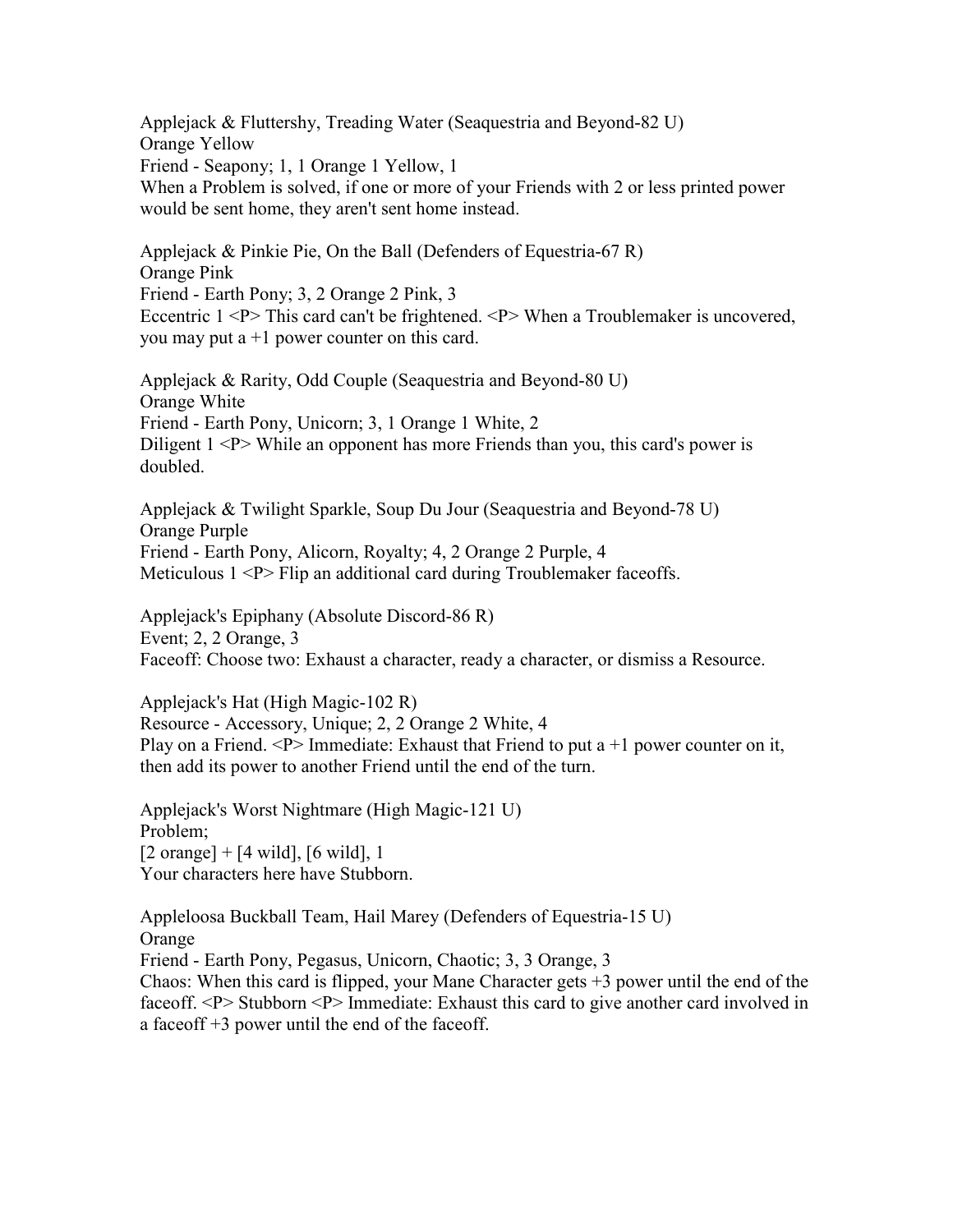Applejack & Fluttershy, Treading Water (Seaquestria and Beyond-82 U) Orange Yellow Friend - Seapony; 1, 1 Orange 1 Yellow, 1 When a Problem is solved, if one or more of your Friends with 2 or less printed power would be sent home, they aren't sent home instead.

Applejack & Pinkie Pie, On the Ball (Defenders of Equestria-67 R) Orange Pink Friend - Earth Pony; 3, 2 Orange 2 Pink, 3 Eccentric 1 <P> This card can't be frightened. <P> When a Troublemaker is uncovered, you may put a  $+1$  power counter on this card.

Applejack & Rarity, Odd Couple (Seaquestria and Beyond-80 U) Orange White Friend - Earth Pony, Unicorn; 3, 1 Orange 1 White, 2 Diligent 1 <P> While an opponent has more Friends than you, this card's power is doubled.

Applejack & Twilight Sparkle, Soup Du Jour (Seaquestria and Beyond-78 U) Orange Purple Friend - Earth Pony, Alicorn, Royalty; 4, 2 Orange 2 Purple, 4 Meticulous  $1 \le P$  Flip an additional card during Troublemaker faceoffs.

Applejack's Epiphany (Absolute Discord-86 R) Event; 2, 2 Orange, 3 Faceoff: Choose two: Exhaust a character, ready a character, or dismiss a Resource.

Applejack's Hat (High Magic-102 R) Resource - Accessory, Unique; 2, 2 Orange 2 White, 4 Play on a Friend.  $\langle P \rangle$  Immediate: Exhaust that Friend to put a +1 power counter on it, then add its power to another Friend until the end of the turn.

Applejack's Worst Nightmare (High Magic-121 U) Problem;  $[2 \text{ orange}] + [4 \text{ wild}], [6 \text{ wild}], 1$ Your characters here have Stubborn.

Appleloosa Buckball Team, Hail Marey (Defenders of Equestria-15 U) Orange Friend - Earth Pony, Pegasus, Unicorn, Chaotic; 3, 3 Orange, 3 Chaos: When this card is flipped, your Mane Character gets  $+3$  power until the end of the faceoff. <P> Stubborn <P> Immediate: Exhaust this card to give another card involved in a faceoff +3 power until the end of the faceoff.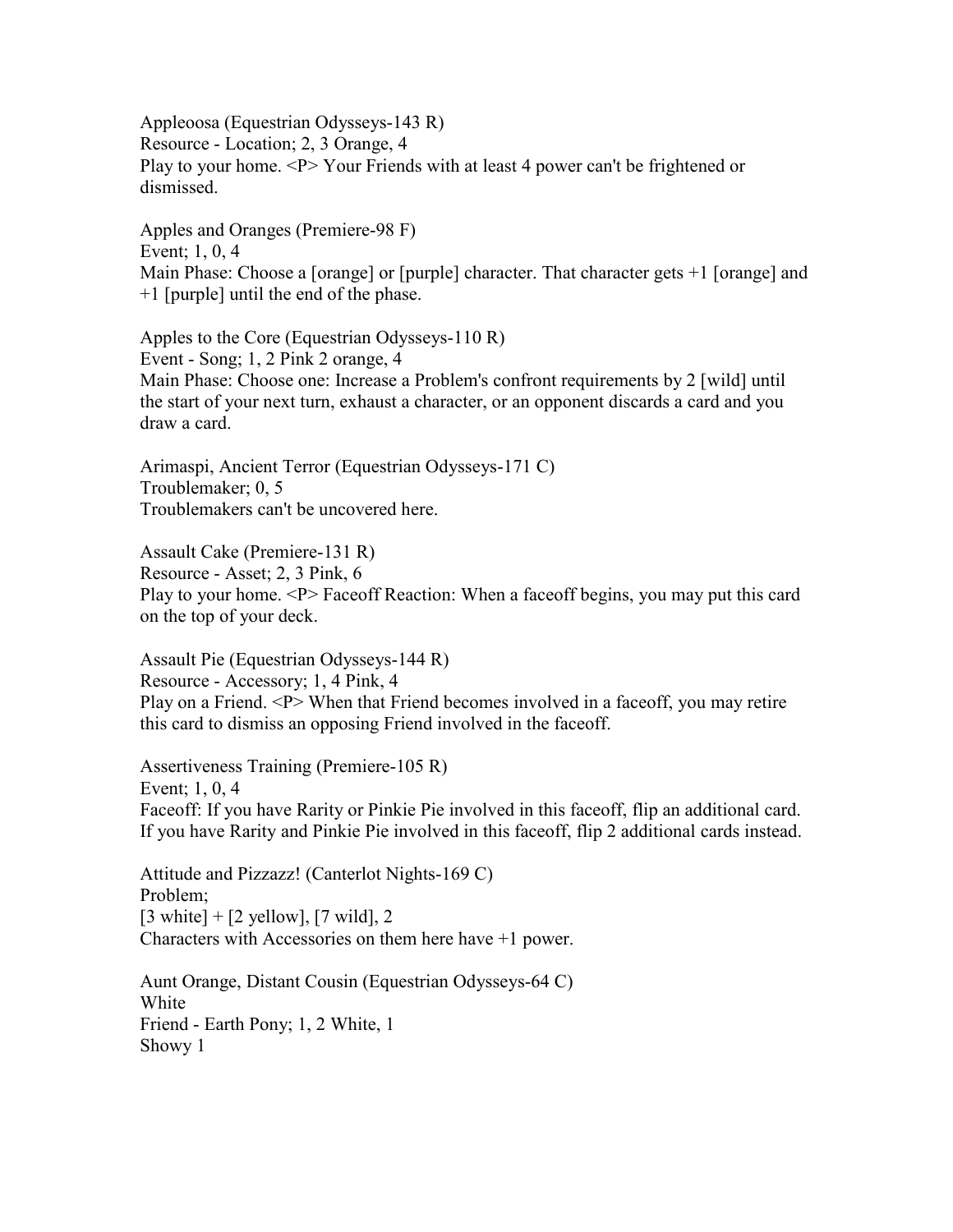Appleoosa (Equestrian Odysseys-143 R) Resource - Location; 2, 3 Orange, 4 Play to your home. <P> Your Friends with at least 4 power can't be frightened or dismissed.

Apples and Oranges (Premiere-98 F) Event; 1, 0, 4 Main Phase: Choose a [orange] or [purple] character. That character gets +1 [orange] and +1 [purple] until the end of the phase.

Apples to the Core (Equestrian Odysseys-110 R) Event - Song; 1, 2 Pink 2 orange, 4 Main Phase: Choose one: Increase a Problem's confront requirements by 2 [wild] until the start of your next turn, exhaust a character, or an opponent discards a card and you draw a card.

Arimaspi, Ancient Terror (Equestrian Odysseys-171 C) Troublemaker; 0, 5 Troublemakers can't be uncovered here.

Assault Cake (Premiere-131 R) Resource - Asset; 2, 3 Pink, 6 Play to your home. <P> Faceoff Reaction: When a faceoff begins, you may put this card on the top of your deck.

Assault Pie (Equestrian Odysseys-144 R) Resource - Accessory; 1, 4 Pink, 4 Play on a Friend. <P> When that Friend becomes involved in a faceoff, you may retire this card to dismiss an opposing Friend involved in the faceoff.

Assertiveness Training (Premiere-105 R) Event; 1, 0, 4 Faceoff: If you have Rarity or Pinkie Pie involved in this faceoff, flip an additional card. If you have Rarity and Pinkie Pie involved in this faceoff, flip 2 additional cards instead.

Attitude and Pizzazz! (Canterlot Nights-169 C) Problem;  $[3 \text{ white}] + [2 \text{ yellow}], [7 \text{ wild}], 2$ Characters with Accessories on them here have +1 power.

Aunt Orange, Distant Cousin (Equestrian Odysseys-64 C) White Friend - Earth Pony; 1, 2 White, 1 Showy 1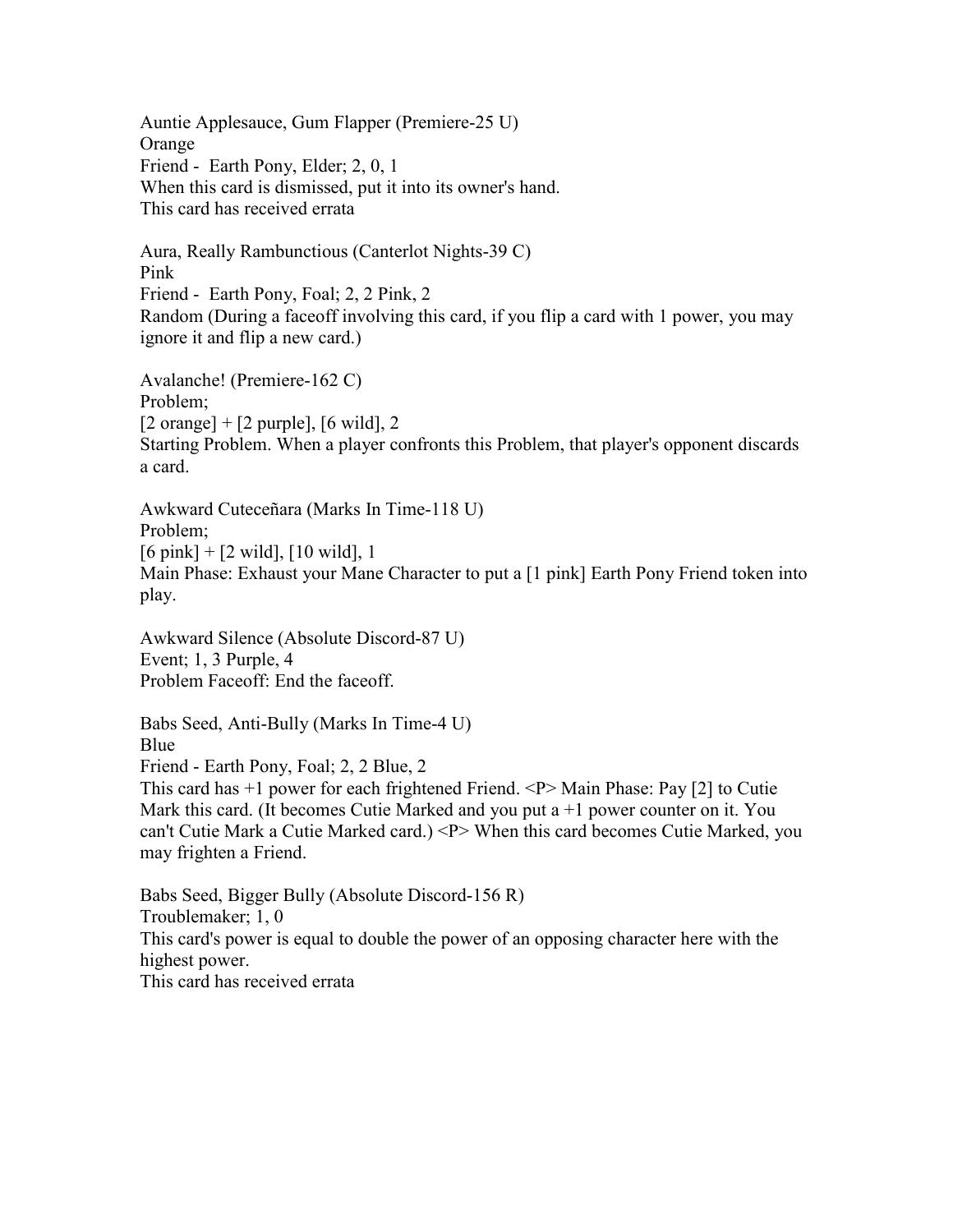Auntie Applesauce, Gum Flapper (Premiere-25 U) **Orange** Friend - Earth Pony, Elder; 2, 0, 1 When this card is dismissed, put it into its owner's hand. This card has received errata

Aura, Really Rambunctious (Canterlot Nights-39 C) Pink Friend - Earth Pony, Foal; 2, 2 Pink, 2 Random (During a faceoff involving this card, if you flip a card with 1 power, you may ignore it and flip a new card.)

Avalanche! (Premiere-162 C) Problem;  $[2 \text{ orange}] + [2 \text{ purple}], [6 \text{ wild}], 2$ Starting Problem. When a player confronts this Problem, that player's opponent discards a card.

Awkward Cuteceñara (Marks In Time-118 U) Problem; [6 pink] + [2 wild], [10 wild], 1 Main Phase: Exhaust your Mane Character to put a [1 pink] Earth Pony Friend token into play.

Awkward Silence (Absolute Discord-87 U) Event; 1, 3 Purple, 4 Problem Faceoff: End the faceoff.

Babs Seed, Anti-Bully (Marks In Time-4 U) Blue Friend - Earth Pony, Foal; 2, 2 Blue, 2 This card has +1 power for each frightened Friend. <P> Main Phase: Pay [2] to Cutie Mark this card. (It becomes Cutie Marked and you put  $a + 1$  power counter on it. You can't Cutie Mark a Cutie Marked card.) <P> When this card becomes Cutie Marked, you may frighten a Friend.

Babs Seed, Bigger Bully (Absolute Discord-156 R) Troublemaker; 1, 0 This card's power is equal to double the power of an opposing character here with the highest power. This card has received errata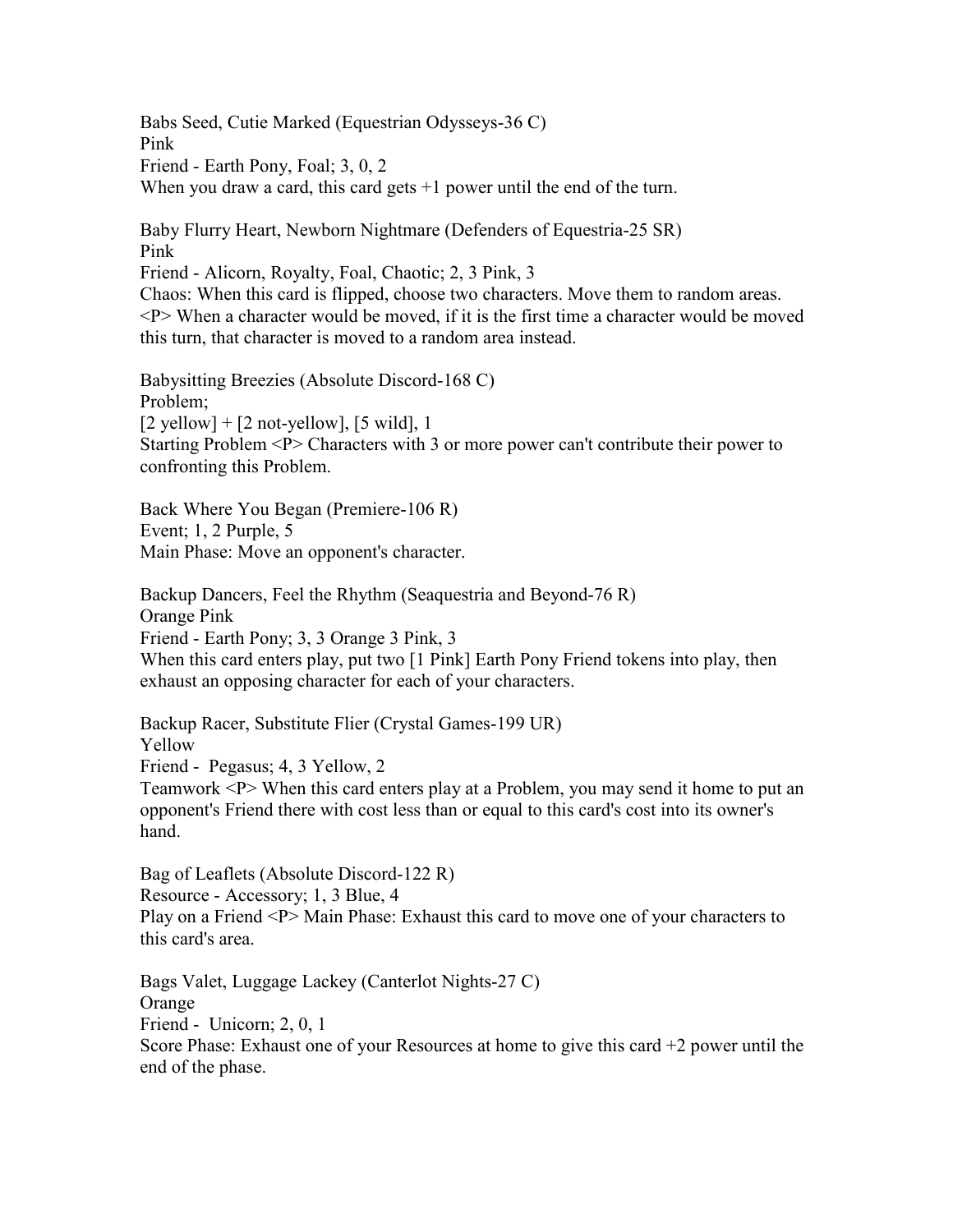Babs Seed, Cutie Marked (Equestrian Odysseys-36 C) Pink Friend - Earth Pony, Foal; 3, 0, 2 When you draw a card, this card gets  $+1$  power until the end of the turn.

Baby Flurry Heart, Newborn Nightmare (Defenders of Equestria-25 SR) Pink Friend - Alicorn, Royalty, Foal, Chaotic; 2, 3 Pink, 3 Chaos: When this card is flipped, choose two characters. Move them to random areas.  $\langle P \rangle$  When a character would be moved, if it is the first time a character would be moved this turn, that character is moved to a random area instead.

Babysitting Breezies (Absolute Discord-168 C) Problem;  $[2$  yellow] +  $[2$  not-yellow],  $[5 \text{ wild}]$ , 1 Starting Problem <P> Characters with 3 or more power can't contribute their power to confronting this Problem.

Back Where You Began (Premiere-106 R) Event; 1, 2 Purple, 5 Main Phase: Move an opponent's character.

Backup Dancers, Feel the Rhythm (Seaquestria and Beyond-76 R) Orange Pink Friend - Earth Pony; 3, 3 Orange 3 Pink, 3 When this card enters play, put two [1 Pink] Earth Pony Friend tokens into play, then exhaust an opposing character for each of your characters.

Backup Racer, Substitute Flier (Crystal Games-199 UR) Yellow Friend - Pegasus; 4, 3 Yellow, 2 Teamwork <P> When this card enters play at a Problem, you may send it home to put an opponent's Friend there with cost less than or equal to this card's cost into its owner's hand.

Bag of Leaflets (Absolute Discord-122 R) Resource - Accessory; 1, 3 Blue, 4 Play on a Friend <P> Main Phase: Exhaust this card to move one of your characters to this card's area.

Bags Valet, Luggage Lackey (Canterlot Nights-27 C) Orange Friend - Unicorn; 2, 0, 1 Score Phase: Exhaust one of your Resources at home to give this card  $+2$  power until the end of the phase.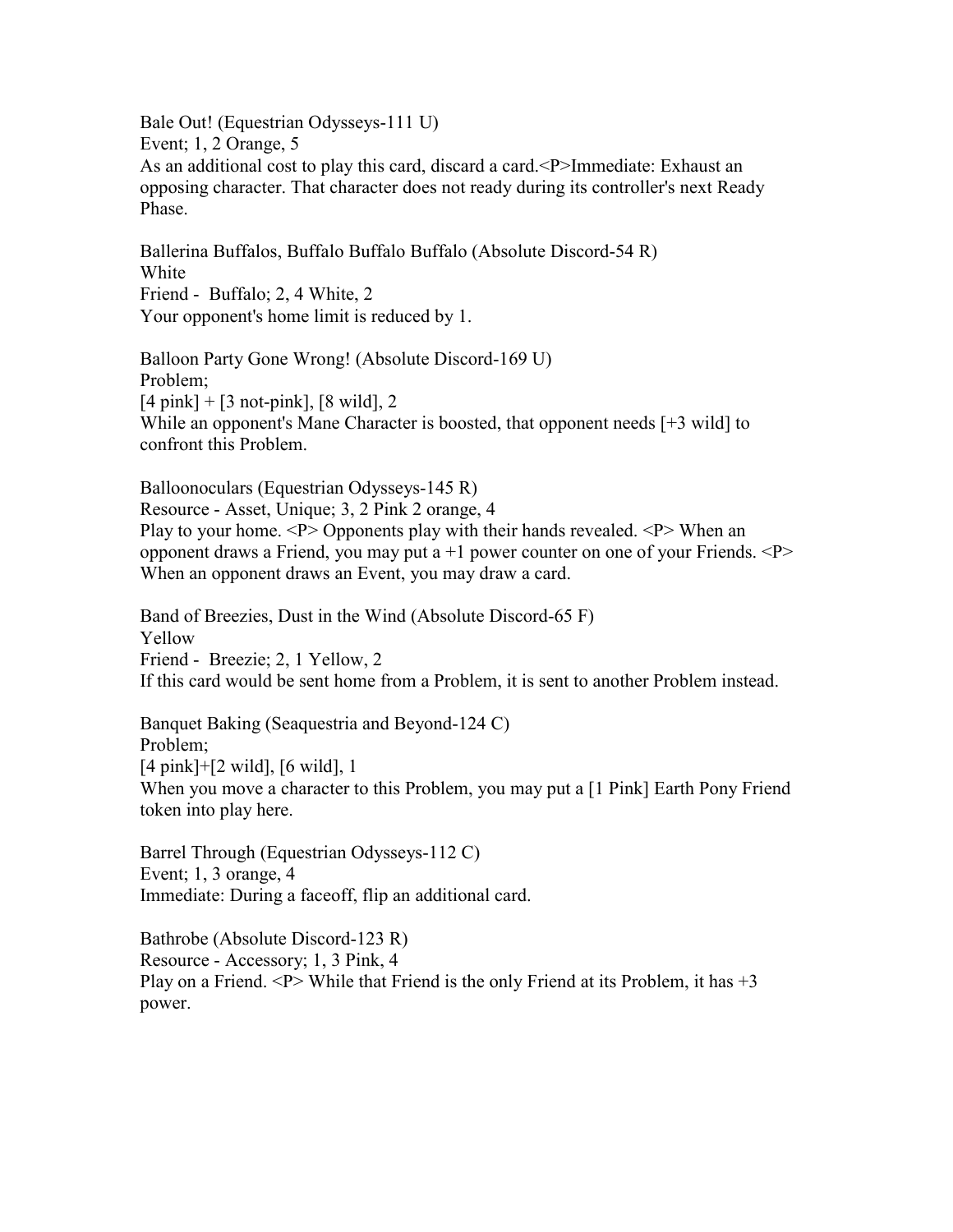Bale Out! (Equestrian Odysseys-111 U) Event; 1, 2 Orange, 5 As an additional cost to play this card, discard a card.<P>Immediate: Exhaust an opposing character. That character does not ready during its controller's next Ready Phase.

Ballerina Buffalos, Buffalo Buffalo Buffalo (Absolute Discord-54 R) White Friend - Buffalo; 2, 4 White, 2 Your opponent's home limit is reduced by 1.

Balloon Party Gone Wrong! (Absolute Discord-169 U) Problem;  $[4 \text{ pink}] + [3 \text{ not-pink}], [8 \text{ wild}], 2$ While an opponent's Mane Character is boosted, that opponent needs [+3 wild] to confront this Problem.

Balloonoculars (Equestrian Odysseys-145 R) Resource - Asset, Unique; 3, 2 Pink 2 orange, 4 Play to your home. <P> Opponents play with their hands revealed. <P> When an opponent draws a Friend, you may put a  $+1$  power counter on one of your Friends.  $\langle P \rangle$ When an opponent draws an Event, you may draw a card.

Band of Breezies, Dust in the Wind (Absolute Discord-65 F) Yellow Friend - Breezie; 2, 1 Yellow, 2 If this card would be sent home from a Problem, it is sent to another Problem instead.

Banquet Baking (Seaquestria and Beyond-124 C) Problem; [4 pink]+[2 wild], [6 wild], 1 When you move a character to this Problem, you may put a [1 Pink] Earth Pony Friend token into play here.

Barrel Through (Equestrian Odysseys-112 C) Event; 1, 3 orange, 4 Immediate: During a faceoff, flip an additional card.

Bathrobe (Absolute Discord-123 R) Resource - Accessory; 1, 3 Pink, 4 Play on a Friend.  $\langle P \rangle$  While that Friend is the only Friend at its Problem, it has  $+3$ power.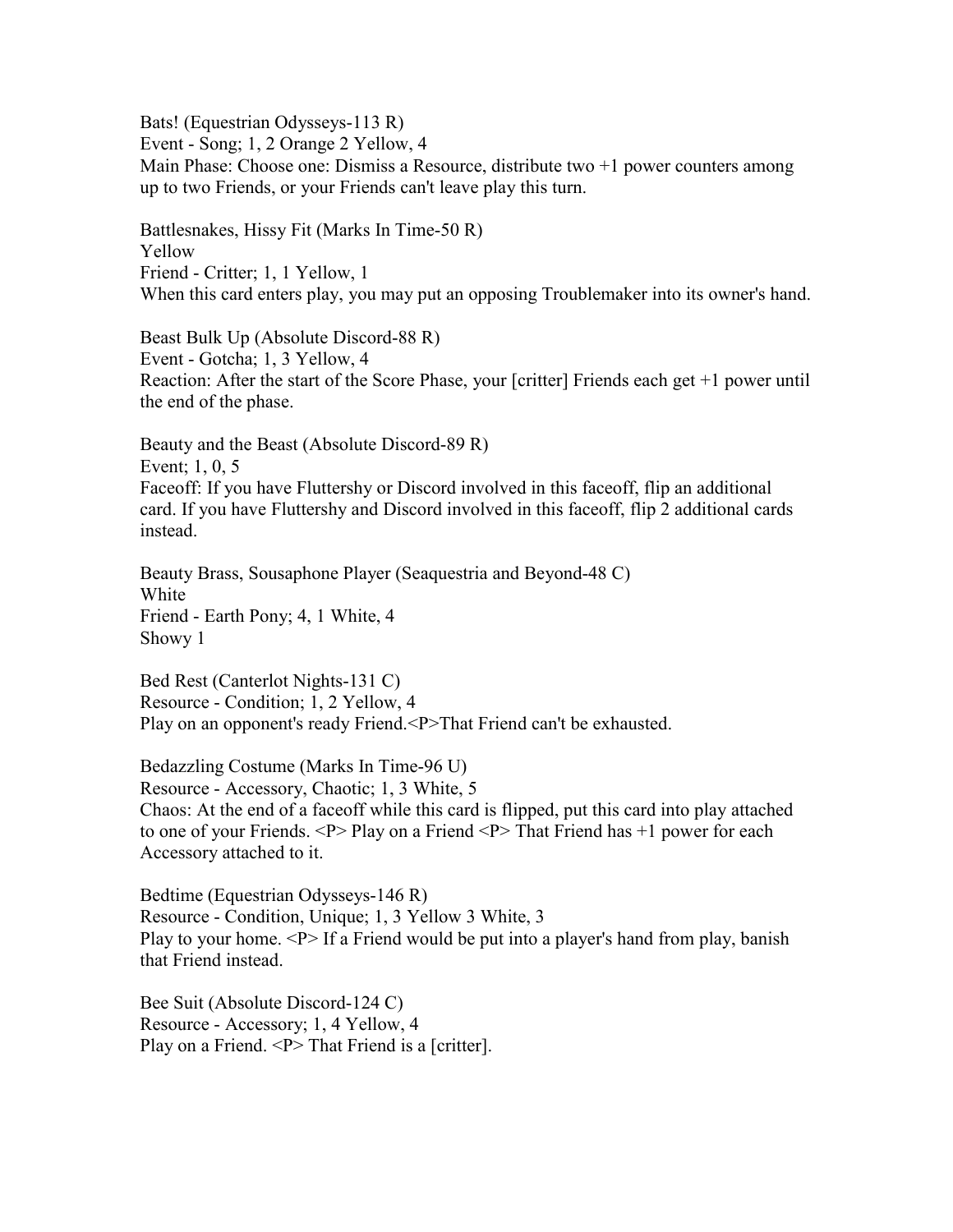Bats! (Equestrian Odysseys-113 R)

Event - Song; 1, 2 Orange 2 Yellow, 4

Main Phase: Choose one: Dismiss a Resource, distribute two +1 power counters among up to two Friends, or your Friends can't leave play this turn.

Battlesnakes, Hissy Fit (Marks In Time-50 R) Yellow Friend - Critter; 1, 1 Yellow, 1 When this card enters play, you may put an opposing Troublemaker into its owner's hand.

Beast Bulk Up (Absolute Discord-88 R) Event - Gotcha; 1, 3 Yellow, 4 Reaction: After the start of the Score Phase, your [critter] Friends each get +1 power until the end of the phase.

Beauty and the Beast (Absolute Discord-89 R) Event; 1, 0, 5 Faceoff: If you have Fluttershy or Discord involved in this faceoff, flip an additional card. If you have Fluttershy and Discord involved in this faceoff, flip 2 additional cards instead.

Beauty Brass, Sousaphone Player (Seaquestria and Beyond-48 C) White Friend - Earth Pony; 4, 1 White, 4 Showy 1

Bed Rest (Canterlot Nights-131 C) Resource - Condition; 1, 2 Yellow, 4 Play on an opponent's ready Friend.<P>That Friend can't be exhausted.

Bedazzling Costume (Marks In Time-96 U) Resource - Accessory, Chaotic; 1, 3 White, 5 Chaos: At the end of a faceoff while this card is flipped, put this card into play attached to one of your Friends. <P> Play on a Friend <P> That Friend has +1 power for each Accessory attached to it.

Bedtime (Equestrian Odysseys-146 R) Resource - Condition, Unique; 1, 3 Yellow 3 White, 3 Play to your home.  $\langle P \rangle$  If a Friend would be put into a player's hand from play, banish that Friend instead.

Bee Suit (Absolute Discord-124 C) Resource - Accessory; 1, 4 Yellow, 4 Play on a Friend. <P> That Friend is a [critter].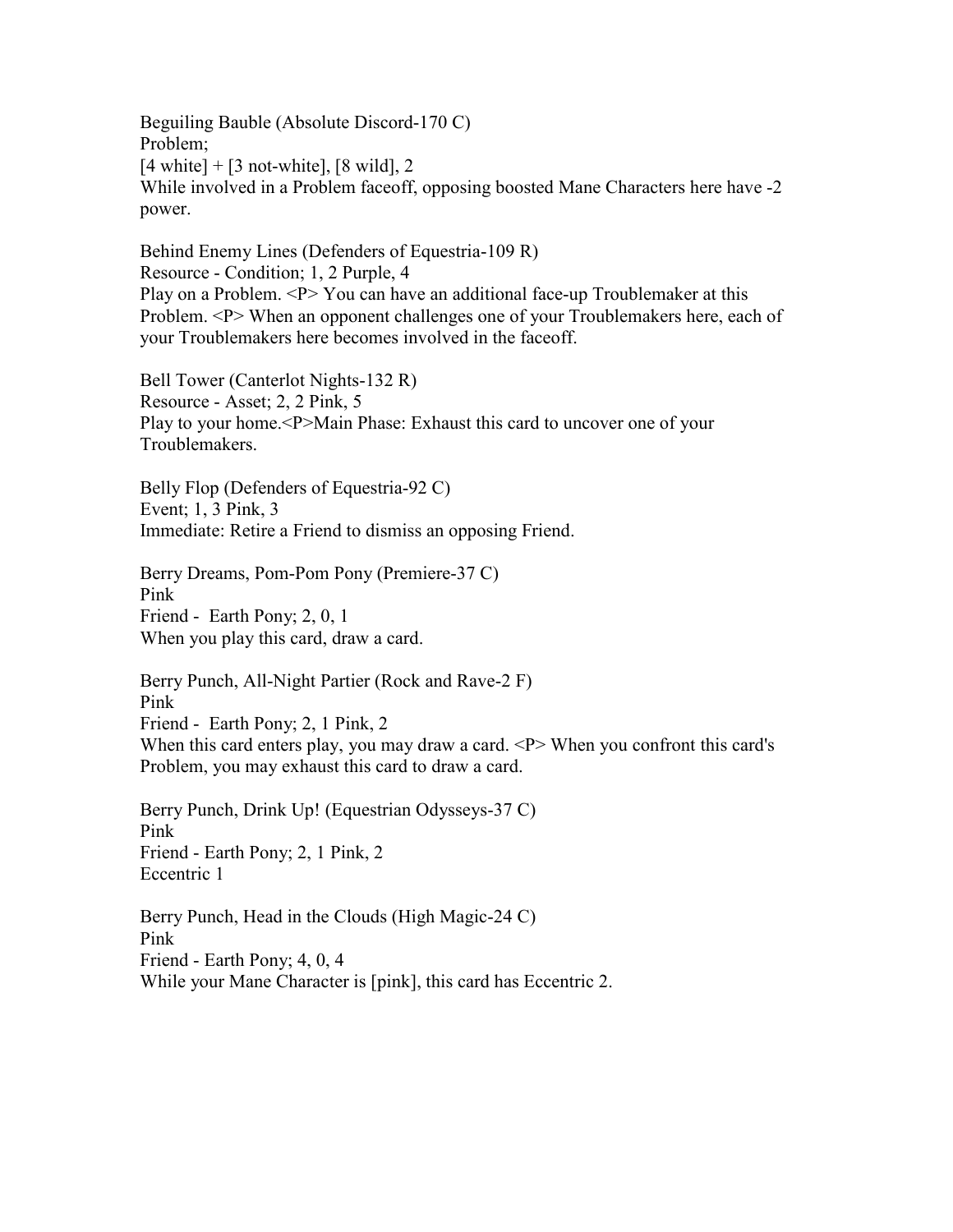Beguiling Bauble (Absolute Discord-170 C) Problem;  $[4 \text{ white}] + [3 \text{ not-white}], [8 \text{ wild}], 2$ While involved in a Problem faceoff, opposing boosted Mane Characters here have -2 power.

Behind Enemy Lines (Defenders of Equestria-109 R) Resource - Condition; 1, 2 Purple, 4 Play on a Problem. <P> You can have an additional face-up Troublemaker at this Problem. <P> When an opponent challenges one of your Troublemakers here, each of your Troublemakers here becomes involved in the faceoff.

Bell Tower (Canterlot Nights-132 R) Resource - Asset; 2, 2 Pink, 5 Play to your home.<P>Main Phase: Exhaust this card to uncover one of your Troublemakers.

Belly Flop (Defenders of Equestria-92 C) Event; 1, 3 Pink, 3 Immediate: Retire a Friend to dismiss an opposing Friend.

Berry Dreams, Pom-Pom Pony (Premiere-37 C) Pink Friend - Earth Pony; 2, 0, 1 When you play this card, draw a card.

Berry Punch, All-Night Partier (Rock and Rave-2 F) Pink Friend - Earth Pony; 2, 1 Pink, 2 When this card enters play, you may draw a card. <P> When you confront this card's Problem, you may exhaust this card to draw a card.

Berry Punch, Drink Up! (Equestrian Odysseys-37 C) Pink Friend - Earth Pony; 2, 1 Pink, 2 Eccentric 1

Berry Punch, Head in the Clouds (High Magic-24 C) Pink Friend - Earth Pony; 4, 0, 4 While your Mane Character is [pink], this card has Eccentric 2.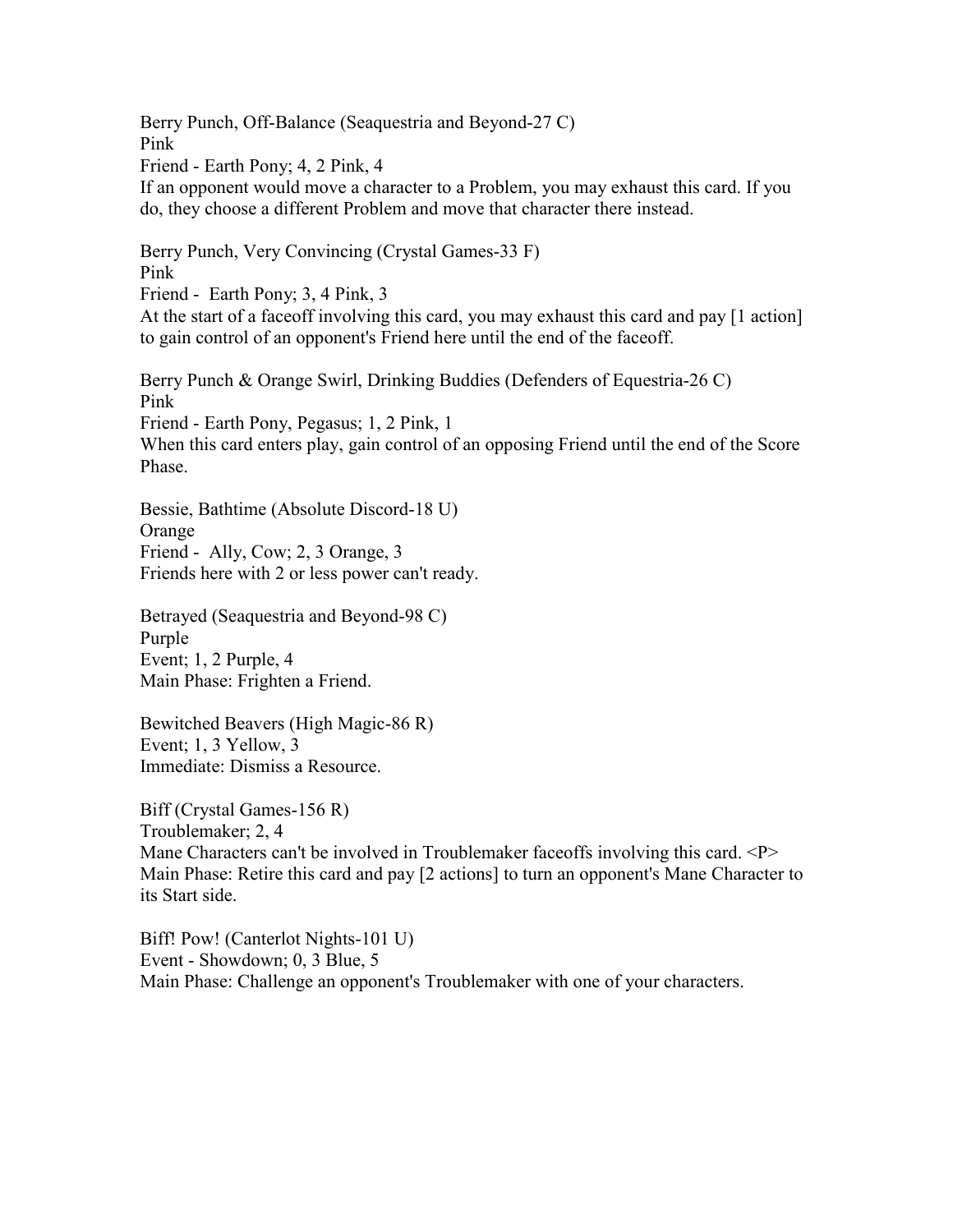Berry Punch, Off-Balance (Seaquestria and Beyond-27 C) Pink Friend - Earth Pony; 4, 2 Pink, 4 If an opponent would move a character to a Problem, you may exhaust this card. If you do, they choose a different Problem and move that character there instead. Berry Punch, Very Convincing (Crystal Games-33 F) Pink Friend - Earth Pony; 3, 4 Pink, 3 At the start of a faceoff involving this card, you may exhaust this card and pay [1 action] to gain control of an opponent's Friend here until the end of the faceoff.

Berry Punch & Orange Swirl, Drinking Buddies (Defenders of Equestria-26 C) Pink Friend - Earth Pony, Pegasus; 1, 2 Pink, 1 When this card enters play, gain control of an opposing Friend until the end of the Score Phase.

Bessie, Bathtime (Absolute Discord-18 U) Orange Friend - Ally, Cow; 2, 3 Orange, 3 Friends here with 2 or less power can't ready.

Betrayed (Seaquestria and Beyond-98 C) Purple Event; 1, 2 Purple, 4 Main Phase: Frighten a Friend.

Bewitched Beavers (High Magic-86 R) Event; 1, 3 Yellow, 3 Immediate: Dismiss a Resource.

Biff (Crystal Games-156 R) Troublemaker; 2, 4 Mane Characters can't be involved in Troublemaker faceoffs involving this card.  $\langle P \rangle$ Main Phase: Retire this card and pay [2 actions] to turn an opponent's Mane Character to its Start side.

Biff! Pow! (Canterlot Nights-101 U) Event - Showdown; 0, 3 Blue, 5 Main Phase: Challenge an opponent's Troublemaker with one of your characters.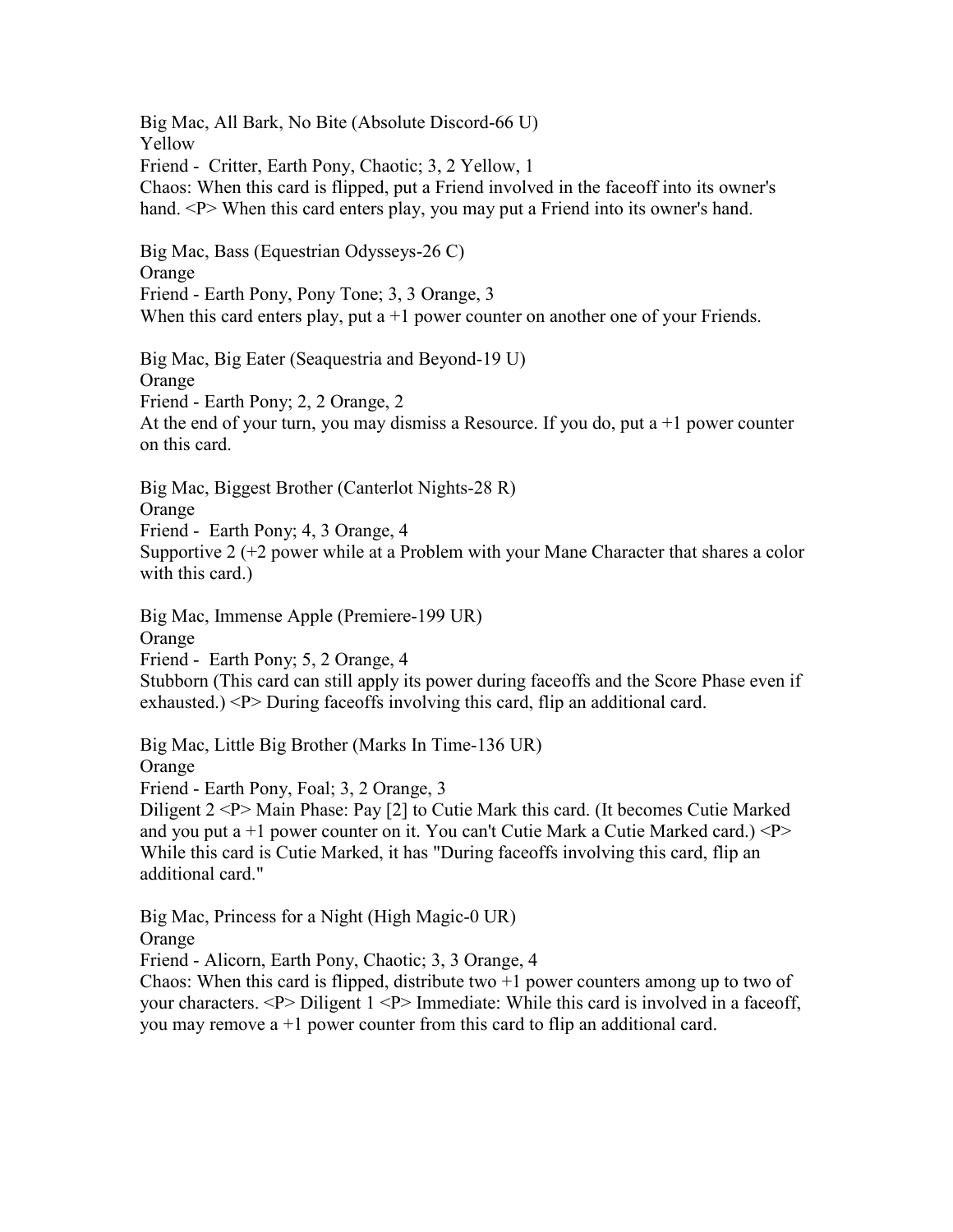Big Mac, All Bark, No Bite (Absolute Discord-66 U) Yellow Friend - Critter, Earth Pony, Chaotic; 3, 2 Yellow, 1 Chaos: When this card is flipped, put a Friend involved in the faceoff into its owner's hand. <P> When this card enters play, you may put a Friend into its owner's hand. Big Mac, Bass (Equestrian Odysseys-26 C) Orange Friend - Earth Pony, Pony Tone; 3, 3 Orange, 3 When this card enters play, put  $a + 1$  power counter on another one of your Friends. Big Mac, Big Eater (Seaquestria and Beyond-19 U) Orange Friend - Earth Pony; 2, 2 Orange, 2 At the end of your turn, you may dismiss a Resource. If you do, put  $a + 1$  power counter on this card. Big Mac, Biggest Brother (Canterlot Nights-28 R) Orange Friend - Earth Pony; 4, 3 Orange, 4 Supportive 2 (+2 power while at a Problem with your Mane Character that shares a color with this card.) Big Mac, Immense Apple (Premiere-199 UR) **Orange** Friend - Earth Pony; 5, 2 Orange, 4 Stubborn (This card can still apply its power during faceoffs and the Score Phase even if exhausted.) <P> During faceoffs involving this card, flip an additional card. Big Mac, Little Big Brother (Marks In Time-136 UR) Orange Friend - Earth Pony, Foal; 3, 2 Orange, 3 Diligent 2 <P> Main Phase: Pay [2] to Cutie Mark this card. (It becomes Cutie Marked and you put a  $+1$  power counter on it. You can't Cutie Mark a Cutie Marked card.)  $\langle P \rangle$ While this card is Cutie Marked, it has "During faceoffs involving this card, flip an additional card." Big Mac, Princess for a Night (High Magic-0 UR) Orange Friend - Alicorn, Earth Pony, Chaotic; 3, 3 Orange, 4

Chaos: When this card is flipped, distribute two  $+1$  power counters among up to two of your characters. <P> Diligent 1 <P> Immediate: While this card is involved in a faceoff, you may remove  $a + 1$  power counter from this card to flip an additional card.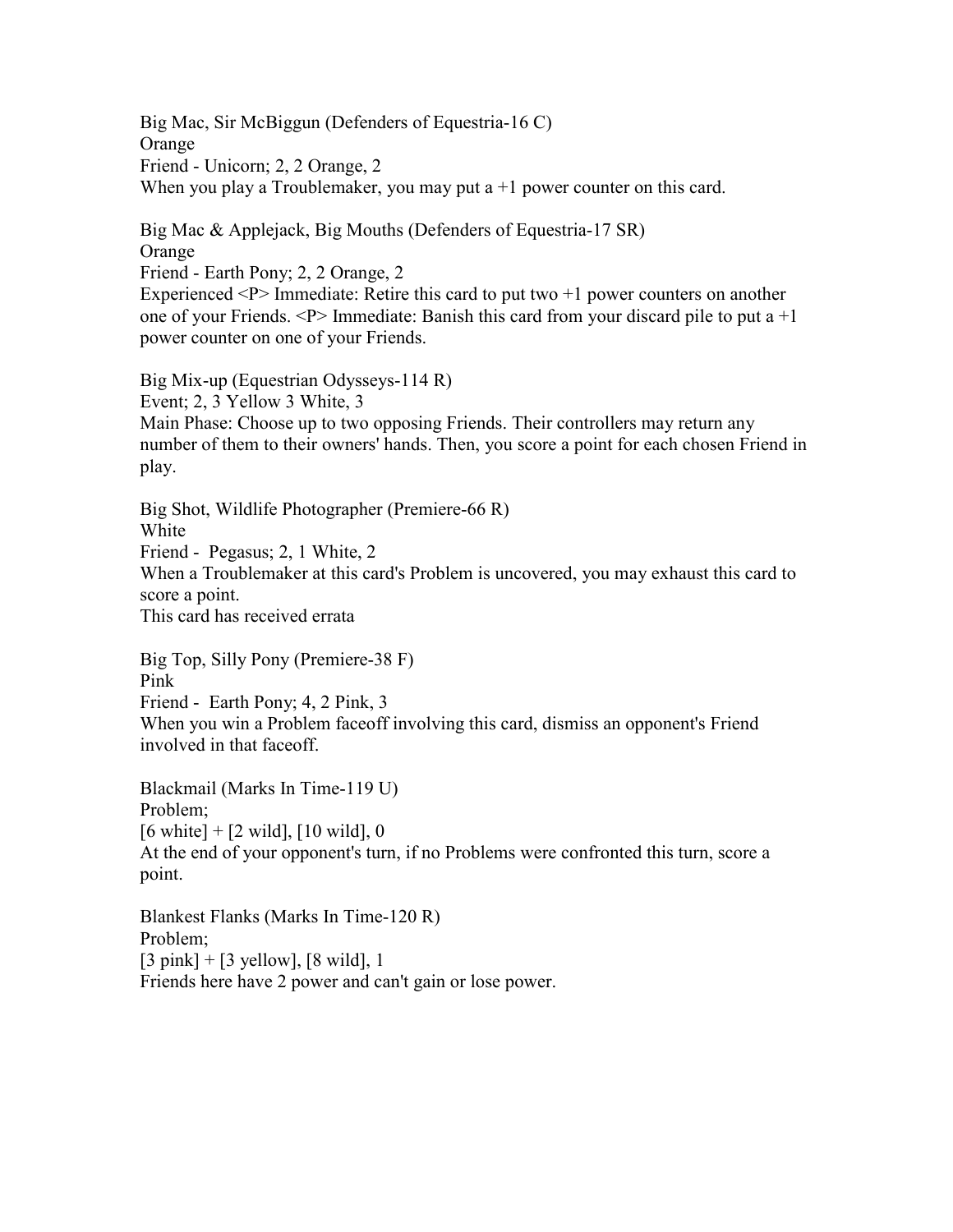Big Mac, Sir McBiggun (Defenders of Equestria-16 C) Orange Friend - Unicorn; 2, 2 Orange, 2 When you play a Troublemaker, you may put  $a + 1$  power counter on this card.

Big Mac & Applejack, Big Mouths (Defenders of Equestria-17 SR) Orange Friend - Earth Pony; 2, 2 Orange, 2 Experienced  $\langle P \rangle$  Immediate: Retire this card to put two  $+1$  power counters on another

one of your Friends.  $\langle P \rangle$  Immediate: Banish this card from your discard pile to put a  $+1$ power counter on one of your Friends.

Big Mix-up (Equestrian Odysseys-114 R) Event; 2, 3 Yellow 3 White, 3 Main Phase: Choose up to two opposing Friends. Their controllers may return any number of them to their owners' hands. Then, you score a point for each chosen Friend in play.

Big Shot, Wildlife Photographer (Premiere-66 R) White Friend - Pegasus; 2, 1 White, 2 When a Troublemaker at this card's Problem is uncovered, you may exhaust this card to score a point. This card has received errata

Big Top, Silly Pony (Premiere-38 F) Pink Friend - Earth Pony; 4, 2 Pink, 3 When you win a Problem faceoff involving this card, dismiss an opponent's Friend involved in that faceoff.

Blackmail (Marks In Time-119 U) Problem;  $[6 \text{ white}] + [2 \text{ wild}], [10 \text{ wild}], 0$ At the end of your opponent's turn, if no Problems were confronted this turn, score a point.

Blankest Flanks (Marks In Time-120 R) Problem;  $[3 \text{ pink}] + [3 \text{ yellow}], [8 \text{ wild}], 1$ Friends here have 2 power and can't gain or lose power.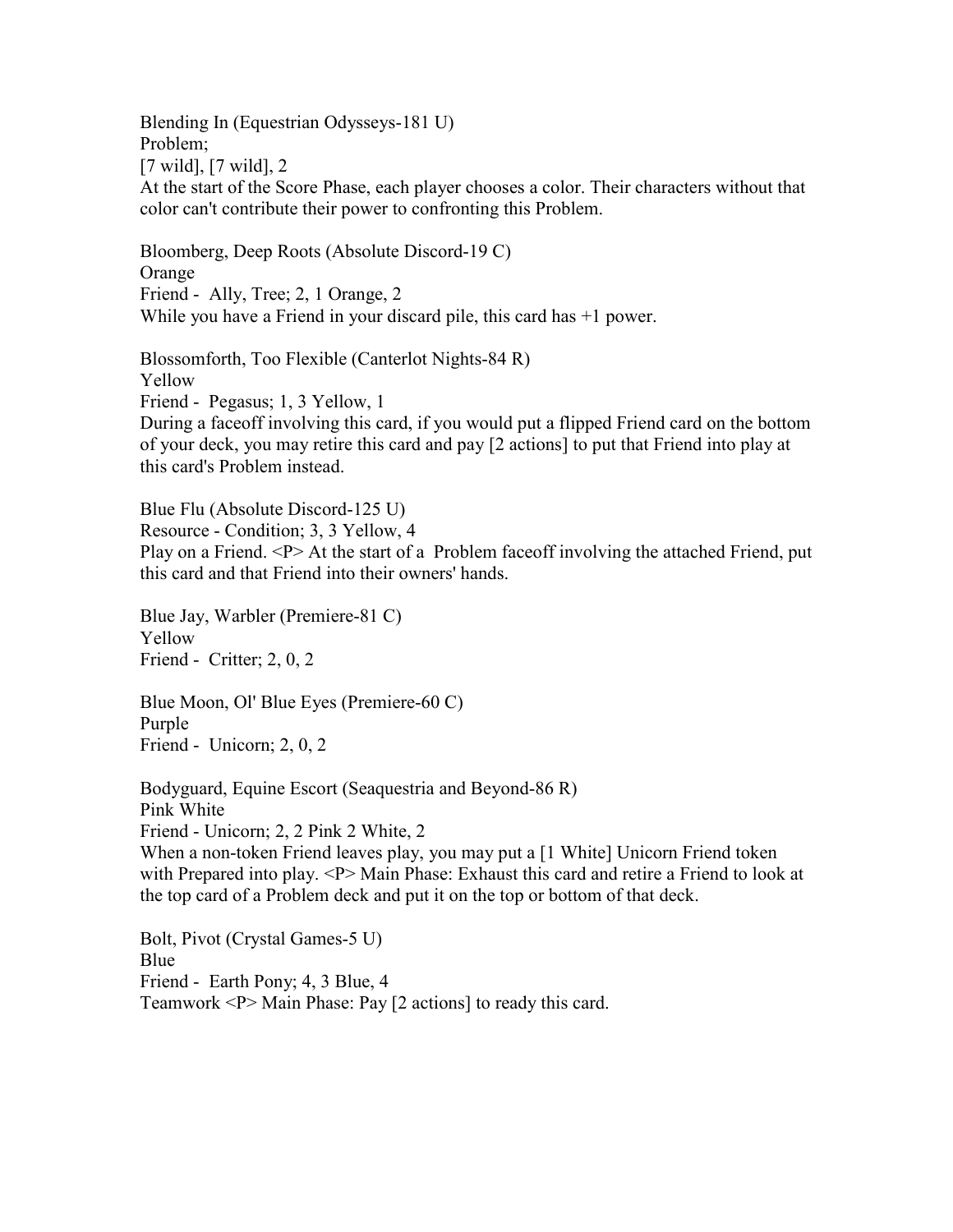Blending In (Equestrian Odysseys-181 U) Problem; [7 wild], [7 wild], 2 At the start of the Score Phase, each player chooses a color. Their characters without that color can't contribute their power to confronting this Problem.

Bloomberg, Deep Roots (Absolute Discord-19 C) Orange Friend - Ally, Tree; 2, 1 Orange, 2 While you have a Friend in your discard pile, this card has  $+1$  power.

Blossomforth, Too Flexible (Canterlot Nights-84 R) Yellow Friend - Pegasus; 1, 3 Yellow, 1 During a faceoff involving this card, if you would put a flipped Friend card on the bottom of your deck, you may retire this card and pay [2 actions] to put that Friend into play at this card's Problem instead.

Blue Flu (Absolute Discord-125 U) Resource - Condition; 3, 3 Yellow, 4 Play on a Friend. <P> At the start of a Problem face of involving the attached Friend, put this card and that Friend into their owners' hands.

Blue Jay, Warbler (Premiere-81 C) Yellow Friend - Critter; 2, 0, 2

Blue Moon, Ol' Blue Eyes (Premiere-60 C) Purple Friend - Unicorn; 2, 0, 2

Bodyguard, Equine Escort (Seaquestria and Beyond-86 R) Pink White Friend - Unicorn; 2, 2 Pink 2 White, 2 When a non-token Friend leaves play, you may put a [1 White] Unicorn Friend token with Prepared into play. <P> Main Phase: Exhaust this card and retire a Friend to look at the top card of a Problem deck and put it on the top or bottom of that deck.

Bolt, Pivot (Crystal Games-5 U) Blue Friend - Earth Pony; 4, 3 Blue, 4 Teamwork <P> Main Phase: Pay [2 actions] to ready this card.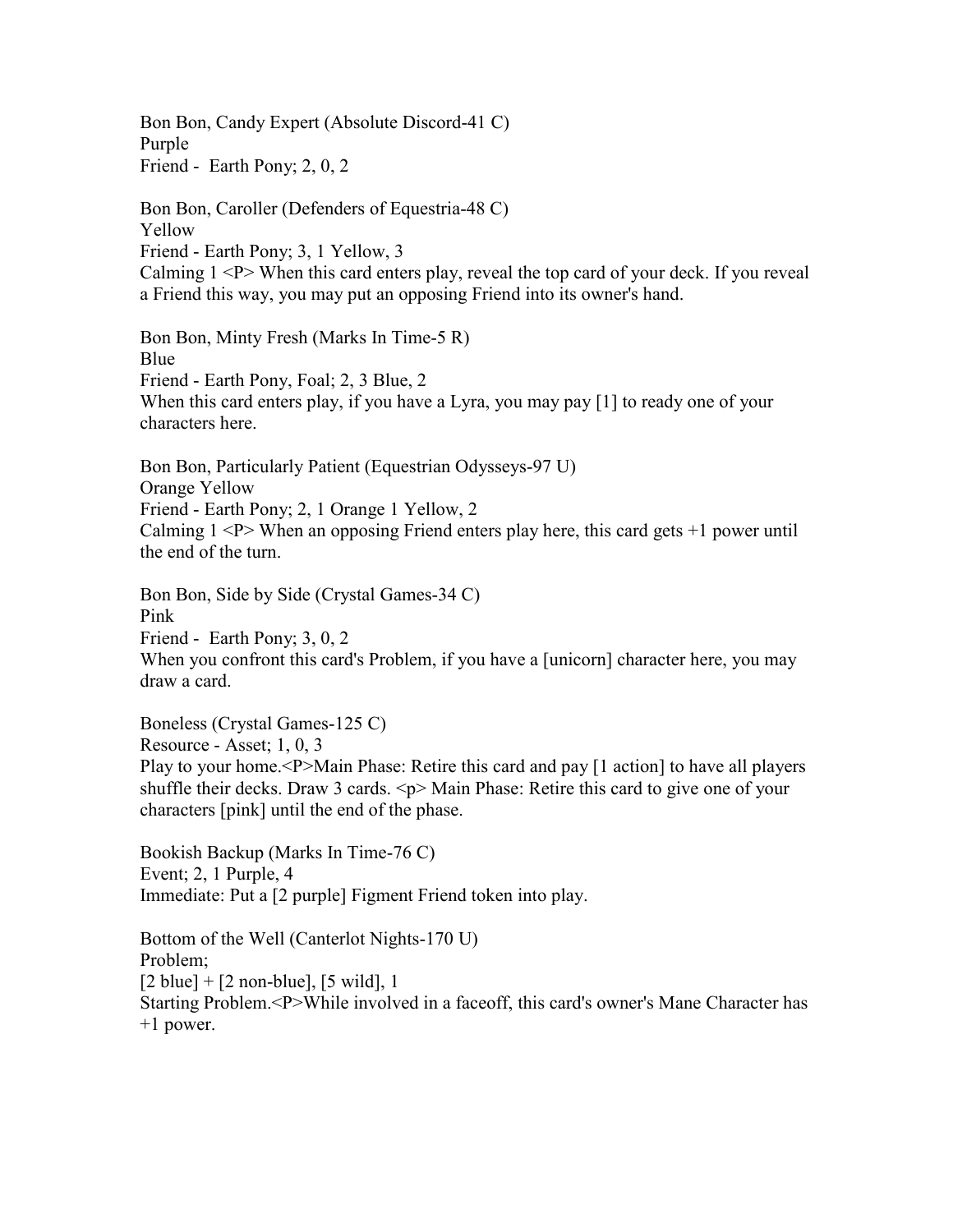Bon Bon, Candy Expert (Absolute Discord-41 C) Purple Friend - Earth Pony; 2, 0, 2

Bon Bon, Caroller (Defenders of Equestria-48 C) Yellow Friend - Earth Pony; 3, 1 Yellow, 3 Calming  $1 < P$  When this card enters play, reveal the top card of your deck. If you reveal a Friend this way, you may put an opposing Friend into its owner's hand.

Bon Bon, Minty Fresh (Marks In Time-5 R) Blue Friend - Earth Pony, Foal; 2, 3 Blue, 2 When this card enters play, if you have a Lyra, you may pay [1] to ready one of your characters here.

Bon Bon, Particularly Patient (Equestrian Odysseys-97 U) Orange Yellow Friend - Earth Pony; 2, 1 Orange 1 Yellow, 2 Calming  $1 < P$  When an opposing Friend enters play here, this card gets  $+1$  power until the end of the turn.

Bon Bon, Side by Side (Crystal Games-34 C) Pink Friend - Earth Pony; 3, 0, 2 When you confront this card's Problem, if you have a [unicorn] character here, you may draw a card.

Boneless (Crystal Games-125 C) Resource - Asset; 1, 0, 3 Play to your home.<P>Main Phase: Retire this card and pay [1 action] to have all players shuffle their decks. Draw 3 cards.  $\leq p$  Main Phase: Retire this card to give one of your characters [pink] until the end of the phase.

Bookish Backup (Marks In Time-76 C) Event; 2, 1 Purple, 4 Immediate: Put a [2 purple] Figment Friend token into play.

Bottom of the Well (Canterlot Nights-170 U) Problem;  $[2 \text{ blue}] + [2 \text{ non-blue}], [5 \text{ wild}], 1$ Starting Problem.<P>While involved in a faceoff, this card's owner's Mane Character has +1 power.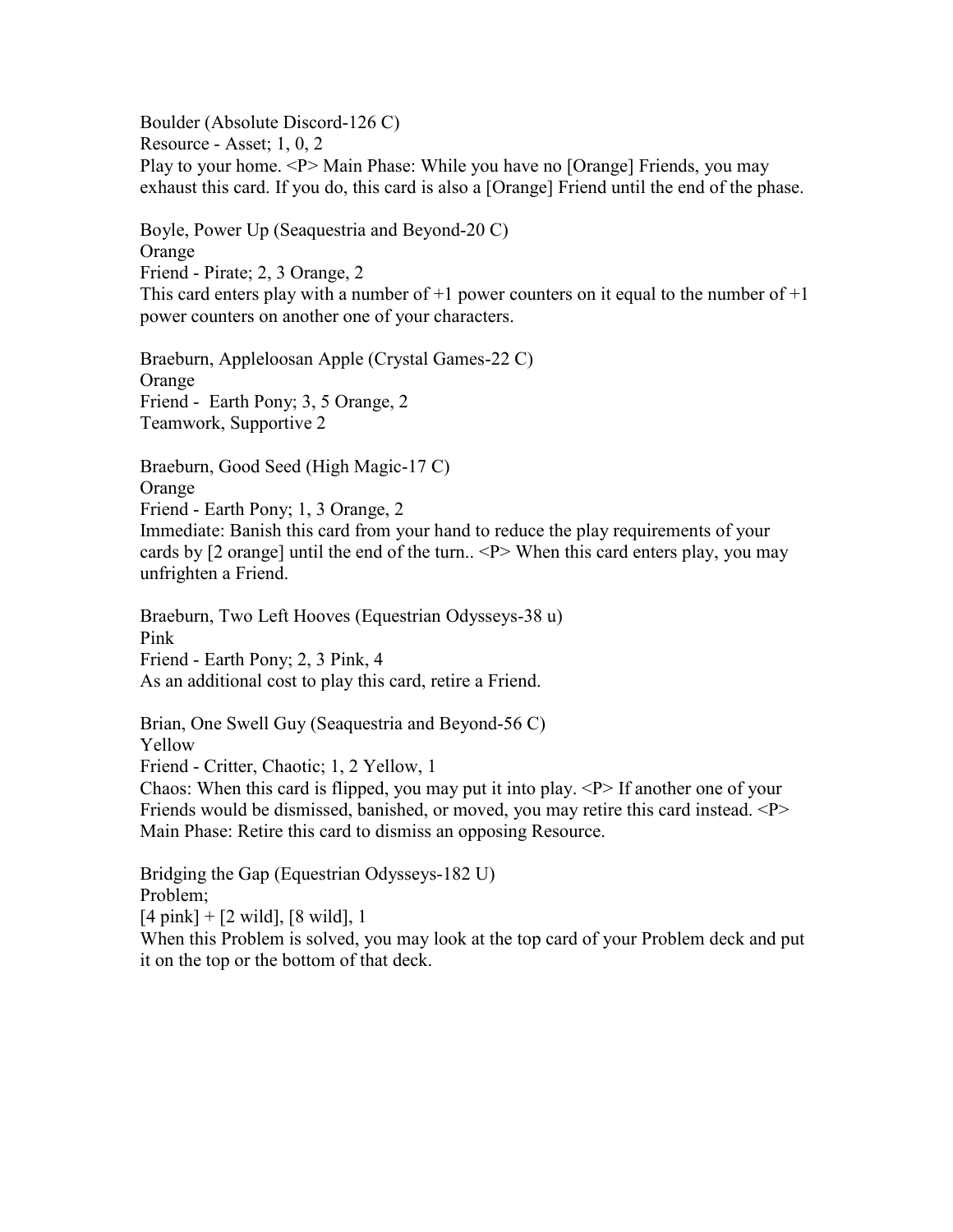Boulder (Absolute Discord-126 C) Resource - Asset; 1, 0, 2 Play to your home. <P> Main Phase: While you have no [Orange] Friends, you may exhaust this card. If you do, this card is also a [Orange] Friend until the end of the phase.

Boyle, Power Up (Seaquestria and Beyond-20 C) Orange Friend - Pirate; 2, 3 Orange, 2 This card enters play with a number of  $+1$  power counters on it equal to the number of  $+1$ power counters on another one of your characters.

Braeburn, Appleloosan Apple (Crystal Games-22 C) Orange Friend - Earth Pony; 3, 5 Orange, 2 Teamwork, Supportive 2

Braeburn, Good Seed (High Magic-17 C) Orange

Friend - Earth Pony; 1, 3 Orange, 2

Immediate: Banish this card from your hand to reduce the play requirements of your cards by [2 orange] until the end of the turn.. <P> When this card enters play, you may unfrighten a Friend.

Braeburn, Two Left Hooves (Equestrian Odysseys-38 u) Pink Friend - Earth Pony; 2, 3 Pink, 4 As an additional cost to play this card, retire a Friend.

Brian, One Swell Guy (Seaquestria and Beyond-56 C) Yellow Friend - Critter, Chaotic; 1, 2 Yellow, 1

Chaos: When this card is flipped, you may put it into play. <P> If another one of your Friends would be dismissed, banished, or moved, you may retire this card instead. <P> Main Phase: Retire this card to dismiss an opposing Resource.

Bridging the Gap (Equestrian Odysseys-182 U) Problem;  $[4 \text{ pink}] + [2 \text{ wild}], [8 \text{ wild}], 1$ 

When this Problem is solved, you may look at the top card of your Problem deck and put it on the top or the bottom of that deck.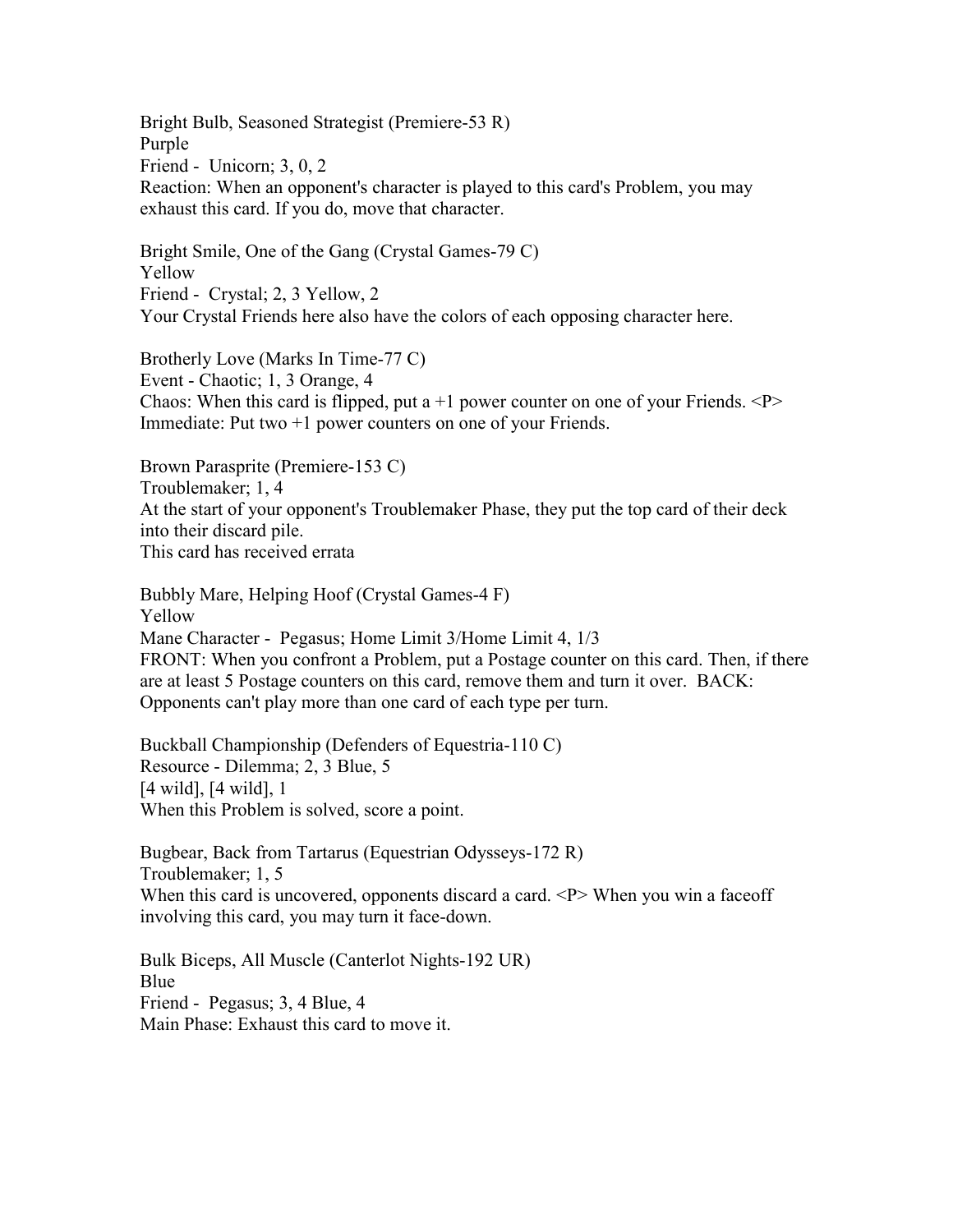Bright Bulb, Seasoned Strategist (Premiere-53 R) Purple Friend - Unicorn; 3, 0, 2 Reaction: When an opponent's character is played to this card's Problem, you may exhaust this card. If you do, move that character.

Bright Smile, One of the Gang (Crystal Games-79 C) Yellow Friend - Crystal; 2, 3 Yellow, 2 Your Crystal Friends here also have the colors of each opposing character here.

Brotherly Love (Marks In Time-77 C) Event - Chaotic; 1, 3 Orange, 4 Chaos: When this card is flipped, put a  $+1$  power counter on one of your Friends.  $\langle P \rangle$ Immediate: Put two +1 power counters on one of your Friends.

Brown Parasprite (Premiere-153 C) Troublemaker; 1, 4 At the start of your opponent's Troublemaker Phase, they put the top card of their deck into their discard pile. This card has received errata

Bubbly Mare, Helping Hoof (Crystal Games-4 F) Yellow Mane Character - Pegasus; Home Limit 3/Home Limit 4, 1/3 FRONT: When you confront a Problem, put a Postage counter on this card. Then, if there are at least 5 Postage counters on this card, remove them and turn it over. BACK: Opponents can't play more than one card of each type per turn.

Buckball Championship (Defenders of Equestria-110 C) Resource - Dilemma; 2, 3 Blue, 5 [4 wild], [4 wild], 1 When this Problem is solved, score a point.

Bugbear, Back from Tartarus (Equestrian Odysseys-172 R) Troublemaker; 1, 5 When this card is uncovered, opponents discard a card.  $\langle P \rangle$  When you win a faceoff involving this card, you may turn it face-down.

Bulk Biceps, All Muscle (Canterlot Nights-192 UR) Blue Friend - Pegasus; 3, 4 Blue, 4 Main Phase: Exhaust this card to move it.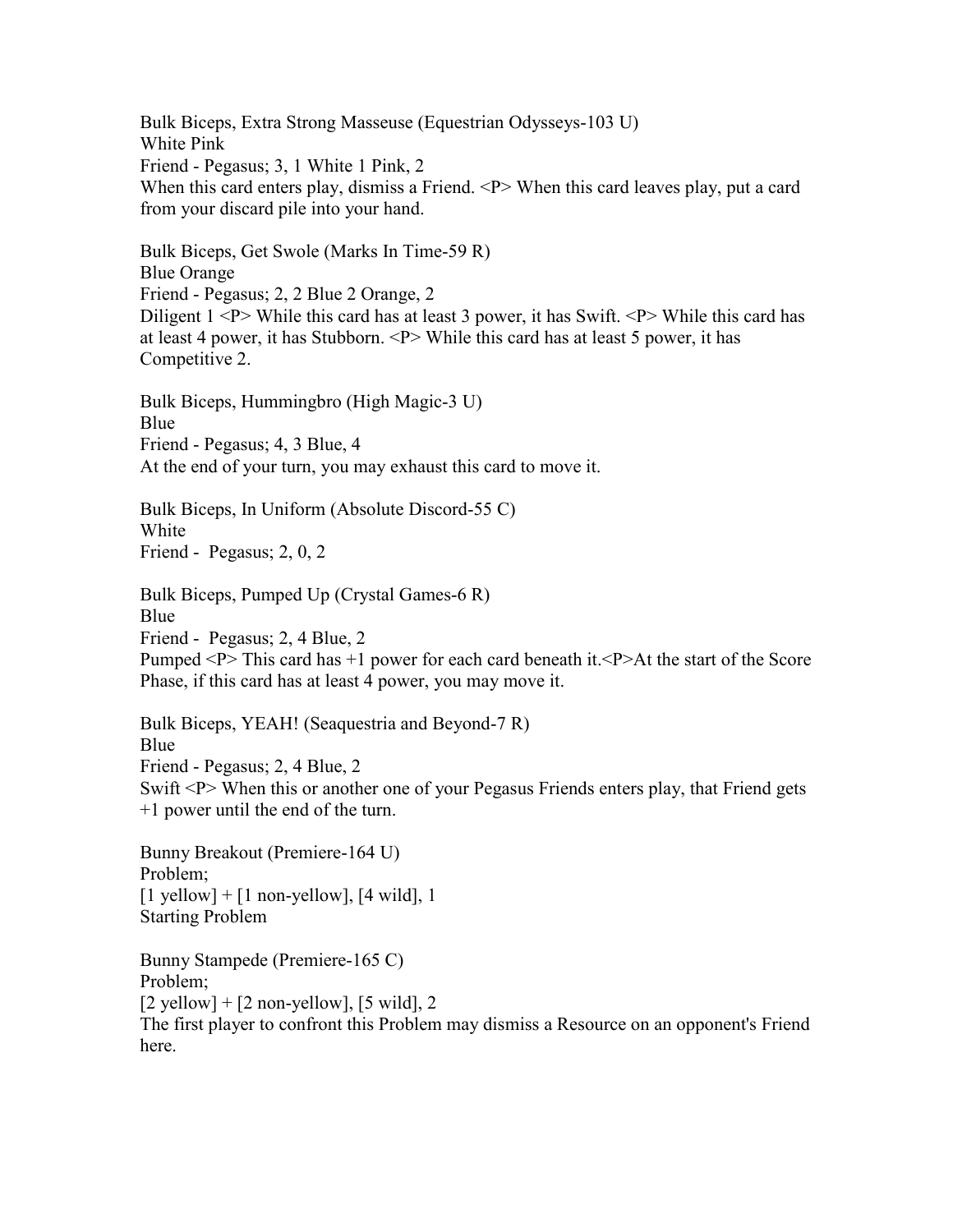Bulk Biceps, Extra Strong Masseuse (Equestrian Odysseys-103 U) White Pink Friend - Pegasus; 3, 1 White 1 Pink, 2 When this card enters play, dismiss a Friend. <P> When this card leaves play, put a card from your discard pile into your hand.

Bulk Biceps, Get Swole (Marks In Time-59 R) Blue Orange Friend - Pegasus; 2, 2 Blue 2 Orange, 2 Diligent  $1 \le P$  While this card has at least 3 power, it has Swift.  $\le P$  While this card has at least 4 power, it has Stubborn. <P> While this card has at least 5 power, it has Competitive 2.

Bulk Biceps, Hummingbro (High Magic-3 U) Blue Friend - Pegasus; 4, 3 Blue, 4 At the end of your turn, you may exhaust this card to move it.

Bulk Biceps, In Uniform (Absolute Discord-55 C) White Friend - Pegasus; 2, 0, 2

Bulk Biceps, Pumped Up (Crystal Games-6 R) Blue Friend - Pegasus; 2, 4 Blue, 2 Pumped <P> This card has +1 power for each card beneath it.<P>At the start of the Score Phase, if this card has at least 4 power, you may move it.

Bulk Biceps, YEAH! (Seaquestria and Beyond-7 R) Blue Friend - Pegasus; 2, 4 Blue, 2 Swift <P> When this or another one of your Pegasus Friends enters play, that Friend gets +1 power until the end of the turn.

Bunny Breakout (Premiere-164 U) Problem;  $[1$  yellow] +  $[1$  non-yellow],  $[4$  wild], 1 Starting Problem

Bunny Stampede (Premiere-165 C) Problem;  $[2$  yellow] +  $[2$  non-yellow],  $[5$  wild], 2 The first player to confront this Problem may dismiss a Resource on an opponent's Friend here.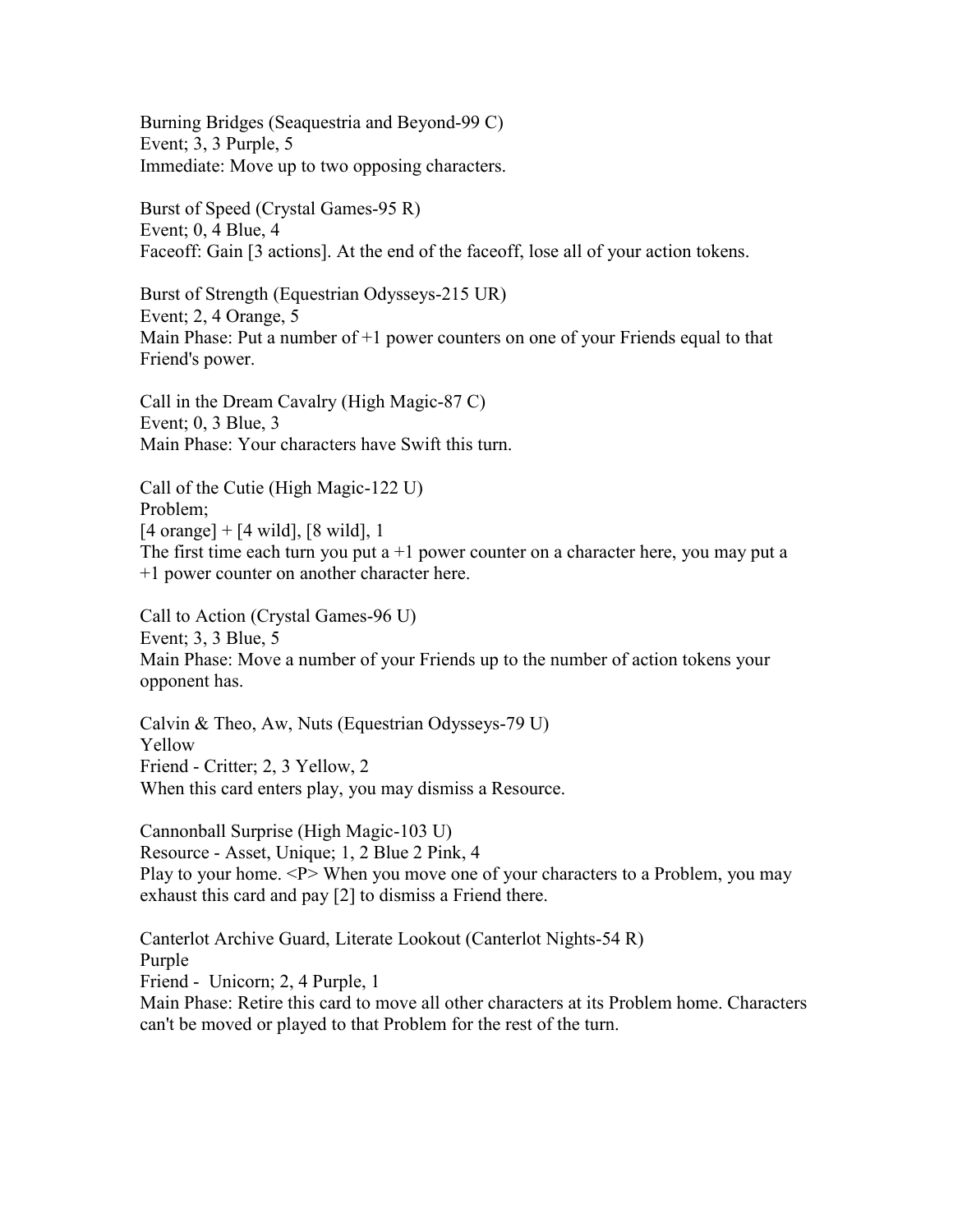Burning Bridges (Seaquestria and Beyond-99 C) Event; 3, 3 Purple, 5 Immediate: Move up to two opposing characters.

Burst of Speed (Crystal Games-95 R) Event; 0, 4 Blue, 4 Faceoff: Gain [3 actions]. At the end of the faceoff, lose all of your action tokens.

Burst of Strength (Equestrian Odysseys-215 UR) Event; 2, 4 Orange, 5 Main Phase: Put a number of  $+1$  power counters on one of your Friends equal to that Friend's power.

Call in the Dream Cavalry (High Magic-87 C) Event; 0, 3 Blue, 3 Main Phase: Your characters have Swift this turn.

Call of the Cutie (High Magic-122 U) Problem; [4 orange] + [4 wild], [8 wild], 1 The first time each turn you put  $a + 1$  power counter on a character here, you may put a +1 power counter on another character here.

Call to Action (Crystal Games-96 U) Event; 3, 3 Blue, 5 Main Phase: Move a number of your Friends up to the number of action tokens your opponent has.

Calvin & Theo, Aw, Nuts (Equestrian Odysseys-79 U) Yellow Friend - Critter; 2, 3 Yellow, 2 When this card enters play, you may dismiss a Resource.

Cannonball Surprise (High Magic-103 U) Resource - Asset, Unique; 1, 2 Blue 2 Pink, 4 Play to your home. <P> When you move one of your characters to a Problem, you may exhaust this card and pay [2] to dismiss a Friend there.

Canterlot Archive Guard, Literate Lookout (Canterlot Nights-54 R) Purple Friend - Unicorn; 2, 4 Purple, 1 Main Phase: Retire this card to move all other characters at its Problem home. Characters can't be moved or played to that Problem for the rest of the turn.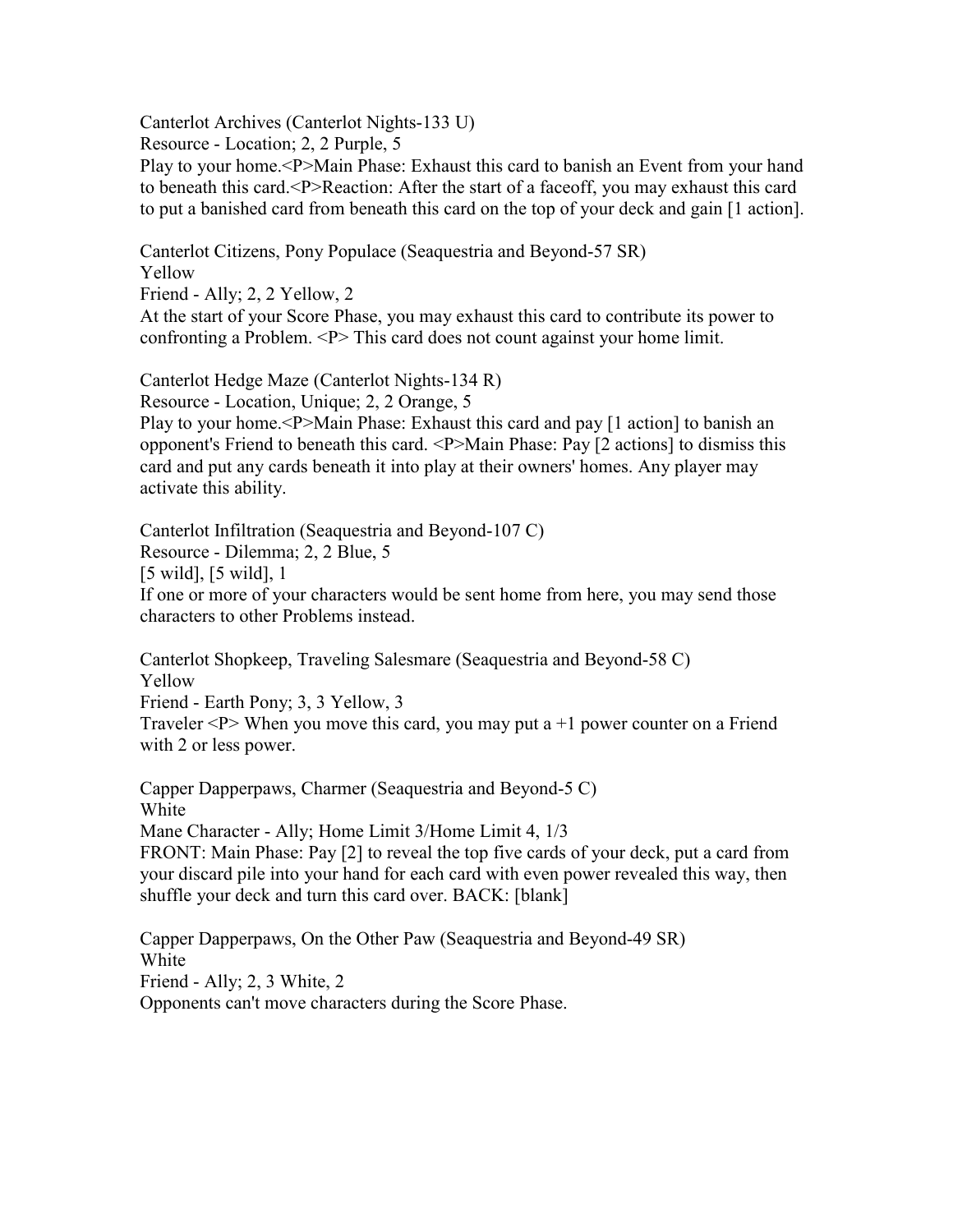Canterlot Archives (Canterlot Nights-133 U)

Resource - Location; 2, 2 Purple, 5

Play to your home.<P>Main Phase: Exhaust this card to banish an Event from your hand to beneath this card.<P>Reaction: After the start of a faceoff, you may exhaust this card to put a banished card from beneath this card on the top of your deck and gain [1 action].

Canterlot Citizens, Pony Populace (Seaquestria and Beyond-57 SR) Yellow

Friend - Ally; 2, 2 Yellow, 2 At the start of your Score Phase, you may exhaust this card to contribute its power to confronting a Problem. <P> This card does not count against your home limit.

Canterlot Hedge Maze (Canterlot Nights-134 R)

Resource - Location, Unique; 2, 2 Orange, 5

Play to your home.<P>Main Phase: Exhaust this card and pay [1 action] to banish an opponent's Friend to beneath this card. <P>Main Phase: Pay [2 actions] to dismiss this card and put any cards beneath it into play at their owners' homes. Any player may activate this ability.

Canterlot Infiltration (Seaquestria and Beyond-107 C) Resource - Dilemma; 2, 2 Blue, 5 [5 wild], [5 wild], 1 If one or more of your characters would be sent home from here, you may send those characters to other Problems instead.

Canterlot Shopkeep, Traveling Salesmare (Seaquestria and Beyond-58 C) Yellow Friend - Earth Pony; 3, 3 Yellow, 3 Traveler  $\langle P \rangle$  When you move this card, you may put a +1 power counter on a Friend with 2 or less power.

Capper Dapperpaws, Charmer (Seaquestria and Beyond-5 C) White Mane Character - Ally; Home Limit 3/Home Limit 4, 1/3 FRONT: Main Phase: Pay [2] to reveal the top five cards of your deck, put a card from your discard pile into your hand for each card with even power revealed this way, then shuffle your deck and turn this card over. BACK: [blank]

Capper Dapperpaws, On the Other Paw (Seaquestria and Beyond-49 SR) White Friend - Ally; 2, 3 White, 2 Opponents can't move characters during the Score Phase.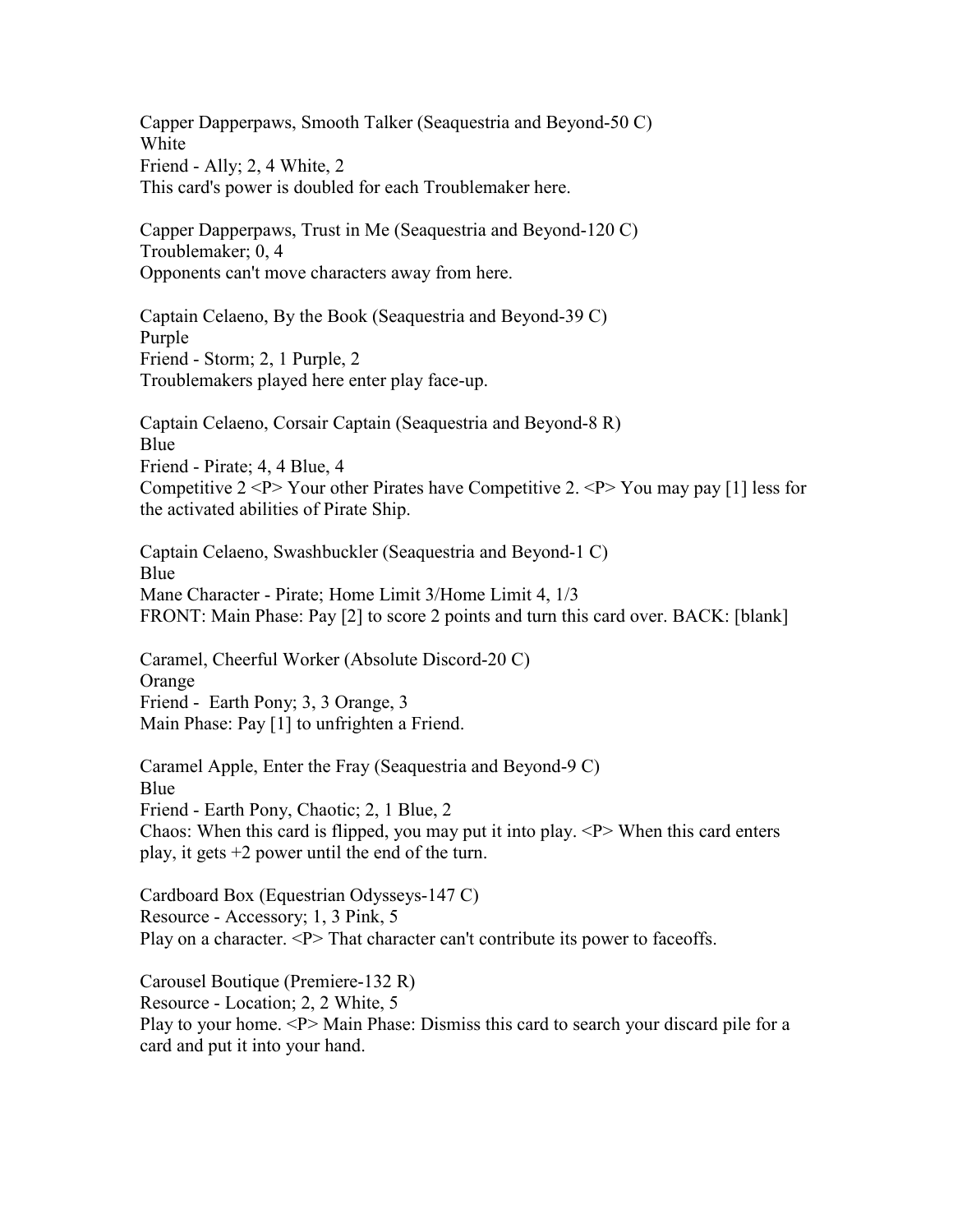Capper Dapperpaws, Smooth Talker (Seaquestria and Beyond-50 C) White Friend - Ally; 2, 4 White, 2 This card's power is doubled for each Troublemaker here.

Capper Dapperpaws, Trust in Me (Seaquestria and Beyond-120 C) Troublemaker; 0, 4 Opponents can't move characters away from here.

Captain Celaeno, By the Book (Seaquestria and Beyond-39 C) Purple Friend - Storm; 2, 1 Purple, 2 Troublemakers played here enter play face-up.

Captain Celaeno, Corsair Captain (Seaquestria and Beyond-8 R) Blue Friend - Pirate; 4, 4 Blue, 4 Competitive  $2 < P$  Your other Pirates have Competitive 2.  $< P$  You may pay [1] less for the activated abilities of Pirate Ship.

Captain Celaeno, Swashbuckler (Seaquestria and Beyond-1 C) Blue Mane Character - Pirate; Home Limit 3/Home Limit 4, 1/3 FRONT: Main Phase: Pay [2] to score 2 points and turn this card over. BACK: [blank]

Caramel, Cheerful Worker (Absolute Discord-20 C) **Orange** Friend - Earth Pony; 3, 3 Orange, 3 Main Phase: Pay [1] to unfrighten a Friend.

Caramel Apple, Enter the Fray (Seaquestria and Beyond-9 C) Blue Friend - Earth Pony, Chaotic; 2, 1 Blue, 2 Chaos: When this card is flipped, you may put it into play.  $\langle P \rangle$  When this card enters play, it gets +2 power until the end of the turn.

Cardboard Box (Equestrian Odysseys-147 C) Resource - Accessory; 1, 3 Pink, 5 Play on a character. <P> That character can't contribute its power to faceoffs.

Carousel Boutique (Premiere-132 R) Resource - Location; 2, 2 White, 5 Play to your home. <P> Main Phase: Dismiss this card to search your discard pile for a card and put it into your hand.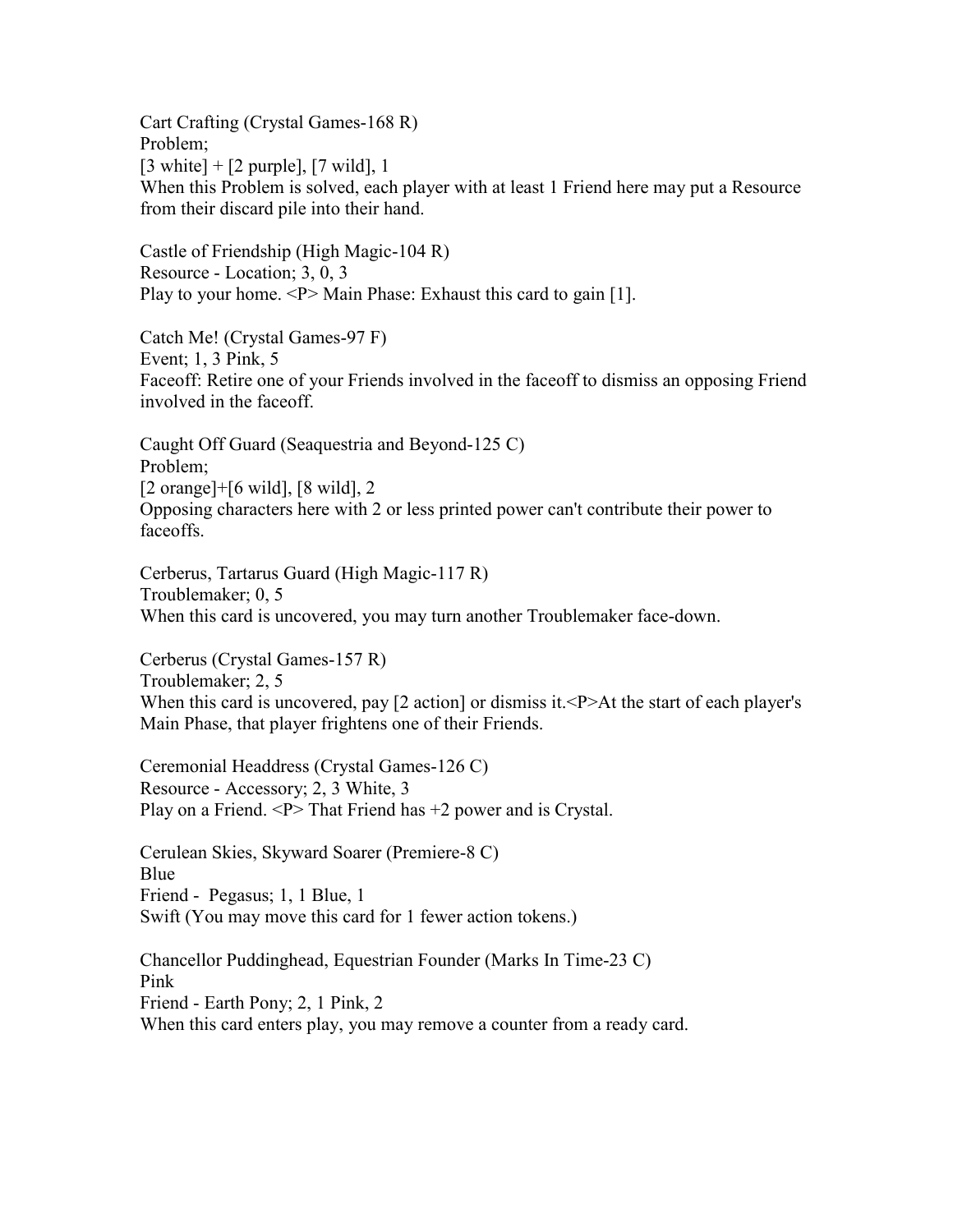Cart Crafting (Crystal Games-168 R) Problem;  $[3 \text{ white}] + [2 \text{ purple}], [7 \text{ wild}], 1$ When this Problem is solved, each player with at least 1 Friend here may put a Resource from their discard pile into their hand.

Castle of Friendship (High Magic-104 R) Resource - Location; 3, 0, 3 Play to your home. <P> Main Phase: Exhaust this card to gain [1].

Catch Me! (Crystal Games-97 F) Event; 1, 3 Pink, 5 Faceoff: Retire one of your Friends involved in the faceoff to dismiss an opposing Friend involved in the faceoff.

Caught Off Guard (Seaquestria and Beyond-125 C) Problem; [2 orange]+[6 wild], [8 wild], 2 Opposing characters here with 2 or less printed power can't contribute their power to faceoffs.

Cerberus, Tartarus Guard (High Magic-117 R) Troublemaker; 0, 5 When this card is uncovered, you may turn another Troublemaker face-down.

Cerberus (Crystal Games-157 R) Troublemaker; 2, 5 When this card is uncovered, pay [2 action] or dismiss it. <P>At the start of each player's Main Phase, that player frightens one of their Friends.

Ceremonial Headdress (Crystal Games-126 C) Resource - Accessory; 2, 3 White, 3 Play on a Friend. <P> That Friend has +2 power and is Crystal.

Cerulean Skies, Skyward Soarer (Premiere-8 C) Blue Friend - Pegasus; 1, 1 Blue, 1 Swift (You may move this card for 1 fewer action tokens.)

Chancellor Puddinghead, Equestrian Founder (Marks In Time-23 C) Pink Friend - Earth Pony; 2, 1 Pink, 2 When this card enters play, you may remove a counter from a ready card.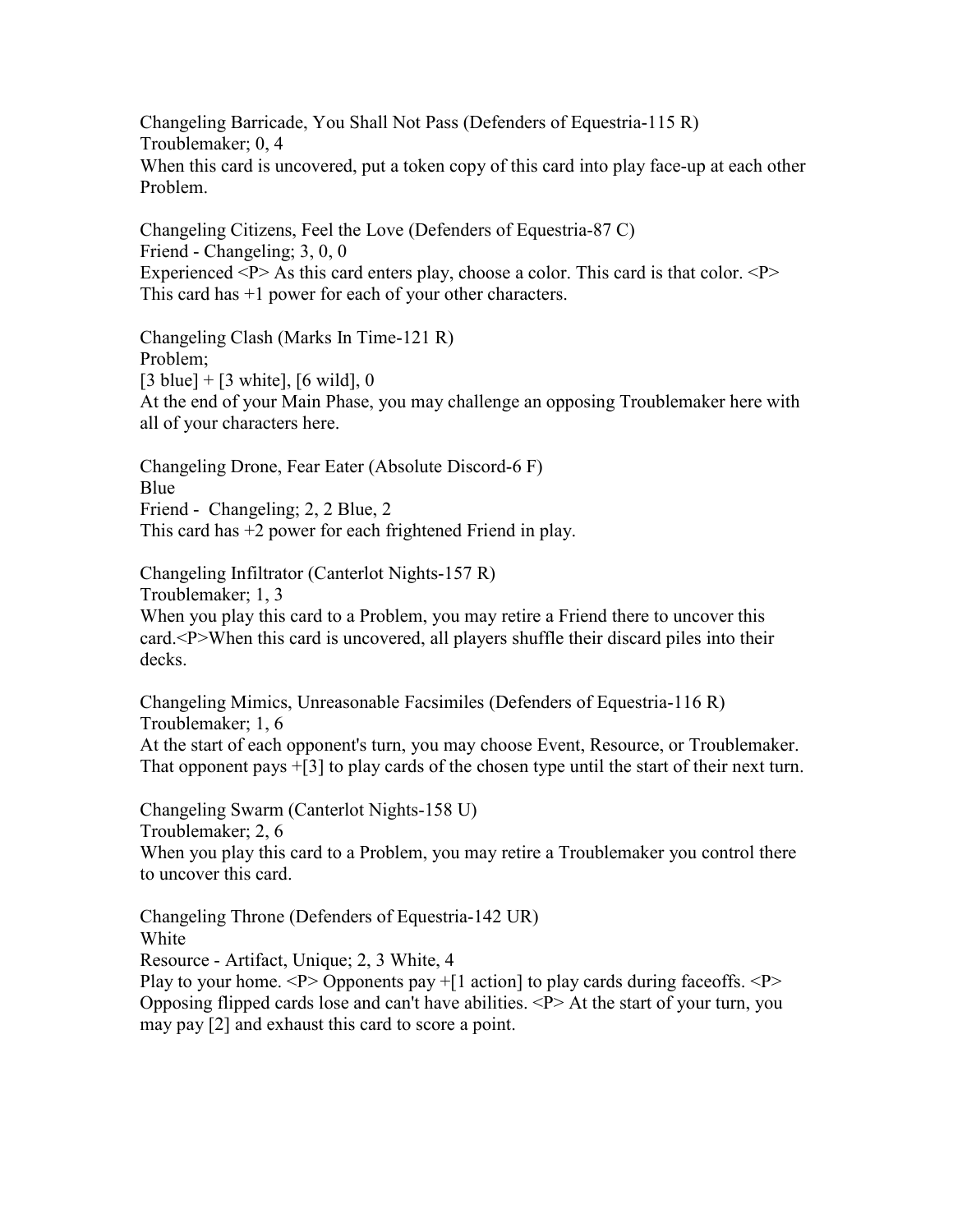Changeling Barricade, You Shall Not Pass (Defenders of Equestria-115 R) Troublemaker; 0, 4 When this card is uncovered, put a token copy of this card into play face-up at each other Problem.

Changeling Citizens, Feel the Love (Defenders of Equestria-87 C) Friend - Changeling; 3, 0, 0 Experienced  $\langle P \rangle$  As this card enters play, choose a color. This card is that color.  $\langle P \rangle$ This card has +1 power for each of your other characters.

Changeling Clash (Marks In Time-121 R) Problem;  $[3 \text{ blue}] + [3 \text{ white}], [6 \text{ wild}], 0$ At the end of your Main Phase, you may challenge an opposing Troublemaker here with all of your characters here.

Changeling Drone, Fear Eater (Absolute Discord-6 F) Blue Friend - Changeling; 2, 2 Blue, 2 This card has +2 power for each frightened Friend in play.

Changeling Infiltrator (Canterlot Nights-157 R) Troublemaker; 1, 3 When you play this card to a Problem, you may retire a Friend there to uncover this card.<P>When this card is uncovered, all players shuffle their discard piles into their decks.

Changeling Mimics, Unreasonable Facsimiles (Defenders of Equestria-116 R) Troublemaker; 1, 6 At the start of each opponent's turn, you may choose Event, Resource, or Troublemaker. That opponent pays +[3] to play cards of the chosen type until the start of their next turn.

Changeling Swarm (Canterlot Nights-158 U) Troublemaker; 2, 6 When you play this card to a Problem, you may retire a Troublemaker you control there to uncover this card.

Changeling Throne (Defenders of Equestria-142 UR) White Resource - Artifact, Unique; 2, 3 White, 4 Play to your home.  $\langle P \rangle$  Opponents pay +[1 action] to play cards during faceoffs.  $\langle P \rangle$ Opposing flipped cards lose and can't have abilities. <P> At the start of your turn, you may pay [2] and exhaust this card to score a point.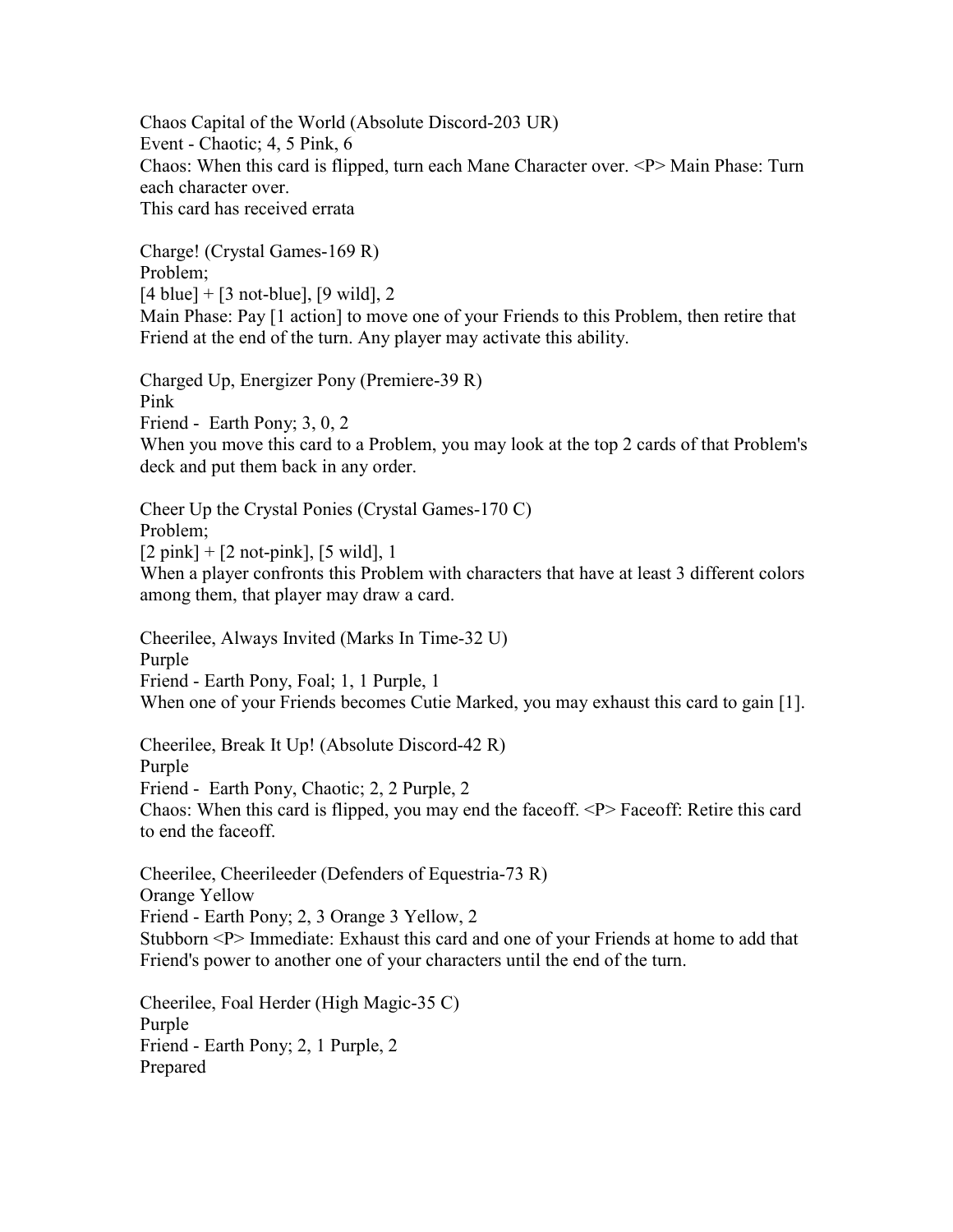Chaos Capital of the World (Absolute Discord-203 UR) Event - Chaotic; 4, 5 Pink, 6 Chaos: When this card is flipped, turn each Mane Character over. <P> Main Phase: Turn each character over. This card has received errata

Charge! (Crystal Games-169 R) Problem;  $[4 \text{ blue}] + [3 \text{ not-blue}], [9 \text{ wild}], 2$ Main Phase: Pay [1 action] to move one of your Friends to this Problem, then retire that Friend at the end of the turn. Any player may activate this ability.

Charged Up, Energizer Pony (Premiere-39 R) Pink Friend - Earth Pony; 3, 0, 2 When you move this card to a Problem, you may look at the top 2 cards of that Problem's deck and put them back in any order.

Cheer Up the Crystal Ponies (Crystal Games-170 C) Problem;  $[2 \text{ pink}] + [2 \text{ not-pink}], [5 \text{ wild}], 1$ When a player confronts this Problem with characters that have at least 3 different colors among them, that player may draw a card.

Cheerilee, Always Invited (Marks In Time-32 U) Purple Friend - Earth Pony, Foal; 1, 1 Purple, 1 When one of your Friends becomes Cutie Marked, you may exhaust this card to gain [1].

Cheerilee, Break It Up! (Absolute Discord-42 R) Purple Friend - Earth Pony, Chaotic; 2, 2 Purple, 2 Chaos: When this card is flipped, you may end the faceoff. <P> Faceoff: Retire this card to end the faceoff.

Cheerilee, Cheerileeder (Defenders of Equestria-73 R) Orange Yellow Friend - Earth Pony; 2, 3 Orange 3 Yellow, 2 Stubborn <P> Immediate: Exhaust this card and one of your Friends at home to add that Friend's power to another one of your characters until the end of the turn.

Cheerilee, Foal Herder (High Magic-35 C) Purple Friend - Earth Pony; 2, 1 Purple, 2 Prepared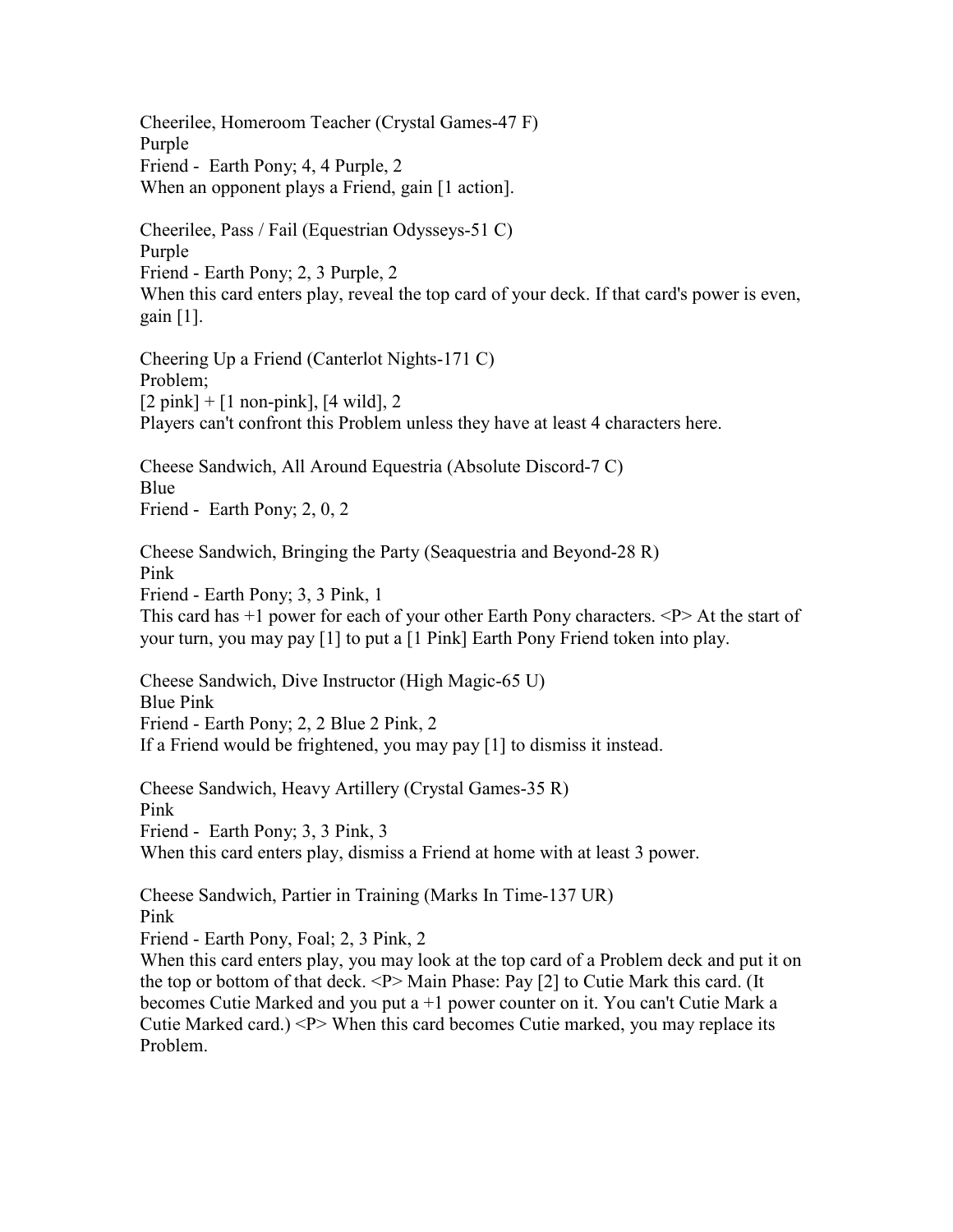Cheerilee, Homeroom Teacher (Crystal Games-47 F) Purple Friend - Earth Pony; 4, 4 Purple, 2 When an opponent plays a Friend, gain [1 action].

Cheerilee, Pass / Fail (Equestrian Odysseys-51 C) Purple Friend - Earth Pony; 2, 3 Purple, 2 When this card enters play, reveal the top card of your deck. If that card's power is even, gain [1].

Cheering Up a Friend (Canterlot Nights-171 C) Problem;  $[2 \text{ pink}] + [1 \text{ non-pink}], [4 \text{ wild}], 2$ Players can't confront this Problem unless they have at least 4 characters here.

Cheese Sandwich, All Around Equestria (Absolute Discord-7 C) Blue Friend - Earth Pony; 2, 0, 2

Cheese Sandwich, Bringing the Party (Seaquestria and Beyond-28 R) Pink Friend - Earth Pony; 3, 3 Pink, 1 This card has  $+1$  power for each of your other Earth Pony characters.  $\langle P \rangle$  At the start of your turn, you may pay [1] to put a [1 Pink] Earth Pony Friend token into play.

Cheese Sandwich, Dive Instructor (High Magic-65 U) Blue Pink Friend - Earth Pony; 2, 2 Blue 2 Pink, 2 If a Friend would be frightened, you may pay [1] to dismiss it instead.

Cheese Sandwich, Heavy Artillery (Crystal Games-35 R) Pink Friend - Earth Pony; 3, 3 Pink, 3 When this card enters play, dismiss a Friend at home with at least 3 power.

Cheese Sandwich, Partier in Training (Marks In Time-137 UR) Pink

Friend - Earth Pony, Foal; 2, 3 Pink, 2

When this card enters play, you may look at the top card of a Problem deck and put it on the top or bottom of that deck. <P> Main Phase: Pay [2] to Cutie Mark this card. (It becomes Cutie Marked and you put a +1 power counter on it. You can't Cutie Mark a Cutie Marked card.) <P> When this card becomes Cutie marked, you may replace its Problem.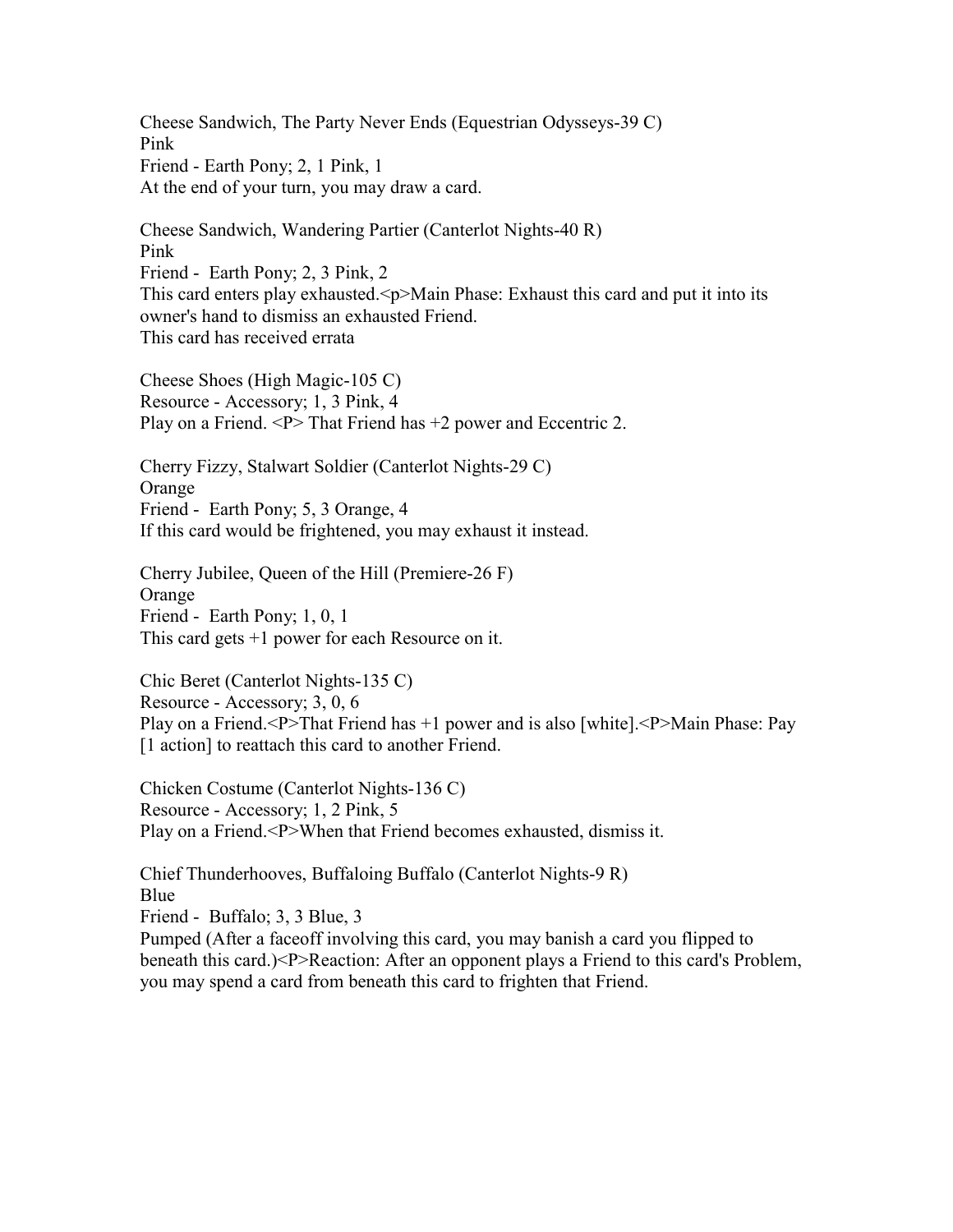Cheese Sandwich, The Party Never Ends (Equestrian Odysseys-39 C) Pink Friend - Earth Pony; 2, 1 Pink, 1 At the end of your turn, you may draw a card.

Cheese Sandwich, Wandering Partier (Canterlot Nights-40 R) Pink Friend - Earth Pony; 2, 3 Pink, 2 This card enters play exhausted.<p>Main Phase: Exhaust this card and put it into its owner's hand to dismiss an exhausted Friend. This card has received errata

Cheese Shoes (High Magic-105 C) Resource - Accessory; 1, 3 Pink, 4 Play on a Friend. <P> That Friend has +2 power and Eccentric 2.

Cherry Fizzy, Stalwart Soldier (Canterlot Nights-29 C) Orange Friend - Earth Pony; 5, 3 Orange, 4 If this card would be frightened, you may exhaust it instead.

Cherry Jubilee, Queen of the Hill (Premiere-26 F) Orange Friend - Earth Pony; 1, 0, 1 This card gets +1 power for each Resource on it.

Chic Beret (Canterlot Nights-135 C) Resource - Accessory; 3, 0, 6 Play on a Friend.<P>That Friend has +1 power and is also [white].<P>Main Phase: Pay [1 action] to reattach this card to another Friend.

Chicken Costume (Canterlot Nights-136 C) Resource - Accessory; 1, 2 Pink, 5 Play on a Friend.<P>When that Friend becomes exhausted, dismiss it.

Chief Thunderhooves, Buffaloing Buffalo (Canterlot Nights-9 R) **Blue** Friend - Buffalo; 3, 3 Blue, 3 Pumped (After a faceoff involving this card, you may banish a card you flipped to beneath this card.)<P>Reaction: After an opponent plays a Friend to this card's Problem, you may spend a card from beneath this card to frighten that Friend.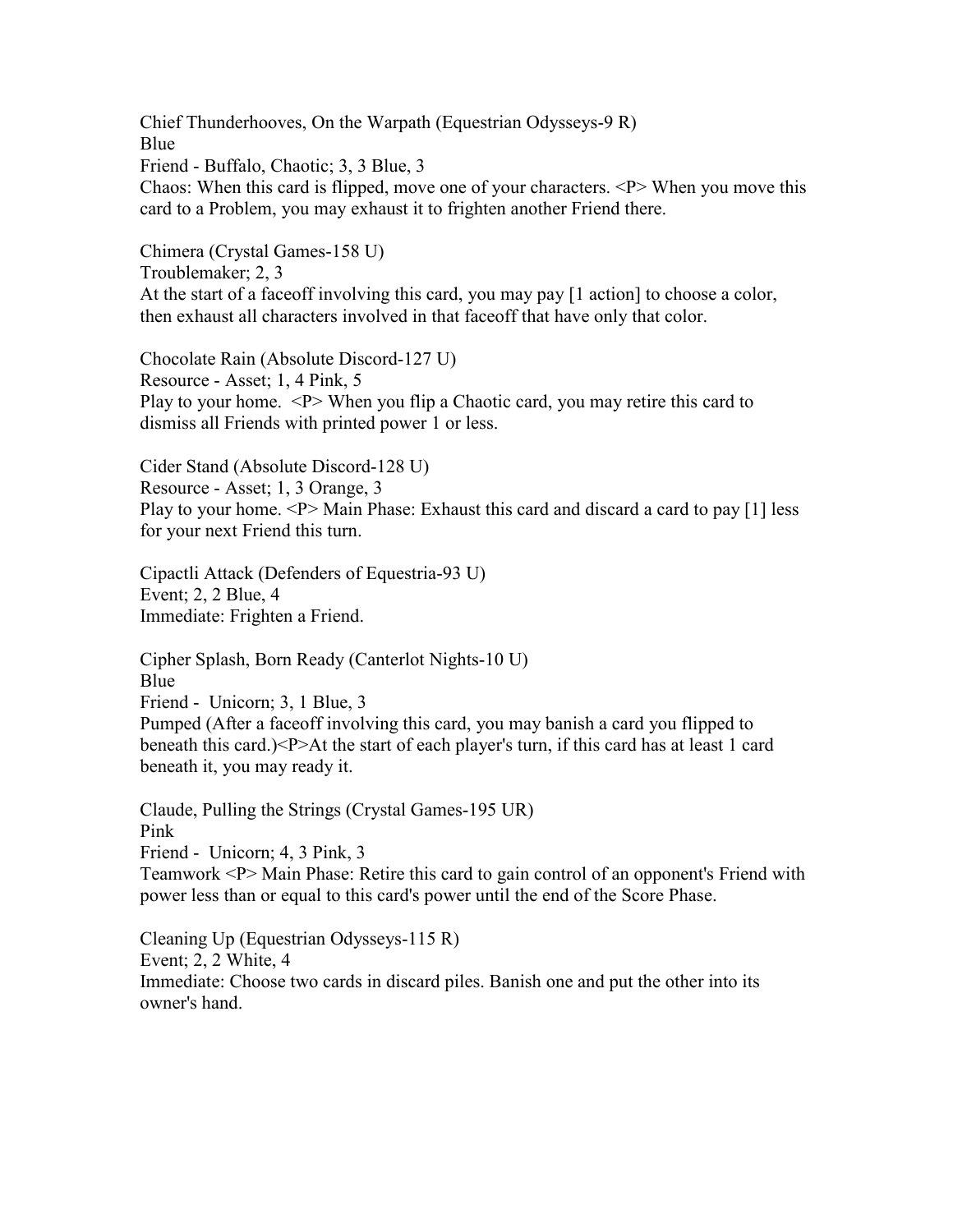Chief Thunderhooves, On the Warpath (Equestrian Odysseys-9 R) Blue Friend - Buffalo, Chaotic; 3, 3 Blue, 3 Chaos: When this card is flipped, move one of your characters.  $\langle P \rangle$  When you move this card to a Problem, you may exhaust it to frighten another Friend there.

Chimera (Crystal Games-158 U) Troublemaker; 2, 3 At the start of a faceoff involving this card, you may pay [1 action] to choose a color, then exhaust all characters involved in that faceoff that have only that color.

Chocolate Rain (Absolute Discord-127 U) Resource - Asset; 1, 4 Pink, 5 Play to your home. <P> When you flip a Chaotic card, you may retire this card to dismiss all Friends with printed power 1 or less.

Cider Stand (Absolute Discord-128 U) Resource - Asset; 1, 3 Orange, 3 Play to your home. <P> Main Phase: Exhaust this card and discard a card to pay [1] less for your next Friend this turn.

Cipactli Attack (Defenders of Equestria-93 U) Event; 2, 2 Blue, 4 Immediate: Frighten a Friend.

Cipher Splash, Born Ready (Canterlot Nights-10 U) Blue Friend - Unicorn; 3, 1 Blue, 3 Pumped (After a faceoff involving this card, you may banish a card you flipped to beneath this card.)<P>At the start of each player's turn, if this card has at least 1 card beneath it, you may ready it.

Claude, Pulling the Strings (Crystal Games-195 UR) Pink Friend - Unicorn; 4, 3 Pink, 3 Teamwork <P> Main Phase: Retire this card to gain control of an opponent's Friend with power less than or equal to this card's power until the end of the Score Phase.

Cleaning Up (Equestrian Odysseys-115 R) Event; 2, 2 White, 4 Immediate: Choose two cards in discard piles. Banish one and put the other into its owner's hand.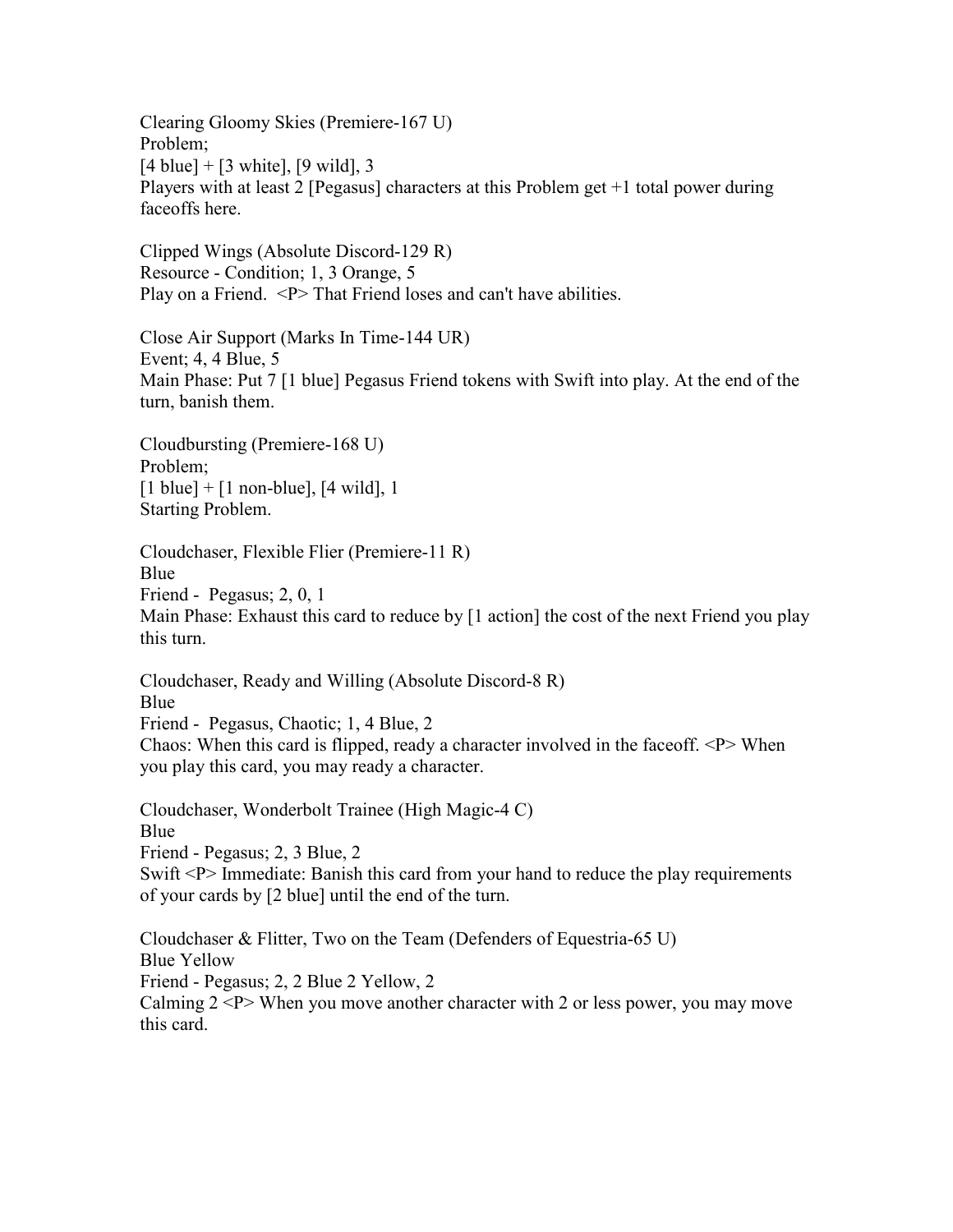Clearing Gloomy Skies (Premiere-167 U) Problem;  $[4 \text{ blue}] + [3 \text{ white}], [9 \text{ wild}], 3$ Players with at least 2 [Pegasus] characters at this Problem get +1 total power during faceoffs here.

Clipped Wings (Absolute Discord-129 R) Resource - Condition; 1, 3 Orange, 5 Play on a Friend. <P> That Friend loses and can't have abilities.

Close Air Support (Marks In Time-144 UR) Event; 4, 4 Blue, 5 Main Phase: Put 7 [1 blue] Pegasus Friend tokens with Swift into play. At the end of the turn, banish them.

Cloudbursting (Premiere-168 U) Problem;  $[1 \text{ blue}] + [1 \text{ non-blue}], [4 \text{ wild}], 1$ Starting Problem.

Cloudchaser, Flexible Flier (Premiere-11 R) Blue Friend - Pegasus; 2, 0, 1 Main Phase: Exhaust this card to reduce by [1 action] the cost of the next Friend you play this turn.

Cloudchaser, Ready and Willing (Absolute Discord-8 R) Blue Friend - Pegasus, Chaotic; 1, 4 Blue, 2 Chaos: When this card is flipped, ready a character involved in the faceoff. <P> When you play this card, you may ready a character.

Cloudchaser, Wonderbolt Trainee (High Magic-4 C) Blue Friend - Pegasus; 2, 3 Blue, 2 Swift <P> Immediate: Banish this card from your hand to reduce the play requirements of your cards by [2 blue] until the end of the turn.

Cloudchaser & Flitter, Two on the Team (Defenders of Equestria-65 U) Blue Yellow Friend - Pegasus; 2, 2 Blue 2 Yellow, 2 Calming  $2 < P$  When you move another character with 2 or less power, you may move this card.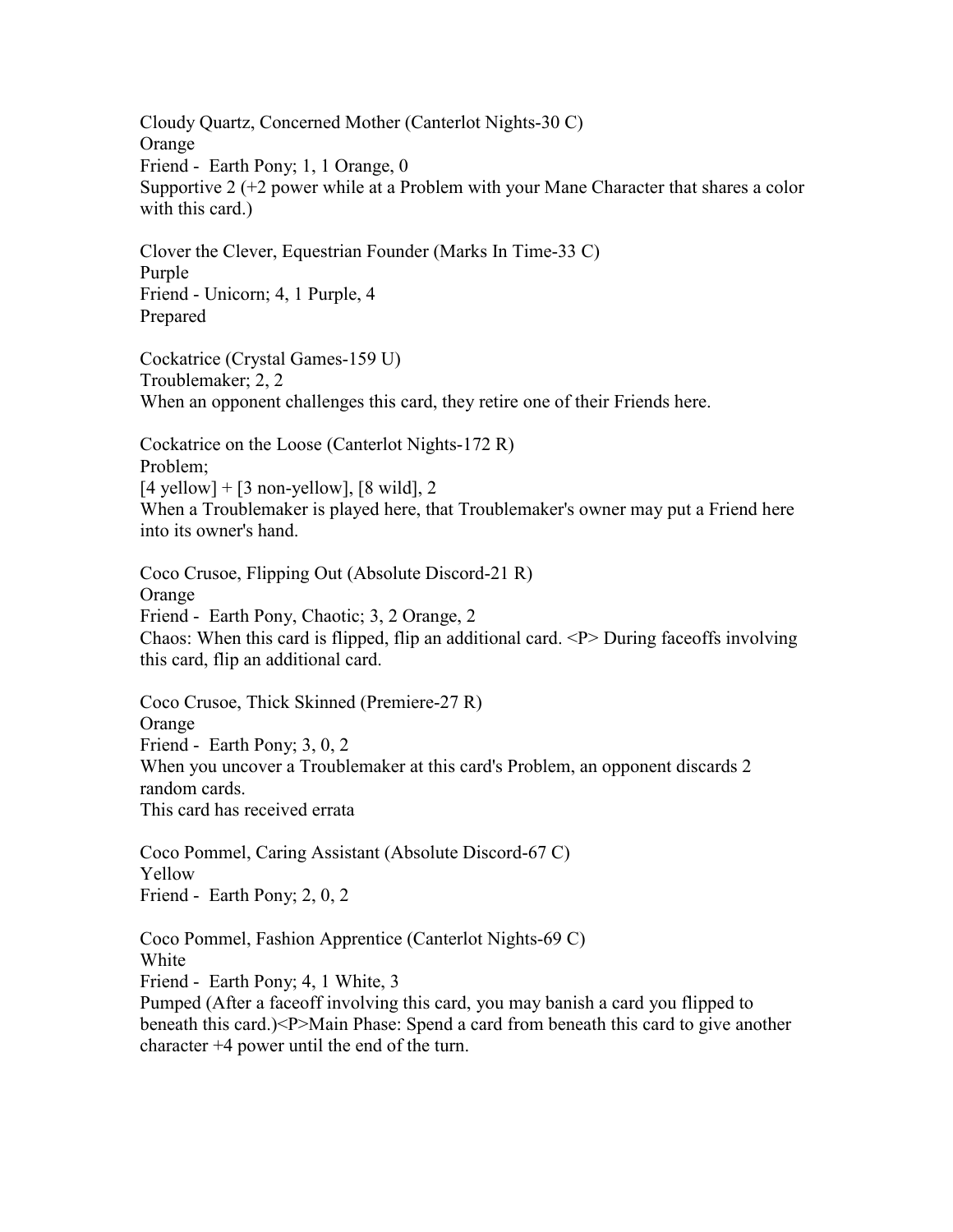Cloudy Quartz, Concerned Mother (Canterlot Nights-30 C) Orange Friend - Earth Pony; 1, 1 Orange, 0 Supportive 2 (+2 power while at a Problem with your Mane Character that shares a color with this card.)

Clover the Clever, Equestrian Founder (Marks In Time-33 C) Purple Friend - Unicorn; 4, 1 Purple, 4 Prepared

Cockatrice (Crystal Games-159 U) Troublemaker; 2, 2 When an opponent challenges this card, they retire one of their Friends here.

Cockatrice on the Loose (Canterlot Nights-172 R) Problem;  $[4$  yellow] +  $[3$  non-yellow],  $[8 \text{ wild}]$ , 2 When a Troublemaker is played here, that Troublemaker's owner may put a Friend here into its owner's hand.

Coco Crusoe, Flipping Out (Absolute Discord-21 R) Orange Friend - Earth Pony, Chaotic; 3, 2 Orange, 2 Chaos: When this card is flipped, flip an additional card.  $\langle P \rangle$  During faceoffs involving this card, flip an additional card.

Coco Crusoe, Thick Skinned (Premiere-27 R) Orange Friend - Earth Pony; 3, 0, 2 When you uncover a Troublemaker at this card's Problem, an opponent discards 2 random cards. This card has received errata

Coco Pommel, Caring Assistant (Absolute Discord-67 C) Yellow Friend - Earth Pony; 2, 0, 2

Coco Pommel, Fashion Apprentice (Canterlot Nights-69 C) White Friend - Earth Pony; 4, 1 White, 3 Pumped (After a faceoff involving this card, you may banish a card you flipped to

beneath this card.)<P>Main Phase: Spend a card from beneath this card to give another character +4 power until the end of the turn.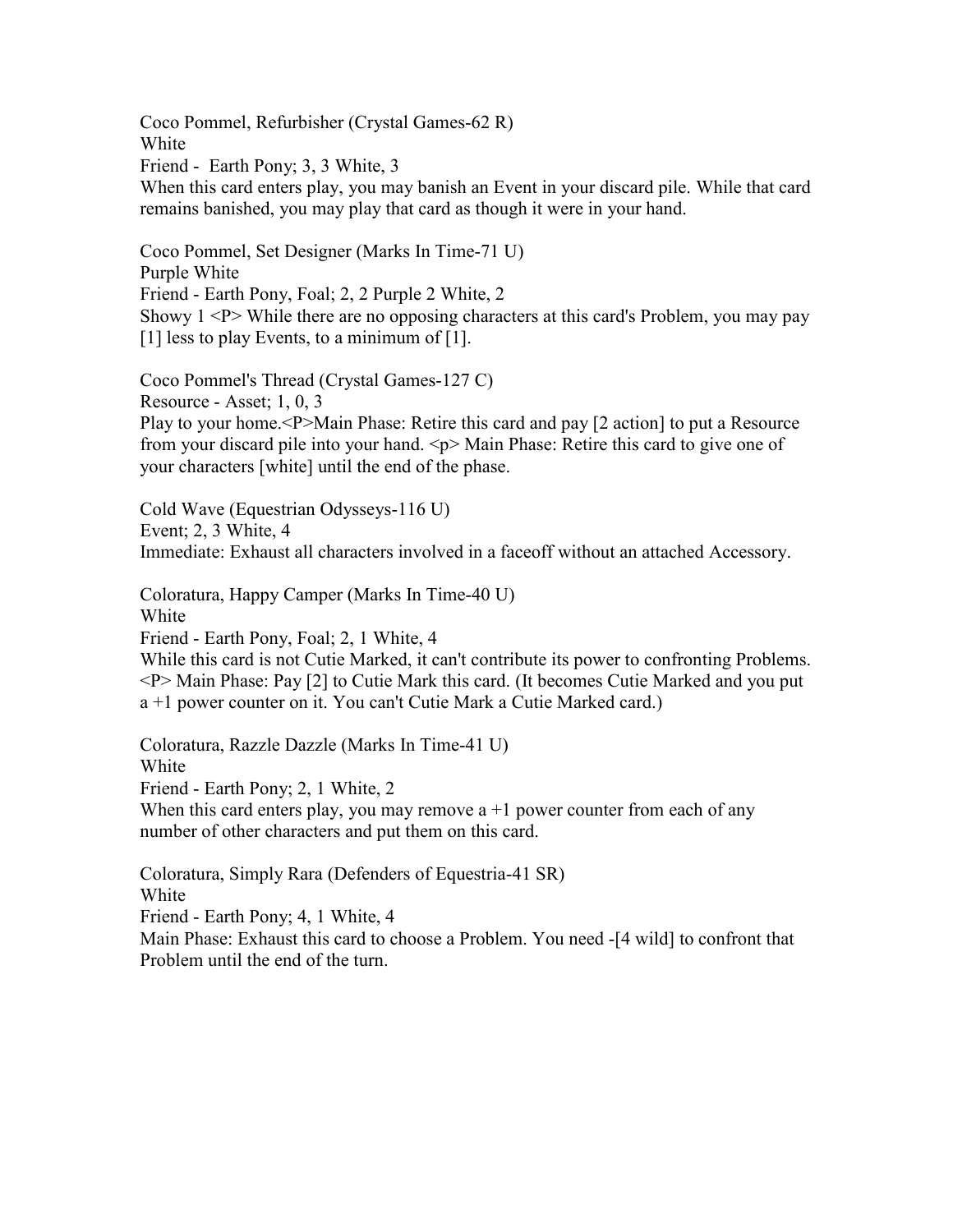Coco Pommel, Refurbisher (Crystal Games-62 R) White Friend - Earth Pony; 3, 3 White, 3 When this card enters play, you may banish an Event in your discard pile. While that card remains banished, you may play that card as though it were in your hand.

Coco Pommel, Set Designer (Marks In Time-71 U) Purple White Friend - Earth Pony, Foal; 2, 2 Purple 2 White, 2 Showy  $1 < P$  While there are no opposing characters at this card's Problem, you may pay [1] less to play Events, to a minimum of [1].

Coco Pommel's Thread (Crystal Games-127 C) Resource - Asset; 1, 0, 3 Play to your home.<P>Main Phase: Retire this card and pay [2 action] to put a Resource from your discard pile into your hand.  $\leq p$  Main Phase: Retire this card to give one of your characters [white] until the end of the phase.

Cold Wave (Equestrian Odysseys-116 U) Event; 2, 3 White, 4 Immediate: Exhaust all characters involved in a faceoff without an attached Accessory.

Coloratura, Happy Camper (Marks In Time-40 U) White Friend - Earth Pony, Foal; 2, 1 White, 4

While this card is not Cutie Marked, it can't contribute its power to confronting Problems. <P> Main Phase: Pay [2] to Cutie Mark this card. (It becomes Cutie Marked and you put a +1 power counter on it. You can't Cutie Mark a Cutie Marked card.)

Coloratura, Razzle Dazzle (Marks In Time-41 U) **White** Friend - Earth Pony; 2, 1 White, 2 When this card enters play, you may remove  $a + 1$  power counter from each of any number of other characters and put them on this card.

Coloratura, Simply Rara (Defenders of Equestria-41 SR) White Friend - Earth Pony; 4, 1 White, 4

Main Phase: Exhaust this card to choose a Problem. You need -[4 wild] to confront that Problem until the end of the turn.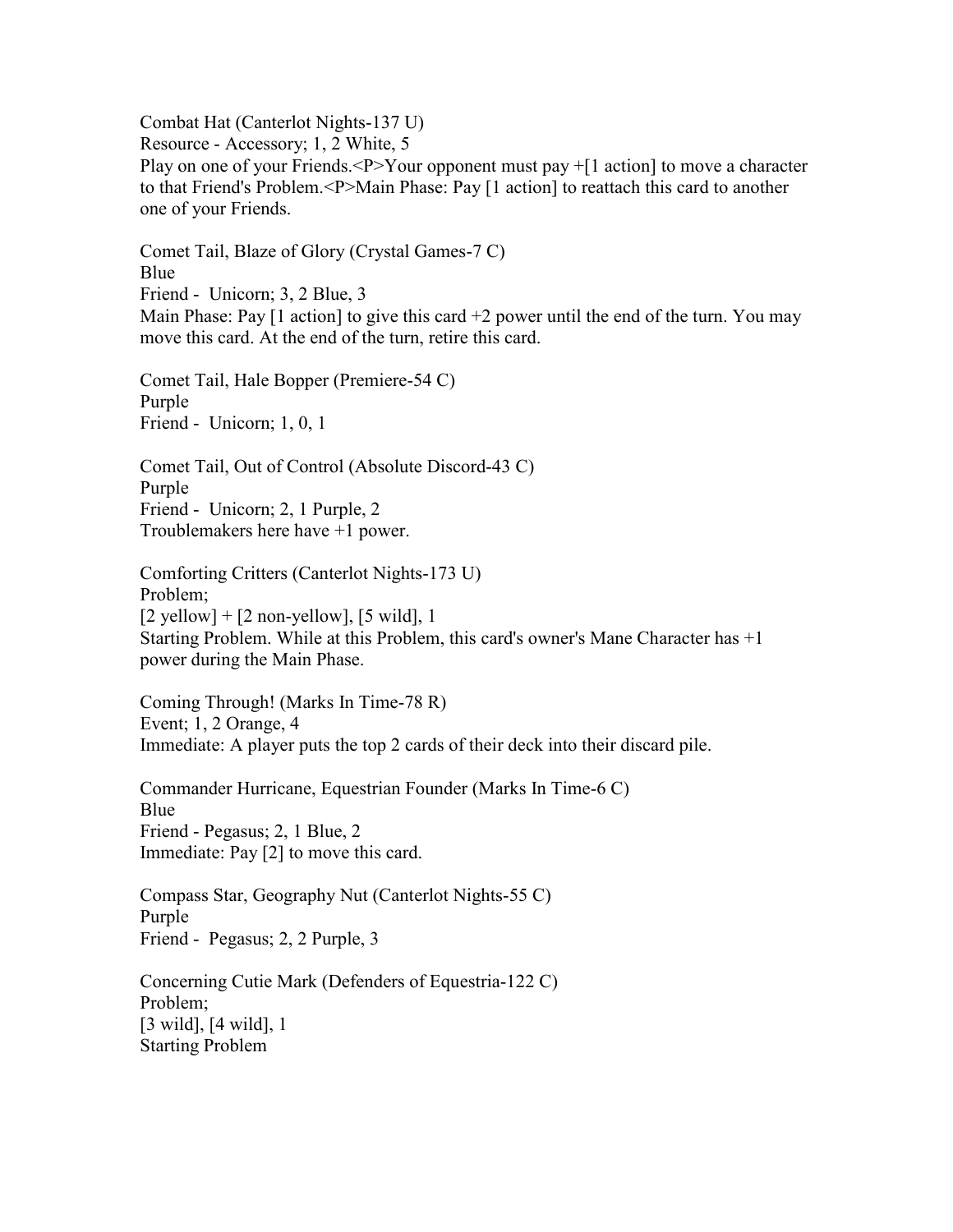Combat Hat (Canterlot Nights-137 U) Resource - Accessory; 1, 2 White, 5 Play on one of your Friends.<P>Your opponent must pay  $+[1 \text{ action}]$  to move a character to that Friend's Problem.<P>Main Phase: Pay [1 action] to reattach this card to another one of your Friends.

Comet Tail, Blaze of Glory (Crystal Games-7 C) Blue Friend - Unicorn; 3, 2 Blue, 3 Main Phase: Pay  $\lceil 1 \rceil$  action  $\lceil 1 \rceil$  to give this card  $+2$  power until the end of the turn. You may move this card. At the end of the turn, retire this card.

Comet Tail, Hale Bopper (Premiere-54 C) Purple Friend - Unicorn; 1, 0, 1

Comet Tail, Out of Control (Absolute Discord-43 C) Purple Friend - Unicorn; 2, 1 Purple, 2 Troublemakers here have +1 power.

Comforting Critters (Canterlot Nights-173 U) Problem;  $[2 \text{ yellow}] + [2 \text{ non-yellow}], [5 \text{ wild}], 1$ Starting Problem. While at this Problem, this card's owner's Mane Character has +1 power during the Main Phase.

Coming Through! (Marks In Time-78 R) Event; 1, 2 Orange, 4 Immediate: A player puts the top 2 cards of their deck into their discard pile.

Commander Hurricane, Equestrian Founder (Marks In Time-6 C) Blue Friend - Pegasus; 2, 1 Blue, 2 Immediate: Pay [2] to move this card.

Compass Star, Geography Nut (Canterlot Nights-55 C) Purple Friend - Pegasus; 2, 2 Purple, 3

Concerning Cutie Mark (Defenders of Equestria-122 C) Problem; [3 wild], [4 wild], 1 Starting Problem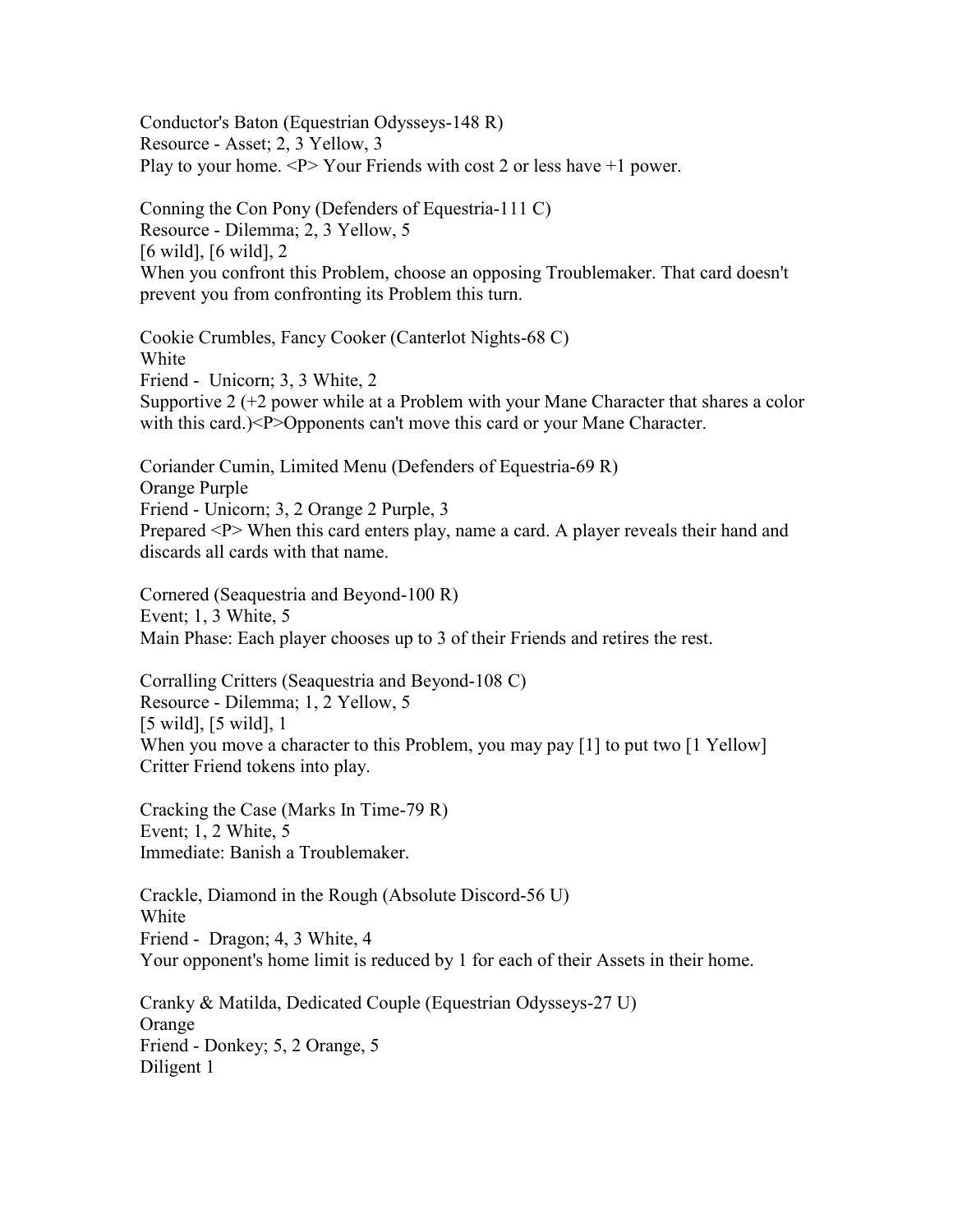Conductor's Baton (Equestrian Odysseys-148 R) Resource - Asset; 2, 3 Yellow, 3 Play to your home.  $\langle P \rangle$  Your Friends with cost 2 or less have  $+1$  power.

Conning the Con Pony (Defenders of Equestria-111 C) Resource - Dilemma; 2, 3 Yellow, 5 [6 wild], [6 wild], 2 When you confront this Problem, choose an opposing Troublemaker. That card doesn't prevent you from confronting its Problem this turn.

Cookie Crumbles, Fancy Cooker (Canterlot Nights-68 C) White Friend - Unicorn; 3, 3 White, 2 Supportive 2 (+2 power while at a Problem with your Mane Character that shares a color with this card.)<P>Opponents can't move this card or your Mane Character.

Coriander Cumin, Limited Menu (Defenders of Equestria-69 R) Orange Purple Friend - Unicorn; 3, 2 Orange 2 Purple, 3 Prepared <P> When this card enters play, name a card. A player reveals their hand and discards all cards with that name.

Cornered (Seaquestria and Beyond-100 R) Event; 1, 3 White, 5 Main Phase: Each player chooses up to 3 of their Friends and retires the rest.

Corralling Critters (Seaquestria and Beyond-108 C) Resource - Dilemma; 1, 2 Yellow, 5 [5 wild], [5 wild], 1 When you move a character to this Problem, you may pay [1] to put two [1 Yellow] Critter Friend tokens into play.

Cracking the Case (Marks In Time-79 R) Event; 1, 2 White, 5 Immediate: Banish a Troublemaker.

Crackle, Diamond in the Rough (Absolute Discord-56 U) White Friend - Dragon; 4, 3 White, 4 Your opponent's home limit is reduced by 1 for each of their Assets in their home.

Cranky & Matilda, Dedicated Couple (Equestrian Odysseys-27 U) Orange Friend - Donkey; 5, 2 Orange, 5 Diligent 1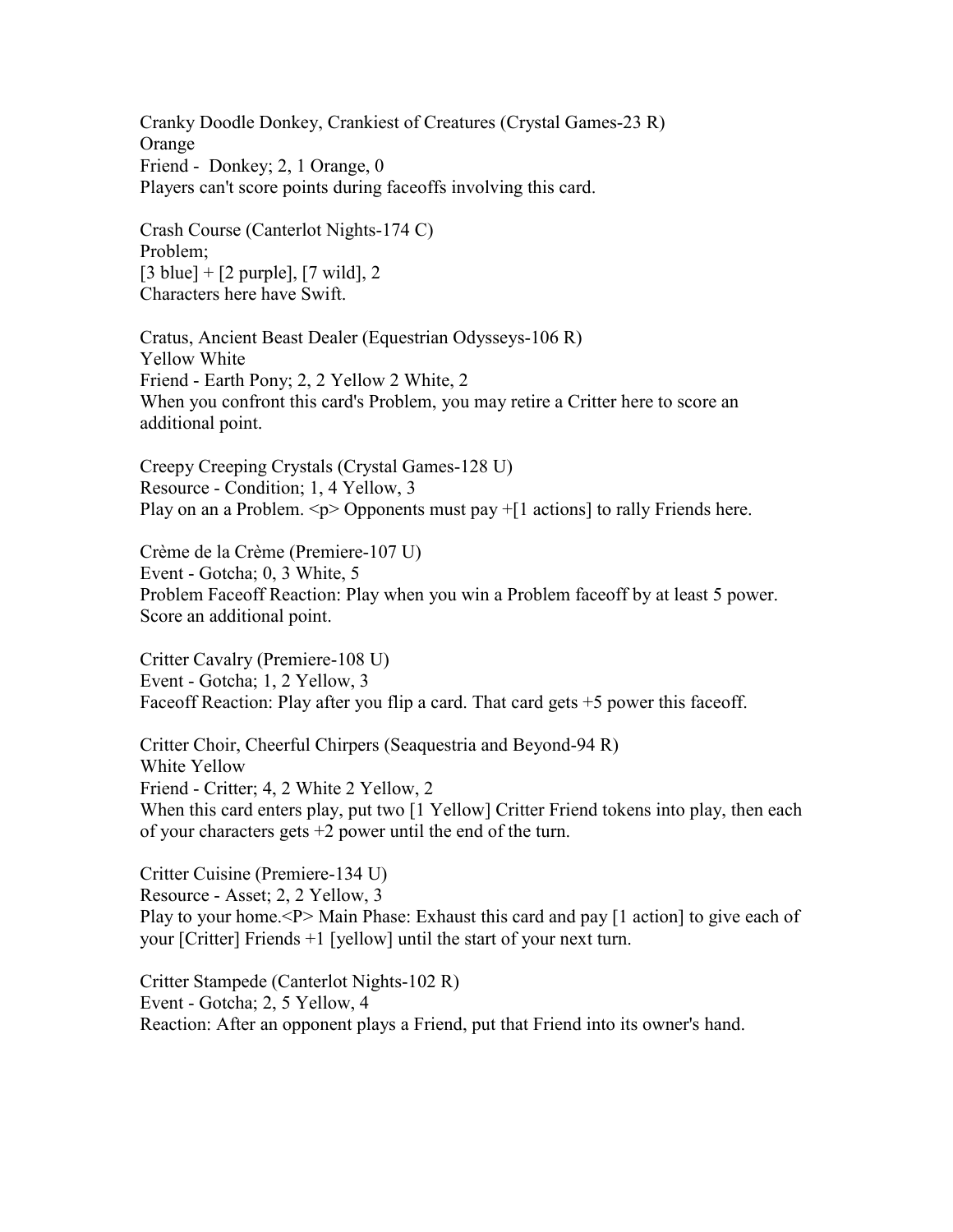Cranky Doodle Donkey, Crankiest of Creatures (Crystal Games-23 R) Orange Friend - Donkey; 2, 1 Orange, 0 Players can't score points during faceoffs involving this card.

Crash Course (Canterlot Nights-174 C) Problem;  $[3 \text{ blue}] + [2 \text{ purple}], [7 \text{ wild}], 2$ Characters here have Swift.

Cratus, Ancient Beast Dealer (Equestrian Odysseys-106 R) Yellow White Friend - Earth Pony; 2, 2 Yellow 2 White, 2 When you confront this card's Problem, you may retire a Critter here to score an additional point.

Creepy Creeping Crystals (Crystal Games-128 U) Resource - Condition; 1, 4 Yellow, 3 Play on an a Problem.  $\leq p$  Opponents must pay  $+[1 \text{ actions}]$  to rally Friends here.

Crème de la Crème (Premiere-107 U) Event - Gotcha; 0, 3 White, 5 Problem Faceoff Reaction: Play when you win a Problem faceoff by at least 5 power. Score an additional point.

Critter Cavalry (Premiere-108 U) Event - Gotcha; 1, 2 Yellow, 3 Faceoff Reaction: Play after you flip a card. That card gets  $+5$  power this faceoff.

Critter Choir, Cheerful Chirpers (Seaquestria and Beyond-94 R) White Yellow Friend - Critter; 4, 2 White 2 Yellow, 2 When this card enters play, put two [1 Yellow] Critter Friend tokens into play, then each of your characters gets  $+2$  power until the end of the turn.

Critter Cuisine (Premiere-134 U) Resource - Asset; 2, 2 Yellow, 3 Play to your home.<P> Main Phase: Exhaust this card and pay [1 action] to give each of your [Critter] Friends +1 [yellow] until the start of your next turn.

Critter Stampede (Canterlot Nights-102 R) Event - Gotcha; 2, 5 Yellow, 4 Reaction: After an opponent plays a Friend, put that Friend into its owner's hand.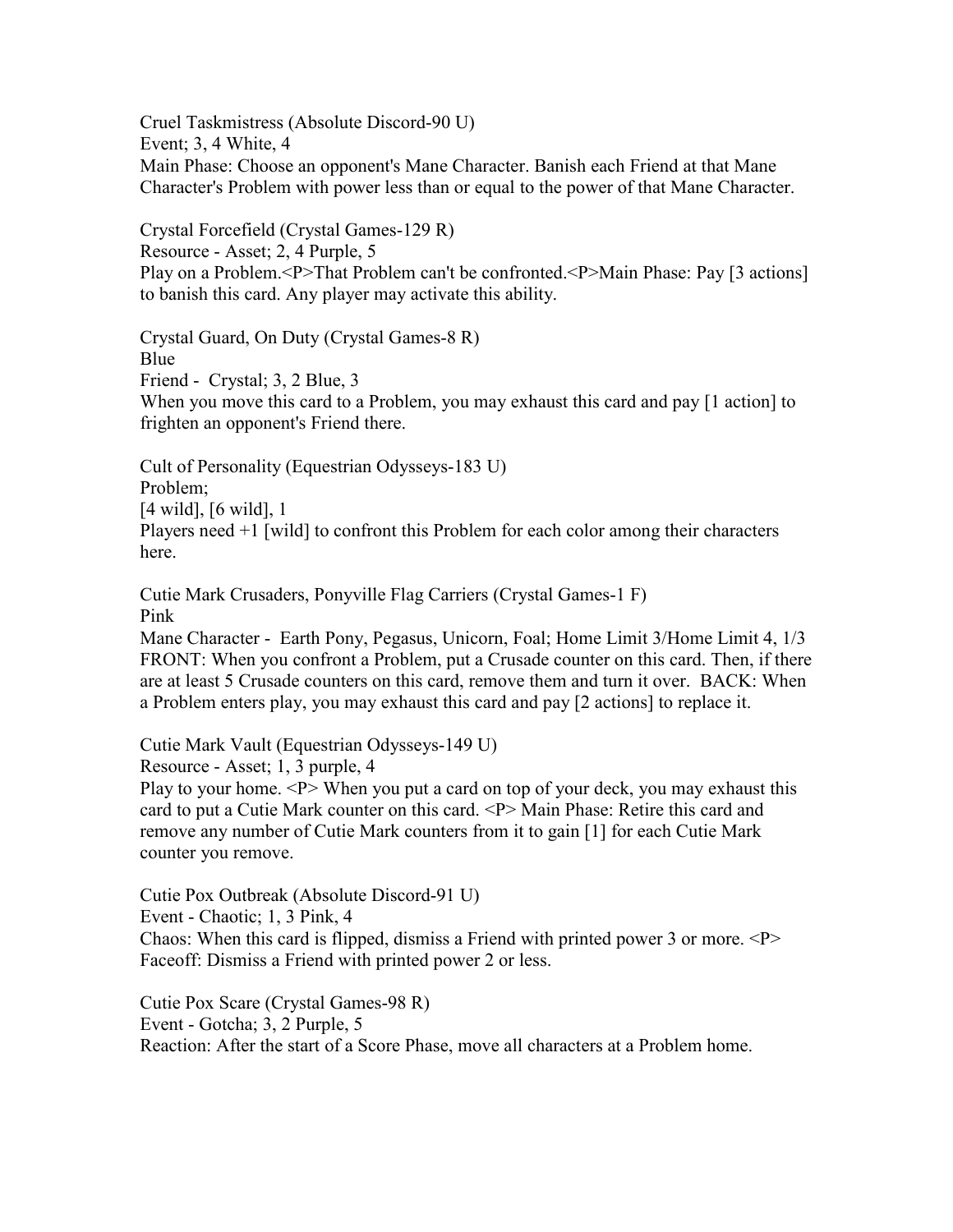Cruel Taskmistress (Absolute Discord-90 U) Event; 3, 4 White, 4 Main Phase: Choose an opponent's Mane Character. Banish each Friend at that Mane Character's Problem with power less than or equal to the power of that Mane Character.

Crystal Forcefield (Crystal Games-129 R) Resource - Asset; 2, 4 Purple, 5 Play on a Problem.<P>That Problem can't be confronted.<P>Main Phase: Pay [3 actions] to banish this card. Any player may activate this ability.

Crystal Guard, On Duty (Crystal Games-8 R) Blue Friend - Crystal; 3, 2 Blue, 3 When you move this card to a Problem, you may exhaust this card and pay [1 action] to frighten an opponent's Friend there.

Cult of Personality (Equestrian Odysseys-183 U) Problem; [4 wild], [6 wild], 1 Players need +1 [wild] to confront this Problem for each color among their characters here.

Cutie Mark Crusaders, Ponyville Flag Carriers (Crystal Games-1 F) Pink

Mane Character - Earth Pony, Pegasus, Unicorn, Foal; Home Limit 3/Home Limit 4, 1/3 FRONT: When you confront a Problem, put a Crusade counter on this card. Then, if there are at least 5 Crusade counters on this card, remove them and turn it over. BACK: When a Problem enters play, you may exhaust this card and pay [2 actions] to replace it.

Cutie Mark Vault (Equestrian Odysseys-149 U)

Resource - Asset; 1, 3 purple, 4

Play to your home.  $\langle P \rangle$  When you put a card on top of your deck, you may exhaust this card to put a Cutie Mark counter on this card. <P> Main Phase: Retire this card and remove any number of Cutie Mark counters from it to gain [1] for each Cutie Mark counter you remove.

Cutie Pox Outbreak (Absolute Discord-91 U) Event - Chaotic; 1, 3 Pink, 4 Chaos: When this card is flipped, dismiss a Friend with printed power 3 or more.  $\langle P \rangle$ Faceoff: Dismiss a Friend with printed power 2 or less.

Cutie Pox Scare (Crystal Games-98 R) Event - Gotcha; 3, 2 Purple, 5 Reaction: After the start of a Score Phase, move all characters at a Problem home.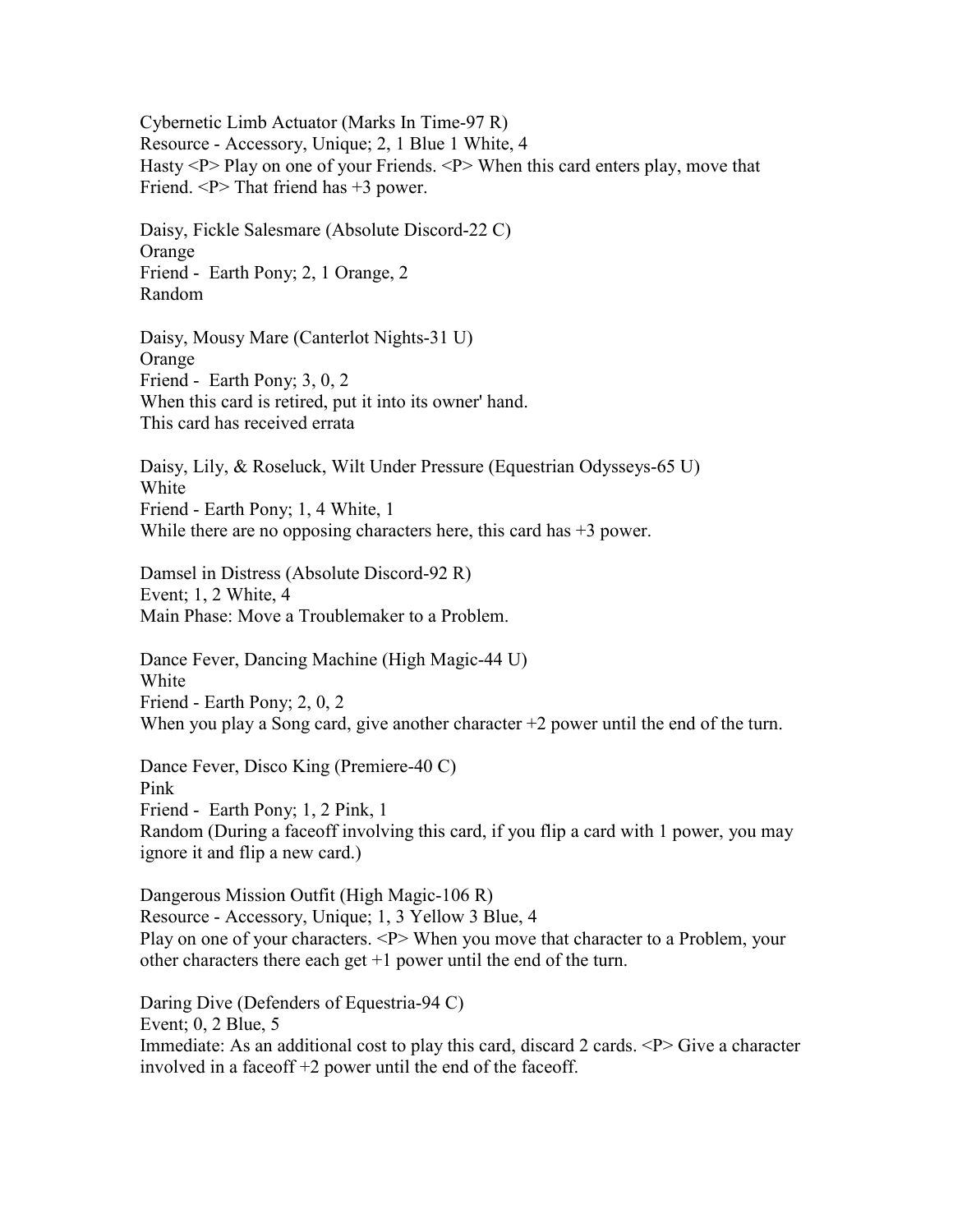Cybernetic Limb Actuator (Marks In Time-97 R) Resource - Accessory, Unique; 2, 1 Blue 1 White, 4 Hasty <P> Play on one of your Friends. <P> When this card enters play, move that Friend.  $\langle P \rangle$  That friend has  $+3$  power.

Daisy, Fickle Salesmare (Absolute Discord-22 C) **Orange** Friend - Earth Pony; 2, 1 Orange, 2 Random

Daisy, Mousy Mare (Canterlot Nights-31 U) Orange Friend - Earth Pony; 3, 0, 2 When this card is retired, put it into its owner' hand. This card has received errata

Daisy, Lily, & Roseluck, Wilt Under Pressure (Equestrian Odysseys-65 U) White Friend - Earth Pony; 1, 4 White, 1 While there are no opposing characters here, this card has  $+3$  power.

Damsel in Distress (Absolute Discord-92 R) Event; 1, 2 White, 4 Main Phase: Move a Troublemaker to a Problem.

Dance Fever, Dancing Machine (High Magic-44 U) White Friend - Earth Pony; 2, 0, 2 When you play a Song card, give another character +2 power until the end of the turn.

Dance Fever, Disco King (Premiere-40 C) Pink Friend - Earth Pony; 1, 2 Pink, 1 Random (During a faceoff involving this card, if you flip a card with 1 power, you may ignore it and flip a new card.)

Dangerous Mission Outfit (High Magic-106 R) Resource - Accessory, Unique; 1, 3 Yellow 3 Blue, 4 Play on one of your characters. <P> When you move that character to a Problem, your other characters there each get  $+1$  power until the end of the turn.

Daring Dive (Defenders of Equestria-94 C) Event; 0, 2 Blue, 5 Immediate: As an additional cost to play this card, discard 2 cards.  $\langle P \rangle$  Give a character involved in a faceoff +2 power until the end of the faceoff.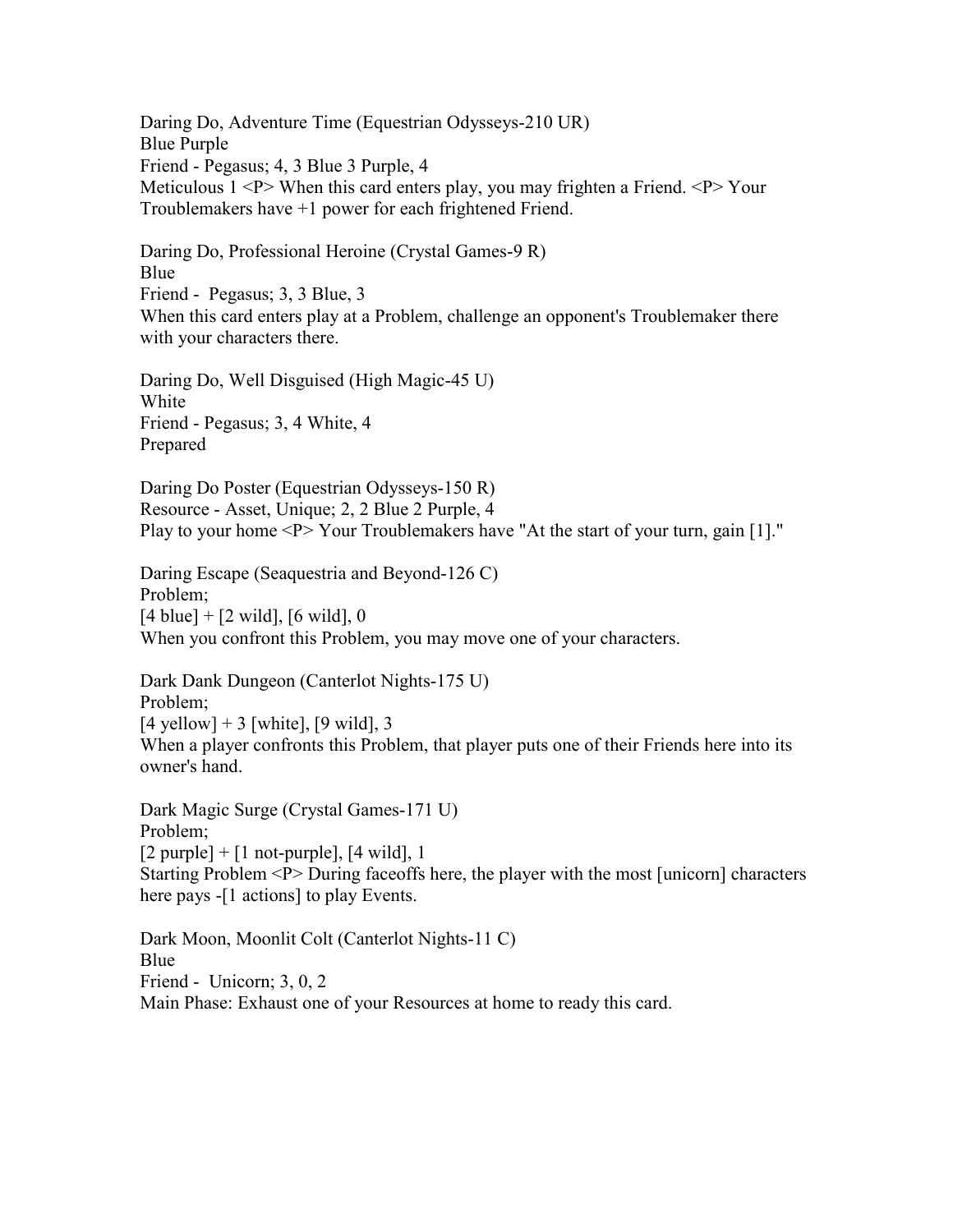Daring Do, Adventure Time (Equestrian Odysseys-210 UR) Blue Purple Friend - Pegasus; 4, 3 Blue 3 Purple, 4 Meticulous 1 <P> When this card enters play, you may frighten a Friend. <P> Your Troublemakers have +1 power for each frightened Friend.

Daring Do, Professional Heroine (Crystal Games-9 R) Blue Friend - Pegasus; 3, 3 Blue, 3 When this card enters play at a Problem, challenge an opponent's Troublemaker there with your characters there.

Daring Do, Well Disguised (High Magic-45 U) White Friend - Pegasus; 3, 4 White, 4 Prepared

Daring Do Poster (Equestrian Odysseys-150 R) Resource - Asset, Unique; 2, 2 Blue 2 Purple, 4 Play to your home <P> Your Troublemakers have "At the start of your turn, gain [1]."

Daring Escape (Seaquestria and Beyond-126 C) Problem;  $[4 \text{ blue}] + [2 \text{ wild}], [6 \text{ wild}], 0$ When you confront this Problem, you may move one of your characters.

Dark Dank Dungeon (Canterlot Nights-175 U) Problem;  $[4$  yellow] + 3 [white], [9 wild], 3 When a player confronts this Problem, that player puts one of their Friends here into its owner's hand.

Dark Magic Surge (Crystal Games-171 U) Problem;  $[2$  purple] +  $[1$  not-purple],  $[4$  wild], 1 Starting Problem <P> During faceoffs here, the player with the most [unicorn] characters here pays -[1 actions] to play Events.

Dark Moon, Moonlit Colt (Canterlot Nights-11 C) Blue Friend - Unicorn; 3, 0, 2 Main Phase: Exhaust one of your Resources at home to ready this card.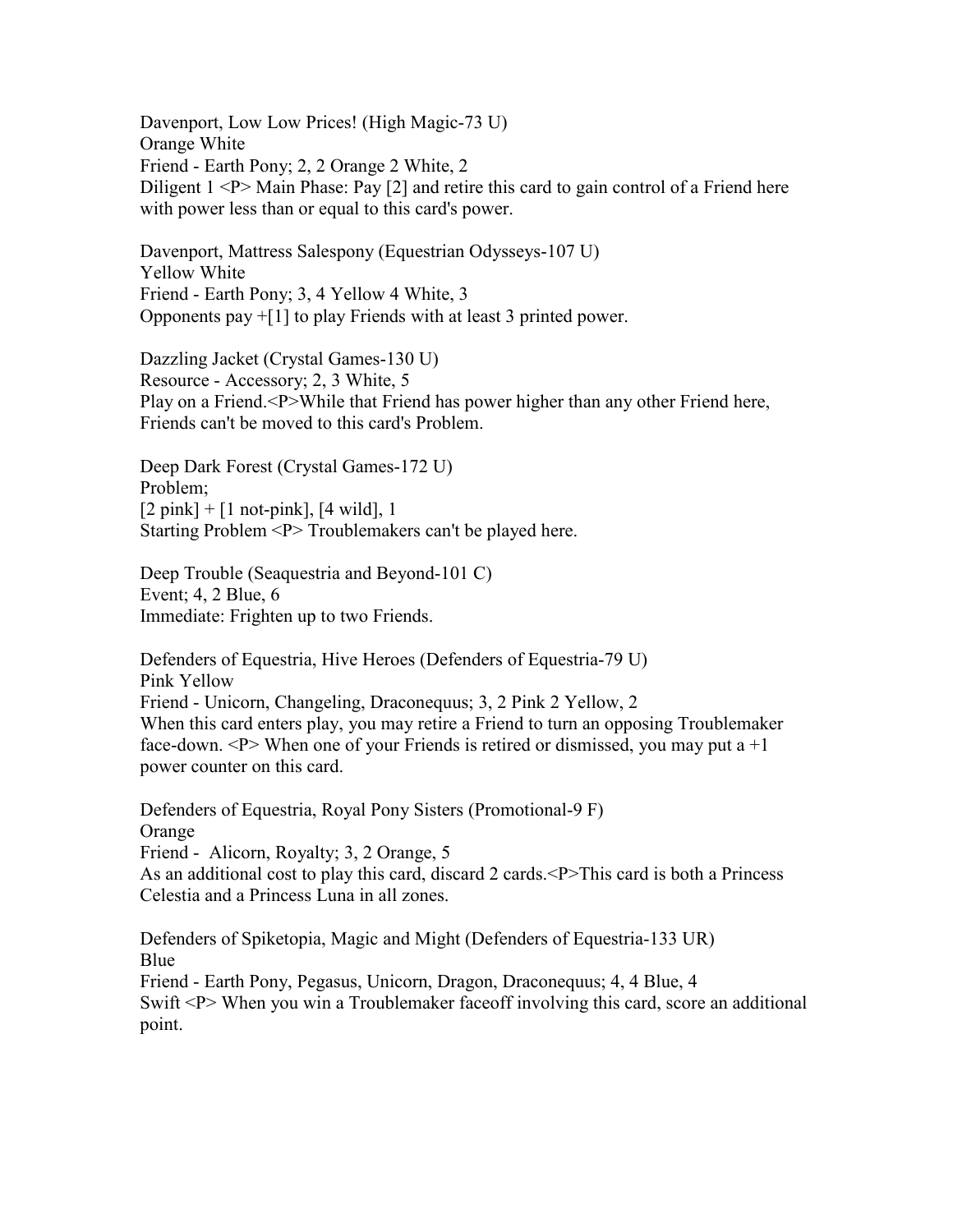Davenport, Low Low Prices! (High Magic-73 U) Orange White Friend - Earth Pony; 2, 2 Orange 2 White, 2 Diligent  $1 < P$  Main Phase: Pay [2] and retire this card to gain control of a Friend here with power less than or equal to this card's power.

Davenport, Mattress Salespony (Equestrian Odysseys-107 U) Yellow White Friend - Earth Pony; 3, 4 Yellow 4 White, 3 Opponents pay +[1] to play Friends with at least 3 printed power.

Dazzling Jacket (Crystal Games-130 U) Resource - Accessory; 2, 3 White, 5 Play on a Friend.<P>While that Friend has power higher than any other Friend here, Friends can't be moved to this card's Problem.

Deep Dark Forest (Crystal Games-172 U) Problem;  $[2 \text{ pink}] + [1 \text{ not-pink}], [4 \text{ wild}], 1$ Starting Problem <P> Troublemakers can't be played here.

Deep Trouble (Seaquestria and Beyond-101 C) Event; 4, 2 Blue, 6 Immediate: Frighten up to two Friends.

Defenders of Equestria, Hive Heroes (Defenders of Equestria-79 U) Pink Yellow Friend - Unicorn, Changeling, Draconequus; 3, 2 Pink 2 Yellow, 2 When this card enters play, you may retire a Friend to turn an opposing Troublemaker face-down.  $\langle P \rangle$  When one of your Friends is retired or dismissed, you may put a  $+1$ power counter on this card.

Defenders of Equestria, Royal Pony Sisters (Promotional-9 F) **Orange** Friend - Alicorn, Royalty; 3, 2 Orange, 5 As an additional cost to play this card, discard 2 cards.<P>This card is both a Princess Celestia and a Princess Luna in all zones.

Defenders of Spiketopia, Magic and Might (Defenders of Equestria-133 UR) Blue Friend - Earth Pony, Pegasus, Unicorn, Dragon, Draconequus; 4, 4 Blue, 4 Swift <P> When you win a Troublemaker face of involving this card, score an additional point.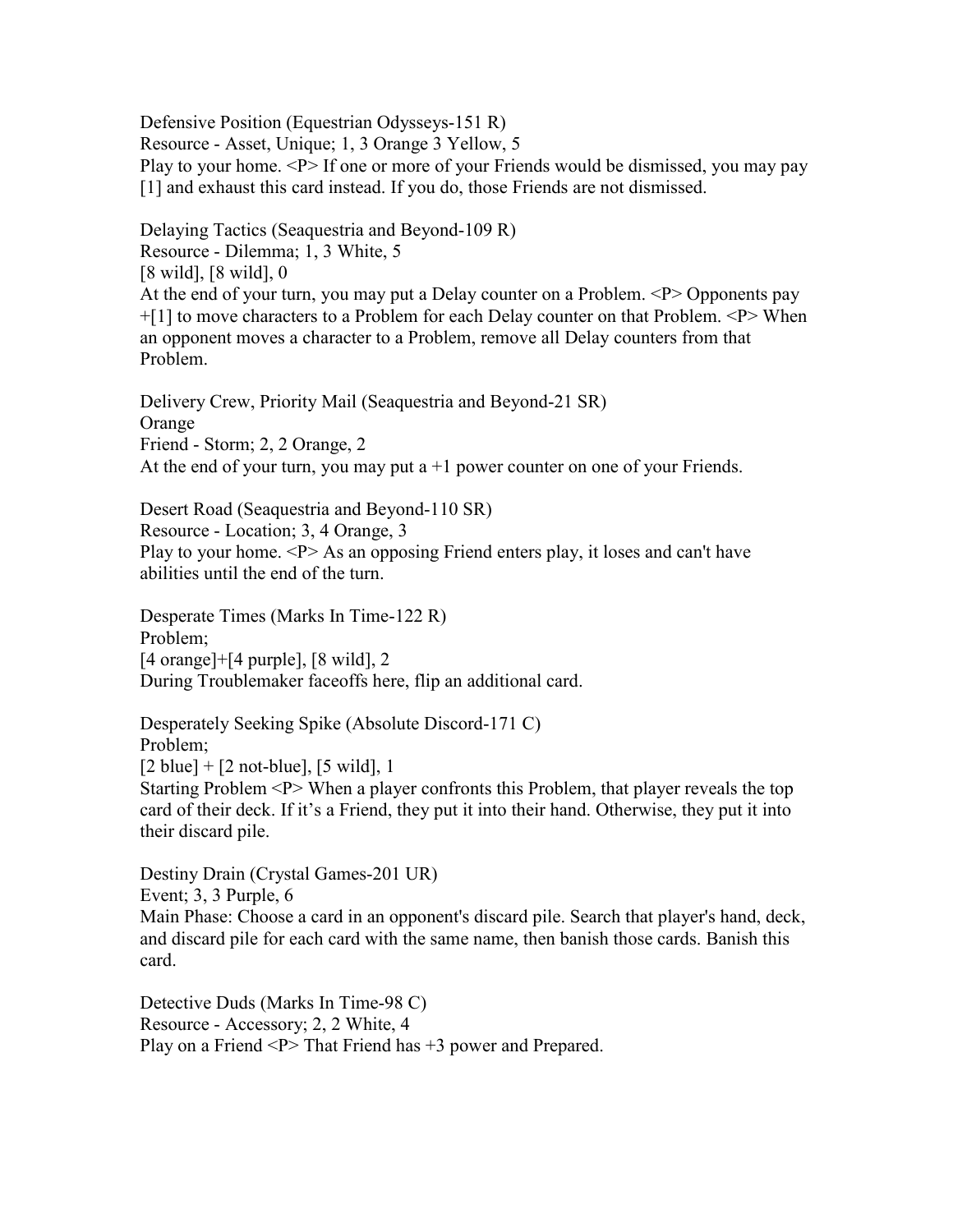Defensive Position (Equestrian Odysseys-151 R) Resource - Asset, Unique; 1, 3 Orange 3 Yellow, 5 Play to your home. <P> If one or more of your Friends would be dismissed, you may pay [1] and exhaust this card instead. If you do, those Friends are not dismissed.

Delaying Tactics (Seaquestria and Beyond-109 R) Resource - Dilemma; 1, 3 White, 5 [8 wild], [8 wild], 0 At the end of your turn, you may put a Delay counter on a Problem. <P> Opponents pay +[1] to move characters to a Problem for each Delay counter on that Problem. <P> When an opponent moves a character to a Problem, remove all Delay counters from that Problem.

Delivery Crew, Priority Mail (Seaquestria and Beyond-21 SR) **Orange** Friend - Storm; 2, 2 Orange, 2 At the end of your turn, you may put  $a + 1$  power counter on one of your Friends.

Desert Road (Seaquestria and Beyond-110 SR) Resource - Location; 3, 4 Orange, 3 Play to your home. <P> As an opposing Friend enters play, it loses and can't have abilities until the end of the turn.

Desperate Times (Marks In Time-122 R) Problem; [4 orange]+[4 purple], [8 wild], 2 During Troublemaker faceoffs here, flip an additional card.

Desperately Seeking Spike (Absolute Discord-171 C) Problem;  $[2 \text{ blue}] + [2 \text{ not-blue}], [5 \text{ wild}], 1$ Starting Problem <P> When a player confronts this Problem, that player reveals the top card of their deck. If it's a Friend, they put it into their hand. Otherwise, they put it into their discard pile.

Destiny Drain (Crystal Games-201 UR) Event; 3, 3 Purple, 6 Main Phase: Choose a card in an opponent's discard pile. Search that player's hand, deck, and discard pile for each card with the same name, then banish those cards. Banish this card.

Detective Duds (Marks In Time-98 C) Resource - Accessory; 2, 2 White, 4 Play on a Friend <P> That Friend has +3 power and Prepared.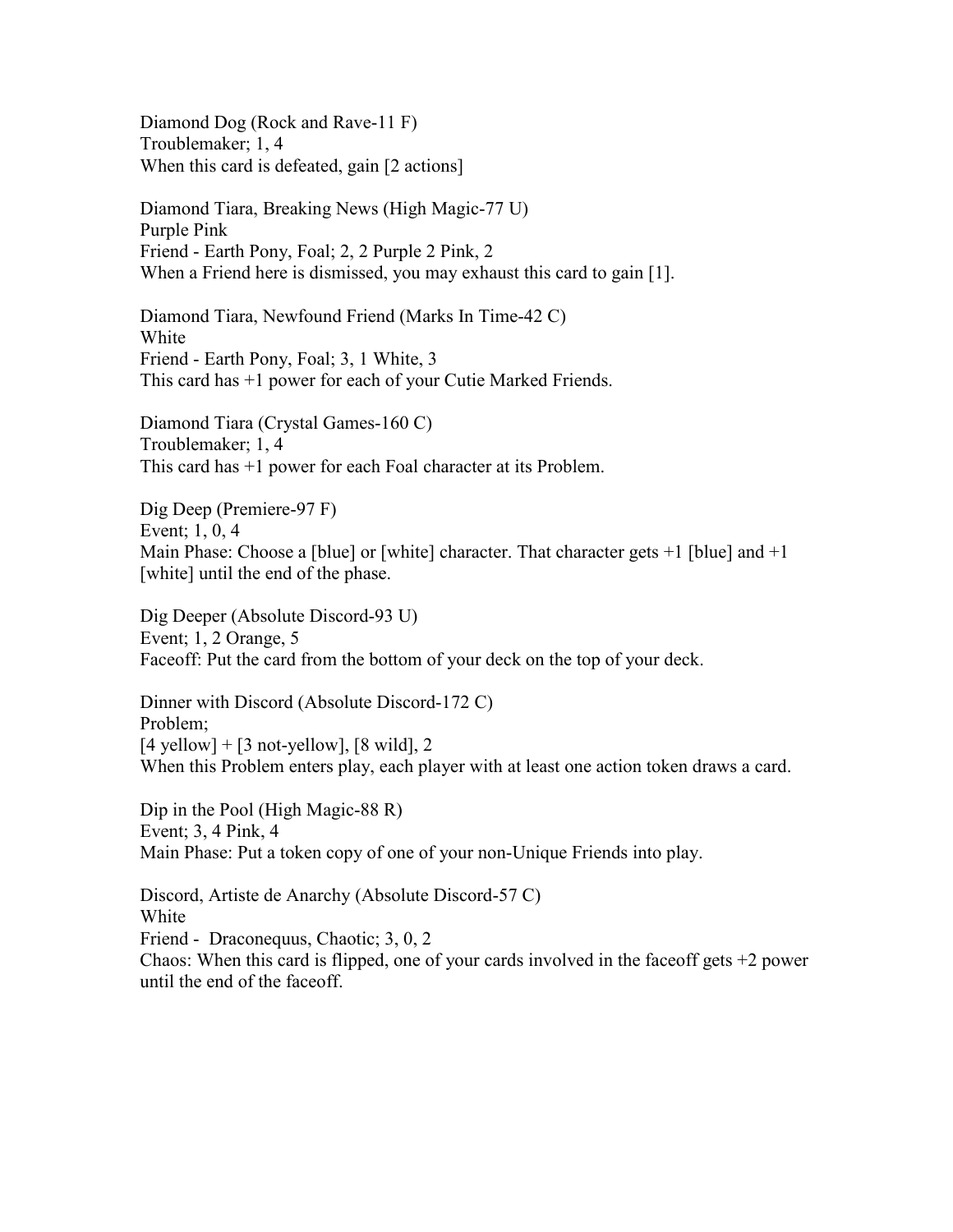Diamond Dog (Rock and Rave-11 F) Troublemaker; 1, 4 When this card is defeated, gain [2 actions]

Diamond Tiara, Breaking News (High Magic-77 U) Purple Pink Friend - Earth Pony, Foal; 2, 2 Purple 2 Pink, 2 When a Friend here is dismissed, you may exhaust this card to gain [1].

Diamond Tiara, Newfound Friend (Marks In Time-42 C) **White** Friend - Earth Pony, Foal; 3, 1 White, 3 This card has +1 power for each of your Cutie Marked Friends.

Diamond Tiara (Crystal Games-160 C) Troublemaker; 1, 4 This card has +1 power for each Foal character at its Problem.

Dig Deep (Premiere-97 F) Event; 1, 0, 4 Main Phase: Choose a [blue] or [white] character. That character gets  $+1$  [blue] and  $+1$ [white] until the end of the phase.

Dig Deeper (Absolute Discord-93 U) Event; 1, 2 Orange, 5 Faceoff: Put the card from the bottom of your deck on the top of your deck.

Dinner with Discord (Absolute Discord-172 C) Problem;  $[4$  yellow] +  $[3$  not-yellow],  $[8 \text{ wild}]$ , 2 When this Problem enters play, each player with at least one action token draws a card.

Dip in the Pool (High Magic-88 R) Event; 3, 4 Pink, 4 Main Phase: Put a token copy of one of your non-Unique Friends into play.

Discord, Artiste de Anarchy (Absolute Discord-57 C) White Friend - Draconequus, Chaotic; 3, 0, 2 Chaos: When this card is flipped, one of your cards involved in the faceoff gets  $+2$  power until the end of the faceoff.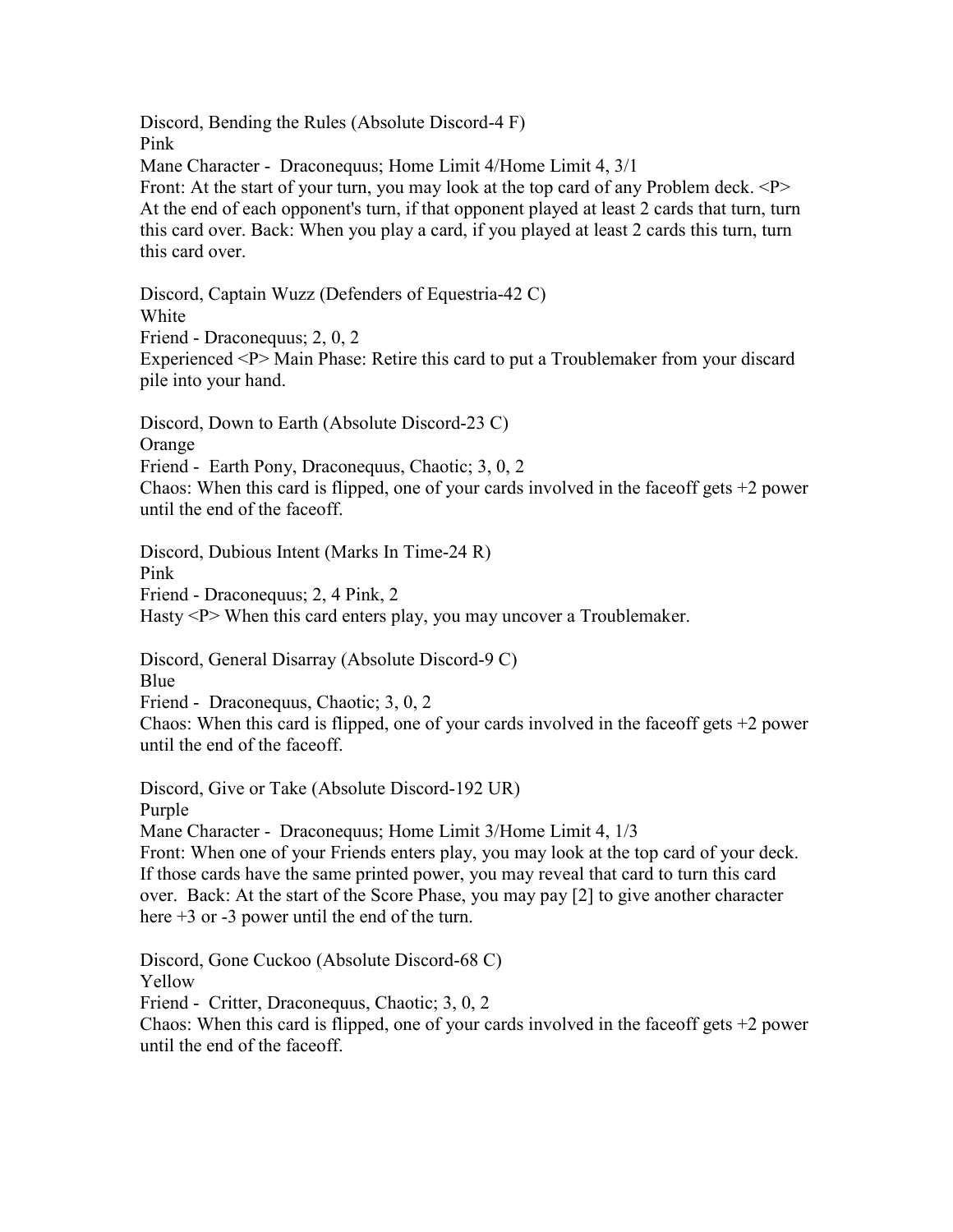Discord, Bending the Rules (Absolute Discord-4 F) Pink Mane Character - Draconequus; Home Limit 4/Home Limit 4, 3/1 Front: At the start of your turn, you may look at the top card of any Problem deck. <P> At the end of each opponent's turn, if that opponent played at least 2 cards that turn, turn this card over. Back: When you play a card, if you played at least 2 cards this turn, turn this card over.

Discord, Captain Wuzz (Defenders of Equestria-42 C)

White

Friend - Draconequus; 2, 0, 2

Experienced <P> Main Phase: Retire this card to put a Troublemaker from your discard pile into your hand.

Discord, Down to Earth (Absolute Discord-23 C)

Orange

Friend - Earth Pony, Draconequus, Chaotic; 3, 0, 2

Chaos: When this card is flipped, one of your cards involved in the face of gets  $+2$  power until the end of the faceoff.

Discord, Dubious Intent (Marks In Time-24 R)

Pink

Friend - Draconequus; 2, 4 Pink, 2

Hasty <P> When this card enters play, you may uncover a Troublemaker.

Discord, General Disarray (Absolute Discord-9 C)

Blue

Friend - Draconequus, Chaotic; 3, 0, 2

Chaos: When this card is flipped, one of your cards involved in the faceoff gets  $+2$  power until the end of the faceoff.

Discord, Give or Take (Absolute Discord-192 UR) Purple

Mane Character - Draconequus; Home Limit 3/Home Limit 4, 1/3

Front: When one of your Friends enters play, you may look at the top card of your deck. If those cards have the same printed power, you may reveal that card to turn this card over. Back: At the start of the Score Phase, you may pay [2] to give another character here  $+3$  or  $-3$  power until the end of the turn.

Discord, Gone Cuckoo (Absolute Discord-68 C)

Yellow

Friend - Critter, Draconequus, Chaotic; 3, 0, 2

Chaos: When this card is flipped, one of your cards involved in the faceoff gets  $+2$  power until the end of the faceoff.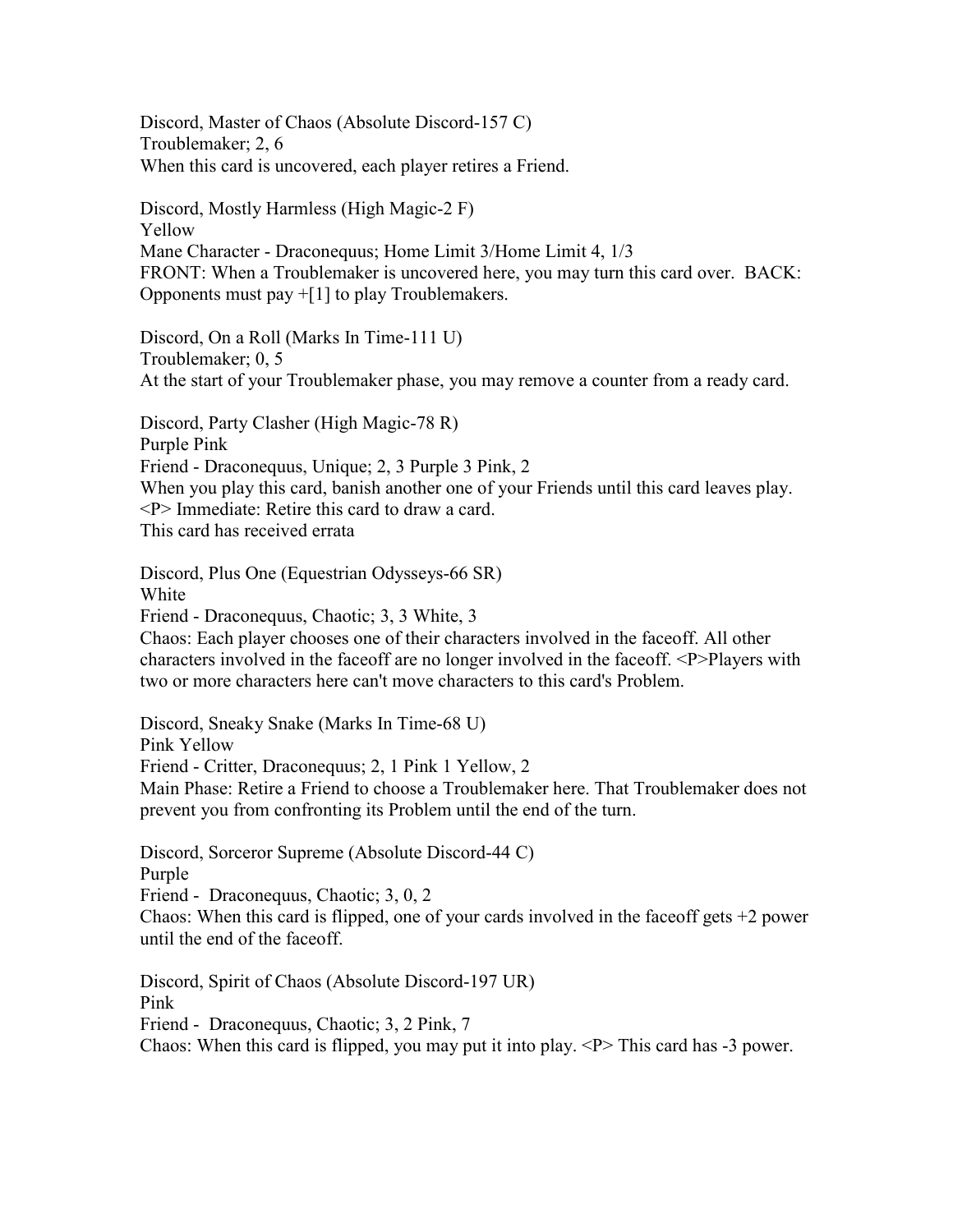Discord, Master of Chaos (Absolute Discord-157 C) Troublemaker; 2, 6 When this card is uncovered, each player retires a Friend.

Discord, Mostly Harmless (High Magic-2 F) Yellow Mane Character - Draconequus; Home Limit 3/Home Limit 4, 1/3 FRONT: When a Troublemaker is uncovered here, you may turn this card over. BACK: Opponents must pay  $+[1]$  to play Troublemakers.

Discord, On a Roll (Marks In Time-111 U) Troublemaker; 0, 5 At the start of your Troublemaker phase, you may remove a counter from a ready card.

Discord, Party Clasher (High Magic-78 R) Purple Pink Friend - Draconequus, Unique; 2, 3 Purple 3 Pink, 2 When you play this card, banish another one of your Friends until this card leaves play. <P> Immediate: Retire this card to draw a card. This card has received errata

Discord, Plus One (Equestrian Odysseys-66 SR) White Friend - Draconequus, Chaotic; 3, 3 White, 3 Chaos: Each player chooses one of their characters involved in the faceoff. All other characters involved in the faceoff are no longer involved in the faceoff. <P>Players with two or more characters here can't move characters to this card's Problem.

Discord, Sneaky Snake (Marks In Time-68 U) Pink Yellow Friend - Critter, Draconequus; 2, 1 Pink 1 Yellow, 2 Main Phase: Retire a Friend to choose a Troublemaker here. That Troublemaker does not prevent you from confronting its Problem until the end of the turn.

Discord, Sorceror Supreme (Absolute Discord-44 C) Purple Friend - Draconequus, Chaotic; 3, 0, 2

Chaos: When this card is flipped, one of your cards involved in the faceoff gets  $+2$  power until the end of the faceoff.

Discord, Spirit of Chaos (Absolute Discord-197 UR) Pink Friend - Draconequus, Chaotic; 3, 2 Pink, 7 Chaos: When this card is flipped, you may put it into play.  $\langle P \rangle$  This card has -3 power.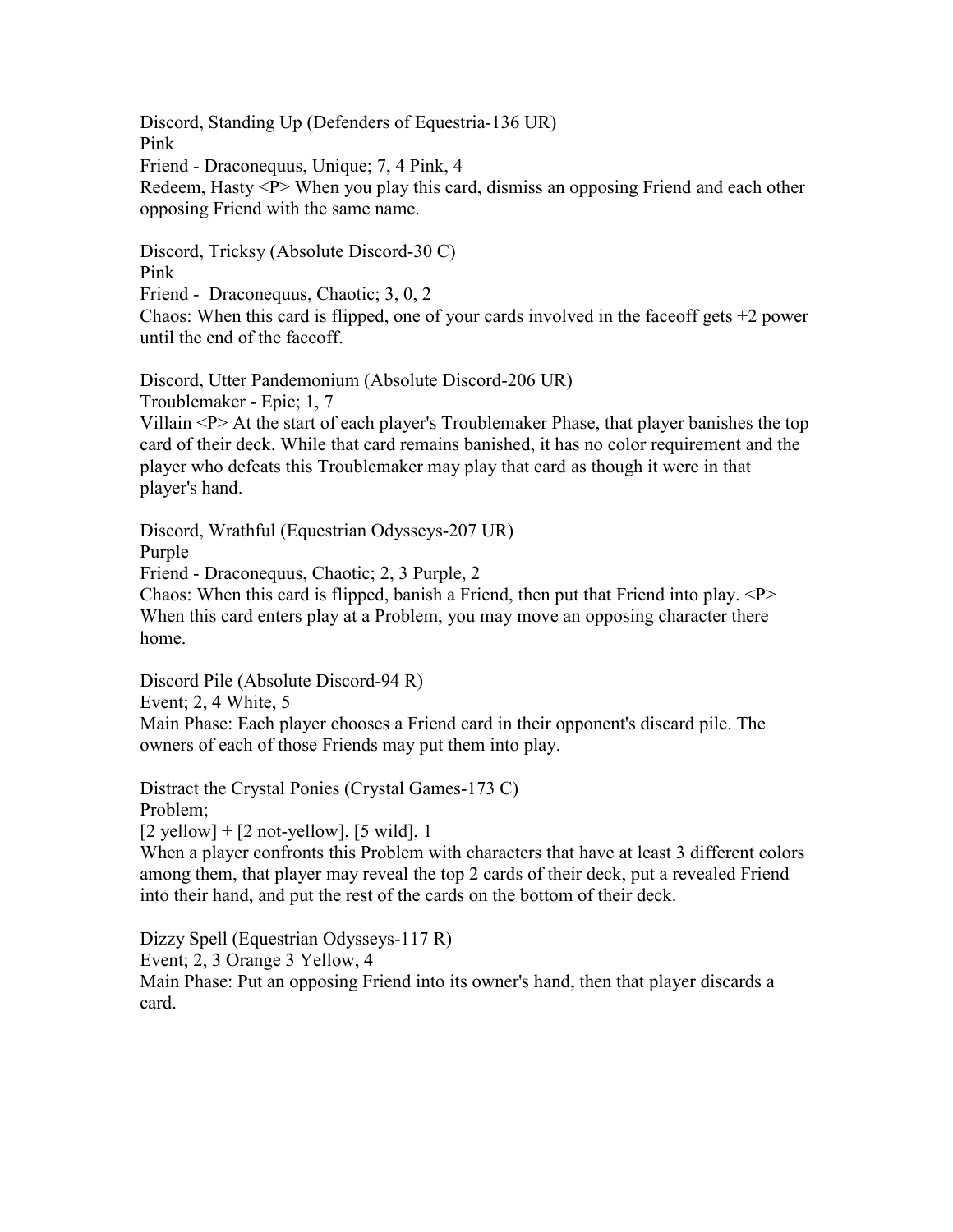Discord, Standing Up (Defenders of Equestria-136 UR)

Pink

Friend - Draconequus, Unique; 7, 4 Pink, 4

Redeem, Hasty <P> When you play this card, dismiss an opposing Friend and each other opposing Friend with the same name.

Discord, Tricksy (Absolute Discord-30 C)

Pink

Friend - Draconequus, Chaotic; 3, 0, 2

Chaos: When this card is flipped, one of your cards involved in the face of gets  $+2$  power until the end of the faceoff.

Discord, Utter Pandemonium (Absolute Discord-206 UR)

Troublemaker - Epic; 1, 7

Villain <P> At the start of each player's Troublemaker Phase, that player banishes the top card of their deck. While that card remains banished, it has no color requirement and the player who defeats this Troublemaker may play that card as though it were in that player's hand.

Discord, Wrathful (Equestrian Odysseys-207 UR)

Purple

Friend - Draconequus, Chaotic; 2, 3 Purple, 2

Chaos: When this card is flipped, banish a Friend, then put that Friend into play.  $\langle P \rangle$ When this card enters play at a Problem, you may move an opposing character there home.

Discord Pile (Absolute Discord-94 R) Event; 2, 4 White, 5 Main Phase: Each player chooses a Friend card in their opponent's discard pile. The owners of each of those Friends may put them into play.

Distract the Crystal Ponies (Crystal Games-173 C) Problem;

 $[2$  yellow] +  $[2$  not-yellow],  $[5 \text{ wild}]$ , 1

When a player confronts this Problem with characters that have at least 3 different colors among them, that player may reveal the top 2 cards of their deck, put a revealed Friend into their hand, and put the rest of the cards on the bottom of their deck.

Dizzy Spell (Equestrian Odysseys-117 R)

Event; 2, 3 Orange 3 Yellow, 4

Main Phase: Put an opposing Friend into its owner's hand, then that player discards a card.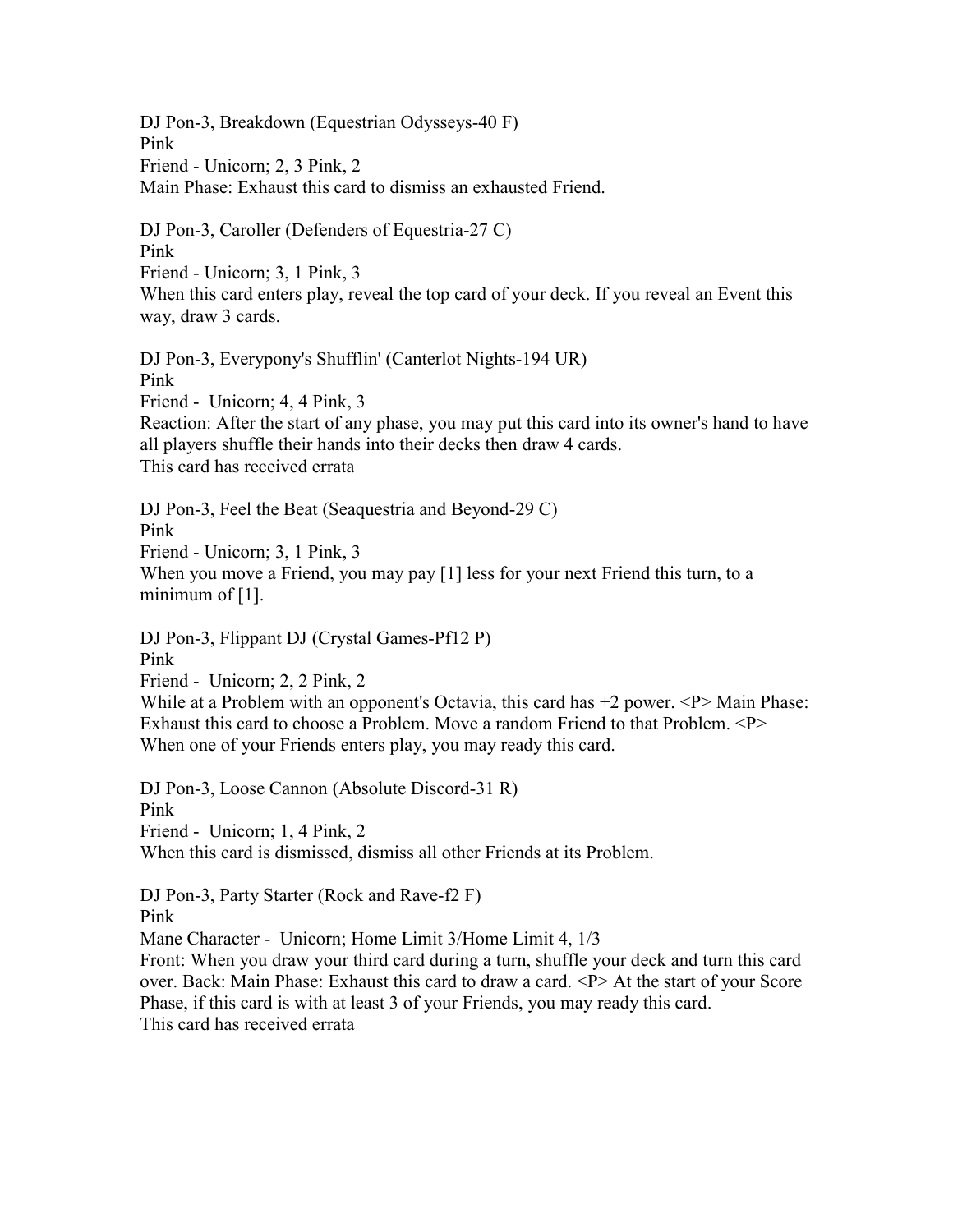DJ Pon-3, Breakdown (Equestrian Odysseys-40 F) Pink Friend - Unicorn; 2, 3 Pink, 2 Main Phase: Exhaust this card to dismiss an exhausted Friend.

DJ Pon-3, Caroller (Defenders of Equestria-27 C) Pink Friend - Unicorn; 3, 1 Pink, 3 When this card enters play, reveal the top card of your deck. If you reveal an Event this way, draw 3 cards.

DJ Pon-3, Everypony's Shufflin' (Canterlot Nights-194 UR) Pink Friend - Unicorn; 4, 4 Pink, 3 Reaction: After the start of any phase, you may put this card into its owner's hand to have all players shuffle their hands into their decks then draw 4 cards. This card has received errata

DJ Pon-3, Feel the Beat (Seaquestria and Beyond-29 C) Pink Friend - Unicorn; 3, 1 Pink, 3 When you move a Friend, you may pay [1] less for your next Friend this turn, to a minimum of [1].

DJ Pon-3, Flippant DJ (Crystal Games-Pf12 P) Pink

Friend - Unicorn; 2, 2 Pink, 2

While at a Problem with an opponent's Octavia, this card has  $+2$  power.  $\langle P \rangle$  Main Phase: Exhaust this card to choose a Problem. Move a random Friend to that Problem. <P> When one of your Friends enters play, you may ready this card.

DJ Pon-3, Loose Cannon (Absolute Discord-31 R) Pink Friend - Unicorn; 1, 4 Pink, 2 When this card is dismissed, dismiss all other Friends at its Problem.

DJ Pon-3, Party Starter (Rock and Rave-f2 F) Pink Mane Character - Unicorn; Home Limit 3/Home Limit 4, 1/3 Front: When you draw your third card during a turn, shuffle your deck and turn this card over. Back: Main Phase: Exhaust this card to draw a card. <P> At the start of your Score Phase, if this card is with at least 3 of your Friends, you may ready this card. This card has received errata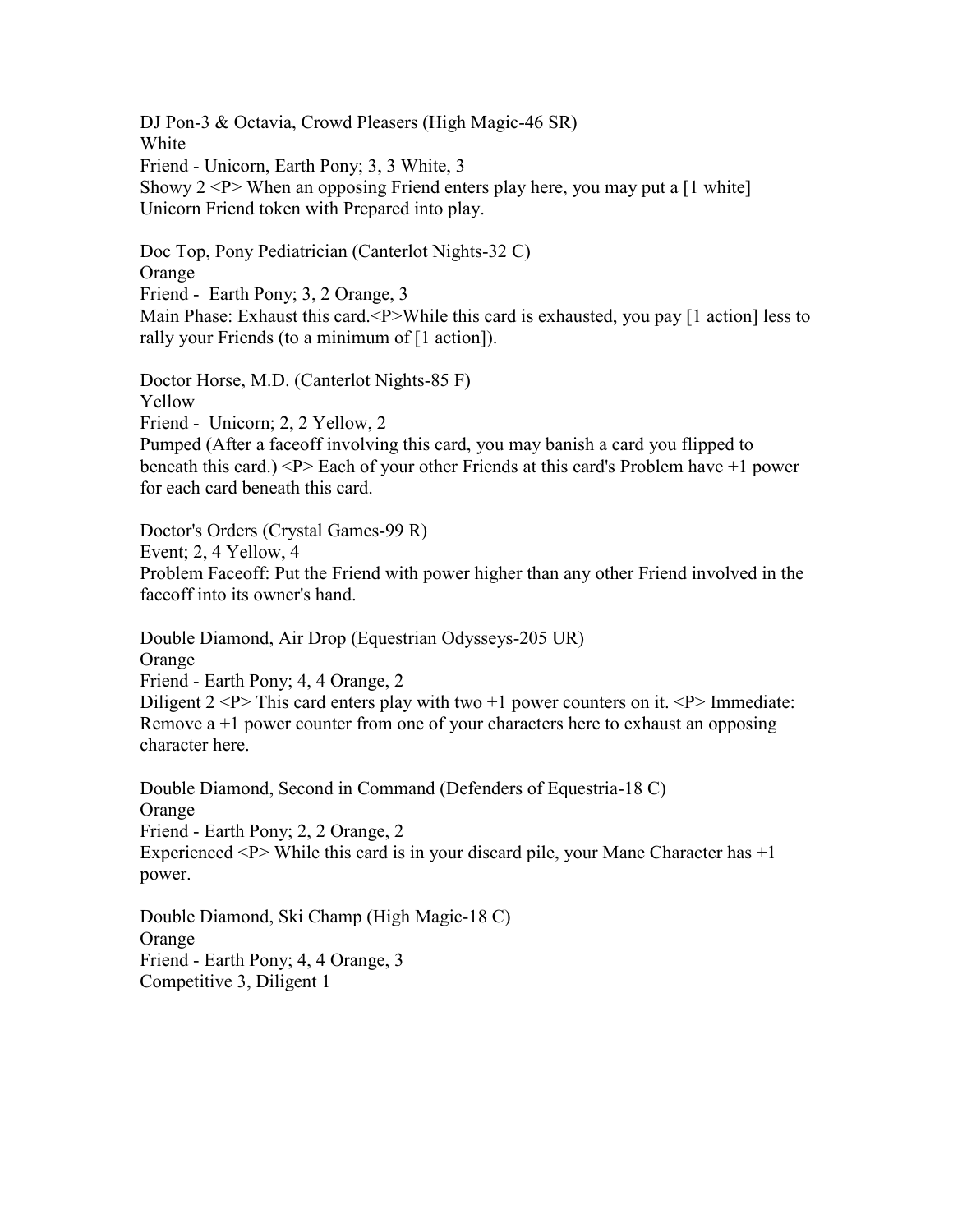DJ Pon-3 & Octavia, Crowd Pleasers (High Magic-46 SR) White Friend - Unicorn, Earth Pony; 3, 3 White, 3 Showy  $2 < P$  When an opposing Friend enters play here, you may put a [1 white] Unicorn Friend token with Prepared into play.

Doc Top, Pony Pediatrician (Canterlot Nights-32 C) Orange Friend - Earth Pony; 3, 2 Orange, 3 Main Phase: Exhaust this card.<P>While this card is exhausted, you pay [1 action] less to rally your Friends (to a minimum of [1 action]).

Doctor Horse, M.D. (Canterlot Nights-85 F) Yellow Friend - Unicorn; 2, 2 Yellow, 2 Pumped (After a faceoff involving this card, you may banish a card you flipped to beneath this card.) <P> Each of your other Friends at this card's Problem have +1 power for each card beneath this card.

Doctor's Orders (Crystal Games-99 R) Event; 2, 4 Yellow, 4 Problem Faceoff: Put the Friend with power higher than any other Friend involved in the faceoff into its owner's hand.

Double Diamond, Air Drop (Equestrian Odysseys-205 UR) Orange Friend - Earth Pony; 4, 4 Orange, 2 Diligent  $2 \le P$  This card enters play with two  $+1$  power counters on it.  $\le P$  Immediate: Remove  $a + 1$  power counter from one of your characters here to exhaust an opposing character here.

Double Diamond, Second in Command (Defenders of Equestria-18 C) Orange Friend - Earth Pony; 2, 2 Orange, 2 Experienced  $\langle P \rangle$  While this card is in your discard pile, your Mane Character has  $+1$ power.

Double Diamond, Ski Champ (High Magic-18 C) Orange Friend - Earth Pony; 4, 4 Orange, 3 Competitive 3, Diligent 1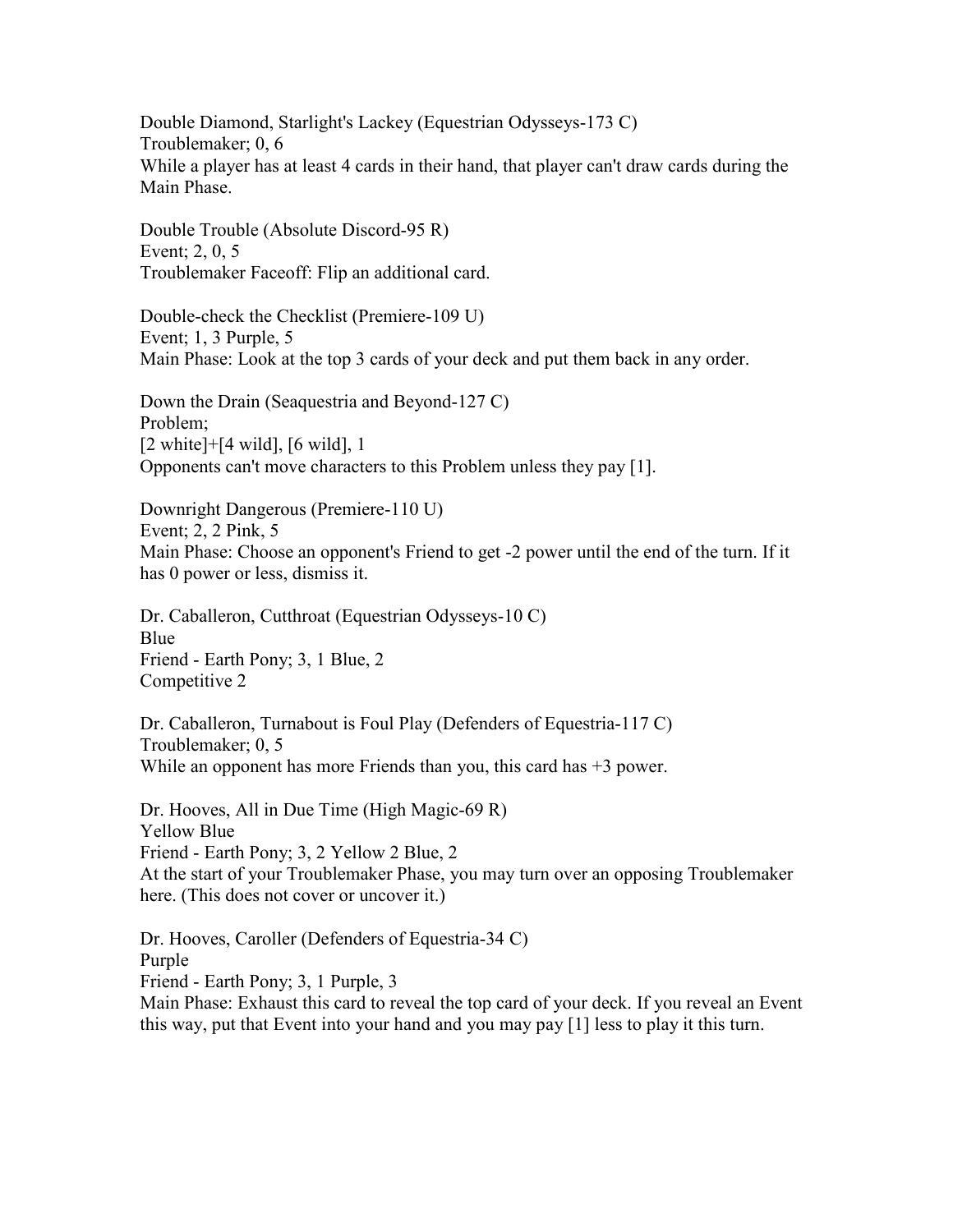Double Diamond, Starlight's Lackey (Equestrian Odysseys-173 C) Troublemaker; 0, 6 While a player has at least 4 cards in their hand, that player can't draw cards during the Main Phase.

Double Trouble (Absolute Discord-95 R) Event; 2, 0, 5 Troublemaker Faceoff: Flip an additional card.

Double-check the Checklist (Premiere-109 U) Event; 1, 3 Purple, 5 Main Phase: Look at the top 3 cards of your deck and put them back in any order.

Down the Drain (Seaquestria and Beyond-127 C) Problem; [2 white]+[4 wild], [6 wild], 1 Opponents can't move characters to this Problem unless they pay [1].

Downright Dangerous (Premiere-110 U) Event; 2, 2 Pink, 5 Main Phase: Choose an opponent's Friend to get -2 power until the end of the turn. If it has 0 power or less, dismiss it.

Dr. Caballeron, Cutthroat (Equestrian Odysseys-10 C) Blue Friend - Earth Pony; 3, 1 Blue, 2 Competitive 2

Dr. Caballeron, Turnabout is Foul Play (Defenders of Equestria-117 C) Troublemaker; 0, 5 While an opponent has more Friends than you, this card has  $+3$  power.

Dr. Hooves, All in Due Time (High Magic-69 R) Yellow Blue Friend - Earth Pony; 3, 2 Yellow 2 Blue, 2 At the start of your Troublemaker Phase, you may turn over an opposing Troublemaker here. (This does not cover or uncover it.)

Dr. Hooves, Caroller (Defenders of Equestria-34 C) Purple Friend - Earth Pony; 3, 1 Purple, 3 Main Phase: Exhaust this card to reveal the top card of your deck. If you reveal an Event this way, put that Event into your hand and you may pay [1] less to play it this turn.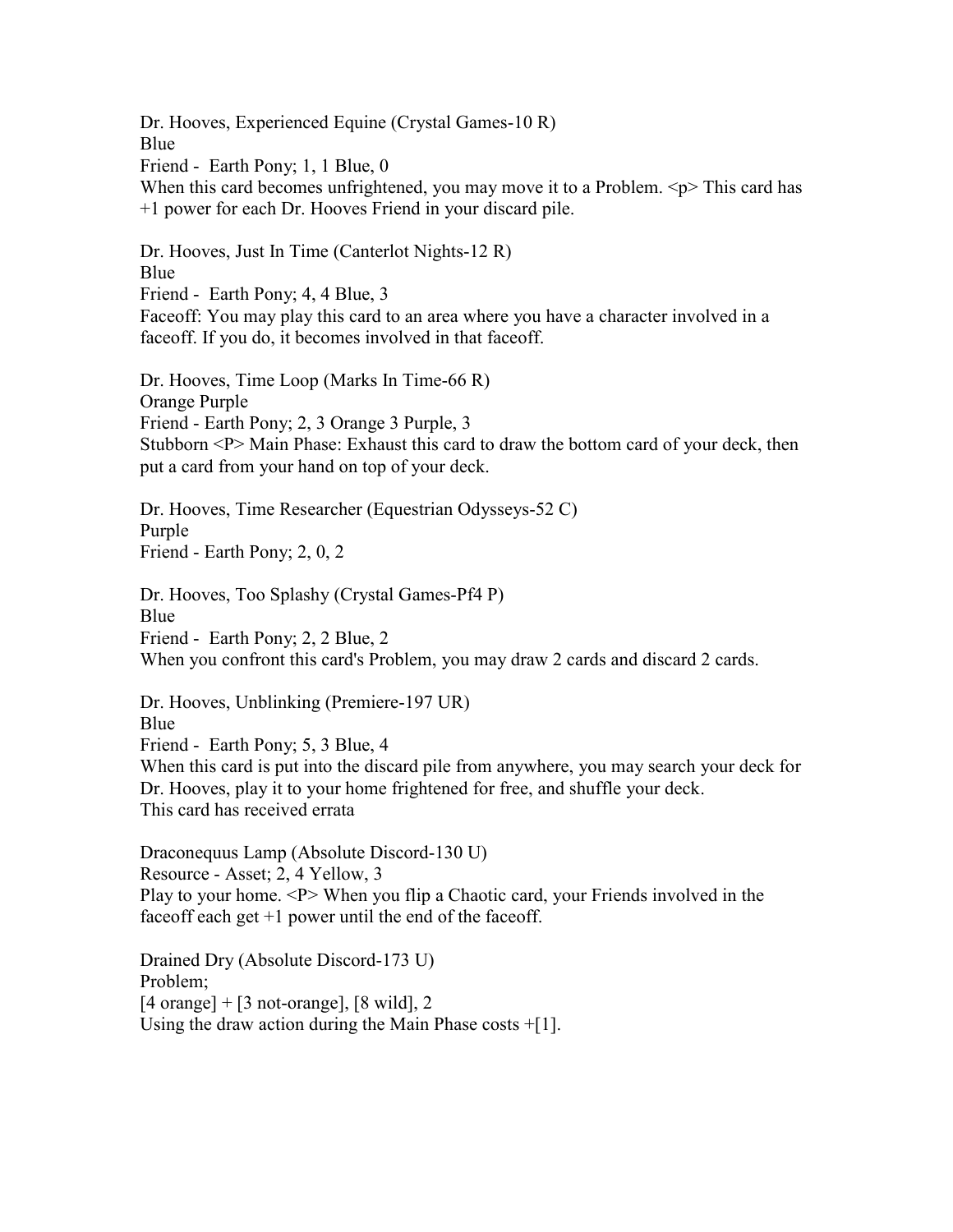Dr. Hooves, Experienced Equine (Crystal Games-10 R) Blue Friend - Earth Pony; 1, 1 Blue, 0 When this card becomes unfrightened, you may move it to a Problem.  $\leq p$  This card has +1 power for each Dr. Hooves Friend in your discard pile.

Dr. Hooves, Just In Time (Canterlot Nights-12 R) Blue Friend - Earth Pony; 4, 4 Blue, 3 Faceoff: You may play this card to an area where you have a character involved in a faceoff. If you do, it becomes involved in that faceoff.

Dr. Hooves, Time Loop (Marks In Time-66 R) Orange Purple Friend - Earth Pony; 2, 3 Orange 3 Purple, 3 Stubborn <P> Main Phase: Exhaust this card to draw the bottom card of your deck, then put a card from your hand on top of your deck.

Dr. Hooves, Time Researcher (Equestrian Odysseys-52 C) Purple Friend - Earth Pony; 2, 0, 2

Dr. Hooves, Too Splashy (Crystal Games-Pf4 P) Blue Friend - Earth Pony; 2, 2 Blue, 2 When you confront this card's Problem, you may draw 2 cards and discard 2 cards.

Dr. Hooves, Unblinking (Premiere-197 UR) Blue Friend - Earth Pony; 5, 3 Blue, 4 When this card is put into the discard pile from anywhere, you may search your deck for Dr. Hooves, play it to your home frightened for free, and shuffle your deck. This card has received errata

Draconequus Lamp (Absolute Discord-130 U) Resource - Asset; 2, 4 Yellow, 3 Play to your home. <P> When you flip a Chaotic card, your Friends involved in the faceoff each get  $+1$  power until the end of the faceoff.

Drained Dry (Absolute Discord-173 U) Problem;  $[4 \text{ orange}] + [3 \text{ not-orange}], [8 \text{ wild}], 2$ Using the draw action during the Main Phase costs +[1].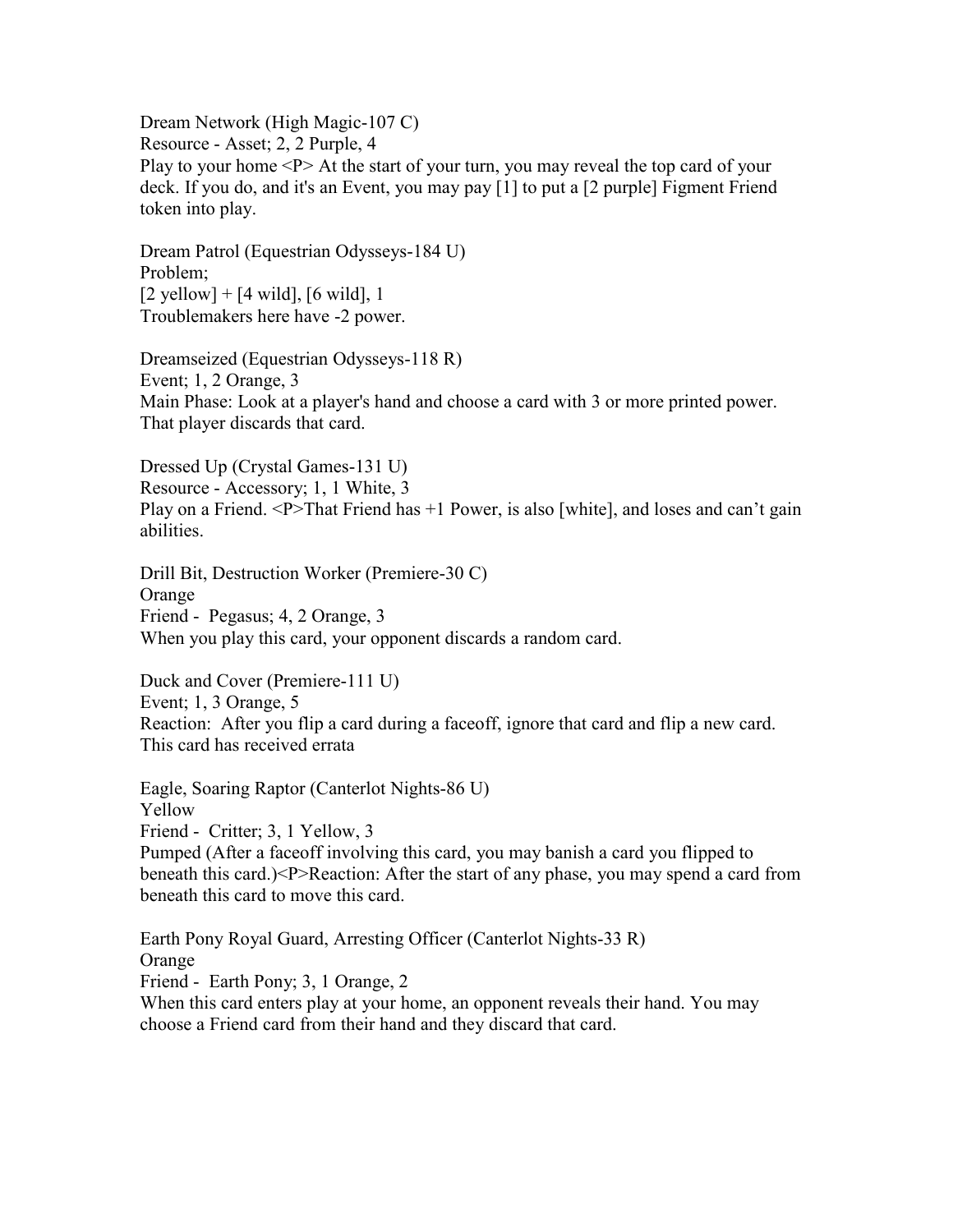Dream Network (High Magic-107 C) Resource - Asset; 2, 2 Purple, 4 Play to your home <P> At the start of your turn, you may reveal the top card of your deck. If you do, and it's an Event, you may pay [1] to put a [2 purple] Figment Friend token into play.

Dream Patrol (Equestrian Odysseys-184 U) Problem;  $[2 \text{ yellow}] + [4 \text{ wild}], [6 \text{ wild}], 1$ Troublemakers here have -2 power.

Dreamseized (Equestrian Odysseys-118 R) Event; 1, 2 Orange, 3 Main Phase: Look at a player's hand and choose a card with 3 or more printed power. That player discards that card.

Dressed Up (Crystal Games-131 U) Resource - Accessory; 1, 1 White, 3 Play on a Friend. <P>That Friend has +1 Power, is also [white], and loses and can't gain abilities.

Drill Bit, Destruction Worker (Premiere-30 C) Orange Friend - Pegasus; 4, 2 Orange, 3 When you play this card, your opponent discards a random card.

Duck and Cover (Premiere-111 U) Event; 1, 3 Orange, 5 Reaction: After you flip a card during a faceoff, ignore that card and flip a new card. This card has received errata

Eagle, Soaring Raptor (Canterlot Nights-86 U) Yellow Friend - Critter; 3, 1 Yellow, 3 Pumped (After a faceoff involving this card, you may banish a card you flipped to beneath this card.)<P>Reaction: After the start of any phase, you may spend a card from beneath this card to move this card.

Earth Pony Royal Guard, Arresting Officer (Canterlot Nights-33 R) Orange Friend - Earth Pony; 3, 1 Orange, 2 When this card enters play at your home, an opponent reveals their hand. You may choose a Friend card from their hand and they discard that card.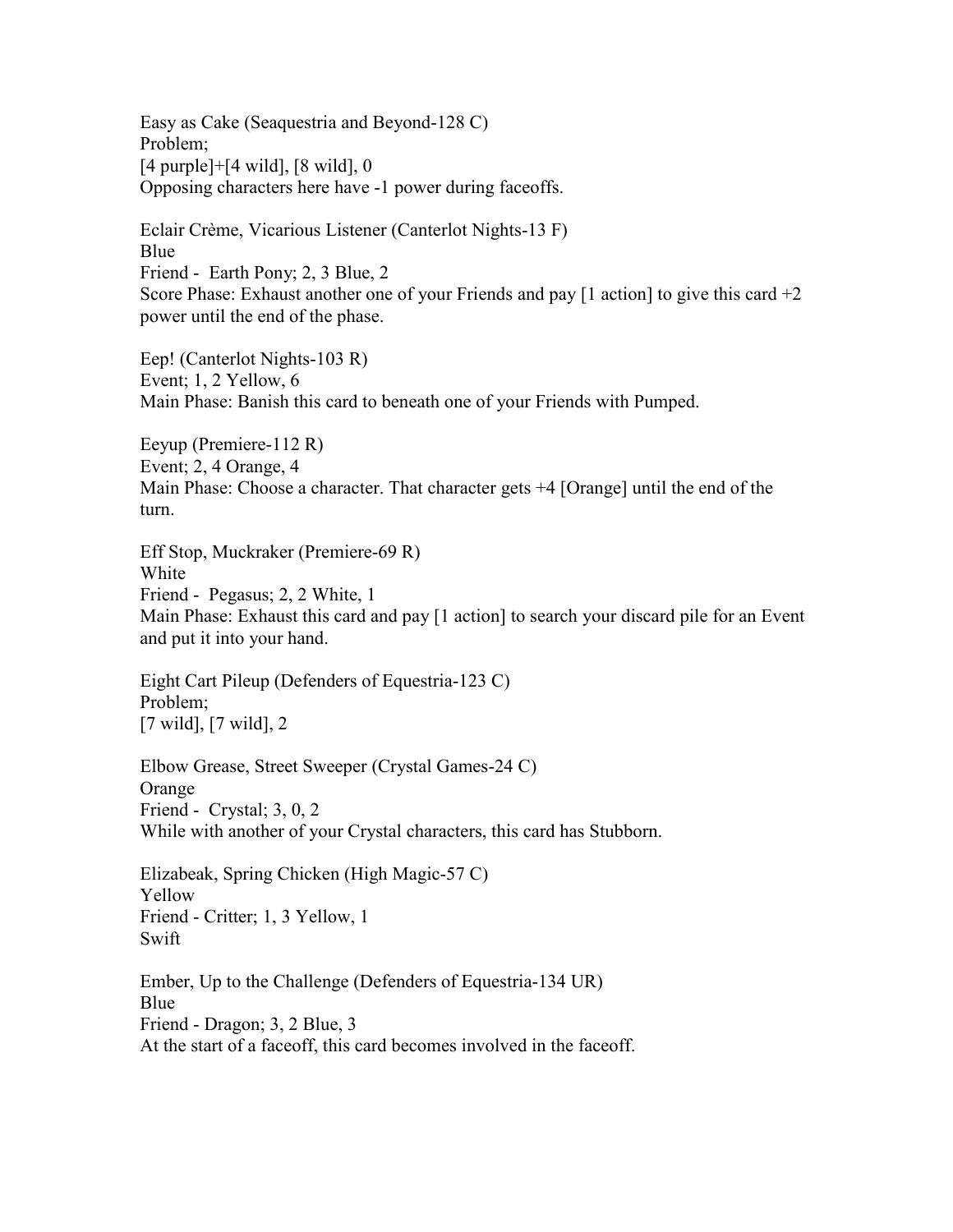Easy as Cake (Seaquestria and Beyond-128 C) Problem; [4 purple]+[4 wild], [8 wild], 0 Opposing characters here have -1 power during faceoffs.

Eclair Crème, Vicarious Listener (Canterlot Nights-13 F) Blue Friend - Earth Pony; 2, 3 Blue, 2 Score Phase: Exhaust another one of your Friends and pay  $[1 \text{ action}]$  to give this card  $+2$ power until the end of the phase.

Eep! (Canterlot Nights-103 R) Event; 1, 2 Yellow, 6 Main Phase: Banish this card to beneath one of your Friends with Pumped.

Eeyup (Premiere-112 R) Event; 2, 4 Orange, 4 Main Phase: Choose a character. That character gets +4 [Orange] until the end of the turn.

Eff Stop, Muckraker (Premiere-69 R) White Friend - Pegasus; 2, 2 White, 1 Main Phase: Exhaust this card and pay [1 action] to search your discard pile for an Event and put it into your hand.

Eight Cart Pileup (Defenders of Equestria-123 C) Problem; [7 wild], [7 wild], 2

Elbow Grease, Street Sweeper (Crystal Games-24 C) Orange Friend - Crystal; 3, 0, 2 While with another of your Crystal characters, this card has Stubborn.

Elizabeak, Spring Chicken (High Magic-57 C) Yellow Friend - Critter; 1, 3 Yellow, 1 Swift

Ember, Up to the Challenge (Defenders of Equestria-134 UR) Blue Friend - Dragon; 3, 2 Blue, 3 At the start of a faceoff, this card becomes involved in the faceoff.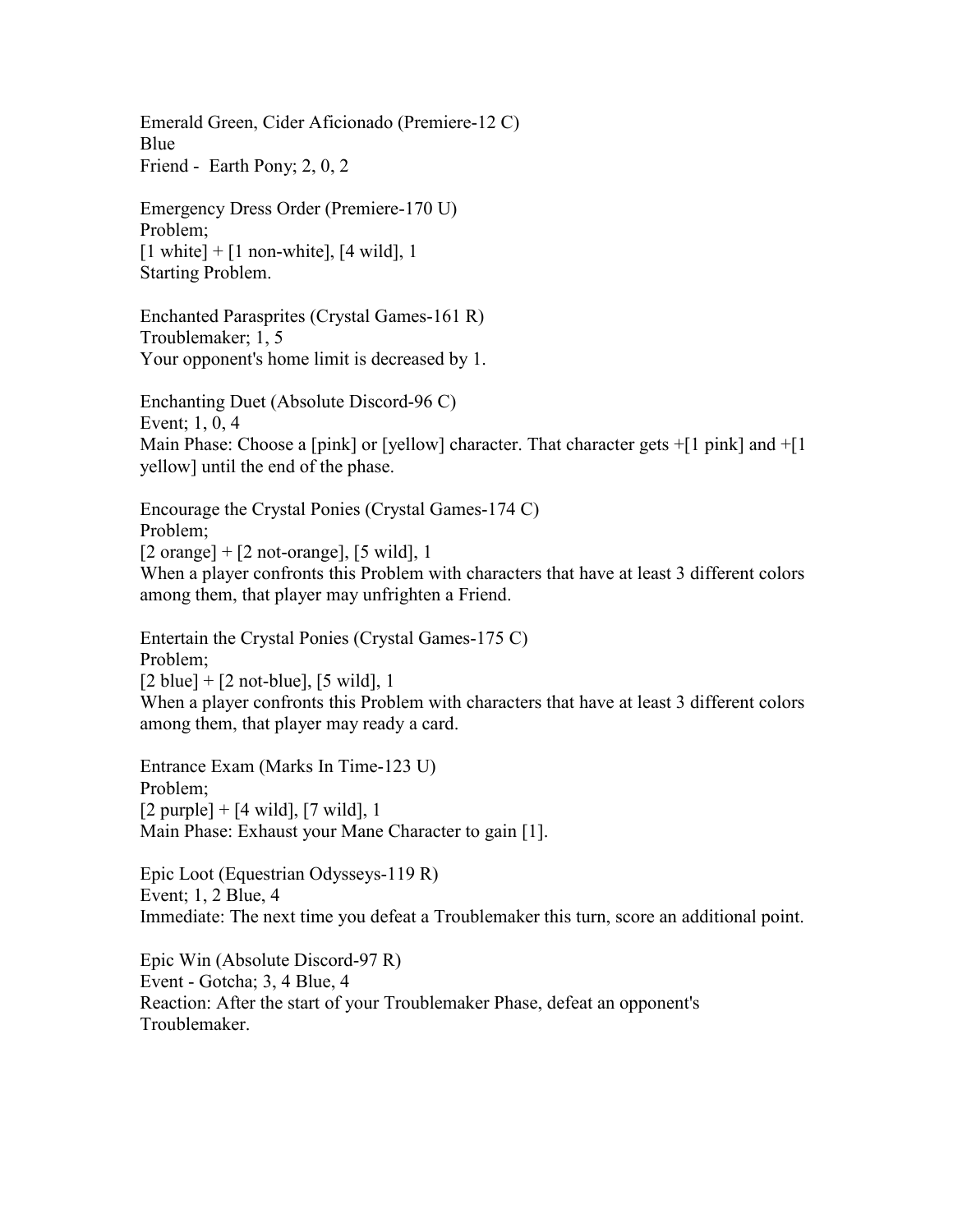Emerald Green, Cider Aficionado (Premiere-12 C) Blue Friend - Earth Pony; 2, 0, 2

Emergency Dress Order (Premiere-170 U) Problem;  $[1 \text{ white}] + [1 \text{ non-white}], [4 \text{ wild}], 1$ Starting Problem.

Enchanted Parasprites (Crystal Games-161 R) Troublemaker; 1, 5 Your opponent's home limit is decreased by 1.

Enchanting Duet (Absolute Discord-96 C) Event; 1, 0, 4 Main Phase: Choose a [pink] or [yellow] character. That character gets  $+[1 \text{ pink}]$  and  $+[1 \text{ pink}]$ yellow] until the end of the phase.

Encourage the Crystal Ponies (Crystal Games-174 C) Problem;  $[2 \text{ orange}] + [2 \text{ not-orange}], [5 \text{ wild}], 1$ When a player confronts this Problem with characters that have at least 3 different colors among them, that player may unfrighten a Friend.

Entertain the Crystal Ponies (Crystal Games-175 C) Problem;  $[2 \text{ blue}] + [2 \text{ not-blue}], [5 \text{ wild}], 1$ When a player confronts this Problem with characters that have at least 3 different colors among them, that player may ready a card.

Entrance Exam (Marks In Time-123 U) Problem;  $[2 \text{ purple}] + [4 \text{ wild}], [7 \text{ wild}], 1$ Main Phase: Exhaust your Mane Character to gain [1].

Epic Loot (Equestrian Odysseys-119 R) Event; 1, 2 Blue, 4 Immediate: The next time you defeat a Troublemaker this turn, score an additional point.

Epic Win (Absolute Discord-97 R) Event - Gotcha; 3, 4 Blue, 4 Reaction: After the start of your Troublemaker Phase, defeat an opponent's Troublemaker.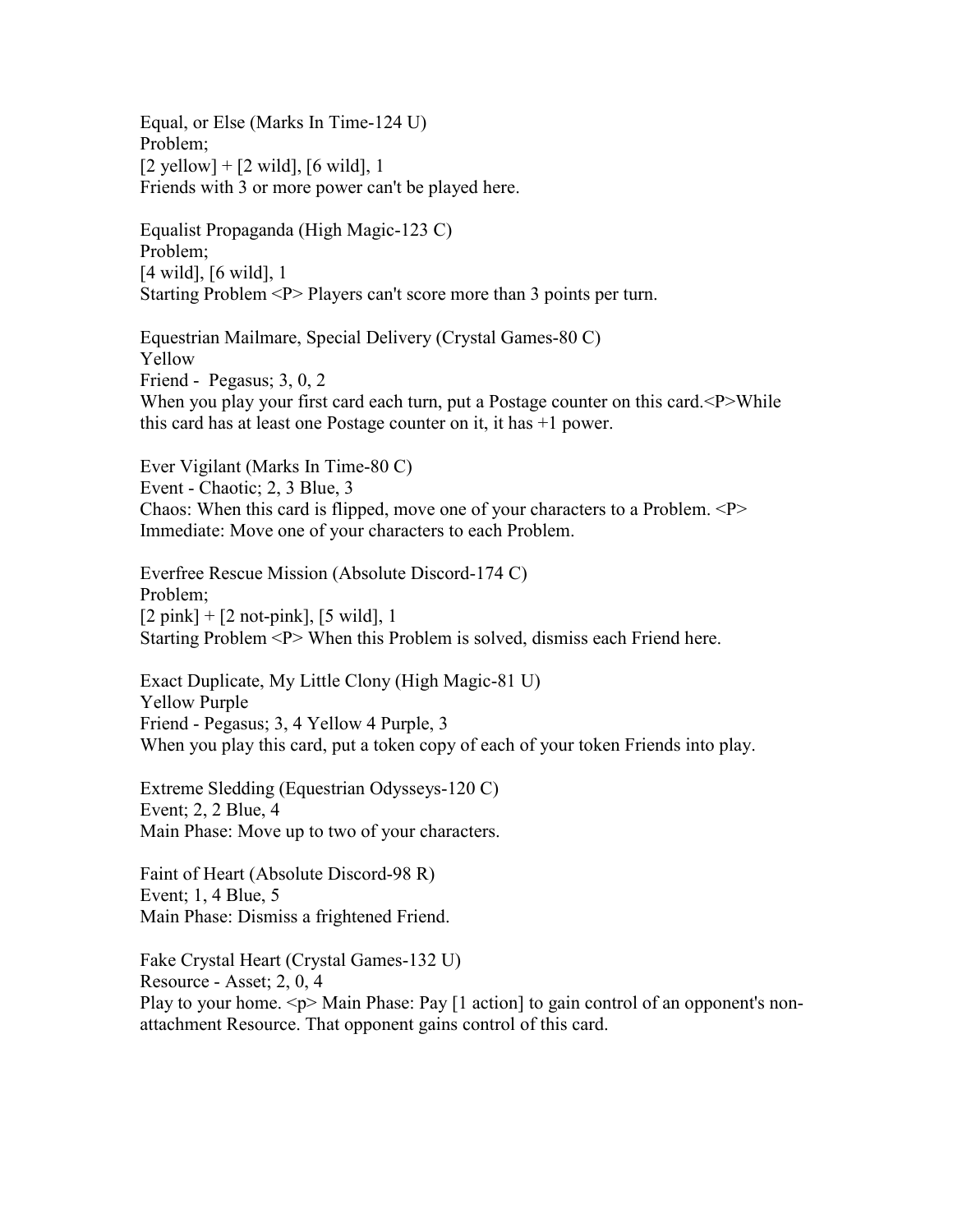Equal, or Else (Marks In Time-124 U) Problem;  $[2 \text{ yellow}] + [2 \text{ wild}], [6 \text{ wild}], 1$ Friends with 3 or more power can't be played here.

Equalist Propaganda (High Magic-123 C) Problem; [4 wild], [6 wild], 1 Starting Problem <P> Players can't score more than 3 points per turn.

Equestrian Mailmare, Special Delivery (Crystal Games-80 C) Yellow Friend - Pegasus; 3, 0, 2 When you play your first card each turn, put a Postage counter on this card.<P>While this card has at least one Postage counter on it, it has +1 power.

Ever Vigilant (Marks In Time-80 C) Event - Chaotic; 2, 3 Blue, 3 Chaos: When this card is flipped, move one of your characters to a Problem.  $P$ Immediate: Move one of your characters to each Problem.

Everfree Rescue Mission (Absolute Discord-174 C) Problem;  $[2 \text{ pink}] + [2 \text{ not-pink}], [5 \text{ wild}], 1$ Starting Problem <P> When this Problem is solved, dismiss each Friend here.

Exact Duplicate, My Little Clony (High Magic-81 U) Yellow Purple Friend - Pegasus; 3, 4 Yellow 4 Purple, 3 When you play this card, put a token copy of each of your token Friends into play.

Extreme Sledding (Equestrian Odysseys-120 C) Event; 2, 2 Blue, 4 Main Phase: Move up to two of your characters.

Faint of Heart (Absolute Discord-98 R) Event; 1, 4 Blue, 5 Main Phase: Dismiss a frightened Friend.

Fake Crystal Heart (Crystal Games-132 U) Resource - Asset; 2, 0, 4 Play to your home.  $\langle p \rangle$  Main Phase: Pay [1 action] to gain control of an opponent's nonattachment Resource. That opponent gains control of this card.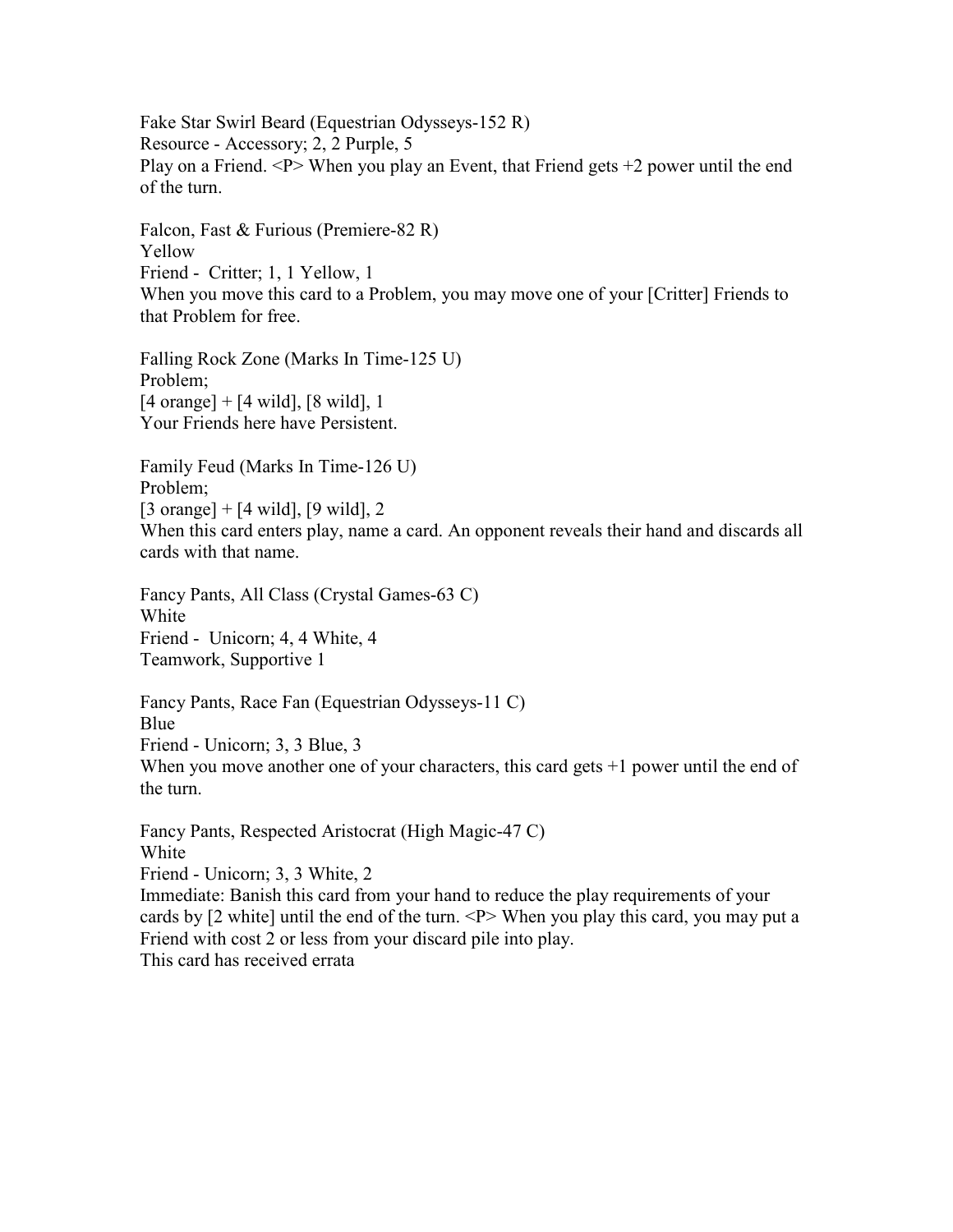Fake Star Swirl Beard (Equestrian Odysseys-152 R) Resource - Accessory; 2, 2 Purple, 5 Play on a Friend.  $\langle P \rangle$  When you play an Event, that Friend gets  $+2$  power until the end of the turn.

Falcon, Fast & Furious (Premiere-82 R) Yellow Friend - Critter; 1, 1 Yellow, 1 When you move this card to a Problem, you may move one of your [Critter] Friends to that Problem for free.

Falling Rock Zone (Marks In Time-125 U) Problem;  $[4 \text{ orange}] + [4 \text{ wild}], [8 \text{ wild}], 1$ Your Friends here have Persistent.

Family Feud (Marks In Time-126 U) Problem;  $[3 \text{ orange}] + [4 \text{ wild}], [9 \text{ wild}], 2$ When this card enters play, name a card. An opponent reveals their hand and discards all cards with that name.

Fancy Pants, All Class (Crystal Games-63 C) White Friend - Unicorn; 4, 4 White, 4 Teamwork, Supportive 1

Fancy Pants, Race Fan (Equestrian Odysseys-11 C) Blue Friend - Unicorn; 3, 3 Blue, 3 When you move another one of your characters, this card gets  $+1$  power until the end of the turn.

Fancy Pants, Respected Aristocrat (High Magic-47 C) White Friend - Unicorn; 3, 3 White, 2 Immediate: Banish this card from your hand to reduce the play requirements of your cards by [2 white] until the end of the turn. <P> When you play this card, you may put a Friend with cost 2 or less from your discard pile into play. This card has received errata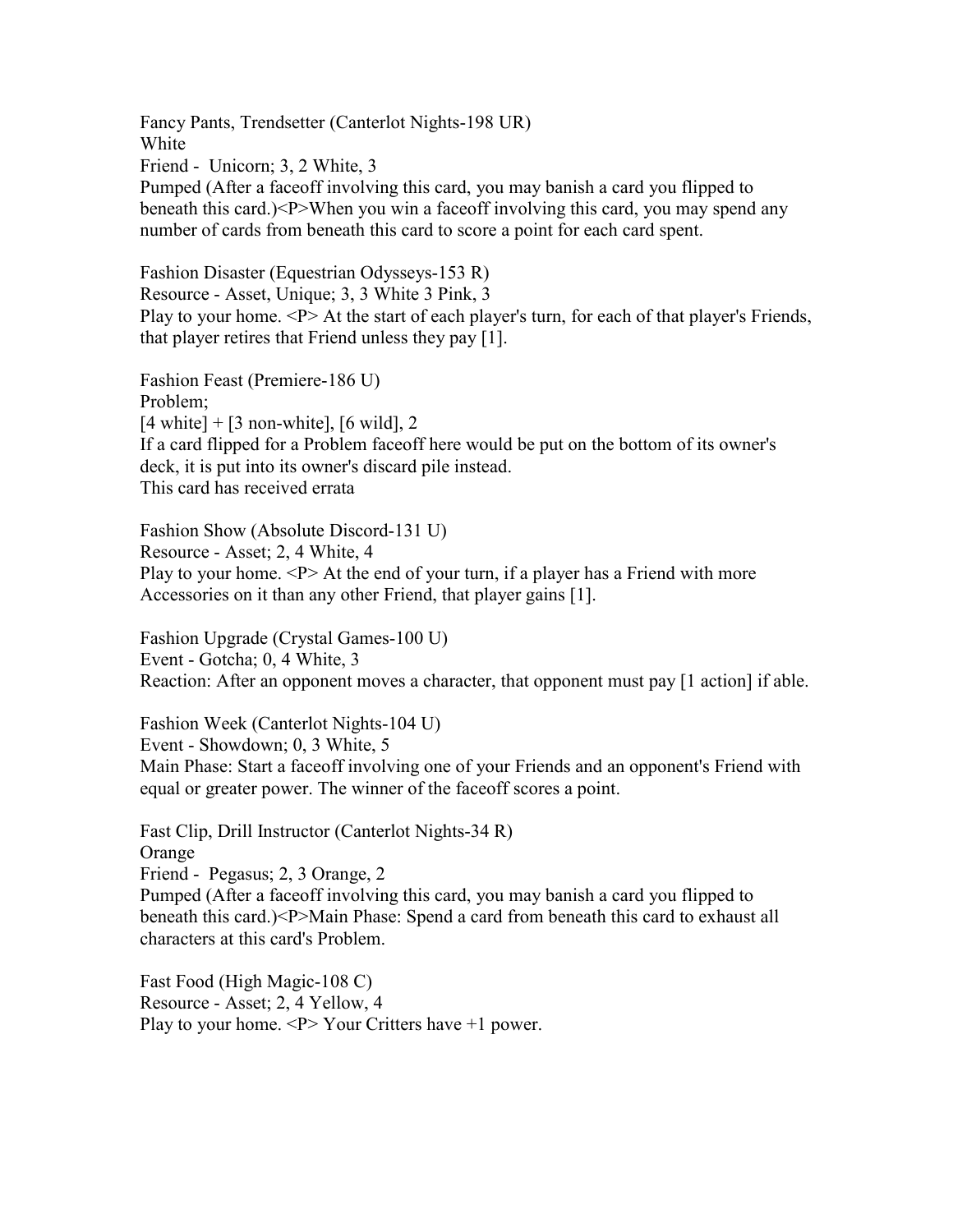Fancy Pants, Trendsetter (Canterlot Nights-198 UR) White Friend - Unicorn; 3, 2 White, 3 Pumped (After a faceoff involving this card, you may banish a card you flipped to beneath this card.)<P>When you win a faceoff involving this card, you may spend any number of cards from beneath this card to score a point for each card spent.

Fashion Disaster (Equestrian Odysseys-153 R) Resource - Asset, Unique; 3, 3 White 3 Pink, 3 Play to your home. <P> At the start of each player's turn, for each of that player's Friends, that player retires that Friend unless they pay [1].

Fashion Feast (Premiere-186 U) Problem;  $[4 \text{ white}] + [3 \text{ non-white}], [6 \text{ wild}], 2$ If a card flipped for a Problem faceoff here would be put on the bottom of its owner's deck, it is put into its owner's discard pile instead. This card has received errata

Fashion Show (Absolute Discord-131 U) Resource - Asset; 2, 4 White, 4 Play to your home.  $\langle P \rangle$  At the end of your turn, if a player has a Friend with more Accessories on it than any other Friend, that player gains [1].

Fashion Upgrade (Crystal Games-100 U) Event - Gotcha; 0, 4 White, 3 Reaction: After an opponent moves a character, that opponent must pay [1 action] if able.

Fashion Week (Canterlot Nights-104 U) Event - Showdown; 0, 3 White, 5 Main Phase: Start a faceoff involving one of your Friends and an opponent's Friend with equal or greater power. The winner of the faceoff scores a point.

Fast Clip, Drill Instructor (Canterlot Nights-34 R) Orange Friend - Pegasus; 2, 3 Orange, 2 Pumped (After a faceoff involving this card, you may banish a card you flipped to beneath this card.)<P>Main Phase: Spend a card from beneath this card to exhaust all characters at this card's Problem.

Fast Food (High Magic-108 C) Resource - Asset; 2, 4 Yellow, 4 Play to your home.  $\langle P \rangle$  Your Critters have  $+1$  power.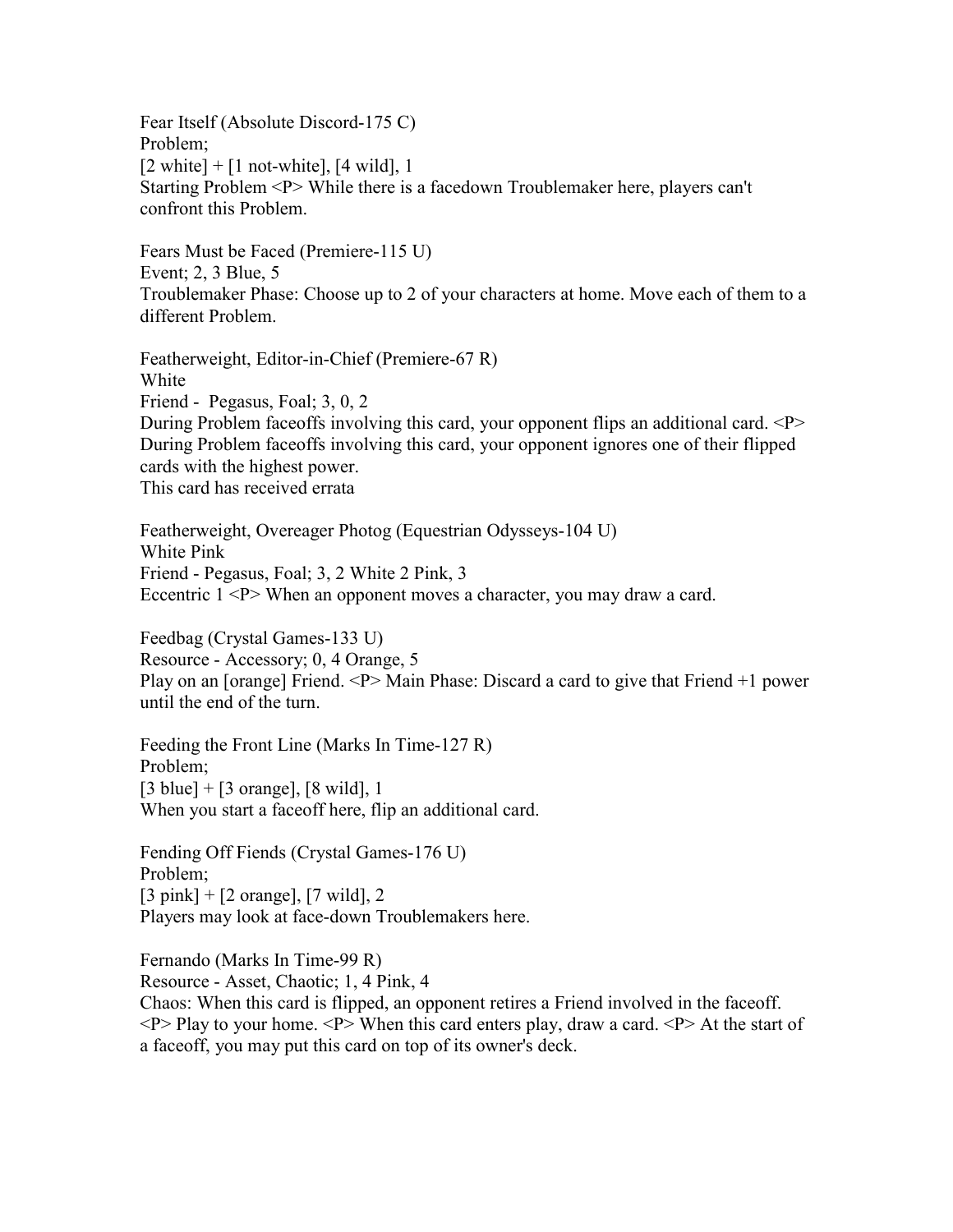Fear Itself (Absolute Discord-175 C) Problem;  $[2 \text{ white}] + [1 \text{ not-white}], [4 \text{ wild}], 1$ Starting Problem <P> While there is a facedown Troublemaker here, players can't confront this Problem.

Fears Must be Faced (Premiere-115 U) Event; 2, 3 Blue, 5 Troublemaker Phase: Choose up to 2 of your characters at home. Move each of them to a different Problem.

Featherweight, Editor-in-Chief (Premiere-67 R) White Friend - Pegasus, Foal; 3, 0, 2 During Problem faceoffs involving this card, your opponent flips an additional card. <P> During Problem faceoffs involving this card, your opponent ignores one of their flipped cards with the highest power. This card has received errata

Featherweight, Overeager Photog (Equestrian Odysseys-104 U) White Pink Friend - Pegasus, Foal; 3, 2 White 2 Pink, 3 Eccentric  $1 \le P$  When an opponent moves a character, you may draw a card.

Feedbag (Crystal Games-133 U) Resource - Accessory; 0, 4 Orange, 5 Play on an [orange] Friend.  $\langle P \rangle$  Main Phase: Discard a card to give that Friend +1 power until the end of the turn.

Feeding the Front Line (Marks In Time-127 R) Problem;  $[3 \text{ blue}] + [3 \text{ orange}], [8 \text{ wild}], 1$ When you start a faceoff here, flip an additional card.

Fending Off Fiends (Crystal Games-176 U) Problem;  $[3 \text{ pink}] + [2 \text{ orange}], [7 \text{ wild}], 2$ Players may look at face-down Troublemakers here.

Fernando (Marks In Time-99 R)

Resource - Asset, Chaotic; 1, 4 Pink, 4

Chaos: When this card is flipped, an opponent retires a Friend involved in the faceoff.  $\langle P \rangle$  Play to your home.  $\langle P \rangle$  When this card enters play, draw a card.  $\langle P \rangle$  At the start of a faceoff, you may put this card on top of its owner's deck.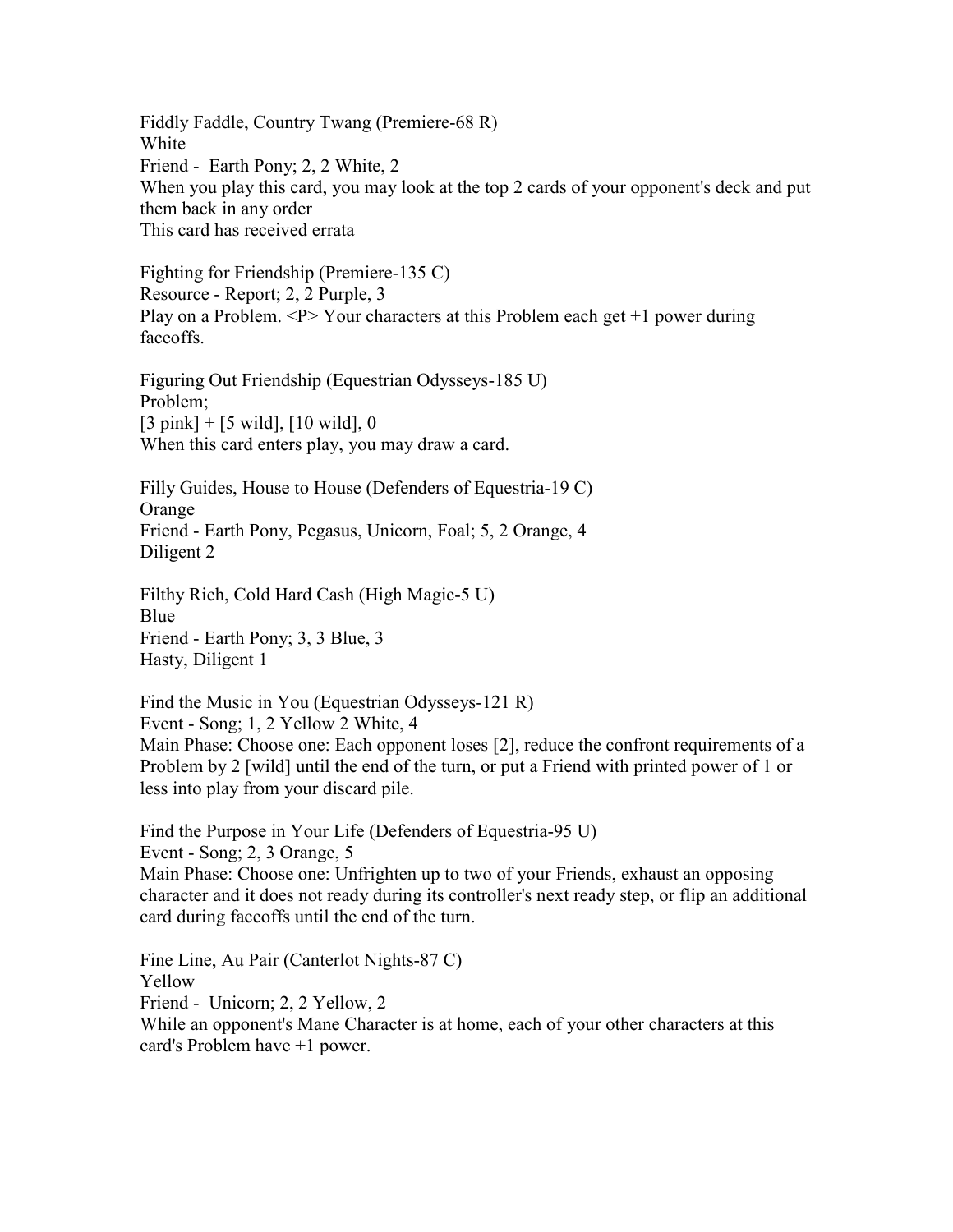Fiddly Faddle, Country Twang (Premiere-68 R) White Friend - Earth Pony; 2, 2 White, 2 When you play this card, you may look at the top 2 cards of your opponent's deck and put them back in any order This card has received errata

Fighting for Friendship (Premiere-135 C) Resource - Report; 2, 2 Purple, 3 Play on a Problem.  $\langle P \rangle$  Your characters at this Problem each get +1 power during faceoffs.

Figuring Out Friendship (Equestrian Odysseys-185 U) Problem;  $[3 \text{ pink}] + [5 \text{ wild}], [10 \text{ wild}], 0$ When this card enters play, you may draw a card.

Filly Guides, House to House (Defenders of Equestria-19 C) Orange Friend - Earth Pony, Pegasus, Unicorn, Foal; 5, 2 Orange, 4 Diligent 2

Filthy Rich, Cold Hard Cash (High Magic-5 U) Blue Friend - Earth Pony; 3, 3 Blue, 3 Hasty, Diligent 1

Find the Music in You (Equestrian Odysseys-121 R) Event - Song; 1, 2 Yellow 2 White, 4 Main Phase: Choose one: Each opponent loses [2], reduce the confront requirements of a Problem by 2 [wild] until the end of the turn, or put a Friend with printed power of 1 or less into play from your discard pile.

Find the Purpose in Your Life (Defenders of Equestria-95 U) Event - Song; 2, 3 Orange, 5 Main Phase: Choose one: Unfrighten up to two of your Friends, exhaust an opposing character and it does not ready during its controller's next ready step, or flip an additional card during faceoffs until the end of the turn.

Fine Line, Au Pair (Canterlot Nights-87 C) Yellow Friend - Unicorn; 2, 2 Yellow, 2 While an opponent's Mane Character is at home, each of your other characters at this card's Problem have +1 power.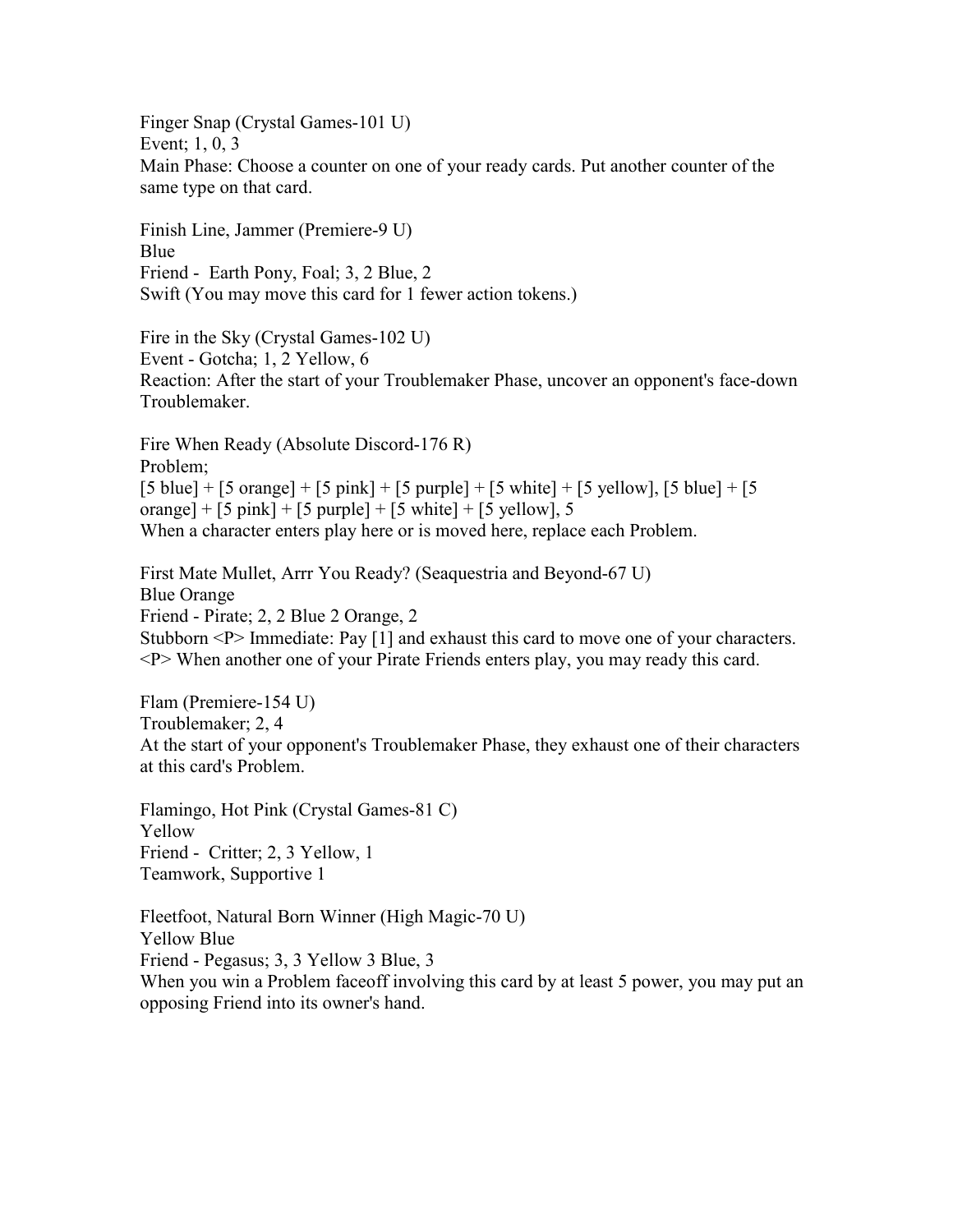Finger Snap (Crystal Games-101 U) Event; 1, 0, 3 Main Phase: Choose a counter on one of your ready cards. Put another counter of the same type on that card.

Finish Line, Jammer (Premiere-9 U) Blue Friend - Earth Pony, Foal; 3, 2 Blue, 2 Swift (You may move this card for 1 fewer action tokens.)

Fire in the Sky (Crystal Games-102 U) Event - Gotcha; 1, 2 Yellow, 6 Reaction: After the start of your Troublemaker Phase, uncover an opponent's face-down Troublemaker.

Fire When Ready (Absolute Discord-176 R) Problem;  $[5 \text{ blue}] + [5 \text{ orange}] + [5 \text{ pink}] + [5 \text{ purple}] + [5 \text{ white}] + [5 \text{ yellow}], [5 \text{ blue}] + [5$ orange] +  $[5 \text{ pink}]$  +  $[5 \text{ purple}]$  +  $[5 \text{ white}]$  +  $[5 \text{ yellow}]$ , 5 When a character enters play here or is moved here, replace each Problem.

First Mate Mullet, Arrr You Ready? (Seaquestria and Beyond-67 U) Blue Orange Friend - Pirate; 2, 2 Blue 2 Orange, 2 Stubborn <P> Immediate: Pay [1] and exhaust this card to move one of your characters. <P> When another one of your Pirate Friends enters play, you may ready this card.

Flam (Premiere-154 U) Troublemaker; 2, 4 At the start of your opponent's Troublemaker Phase, they exhaust one of their characters at this card's Problem.

Flamingo, Hot Pink (Crystal Games-81 C) Yellow Friend - Critter; 2, 3 Yellow, 1 Teamwork, Supportive 1

Fleetfoot, Natural Born Winner (High Magic-70 U) Yellow Blue Friend - Pegasus; 3, 3 Yellow 3 Blue, 3 When you win a Problem faceoff involving this card by at least 5 power, you may put an opposing Friend into its owner's hand.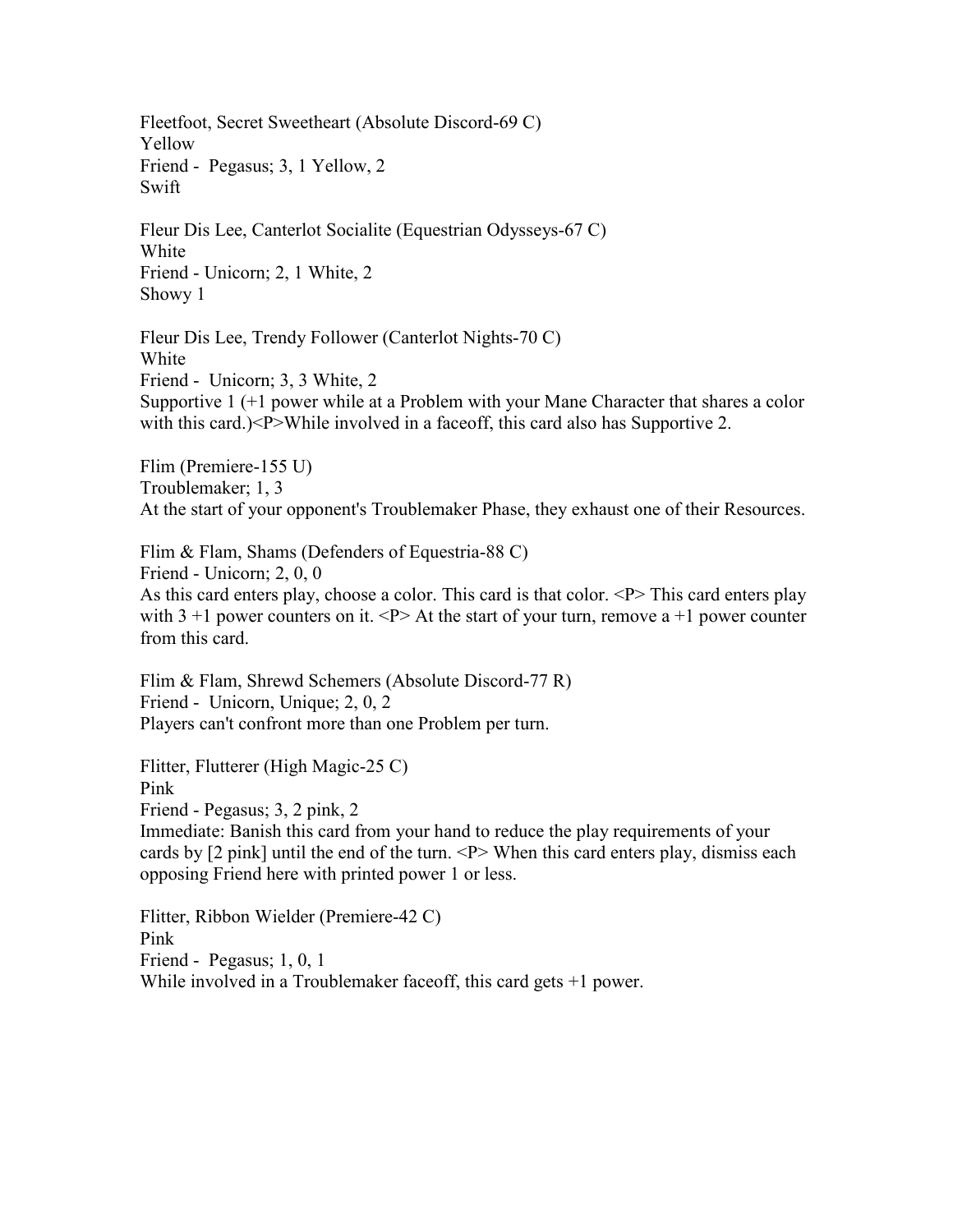Fleetfoot, Secret Sweetheart (Absolute Discord-69 C) Yellow Friend - Pegasus; 3, 1 Yellow, 2 Swift

Fleur Dis Lee, Canterlot Socialite (Equestrian Odysseys-67 C) White Friend - Unicorn; 2, 1 White, 2 Showy 1

Fleur Dis Lee, Trendy Follower (Canterlot Nights-70 C) White Friend - Unicorn; 3, 3 White, 2 Supportive 1 (+1 power while at a Problem with your Mane Character that shares a color with this card.)<P>While involved in a faceoff, this card also has Supportive 2.

Flim (Premiere-155 U) Troublemaker; 1, 3 At the start of your opponent's Troublemaker Phase, they exhaust one of their Resources.

Flim & Flam, Shams (Defenders of Equestria-88 C) Friend - Unicorn; 2, 0, 0 As this card enters play, choose a color. This card is that color. <P> This card enters play with  $3 + 1$  power counters on it.  $\langle P \rangle$  At the start of your turn, remove a +1 power counter from this card.

Flim & Flam, Shrewd Schemers (Absolute Discord-77 R) Friend - Unicorn, Unique; 2, 0, 2 Players can't confront more than one Problem per turn.

Flitter, Flutterer (High Magic-25 C)

Pink

Friend - Pegasus; 3, 2 pink, 2

Immediate: Banish this card from your hand to reduce the play requirements of your cards by [2 pink] until the end of the turn. <P> When this card enters play, dismiss each opposing Friend here with printed power 1 or less.

Flitter, Ribbon Wielder (Premiere-42 C) Pink Friend - Pegasus; 1, 0, 1 While involved in a Troublemaker faceoff, this card gets +1 power.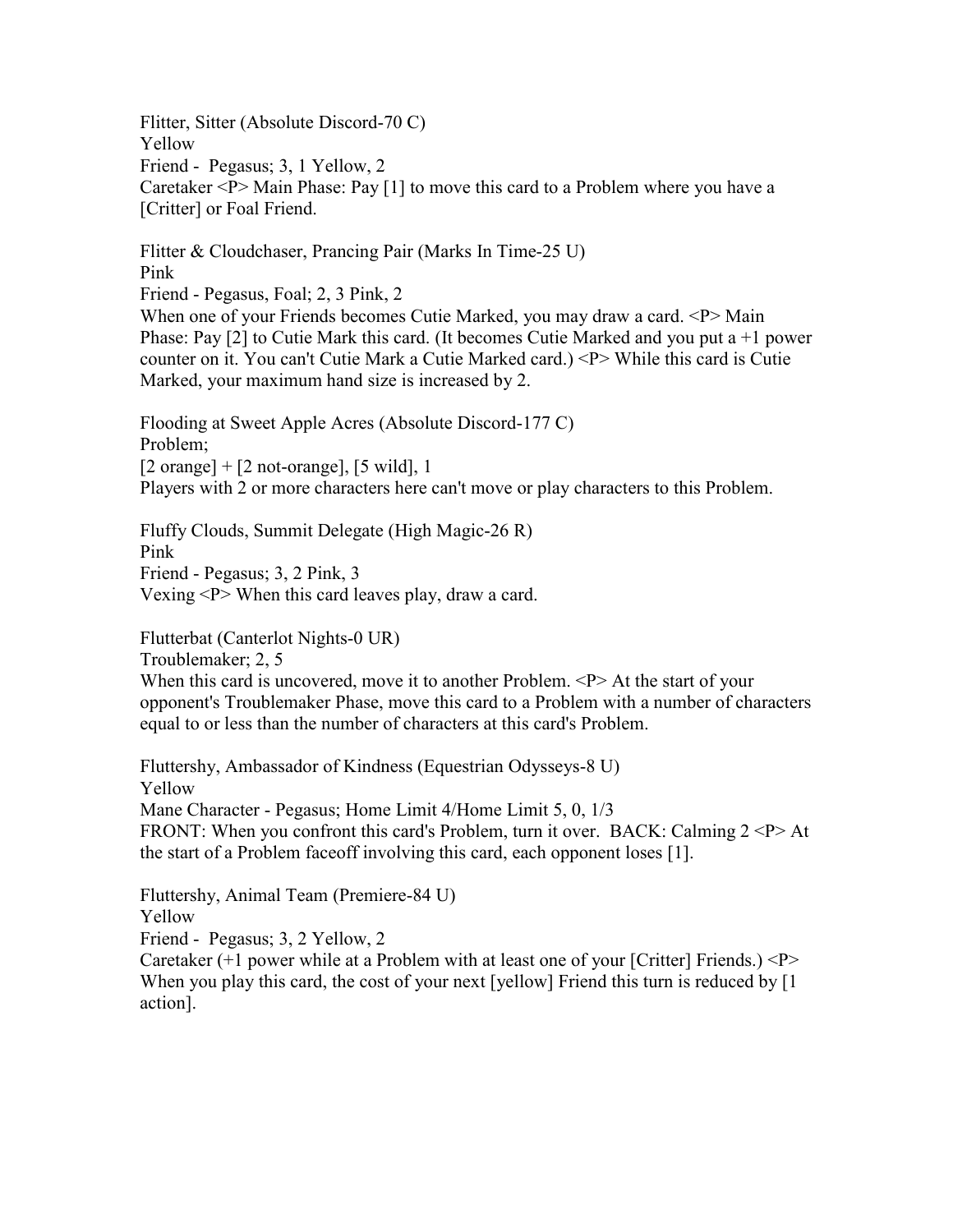Flitter, Sitter (Absolute Discord-70 C) Yellow Friend - Pegasus; 3, 1 Yellow, 2 Caretaker <P> Main Phase: Pay [1] to move this card to a Problem where you have a [Critter] or Foal Friend.

Flitter & Cloudchaser, Prancing Pair (Marks In Time-25 U) Pink Friend - Pegasus, Foal; 2, 3 Pink, 2 When one of your Friends becomes Cutie Marked, you may draw a card. <P>Main

Phase: Pay [2] to Cutie Mark this card. (It becomes Cutie Marked and you put a  $+1$  power counter on it. You can't Cutie Mark a Cutie Marked card.) <P> While this card is Cutie Marked, your maximum hand size is increased by 2.

Flooding at Sweet Apple Acres (Absolute Discord-177 C) Problem;  $[2 \text{ orange}] + [2 \text{ not-orange}], [5 \text{ wild}], 1$ Players with 2 or more characters here can't move or play characters to this Problem.

Fluffy Clouds, Summit Delegate (High Magic-26 R) Pink Friend - Pegasus; 3, 2 Pink, 3 Vexing <P> When this card leaves play, draw a card.

Flutterbat (Canterlot Nights-0 UR)

Troublemaker; 2, 5

When this card is uncovered, move it to another Problem. <P>At the start of your opponent's Troublemaker Phase, move this card to a Problem with a number of characters equal to or less than the number of characters at this card's Problem.

Fluttershy, Ambassador of Kindness (Equestrian Odysseys-8 U) Yellow Mane Character - Pegasus; Home Limit 4/Home Limit 5, 0, 1/3 FRONT: When you confront this card's Problem, turn it over. BACK: Calming  $2 < P > At$ the start of a Problem faceoff involving this card, each opponent loses [1].

Fluttershy, Animal Team (Premiere-84 U) Yellow Friend - Pegasus; 3, 2 Yellow, 2

Caretaker  $(+1)$  power while at a Problem with at least one of your [Critter] Friends.)  $\langle P \rangle$ When you play this card, the cost of your next [yellow] Friend this turn is reduced by [1] action].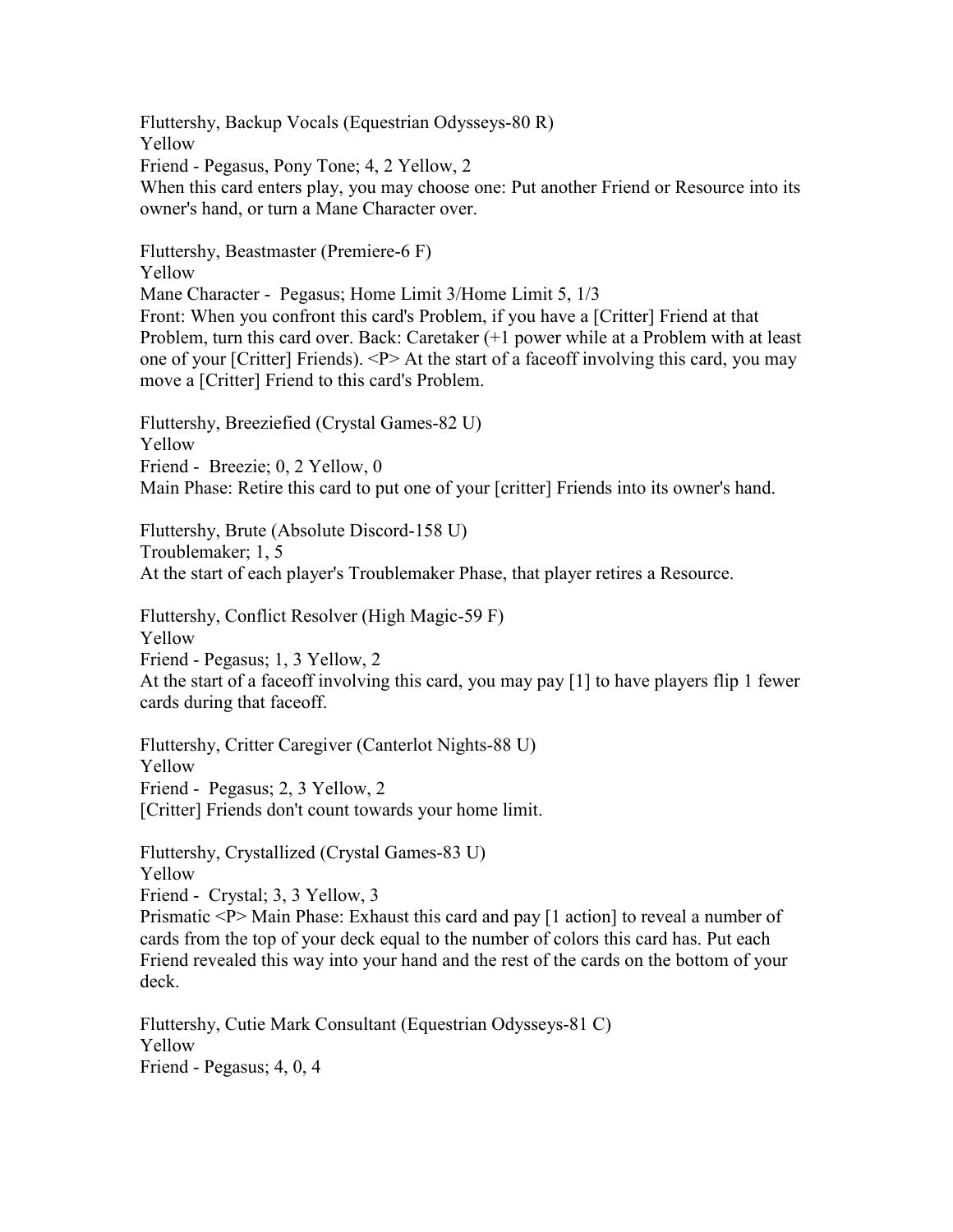Fluttershy, Backup Vocals (Equestrian Odysseys-80 R) Yellow Friend - Pegasus, Pony Tone; 4, 2 Yellow, 2 When this card enters play, you may choose one: Put another Friend or Resource into its owner's hand, or turn a Mane Character over.

Fluttershy, Beastmaster (Premiere-6 F)

Yellow

Mane Character - Pegasus; Home Limit 3/Home Limit 5, 1/3

Front: When you confront this card's Problem, if you have a [Critter] Friend at that Problem, turn this card over. Back: Caretaker (+1 power while at a Problem with at least one of your [Critter] Friends). <P> At the start of a faceoff involving this card, you may move a [Critter] Friend to this card's Problem.

Fluttershy, Breeziefied (Crystal Games-82 U) Yellow Friend - Breezie; 0, 2 Yellow, 0 Main Phase: Retire this card to put one of your [critter] Friends into its owner's hand.

Fluttershy, Brute (Absolute Discord-158 U) Troublemaker; 1, 5 At the start of each player's Troublemaker Phase, that player retires a Resource.

Fluttershy, Conflict Resolver (High Magic-59 F) Yellow Friend - Pegasus; 1, 3 Yellow, 2

At the start of a faceoff involving this card, you may pay [1] to have players flip 1 fewer cards during that faceoff.

Fluttershy, Critter Caregiver (Canterlot Nights-88 U) Yellow Friend - Pegasus; 2, 3 Yellow, 2 [Critter] Friends don't count towards your home limit.

Fluttershy, Crystallized (Crystal Games-83 U) Yellow

Friend - Crystal; 3, 3 Yellow, 3

Prismatic <P> Main Phase: Exhaust this card and pay [1 action] to reveal a number of cards from the top of your deck equal to the number of colors this card has. Put each Friend revealed this way into your hand and the rest of the cards on the bottom of your deck.

Fluttershy, Cutie Mark Consultant (Equestrian Odysseys-81 C) Yellow Friend - Pegasus; 4, 0, 4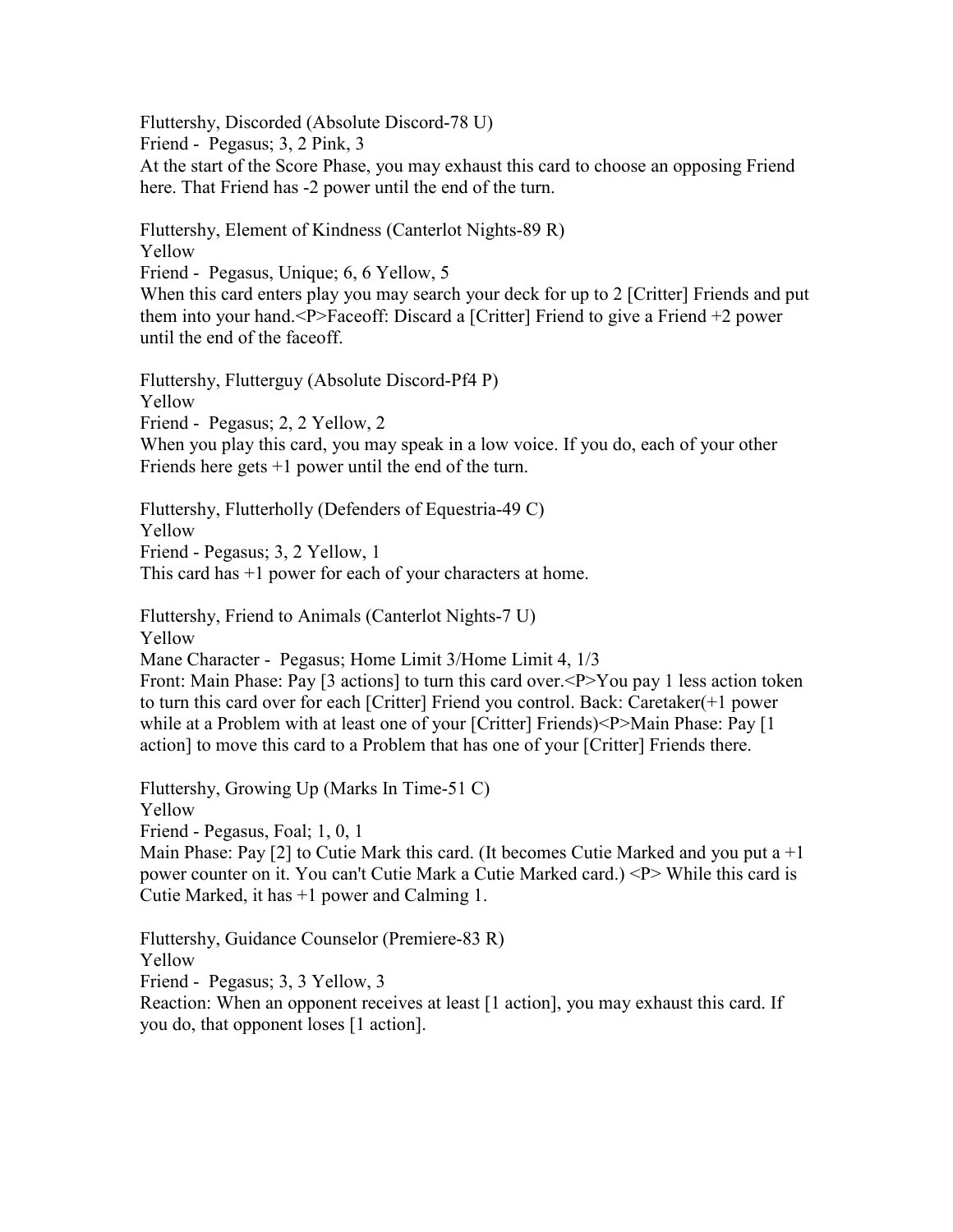Fluttershy, Discorded (Absolute Discord-78 U) Friend - Pegasus; 3, 2 Pink, 3 At the start of the Score Phase, you may exhaust this card to choose an opposing Friend here. That Friend has -2 power until the end of the turn.

Fluttershy, Element of Kindness (Canterlot Nights-89 R) Yellow Friend - Pegasus, Unique; 6, 6 Yellow, 5 When this card enters play you may search your deck for up to 2 [Critter] Friends and put them into your hand.<P>Faceoff: Discard a [Critter] Friend to give a Friend +2 power

until the end of the faceoff.

Fluttershy, Flutterguy (Absolute Discord-Pf4 P) Yellow Friend - Pegasus; 2, 2 Yellow, 2 When you play this card, you may speak in a low voice. If you do, each of your other Friends here gets  $+1$  power until the end of the turn.

Fluttershy, Flutterholly (Defenders of Equestria-49 C) Yellow Friend - Pegasus; 3, 2 Yellow, 1 This card has +1 power for each of your characters at home.

Fluttershy, Friend to Animals (Canterlot Nights-7 U) Yellow Mane Character - Pegasus; Home Limit 3/Home Limit 4, 1/3

Front: Main Phase: Pay [3 actions] to turn this card over.  $\langle P \rangle$ You pay 1 less action token to turn this card over for each [Critter] Friend you control. Back: Caretaker(+1 power while at a Problem with at least one of your [Critter] Friends)<P>Main Phase: Pay [1 action] to move this card to a Problem that has one of your [Critter] Friends there.

Fluttershy, Growing Up (Marks In Time-51 C) Yellow Friend - Pegasus, Foal; 1, 0, 1

Main Phase: Pay  $[2]$  to Cutie Mark this card. (It becomes Cutie Marked and you put a  $+1$ power counter on it. You can't Cutie Mark a Cutie Marked card.) <P> While this card is Cutie Marked, it has +1 power and Calming 1.

Fluttershy, Guidance Counselor (Premiere-83 R) Yellow Friend - Pegasus; 3, 3 Yellow, 3 Reaction: When an opponent receives at least [1 action], you may exhaust this card. If you do, that opponent loses [1 action].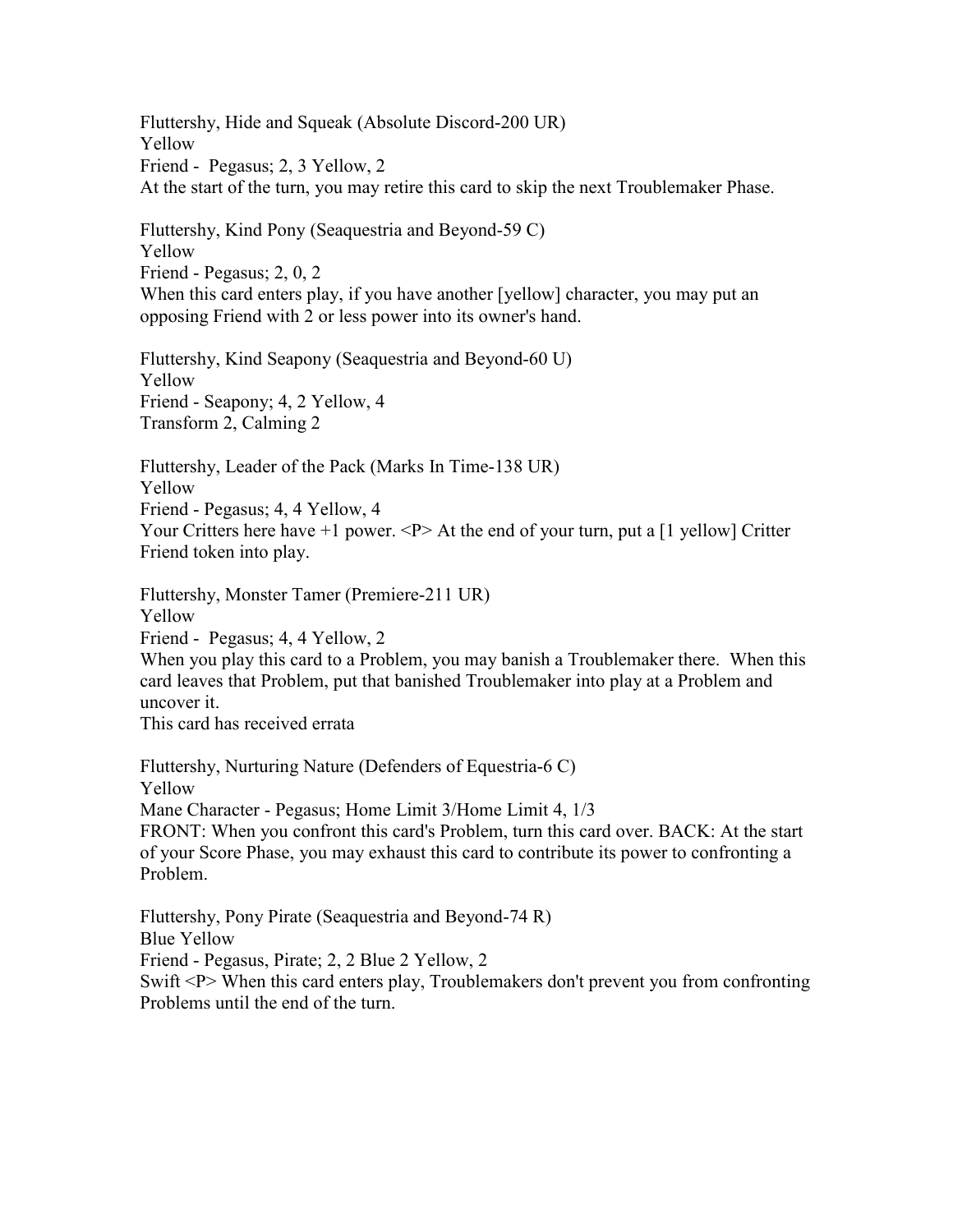Fluttershy, Hide and Squeak (Absolute Discord-200 UR) Yellow Friend - Pegasus; 2, 3 Yellow, 2 At the start of the turn, you may retire this card to skip the next Troublemaker Phase.

Fluttershy, Kind Pony (Seaquestria and Beyond-59 C) Yellow Friend - Pegasus; 2, 0, 2 When this card enters play, if you have another [yellow] character, you may put an opposing Friend with 2 or less power into its owner's hand.

Fluttershy, Kind Seapony (Seaquestria and Beyond-60 U) Yellow Friend - Seapony; 4, 2 Yellow, 4 Transform 2, Calming 2

Fluttershy, Leader of the Pack (Marks In Time-138 UR) Yellow Friend - Pegasus; 4, 4 Yellow, 4 Your Critters here have +1 power. <P> At the end of your turn, put a [1 yellow] Critter Friend token into play.

Fluttershy, Monster Tamer (Premiere-211 UR)

Yellow

Friend - Pegasus; 4, 4 Yellow, 2

When you play this card to a Problem, you may banish a Troublemaker there. When this card leaves that Problem, put that banished Troublemaker into play at a Problem and uncover it.

This card has received errata

Fluttershy, Nurturing Nature (Defenders of Equestria-6 C) Yellow Mane Character - Pegasus; Home Limit 3/Home Limit 4, 1/3 FRONT: When you confront this card's Problem, turn this card over. BACK: At the start of your Score Phase, you may exhaust this card to contribute its power to confronting a Problem.

Fluttershy, Pony Pirate (Seaquestria and Beyond-74 R) Blue Yellow Friend - Pegasus, Pirate; 2, 2 Blue 2 Yellow, 2 Swift <P> When this card enters play, Troublemakers don't prevent you from confronting Problems until the end of the turn.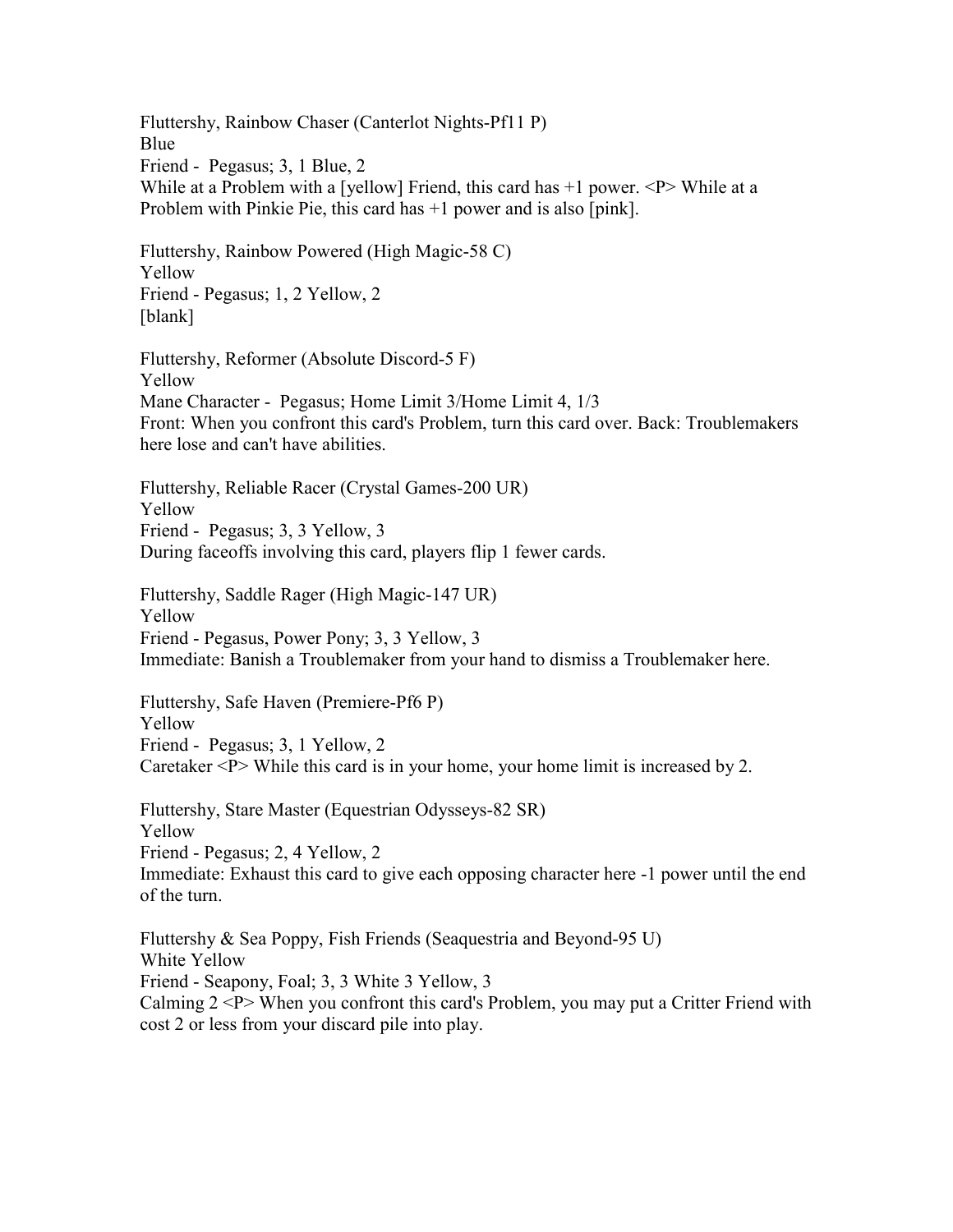Fluttershy, Rainbow Chaser (Canterlot Nights-Pf11 P) Blue Friend - Pegasus; 3, 1 Blue, 2 While at a Problem with a [yellow] Friend, this card has  $+1$  power.  $\langle P \rangle$  While at a Problem with Pinkie Pie, this card has +1 power and is also [pink].

Fluttershy, Rainbow Powered (High Magic-58 C) Yellow Friend - Pegasus; 1, 2 Yellow, 2 [blank]

Fluttershy, Reformer (Absolute Discord-5 F) Yellow Mane Character - Pegasus; Home Limit 3/Home Limit 4, 1/3 Front: When you confront this card's Problem, turn this card over. Back: Troublemakers here lose and can't have abilities.

Fluttershy, Reliable Racer (Crystal Games-200 UR) Yellow Friend - Pegasus; 3, 3 Yellow, 3 During faceoffs involving this card, players flip 1 fewer cards.

Fluttershy, Saddle Rager (High Magic-147 UR) Yellow Friend - Pegasus, Power Pony; 3, 3 Yellow, 3 Immediate: Banish a Troublemaker from your hand to dismiss a Troublemaker here.

Fluttershy, Safe Haven (Premiere-Pf6 P) Yellow Friend - Pegasus; 3, 1 Yellow, 2 Caretaker <P> While this card is in your home, your home limit is increased by 2.

Fluttershy, Stare Master (Equestrian Odysseys-82 SR) Yellow Friend - Pegasus; 2, 4 Yellow, 2 Immediate: Exhaust this card to give each opposing character here -1 power until the end of the turn.

Fluttershy & Sea Poppy, Fish Friends (Seaquestria and Beyond-95 U) White Yellow Friend - Seapony, Foal; 3, 3 White 3 Yellow, 3 Calming  $2 < P$  When you confront this card's Problem, you may put a Critter Friend with cost 2 or less from your discard pile into play.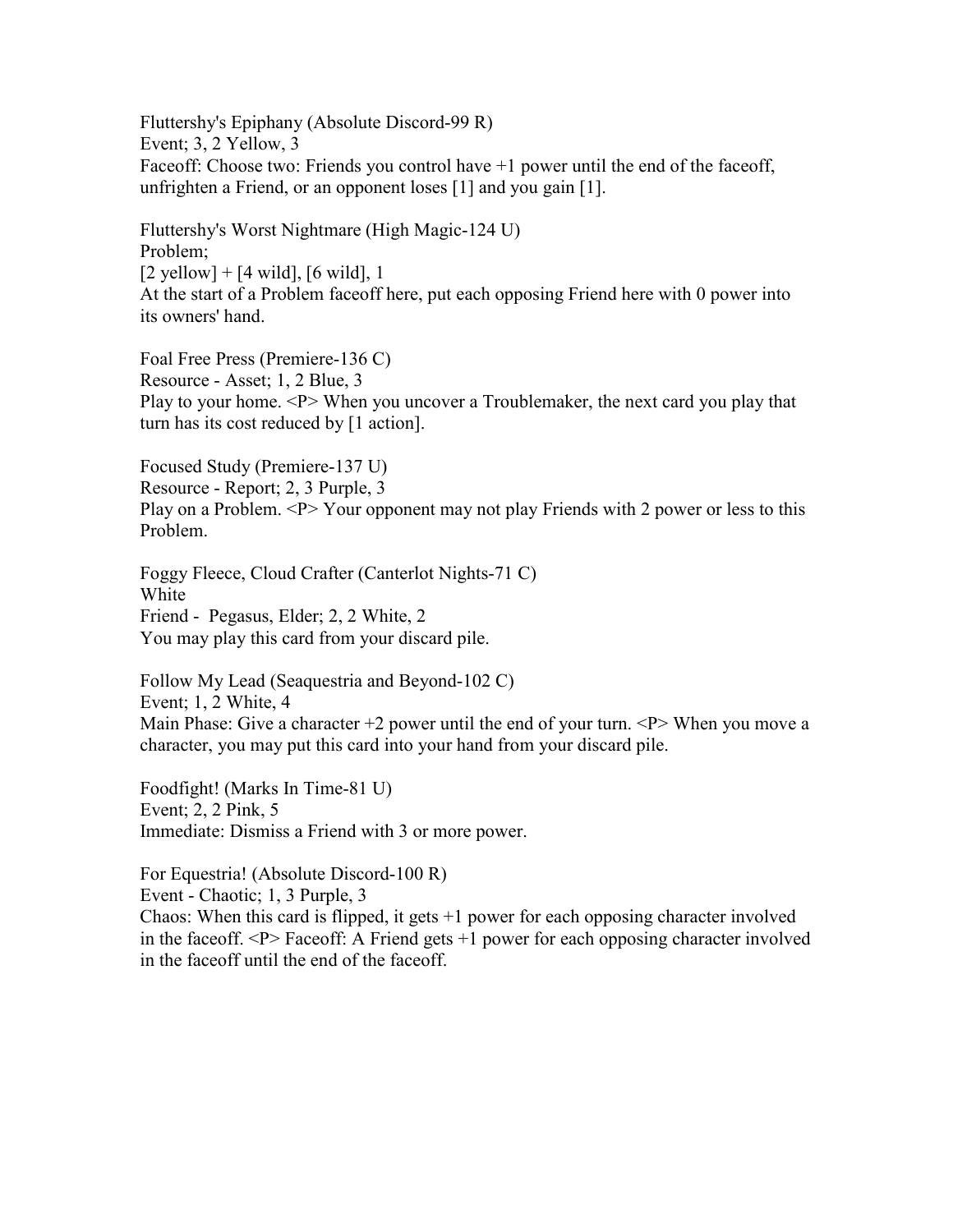Fluttershy's Epiphany (Absolute Discord-99 R) Event; 3, 2 Yellow, 3 Faceoff: Choose two: Friends you control have +1 power until the end of the faceoff, unfrighten a Friend, or an opponent loses [1] and you gain [1].

Fluttershy's Worst Nightmare (High Magic-124 U) Problem;  $[2 \text{ yellow}] + [4 \text{ wild}], [6 \text{ wild}], 1$ At the start of a Problem faceoff here, put each opposing Friend here with 0 power into its owners' hand.

Foal Free Press (Premiere-136 C) Resource - Asset; 1, 2 Blue, 3 Play to your home. <P> When you uncover a Troublemaker, the next card you play that turn has its cost reduced by [1 action].

Focused Study (Premiere-137 U) Resource - Report; 2, 3 Purple, 3 Play on a Problem. <P> Your opponent may not play Friends with 2 power or less to this Problem.

Foggy Fleece, Cloud Crafter (Canterlot Nights-71 C) White Friend - Pegasus, Elder; 2, 2 White, 2 You may play this card from your discard pile.

Follow My Lead (Seaquestria and Beyond-102 C) Event; 1, 2 White, 4 Main Phase: Give a character  $+2$  power until the end of your turn.  $\langle P \rangle$  When you move a character, you may put this card into your hand from your discard pile.

Foodfight! (Marks In Time-81 U) Event; 2, 2 Pink, 5 Immediate: Dismiss a Friend with 3 or more power.

For Equestria! (Absolute Discord-100 R)

Event - Chaotic; 1, 3 Purple, 3

Chaos: When this card is flipped, it gets  $+1$  power for each opposing character involved in the faceoff. <P> Faceoff: A Friend gets +1 power for each opposing character involved in the faceoff until the end of the faceoff.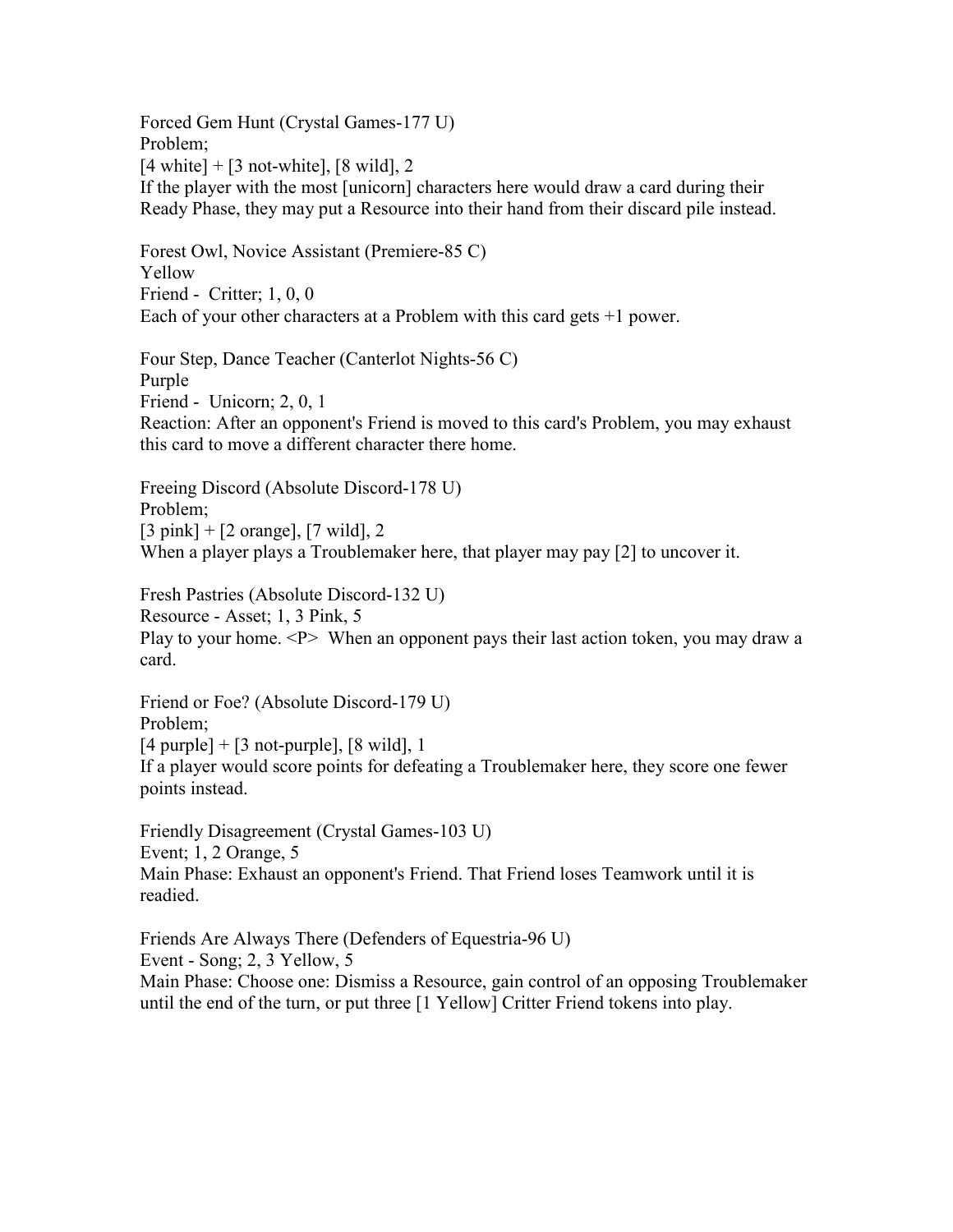Forced Gem Hunt (Crystal Games-177 U) Problem;  $[4 \text{ white}] + [3 \text{ not-white}], [8 \text{ wild}], 2$ If the player with the most [unicorn] characters here would draw a card during their Ready Phase, they may put a Resource into their hand from their discard pile instead. Forest Owl, Novice Assistant (Premiere-85 C) Yellow Friend - Critter; 1, 0, 0 Each of your other characters at a Problem with this card gets +1 power. Four Step, Dance Teacher (Canterlot Nights-56 C) Purple Friend - Unicorn; 2, 0, 1 Reaction: After an opponent's Friend is moved to this card's Problem, you may exhaust this card to move a different character there home. Freeing Discord (Absolute Discord-178 U) Problem;  $[3 \text{ pink}] + [2 \text{ orange}], [7 \text{ wild}], 2$ When a player plays a Troublemaker here, that player may pay [2] to uncover it. Fresh Pastries (Absolute Discord-132 U) Resource - Asset; 1, 3 Pink, 5 Play to your home.  $\langle P \rangle$  When an opponent pays their last action token, you may draw a card. Friend or Foe? (Absolute Discord-179 U) Problem;  $[4$  purple] +  $[3$  not-purple],  $[8 \text{ wild}]$ , 1 If a player would score points for defeating a Troublemaker here, they score one fewer points instead. Friendly Disagreement (Crystal Games-103 U) Event; 1, 2 Orange, 5

Main Phase: Exhaust an opponent's Friend. That Friend loses Teamwork until it is readied.

Friends Are Always There (Defenders of Equestria-96 U) Event - Song; 2, 3 Yellow, 5 Main Phase: Choose one: Dismiss a Resource, gain control of an opposing Troublemaker until the end of the turn, or put three [1 Yellow] Critter Friend tokens into play.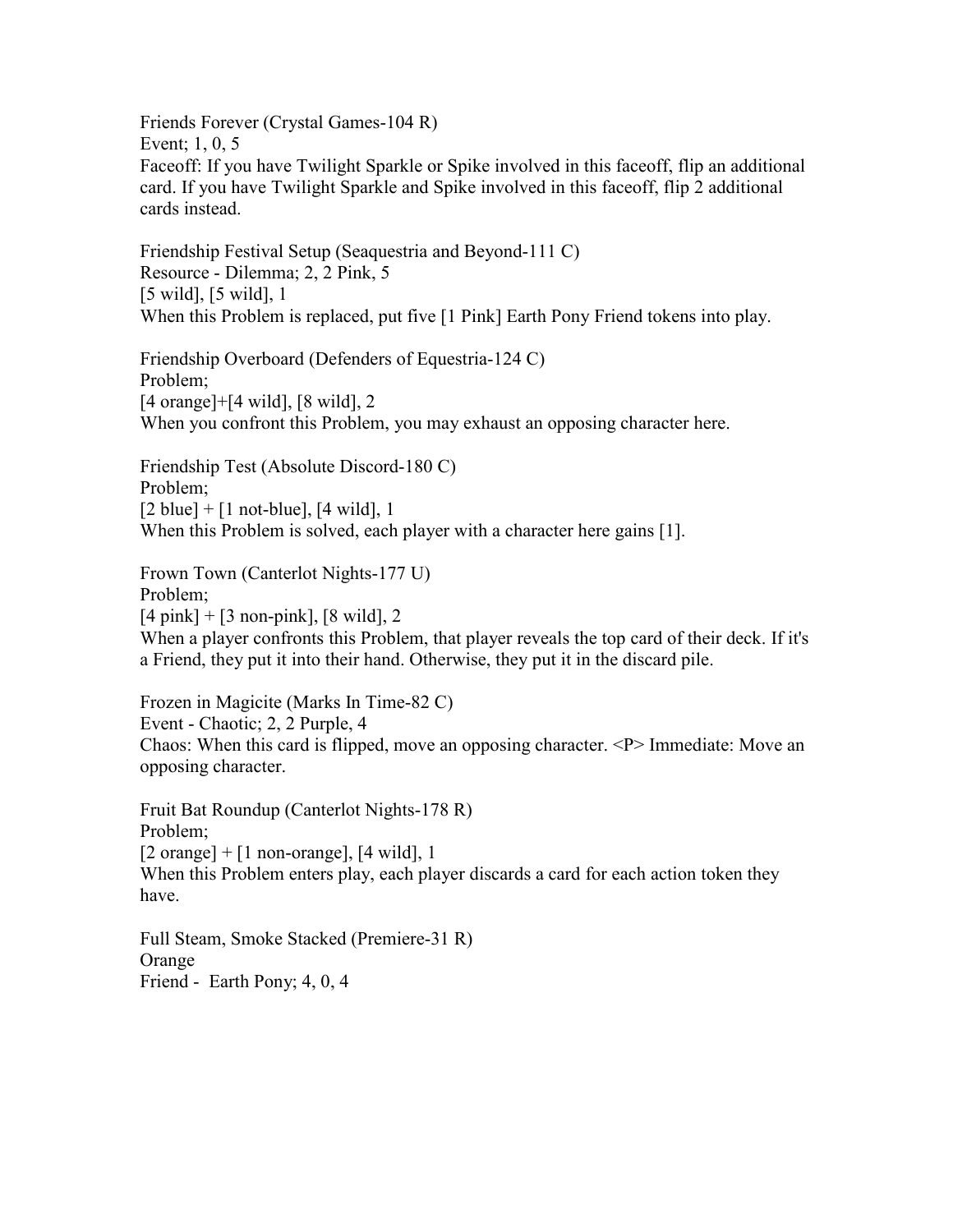Friends Forever (Crystal Games-104 R) Event; 1, 0, 5 Faceoff: If you have Twilight Sparkle or Spike involved in this faceoff, flip an additional card. If you have Twilight Sparkle and Spike involved in this faceoff, flip 2 additional cards instead.

Friendship Festival Setup (Seaquestria and Beyond-111 C) Resource - Dilemma; 2, 2 Pink, 5 [5 wild], [5 wild], 1 When this Problem is replaced, put five [1 Pink] Earth Pony Friend tokens into play.

Friendship Overboard (Defenders of Equestria-124 C) Problem; [4 orange]+[4 wild], [8 wild], 2 When you confront this Problem, you may exhaust an opposing character here.

Friendship Test (Absolute Discord-180 C) Problem;  $[2 \text{ blue}] + [1 \text{ not-blue}], [4 \text{ wild}], 1$ When this Problem is solved, each player with a character here gains [1].

Frown Town (Canterlot Nights-177 U) Problem;  $[4 \text{ pink}] + [3 \text{ non-pink}]$ ,  $[8 \text{ wild}]$ , 2 When a player confronts this Problem, that player reveals the top card of their deck. If it's a Friend, they put it into their hand. Otherwise, they put it in the discard pile.

Frozen in Magicite (Marks In Time-82 C) Event - Chaotic; 2, 2 Purple, 4 Chaos: When this card is flipped, move an opposing character. <P> Immediate: Move an opposing character.

Fruit Bat Roundup (Canterlot Nights-178 R) Problem;  $[2 \text{ orange}] + [1 \text{ non-orange}], [4 \text{ wild}], 1$ When this Problem enters play, each player discards a card for each action token they have.

Full Steam, Smoke Stacked (Premiere-31 R) Orange Friend - Earth Pony; 4, 0, 4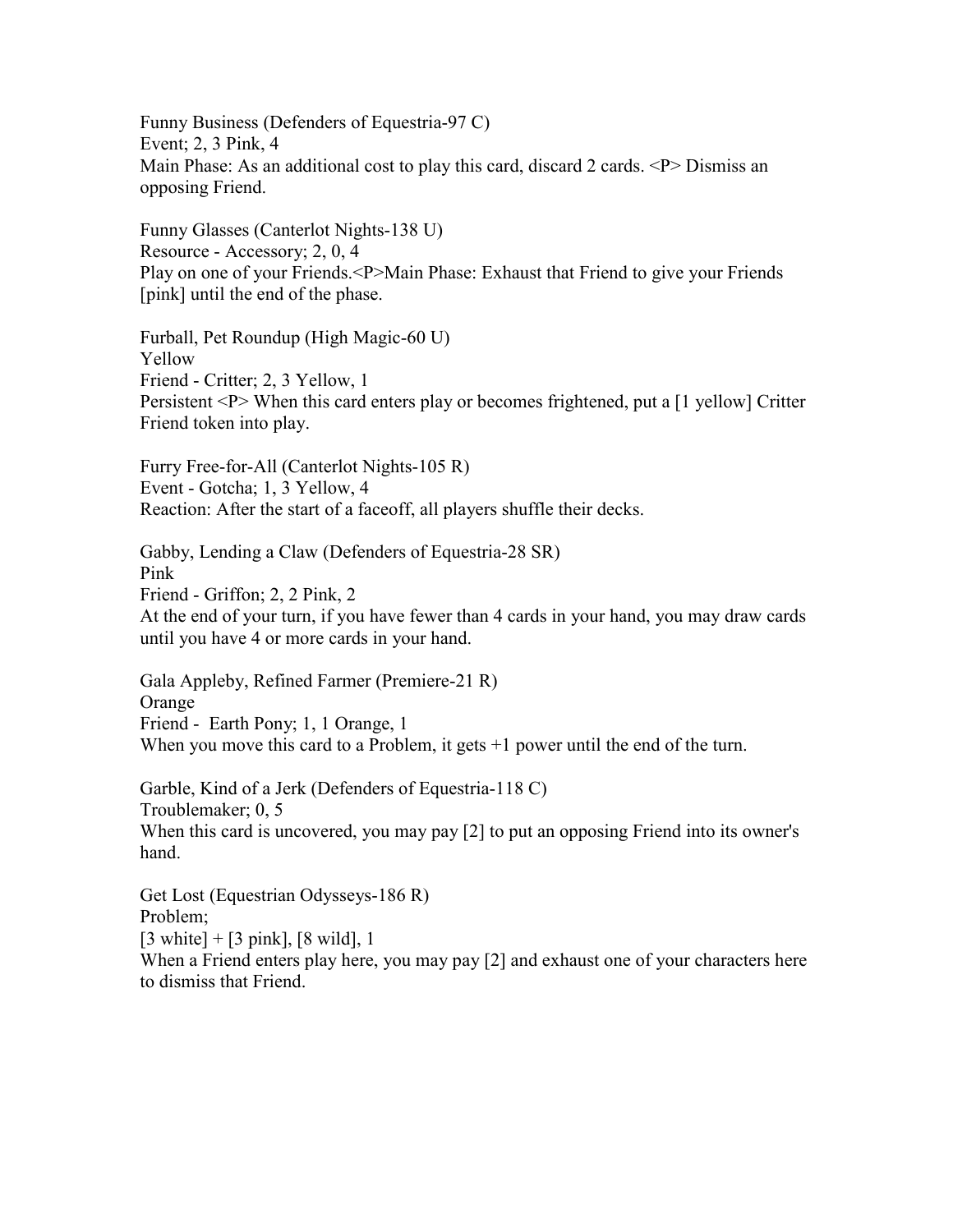Funny Business (Defenders of Equestria-97 C) Event; 2, 3 Pink, 4 Main Phase: As an additional cost to play this card, discard 2 cards.  $\langle P \rangle$  Dismiss an opposing Friend.

Funny Glasses (Canterlot Nights-138 U) Resource - Accessory; 2, 0, 4 Play on one of your Friends.<P>Main Phase: Exhaust that Friend to give your Friends [pink] until the end of the phase.

Furball, Pet Roundup (High Magic-60 U) Yellow Friend - Critter; 2, 3 Yellow, 1 Persistent <P> When this card enters play or becomes frightened, put a [1 yellow] Critter Friend token into play.

Furry Free-for-All (Canterlot Nights-105 R) Event - Gotcha; 1, 3 Yellow, 4 Reaction: After the start of a faceoff, all players shuffle their decks.

Gabby, Lending a Claw (Defenders of Equestria-28 SR) Pink Friend - Griffon; 2, 2 Pink, 2 At the end of your turn, if you have fewer than 4 cards in your hand, you may draw cards until you have 4 or more cards in your hand.

Gala Appleby, Refined Farmer (Premiere-21 R) Orange Friend - Earth Pony; 1, 1 Orange, 1 When you move this card to a Problem, it gets  $+1$  power until the end of the turn.

Garble, Kind of a Jerk (Defenders of Equestria-118 C) Troublemaker; 0, 5 When this card is uncovered, you may pay [2] to put an opposing Friend into its owner's hand.

Get Lost (Equestrian Odysseys-186 R) Problem;  $[3 \text{ white}] + [3 \text{ pink}], [8 \text{ wild}], 1$ When a Friend enters play here, you may pay [2] and exhaust one of your characters here to dismiss that Friend.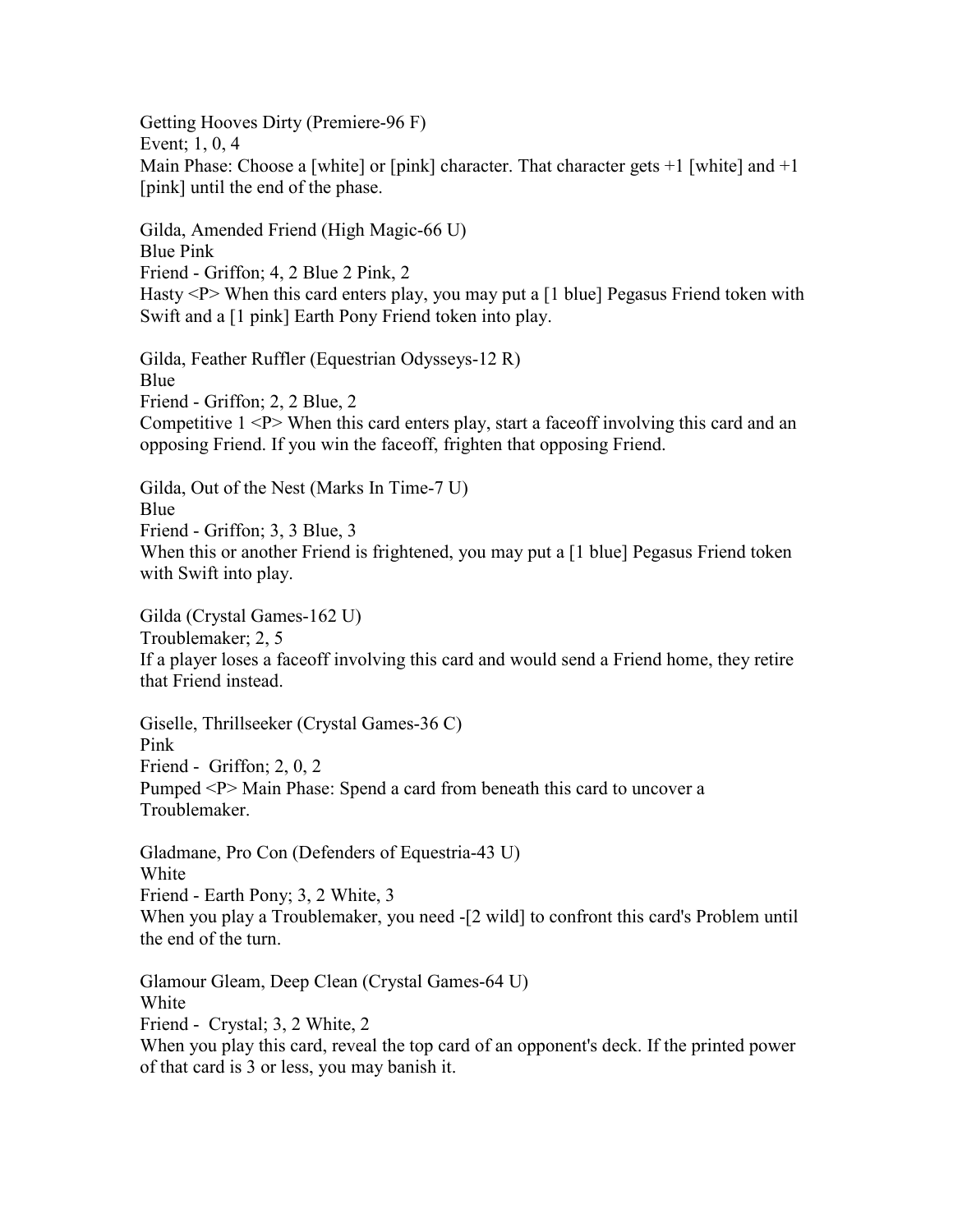Getting Hooves Dirty (Premiere-96 F) Event; 1, 0, 4 Main Phase: Choose a [white] or [pink] character. That character gets  $+1$  [white] and  $+1$ [pink] until the end of the phase.

Gilda, Amended Friend (High Magic-66 U) Blue Pink Friend - Griffon; 4, 2 Blue 2 Pink, 2 Hasty <P> When this card enters play, you may put a [1 blue] Pegasus Friend token with Swift and a [1 pink] Earth Pony Friend token into play.

Gilda, Feather Ruffler (Equestrian Odysseys-12 R) Blue Friend - Griffon; 2, 2 Blue, 2 Competitive  $1 \le P$  When this card enters play, start a face of involving this card and an opposing Friend. If you win the faceoff, frighten that opposing Friend.

Gilda, Out of the Nest (Marks In Time-7 U) Blue Friend - Griffon; 3, 3 Blue, 3 When this or another Friend is frightened, you may put a [1 blue] Pegasus Friend token with Swift into play.

Gilda (Crystal Games-162 U) Troublemaker; 2, 5 If a player loses a faceoff involving this card and would send a Friend home, they retire that Friend instead.

Giselle, Thrillseeker (Crystal Games-36 C) Pink Friend - Griffon; 2, 0, 2 Pumped <P> Main Phase: Spend a card from beneath this card to uncover a Troublemaker.

Gladmane, Pro Con (Defenders of Equestria-43 U) White Friend - Earth Pony; 3, 2 White, 3 When you play a Troublemaker, you need -[2 wild] to confront this card's Problem until the end of the turn.

Glamour Gleam, Deep Clean (Crystal Games-64 U) White Friend - Crystal; 3, 2 White, 2 When you play this card, reveal the top card of an opponent's deck. If the printed power of that card is 3 or less, you may banish it.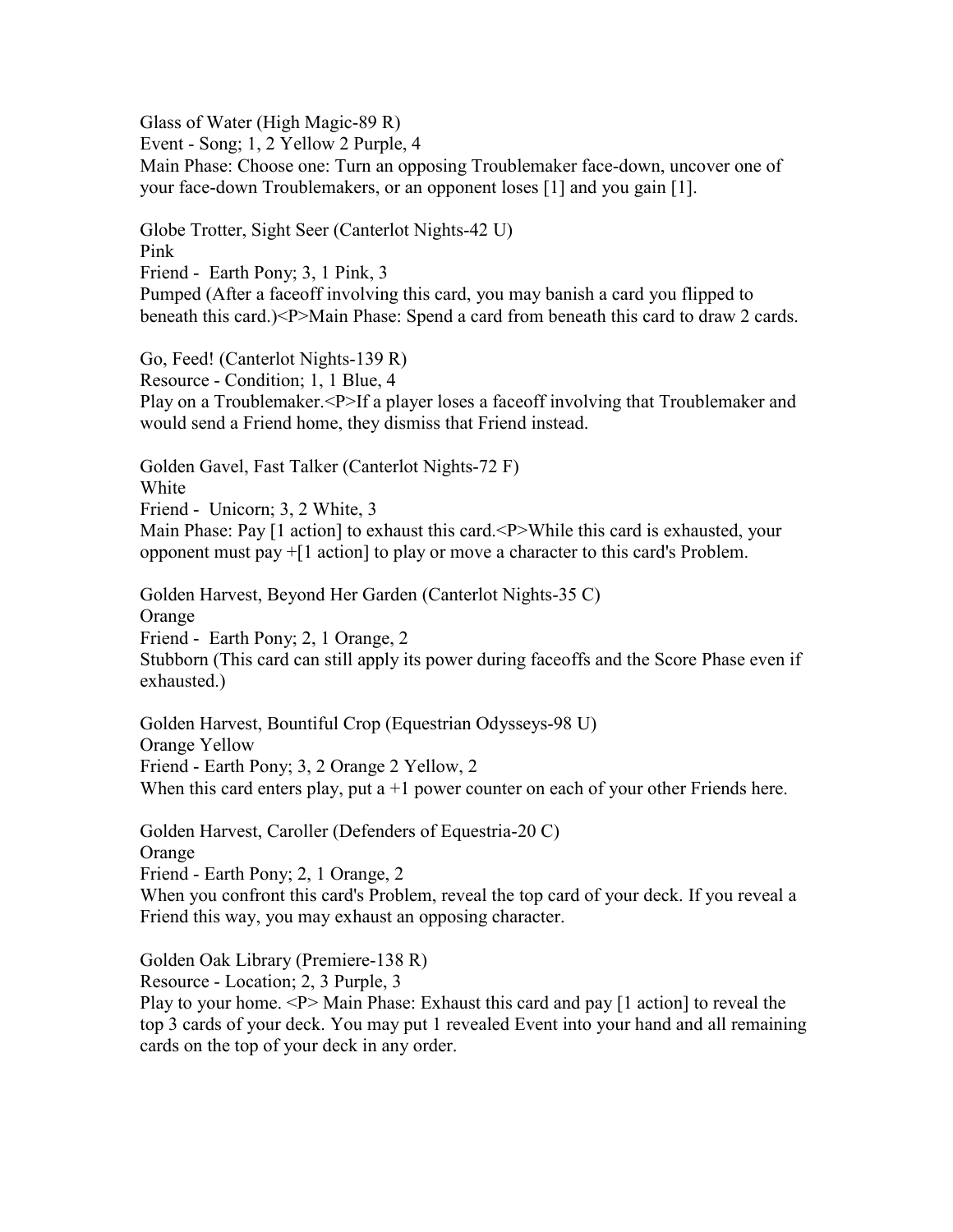Glass of Water (High Magic-89 R)

Event - Song; 1, 2 Yellow 2 Purple, 4

Main Phase: Choose one: Turn an opposing Troublemaker face-down, uncover one of your face-down Troublemakers, or an opponent loses [1] and you gain [1].

Globe Trotter, Sight Seer (Canterlot Nights-42 U) Pink Friend - Earth Pony; 3, 1 Pink, 3 Pumped (After a faceoff involving this card, you may banish a card you flipped to beneath this card.)<P>Main Phase: Spend a card from beneath this card to draw 2 cards.

Go, Feed! (Canterlot Nights-139 R) Resource - Condition; 1, 1 Blue, 4 Play on a Troublemaker.<P>If a player loses a faceoff involving that Troublemaker and would send a Friend home, they dismiss that Friend instead.

Golden Gavel, Fast Talker (Canterlot Nights-72 F) White Friend - Unicorn; 3, 2 White, 3 Main Phase: Pay [1 action] to exhaust this card.<P>While this card is exhausted, your opponent must pay +[1 action] to play or move a character to this card's Problem.

Golden Harvest, Beyond Her Garden (Canterlot Nights-35 C) Orange Friend - Earth Pony; 2, 1 Orange, 2 Stubborn (This card can still apply its power during faceoffs and the Score Phase even if exhausted.)

Golden Harvest, Bountiful Crop (Equestrian Odysseys-98 U) Orange Yellow Friend - Earth Pony; 3, 2 Orange 2 Yellow, 2 When this card enters play, put  $a + 1$  power counter on each of your other Friends here.

Golden Harvest, Caroller (Defenders of Equestria-20 C) Orange Friend - Earth Pony; 2, 1 Orange, 2 When you confront this card's Problem, reveal the top card of your deck. If you reveal a Friend this way, you may exhaust an opposing character.

Golden Oak Library (Premiere-138 R)

Resource - Location; 2, 3 Purple, 3

Play to your home. <P> Main Phase: Exhaust this card and pay [1 action] to reveal the top 3 cards of your deck. You may put 1 revealed Event into your hand and all remaining cards on the top of your deck in any order.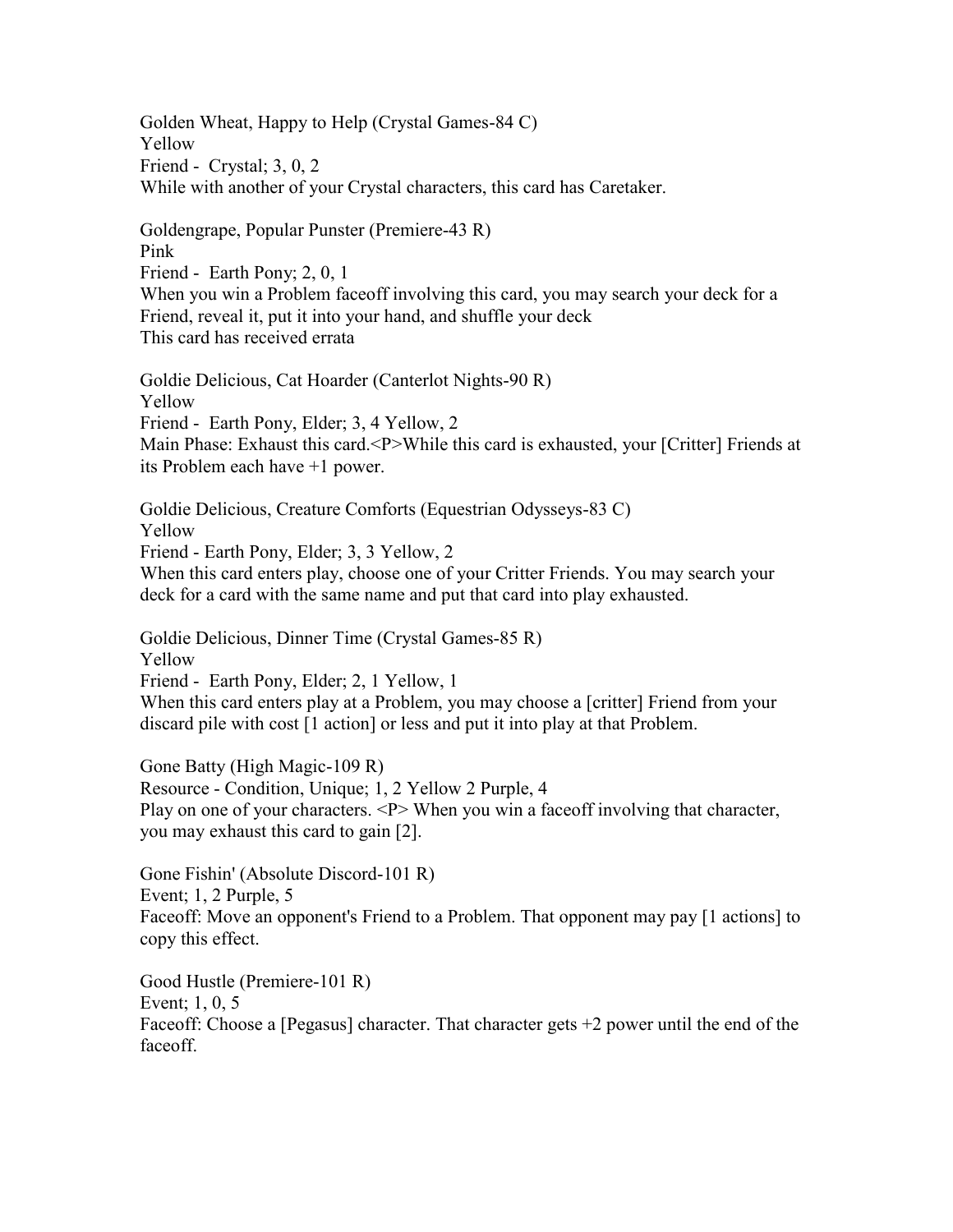Golden Wheat, Happy to Help (Crystal Games-84 C) Yellow Friend - Crystal; 3, 0, 2 While with another of your Crystal characters, this card has Caretaker.

Goldengrape, Popular Punster (Premiere-43 R) Pink Friend - Earth Pony; 2, 0, 1 When you win a Problem faceoff involving this card, you may search your deck for a Friend, reveal it, put it into your hand, and shuffle your deck This card has received errata

Goldie Delicious, Cat Hoarder (Canterlot Nights-90 R) Yellow Friend - Earth Pony, Elder; 3, 4 Yellow, 2 Main Phase: Exhaust this card.<P>While this card is exhausted, your [Critter] Friends at its Problem each have +1 power.

Goldie Delicious, Creature Comforts (Equestrian Odysseys-83 C) Yellow Friend - Earth Pony, Elder; 3, 3 Yellow, 2 When this card enters play, choose one of your Critter Friends. You may search your deck for a card with the same name and put that card into play exhausted.

Goldie Delicious, Dinner Time (Crystal Games-85 R) Yellow Friend - Earth Pony, Elder; 2, 1 Yellow, 1 When this card enters play at a Problem, you may choose a [critter] Friend from your discard pile with cost [1 action] or less and put it into play at that Problem.

Gone Batty (High Magic-109 R) Resource - Condition, Unique; 1, 2 Yellow 2 Purple, 4 Play on one of your characters. <P> When you win a face of involving that character, you may exhaust this card to gain [2].

Gone Fishin' (Absolute Discord-101 R) Event; 1, 2 Purple, 5 Faceoff: Move an opponent's Friend to a Problem. That opponent may pay [1 actions] to copy this effect.

Good Hustle (Premiere-101 R) Event; 1, 0, 5 Faceoff: Choose a [Pegasus] character. That character gets +2 power until the end of the faceoff.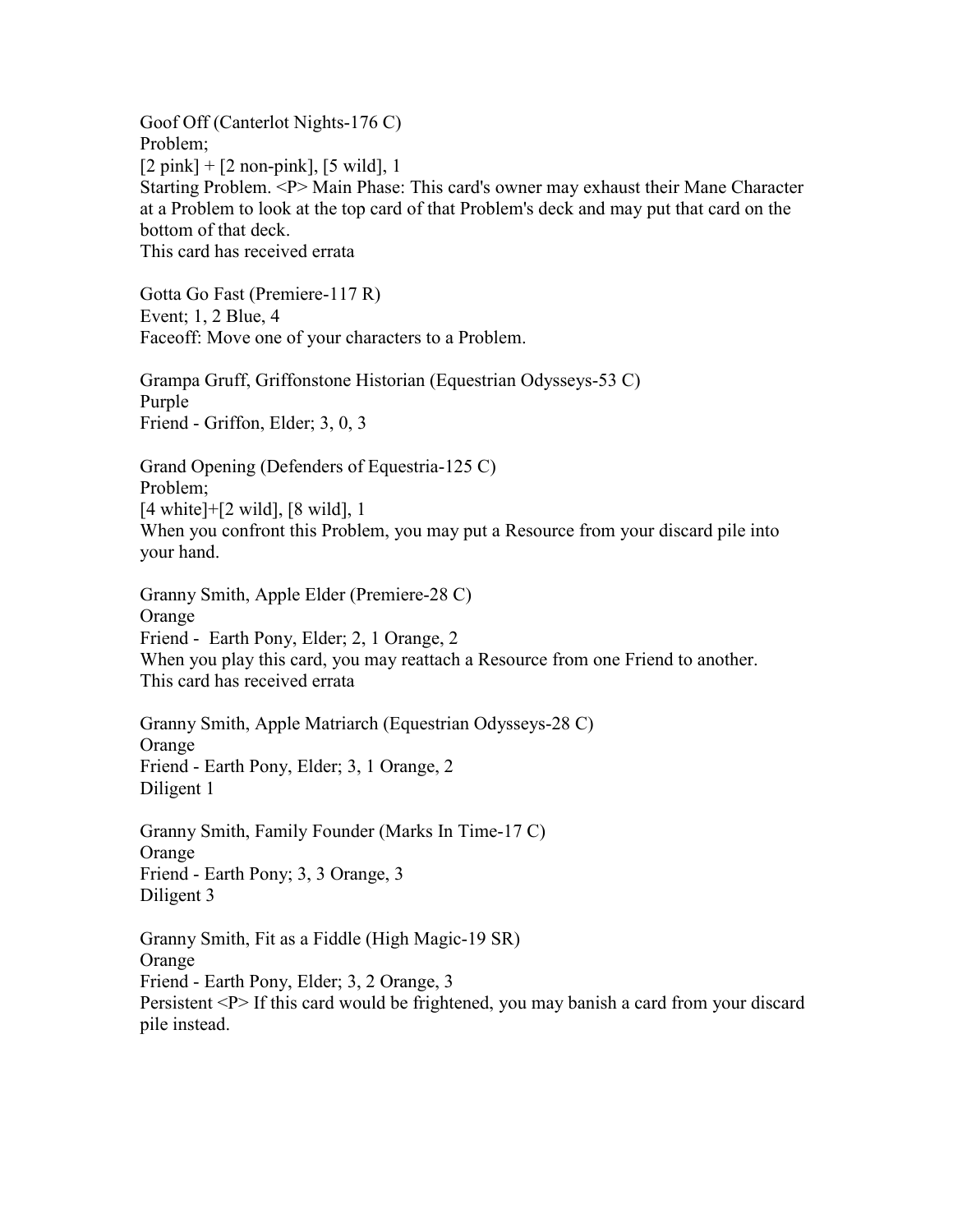Goof Off (Canterlot Nights-176 C) Problem;  $[2 \text{ pink}] + [2 \text{ non-pink}], [5 \text{ wild}], 1$ Starting Problem. <P> Main Phase: This card's owner may exhaust their Mane Character at a Problem to look at the top card of that Problem's deck and may put that card on the bottom of that deck. This card has received errata

Gotta Go Fast (Premiere-117 R) Event; 1, 2 Blue, 4 Faceoff: Move one of your characters to a Problem.

Grampa Gruff, Griffonstone Historian (Equestrian Odysseys-53 C) Purple Friend - Griffon, Elder; 3, 0, 3

Grand Opening (Defenders of Equestria-125 C) Problem; [4 white]+[2 wild], [8 wild], 1 When you confront this Problem, you may put a Resource from your discard pile into your hand.

Granny Smith, Apple Elder (Premiere-28 C) Orange Friend - Earth Pony, Elder; 2, 1 Orange, 2 When you play this card, you may reattach a Resource from one Friend to another. This card has received errata

Granny Smith, Apple Matriarch (Equestrian Odysseys-28 C) Orange Friend - Earth Pony, Elder; 3, 1 Orange, 2 Diligent 1

Granny Smith, Family Founder (Marks In Time-17 C) Orange Friend - Earth Pony; 3, 3 Orange, 3 Diligent 3

Granny Smith, Fit as a Fiddle (High Magic-19 SR) **Orange** Friend - Earth Pony, Elder; 3, 2 Orange, 3 Persistent <P> If this card would be frightened, you may banish a card from your discard pile instead.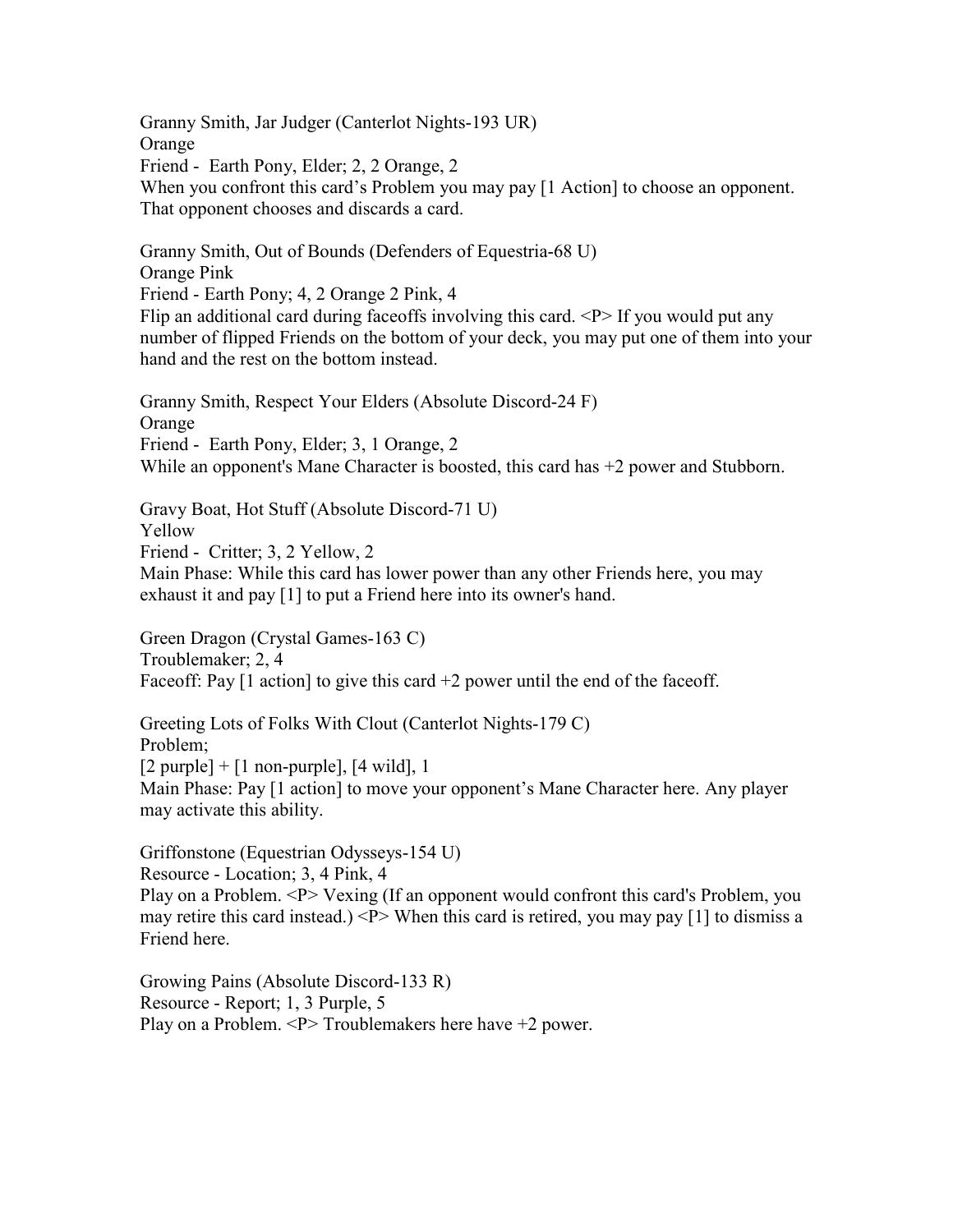Granny Smith, Jar Judger (Canterlot Nights-193 UR) **Orange** Friend - Earth Pony, Elder; 2, 2 Orange, 2 When you confront this card's Problem you may pay [1 Action] to choose an opponent. That opponent chooses and discards a card.

Granny Smith, Out of Bounds (Defenders of Equestria-68 U) Orange Pink Friend - Earth Pony; 4, 2 Orange 2 Pink, 4 Flip an additional card during faceoffs involving this card.  $\langle P \rangle$  If you would put any number of flipped Friends on the bottom of your deck, you may put one of them into your hand and the rest on the bottom instead.

Granny Smith, Respect Your Elders (Absolute Discord-24 F) **Orange** Friend - Earth Pony, Elder; 3, 1 Orange, 2 While an opponent's Mane Character is boosted, this card has +2 power and Stubborn.

Gravy Boat, Hot Stuff (Absolute Discord-71 U) Yellow Friend - Critter; 3, 2 Yellow, 2 Main Phase: While this card has lower power than any other Friends here, you may exhaust it and pay [1] to put a Friend here into its owner's hand.

Green Dragon (Crystal Games-163 C) Troublemaker; 2, 4 Faceoff: Pay  $[1 \text{ action}]$  to give this card  $+2$  power until the end of the faceoff.

Greeting Lots of Folks With Clout (Canterlot Nights-179 C) Problem;  $[2 \text{ purple}] + [1 \text{ non-purple}], [4 \text{ wild}], 1$ Main Phase: Pay [1 action] to move your opponent's Mane Character here. Any player may activate this ability.

Griffonstone (Equestrian Odysseys-154 U) Resource - Location; 3, 4 Pink, 4 Play on a Problem. <P> Vexing (If an opponent would confront this card's Problem, you may retire this card instead.)  $\langle P \rangle$  When this card is retired, you may pay [1] to dismiss a Friend here.

Growing Pains (Absolute Discord-133 R) Resource - Report; 1, 3 Purple, 5 Play on a Problem. <P> Troublemakers here have +2 power.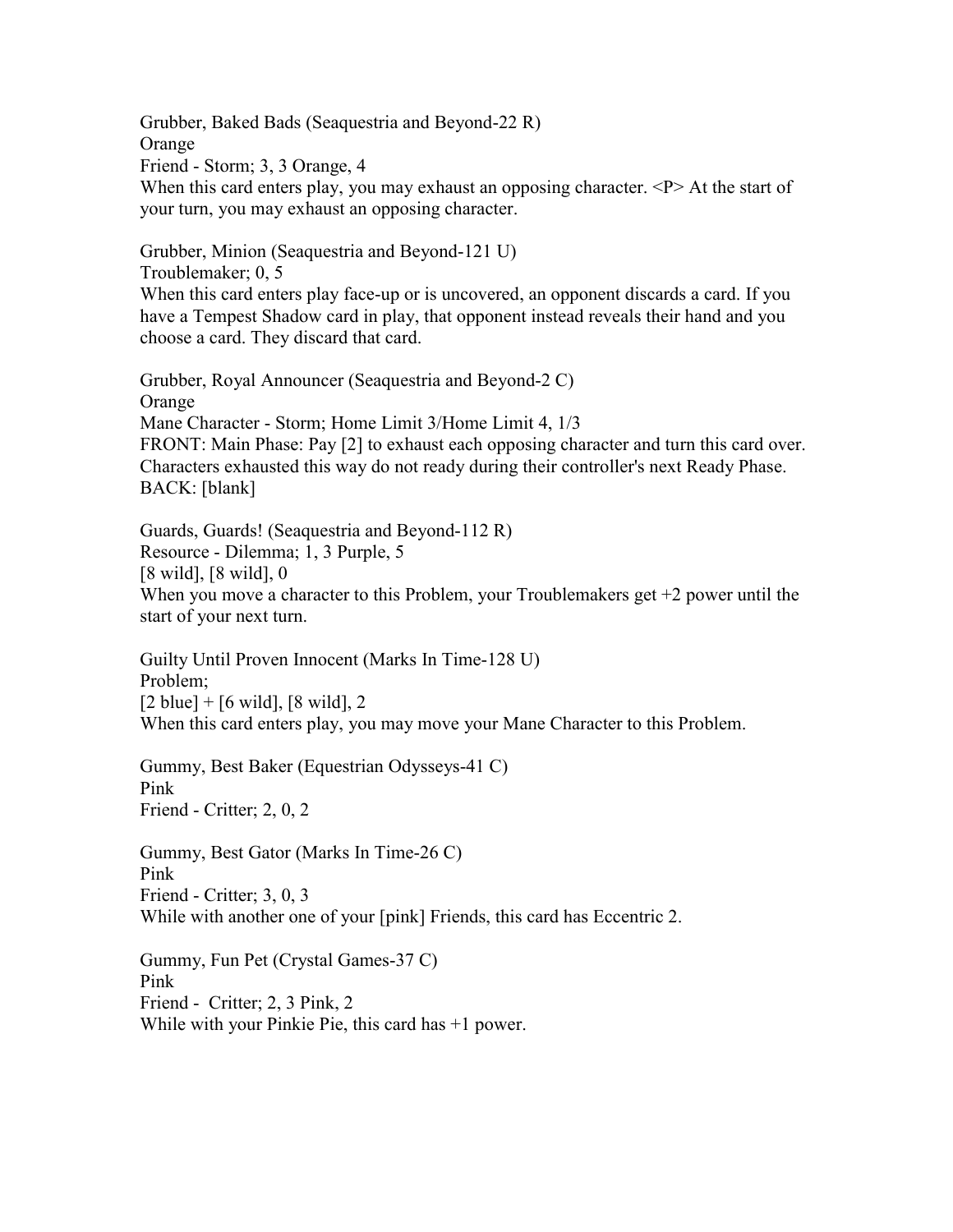Grubber, Baked Bads (Seaquestria and Beyond-22 R) Orange Friend - Storm; 3, 3 Orange, 4 When this card enters play, you may exhaust an opposing character. <P> At the start of your turn, you may exhaust an opposing character.

Troublemaker; 0, 5 When this card enters play face-up or is uncovered, an opponent discards a card. If you have a Tempest Shadow card in play, that opponent instead reveals their hand and you choose a card. They discard that card.

Grubber, Royal Announcer (Seaquestria and Beyond-2 C) Orange Mane Character - Storm; Home Limit 3/Home Limit 4, 1/3 FRONT: Main Phase: Pay [2] to exhaust each opposing character and turn this card over. Characters exhausted this way do not ready during their controller's next Ready Phase. BACK: [blank]

Guards, Guards! (Seaquestria and Beyond-112 R) Resource - Dilemma; 1, 3 Purple, 5 [8 wild], [8 wild], 0 When you move a character to this Problem, your Troublemakers get  $+2$  power until the start of your next turn.

Guilty Until Proven Innocent (Marks In Time-128 U) Problem;  $[2 \text{ blue}] + [6 \text{ wild}], [8 \text{ wild}], 2$ When this card enters play, you may move your Mane Character to this Problem.

Gummy, Best Baker (Equestrian Odysseys-41 C) Pink Friend - Critter; 2, 0, 2

Grubber, Minion (Seaquestria and Beyond-121 U)

Gummy, Best Gator (Marks In Time-26 C) Pink Friend - Critter; 3, 0, 3 While with another one of your [pink] Friends, this card has Eccentric 2.

Gummy, Fun Pet (Crystal Games-37 C) Pink Friend - Critter; 2, 3 Pink, 2 While with your Pinkie Pie, this card has +1 power.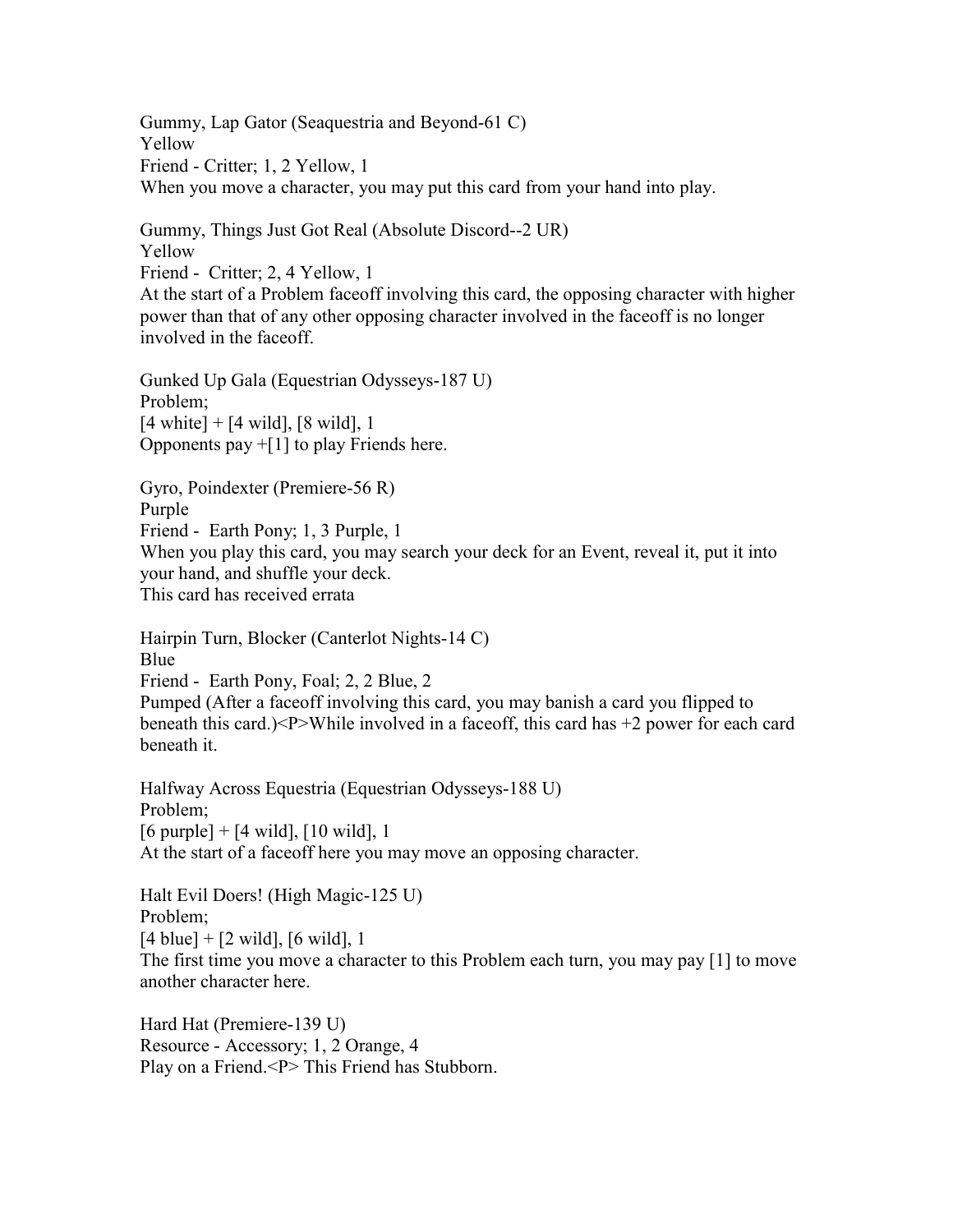Gummy, Lap Gator (Seaquestria and Beyond-61 C) Yellow Friend - Critter; 1, 2 Yellow, 1 When you move a character, you may put this card from your hand into play.

Gummy, Things Just Got Real (Absolute Discord--2 UR) Yellow Friend - Critter; 2, 4 Yellow, 1 At the start of a Problem faceoff involving this card, the opposing character with higher power than that of any other opposing character involved in the faceoff is no longer

involved in the faceoff.

Gunked Up Gala (Equestrian Odysseys-187 U) Problem;  $[4 \text{ white}] + [4 \text{ wild}], [8 \text{ wild}], 1$ Opponents pay  $+[1]$  to play Friends here.

Gyro, Poindexter (Premiere-56 R) Purple Friend - Earth Pony; 1, 3 Purple, 1 When you play this card, you may search your deck for an Event, reveal it, put it into your hand, and shuffle your deck. This card has received errata

Hairpin Turn, Blocker (Canterlot Nights-14 C) Blue Friend - Earth Pony, Foal; 2, 2 Blue, 2 Pumped (After a faceoff involving this card, you may banish a card you flipped to beneath this card.)<P>While involved in a face of f, this card has  $+2$  power for each card

beneath it.

Halfway Across Equestria (Equestrian Odysseys-188 U) Problem;  $[6 \text{ purple}] + [4 \text{ wild}], [10 \text{ wild}], 1$ At the start of a faceoff here you may move an opposing character.

Halt Evil Doers! (High Magic-125 U) Problem;  $[4 \text{ blue}] + [2 \text{ wild}], [6 \text{ wild}], 1$ The first time you move a character to this Problem each turn, you may pay [1] to move another character here.

Hard Hat (Premiere-139 U) Resource - Accessory; 1, 2 Orange, 4 Play on a Friend.<P> This Friend has Stubborn.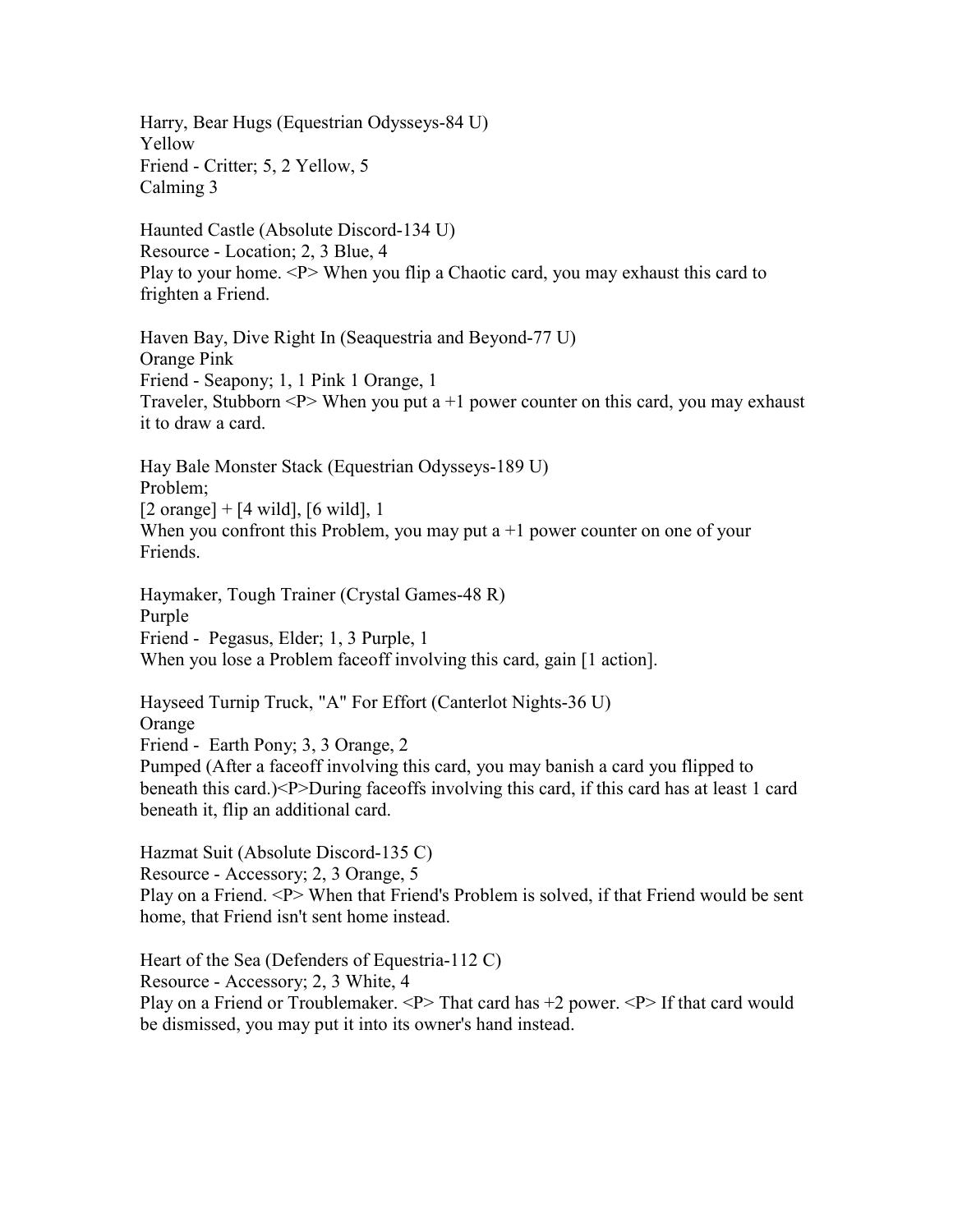Harry, Bear Hugs (Equestrian Odysseys-84 U) Yellow Friend - Critter; 5, 2 Yellow, 5 Calming 3

Haunted Castle (Absolute Discord-134 U) Resource - Location; 2, 3 Blue, 4 Play to your home.  $\langle P \rangle$  When you flip a Chaotic card, you may exhaust this card to frighten a Friend.

Haven Bay, Dive Right In (Seaquestria and Beyond-77 U) Orange Pink Friend - Seapony; 1, 1 Pink 1 Orange, 1 Traveler, Stubborn  $\langle P \rangle$  When you put a +1 power counter on this card, you may exhaust it to draw a card.

Hay Bale Monster Stack (Equestrian Odysseys-189 U) Problem;  $[2 \text{ orange}] + [4 \text{ wild}], [6 \text{ wild}], 1$ When you confront this Problem, you may put  $a + 1$  power counter on one of your Friends.

Haymaker, Tough Trainer (Crystal Games-48 R) Purple Friend - Pegasus, Elder; 1, 3 Purple, 1 When you lose a Problem faceoff involving this card, gain [1 action].

Hayseed Turnip Truck, "A" For Effort (Canterlot Nights-36 U) Orange Friend - Earth Pony; 3, 3 Orange, 2 Pumped (After a faceoff involving this card, you may banish a card you flipped to beneath this card.)<P>During faceoffs involving this card, if this card has at least 1 card beneath it, flip an additional card.

Hazmat Suit (Absolute Discord-135 C) Resource - Accessory; 2, 3 Orange, 5 Play on a Friend. <P> When that Friend's Problem is solved, if that Friend would be sent home, that Friend isn't sent home instead.

Heart of the Sea (Defenders of Equestria-112 C) Resource - Accessory; 2, 3 White, 4 Play on a Friend or Troublemaker.  $\langle P \rangle$  That card has  $+2$  power.  $\langle P \rangle$  If that card would be dismissed, you may put it into its owner's hand instead.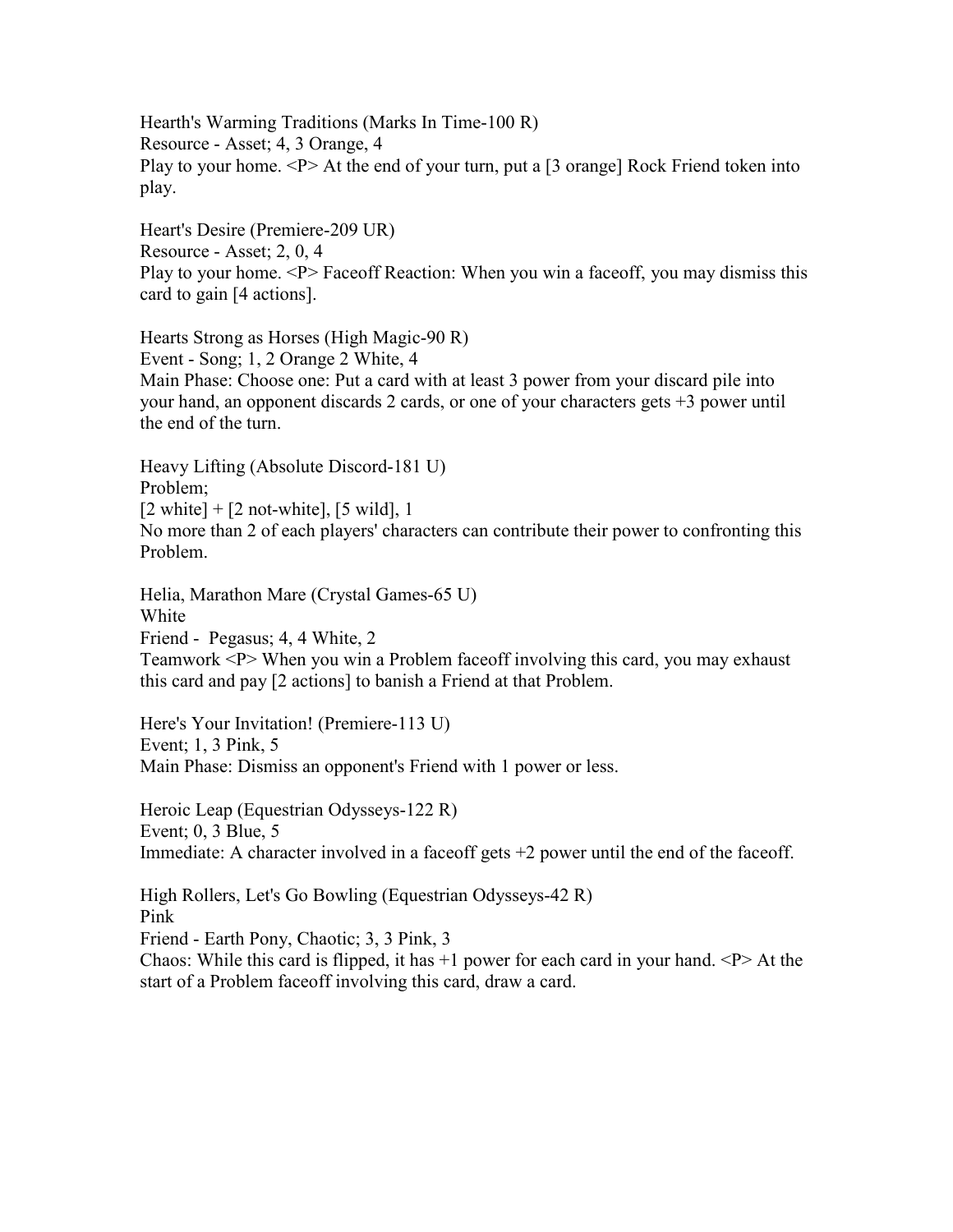Hearth's Warming Traditions (Marks In Time-100 R) Resource - Asset; 4, 3 Orange, 4 Play to your home.  $\langle P \rangle$  At the end of your turn, put a [3 orange] Rock Friend token into play.

Heart's Desire (Premiere-209 UR) Resource - Asset; 2, 0, 4 Play to your home. <P> Faceoff Reaction: When you win a faceoff, you may dismiss this card to gain [4 actions].

Hearts Strong as Horses (High Magic-90 R) Event - Song; 1, 2 Orange 2 White, 4 Main Phase: Choose one: Put a card with at least 3 power from your discard pile into your hand, an opponent discards 2 cards, or one of your characters gets +3 power until the end of the turn.

Heavy Lifting (Absolute Discord-181 U) Problem;  $[2 \text{ white}] + [2 \text{ not-white}], [5 \text{ wild}], 1$ No more than 2 of each players' characters can contribute their power to confronting this Problem.

Helia, Marathon Mare (Crystal Games-65 U) White Friend - Pegasus; 4, 4 White, 2 Teamwork <P> When you win a Problem faceoff involving this card, you may exhaust this card and pay [2 actions] to banish a Friend at that Problem.

Here's Your Invitation! (Premiere-113 U) Event; 1, 3 Pink, 5 Main Phase: Dismiss an opponent's Friend with 1 power or less.

Heroic Leap (Equestrian Odysseys-122 R) Event; 0, 3 Blue, 5 Immediate: A character involved in a faceoff gets +2 power until the end of the faceoff.

High Rollers, Let's Go Bowling (Equestrian Odysseys-42 R) Pink Friend - Earth Pony, Chaotic; 3, 3 Pink, 3 Chaos: While this card is flipped, it has  $+1$  power for each card in your hand.  $\langle P \rangle$  At the start of a Problem faceoff involving this card, draw a card.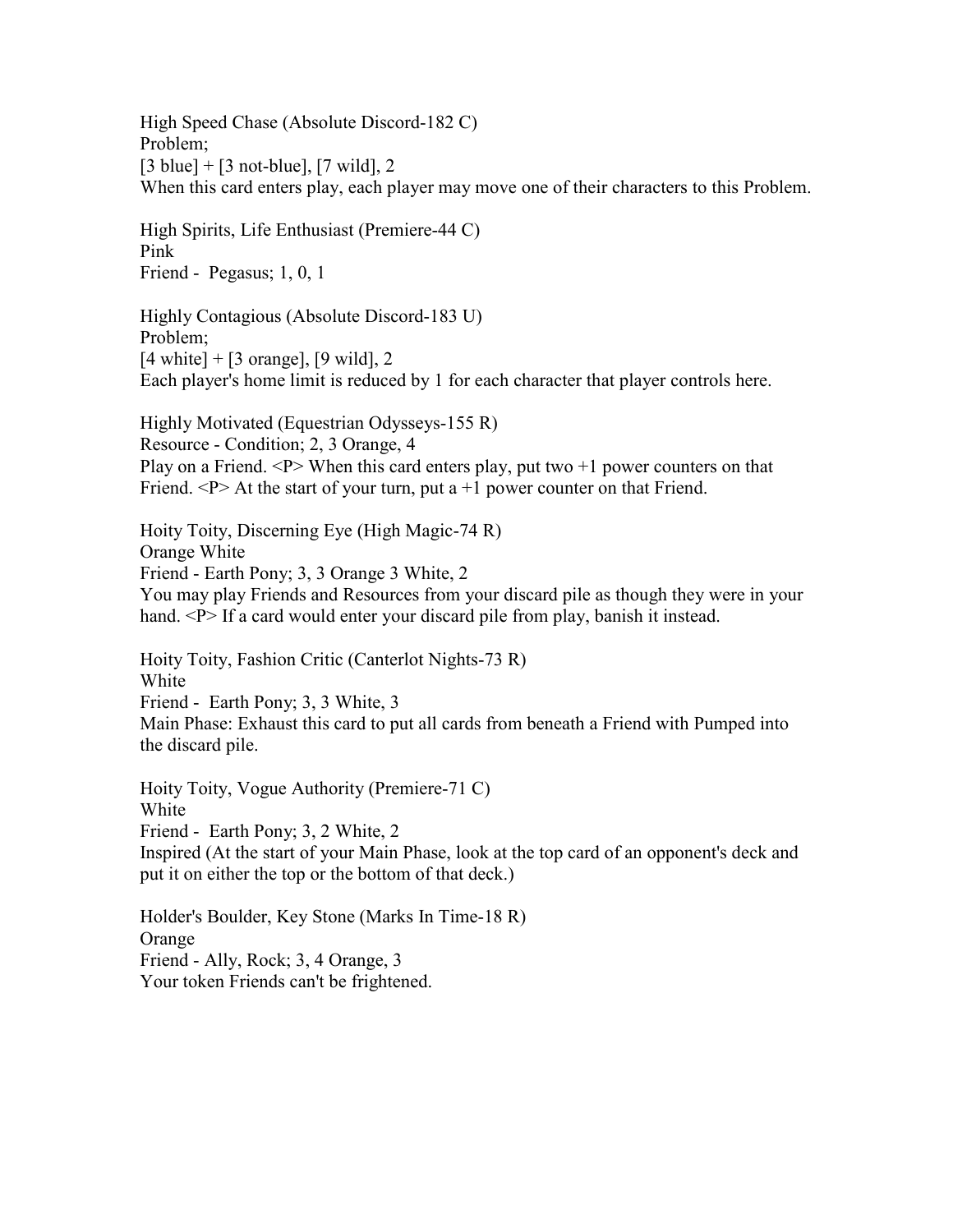High Speed Chase (Absolute Discord-182 C) Problem;  $[3 \text{ blue}] + [3 \text{ not-blue}], [7 \text{ wild}], 2$ When this card enters play, each player may move one of their characters to this Problem.

High Spirits, Life Enthusiast (Premiere-44 C) Pink Friend - Pegasus; 1, 0, 1

Highly Contagious (Absolute Discord-183 U) Problem;  $[4 \text{ white}] + [3 \text{ orange}], [9 \text{ wild}], 2$ Each player's home limit is reduced by 1 for each character that player controls here.

Highly Motivated (Equestrian Odysseys-155 R) Resource - Condition; 2, 3 Orange, 4 Play on a Friend.  $P$  When this card enters play, put two  $+1$  power counters on that Friend.  $\langle P \rangle$  At the start of your turn, put a +1 power counter on that Friend.

Hoity Toity, Discerning Eye (High Magic-74 R) Orange White Friend - Earth Pony; 3, 3 Orange 3 White, 2 You may play Friends and Resources from your discard pile as though they were in your hand. <P> If a card would enter your discard pile from play, banish it instead.

Hoity Toity, Fashion Critic (Canterlot Nights-73 R) White Friend - Earth Pony; 3, 3 White, 3 Main Phase: Exhaust this card to put all cards from beneath a Friend with Pumped into the discard pile.

Hoity Toity, Vogue Authority (Premiere-71 C) White Friend - Earth Pony; 3, 2 White, 2 Inspired (At the start of your Main Phase, look at the top card of an opponent's deck and put it on either the top or the bottom of that deck.)

Holder's Boulder, Key Stone (Marks In Time-18 R) Orange Friend - Ally, Rock; 3, 4 Orange, 3 Your token Friends can't be frightened.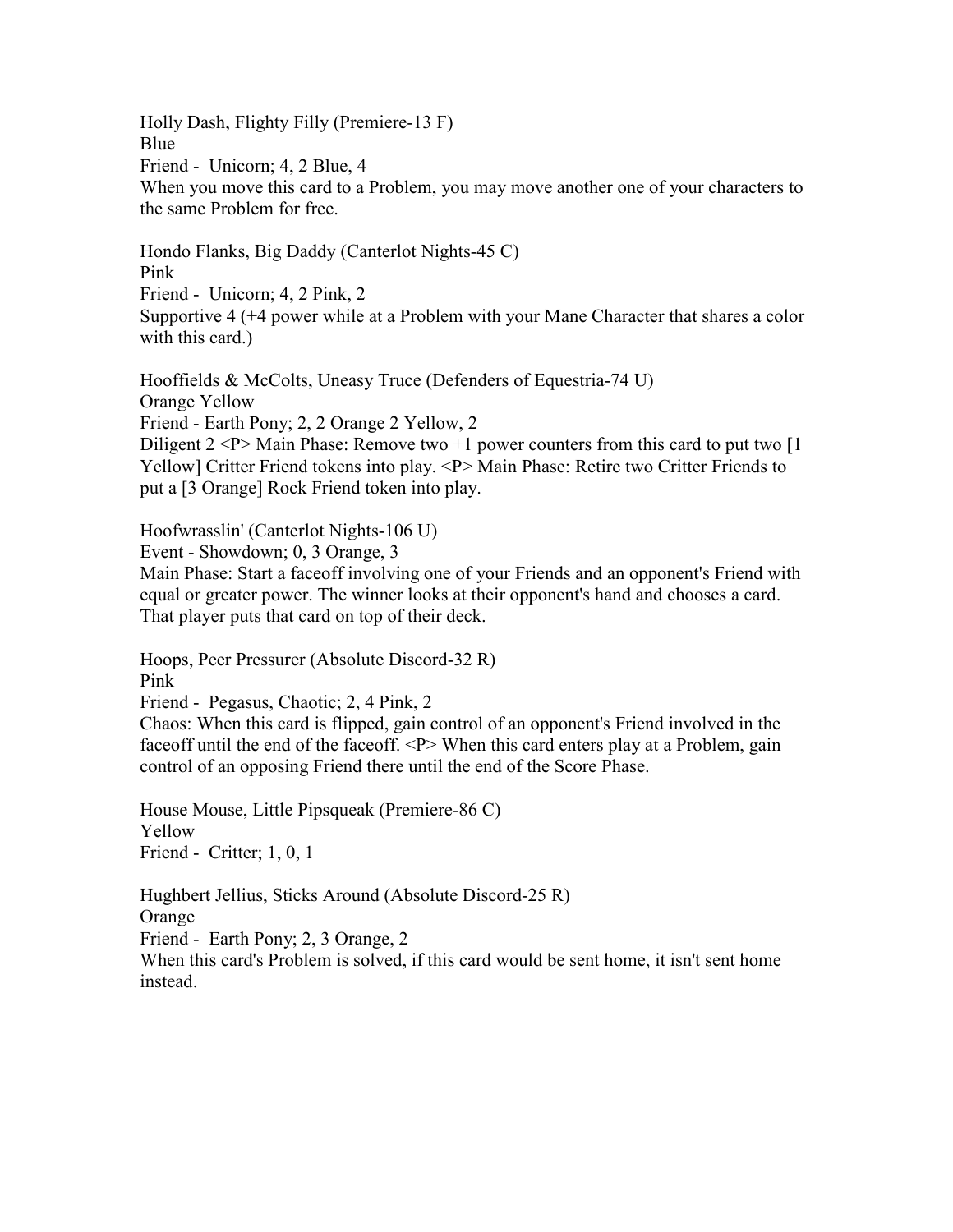Holly Dash, Flighty Filly (Premiere-13 F) Blue Friend - Unicorn; 4, 2 Blue, 4 When you move this card to a Problem, you may move another one of your characters to the same Problem for free.

Hondo Flanks, Big Daddy (Canterlot Nights-45 C) Pink Friend - Unicorn; 4, 2 Pink, 2 Supportive 4 (+4 power while at a Problem with your Mane Character that shares a color with this card.)

Hooffields & McColts, Uneasy Truce (Defenders of Equestria-74 U) Orange Yellow Friend - Earth Pony; 2, 2 Orange 2 Yellow, 2 Diligent  $2 < P$  Main Phase: Remove two  $+1$  power counters from this card to put two [1] Yellow] Critter Friend tokens into play. <P>Main Phase: Retire two Critter Friends to put a [3 Orange] Rock Friend token into play.

Hoofwrasslin' (Canterlot Nights-106 U)

Event - Showdown; 0, 3 Orange, 3

Main Phase: Start a faceoff involving one of your Friends and an opponent's Friend with equal or greater power. The winner looks at their opponent's hand and chooses a card. That player puts that card on top of their deck.

Hoops, Peer Pressurer (Absolute Discord-32 R)

Pink

Friend - Pegasus, Chaotic; 2, 4 Pink, 2

Chaos: When this card is flipped, gain control of an opponent's Friend involved in the faceoff until the end of the faceoff. <P> When this card enters play at a Problem, gain control of an opposing Friend there until the end of the Score Phase.

House Mouse, Little Pipsqueak (Premiere-86 C) Yellow Friend - Critter; 1, 0, 1

Hughbert Jellius, Sticks Around (Absolute Discord-25 R) Orange

Friend - Earth Pony; 2, 3 Orange, 2

When this card's Problem is solved, if this card would be sent home, it isn't sent home instead.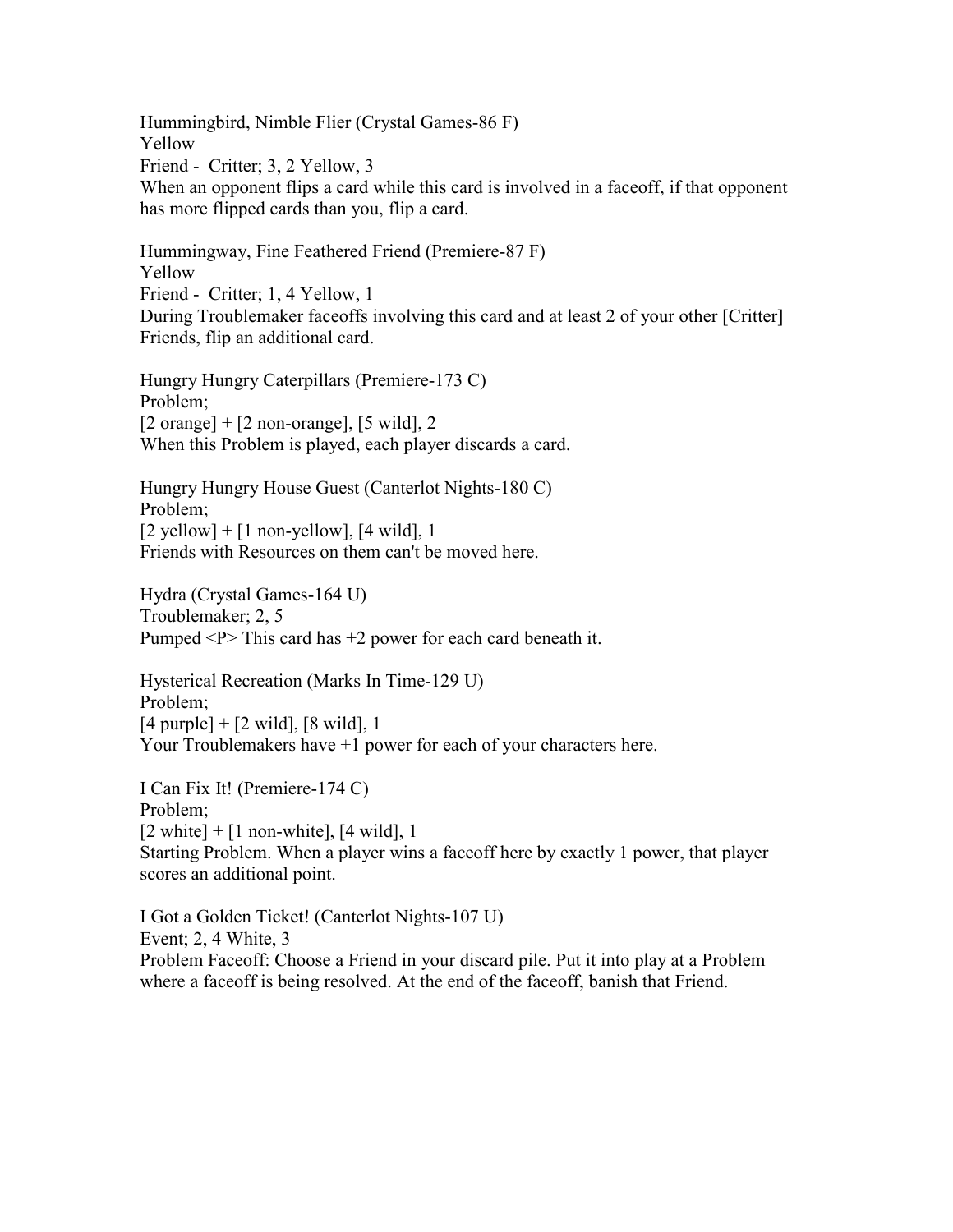Hummingbird, Nimble Flier (Crystal Games-86 F) Yellow Friend - Critter; 3, 2 Yellow, 3 When an opponent flips a card while this card is involved in a faceoff, if that opponent has more flipped cards than you, flip a card.

Hummingway, Fine Feathered Friend (Premiere-87 F) Yellow Friend - Critter; 1, 4 Yellow, 1 During Troublemaker faceoffs involving this card and at least 2 of your other [Critter] Friends, flip an additional card.

Hungry Hungry Caterpillars (Premiere-173 C) Problem;  $[2 \text{ orange}] + [2 \text{ non-orange}], [5 \text{ wild}], 2$ When this Problem is played, each player discards a card.

Hungry Hungry House Guest (Canterlot Nights-180 C) Problem;  $[2$  yellow] +  $[1$  non-yellow],  $[4$  wild], 1 Friends with Resources on them can't be moved here.

Hydra (Crystal Games-164 U) Troublemaker; 2, 5 Pumped  $\langle P \rangle$  This card has  $+2$  power for each card beneath it.

Hysterical Recreation (Marks In Time-129 U) Problem;  $[4 \text{ purple}] + [2 \text{ wild}], [8 \text{ wild}], 1$ Your Troublemakers have  $+1$  power for each of your characters here.

I Can Fix It! (Premiere-174 C) Problem;  $[2 \text{ white}] + [1 \text{ non-white}], [4 \text{ wild}], 1$ Starting Problem. When a player wins a faceoff here by exactly 1 power, that player scores an additional point.

I Got a Golden Ticket! (Canterlot Nights-107 U) Event; 2, 4 White, 3 Problem Faceoff: Choose a Friend in your discard pile. Put it into play at a Problem where a faceoff is being resolved. At the end of the faceoff, banish that Friend.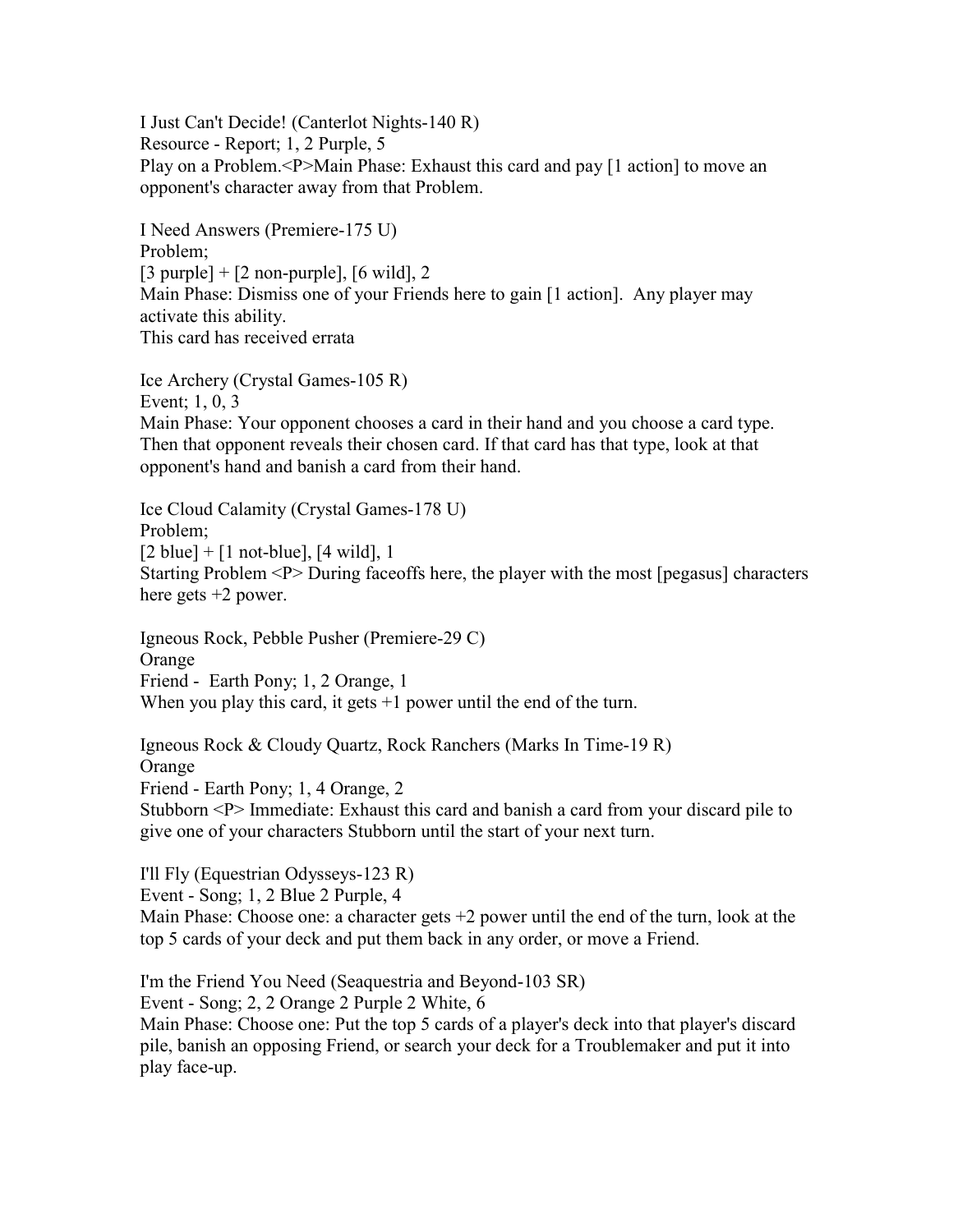I Just Can't Decide! (Canterlot Nights-140 R) Resource - Report; 1, 2 Purple, 5 Play on a Problem.<P>Main Phase: Exhaust this card and pay [1 action] to move an opponent's character away from that Problem.

I Need Answers (Premiere-175 U) Problem;  $[3$  purple] +  $[2$  non-purple],  $[6 \text{ wild}]$ , 2 Main Phase: Dismiss one of your Friends here to gain [1 action]. Any player may activate this ability. This card has received errata

Ice Archery (Crystal Games-105 R) Event; 1, 0, 3 Main Phase: Your opponent chooses a card in their hand and you choose a card type. Then that opponent reveals their chosen card. If that card has that type, look at that opponent's hand and banish a card from their hand.

Ice Cloud Calamity (Crystal Games-178 U) Problem;  $[2 \text{ blue}] + [1 \text{ not-blue}], [4 \text{ wild}], 1$ Starting Problem <P> During faceoffs here, the player with the most [pegasus] characters here gets  $+2$  power.

Igneous Rock, Pebble Pusher (Premiere-29 C) Orange Friend - Earth Pony; 1, 2 Orange, 1 When you play this card, it gets  $+1$  power until the end of the turn.

Igneous Rock & Cloudy Quartz, Rock Ranchers (Marks In Time-19 R) Orange Friend - Earth Pony; 1, 4 Orange, 2 Stubborn <P> Immediate: Exhaust this card and banish a card from your discard pile to give one of your characters Stubborn until the start of your next turn.

I'll Fly (Equestrian Odysseys-123 R)

Event - Song; 1, 2 Blue 2 Purple, 4

Main Phase: Choose one: a character gets +2 power until the end of the turn, look at the top 5 cards of your deck and put them back in any order, or move a Friend.

I'm the Friend You Need (Seaquestria and Beyond-103 SR)

Event - Song; 2, 2 Orange 2 Purple 2 White, 6

Main Phase: Choose one: Put the top 5 cards of a player's deck into that player's discard pile, banish an opposing Friend, or search your deck for a Troublemaker and put it into play face-up.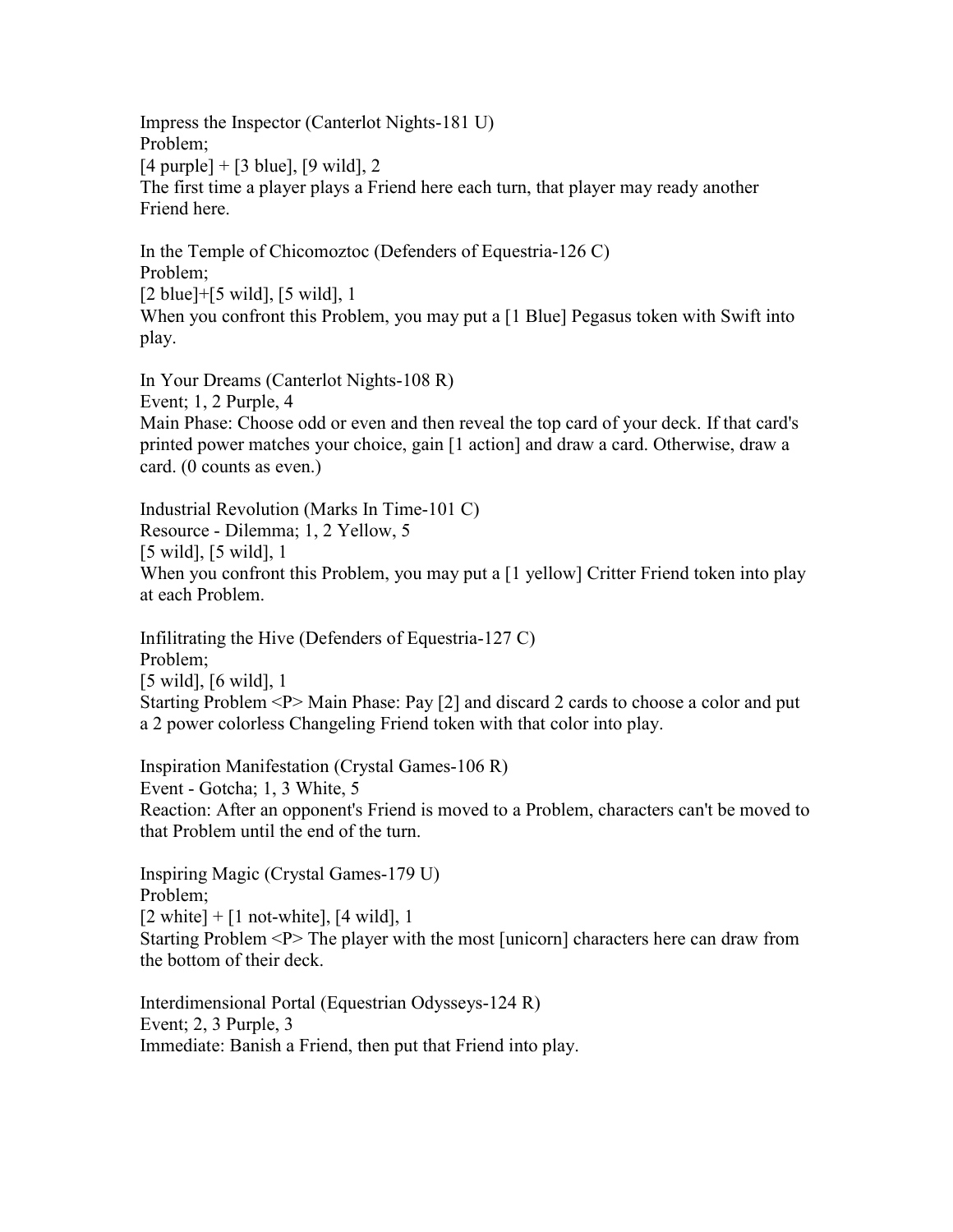Impress the Inspector (Canterlot Nights-181 U) Problem;  $[4 \text{ purple}] + [3 \text{ blue}], [9 \text{ wild}], 2$ The first time a player plays a Friend here each turn, that player may ready another Friend here.

In the Temple of Chicomoztoc (Defenders of Equestria-126 C) Problem; [2 blue]+[5 wild], [5 wild], 1 When you confront this Problem, you may put a [1 Blue] Pegasus token with Swift into play.

In Your Dreams (Canterlot Nights-108 R) Event; 1, 2 Purple, 4 Main Phase: Choose odd or even and then reveal the top card of your deck. If that card's printed power matches your choice, gain [1 action] and draw a card. Otherwise, draw a card. (0 counts as even.)

Industrial Revolution (Marks In Time-101 C) Resource - Dilemma; 1, 2 Yellow, 5 [5 wild], [5 wild], 1 When you confront this Problem, you may put a [1 yellow] Critter Friend token into play at each Problem.

Infilitrating the Hive (Defenders of Equestria-127 C) Problem; [5 wild], [6 wild], 1 Starting Problem <P> Main Phase: Pay [2] and discard 2 cards to choose a color and put a 2 power colorless Changeling Friend token with that color into play.

Inspiration Manifestation (Crystal Games-106 R) Event - Gotcha; 1, 3 White, 5 Reaction: After an opponent's Friend is moved to a Problem, characters can't be moved to that Problem until the end of the turn.

Inspiring Magic (Crystal Games-179 U) Problem;  $[2 \text{ white}] + [1 \text{ not-white}], [4 \text{ wild}], 1$ Starting Problem <P> The player with the most [unicorn] characters here can draw from the bottom of their deck.

Interdimensional Portal (Equestrian Odysseys-124 R) Event; 2, 3 Purple, 3 Immediate: Banish a Friend, then put that Friend into play.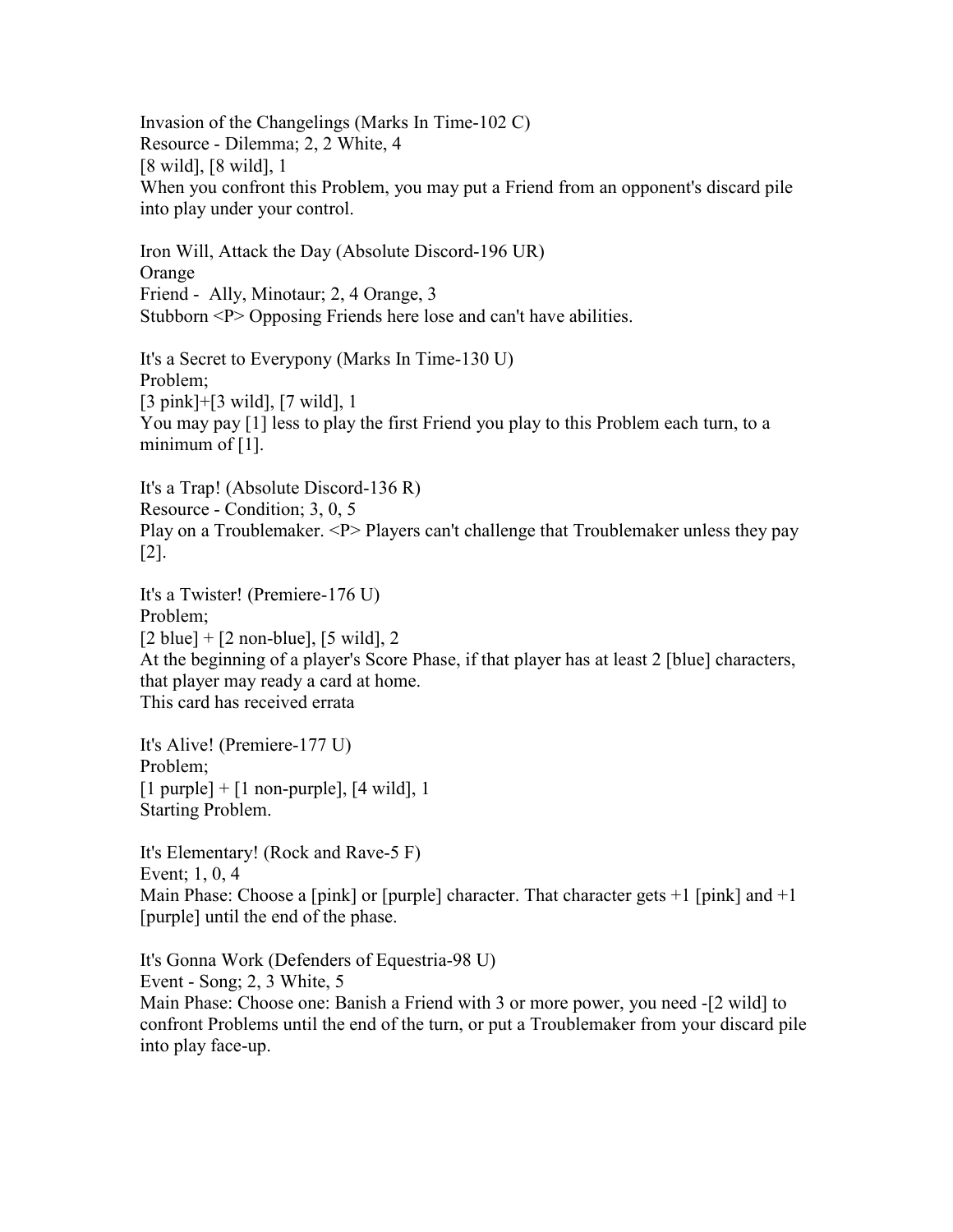Invasion of the Changelings (Marks In Time-102 C) Resource - Dilemma; 2, 2 White, 4 [8 wild], [8 wild], 1 When you confront this Problem, you may put a Friend from an opponent's discard pile into play under your control.

Iron Will, Attack the Day (Absolute Discord-196 UR) Orange Friend - Ally, Minotaur; 2, 4 Orange, 3 Stubborn <P> Opposing Friends here lose and can't have abilities.

It's a Secret to Everypony (Marks In Time-130 U) Problem; [3 pink]+[3 wild], [7 wild], 1 You may pay [1] less to play the first Friend you play to this Problem each turn, to a minimum of  $[1]$ .

It's a Trap! (Absolute Discord-136 R) Resource - Condition; 3, 0, 5 Play on a Troublemaker. <P> Players can't challenge that Troublemaker unless they pay [2].

It's a Twister! (Premiere-176 U) Problem;  $[2 \text{ blue}] + [2 \text{ non-blue}], [5 \text{ wild}], 2$ At the beginning of a player's Score Phase, if that player has at least 2 [blue] characters, that player may ready a card at home. This card has received errata

It's Alive! (Premiere-177 U) Problem;  $[1$  purple] +  $[1$  non-purple],  $[4$  wild], 1 Starting Problem.

It's Elementary! (Rock and Rave-5 F) Event; 1, 0, 4 Main Phase: Choose a [pink] or [purple] character. That character gets  $+1$  [pink] and  $+1$ [purple] until the end of the phase.

It's Gonna Work (Defenders of Equestria-98 U) Event - Song; 2, 3 White, 5 Main Phase: Choose one: Banish a Friend with 3 or more power, you need -[2 wild] to confront Problems until the end of the turn, or put a Troublemaker from your discard pile into play face-up.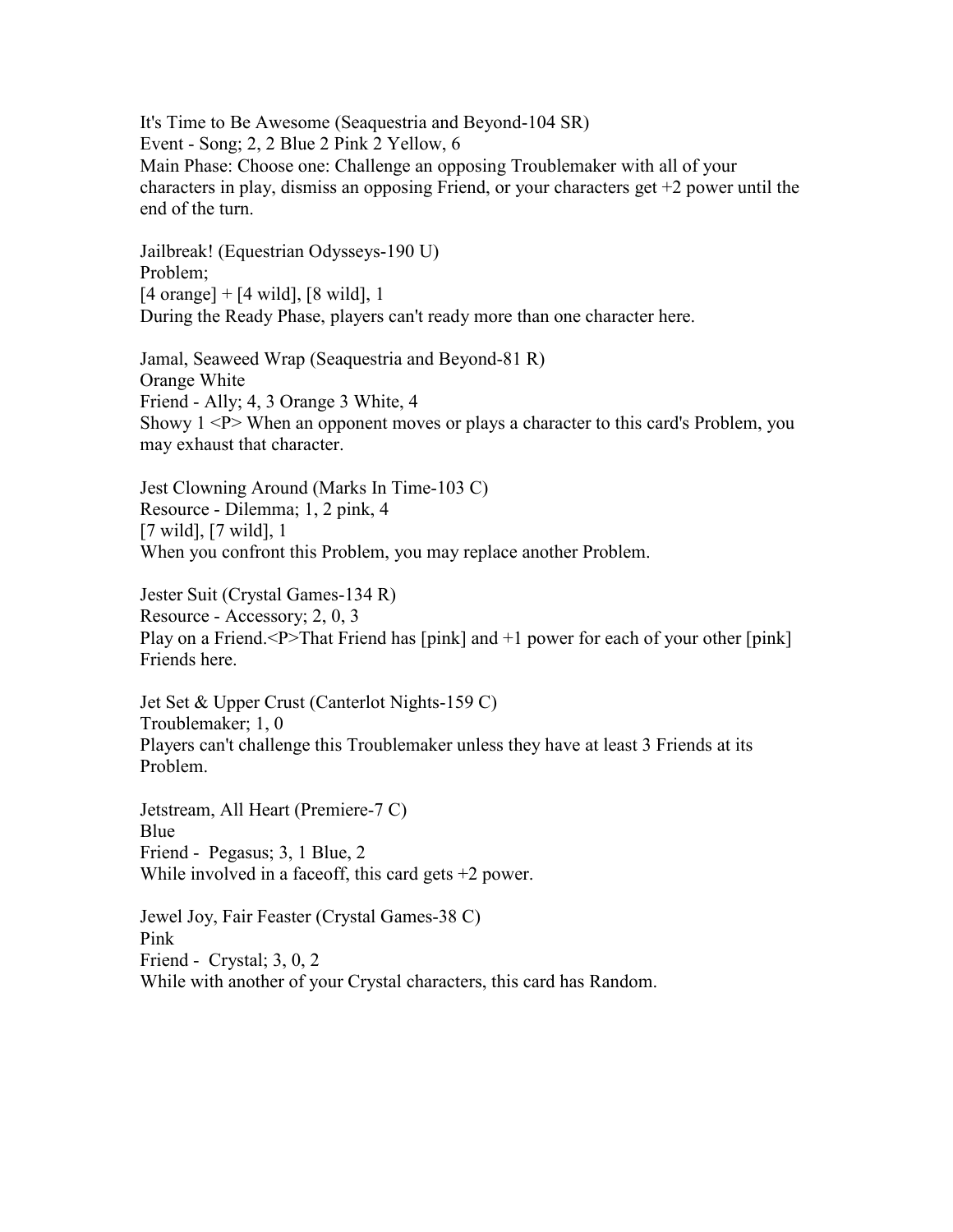It's Time to Be Awesome (Seaquestria and Beyond-104 SR) Event - Song; 2, 2 Blue 2 Pink 2 Yellow, 6 Main Phase: Choose one: Challenge an opposing Troublemaker with all of your characters in play, dismiss an opposing Friend, or your characters get +2 power until the end of the turn.

Jailbreak! (Equestrian Odysseys-190 U) Problem; [4 orange] + [4 wild], [8 wild], 1 During the Ready Phase, players can't ready more than one character here.

Jamal, Seaweed Wrap (Seaquestria and Beyond-81 R) Orange White Friend - Ally; 4, 3 Orange 3 White, 4 Showy  $1 < P$  When an opponent moves or plays a character to this card's Problem, you may exhaust that character.

Jest Clowning Around (Marks In Time-103 C) Resource - Dilemma; 1, 2 pink, 4 [7 wild], [7 wild], 1 When you confront this Problem, you may replace another Problem.

Jester Suit (Crystal Games-134 R) Resource - Accessory; 2, 0, 3 Play on a Friend.<P>That Friend has [pink] and +1 power for each of your other [pink] Friends here.

Jet Set & Upper Crust (Canterlot Nights-159 C) Troublemaker; 1, 0 Players can't challenge this Troublemaker unless they have at least 3 Friends at its Problem.

Jetstream, All Heart (Premiere-7 C) Blue Friend - Pegasus; 3, 1 Blue, 2 While involved in a faceoff, this card gets  $+2$  power.

Jewel Joy, Fair Feaster (Crystal Games-38 C) Pink Friend - Crystal; 3, 0, 2 While with another of your Crystal characters, this card has Random.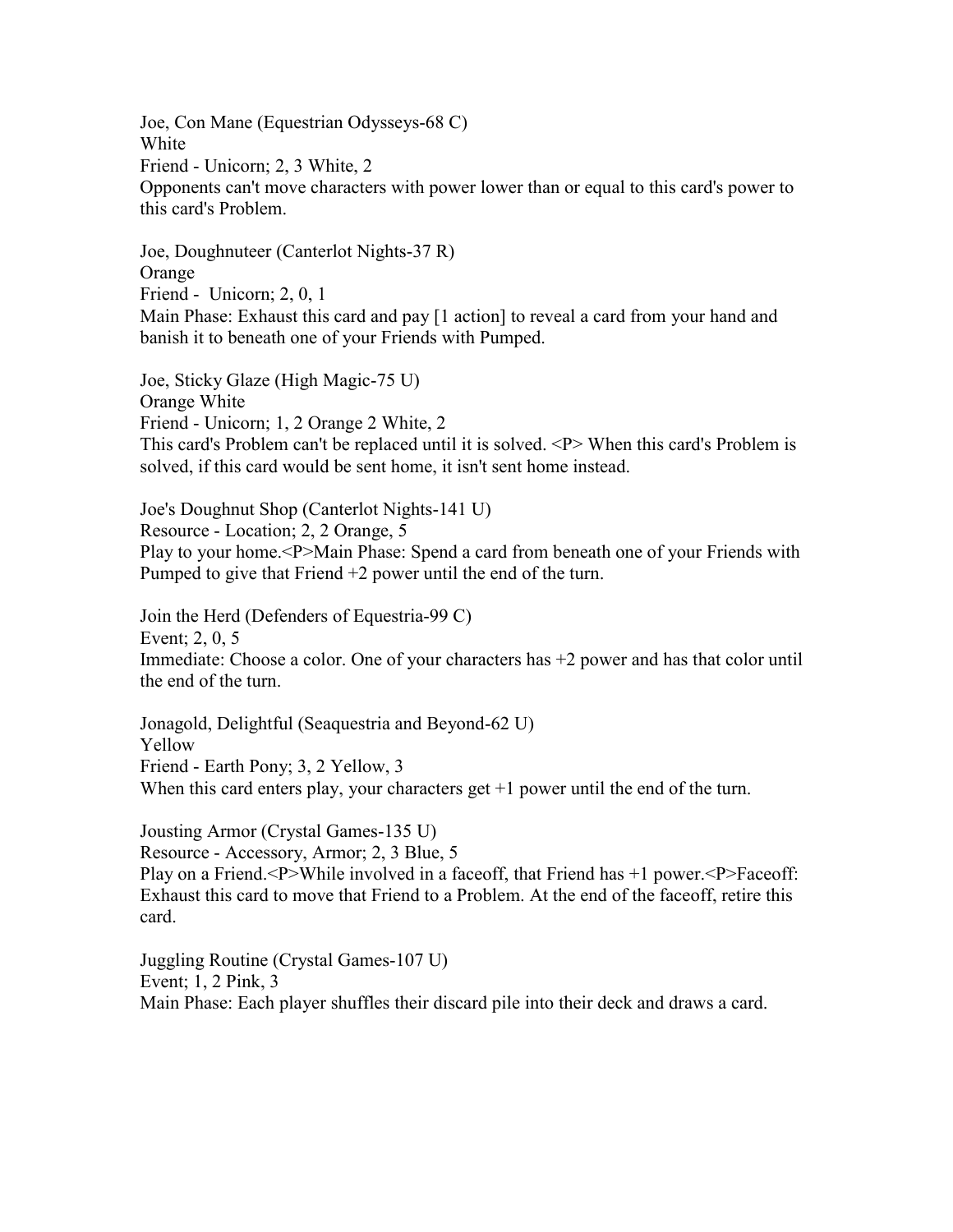Joe, Con Mane (Equestrian Odysseys-68 C) White Friend - Unicorn; 2, 3 White, 2 Opponents can't move characters with power lower than or equal to this card's power to this card's Problem.

Joe, Doughnuteer (Canterlot Nights-37 R) Orange Friend - Unicorn; 2, 0, 1 Main Phase: Exhaust this card and pay [1 action] to reveal a card from your hand and banish it to beneath one of your Friends with Pumped.

Joe, Sticky Glaze (High Magic-75 U) Orange White Friend - Unicorn; 1, 2 Orange 2 White, 2 This card's Problem can't be replaced until it is solved. <P> When this card's Problem is solved, if this card would be sent home, it isn't sent home instead.

Joe's Doughnut Shop (Canterlot Nights-141 U) Resource - Location; 2, 2 Orange, 5 Play to your home.<P>Main Phase: Spend a card from beneath one of your Friends with Pumped to give that Friend +2 power until the end of the turn.

Join the Herd (Defenders of Equestria-99 C) Event; 2, 0, 5 Immediate: Choose a color. One of your characters has +2 power and has that color until the end of the turn.

Jonagold, Delightful (Seaquestria and Beyond-62 U) Yellow Friend - Earth Pony; 3, 2 Yellow, 3 When this card enters play, your characters get  $+1$  power until the end of the turn.

Jousting Armor (Crystal Games-135 U) Resource - Accessory, Armor; 2, 3 Blue, 5 Play on a Friend.<P>While involved in a faceoff, that Friend has +1 power.<P>Faceoff: Exhaust this card to move that Friend to a Problem. At the end of the faceoff, retire this card.

Juggling Routine (Crystal Games-107 U) Event; 1, 2 Pink, 3 Main Phase: Each player shuffles their discard pile into their deck and draws a card.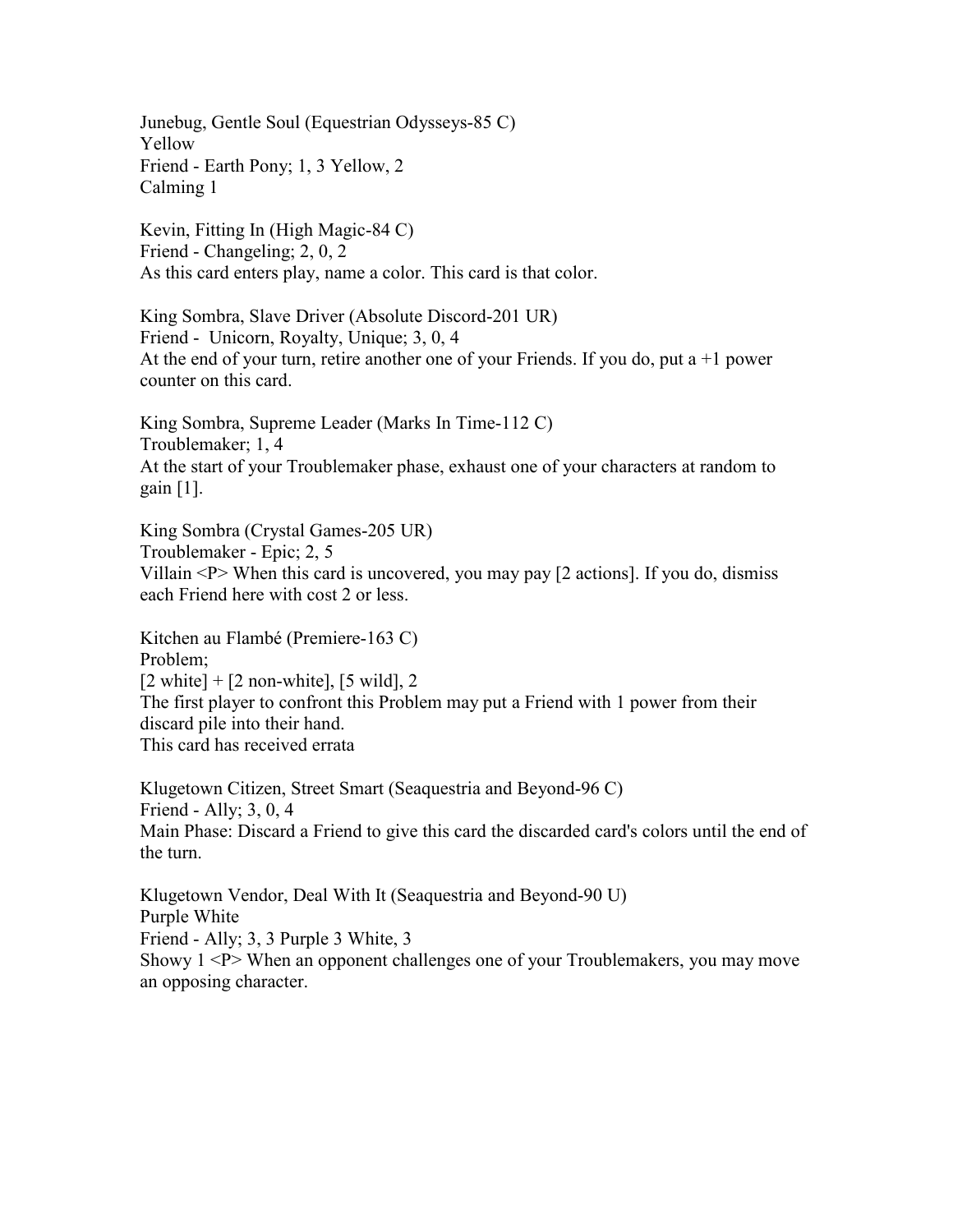Junebug, Gentle Soul (Equestrian Odysseys-85 C) Yellow Friend - Earth Pony; 1, 3 Yellow, 2 Calming 1

Kevin, Fitting In (High Magic-84 C) Friend - Changeling; 2, 0, 2 As this card enters play, name a color. This card is that color.

King Sombra, Slave Driver (Absolute Discord-201 UR) Friend - Unicorn, Royalty, Unique; 3, 0, 4 At the end of your turn, retire another one of your Friends. If you do, put a  $+1$  power counter on this card.

King Sombra, Supreme Leader (Marks In Time-112 C) Troublemaker; 1, 4 At the start of your Troublemaker phase, exhaust one of your characters at random to gain [1].

King Sombra (Crystal Games-205 UR) Troublemaker - Epic; 2, 5 Villain  $\langle P \rangle$  When this card is uncovered, you may pay [2 actions]. If you do, dismiss each Friend here with cost 2 or less.

Kitchen au Flambé (Premiere-163 C) Problem;  $[2 \text{ white}] + [2 \text{ non-white}], [5 \text{ wild}], 2$ The first player to confront this Problem may put a Friend with 1 power from their discard pile into their hand. This card has received errata

Klugetown Citizen, Street Smart (Seaquestria and Beyond-96 C) Friend - Ally; 3, 0, 4 Main Phase: Discard a Friend to give this card the discarded card's colors until the end of the turn.

Klugetown Vendor, Deal With It (Seaquestria and Beyond-90 U) Purple White Friend - Ally; 3, 3 Purple 3 White, 3 Showy  $1 < P$  When an opponent challenges one of your Troublemakers, you may move an opposing character.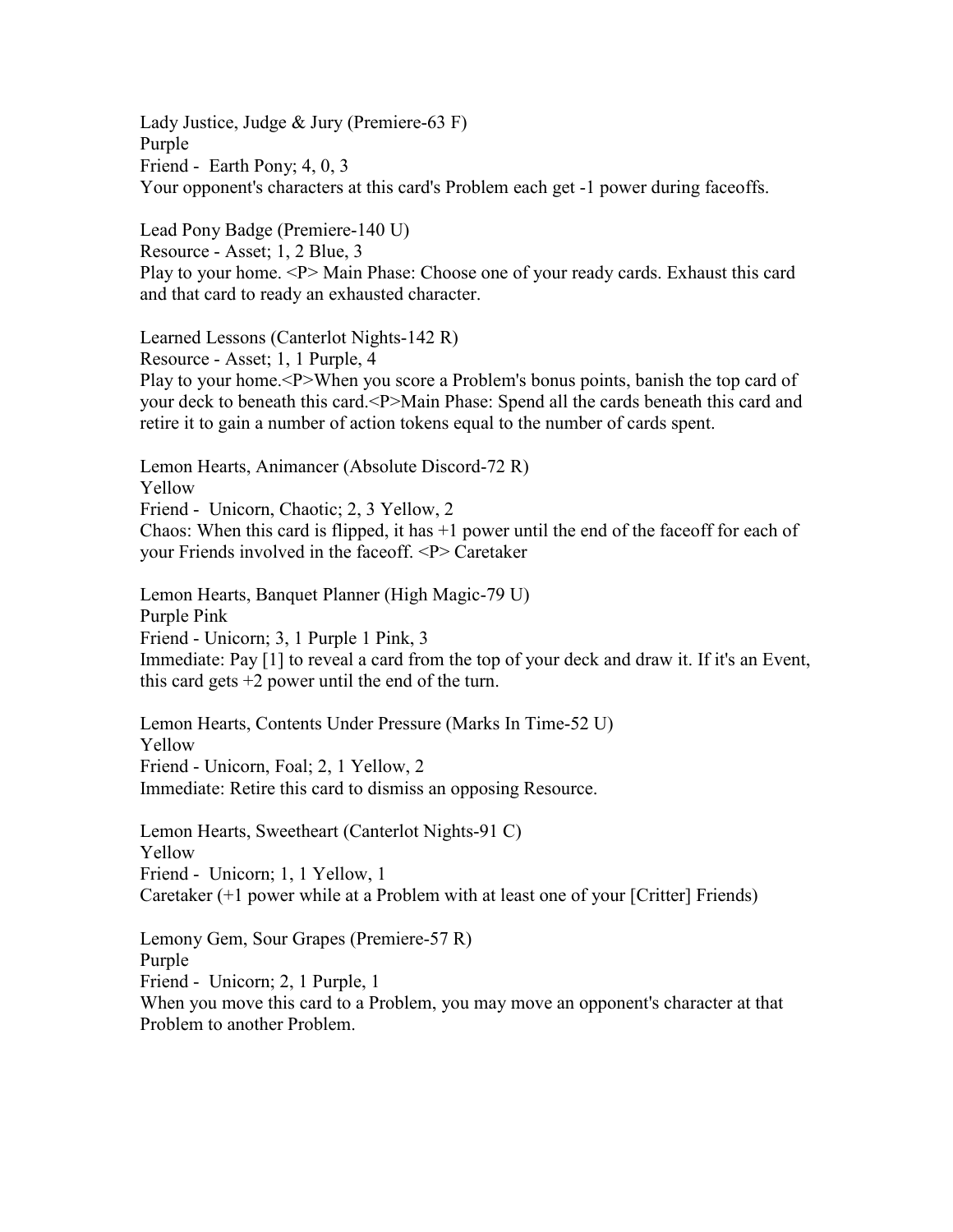Lady Justice, Judge & Jury (Premiere-63 F) Purple Friend - Earth Pony; 4, 0, 3 Your opponent's characters at this card's Problem each get -1 power during faceoffs.

Lead Pony Badge (Premiere-140 U) Resource - Asset; 1, 2 Blue, 3 Play to your home. <P> Main Phase: Choose one of your ready cards. Exhaust this card and that card to ready an exhausted character.

Learned Lessons (Canterlot Nights-142 R) Resource - Asset; 1, 1 Purple, 4 Play to your home.<P>When you score a Problem's bonus points, banish the top card of your deck to beneath this card.<P>Main Phase: Spend all the cards beneath this card and retire it to gain a number of action tokens equal to the number of cards spent.

Lemon Hearts, Animancer (Absolute Discord-72 R) Yellow Friend - Unicorn, Chaotic; 2, 3 Yellow, 2 Chaos: When this card is flipped, it has  $+1$  power until the end of the faceoff for each of your Friends involved in the faceoff. <P> Caretaker

Lemon Hearts, Banquet Planner (High Magic-79 U) Purple Pink Friend - Unicorn; 3, 1 Purple 1 Pink, 3 Immediate: Pay [1] to reveal a card from the top of your deck and draw it. If it's an Event, this card gets  $+2$  power until the end of the turn.

Lemon Hearts, Contents Under Pressure (Marks In Time-52 U) Yellow Friend - Unicorn, Foal; 2, 1 Yellow, 2 Immediate: Retire this card to dismiss an opposing Resource.

Lemon Hearts, Sweetheart (Canterlot Nights-91 C) Yellow Friend - Unicorn; 1, 1 Yellow, 1 Caretaker (+1 power while at a Problem with at least one of your [Critter] Friends)

Lemony Gem, Sour Grapes (Premiere-57 R) Purple Friend - Unicorn; 2, 1 Purple, 1 When you move this card to a Problem, you may move an opponent's character at that

Problem to another Problem.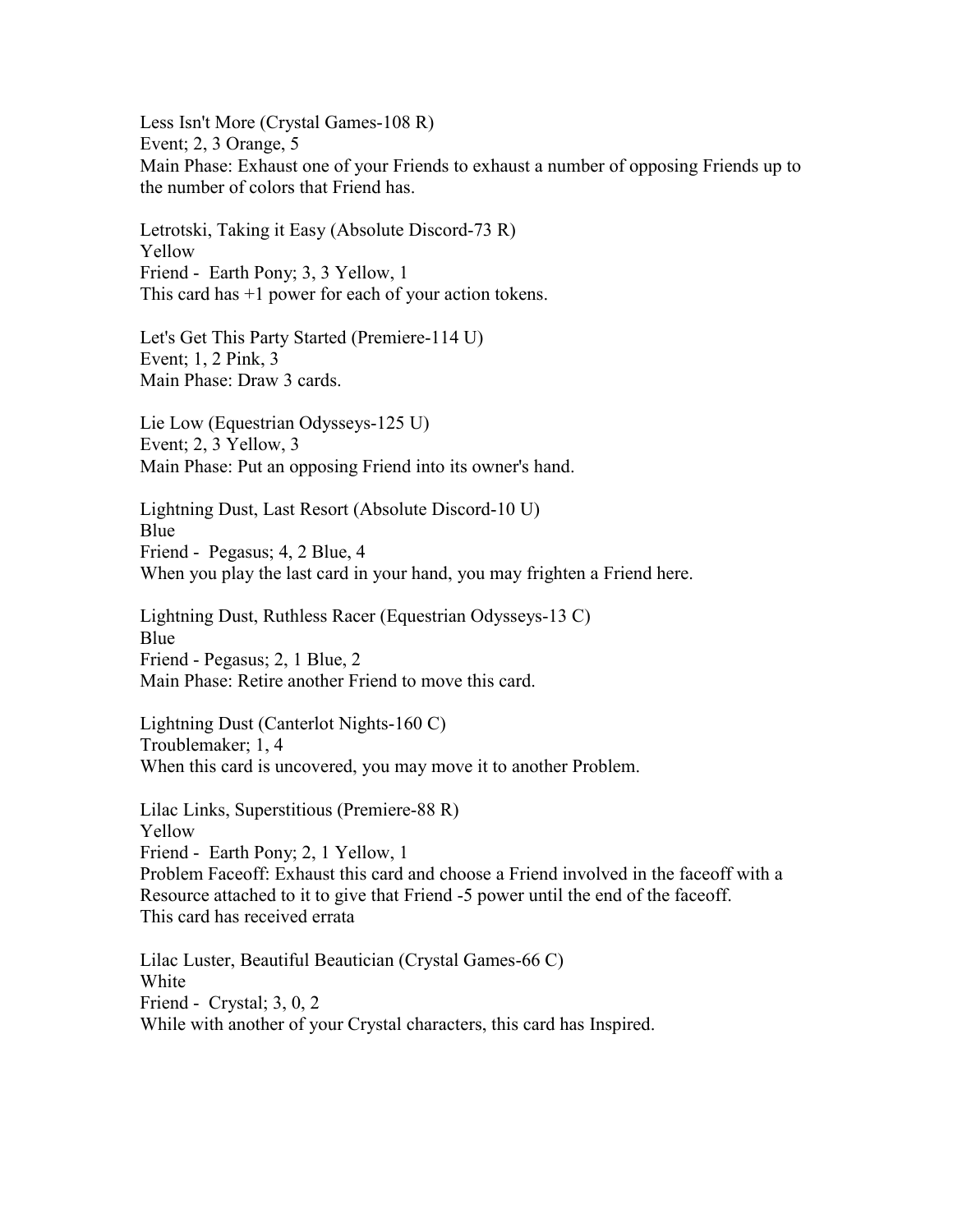Less Isn't More (Crystal Games-108 R) Event; 2, 3 Orange, 5 Main Phase: Exhaust one of your Friends to exhaust a number of opposing Friends up to the number of colors that Friend has.

Letrotski, Taking it Easy (Absolute Discord-73 R) Yellow Friend - Earth Pony; 3, 3 Yellow, 1 This card has +1 power for each of your action tokens.

Let's Get This Party Started (Premiere-114 U) Event; 1, 2 Pink, 3 Main Phase: Draw 3 cards.

Lie Low (Equestrian Odysseys-125 U) Event; 2, 3 Yellow, 3 Main Phase: Put an opposing Friend into its owner's hand.

Lightning Dust, Last Resort (Absolute Discord-10 U) Blue Friend - Pegasus; 4, 2 Blue, 4 When you play the last card in your hand, you may frighten a Friend here.

Lightning Dust, Ruthless Racer (Equestrian Odysseys-13 C) Blue Friend - Pegasus; 2, 1 Blue, 2 Main Phase: Retire another Friend to move this card.

Lightning Dust (Canterlot Nights-160 C) Troublemaker; 1, 4 When this card is uncovered, you may move it to another Problem.

Lilac Links, Superstitious (Premiere-88 R) Yellow Friend - Earth Pony; 2, 1 Yellow, 1 Problem Faceoff: Exhaust this card and choose a Friend involved in the faceoff with a Resource attached to it to give that Friend -5 power until the end of the faceoff. This card has received errata

Lilac Luster, Beautiful Beautician (Crystal Games-66 C) White Friend - Crystal; 3, 0, 2 While with another of your Crystal characters, this card has Inspired.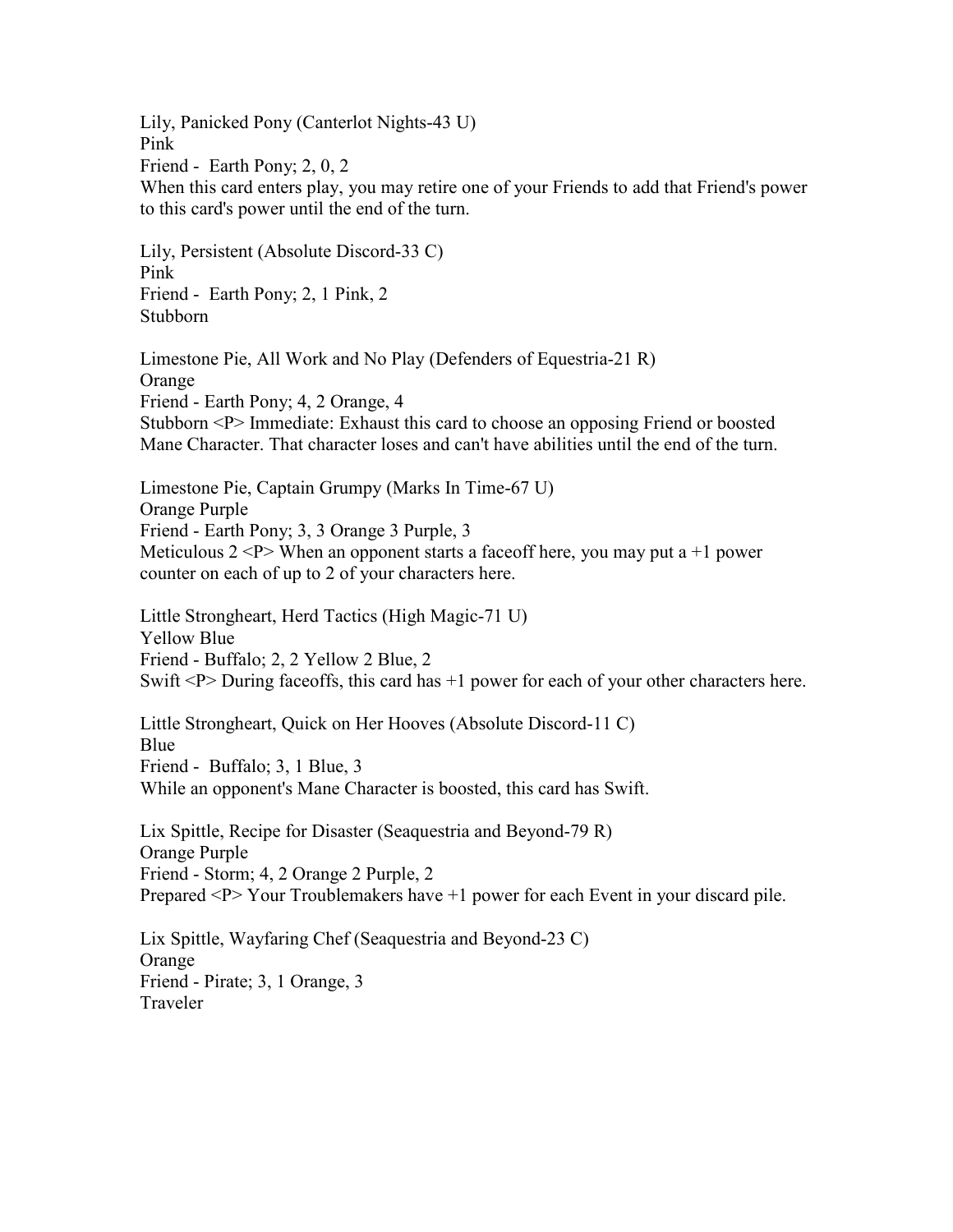Lily, Panicked Pony (Canterlot Nights-43 U) Pink Friend - Earth Pony; 2, 0, 2 When this card enters play, you may retire one of your Friends to add that Friend's power to this card's power until the end of the turn.

Lily, Persistent (Absolute Discord-33 C) Pink Friend - Earth Pony; 2, 1 Pink, 2 Stubborn

Limestone Pie, All Work and No Play (Defenders of Equestria-21 R) Orange Friend - Earth Pony; 4, 2 Orange, 4 Stubborn <P> Immediate: Exhaust this card to choose an opposing Friend or boosted Mane Character. That character loses and can't have abilities until the end of the turn.

Limestone Pie, Captain Grumpy (Marks In Time-67 U) Orange Purple Friend - Earth Pony; 3, 3 Orange 3 Purple, 3 Meticulous  $2 < P$  When an opponent starts a faceoff here, you may put a +1 power counter on each of up to 2 of your characters here.

Little Strongheart, Herd Tactics (High Magic-71 U) Yellow Blue Friend - Buffalo; 2, 2 Yellow 2 Blue, 2 Swift  $\langle P \rangle$  During faceoffs, this card has  $+1$  power for each of your other characters here.

Little Strongheart, Quick on Her Hooves (Absolute Discord-11 C) Blue Friend - Buffalo; 3, 1 Blue, 3 While an opponent's Mane Character is boosted, this card has Swift.

Lix Spittle, Recipe for Disaster (Seaquestria and Beyond-79 R) Orange Purple Friend - Storm; 4, 2 Orange 2 Purple, 2 Prepared <P> Your Troublemakers have +1 power for each Event in your discard pile.

Lix Spittle, Wayfaring Chef (Seaquestria and Beyond-23 C) **Orange** Friend - Pirate; 3, 1 Orange, 3 Traveler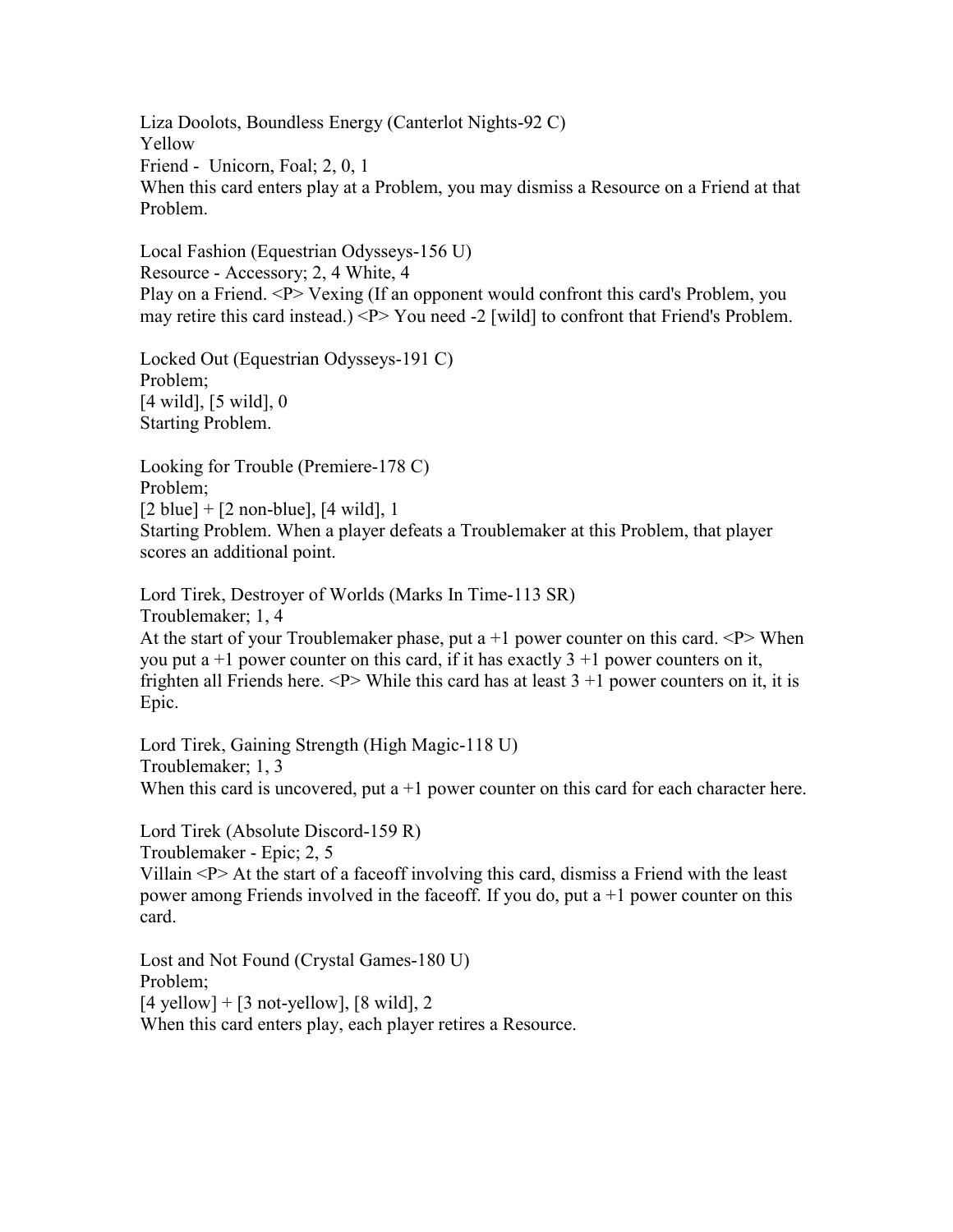Liza Doolots, Boundless Energy (Canterlot Nights-92 C) Yellow Friend - Unicorn, Foal; 2, 0, 1 When this card enters play at a Problem, you may dismiss a Resource on a Friend at that Problem.

Local Fashion (Equestrian Odysseys-156 U) Resource - Accessory; 2, 4 White, 4 Play on a Friend. <P> Vexing (If an opponent would confront this card's Problem, you may retire this card instead.) <P> You need -2 [wild] to confront that Friend's Problem.

Locked Out (Equestrian Odysseys-191 C) Problem; [4 wild], [5 wild], 0 Starting Problem.

Looking for Trouble (Premiere-178 C) Problem;  $[2 \text{ blue}] + [2 \text{ non-blue}], [4 \text{ wild}], 1$ Starting Problem. When a player defeats a Troublemaker at this Problem, that player scores an additional point.

Lord Tirek, Destroyer of Worlds (Marks In Time-113 SR) Troublemaker; 1, 4 At the start of your Troublemaker phase, put a  $+1$  power counter on this card.  $\langle P \rangle$  When you put a  $+1$  power counter on this card, if it has exactly  $3 + 1$  power counters on it, frighten all Friends here.  $\langle P \rangle$  While this card has at least 3 +1 power counters on it, it is Epic.

Lord Tirek, Gaining Strength (High Magic-118 U) Troublemaker; 1, 3 When this card is uncovered, put  $a+1$  power counter on this card for each character here.

Lord Tirek (Absolute Discord-159 R) Troublemaker - Epic; 2, 5 Villain <P> At the start of a faceoff involving this card, dismiss a Friend with the least power among Friends involved in the faceoff. If you do, put a +1 power counter on this card.

Lost and Not Found (Crystal Games-180 U) Problem;  $[4$  yellow] +  $[3$  not-yellow],  $[8 \text{ wild}]$ , 2 When this card enters play, each player retires a Resource.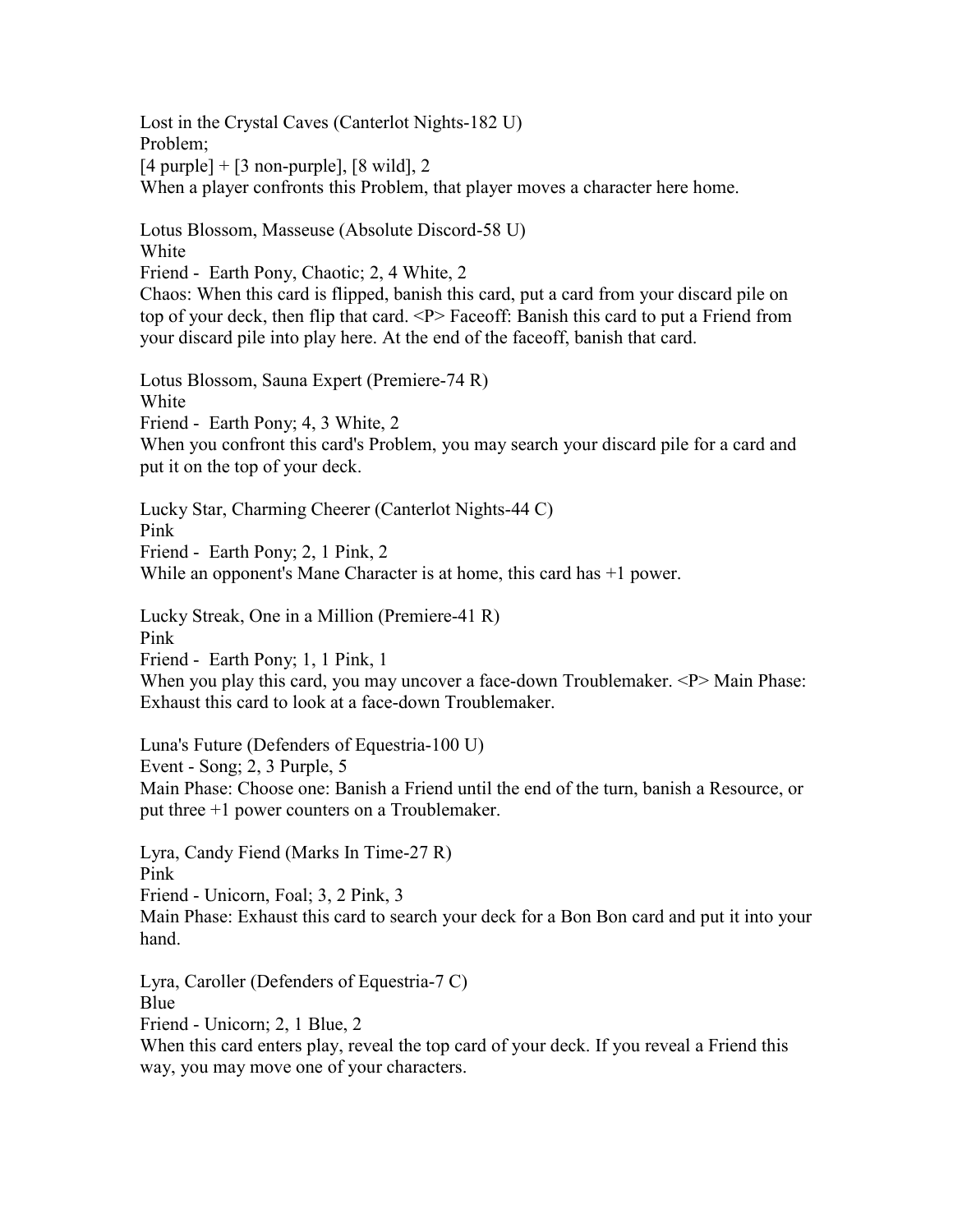Lost in the Crystal Caves (Canterlot Nights-182 U) Problem;  $[4 \text{ purple}] + [3 \text{ non-purple}], [8 \text{ wild}], 2$ When a player confronts this Problem, that player moves a character here home.

Lotus Blossom, Masseuse (Absolute Discord-58 U) White Friend - Earth Pony, Chaotic; 2, 4 White, 2

Chaos: When this card is flipped, banish this card, put a card from your discard pile on top of your deck, then flip that card. <P> Faceoff: Banish this card to put a Friend from your discard pile into play here. At the end of the faceoff, banish that card.

Lotus Blossom, Sauna Expert (Premiere-74 R) White Friend - Earth Pony; 4, 3 White, 2 When you confront this card's Problem, you may search your discard pile for a card and put it on the top of your deck.

Lucky Star, Charming Cheerer (Canterlot Nights-44 C) Pink Friend - Earth Pony; 2, 1 Pink, 2 While an opponent's Mane Character is at home, this card has +1 power.

Lucky Streak, One in a Million (Premiere-41 R) Pink

Friend - Earth Pony; 1, 1 Pink, 1

When you play this card, you may uncover a face-down Troublemaker.  $\langle P \rangle$  Main Phase: Exhaust this card to look at a face-down Troublemaker.

Luna's Future (Defenders of Equestria-100 U)

Event - Song; 2, 3 Purple, 5

Main Phase: Choose one: Banish a Friend until the end of the turn, banish a Resource, or put three +1 power counters on a Troublemaker.

Lyra, Candy Fiend (Marks In Time-27 R) Pink Friend - Unicorn, Foal; 3, 2 Pink, 3 Main Phase: Exhaust this card to search your deck for a Bon Bon card and put it into your hand.

Lyra, Caroller (Defenders of Equestria-7 C) Blue Friend - Unicorn; 2, 1 Blue, 2

When this card enters play, reveal the top card of your deck. If you reveal a Friend this way, you may move one of your characters.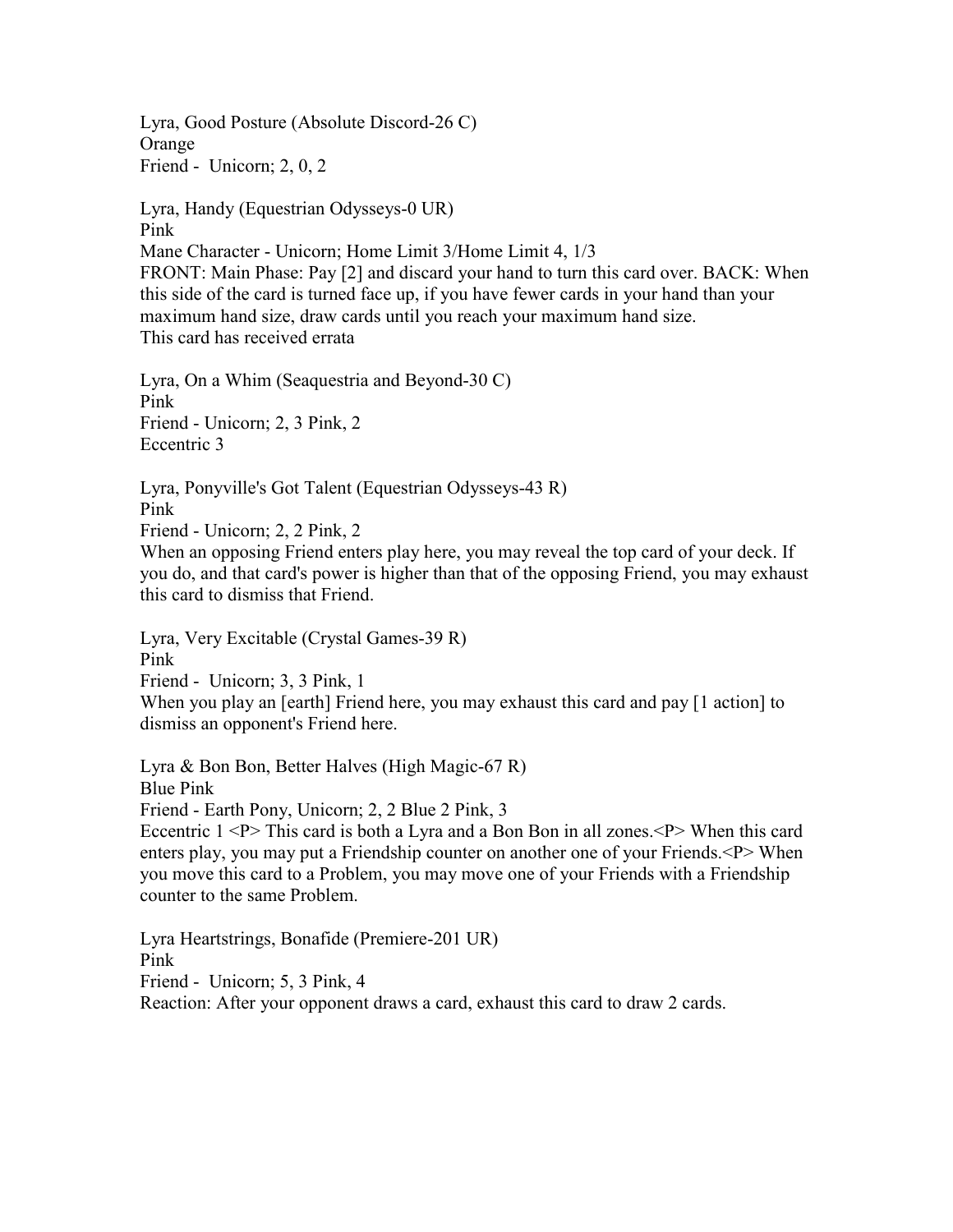Lyra, Good Posture (Absolute Discord-26 C) **Orange** Friend - Unicorn; 2, 0, 2

Lyra, Handy (Equestrian Odysseys-0 UR) Pink Mane Character - Unicorn; Home Limit 3/Home Limit 4, 1/3 FRONT: Main Phase: Pay [2] and discard your hand to turn this card over. BACK: When this side of the card is turned face up, if you have fewer cards in your hand than your maximum hand size, draw cards until you reach your maximum hand size. This card has received errata

Lyra, On a Whim (Seaquestria and Beyond-30 C) Pink Friend - Unicorn; 2, 3 Pink, 2 Eccentric 3

Lyra, Ponyville's Got Talent (Equestrian Odysseys-43 R) Pink Friend - Unicorn; 2, 2 Pink, 2

When an opposing Friend enters play here, you may reveal the top card of your deck. If you do, and that card's power is higher than that of the opposing Friend, you may exhaust this card to dismiss that Friend.

Lyra, Very Excitable (Crystal Games-39 R)

Pink

Friend - Unicorn; 3, 3 Pink, 1

When you play an [earth] Friend here, you may exhaust this card and pay [1 action] to dismiss an opponent's Friend here.

Lyra & Bon Bon, Better Halves (High Magic-67 R) Blue Pink

Friend - Earth Pony, Unicorn; 2, 2 Blue 2 Pink, 3

Eccentric  $1$  <P> This card is both a Lyra and a Bon Bon in all zones. <P> When this card enters play, you may put a Friendship counter on another one of your Friends.<P> When you move this card to a Problem, you may move one of your Friends with a Friendship counter to the same Problem.

Lyra Heartstrings, Bonafide (Premiere-201 UR) Pink Friend - Unicorn; 5, 3 Pink, 4 Reaction: After your opponent draws a card, exhaust this card to draw 2 cards.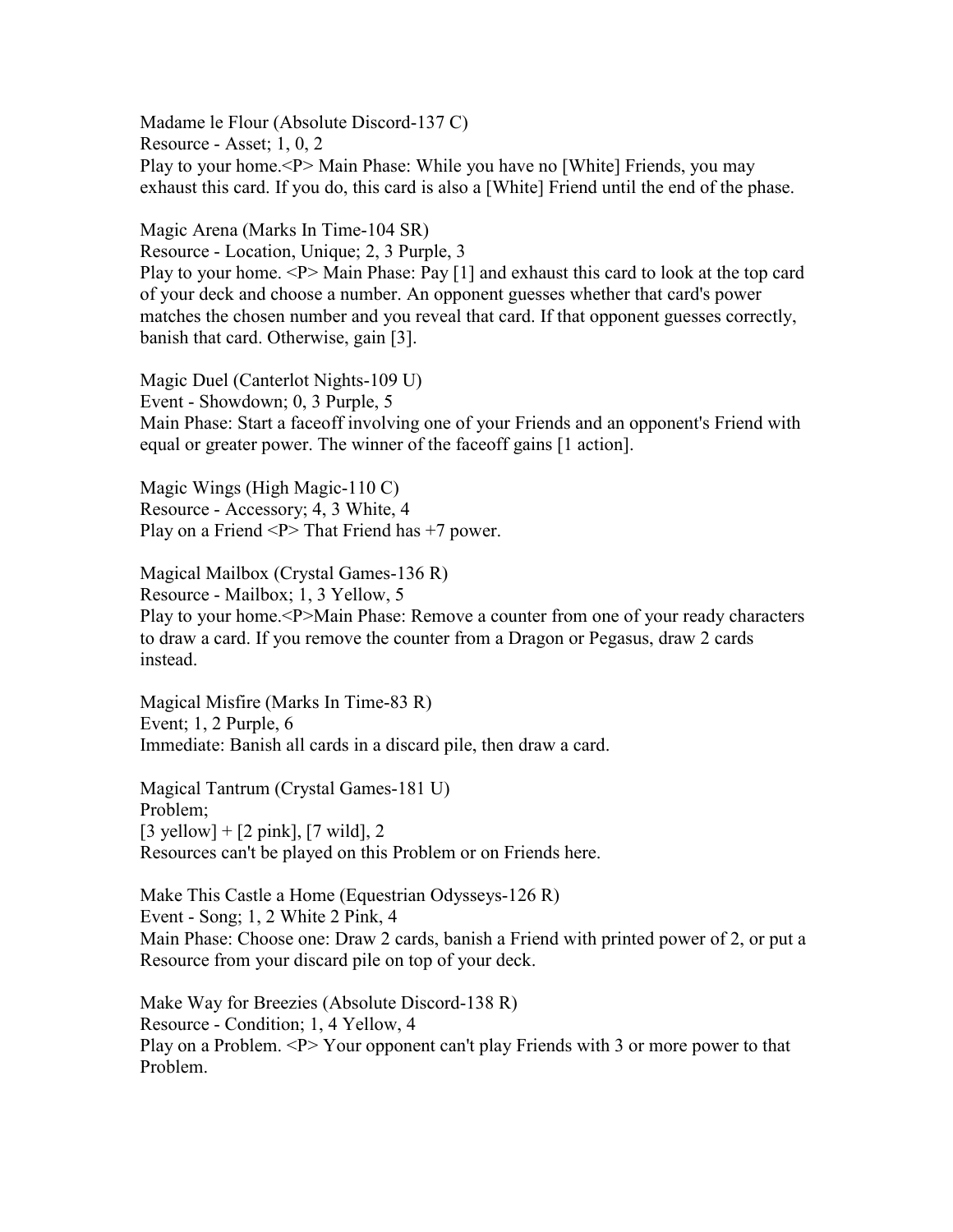Madame le Flour (Absolute Discord-137 C) Resource - Asset; 1, 0, 2 Play to your home.<P> Main Phase: While you have no [White] Friends, you may exhaust this card. If you do, this card is also a [White] Friend until the end of the phase.

Magic Arena (Marks In Time-104 SR) Resource - Location, Unique; 2, 3 Purple, 3 Play to your home. <P> Main Phase: Pay [1] and exhaust this card to look at the top card of your deck and choose a number. An opponent guesses whether that card's power matches the chosen number and you reveal that card. If that opponent guesses correctly, banish that card. Otherwise, gain [3].

Magic Duel (Canterlot Nights-109 U) Event - Showdown; 0, 3 Purple, 5 Main Phase: Start a faceoff involving one of your Friends and an opponent's Friend with equal or greater power. The winner of the faceoff gains [1 action].

Magic Wings (High Magic-110 C) Resource - Accessory; 4, 3 White, 4 Play on a Friend <P> That Friend has +7 power.

Magical Mailbox (Crystal Games-136 R) Resource - Mailbox; 1, 3 Yellow, 5 Play to your home.<P>Main Phase: Remove a counter from one of your ready characters to draw a card. If you remove the counter from a Dragon or Pegasus, draw 2 cards instead.

Magical Misfire (Marks In Time-83 R) Event; 1, 2 Purple, 6 Immediate: Banish all cards in a discard pile, then draw a card.

Magical Tantrum (Crystal Games-181 U) Problem;  $[3 \text{ yellow}] + [2 \text{ pink}], [7 \text{ wild}], 2$ Resources can't be played on this Problem or on Friends here.

Make This Castle a Home (Equestrian Odysseys-126 R) Event - Song; 1, 2 White 2 Pink, 4 Main Phase: Choose one: Draw 2 cards, banish a Friend with printed power of 2, or put a Resource from your discard pile on top of your deck.

Make Way for Breezies (Absolute Discord-138 R) Resource - Condition; 1, 4 Yellow, 4 Play on a Problem. <P> Your opponent can't play Friends with 3 or more power to that Problem.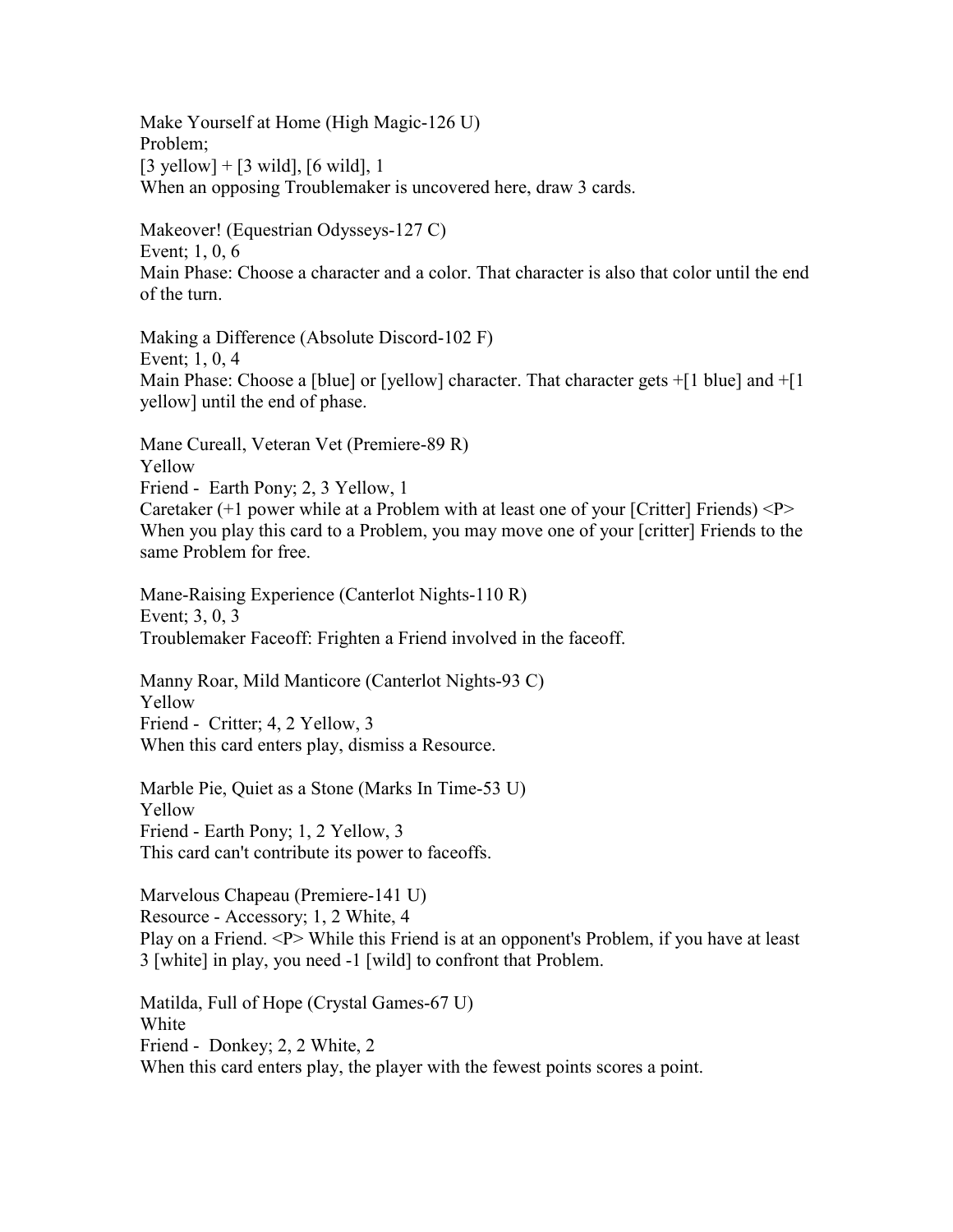Make Yourself at Home (High Magic-126 U) Problem;  $[3 \text{ yellow}] + [3 \text{ wild}], [6 \text{ wild}], 1$ When an opposing Troublemaker is uncovered here, draw 3 cards.

Makeover! (Equestrian Odysseys-127 C) Event; 1, 0, 6 Main Phase: Choose a character and a color. That character is also that color until the end of the turn.

Making a Difference (Absolute Discord-102 F) Event; 1, 0, 4 Main Phase: Choose a [blue] or [yellow] character. That character gets +[1 blue] and +[1] yellow] until the end of phase.

Mane Cureall, Veteran Vet (Premiere-89 R) Yellow Friend - Earth Pony; 2, 3 Yellow, 1 Caretaker  $(+1)$  power while at a Problem with at least one of your [Critter] Friends)  $\langle P \rangle$ When you play this card to a Problem, you may move one of your [critter] Friends to the same Problem for free.

Mane-Raising Experience (Canterlot Nights-110 R) Event; 3, 0, 3 Troublemaker Faceoff: Frighten a Friend involved in the faceoff.

Manny Roar, Mild Manticore (Canterlot Nights-93 C) Yellow Friend - Critter; 4, 2 Yellow, 3 When this card enters play, dismiss a Resource.

Marble Pie, Quiet as a Stone (Marks In Time-53 U) Yellow Friend - Earth Pony; 1, 2 Yellow, 3 This card can't contribute its power to faceoffs.

Marvelous Chapeau (Premiere-141 U) Resource - Accessory; 1, 2 White, 4 Play on a Friend. <P> While this Friend is at an opponent's Problem, if you have at least 3 [white] in play, you need -1 [wild] to confront that Problem.

Matilda, Full of Hope (Crystal Games-67 U) White Friend - Donkey; 2, 2 White, 2 When this card enters play, the player with the fewest points scores a point.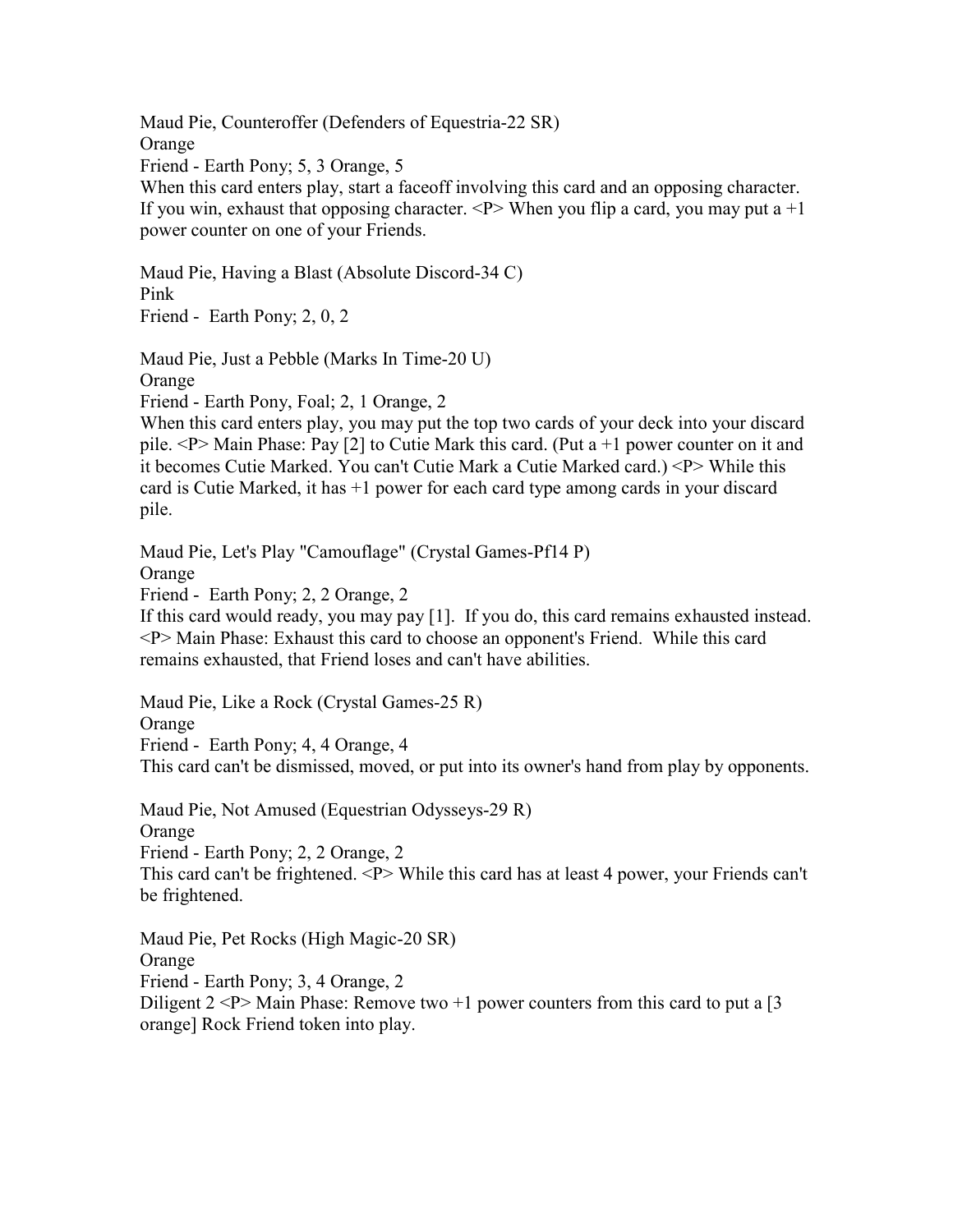Maud Pie, Counteroffer (Defenders of Equestria-22 SR) Orange Friend - Earth Pony; 5, 3 Orange, 5 When this card enters play, start a faceoff involving this card and an opposing character. If you win, exhaust that opposing character.  $\langle P \rangle$  When you flip a card, you may put a  $+1$ power counter on one of your Friends.

Maud Pie, Having a Blast (Absolute Discord-34 C) Pink Friend - Earth Pony; 2, 0, 2

Maud Pie, Just a Pebble (Marks In Time-20 U)

Orange

Friend - Earth Pony, Foal; 2, 1 Orange, 2

When this card enters play, you may put the top two cards of your deck into your discard pile.  $\langle P \rangle$  Main Phase: Pay [2] to Cutie Mark this card. (Put a +1 power counter on it and it becomes Cutie Marked. You can't Cutie Mark a Cutie Marked card.) <P> While this card is Cutie Marked, it has +1 power for each card type among cards in your discard pile.

Maud Pie, Let's Play "Camouflage" (Crystal Games-Pf14 P)

Orange

Friend - Earth Pony; 2, 2 Orange, 2

If this card would ready, you may pay [1]. If you do, this card remains exhausted instead. <P> Main Phase: Exhaust this card to choose an opponent's Friend. While this card remains exhausted, that Friend loses and can't have abilities.

Maud Pie, Like a Rock (Crystal Games-25 R)

Orange Friend - Earth Pony; 4, 4 Orange, 4 This card can't be dismissed, moved, or put into its owner's hand from play by opponents.

Maud Pie, Not Amused (Equestrian Odysseys-29 R) Orange Friend - Earth Pony; 2, 2 Orange, 2 This card can't be frightened. <P> While this card has at least 4 power, your Friends can't be frightened.

Maud Pie, Pet Rocks (High Magic-20 SR) Orange Friend - Earth Pony; 3, 4 Orange, 2 Diligent  $2 < P$  Main Phase: Remove two  $+1$  power counters from this card to put a [3] orange] Rock Friend token into play.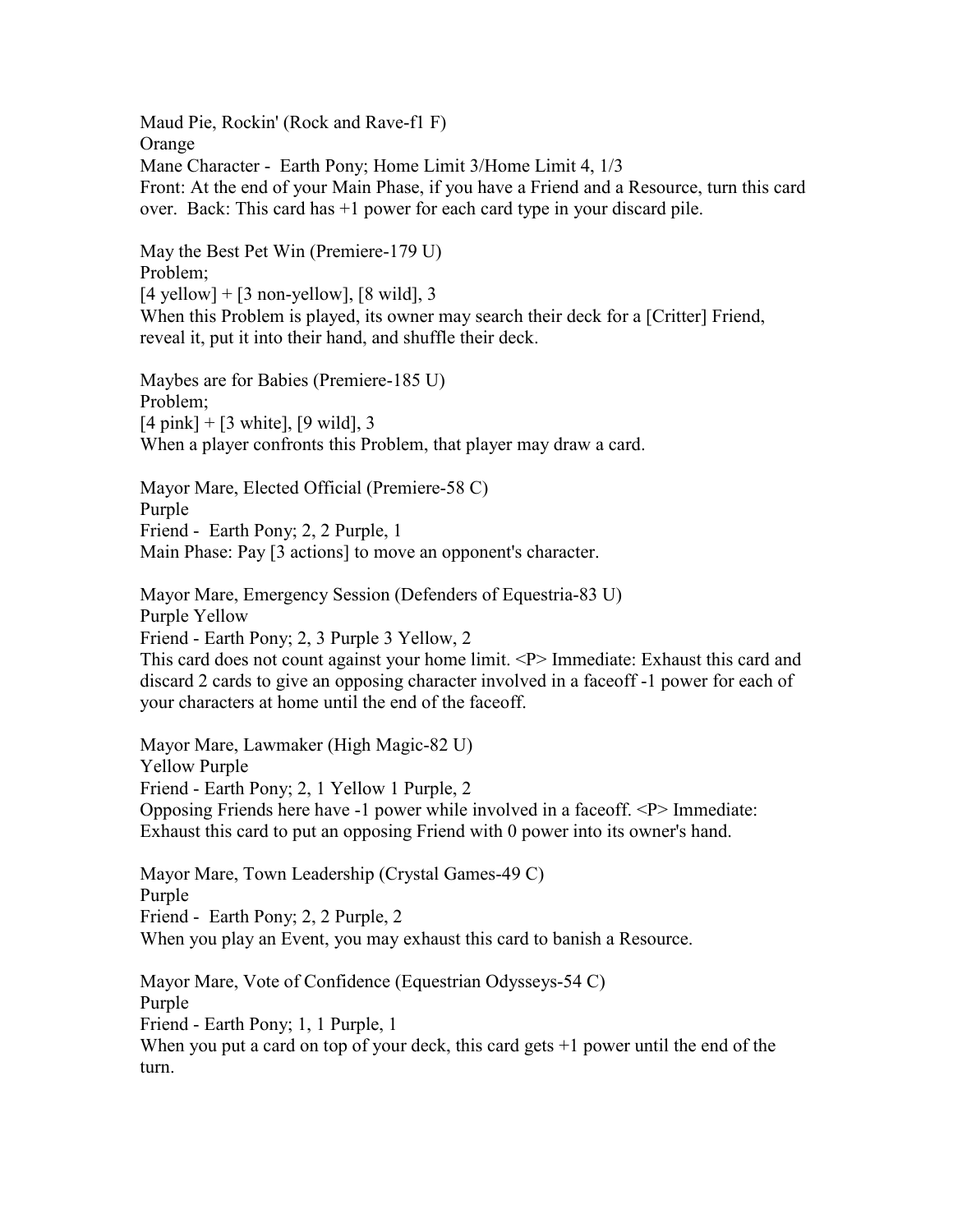Maud Pie, Rockin' (Rock and Rave-f1 F) Orange Mane Character - Earth Pony; Home Limit 3/Home Limit 4, 1/3 Front: At the end of your Main Phase, if you have a Friend and a Resource, turn this card over. Back: This card has +1 power for each card type in your discard pile.

May the Best Pet Win (Premiere-179 U) Problem;  $[4$  yellow] +  $[3$  non-yellow],  $[8 \text{ wild}]$ , 3 When this Problem is played, its owner may search their deck for a [Critter] Friend, reveal it, put it into their hand, and shuffle their deck.

Maybes are for Babies (Premiere-185 U) Problem;  $[4 \text{ pink}] + [3 \text{ white}], [9 \text{ wild}], 3$ When a player confronts this Problem, that player may draw a card.

Mayor Mare, Elected Official (Premiere-58 C) Purple Friend - Earth Pony; 2, 2 Purple, 1 Main Phase: Pay [3 actions] to move an opponent's character.

Mayor Mare, Emergency Session (Defenders of Equestria-83 U) Purple Yellow Friend - Earth Pony; 2, 3 Purple 3 Yellow, 2 This card does not count against your home limit. <P> Immediate: Exhaust this card and discard 2 cards to give an opposing character involved in a faceoff -1 power for each of

your characters at home until the end of the faceoff.

Mayor Mare, Lawmaker (High Magic-82 U) Yellow Purple Friend - Earth Pony; 2, 1 Yellow 1 Purple, 2 Opposing Friends here have -1 power while involved in a faceoff. <P> Immediate: Exhaust this card to put an opposing Friend with 0 power into its owner's hand.

Mayor Mare, Town Leadership (Crystal Games-49 C) Purple Friend - Earth Pony; 2, 2 Purple, 2 When you play an Event, you may exhaust this card to banish a Resource.

Mayor Mare, Vote of Confidence (Equestrian Odysseys-54 C) Purple Friend - Earth Pony; 1, 1 Purple, 1 When you put a card on top of your deck, this card gets  $+1$  power until the end of the turn.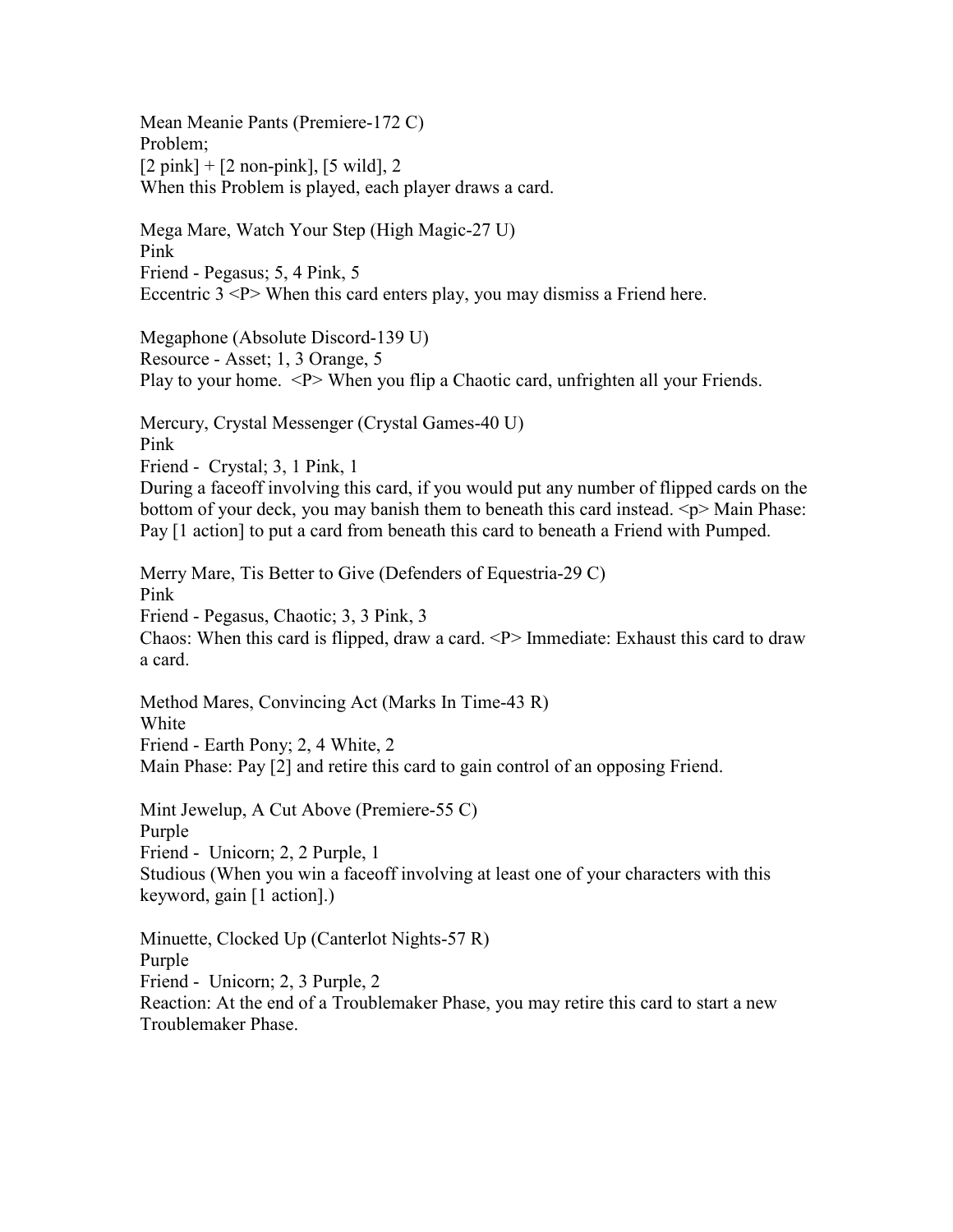Mean Meanie Pants (Premiere-172 C) Problem;  $[2 \text{ pink}] + [2 \text{ non-pink}], [5 \text{ wild}], 2$ When this Problem is played, each player draws a card.

Mega Mare, Watch Your Step (High Magic-27 U) Pink Friend - Pegasus; 5, 4 Pink, 5 Eccentric  $3 < P$  When this card enters play, you may dismiss a Friend here.

Megaphone (Absolute Discord-139 U) Resource - Asset; 1, 3 Orange, 5 Play to your home. <P> When you flip a Chaotic card, unfrighten all your Friends.

Mercury, Crystal Messenger (Crystal Games-40 U) Pink Friend - Crystal; 3, 1 Pink, 1 During a faceoff involving this card, if you would put any number of flipped cards on the bottom of your deck, you may banish them to beneath this card instead.  $\langle p \rangle$  Main Phase:

Pay [1 action] to put a card from beneath this card to beneath a Friend with Pumped.

Merry Mare, Tis Better to Give (Defenders of Equestria-29 C) Pink Friend - Pegasus, Chaotic; 3, 3 Pink, 3 Chaos: When this card is flipped, draw a card.  $\langle P \rangle$  Immediate: Exhaust this card to draw a card.

Method Mares, Convincing Act (Marks In Time-43 R) White Friend - Earth Pony; 2, 4 White, 2 Main Phase: Pay [2] and retire this card to gain control of an opposing Friend.

Mint Jewelup, A Cut Above (Premiere-55 C)

Purple

Friend - Unicorn; 2, 2 Purple, 1

Studious (When you win a faceoff involving at least one of your characters with this keyword, gain [1 action].)

Minuette, Clocked Up (Canterlot Nights-57 R) Purple Friend - Unicorn; 2, 3 Purple, 2 Reaction: At the end of a Troublemaker Phase, you may retire this card to start a new Troublemaker Phase.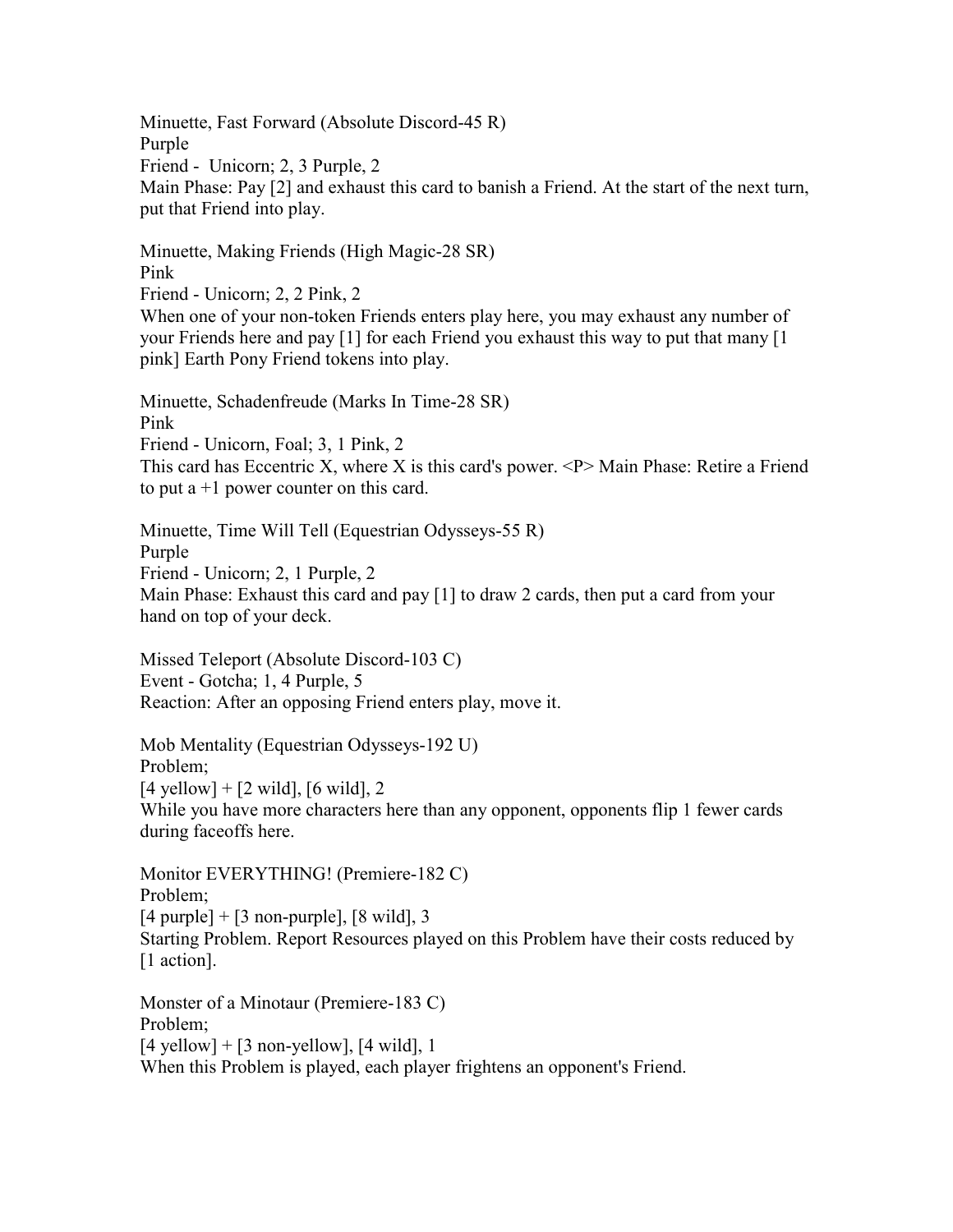Minuette, Fast Forward (Absolute Discord-45 R) Purple Friend - Unicorn; 2, 3 Purple, 2 Main Phase: Pay [2] and exhaust this card to banish a Friend. At the start of the next turn, put that Friend into play.

Minuette, Making Friends (High Magic-28 SR) Pink

Friend - Unicorn; 2, 2 Pink, 2 When one of your non-token Friends enters play here, you may exhaust any number of your Friends here and pay [1] for each Friend you exhaust this way to put that many [1 pink] Earth Pony Friend tokens into play.

Minuette, Schadenfreude (Marks In Time-28 SR) Pink Friend - Unicorn, Foal; 3, 1 Pink, 2 This card has Eccentric X, where X is this card's power.  $\langle P \rangle$  Main Phase: Retire a Friend to put  $a + 1$  power counter on this card.

Minuette, Time Will Tell (Equestrian Odysseys-55 R) Purple Friend - Unicorn; 2, 1 Purple, 2 Main Phase: Exhaust this card and pay [1] to draw 2 cards, then put a card from your hand on top of your deck.

Missed Teleport (Absolute Discord-103 C) Event - Gotcha; 1, 4 Purple, 5 Reaction: After an opposing Friend enters play, move it.

Mob Mentality (Equestrian Odysseys-192 U) Problem;  $[4$  yellow] +  $[2$  wild],  $[6$  wild], 2 While you have more characters here than any opponent, opponents flip 1 fewer cards during faceoffs here.

Monitor EVERYTHING! (Premiere-182 C) Problem;  $[4 \text{ purple}] + [3 \text{ non-puple}], [8 \text{ wild}], 3$ Starting Problem. Report Resources played on this Problem have their costs reduced by [1 action].

Monster of a Minotaur (Premiere-183 C) Problem;  $[4$  yellow] +  $[3$  non-yellow],  $[4$  wild], 1 When this Problem is played, each player frightens an opponent's Friend.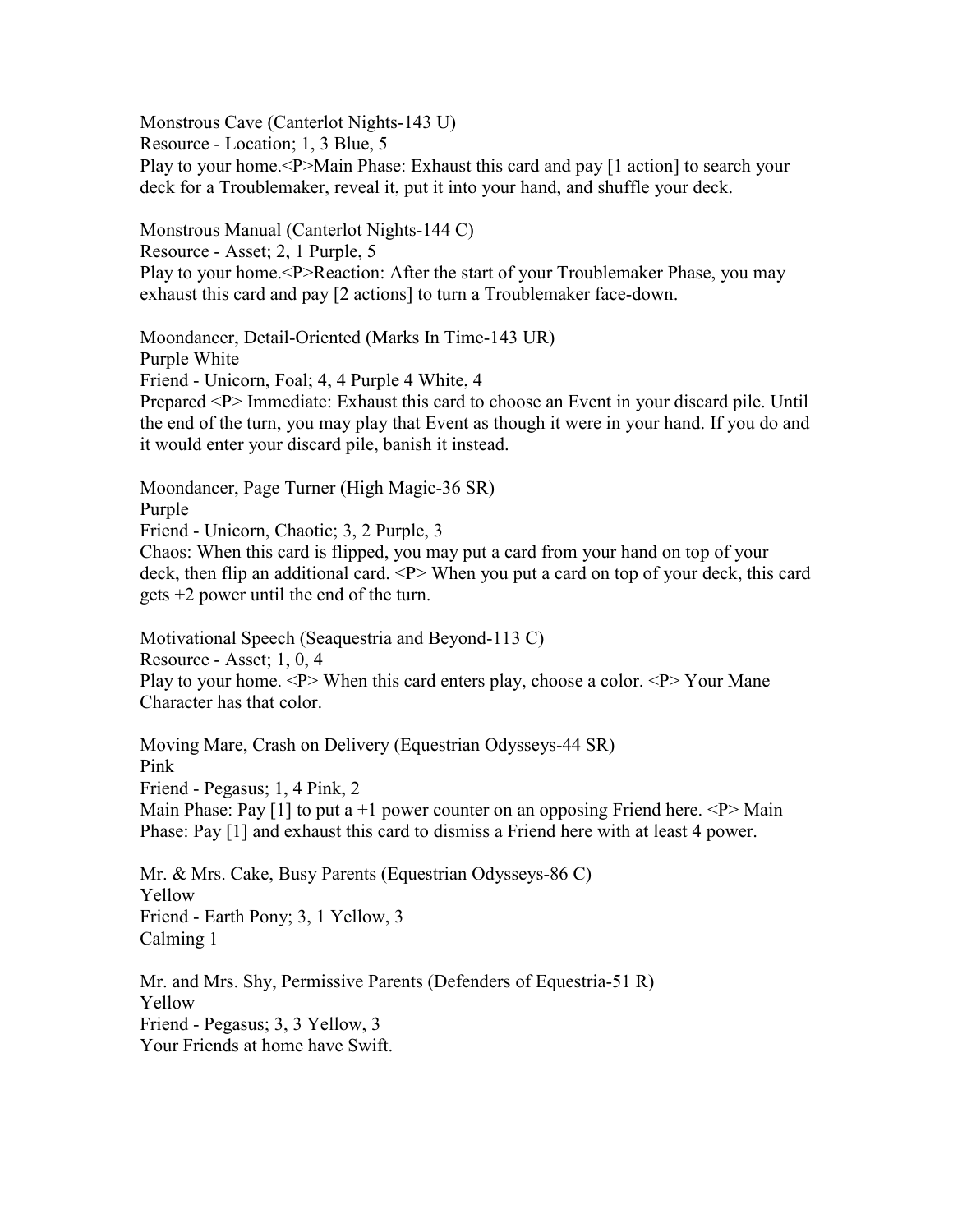Monstrous Cave (Canterlot Nights-143 U)

Resource - Location; 1, 3 Blue, 5

Play to your home.<P>Main Phase: Exhaust this card and pay [1 action] to search your deck for a Troublemaker, reveal it, put it into your hand, and shuffle your deck.

Monstrous Manual (Canterlot Nights-144 C) Resource - Asset; 2, 1 Purple, 5 Play to your home.<P>Reaction: After the start of your Troublemaker Phase, you may exhaust this card and pay [2 actions] to turn a Troublemaker face-down.

Moondancer, Detail-Oriented (Marks In Time-143 UR) Purple White Friend - Unicorn, Foal; 4, 4 Purple 4 White, 4 Prepared <P> Immediate: Exhaust this card to choose an Event in your discard pile. Until the end of the turn, you may play that Event as though it were in your hand. If you do and it would enter your discard pile, banish it instead.

Moondancer, Page Turner (High Magic-36 SR)

Purple

Friend - Unicorn, Chaotic; 3, 2 Purple, 3

Chaos: When this card is flipped, you may put a card from your hand on top of your deck, then flip an additional card. <P> When you put a card on top of your deck, this card gets +2 power until the end of the turn.

Motivational Speech (Seaquestria and Beyond-113 C) Resource - Asset; 1, 0, 4 Play to your home. <P> When this card enters play, choose a color. <P> Your Mane Character has that color.

Moving Mare, Crash on Delivery (Equestrian Odysseys-44 SR) Pink Friend - Pegasus; 1, 4 Pink, 2 Main Phase: Pay [1] to put a +1 power counter on an opposing Friend here.  $\langle P \rangle$  Main Phase: Pay [1] and exhaust this card to dismiss a Friend here with at least 4 power.

Mr. & Mrs. Cake, Busy Parents (Equestrian Odysseys-86 C) Yellow Friend - Earth Pony; 3, 1 Yellow, 3 Calming 1

Mr. and Mrs. Shy, Permissive Parents (Defenders of Equestria-51 R) Yellow Friend - Pegasus; 3, 3 Yellow, 3 Your Friends at home have Swift.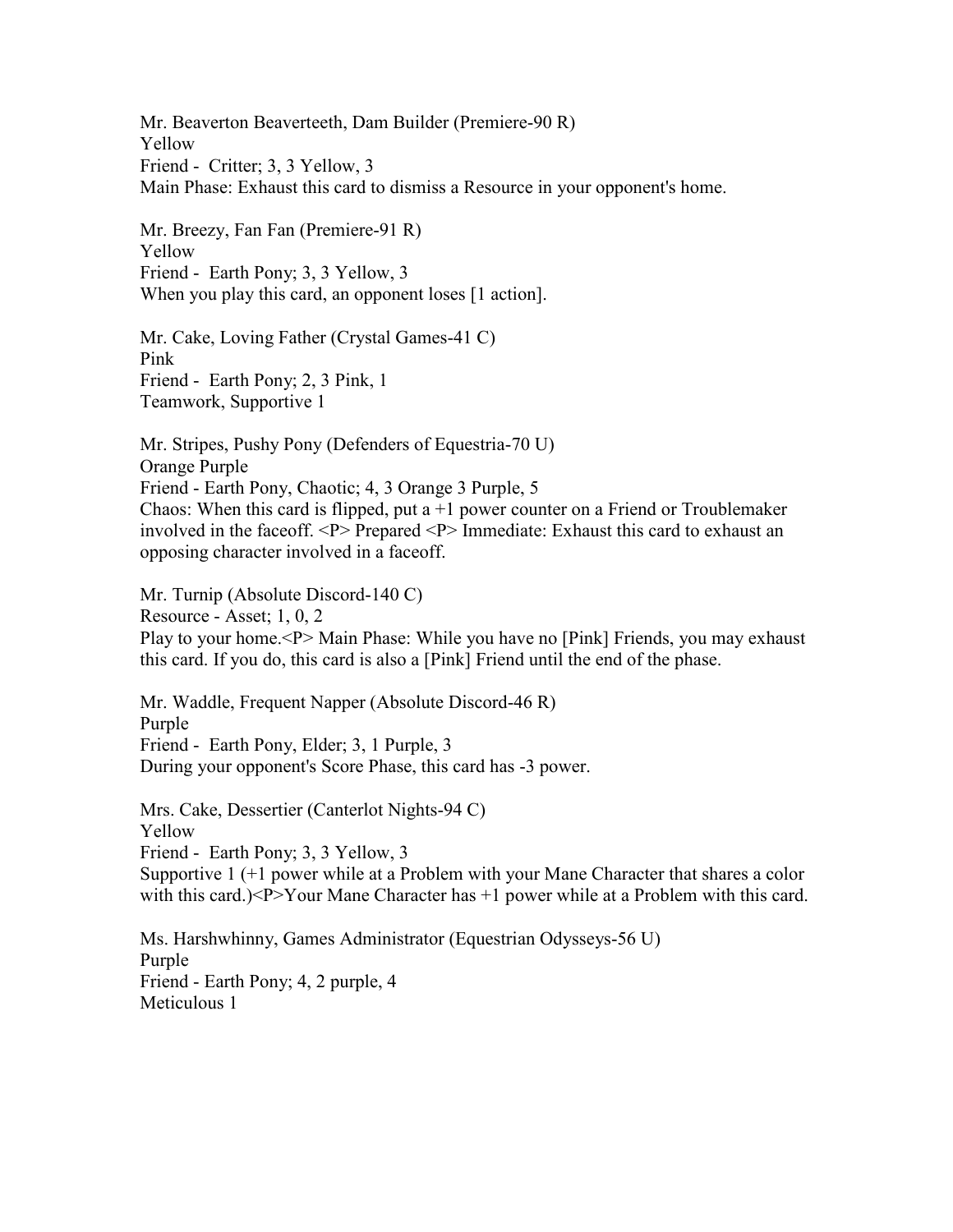Mr. Beaverton Beaverteeth, Dam Builder (Premiere-90 R) Yellow Friend - Critter; 3, 3 Yellow, 3 Main Phase: Exhaust this card to dismiss a Resource in your opponent's home.

Mr. Breezy, Fan Fan (Premiere-91 R) Yellow Friend - Earth Pony; 3, 3 Yellow, 3 When you play this card, an opponent loses [1 action].

Mr. Cake, Loving Father (Crystal Games-41 C) Pink Friend - Earth Pony; 2, 3 Pink, 1 Teamwork, Supportive 1

Mr. Stripes, Pushy Pony (Defenders of Equestria-70 U) Orange Purple Friend - Earth Pony, Chaotic; 4, 3 Orange 3 Purple, 5 Chaos: When this card is flipped, put a  $+1$  power counter on a Friend or Troublemaker involved in the faceoff. <P> Prepared <P> Immediate: Exhaust this card to exhaust an opposing character involved in a faceoff.

Mr. Turnip (Absolute Discord-140 C) Resource - Asset; 1, 0, 2 Play to your home.<P> Main Phase: While you have no [Pink] Friends, you may exhaust this card. If you do, this card is also a [Pink] Friend until the end of the phase.

Mr. Waddle, Frequent Napper (Absolute Discord-46 R) Purple Friend - Earth Pony, Elder; 3, 1 Purple, 3 During your opponent's Score Phase, this card has -3 power.

Mrs. Cake, Dessertier (Canterlot Nights-94 C) Yellow Friend - Earth Pony; 3, 3 Yellow, 3 Supportive 1 (+1 power while at a Problem with your Mane Character that shares a color with this card.)<P>Your Mane Character has +1 power while at a Problem with this card.

Ms. Harshwhinny, Games Administrator (Equestrian Odysseys-56 U) Purple Friend - Earth Pony; 4, 2 purple, 4 Meticulous 1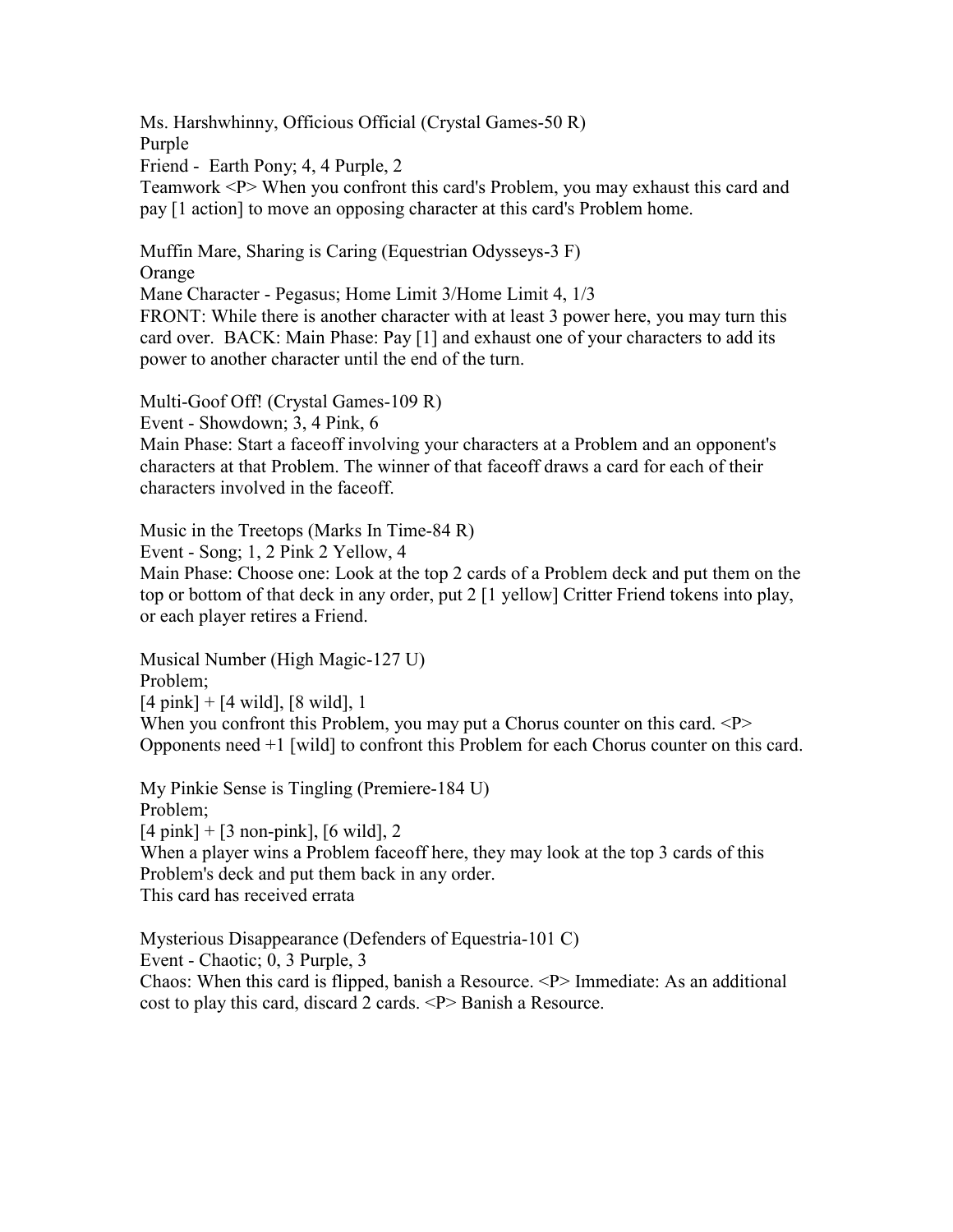Ms. Harshwhinny, Officious Official (Crystal Games-50 R) Purple Friend - Earth Pony; 4, 4 Purple, 2 Teamwork <P> When you confront this card's Problem, you may exhaust this card and pay [1 action] to move an opposing character at this card's Problem home.

Muffin Mare, Sharing is Caring (Equestrian Odysseys-3 F) Orange

Mane Character - Pegasus; Home Limit 3/Home Limit 4, 1/3 FRONT: While there is another character with at least 3 power here, you may turn this

card over. BACK: Main Phase: Pay [1] and exhaust one of your characters to add its power to another character until the end of the turn.

Multi-Goof Off! (Crystal Games-109 R)

Event - Showdown; 3, 4 Pink, 6

Main Phase: Start a faceoff involving your characters at a Problem and an opponent's characters at that Problem. The winner of that faceoff draws a card for each of their characters involved in the faceoff.

Music in the Treetops (Marks In Time-84 R)

Event - Song; 1, 2 Pink 2 Yellow, 4

Main Phase: Choose one: Look at the top 2 cards of a Problem deck and put them on the top or bottom of that deck in any order, put 2 [1 yellow] Critter Friend tokens into play, or each player retires a Friend.

Musical Number (High Magic-127 U) Problem;  $[4 \text{ pink}] + [4 \text{ wild}], [8 \text{ wild}], 1$ When you confront this Problem, you may put a Chorus counter on this card.  $P$ Opponents need +1 [wild] to confront this Problem for each Chorus counter on this card.

My Pinkie Sense is Tingling (Premiere-184 U) Problem;  $[4 \text{ pink}] + [3 \text{ non-pink}], [6 \text{ wild}], 2$ When a player wins a Problem face of the equal the verth of the top 3 cards of this Problem's deck and put them back in any order. This card has received errata

Mysterious Disappearance (Defenders of Equestria-101 C) Event - Chaotic; 0, 3 Purple, 3 Chaos: When this card is flipped, banish a Resource. <P> Immediate: As an additional cost to play this card, discard 2 cards. <P> Banish a Resource.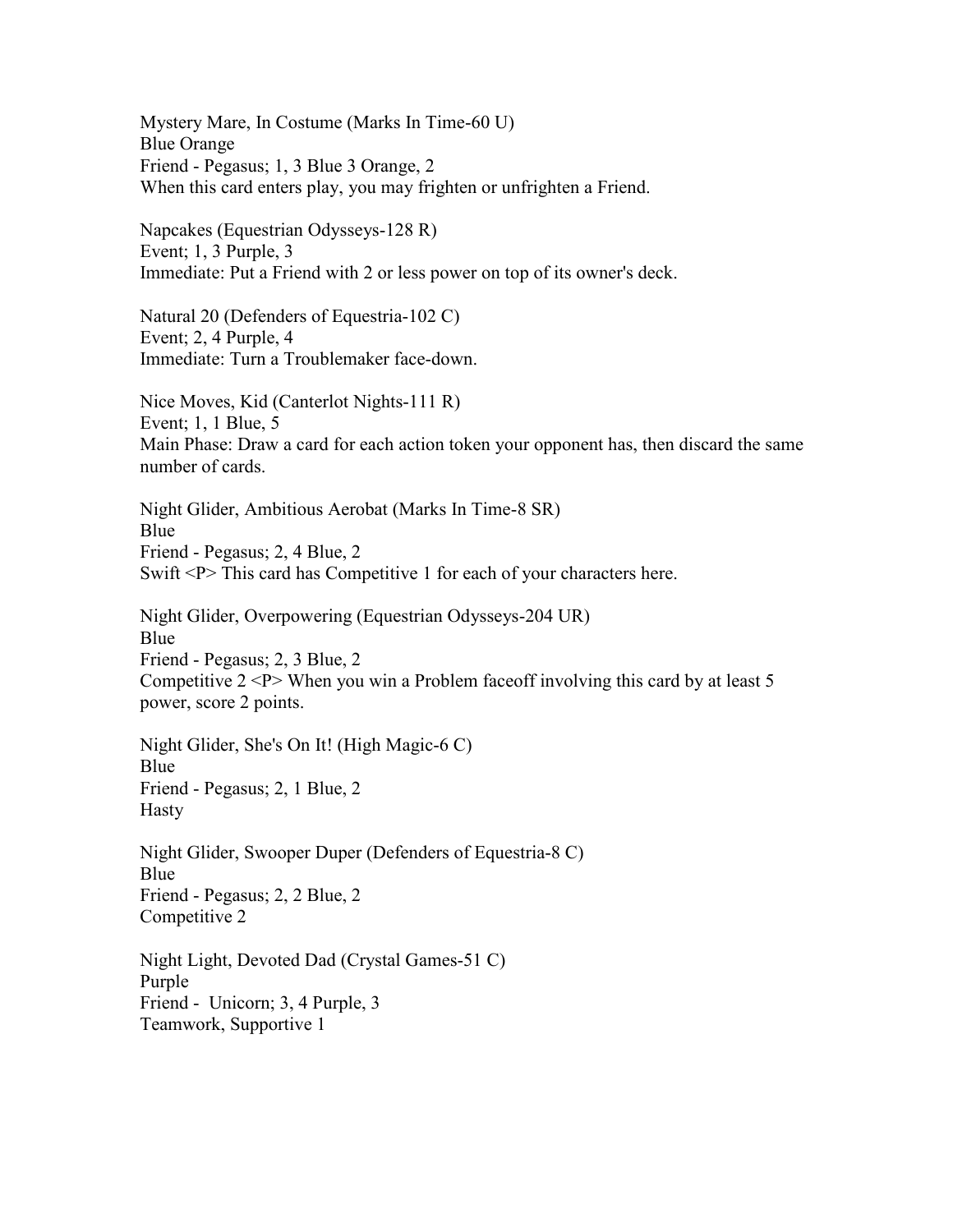Mystery Mare, In Costume (Marks In Time-60 U) Blue Orange Friend - Pegasus; 1, 3 Blue 3 Orange, 2 When this card enters play, you may frighten or unfrighten a Friend. Napcakes (Equestrian Odysseys-128 R) Event; 1, 3 Purple, 3 Immediate: Put a Friend with 2 or less power on top of its owner's deck. Natural 20 (Defenders of Equestria-102 C) Event; 2, 4 Purple, 4 Immediate: Turn a Troublemaker face-down. Nice Moves, Kid (Canterlot Nights-111 R) Event; 1, 1 Blue, 5 Main Phase: Draw a card for each action token your opponent has, then discard the same number of cards. Night Glider, Ambitious Aerobat (Marks In Time-8 SR) Blue Friend - Pegasus; 2, 4 Blue, 2 Swift <P> This card has Competitive 1 for each of your characters here. Night Glider, Overpowering (Equestrian Odysseys-204 UR) Blue Friend - Pegasus; 2, 3 Blue, 2 Competitive 2 <P> When you win a Problem faceoff involving this card by at least 5 power, score 2 points. Night Glider, She's On It! (High Magic-6 C) Blue Friend - Pegasus; 2, 1 Blue, 2 Hasty Night Glider, Swooper Duper (Defenders of Equestria-8 C) Blue Friend - Pegasus; 2, 2 Blue, 2 Competitive 2 Night Light, Devoted Dad (Crystal Games-51 C) Purple Friend - Unicorn; 3, 4 Purple, 3

Teamwork, Supportive 1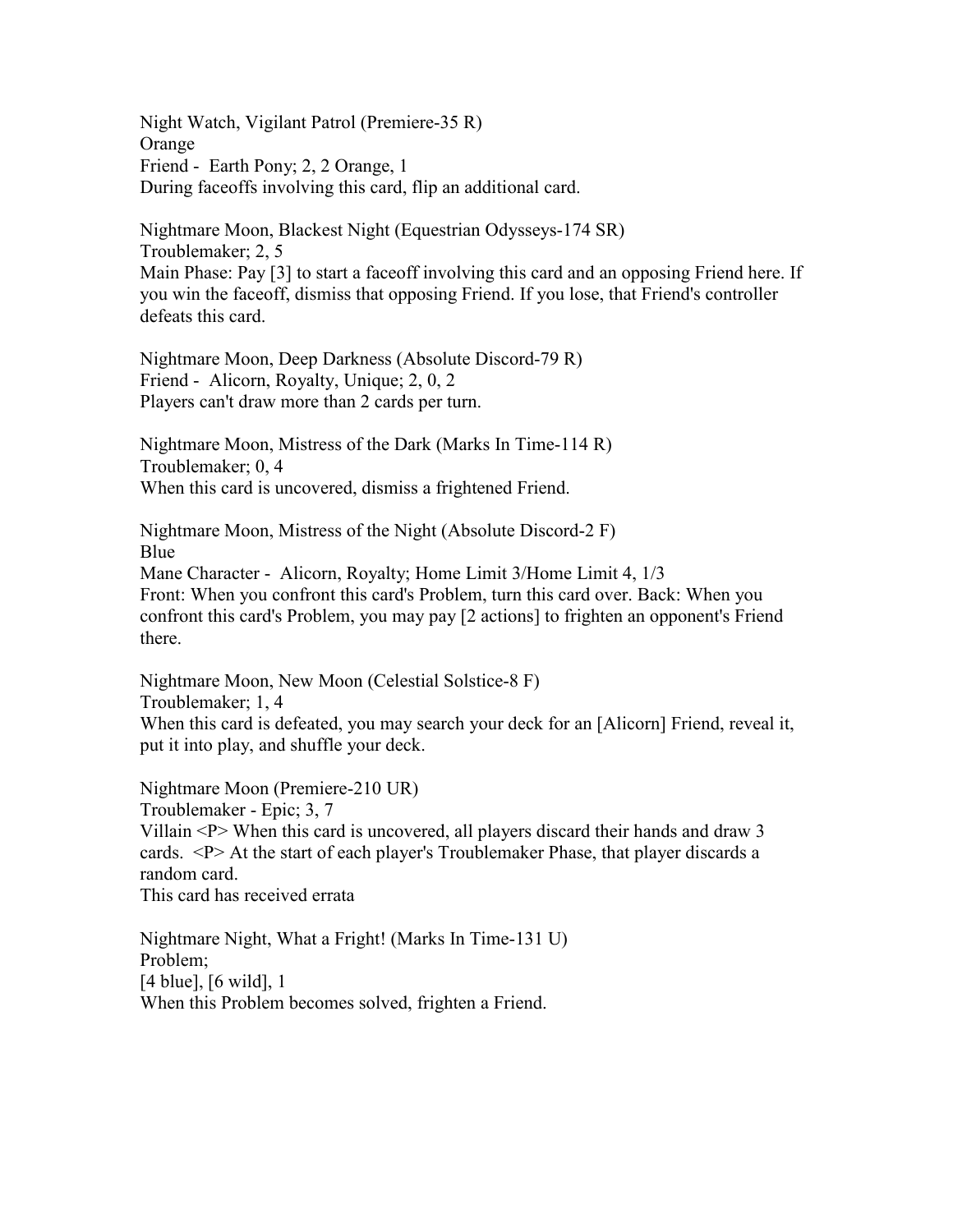Night Watch, Vigilant Patrol (Premiere-35 R) Orange Friend - Earth Pony; 2, 2 Orange, 1 During faceoffs involving this card, flip an additional card.

Nightmare Moon, Blackest Night (Equestrian Odysseys-174 SR) Troublemaker; 2, 5 Main Phase: Pay [3] to start a faceoff involving this card and an opposing Friend here. If you win the faceoff, dismiss that opposing Friend. If you lose, that Friend's controller defeats this card.

Nightmare Moon, Deep Darkness (Absolute Discord-79 R) Friend - Alicorn, Royalty, Unique; 2, 0, 2 Players can't draw more than 2 cards per turn.

Nightmare Moon, Mistress of the Dark (Marks In Time-114 R) Troublemaker; 0, 4 When this card is uncovered, dismiss a frightened Friend.

Nightmare Moon, Mistress of the Night (Absolute Discord-2 F) Blue Mane Character - Alicorn, Royalty; Home Limit 3/Home Limit 4, 1/3 Front: When you confront this card's Problem, turn this card over. Back: When you confront this card's Problem, you may pay [2 actions] to frighten an opponent's Friend there.

Nightmare Moon, New Moon (Celestial Solstice-8 F) Troublemaker; 1, 4 When this card is defeated, you may search your deck for an [Alicorn] Friend, reveal it, put it into play, and shuffle your deck.

Nightmare Moon (Premiere-210 UR) Troublemaker - Epic; 3, 7 Villain <P> When this card is uncovered, all players discard their hands and draw 3 cards. <P> At the start of each player's Troublemaker Phase, that player discards a random card. This card has received errata

Nightmare Night, What a Fright! (Marks In Time-131 U) Problem; [4 blue], [6 wild], 1 When this Problem becomes solved, frighten a Friend.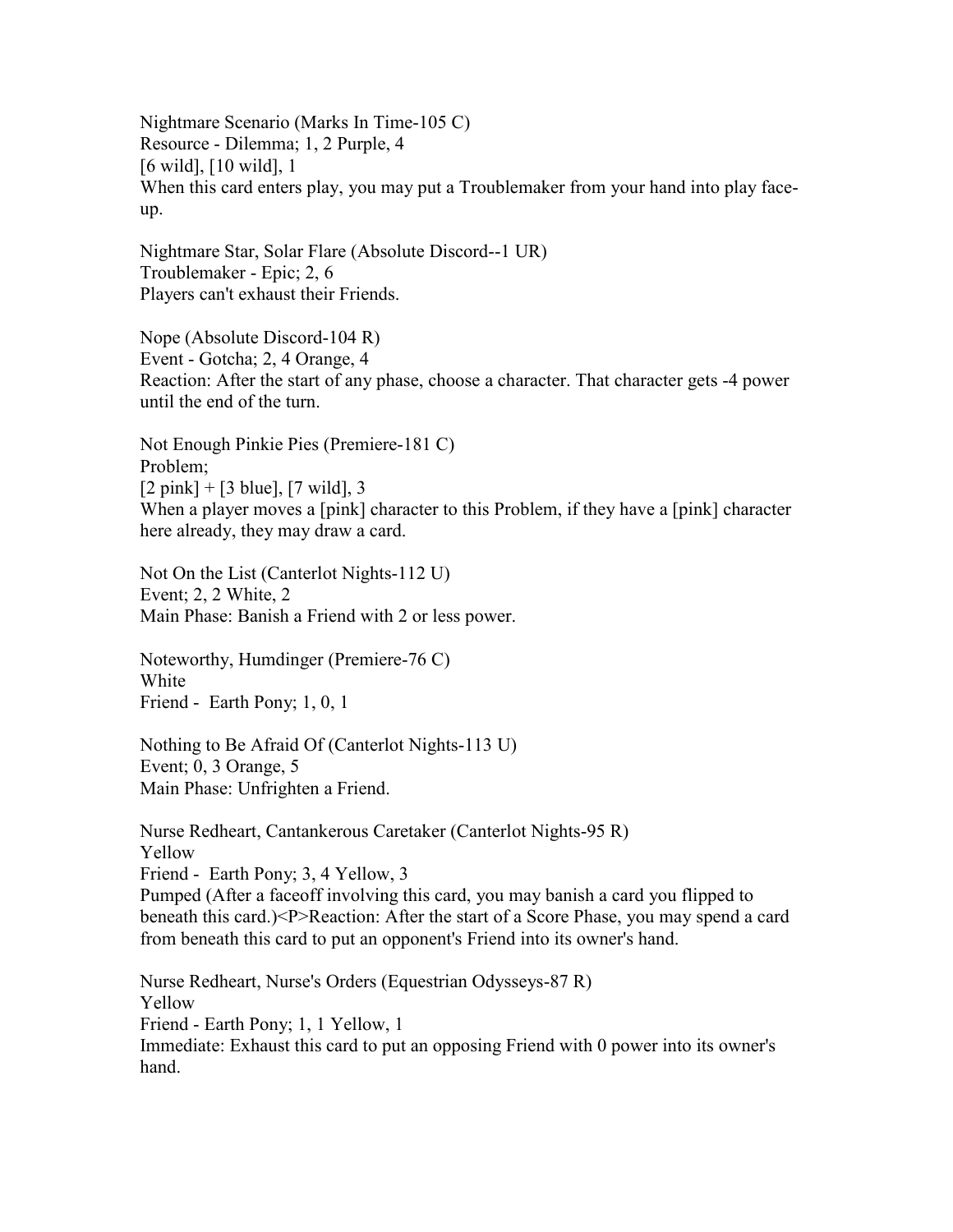Nightmare Scenario (Marks In Time-105 C) Resource - Dilemma; 1, 2 Purple, 4 [6 wild], [10 wild], 1 When this card enters play, you may put a Troublemaker from your hand into play faceup.

Nightmare Star, Solar Flare (Absolute Discord--1 UR) Troublemaker - Epic; 2, 6 Players can't exhaust their Friends.

Nope (Absolute Discord-104 R) Event - Gotcha; 2, 4 Orange, 4 Reaction: After the start of any phase, choose a character. That character gets -4 power until the end of the turn.

Not Enough Pinkie Pies (Premiere-181 C) Problem;  $[2 \text{ pink}] + [3 \text{ blue}], [7 \text{ wild}], 3$ When a player moves a [pink] character to this Problem, if they have a [pink] character here already, they may draw a card.

Not On the List (Canterlot Nights-112 U) Event; 2, 2 White, 2 Main Phase: Banish a Friend with 2 or less power.

Noteworthy, Humdinger (Premiere-76 C) White Friend - Earth Pony; 1, 0, 1

Nothing to Be Afraid Of (Canterlot Nights-113 U) Event; 0, 3 Orange, 5 Main Phase: Unfrighten a Friend.

Nurse Redheart, Cantankerous Caretaker (Canterlot Nights-95 R) Yellow Friend - Earth Pony; 3, 4 Yellow, 3 Pumped (After a faceoff involving this card, you may banish a card you flipped to beneath this card.)<P>Reaction: After the start of a Score Phase, you may spend a card from beneath this card to put an opponent's Friend into its owner's hand.

Nurse Redheart, Nurse's Orders (Equestrian Odysseys-87 R) Yellow Friend - Earth Pony; 1, 1 Yellow, 1 Immediate: Exhaust this card to put an opposing Friend with 0 power into its owner's hand.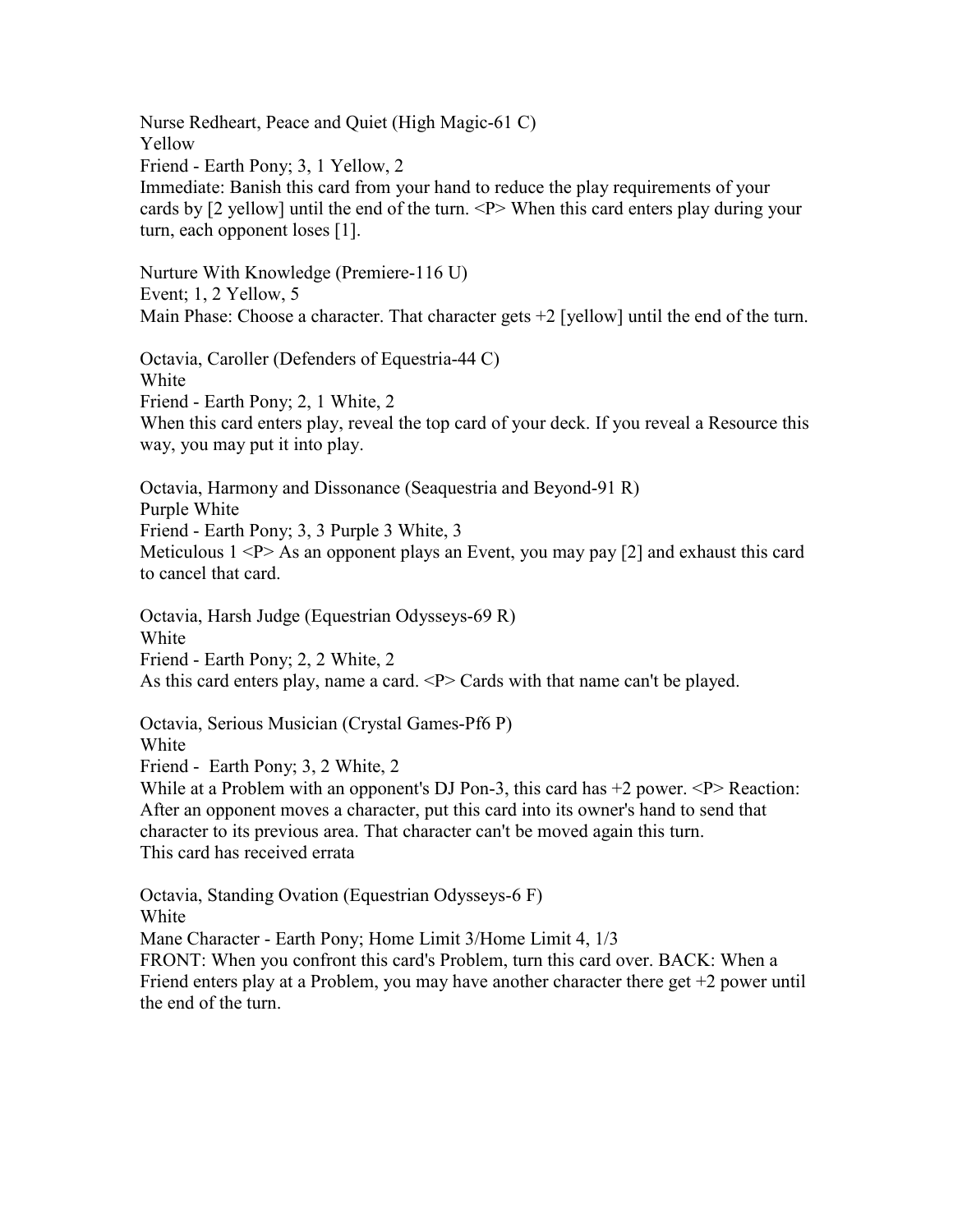Nurse Redheart, Peace and Quiet (High Magic-61 C) Yellow Friend - Earth Pony; 3, 1 Yellow, 2 Immediate: Banish this card from your hand to reduce the play requirements of your cards by [2 yellow] until the end of the turn. <P> When this card enters play during your turn, each opponent loses [1].

Nurture With Knowledge (Premiere-116 U) Event; 1, 2 Yellow, 5 Main Phase: Choose a character. That character gets  $+2$  [yellow] until the end of the turn.

Octavia, Caroller (Defenders of Equestria-44 C) White Friend - Earth Pony; 2, 1 White, 2 When this card enters play, reveal the top card of your deck. If you reveal a Resource this way, you may put it into play.

Octavia, Harmony and Dissonance (Seaquestria and Beyond-91 R) Purple White Friend - Earth Pony; 3, 3 Purple 3 White, 3 Meticulous  $1 < P > As$  an opponent plays an Event, you may pay [2] and exhaust this card to cancel that card.

Octavia, Harsh Judge (Equestrian Odysseys-69 R) White Friend - Earth Pony; 2, 2 White, 2 As this card enters play, name a card. <P> Cards with that name can't be played.

Octavia, Serious Musician (Crystal Games-Pf6 P) White Friend - Earth Pony; 3, 2 White, 2

While at a Problem with an opponent's DJ Pon-3, this card has  $+2$  power.  $\langle P \rangle$  Reaction: After an opponent moves a character, put this card into its owner's hand to send that character to its previous area. That character can't be moved again this turn.

This card has received errata

Octavia, Standing Ovation (Equestrian Odysseys-6 F) White

Mane Character - Earth Pony; Home Limit 3/Home Limit 4, 1/3

FRONT: When you confront this card's Problem, turn this card over. BACK: When a Friend enters play at a Problem, you may have another character there get  $+2$  power until the end of the turn.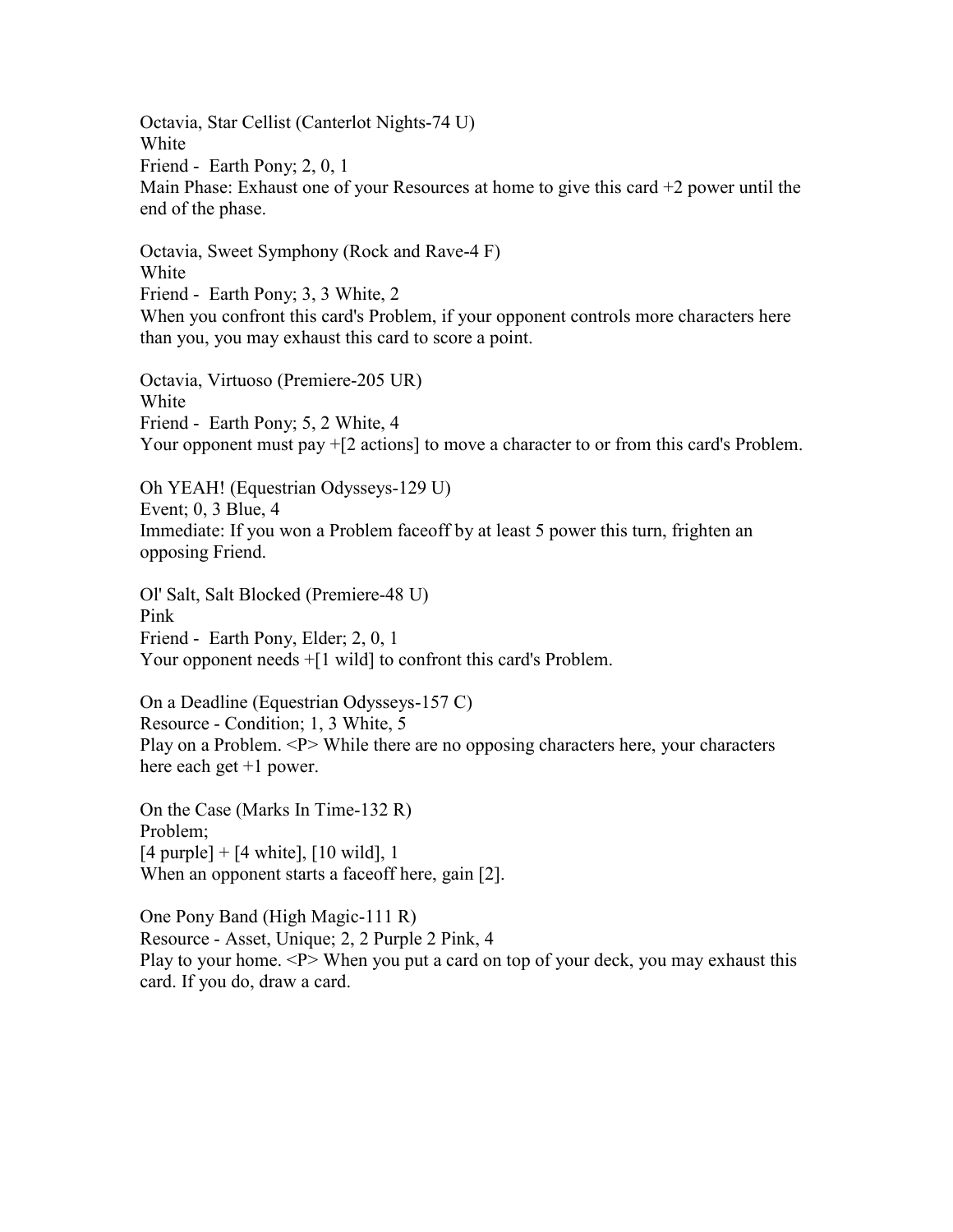Octavia, Star Cellist (Canterlot Nights-74 U) White Friend - Earth Pony; 2, 0, 1 Main Phase: Exhaust one of your Resources at home to give this card +2 power until the end of the phase.

Octavia, Sweet Symphony (Rock and Rave-4 F) White Friend - Earth Pony; 3, 3 White, 2 When you confront this card's Problem, if your opponent controls more characters here than you, you may exhaust this card to score a point.

Octavia, Virtuoso (Premiere-205 UR) White Friend - Earth Pony; 5, 2 White, 4 Your opponent must pay +[2 actions] to move a character to or from this card's Problem.

Oh YEAH! (Equestrian Odysseys-129 U) Event; 0, 3 Blue, 4 Immediate: If you won a Problem faceoff by at least 5 power this turn, frighten an opposing Friend.

Ol' Salt, Salt Blocked (Premiere-48 U) Pink Friend - Earth Pony, Elder; 2, 0, 1 Your opponent needs  $+[1 \text{ wild}]$  to confront this card's Problem.

On a Deadline (Equestrian Odysseys-157 C) Resource - Condition; 1, 3 White, 5 Play on a Problem. <P> While there are no opposing characters here, your characters here each get +1 power.

On the Case (Marks In Time-132 R) Problem;  $[4 \text{ purple}] + [4 \text{ white}], [10 \text{ wild}], 1$ When an opponent starts a faceoff here, gain [2].

One Pony Band (High Magic-111 R) Resource - Asset, Unique; 2, 2 Purple 2 Pink, 4 Play to your home.  $\langle P \rangle$  When you put a card on top of your deck, you may exhaust this card. If you do, draw a card.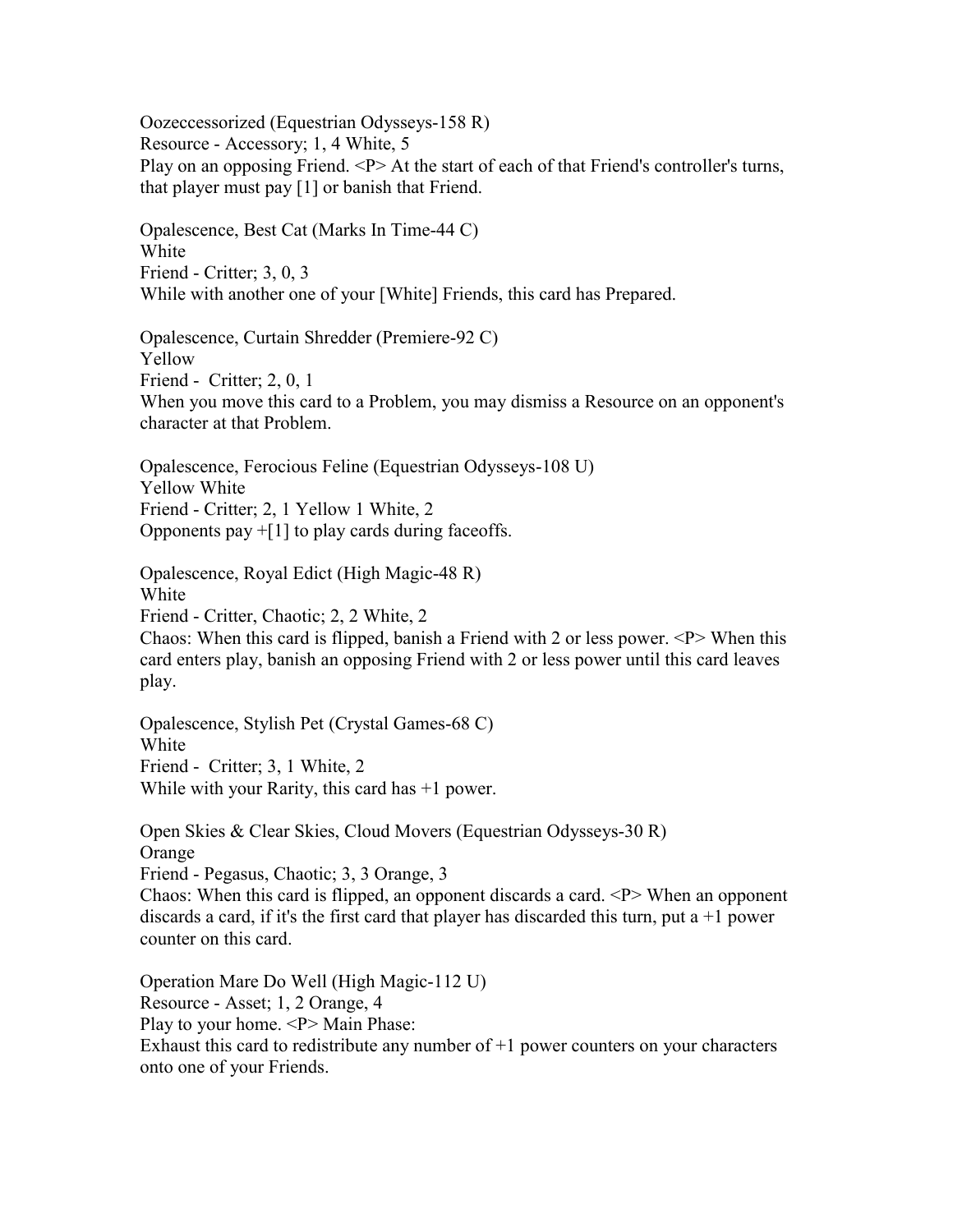Oozeccessorized (Equestrian Odysseys-158 R) Resource - Accessory; 1, 4 White, 5 Play on an opposing Friend. <P> At the start of each of that Friend's controller's turns, that player must pay [1] or banish that Friend.

Opalescence, Best Cat (Marks In Time-44 C) White Friend - Critter; 3, 0, 3 While with another one of your [White] Friends, this card has Prepared.

Opalescence, Curtain Shredder (Premiere-92 C) Yellow Friend - Critter; 2, 0, 1 When you move this card to a Problem, you may dismiss a Resource on an opponent's character at that Problem.

Opalescence, Ferocious Feline (Equestrian Odysseys-108 U) Yellow White Friend - Critter; 2, 1 Yellow 1 White, 2 Opponents pay  $+[1]$  to play cards during faceoffs.

Opalescence, Royal Edict (High Magic-48 R)

White

Friend - Critter, Chaotic; 2, 2 White, 2

Chaos: When this card is flipped, banish a Friend with 2 or less power.  $\langle P \rangle$  When this card enters play, banish an opposing Friend with 2 or less power until this card leaves play.

Opalescence, Stylish Pet (Crystal Games-68 C) White Friend - Critter; 3, 1 White, 2 While with your Rarity, this card has +1 power.

Open Skies & Clear Skies, Cloud Movers (Equestrian Odysseys-30 R) Orange Friend - Pegasus, Chaotic; 3, 3 Orange, 3 Chaos: When this card is flipped, an opponent discards a card. <P> When an opponent discards a card, if it's the first card that player has discarded this turn, put a  $+1$  power counter on this card.

Operation Mare Do Well (High Magic-112 U) Resource - Asset; 1, 2 Orange, 4 Play to your home. <P>Main Phase: Exhaust this card to redistribute any number of  $+1$  power counters on your characters onto one of your Friends.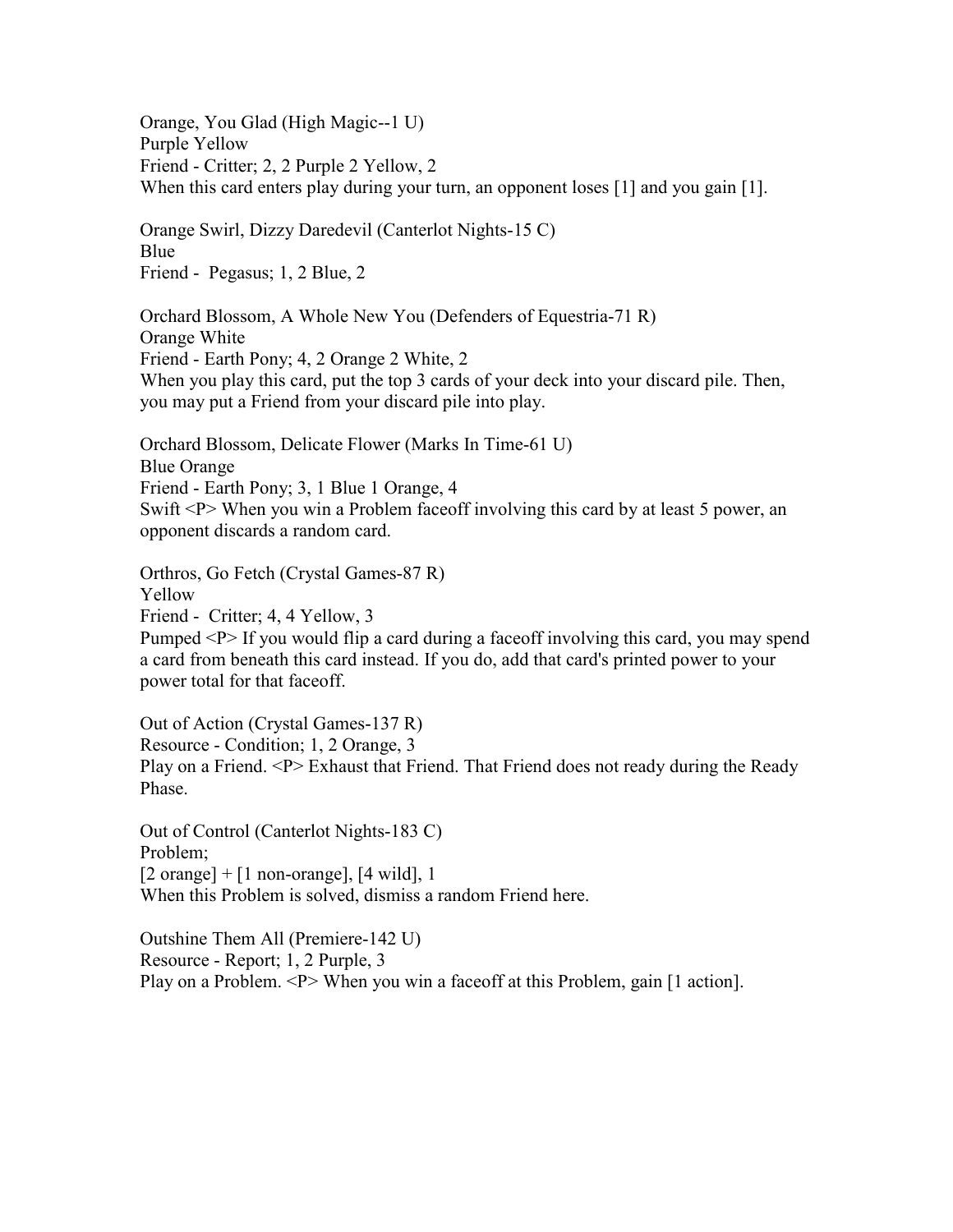Orange, You Glad (High Magic--1 U) Purple Yellow Friend - Critter; 2, 2 Purple 2 Yellow, 2 When this card enters play during your turn, an opponent loses [1] and you gain [1].

Orange Swirl, Dizzy Daredevil (Canterlot Nights-15 C) Blue Friend - Pegasus; 1, 2 Blue, 2

Orchard Blossom, A Whole New You (Defenders of Equestria-71 R) Orange White Friend - Earth Pony; 4, 2 Orange 2 White, 2 When you play this card, put the top 3 cards of your deck into your discard pile. Then, you may put a Friend from your discard pile into play.

Orchard Blossom, Delicate Flower (Marks In Time-61 U) Blue Orange Friend - Earth Pony; 3, 1 Blue 1 Orange, 4 Swift <P> When you win a Problem faceoff involving this card by at least 5 power, an opponent discards a random card.

Orthros, Go Fetch (Crystal Games-87 R) Yellow Friend - Critter; 4, 4 Yellow, 3 Pumped <P> If you would flip a card during a faceoff involving this card, you may spend a card from beneath this card instead. If you do, add that card's printed power to your power total for that faceoff.

Out of Action (Crystal Games-137 R) Resource - Condition; 1, 2 Orange, 3 Play on a Friend. <P> Exhaust that Friend. That Friend does not ready during the Ready Phase.

Out of Control (Canterlot Nights-183 C) Problem;  $[2 \text{ orange}] + [1 \text{ non-orange}], [4 \text{ wild}], 1$ When this Problem is solved, dismiss a random Friend here.

Outshine Them All (Premiere-142 U) Resource - Report; 1, 2 Purple, 3 Play on a Problem. <P> When you win a faceoff at this Problem, gain [1 action].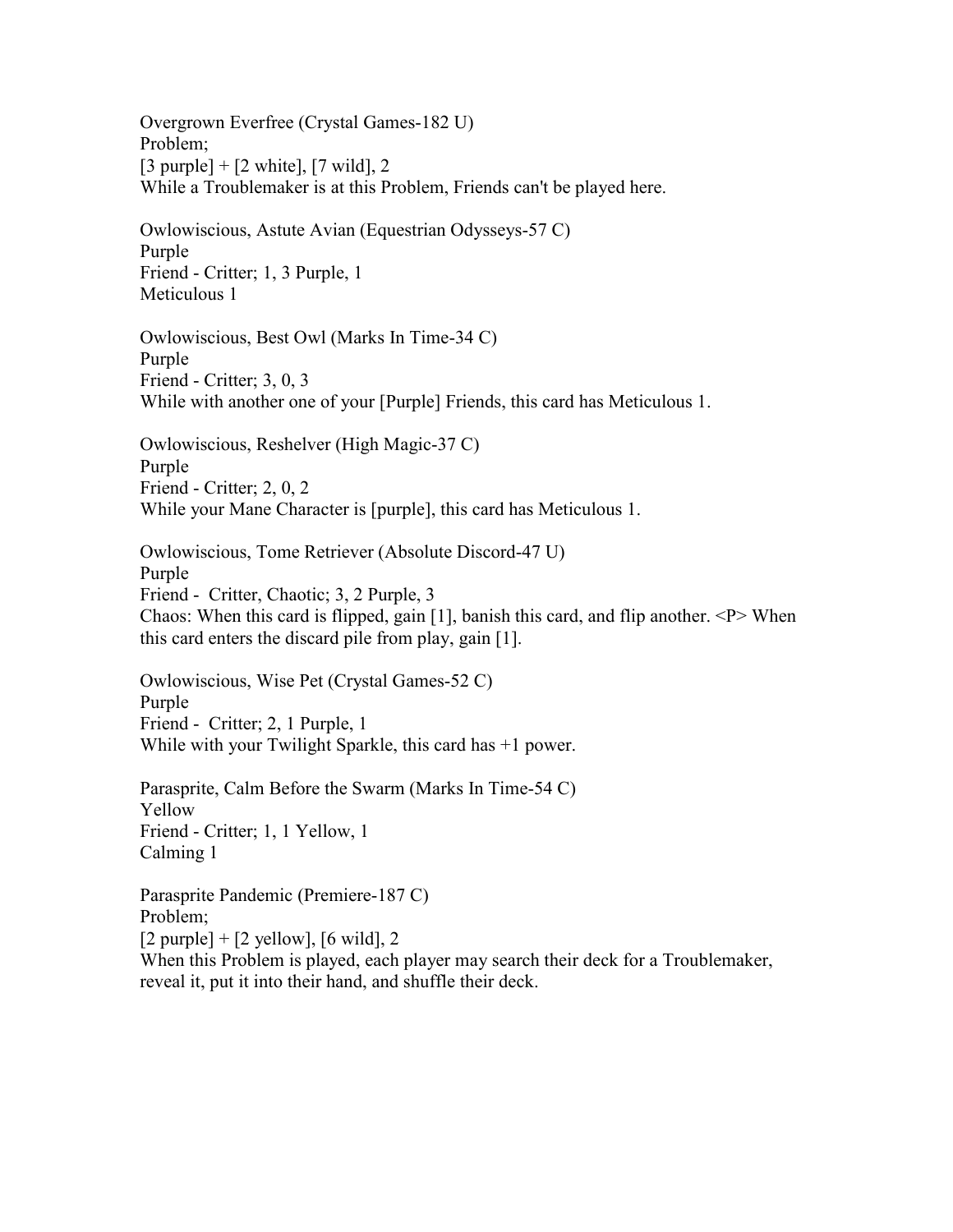Overgrown Everfree (Crystal Games-182 U) Problem;  $[3 \text{ purple}] + [2 \text{ white}], [7 \text{ wild}], 2$ While a Troublemaker is at this Problem, Friends can't be played here.

Owlowiscious, Astute Avian (Equestrian Odysseys-57 C) Purple Friend - Critter; 1, 3 Purple, 1 Meticulous 1

Owlowiscious, Best Owl (Marks In Time-34 C) Purple Friend - Critter; 3, 0, 3 While with another one of your [Purple] Friends, this card has Meticulous 1.

Owlowiscious, Reshelver (High Magic-37 C) Purple Friend - Critter; 2, 0, 2 While your Mane Character is [purple], this card has Meticulous 1.

Owlowiscious, Tome Retriever (Absolute Discord-47 U) Purple Friend - Critter, Chaotic; 3, 2 Purple, 3 Chaos: When this card is flipped, gain [1], banish this card, and flip another.  $\langle P \rangle$  When this card enters the discard pile from play, gain [1].

Owlowiscious, Wise Pet (Crystal Games-52 C) Purple Friend - Critter; 2, 1 Purple, 1 While with your Twilight Sparkle, this card has  $+1$  power.

Parasprite, Calm Before the Swarm (Marks In Time-54 C) Yellow Friend - Critter; 1, 1 Yellow, 1 Calming 1

Parasprite Pandemic (Premiere-187 C) Problem;  $[2 \text{ purple}] + [2 \text{ yellow}], [6 \text{ wild}], 2$ When this Problem is played, each player may search their deck for a Troublemaker, reveal it, put it into their hand, and shuffle their deck.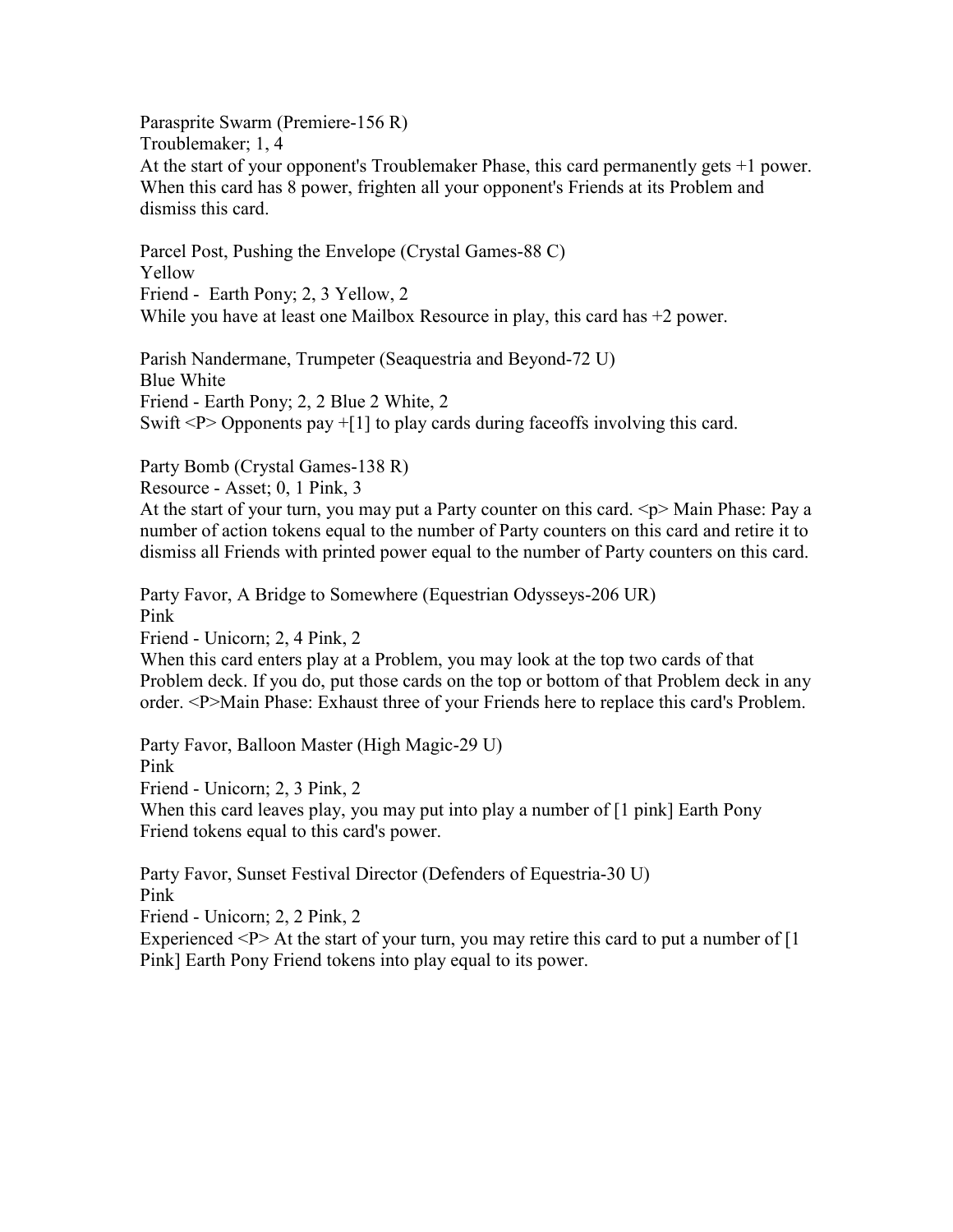Parasprite Swarm (Premiere-156 R) Troublemaker; 1, 4 At the start of your opponent's Troublemaker Phase, this card permanently gets +1 power. When this card has 8 power, frighten all your opponent's Friends at its Problem and dismiss this card.

Parcel Post, Pushing the Envelope (Crystal Games-88 C) Yellow Friend - Earth Pony; 2, 3 Yellow, 2 While you have at least one Mailbox Resource in play, this card has  $+2$  power.

Parish Nandermane, Trumpeter (Seaquestria and Beyond-72 U) Blue White Friend - Earth Pony; 2, 2 Blue 2 White, 2 Swift  $\langle P \rangle$  Opponents pay  $+[1]$  to play cards during faceoffs involving this card.

Party Bomb (Crystal Games-138 R)

Resource - Asset; 0, 1 Pink, 3

At the start of your turn, you may put a Party counter on this card.  $\langle p \rangle$  Main Phase: Pay a number of action tokens equal to the number of Party counters on this card and retire it to dismiss all Friends with printed power equal to the number of Party counters on this card.

Party Favor, A Bridge to Somewhere (Equestrian Odysseys-206 UR) Pink Friend - Unicorn; 2, 4 Pink, 2

When this card enters play at a Problem, you may look at the top two cards of that Problem deck. If you do, put those cards on the top or bottom of that Problem deck in any order. <P>Main Phase: Exhaust three of your Friends here to replace this card's Problem.

Party Favor, Balloon Master (High Magic-29 U) Pink Friend - Unicorn; 2, 3 Pink, 2

When this card leaves play, you may put into play a number of [1 pink] Earth Pony Friend tokens equal to this card's power.

Party Favor, Sunset Festival Director (Defenders of Equestria-30 U) Pink

Friend - Unicorn; 2, 2 Pink, 2

Experienced  $\langle P \rangle$  At the start of your turn, you may retire this card to put a number of [1] Pink] Earth Pony Friend tokens into play equal to its power.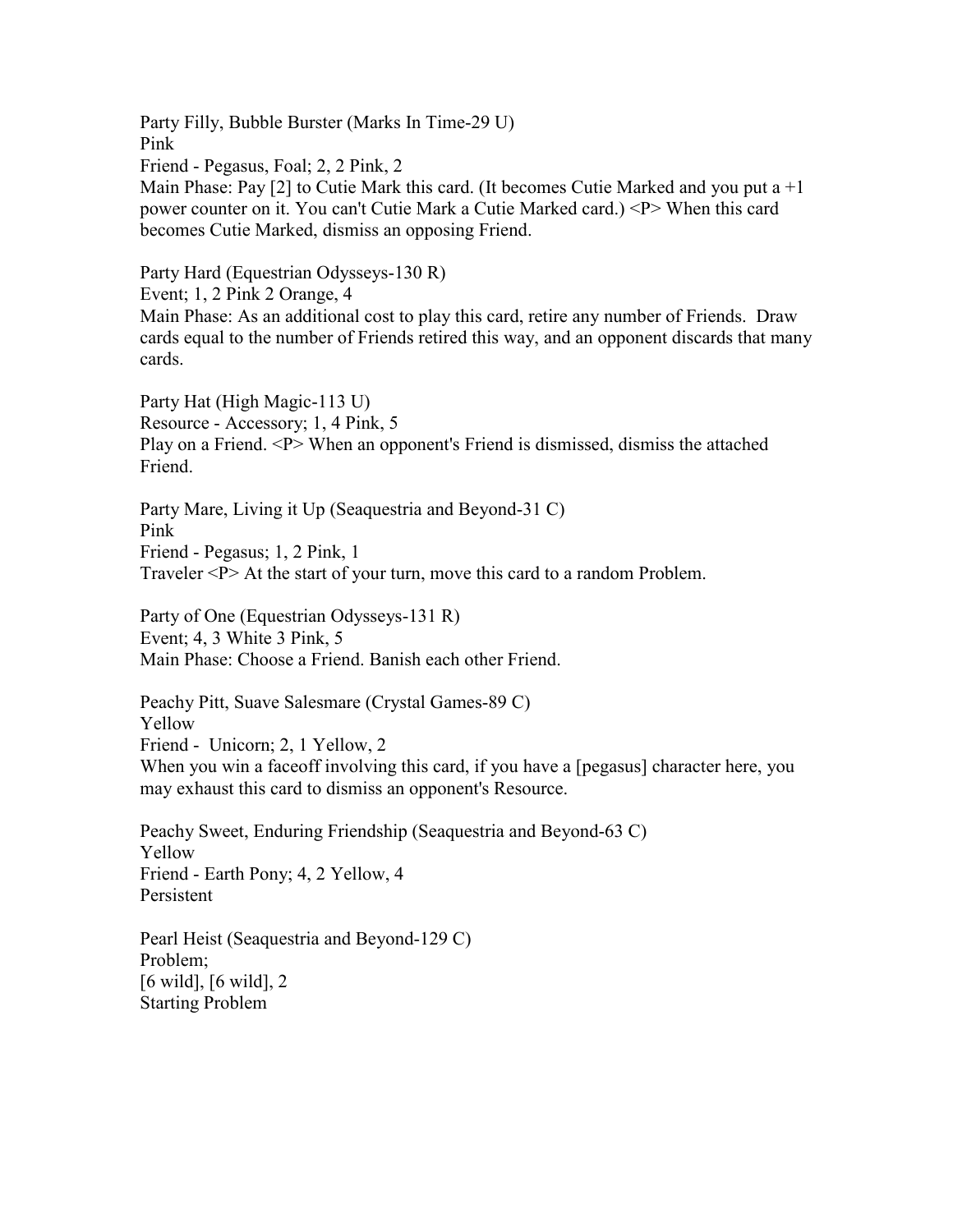Party Filly, Bubble Burster (Marks In Time-29 U) Pink Friend - Pegasus, Foal; 2, 2 Pink, 2 Main Phase: Pay  $[2]$  to Cutie Mark this card. (It becomes Cutie Marked and you put a  $+1$ power counter on it. You can't Cutie Mark a Cutie Marked card.) <P> When this card becomes Cutie Marked, dismiss an opposing Friend.

Party Hard (Equestrian Odysseys-130 R)

Event; 1, 2 Pink 2 Orange, 4

Main Phase: As an additional cost to play this card, retire any number of Friends. Draw cards equal to the number of Friends retired this way, and an opponent discards that many cards.

Party Hat (High Magic-113 U) Resource - Accessory; 1, 4 Pink, 5 Play on a Friend. <P> When an opponent's Friend is dismissed, dismiss the attached Friend.

Party Mare, Living it Up (Seaquestria and Beyond-31 C) Pink Friend - Pegasus; 1, 2 Pink, 1 Traveler <P> At the start of your turn, move this card to a random Problem.

Party of One (Equestrian Odysseys-131 R) Event; 4, 3 White 3 Pink, 5 Main Phase: Choose a Friend. Banish each other Friend.

Peachy Pitt, Suave Salesmare (Crystal Games-89 C) Yellow Friend - Unicorn; 2, 1 Yellow, 2 When you win a faceoff involving this card, if you have a [pegasus] character here, you may exhaust this card to dismiss an opponent's Resource.

Peachy Sweet, Enduring Friendship (Seaquestria and Beyond-63 C) Yellow Friend - Earth Pony; 4, 2 Yellow, 4 Persistent

Pearl Heist (Seaquestria and Beyond-129 C) Problem; [6 wild], [6 wild], 2 Starting Problem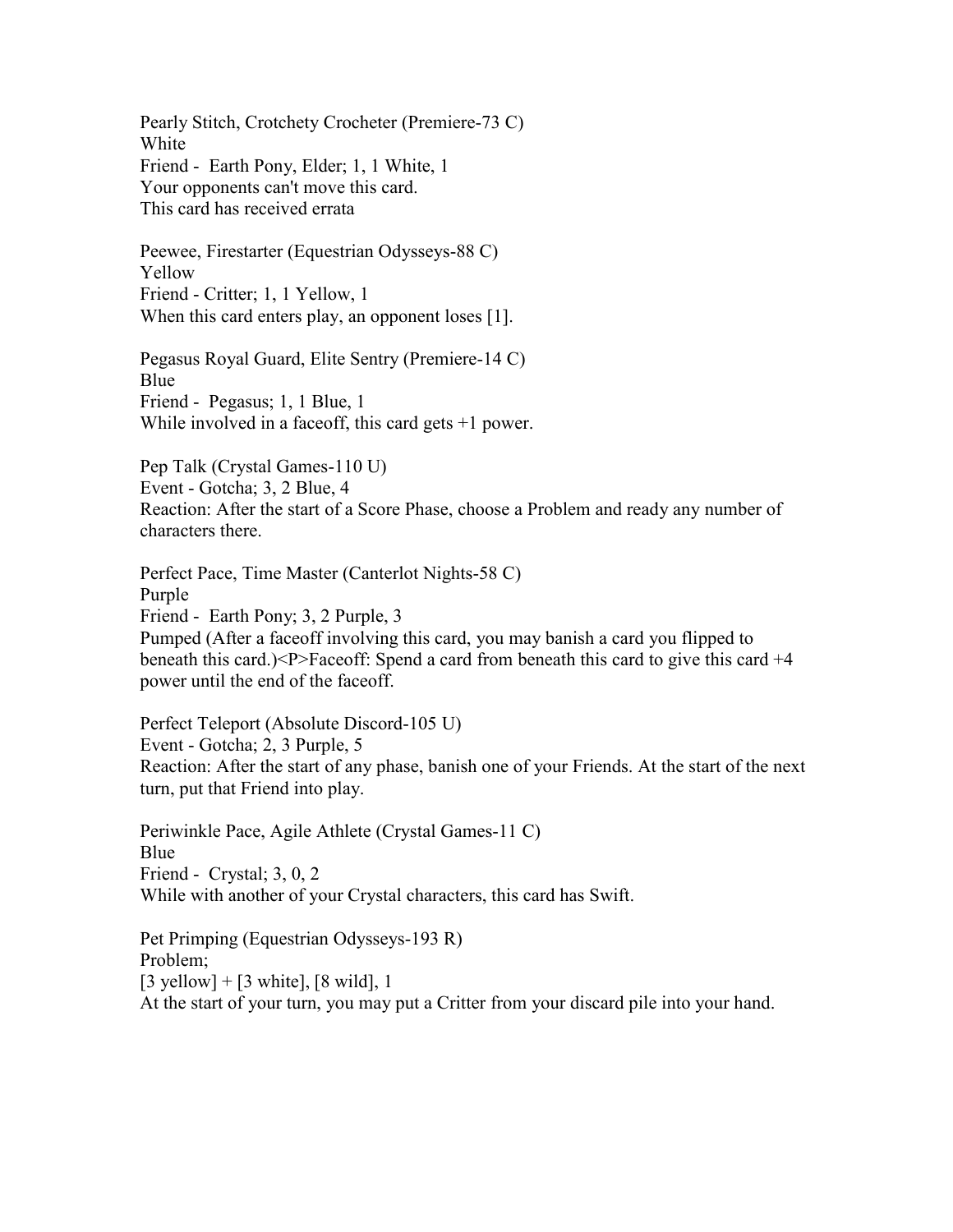Pearly Stitch, Crotchety Crocheter (Premiere-73 C) White Friend - Earth Pony, Elder; 1, 1 White, 1 Your opponents can't move this card. This card has received errata

Peewee, Firestarter (Equestrian Odysseys-88 C) Yellow Friend - Critter; 1, 1 Yellow, 1 When this card enters play, an opponent loses [1].

Pegasus Royal Guard, Elite Sentry (Premiere-14 C) Blue Friend - Pegasus; 1, 1 Blue, 1 While involved in a faceoff, this card gets  $+1$  power.

Pep Talk (Crystal Games-110 U) Event - Gotcha; 3, 2 Blue, 4 Reaction: After the start of a Score Phase, choose a Problem and ready any number of characters there.

Perfect Pace, Time Master (Canterlot Nights-58 C) Purple Friend - Earth Pony; 3, 2 Purple, 3 Pumped (After a faceoff involving this card, you may banish a card you flipped to beneath this card.) $\leq P$  Faceoff: Spend a card from beneath this card to give this card  $+4$ power until the end of the faceoff.

Perfect Teleport (Absolute Discord-105 U) Event - Gotcha; 2, 3 Purple, 5 Reaction: After the start of any phase, banish one of your Friends. At the start of the next turn, put that Friend into play.

Periwinkle Pace, Agile Athlete (Crystal Games-11 C) Blue Friend - Crystal; 3, 0, 2 While with another of your Crystal characters, this card has Swift.

Pet Primping (Equestrian Odysseys-193 R) Problem;  $[3 \text{ yellow}] + [3 \text{ white}], [8 \text{ wild}], 1$ At the start of your turn, you may put a Critter from your discard pile into your hand.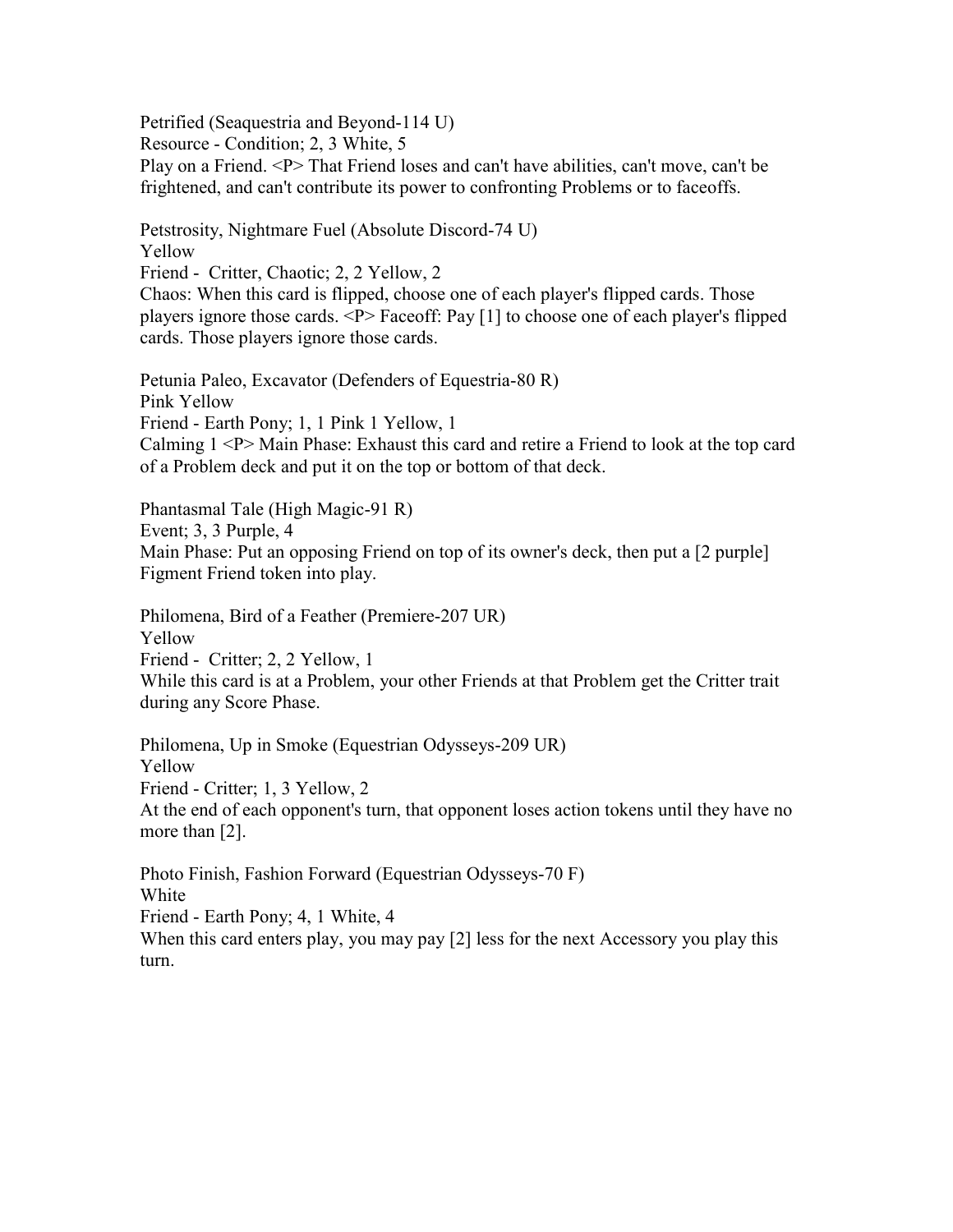Petrified (Seaquestria and Beyond-114 U)

Resource - Condition; 2, 3 White, 5

Play on a Friend. <P> That Friend loses and can't have abilities, can't move, can't be frightened, and can't contribute its power to confronting Problems or to faceoffs.

Petstrosity, Nightmare Fuel (Absolute Discord-74 U)

Yellow Friend - Critter, Chaotic; 2, 2 Yellow, 2

Chaos: When this card is flipped, choose one of each player's flipped cards. Those players ignore those cards. <P> Faceoff: Pay [1] to choose one of each player's flipped cards. Those players ignore those cards.

Petunia Paleo, Excavator (Defenders of Equestria-80 R) Pink Yellow Friend - Earth Pony; 1, 1 Pink 1 Yellow, 1 Calming 1 <P> Main Phase: Exhaust this card and retire a Friend to look at the top card of a Problem deck and put it on the top or bottom of that deck.

Phantasmal Tale (High Magic-91 R) Event; 3, 3 Purple, 4 Main Phase: Put an opposing Friend on top of its owner's deck, then put a [2 purple] Figment Friend token into play.

Philomena, Bird of a Feather (Premiere-207 UR) Yellow Friend - Critter; 2, 2 Yellow, 1 While this card is at a Problem, your other Friends at that Problem get the Critter trait during any Score Phase.

Philomena, Up in Smoke (Equestrian Odysseys-209 UR) Yellow Friend - Critter; 1, 3 Yellow, 2

At the end of each opponent's turn, that opponent loses action tokens until they have no more than [2].

Photo Finish, Fashion Forward (Equestrian Odysseys-70 F) White Friend - Earth Pony; 4, 1 White, 4

When this card enters play, you may pay [2] less for the next Accessory you play this turn.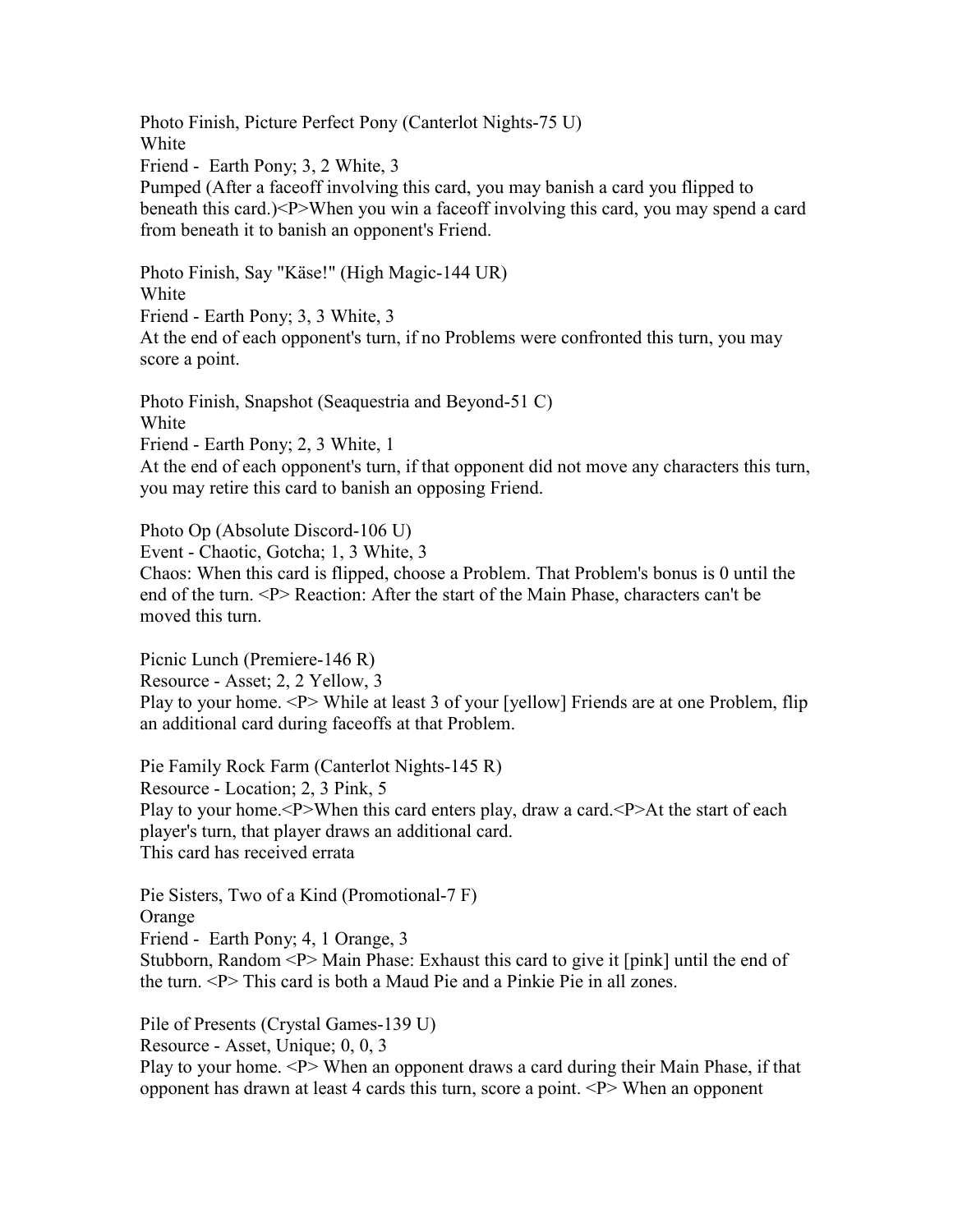Photo Finish, Picture Perfect Pony (Canterlot Nights-75 U) White Friend - Earth Pony; 3, 2 White, 3 Pumped (After a faceoff involving this card, you may banish a card you flipped to beneath this card.)<P>When you win a faceoff involving this card, you may spend a card from beneath it to banish an opponent's Friend.

Photo Finish, Say "Käse!" (High Magic-144 UR) White Friend - Earth Pony; 3, 3 White, 3 At the end of each opponent's turn, if no Problems were confronted this turn, you may score a point.

Photo Finish, Snapshot (Seaquestria and Beyond-51 C) White Friend - Earth Pony; 2, 3 White, 1 At the end of each opponent's turn, if that opponent did not move any characters this turn, you may retire this card to banish an opposing Friend.

Photo Op (Absolute Discord-106 U)

Event - Chaotic, Gotcha; 1, 3 White, 3

Chaos: When this card is flipped, choose a Problem. That Problem's bonus is 0 until the end of the turn. <P> Reaction: After the start of the Main Phase, characters can't be moved this turn.

Picnic Lunch (Premiere-146 R) Resource - Asset; 2, 2 Yellow, 3 Play to your home. <P> While at least 3 of your [yellow] Friends are at one Problem, flip an additional card during faceoffs at that Problem.

Pie Family Rock Farm (Canterlot Nights-145 R) Resource - Location; 2, 3 Pink, 5 Play to your home.<P>When this card enters play, draw a card.<P>At the start of each player's turn, that player draws an additional card. This card has received errata

Pie Sisters, Two of a Kind (Promotional-7 F) Orange

Friend - Earth Pony; 4, 1 Orange, 3

Stubborn, Random <P> Main Phase: Exhaust this card to give it [pink] until the end of the turn. <P> This card is both a Maud Pie and a Pinkie Pie in all zones.

Pile of Presents (Crystal Games-139 U)

Resource - Asset, Unique; 0, 0, 3

Play to your home. <P> When an opponent draws a card during their Main Phase, if that opponent has drawn at least 4 cards this turn, score a point.  $\langle P \rangle$  When an opponent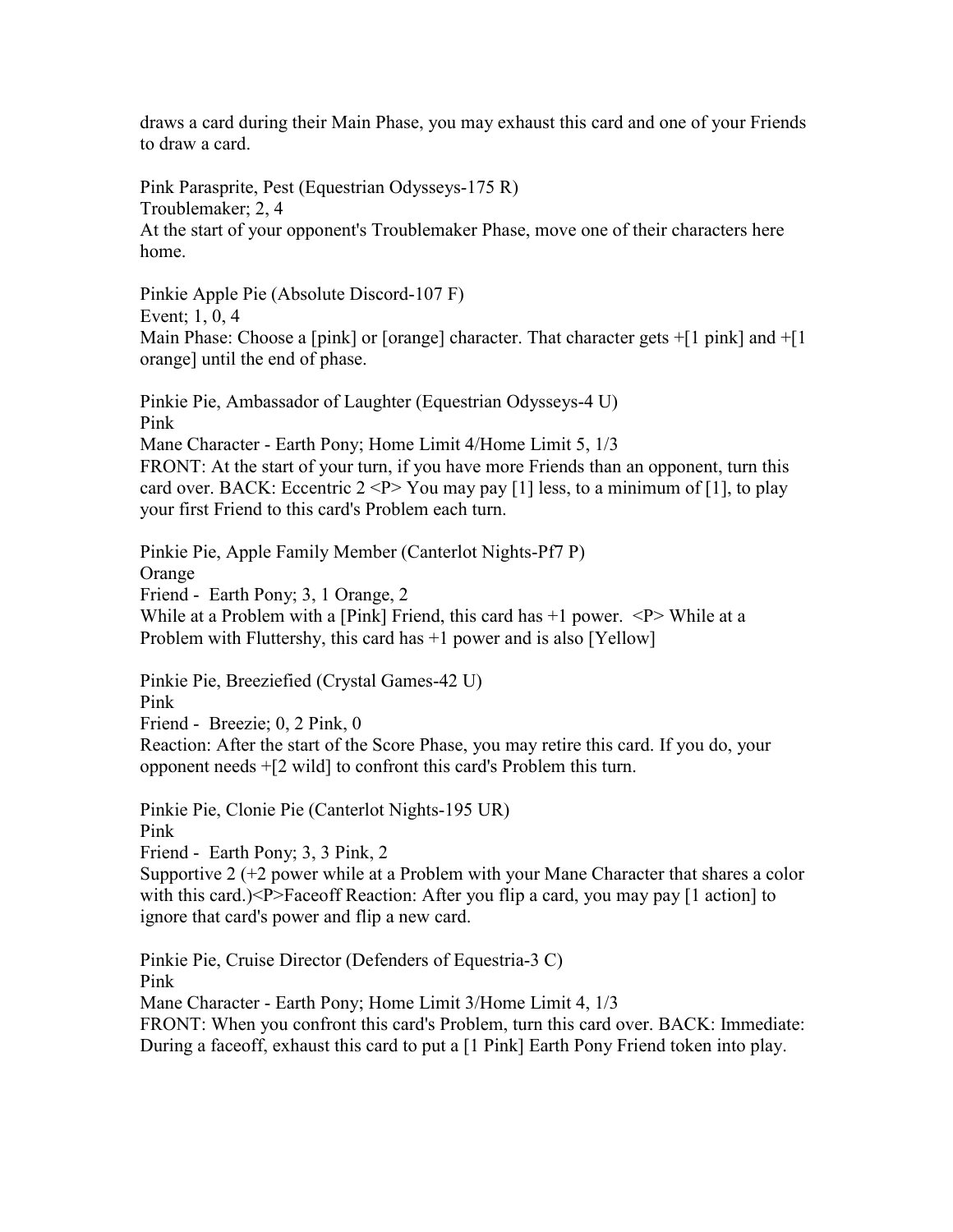draws a card during their Main Phase, you may exhaust this card and one of your Friends to draw a card.

Pink Parasprite, Pest (Equestrian Odysseys-175 R) Troublemaker; 2, 4 At the start of your opponent's Troublemaker Phase, move one of their characters here home.

Pinkie Apple Pie (Absolute Discord-107 F)

Event; 1, 0, 4

Main Phase: Choose a [pink] or [orange] character. That character gets  $+[1 \text{ pink}]$  and  $+[1 \text{ pink}]$ orange] until the end of phase.

Pinkie Pie, Ambassador of Laughter (Equestrian Odysseys-4 U) Pink Mane Character - Earth Pony; Home Limit 4/Home Limit 5, 1/3 FRONT: At the start of your turn, if you have more Friends than an opponent, turn this card over. BACK: Eccentric  $2 < P$  You may pay [1] less, to a minimum of [1], to play your first Friend to this card's Problem each turn.

Pinkie Pie, Apple Family Member (Canterlot Nights-Pf7 P) Orange Friend - Earth Pony; 3, 1 Orange, 2 While at a Problem with a [Pink] Friend, this card has  $+1$  power.  $\langle P \rangle$  While at a Problem with Fluttershy, this card has +1 power and is also [Yellow]

Pinkie Pie, Breeziefied (Crystal Games-42 U) Pink Friend - Breezie; 0, 2 Pink, 0 Reaction: After the start of the Score Phase, you may retire this card. If you do, your opponent needs +[2 wild] to confront this card's Problem this turn.

Pinkie Pie, Clonie Pie (Canterlot Nights-195 UR) Pink Friend - Earth Pony; 3, 3 Pink, 2

Supportive 2 (+2 power while at a Problem with your Mane Character that shares a color with this card.) $\langle P \rangle$ -Faceoff Reaction: After you flip a card, you may pay [1 action] to ignore that card's power and flip a new card.

Pinkie Pie, Cruise Director (Defenders of Equestria-3 C) Pink Mane Character - Earth Pony; Home Limit 3/Home Limit 4, 1/3 FRONT: When you confront this card's Problem, turn this card over. BACK: Immediate: During a faceoff, exhaust this card to put a [1 Pink] Earth Pony Friend token into play.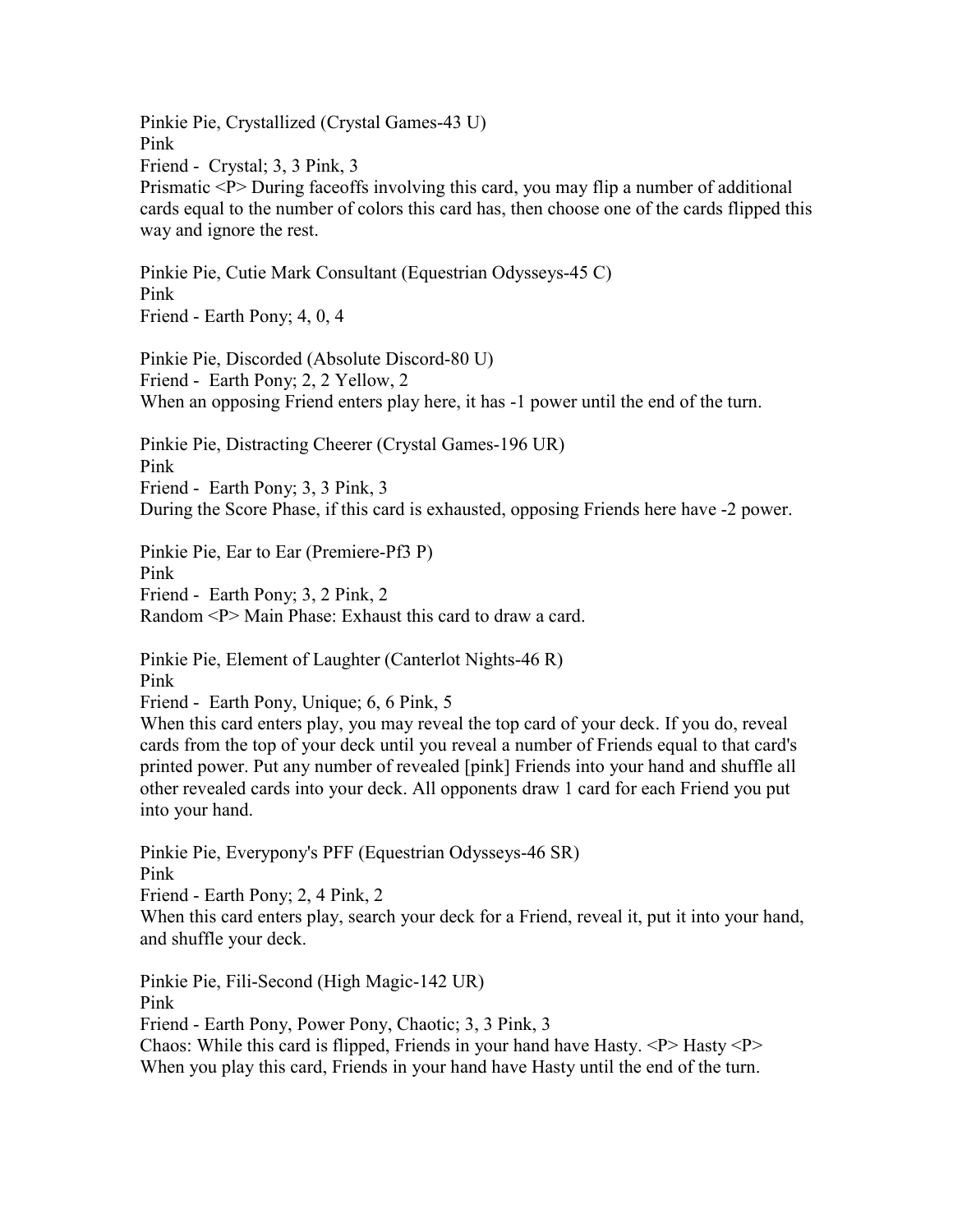Pinkie Pie, Crystallized (Crystal Games-43 U) Pink Friend - Crystal; 3, 3 Pink, 3 Prismatic <P> During faceoffs involving this card, you may flip a number of additional cards equal to the number of colors this card has, then choose one of the cards flipped this way and ignore the rest.

Pinkie Pie, Cutie Mark Consultant (Equestrian Odysseys-45 C) Pink Friend - Earth Pony; 4, 0, 4

Pinkie Pie, Discorded (Absolute Discord-80 U) Friend - Earth Pony; 2, 2 Yellow, 2 When an opposing Friend enters play here, it has -1 power until the end of the turn.

Pinkie Pie, Distracting Cheerer (Crystal Games-196 UR) Pink Friend - Earth Pony; 3, 3 Pink, 3 During the Score Phase, if this card is exhausted, opposing Friends here have -2 power.

Pinkie Pie, Ear to Ear (Premiere-Pf3 P)

Pink

Friend - Earth Pony; 3, 2 Pink, 2

Random <P> Main Phase: Exhaust this card to draw a card.

Pinkie Pie, Element of Laughter (Canterlot Nights-46 R) Pink

Friend - Earth Pony, Unique; 6, 6 Pink, 5

When this card enters play, you may reveal the top card of your deck. If you do, reveal cards from the top of your deck until you reveal a number of Friends equal to that card's printed power. Put any number of revealed [pink] Friends into your hand and shuffle all other revealed cards into your deck. All opponents draw 1 card for each Friend you put into your hand.

Pinkie Pie, Everypony's PFF (Equestrian Odysseys-46 SR) Pink

Friend - Earth Pony; 2, 4 Pink, 2

When this card enters play, search your deck for a Friend, reveal it, put it into your hand, and shuffle your deck.

Pinkie Pie, Fili-Second (High Magic-142 UR)

Pink

Friend - Earth Pony, Power Pony, Chaotic; 3, 3 Pink, 3

Chaos: While this card is flipped, Friends in your hand have Hasty.  $\langle P \rangle$  Hasty  $\langle P \rangle$ When you play this card, Friends in your hand have Hasty until the end of the turn.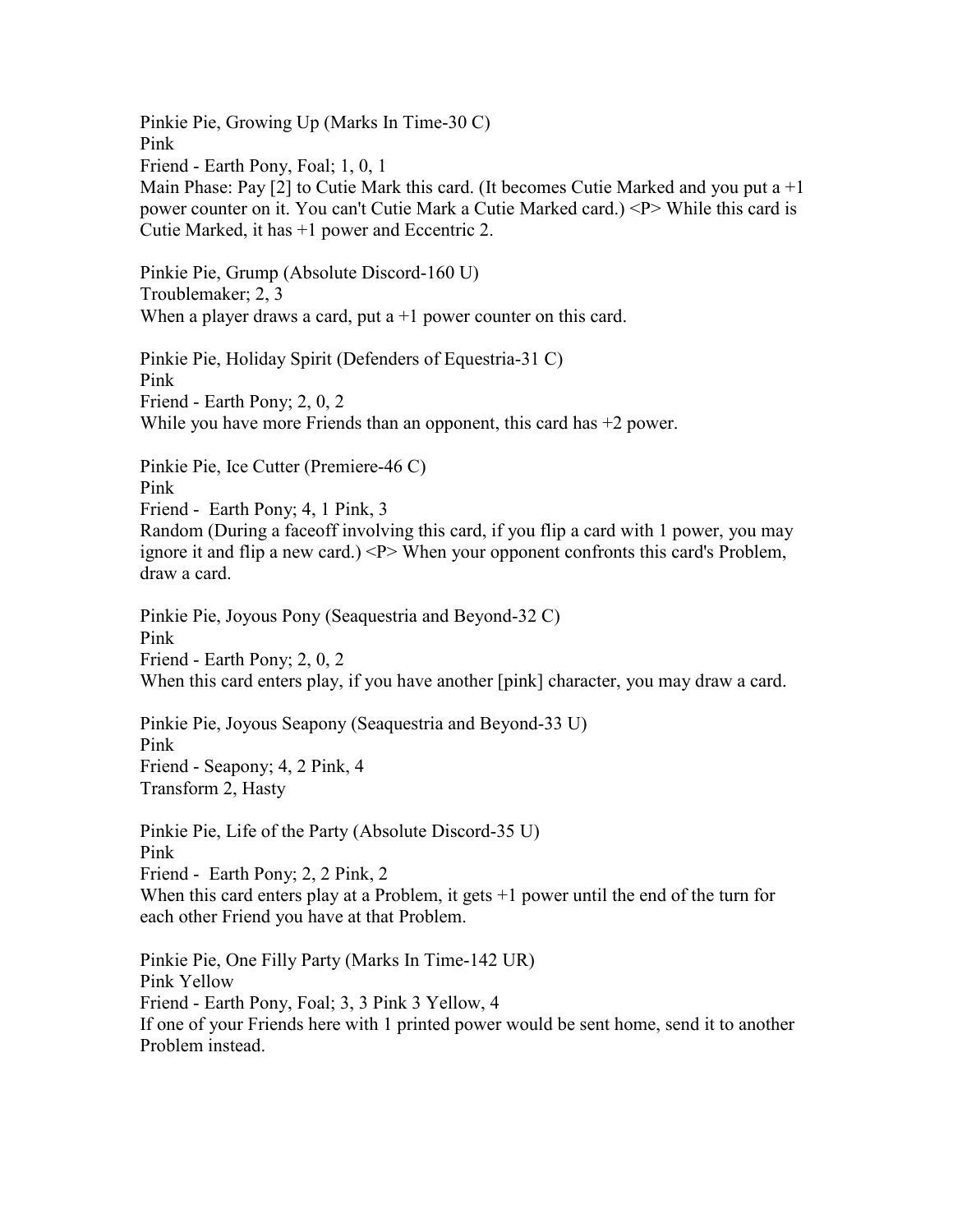Pinkie Pie, Growing Up (Marks In Time-30 C) Pink Friend - Earth Pony, Foal; 1, 0, 1 Main Phase: Pay  $[2]$  to Cutie Mark this card. (It becomes Cutie Marked and you put a  $+1$ power counter on it. You can't Cutie Mark a Cutie Marked card.) <P> While this card is Cutie Marked, it has +1 power and Eccentric 2. Pinkie Pie, Grump (Absolute Discord-160 U) Troublemaker; 2, 3 When a player draws a card, put  $a + 1$  power counter on this card. Pinkie Pie, Holiday Spirit (Defenders of Equestria-31 C) Pink Friend - Earth Pony; 2, 0, 2 While you have more Friends than an opponent, this card has  $+2$  power. Pinkie Pie, Ice Cutter (Premiere-46 C) Pink Friend - Earth Pony; 4, 1 Pink, 3 Random (During a faceoff involving this card, if you flip a card with 1 power, you may ignore it and flip a new card.)  $\langle P \rangle$  When your opponent confronts this card's Problem, draw a card. Pinkie Pie, Joyous Pony (Seaquestria and Beyond-32 C) Pink Friend - Earth Pony; 2, 0, 2 When this card enters play, if you have another [pink] character, you may draw a card. Pinkie Pie, Joyous Seapony (Seaquestria and Beyond-33 U) Pink Friend - Seapony; 4, 2 Pink, 4 Transform 2, Hasty Pinkie Pie, Life of the Party (Absolute Discord-35 U) Pink Friend - Earth Pony; 2, 2 Pink, 2 When this card enters play at a Problem, it gets  $+1$  power until the end of the turn for each other Friend you have at that Problem. Pinkie Pie, One Filly Party (Marks In Time-142 UR) Pink Yellow Friend - Earth Pony, Foal; 3, 3 Pink 3 Yellow, 4 If one of your Friends here with 1 printed power would be sent home, send it to another Problem instead.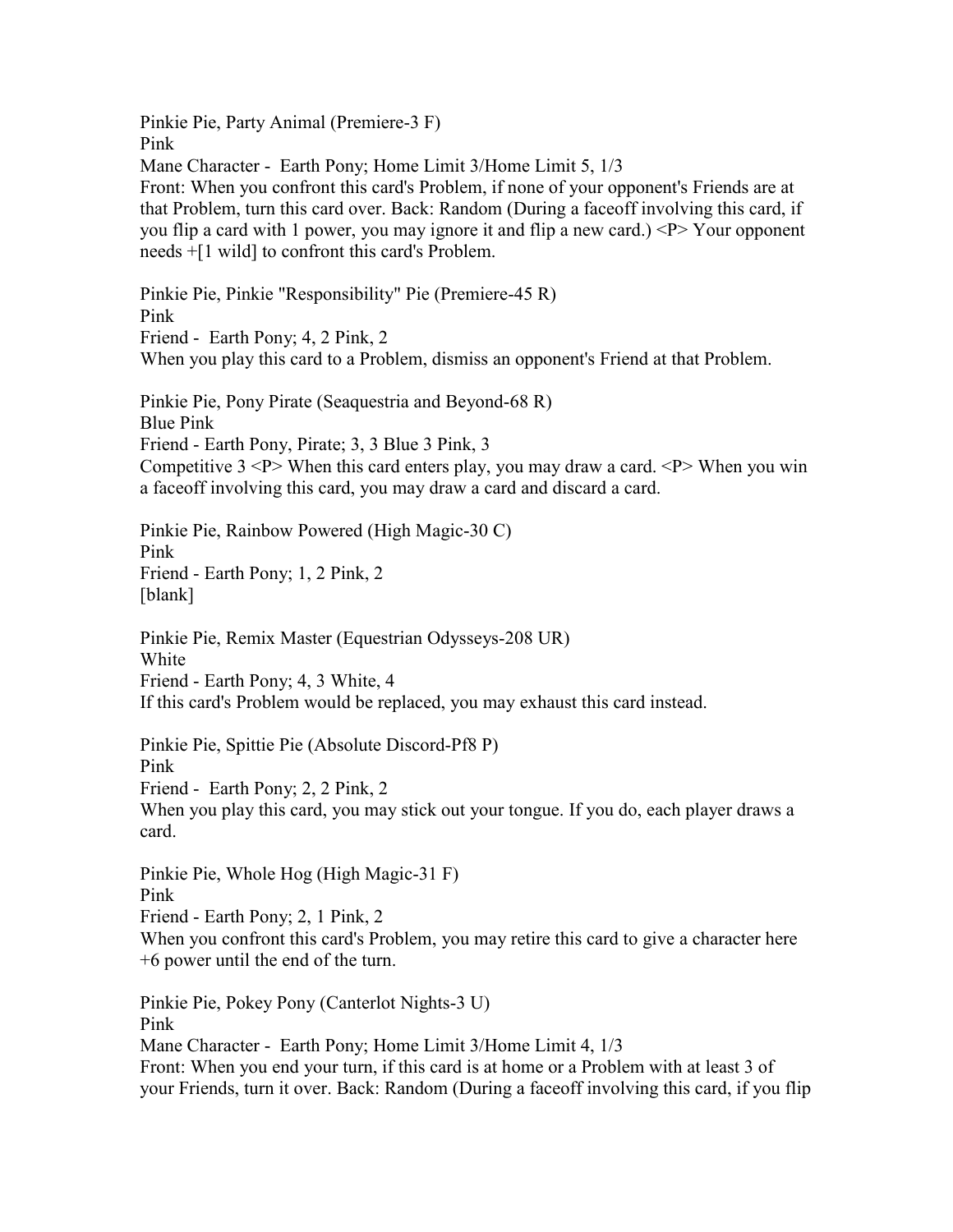Pinkie Pie, Party Animal (Premiere-3 F) Pink Mane Character - Earth Pony; Home Limit 3/Home Limit 5, 1/3 Front: When you confront this card's Problem, if none of your opponent's Friends are at that Problem, turn this card over. Back: Random (During a faceoff involving this card, if you flip a card with 1 power, you may ignore it and flip a new card.)  $\langle P \rangle$  Your opponent needs +[1 wild] to confront this card's Problem. Pinkie Pie, Pinkie "Responsibility" Pie (Premiere-45 R) Pink Friend - Earth Pony; 4, 2 Pink, 2 When you play this card to a Problem, dismiss an opponent's Friend at that Problem. Pinkie Pie, Pony Pirate (Seaquestria and Beyond-68 R) Blue Pink Friend - Earth Pony, Pirate; 3, 3 Blue 3 Pink, 3 Competitive  $3 \le P$  When this card enters play, you may draw a card.  $\le P$  When you win a faceoff involving this card, you may draw a card and discard a card. Pinkie Pie, Rainbow Powered (High Magic-30 C) Pink Friend - Earth Pony; 1, 2 Pink, 2 [blank] Pinkie Pie, Remix Master (Equestrian Odysseys-208 UR) White Friend - Earth Pony; 4, 3 White, 4 If this card's Problem would be replaced, you may exhaust this card instead. Pinkie Pie, Spittie Pie (Absolute Discord-Pf8 P) Pink Friend - Earth Pony; 2, 2 Pink, 2 When you play this card, you may stick out your tongue. If you do, each player draws a card. Pinkie Pie, Whole Hog (High Magic-31 F) Pink Friend - Earth Pony; 2, 1 Pink, 2 When you confront this card's Problem, you may retire this card to give a character here +6 power until the end of the turn. Pinkie Pie, Pokey Pony (Canterlot Nights-3 U) Pink

Mane Character - Earth Pony; Home Limit 3/Home Limit 4, 1/3 Front: When you end your turn, if this card is at home or a Problem with at least 3 of your Friends, turn it over. Back: Random (During a faceoff involving this card, if you flip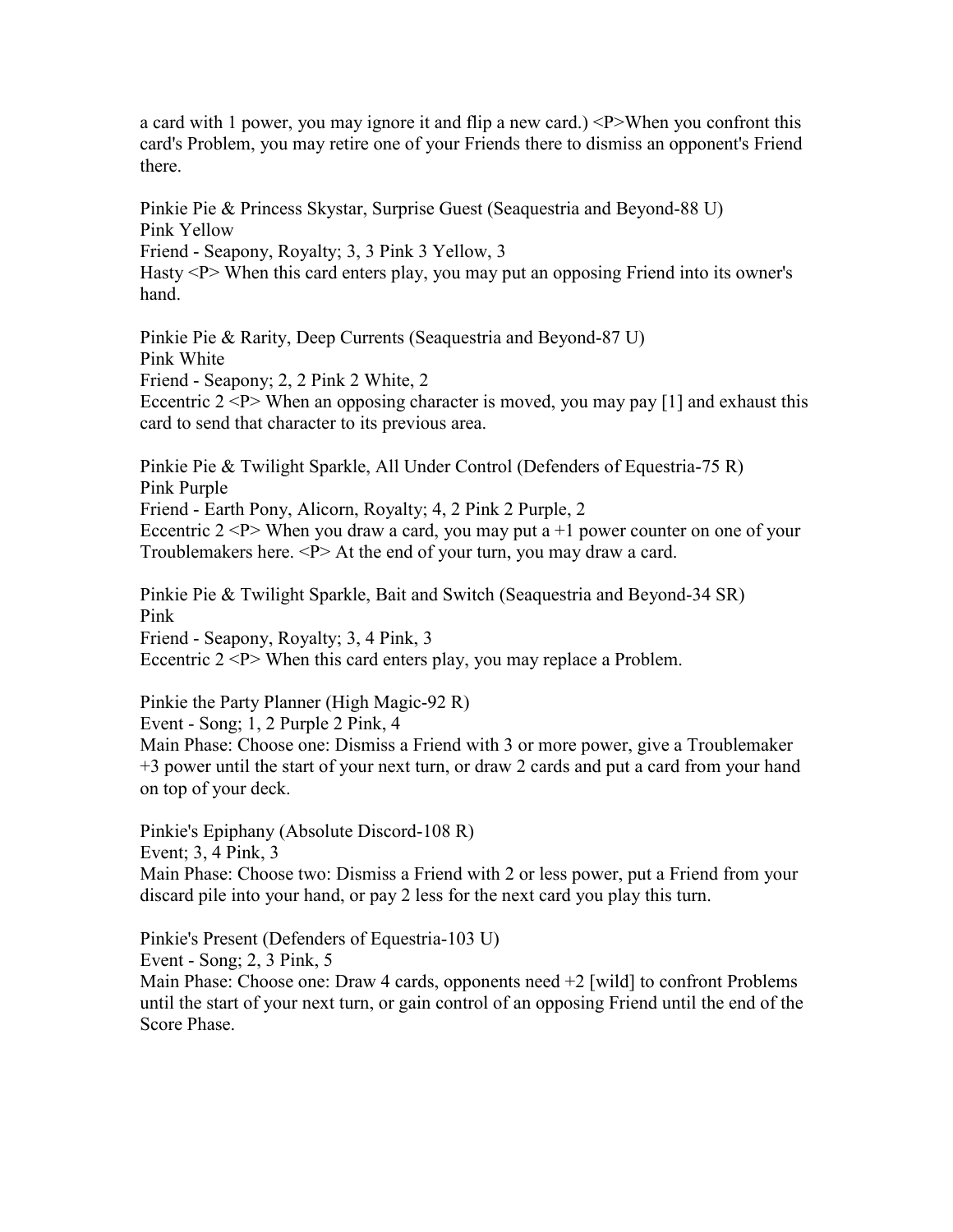a card with 1 power, you may ignore it and flip a new card.)  $\langle P \rangle$ When you confront this card's Problem, you may retire one of your Friends there to dismiss an opponent's Friend there.

Pinkie Pie & Princess Skystar, Surprise Guest (Seaquestria and Beyond-88 U) Pink Yellow

Friend - Seapony, Royalty; 3, 3 Pink 3 Yellow, 3

Hasty <P> When this card enters play, you may put an opposing Friend into its owner's hand.

Pinkie Pie & Rarity, Deep Currents (Seaquestria and Beyond-87 U) Pink White

Friend - Seapony; 2, 2 Pink 2 White, 2

Eccentric  $2 < P$  When an opposing character is moved, you may pay [1] and exhaust this card to send that character to its previous area.

Pinkie Pie & Twilight Sparkle, All Under Control (Defenders of Equestria-75 R) Pink Purple Friend - Earth Pony, Alicorn, Royalty; 4, 2 Pink 2 Purple, 2 Eccentric  $2 < P$  When you draw a card, you may put a  $+1$  power counter on one of your Troublemakers here. <P> At the end of your turn, you may draw a card.

Pinkie Pie & Twilight Sparkle, Bait and Switch (Seaquestria and Beyond-34 SR) Pink Friend - Seapony, Royalty; 3, 4 Pink, 3 Eccentric  $2 < P$  When this card enters play, you may replace a Problem.

Pinkie the Party Planner (High Magic-92 R) Event - Song; 1, 2 Purple 2 Pink, 4 Main Phase: Choose one: Dismiss a Friend with 3 or more power, give a Troublemaker +3 power until the start of your next turn, or draw 2 cards and put a card from your hand on top of your deck.

Pinkie's Epiphany (Absolute Discord-108 R) Event; 3, 4 Pink, 3 Main Phase: Choose two: Dismiss a Friend with 2 or less power, put a Friend from your discard pile into your hand, or pay 2 less for the next card you play this turn.

Pinkie's Present (Defenders of Equestria-103 U) Event - Song; 2, 3 Pink, 5

Main Phase: Choose one: Draw 4 cards, opponents need +2 [wild] to confront Problems until the start of your next turn, or gain control of an opposing Friend until the end of the Score Phase.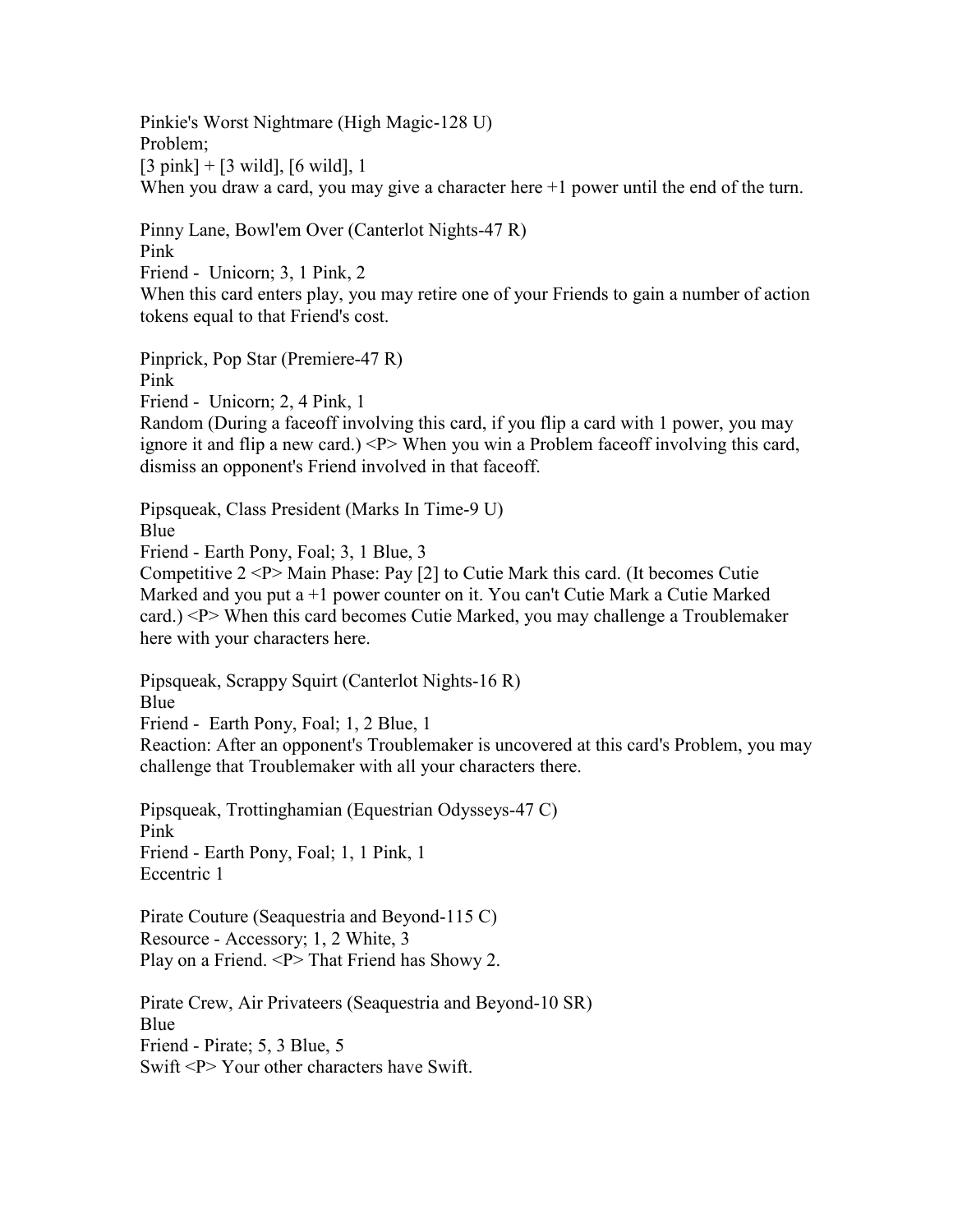Pinkie's Worst Nightmare (High Magic-128 U) Problem; [3 pink] + [3 wild], [6 wild], 1 When you draw a card, you may give a character here  $+1$  power until the end of the turn.

Pinny Lane, Bowl'em Over (Canterlot Nights-47 R) Pink

Friend - Unicorn; 3, 1 Pink, 2

When this card enters play, you may retire one of your Friends to gain a number of action tokens equal to that Friend's cost.

Pinprick, Pop Star (Premiere-47 R) Pink

Friend - Unicorn; 2, 4 Pink, 1

Random (During a faceoff involving this card, if you flip a card with 1 power, you may ignore it and flip a new card.) <P> When you win a Problem faceoff involving this card, dismiss an opponent's Friend involved in that faceoff.

Pipsqueak, Class President (Marks In Time-9 U)

Blue

Friend - Earth Pony, Foal; 3, 1 Blue, 3

Competitive 2 <P> Main Phase: Pay [2] to Cutie Mark this card. (It becomes Cutie Marked and you put a +1 power counter on it. You can't Cutie Mark a Cutie Marked card.) <P> When this card becomes Cutie Marked, you may challenge a Troublemaker here with your characters here.

Pipsqueak, Scrappy Squirt (Canterlot Nights-16 R) Blue

Friend - Earth Pony, Foal; 1, 2 Blue, 1

Reaction: After an opponent's Troublemaker is uncovered at this card's Problem, you may challenge that Troublemaker with all your characters there.

Pipsqueak, Trottinghamian (Equestrian Odysseys-47 C) Pink Friend - Earth Pony, Foal; 1, 1 Pink, 1 Eccentric 1

Pirate Couture (Seaquestria and Beyond-115 C) Resource - Accessory; 1, 2 White, 3 Play on a Friend. <P> That Friend has Showy 2.

Pirate Crew, Air Privateers (Seaquestria and Beyond-10 SR) Blue Friend - Pirate; 5, 3 Blue, 5 Swift <P> Your other characters have Swift.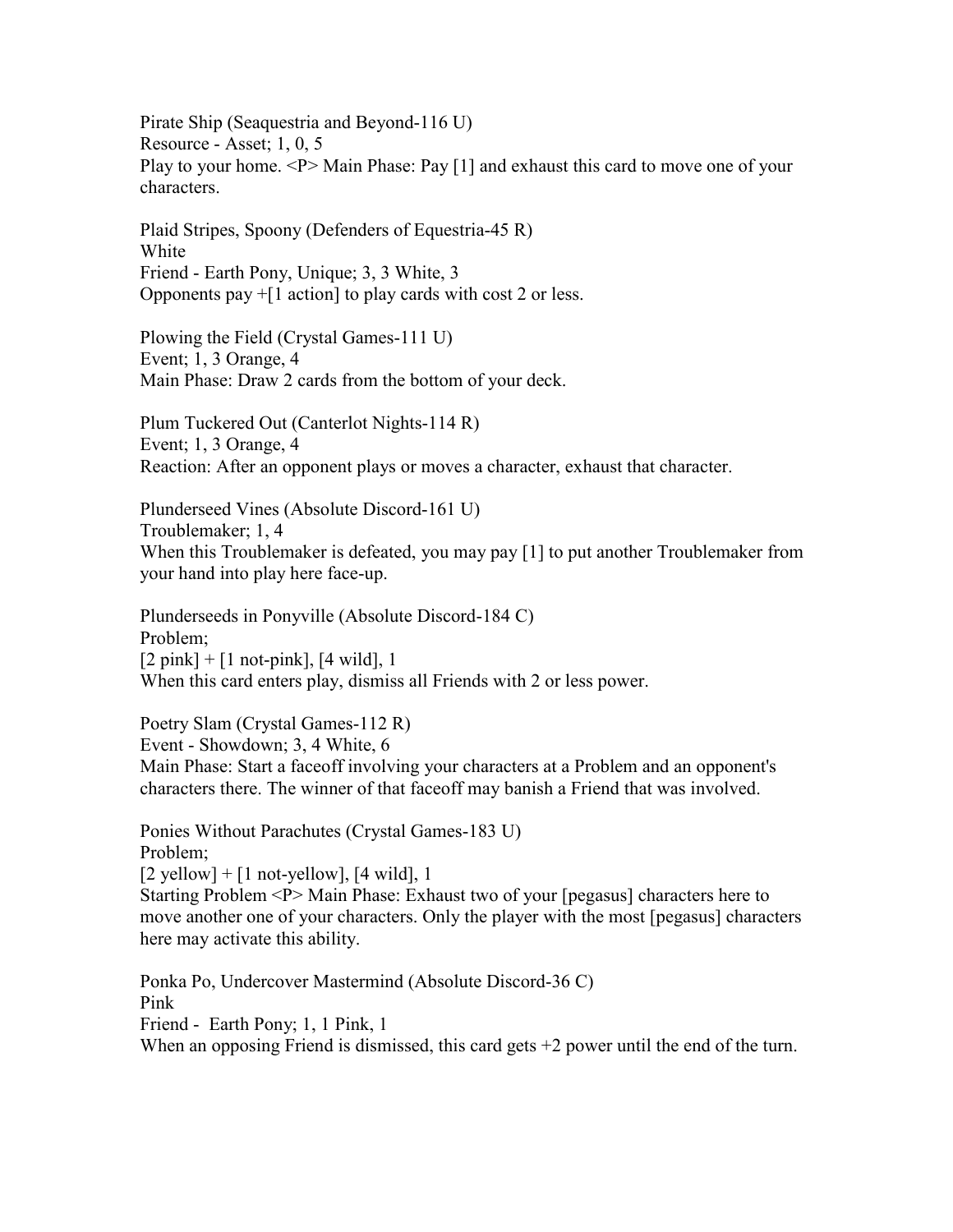Pirate Ship (Seaquestria and Beyond-116 U) Resource - Asset; 1, 0, 5 Play to your home. <P> Main Phase: Pay [1] and exhaust this card to move one of your characters.

Plaid Stripes, Spoony (Defenders of Equestria-45 R) White Friend - Earth Pony, Unique; 3, 3 White, 3 Opponents pay  $+[1 \text{ action}]$  to play cards with cost 2 or less.

Plowing the Field (Crystal Games-111 U) Event; 1, 3 Orange, 4 Main Phase: Draw 2 cards from the bottom of your deck.

Plum Tuckered Out (Canterlot Nights-114 R) Event; 1, 3 Orange, 4 Reaction: After an opponent plays or moves a character, exhaust that character.

Plunderseed Vines (Absolute Discord-161 U) Troublemaker; 1, 4 When this Troublemaker is defeated, you may pay [1] to put another Troublemaker from your hand into play here face-up.

Plunderseeds in Ponyville (Absolute Discord-184 C) Problem;  $[2 \text{ pink}] + [1 \text{ not-pink}]$ ,  $[4 \text{ wild}]$ , 1 When this card enters play, dismiss all Friends with 2 or less power.

Poetry Slam (Crystal Games-112 R) Event - Showdown; 3, 4 White, 6 Main Phase: Start a faceoff involving your characters at a Problem and an opponent's characters there. The winner of that faceoff may banish a Friend that was involved.

Ponies Without Parachutes (Crystal Games-183 U) Problem;  $[2$  yellow] +  $[1$  not-yellow],  $[4$  wild], 1 Starting Problem <P> Main Phase: Exhaust two of your [pegasus] characters here to move another one of your characters. Only the player with the most [pegasus] characters here may activate this ability.

Ponka Po, Undercover Mastermind (Absolute Discord-36 C) Pink Friend - Earth Pony; 1, 1 Pink, 1 When an opposing Friend is dismissed, this card gets  $+2$  power until the end of the turn.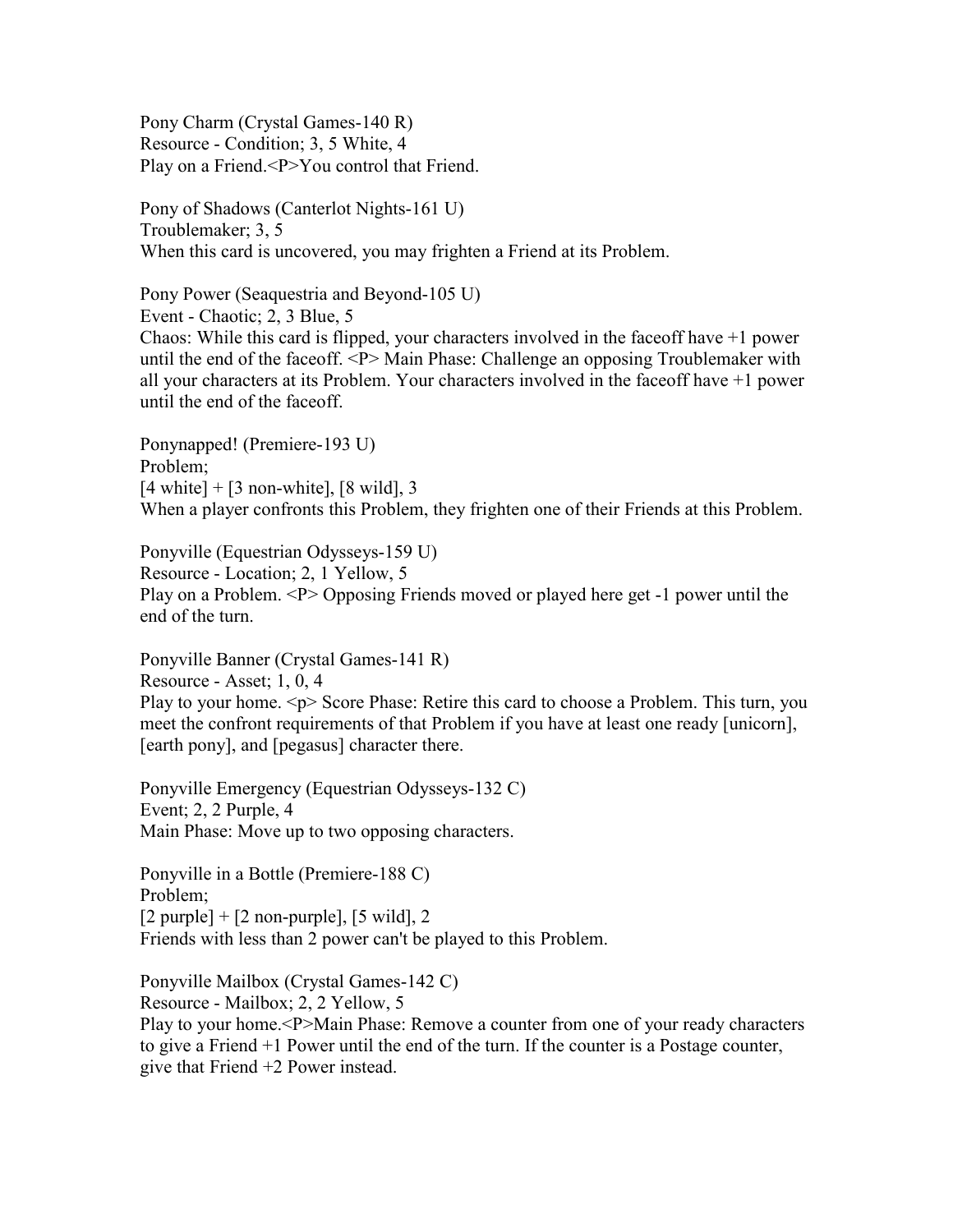Pony Charm (Crystal Games-140 R) Resource - Condition; 3, 5 White, 4 Play on a Friend.<P>You control that Friend.

Pony of Shadows (Canterlot Nights-161 U) Troublemaker; 3, 5 When this card is uncovered, you may frighten a Friend at its Problem.

Pony Power (Seaquestria and Beyond-105 U) Event - Chaotic; 2, 3 Blue, 5 Chaos: While this card is flipped, your characters involved in the faceoff have +1 power until the end of the faceoff. <P> Main Phase: Challenge an opposing Troublemaker with all your characters at its Problem. Your characters involved in the faceoff have +1 power until the end of the faceoff.

Ponynapped! (Premiere-193 U) Problem;  $[4 \text{ white}] + [3 \text{ non-white}], [8 \text{ wild}], 3$ When a player confronts this Problem, they frighten one of their Friends at this Problem.

Ponyville (Equestrian Odysseys-159 U) Resource - Location; 2, 1 Yellow, 5 Play on a Problem. <P> Opposing Friends moved or played here get -1 power until the end of the turn.

Ponyville Banner (Crystal Games-141 R) Resource - Asset; 1, 0, 4 Play to your home. <p> Score Phase: Retire this card to choose a Problem. This turn, you meet the confront requirements of that Problem if you have at least one ready [unicorn], [earth pony], and [pegasus] character there.

Ponyville Emergency (Equestrian Odysseys-132 C) Event; 2, 2 Purple, 4 Main Phase: Move up to two opposing characters.

Ponyville in a Bottle (Premiere-188 C) Problem;  $[2$  purple] +  $[2$  non-purple],  $[5 \text{ wild}]$ , 2 Friends with less than 2 power can't be played to this Problem.

Ponyville Mailbox (Crystal Games-142 C) Resource - Mailbox; 2, 2 Yellow, 5 Play to your home.<P>Main Phase: Remove a counter from one of your ready characters to give a Friend +1 Power until the end of the turn. If the counter is a Postage counter, give that Friend +2 Power instead.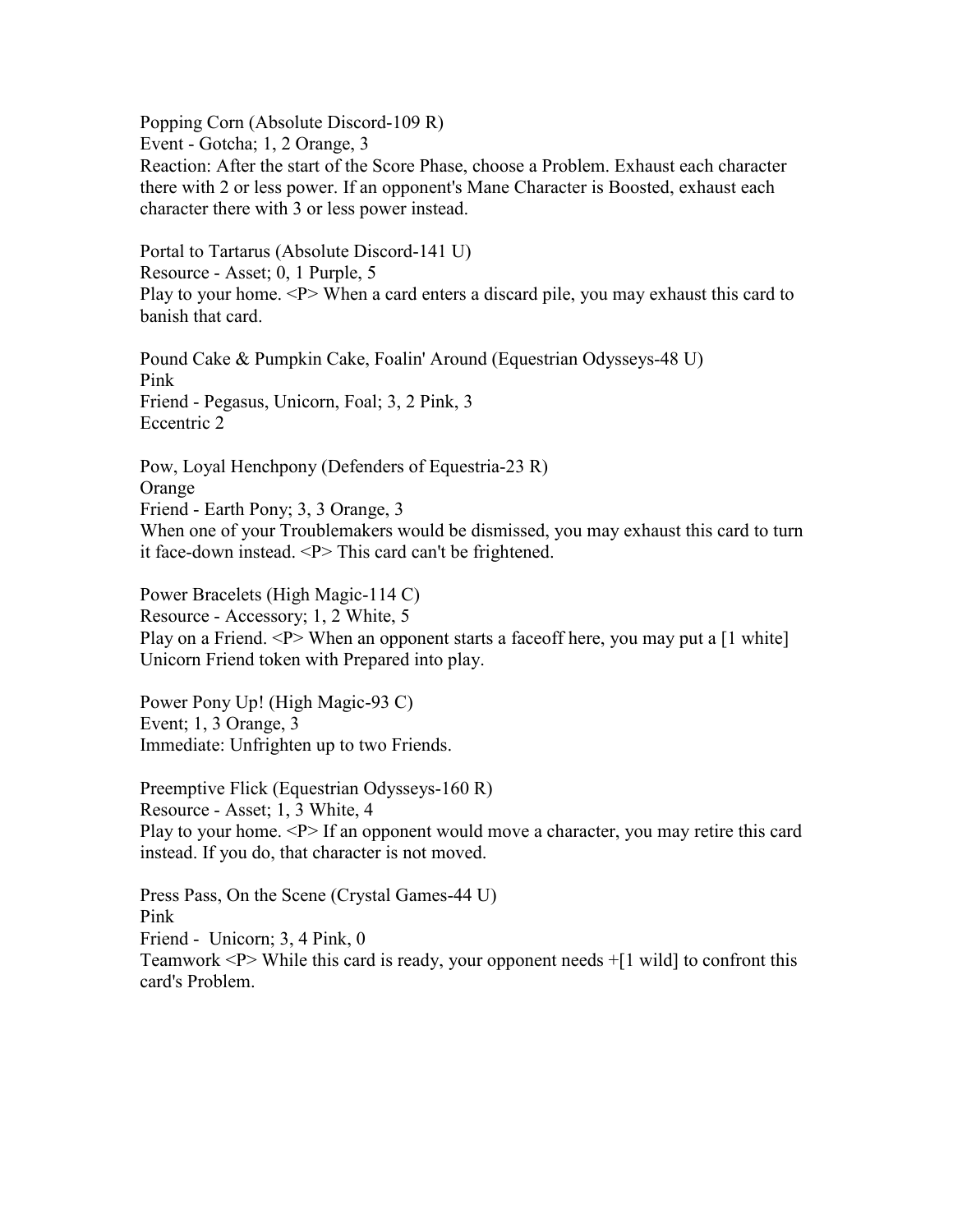Popping Corn (Absolute Discord-109 R)

Event - Gotcha; 1, 2 Orange, 3

Reaction: After the start of the Score Phase, choose a Problem. Exhaust each character there with 2 or less power. If an opponent's Mane Character is Boosted, exhaust each character there with 3 or less power instead.

Portal to Tartarus (Absolute Discord-141 U) Resource - Asset; 0, 1 Purple, 5 Play to your home. <P> When a card enters a discard pile, you may exhaust this card to banish that card.

Pound Cake & Pumpkin Cake, Foalin' Around (Equestrian Odysseys-48 U) Pink Friend - Pegasus, Unicorn, Foal; 3, 2 Pink, 3 Eccentric 2

Pow, Loyal Henchpony (Defenders of Equestria-23 R) Orange Friend - Earth Pony; 3, 3 Orange, 3 When one of your Troublemakers would be dismissed, you may exhaust this card to turn it face-down instead. <P> This card can't be frightened.

Power Bracelets (High Magic-114 C) Resource - Accessory; 1, 2 White, 5 Play on a Friend. <P> When an opponent starts a face of the ree, you may put a [1 white] Unicorn Friend token with Prepared into play.

Power Pony Up! (High Magic-93 C) Event; 1, 3 Orange, 3 Immediate: Unfrighten up to two Friends.

Preemptive Flick (Equestrian Odysseys-160 R) Resource - Asset; 1, 3 White, 4 Play to your home. <P> If an opponent would move a character, you may retire this card instead. If you do, that character is not moved.

Press Pass, On the Scene (Crystal Games-44 U) Pink Friend - Unicorn; 3, 4 Pink, 0 Teamwork  $\langle P \rangle$  While this card is ready, your opponent needs  $+[1 \text{ wild}]$  to confront this card's Problem.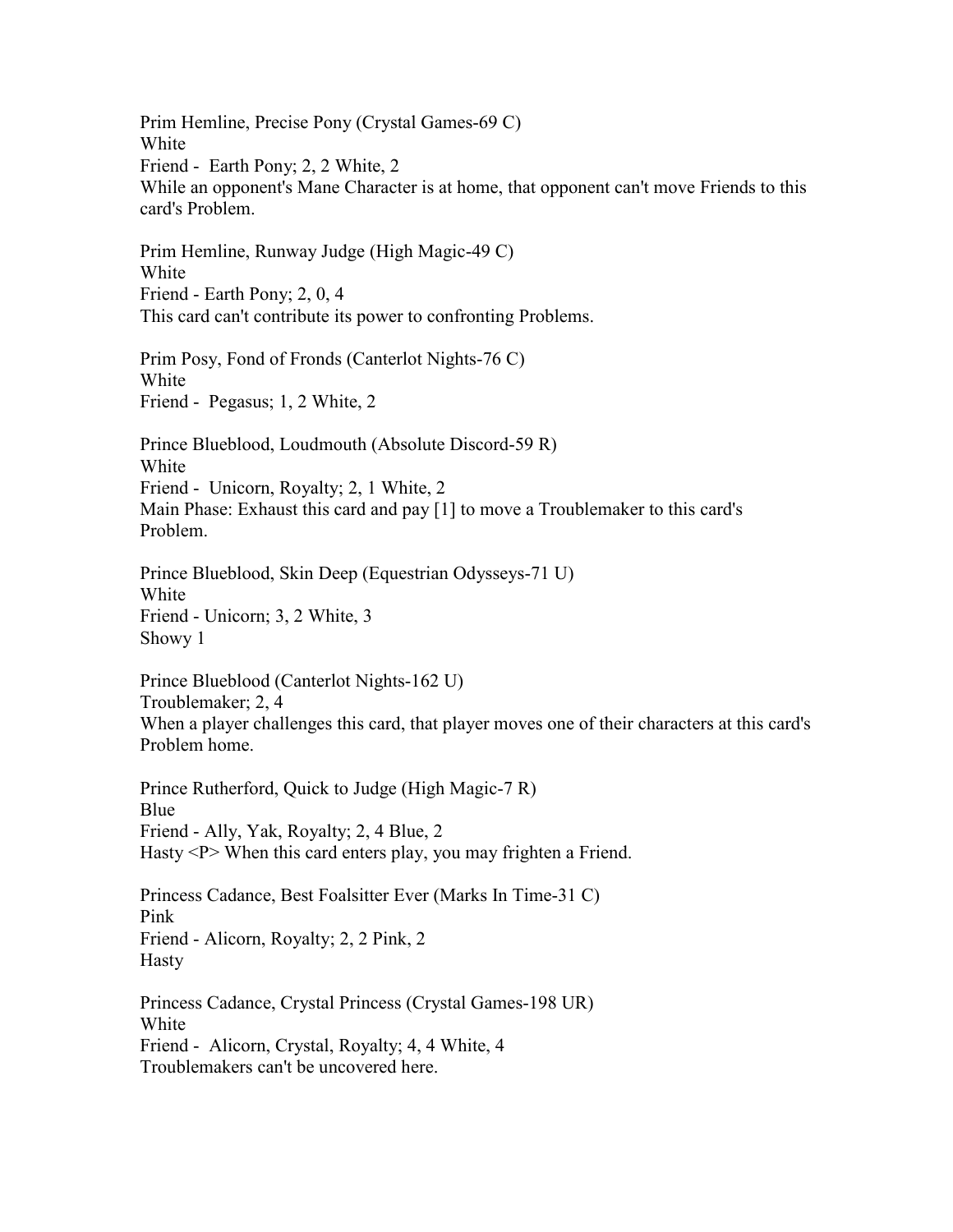Prim Hemline, Precise Pony (Crystal Games-69 C) White Friend - Earth Pony; 2, 2 White, 2 While an opponent's Mane Character is at home, that opponent can't move Friends to this card's Problem. Prim Hemline, Runway Judge (High Magic-49 C) White Friend - Earth Pony; 2, 0, 4 This card can't contribute its power to confronting Problems. Prim Posy, Fond of Fronds (Canterlot Nights-76 C) White Friend - Pegasus; 1, 2 White, 2 Prince Blueblood, Loudmouth (Absolute Discord-59 R) White Friend - Unicorn, Royalty; 2, 1 White, 2 Main Phase: Exhaust this card and pay [1] to move a Troublemaker to this card's Problem. Prince Blueblood, Skin Deep (Equestrian Odysseys-71 U) White Friend - Unicorn; 3, 2 White, 3 Showy 1 Prince Blueblood (Canterlot Nights-162 U) Troublemaker; 2, 4 When a player challenges this card, that player moves one of their characters at this card's Problem home. Prince Rutherford, Quick to Judge (High Magic-7 R) Blue Friend - Ally, Yak, Royalty; 2, 4 Blue, 2 Hasty <P> When this card enters play, you may frighten a Friend. Princess Cadance, Best Foalsitter Ever (Marks In Time-31 C) Pink Friend - Alicorn, Royalty; 2, 2 Pink, 2 Hasty Princess Cadance, Crystal Princess (Crystal Games-198 UR) White Friend - Alicorn, Crystal, Royalty; 4, 4 White, 4 Troublemakers can't be uncovered here.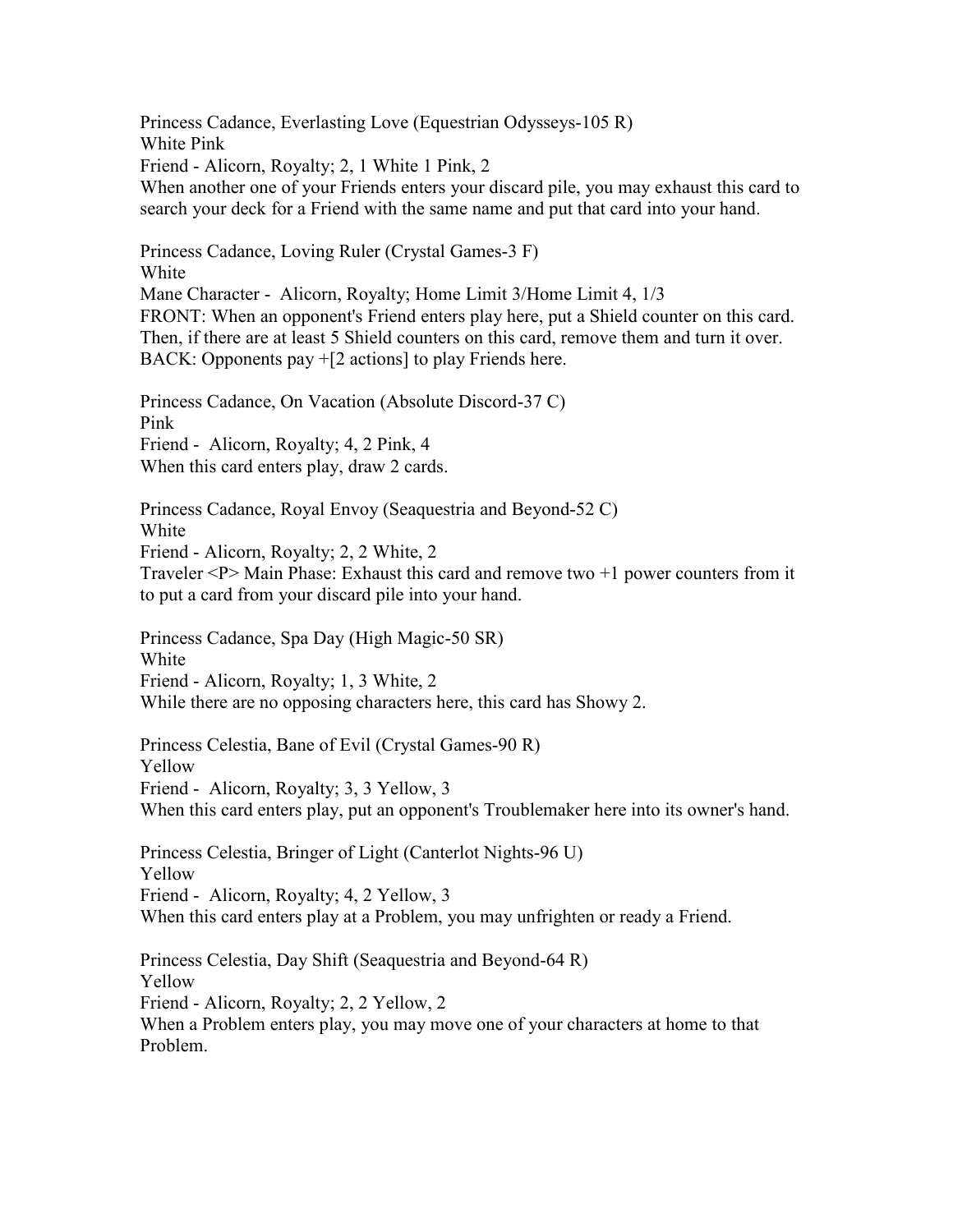Princess Cadance, Everlasting Love (Equestrian Odysseys-105 R) White Pink Friend - Alicorn, Royalty; 2, 1 White 1 Pink, 2 When another one of your Friends enters your discard pile, you may exhaust this card to search your deck for a Friend with the same name and put that card into your hand. Princess Cadance, Loving Ruler (Crystal Games-3 F) White Mane Character - Alicorn, Royalty; Home Limit 3/Home Limit 4, 1/3 FRONT: When an opponent's Friend enters play here, put a Shield counter on this card. Then, if there are at least 5 Shield counters on this card, remove them and turn it over. BACK: Opponents pay +[2 actions] to play Friends here. Princess Cadance, On Vacation (Absolute Discord-37 C) Pink Friend - Alicorn, Royalty; 4, 2 Pink, 4 When this card enters play, draw 2 cards. Princess Cadance, Royal Envoy (Seaquestria and Beyond-52 C) White Friend - Alicorn, Royalty; 2, 2 White, 2 Traveler <P> Main Phase: Exhaust this card and remove two +1 power counters from it to put a card from your discard pile into your hand. Princess Cadance, Spa Day (High Magic-50 SR) White Friend - Alicorn, Royalty; 1, 3 White, 2 While there are no opposing characters here, this card has Showy 2. Princess Celestia, Bane of Evil (Crystal Games-90 R) Yellow Friend - Alicorn, Royalty; 3, 3 Yellow, 3 When this card enters play, put an opponent's Troublemaker here into its owner's hand.

Princess Celestia, Bringer of Light (Canterlot Nights-96 U) Yellow Friend - Alicorn, Royalty; 4, 2 Yellow, 3 When this card enters play at a Problem, you may unfrighten or ready a Friend.

Princess Celestia, Day Shift (Seaquestria and Beyond-64 R) Yellow Friend - Alicorn, Royalty; 2, 2 Yellow, 2 When a Problem enters play, you may move one of your characters at home to that Problem.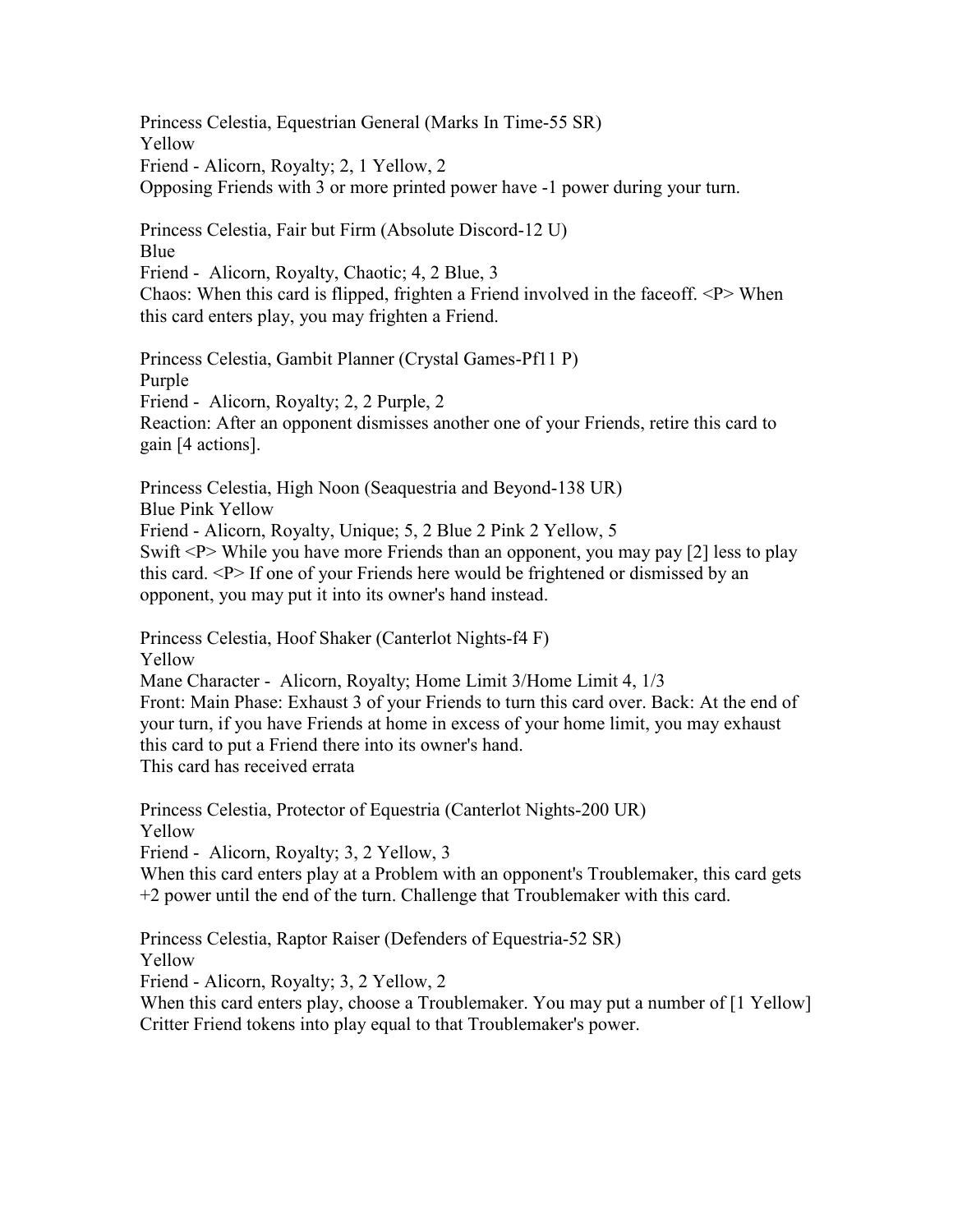Princess Celestia, Equestrian General (Marks In Time-55 SR) Yellow Friend - Alicorn, Royalty; 2, 1 Yellow, 2 Opposing Friends with 3 or more printed power have -1 power during your turn.

Princess Celestia, Fair but Firm (Absolute Discord-12 U) Blue Friend - Alicorn, Royalty, Chaotic; 4, 2 Blue, 3

Chaos: When this card is flipped, frighten a Friend involved in the faceoff. <P> When this card enters play, you may frighten a Friend.

Princess Celestia, Gambit Planner (Crystal Games-Pf11 P) Purple Friend - Alicorn, Royalty; 2, 2 Purple, 2 Reaction: After an opponent dismisses another one of your Friends, retire this card to gain [4 actions].

Princess Celestia, High Noon (Seaquestria and Beyond-138 UR) Blue Pink Yellow Friend - Alicorn, Royalty, Unique; 5, 2 Blue 2 Pink 2 Yellow, 5 Swift <P> While you have more Friends than an opponent, you may pay [2] less to play this card. <P> If one of your Friends here would be frightened or dismissed by an opponent, you may put it into its owner's hand instead.

Princess Celestia, Hoof Shaker (Canterlot Nights-f4 F) Yellow

Mane Character - Alicorn, Royalty; Home Limit 3/Home Limit 4, 1/3 Front: Main Phase: Exhaust 3 of your Friends to turn this card over. Back: At the end of your turn, if you have Friends at home in excess of your home limit, you may exhaust this card to put a Friend there into its owner's hand. This card has received errata

Princess Celestia, Protector of Equestria (Canterlot Nights-200 UR) Yellow Friend - Alicorn, Royalty; 3, 2 Yellow, 3

When this card enters play at a Problem with an opponent's Troublemaker, this card gets +2 power until the end of the turn. Challenge that Troublemaker with this card.

Princess Celestia, Raptor Raiser (Defenders of Equestria-52 SR)

Yellow

Friend - Alicorn, Royalty; 3, 2 Yellow, 2

When this card enters play, choose a Troublemaker. You may put a number of [1 Yellow] Critter Friend tokens into play equal to that Troublemaker's power.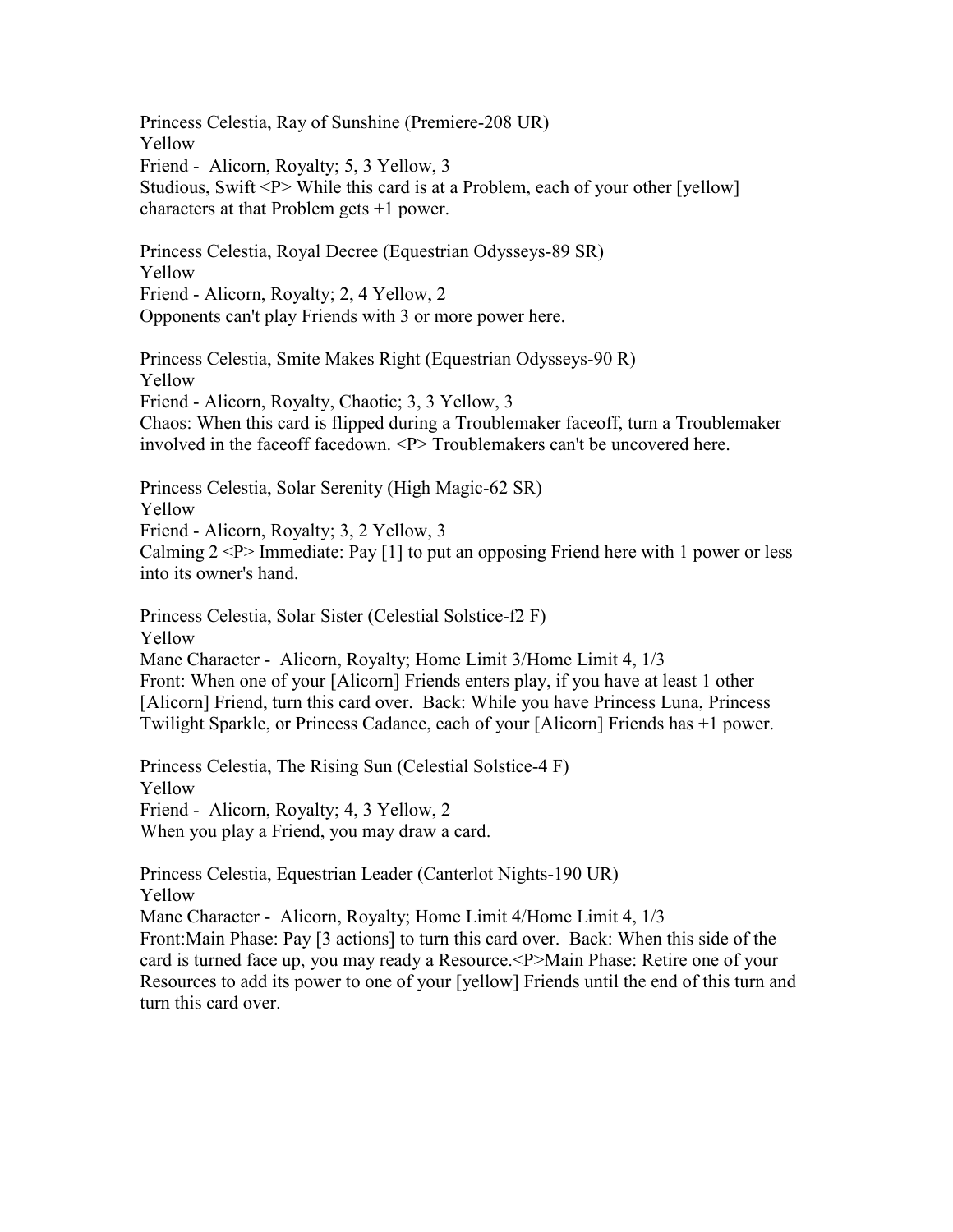Princess Celestia, Ray of Sunshine (Premiere-208 UR) Yellow Friend - Alicorn, Royalty; 5, 3 Yellow, 3 Studious, Swift <P> While this card is at a Problem, each of your other [yellow] characters at that Problem gets +1 power.

Princess Celestia, Royal Decree (Equestrian Odysseys-89 SR) Yellow Friend - Alicorn, Royalty; 2, 4 Yellow, 2 Opponents can't play Friends with 3 or more power here.

Princess Celestia, Smite Makes Right (Equestrian Odysseys-90 R) Yellow Friend - Alicorn, Royalty, Chaotic; 3, 3 Yellow, 3 Chaos: When this card is flipped during a Troublemaker faceoff, turn a Troublemaker involved in the faceoff facedown. <P> Troublemakers can't be uncovered here.

Princess Celestia, Solar Serenity (High Magic-62 SR) Yellow Friend - Alicorn, Royalty; 3, 2 Yellow, 3 Calming  $2 < P$  Immediate: Pay [1] to put an opposing Friend here with 1 power or less into its owner's hand.

Princess Celestia, Solar Sister (Celestial Solstice-f2 F) Yellow Mane Character - Alicorn, Royalty; Home Limit 3/Home Limit 4, 1/3 Front: When one of your [Alicorn] Friends enters play, if you have at least 1 other [Alicorn] Friend, turn this card over. Back: While you have Princess Luna, Princess Twilight Sparkle, or Princess Cadance, each of your [Alicorn] Friends has +1 power.

Princess Celestia, The Rising Sun (Celestial Solstice-4 F) Yellow Friend - Alicorn, Royalty; 4, 3 Yellow, 2 When you play a Friend, you may draw a card.

Princess Celestia, Equestrian Leader (Canterlot Nights-190 UR) Yellow

Mane Character - Alicorn, Royalty; Home Limit 4/Home Limit 4, 1/3

Front:Main Phase: Pay [3 actions] to turn this card over. Back: When this side of the card is turned face up, you may ready a Resource.<P>Main Phase: Retire one of your Resources to add its power to one of your [yellow] Friends until the end of this turn and turn this card over.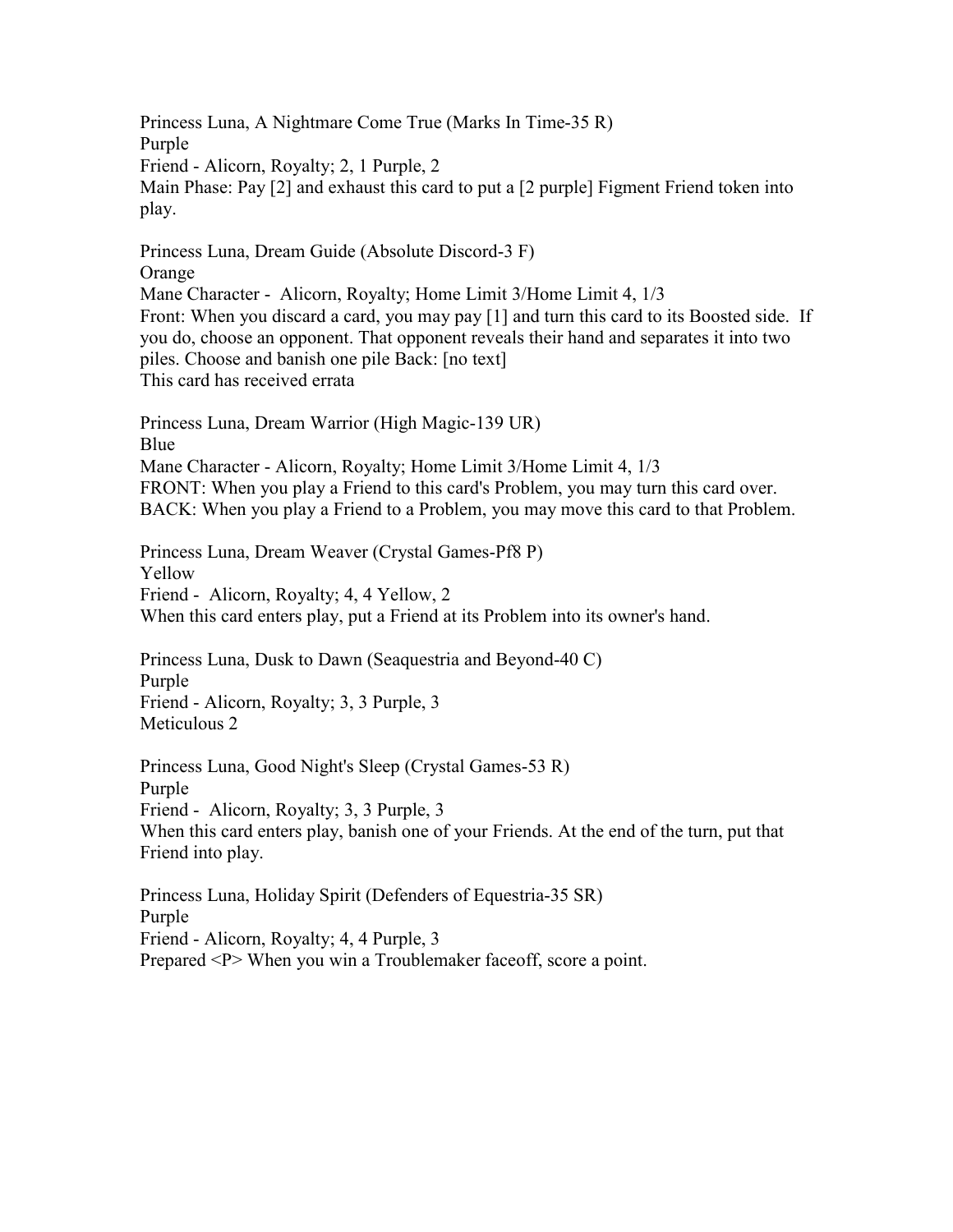Princess Luna, A Nightmare Come True (Marks In Time-35 R) Purple Friend - Alicorn, Royalty; 2, 1 Purple, 2 Main Phase: Pay [2] and exhaust this card to put a [2 purple] Figment Friend token into play. Princess Luna, Dream Guide (Absolute Discord-3 F)

Orange Mane Character - Alicorn, Royalty; Home Limit 3/Home Limit 4, 1/3 Front: When you discard a card, you may pay [1] and turn this card to its Boosted side. If you do, choose an opponent. That opponent reveals their hand and separates it into two piles. Choose and banish one pile Back: [no text] This card has received errata

Princess Luna, Dream Warrior (High Magic-139 UR) Blue Mane Character - Alicorn, Royalty; Home Limit 3/Home Limit 4, 1/3 FRONT: When you play a Friend to this card's Problem, you may turn this card over. BACK: When you play a Friend to a Problem, you may move this card to that Problem.

Princess Luna, Dream Weaver (Crystal Games-Pf8 P) Yellow Friend - Alicorn, Royalty; 4, 4 Yellow, 2 When this card enters play, put a Friend at its Problem into its owner's hand.

Princess Luna, Dusk to Dawn (Seaquestria and Beyond-40 C) Purple Friend - Alicorn, Royalty; 3, 3 Purple, 3 Meticulous 2

Princess Luna, Good Night's Sleep (Crystal Games-53 R) Purple Friend - Alicorn, Royalty; 3, 3 Purple, 3 When this card enters play, banish one of your Friends. At the end of the turn, put that Friend into play.

Princess Luna, Holiday Spirit (Defenders of Equestria-35 SR) Purple Friend - Alicorn, Royalty; 4, 4 Purple, 3 Prepared <P> When you win a Troublemaker faceoff, score a point.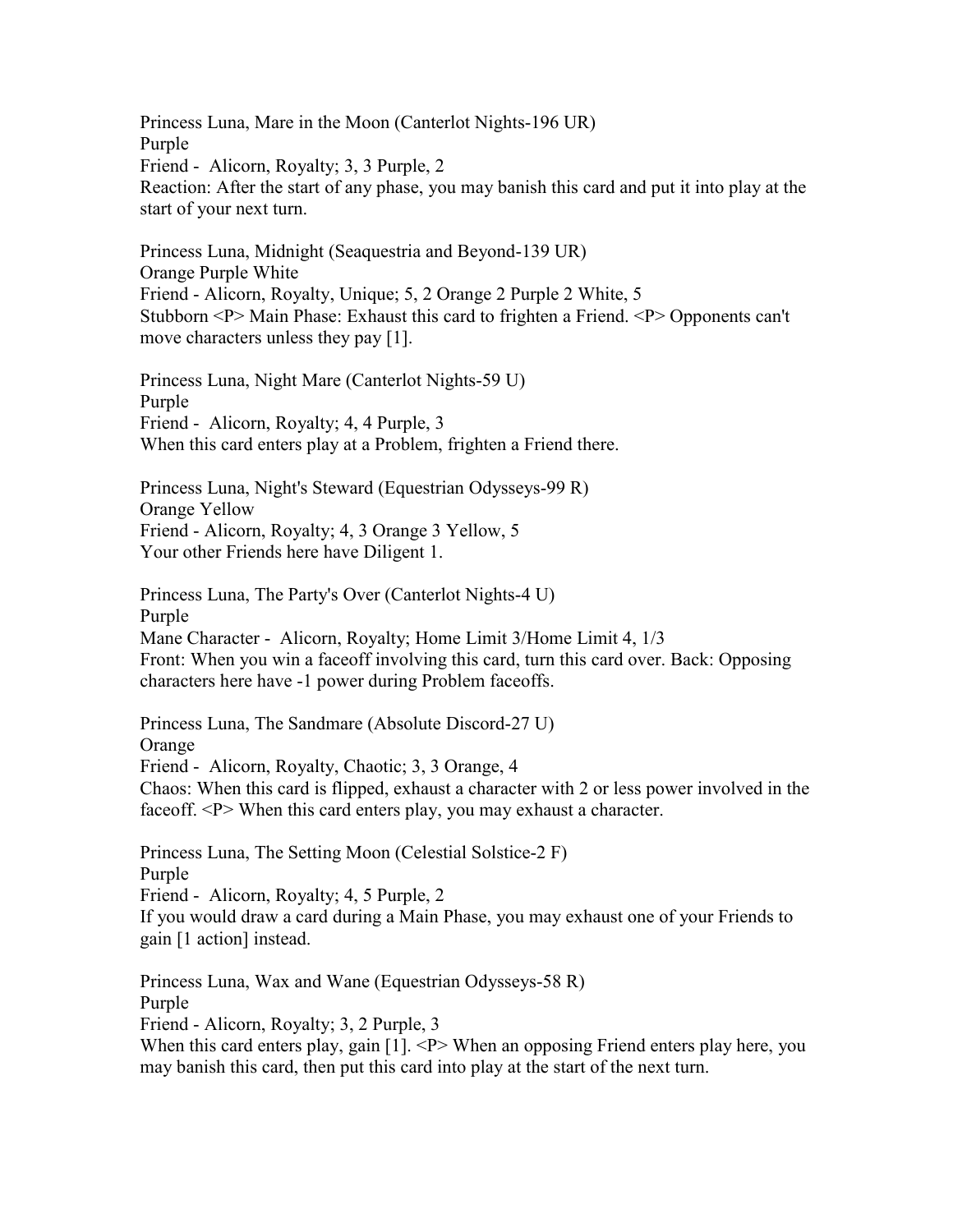Princess Luna, Mare in the Moon (Canterlot Nights-196 UR) Purple

Friend - Alicorn, Royalty; 3, 3 Purple, 2

Reaction: After the start of any phase, you may banish this card and put it into play at the start of your next turn.

Princess Luna, Midnight (Seaquestria and Beyond-139 UR) Orange Purple White Friend - Alicorn, Royalty, Unique; 5, 2 Orange 2 Purple 2 White, 5 Stubborn <P> Main Phase: Exhaust this card to frighten a Friend. <P> Opponents can't move characters unless they pay [1].

Princess Luna, Night Mare (Canterlot Nights-59 U) Purple Friend - Alicorn, Royalty; 4, 4 Purple, 3 When this card enters play at a Problem, frighten a Friend there.

Princess Luna, Night's Steward (Equestrian Odysseys-99 R) Orange Yellow Friend - Alicorn, Royalty; 4, 3 Orange 3 Yellow, 5 Your other Friends here have Diligent 1.

Princess Luna, The Party's Over (Canterlot Nights-4 U) Purple Mane Character - Alicorn, Royalty; Home Limit 3/Home Limit 4, 1/3 Front: When you win a faceoff involving this card, turn this card over. Back: Opposing characters here have -1 power during Problem faceoffs.

Princess Luna, The Sandmare (Absolute Discord-27 U) Orange Friend - Alicorn, Royalty, Chaotic; 3, 3 Orange, 4 Chaos: When this card is flipped, exhaust a character with 2 or less power involved in the faceoff. <P> When this card enters play, you may exhaust a character.

Princess Luna, The Setting Moon (Celestial Solstice-2 F) Purple Friend - Alicorn, Royalty; 4, 5 Purple, 2 If you would draw a card during a Main Phase, you may exhaust one of your Friends to gain [1 action] instead.

Princess Luna, Wax and Wane (Equestrian Odysseys-58 R) Purple Friend - Alicorn, Royalty; 3, 2 Purple, 3 When this card enters play, gain [1]. <P> When an opposing Friend enters play here, you may banish this card, then put this card into play at the start of the next turn.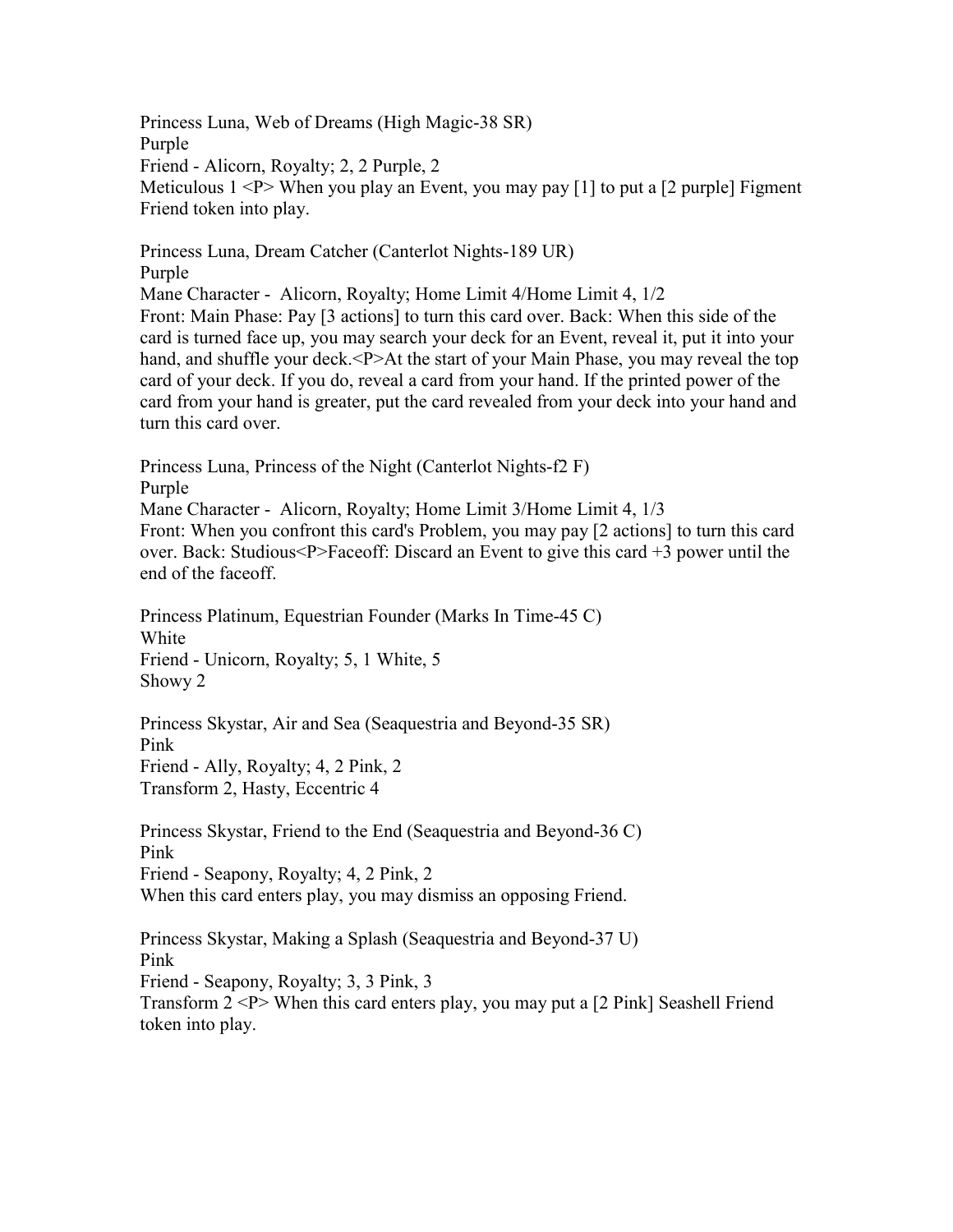Princess Luna, Web of Dreams (High Magic-38 SR) Purple Friend - Alicorn, Royalty; 2, 2 Purple, 2 Meticulous  $1 < P$  When you play an Event, you may pay [1] to put a [2 purple] Figment Friend token into play.

Princess Luna, Dream Catcher (Canterlot Nights-189 UR) Purple

Mane Character - Alicorn, Royalty; Home Limit 4/Home Limit 4, 1/2 Front: Main Phase: Pay [3 actions] to turn this card over. Back: When this side of the card is turned face up, you may search your deck for an Event, reveal it, put it into your hand, and shuffle your deck.<P>At the start of your Main Phase, you may reveal the top card of your deck. If you do, reveal a card from your hand. If the printed power of the card from your hand is greater, put the card revealed from your deck into your hand and turn this card over.

Princess Luna, Princess of the Night (Canterlot Nights-f2 F) Purple Mane Character - Alicorn, Royalty; Home Limit 3/Home Limit 4, 1/3 Front: When you confront this card's Problem, you may pay [2 actions] to turn this card over. Back: Studious<P>Faceoff: Discard an Event to give this card +3 power until the end of the faceoff.

Princess Platinum, Equestrian Founder (Marks In Time-45 C) White Friend - Unicorn, Royalty; 5, 1 White, 5 Showy 2

Princess Skystar, Air and Sea (Seaquestria and Beyond-35 SR) Pink Friend - Ally, Royalty; 4, 2 Pink, 2 Transform 2, Hasty, Eccentric 4

Princess Skystar, Friend to the End (Seaquestria and Beyond-36 C) Pink Friend - Seapony, Royalty; 4, 2 Pink, 2 When this card enters play, you may dismiss an opposing Friend.

Princess Skystar, Making a Splash (Seaquestria and Beyond-37 U) Pink Friend - Seapony, Royalty; 3, 3 Pink, 3 Transform 2 <P> When this card enters play, you may put a [2 Pink] Seashell Friend token into play.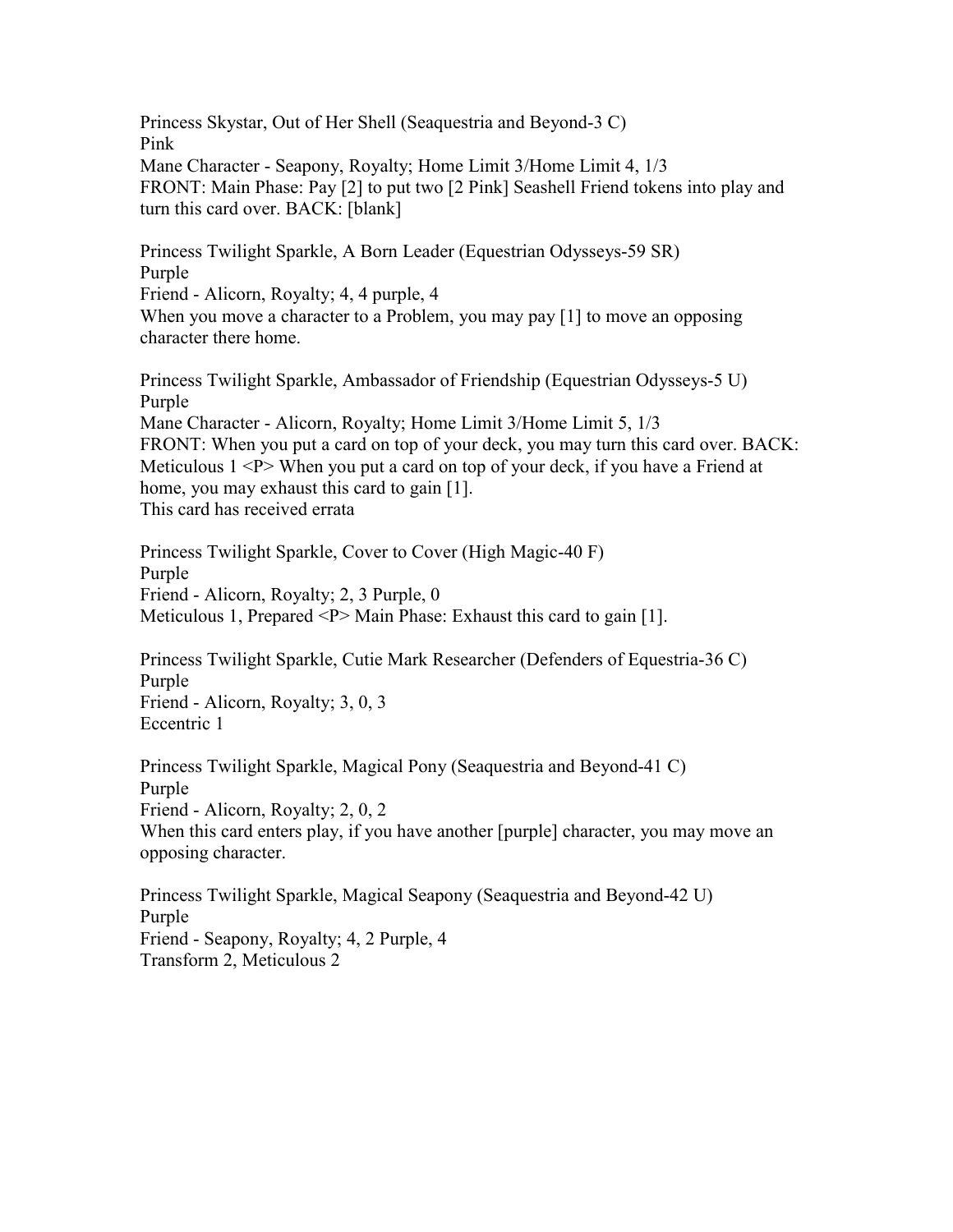Princess Skystar, Out of Her Shell (Seaquestria and Beyond-3 C) Pink Mane Character - Seapony, Royalty; Home Limit 3/Home Limit 4, 1/3 FRONT: Main Phase: Pay [2] to put two [2 Pink] Seashell Friend tokens into play and turn this card over. BACK: [blank]

Princess Twilight Sparkle, A Born Leader (Equestrian Odysseys-59 SR) Purple Friend - Alicorn, Royalty; 4, 4 purple, 4 When you move a character to a Problem, you may pay [1] to move an opposing character there home.

Princess Twilight Sparkle, Ambassador of Friendship (Equestrian Odysseys-5 U) Purple Mane Character - Alicorn, Royalty; Home Limit 3/Home Limit 5, 1/3 FRONT: When you put a card on top of your deck, you may turn this card over. BACK: Meticulous  $1 < P$  When you put a card on top of your deck, if you have a Friend at home, you may exhaust this card to gain [1]. This card has received errata

Princess Twilight Sparkle, Cover to Cover (High Magic-40 F) Purple Friend - Alicorn, Royalty; 2, 3 Purple, 0 Meticulous 1, Prepared <P> Main Phase: Exhaust this card to gain [1].

Princess Twilight Sparkle, Cutie Mark Researcher (Defenders of Equestria-36 C) Purple Friend - Alicorn, Royalty; 3, 0, 3 Eccentric 1

Princess Twilight Sparkle, Magical Pony (Seaquestria and Beyond-41 C) Purple Friend - Alicorn, Royalty; 2, 0, 2 When this card enters play, if you have another [purple] character, you may move an opposing character.

Princess Twilight Sparkle, Magical Seapony (Seaquestria and Beyond-42 U) Purple Friend - Seapony, Royalty; 4, 2 Purple, 4 Transform 2, Meticulous 2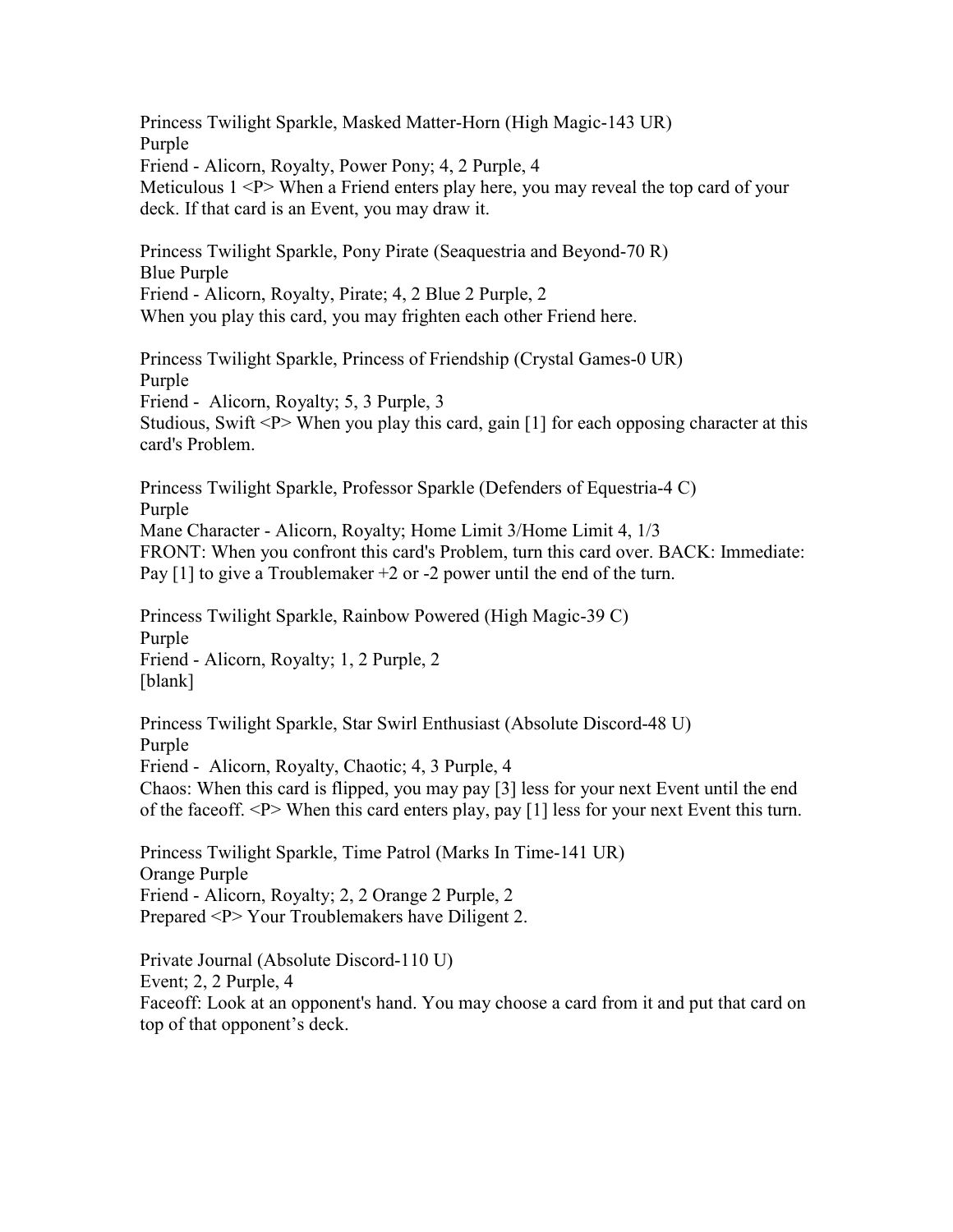Princess Twilight Sparkle, Masked Matter-Horn (High Magic-143 UR) Purple Friend - Alicorn, Royalty, Power Pony; 4, 2 Purple, 4 Meticulous 1 <P> When a Friend enters play here, you may reveal the top card of your deck. If that card is an Event, you may draw it. Princess Twilight Sparkle, Pony Pirate (Seaquestria and Beyond-70 R) Blue Purple Friend - Alicorn, Royalty, Pirate; 4, 2 Blue 2 Purple, 2 When you play this card, you may frighten each other Friend here.

Princess Twilight Sparkle, Princess of Friendship (Crystal Games-0 UR) Purple Friend - Alicorn, Royalty; 5, 3 Purple, 3 Studious, Swift  $\langle P \rangle$  When you play this card, gain [1] for each opposing character at this card's Problem.

Princess Twilight Sparkle, Professor Sparkle (Defenders of Equestria-4 C) Purple Mane Character - Alicorn, Royalty; Home Limit 3/Home Limit 4, 1/3 FRONT: When you confront this card's Problem, turn this card over. BACK: Immediate: Pay  $[1]$  to give a Troublemaker  $+2$  or  $-2$  power until the end of the turn.

Princess Twilight Sparkle, Rainbow Powered (High Magic-39 C) Purple Friend - Alicorn, Royalty; 1, 2 Purple, 2 [blank]

Princess Twilight Sparkle, Star Swirl Enthusiast (Absolute Discord-48 U) Purple Friend - Alicorn, Royalty, Chaotic; 4, 3 Purple, 4 Chaos: When this card is flipped, you may pay [3] less for your next Event until the end of the faceoff. <P> When this card enters play, pay [1] less for your next Event this turn.

Princess Twilight Sparkle, Time Patrol (Marks In Time-141 UR) Orange Purple Friend - Alicorn, Royalty; 2, 2 Orange 2 Purple, 2 Prepared <P> Your Troublemakers have Diligent 2.

Private Journal (Absolute Discord-110 U) Event; 2, 2 Purple, 4 Faceoff: Look at an opponent's hand. You may choose a card from it and put that card on top of that opponent's deck.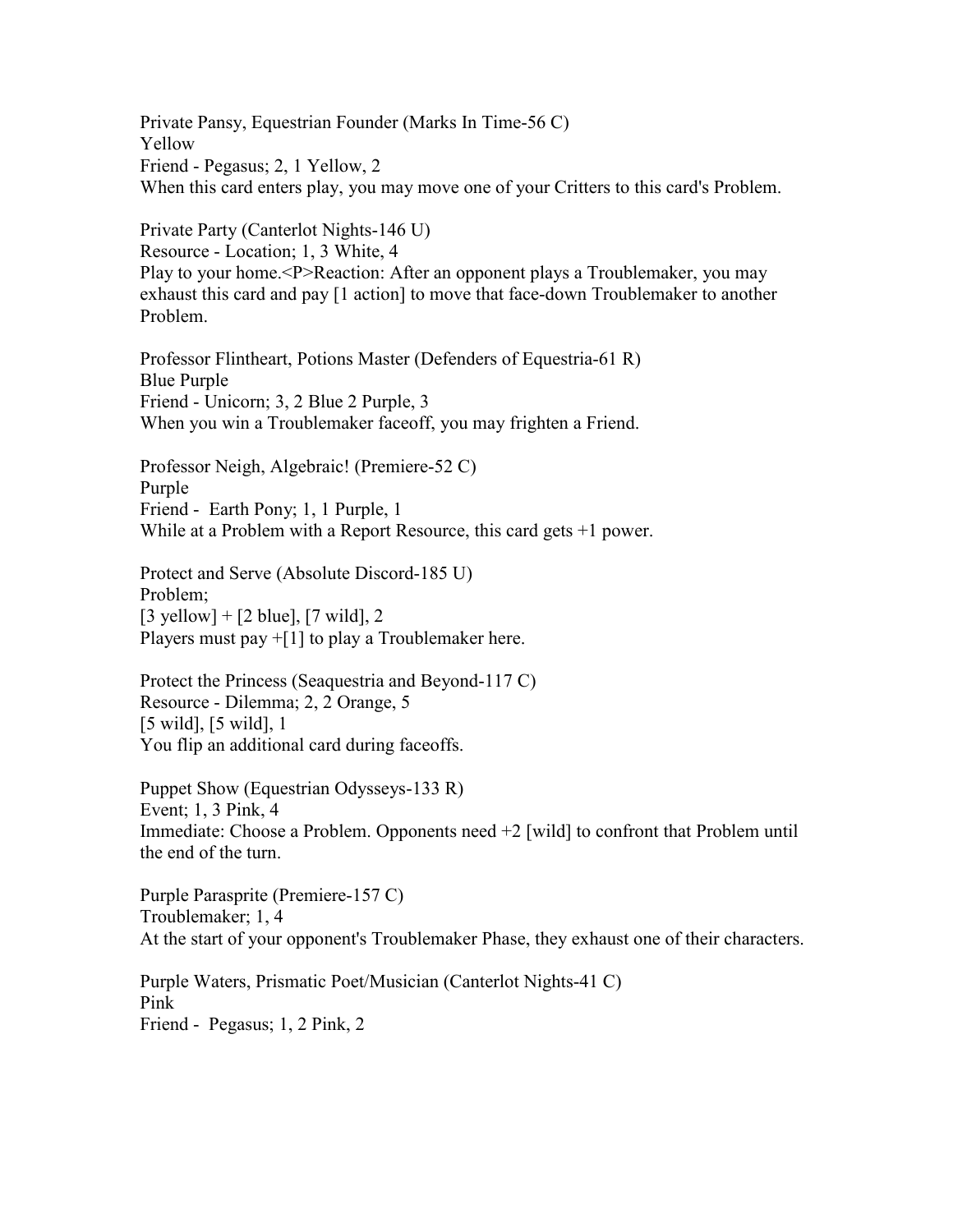Private Pansy, Equestrian Founder (Marks In Time-56 C) Yellow Friend - Pegasus; 2, 1 Yellow, 2 When this card enters play, you may move one of your Critters to this card's Problem.

Private Party (Canterlot Nights-146 U) Resource - Location; 1, 3 White, 4 Play to your home.<P>Reaction: After an opponent plays a Troublemaker, you may exhaust this card and pay [1 action] to move that face-down Troublemaker to another Problem.

Professor Flintheart, Potions Master (Defenders of Equestria-61 R) Blue Purple Friend - Unicorn; 3, 2 Blue 2 Purple, 3 When you win a Troublemaker faceoff, you may frighten a Friend.

Professor Neigh, Algebraic! (Premiere-52 C) Purple Friend - Earth Pony; 1, 1 Purple, 1 While at a Problem with a Report Resource, this card gets +1 power.

Protect and Serve (Absolute Discord-185 U) Problem;  $[3 \text{ yellow}] + [2 \text{ blue}], [7 \text{ wild}], 2$ Players must pay +[1] to play a Troublemaker here.

Protect the Princess (Seaquestria and Beyond-117 C) Resource - Dilemma; 2, 2 Orange, 5 [5 wild], [5 wild], 1 You flip an additional card during faceoffs.

Puppet Show (Equestrian Odysseys-133 R) Event; 1, 3 Pink, 4 Immediate: Choose a Problem. Opponents need +2 [wild] to confront that Problem until the end of the turn.

Purple Parasprite (Premiere-157 C) Troublemaker; 1, 4 At the start of your opponent's Troublemaker Phase, they exhaust one of their characters.

Purple Waters, Prismatic Poet/Musician (Canterlot Nights-41 C) Pink Friend - Pegasus; 1, 2 Pink, 2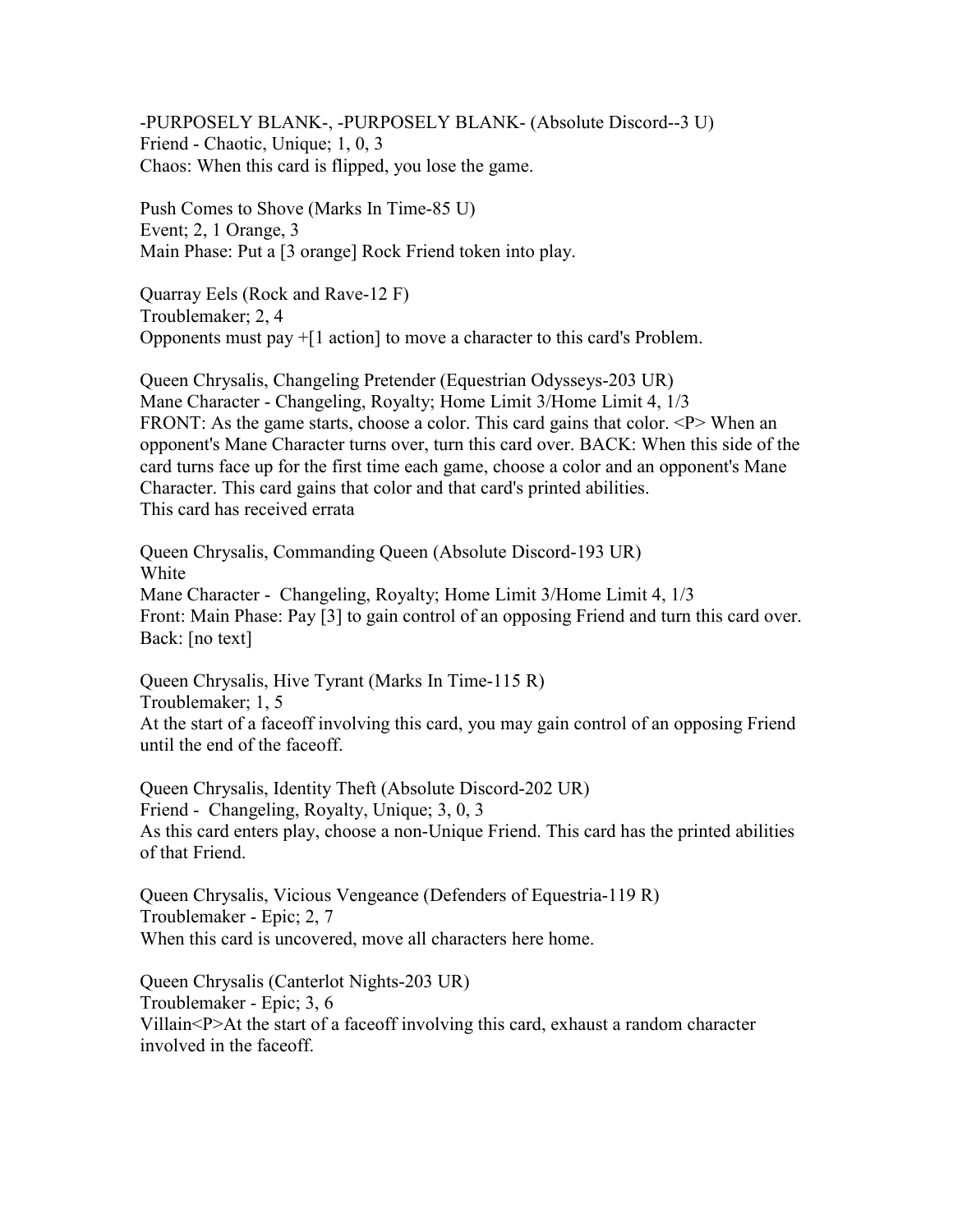-PURPOSELY BLANK-, -PURPOSELY BLANK- (Absolute Discord--3 U) Friend - Chaotic, Unique; 1, 0, 3 Chaos: When this card is flipped, you lose the game.

Push Comes to Shove (Marks In Time-85 U) Event; 2, 1 Orange, 3 Main Phase: Put a [3 orange] Rock Friend token into play.

Quarray Eels (Rock and Rave-12 F) Troublemaker; 2, 4 Opponents must pay +[1 action] to move a character to this card's Problem.

Queen Chrysalis, Changeling Pretender (Equestrian Odysseys-203 UR) Mane Character - Changeling, Royalty; Home Limit 3/Home Limit 4, 1/3 FRONT: As the game starts, choose a color. This card gains that color.  $\langle P \rangle$  When an opponent's Mane Character turns over, turn this card over. BACK: When this side of the card turns face up for the first time each game, choose a color and an opponent's Mane Character. This card gains that color and that card's printed abilities. This card has received errata

Queen Chrysalis, Commanding Queen (Absolute Discord-193 UR) White Mane Character - Changeling, Royalty; Home Limit 3/Home Limit 4, 1/3 Front: Main Phase: Pay [3] to gain control of an opposing Friend and turn this card over. Back: [no text]

Queen Chrysalis, Hive Tyrant (Marks In Time-115 R) Troublemaker; 1, 5 At the start of a faceoff involving this card, you may gain control of an opposing Friend until the end of the faceoff.

Queen Chrysalis, Identity Theft (Absolute Discord-202 UR) Friend - Changeling, Royalty, Unique; 3, 0, 3 As this card enters play, choose a non-Unique Friend. This card has the printed abilities of that Friend.

Queen Chrysalis, Vicious Vengeance (Defenders of Equestria-119 R) Troublemaker - Epic; 2, 7 When this card is uncovered, move all characters here home.

Queen Chrysalis (Canterlot Nights-203 UR) Troublemaker - Epic; 3, 6 Villain<P>At the start of a faceoff involving this card, exhaust a random character involved in the faceoff.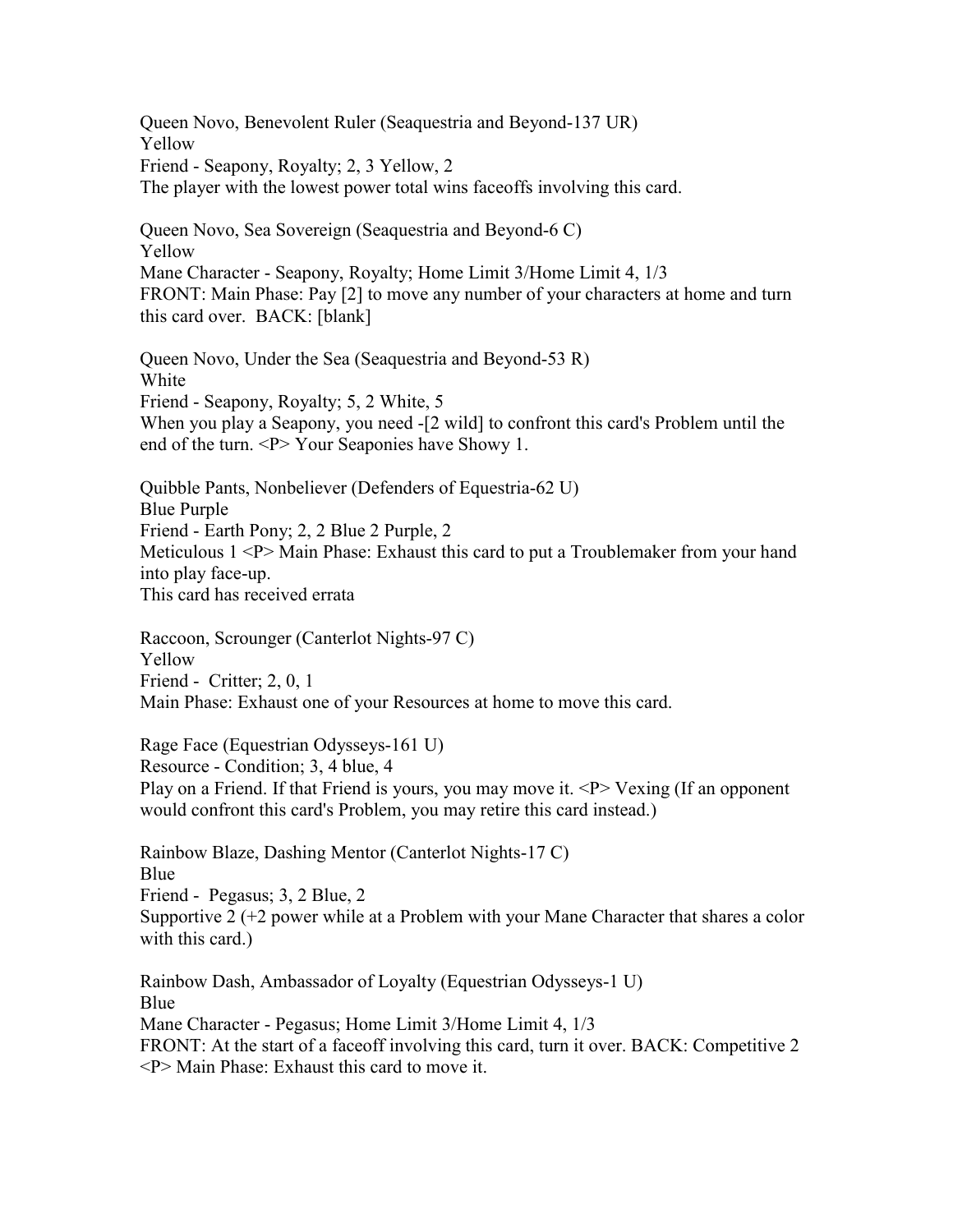Queen Novo, Benevolent Ruler (Seaquestria and Beyond-137 UR) Yellow Friend - Seapony, Royalty; 2, 3 Yellow, 2 The player with the lowest power total wins faceoffs involving this card.

Queen Novo, Sea Sovereign (Seaquestria and Beyond-6 C) Yellow Mane Character - Seapony, Royalty; Home Limit 3/Home Limit 4, 1/3 FRONT: Main Phase: Pay [2] to move any number of your characters at home and turn this card over. BACK: [blank]

Queen Novo, Under the Sea (Seaquestria and Beyond-53 R) White Friend - Seapony, Royalty; 5, 2 White, 5 When you play a Seapony, you need -[2 wild] to confront this card's Problem until the end of the turn. <P> Your Seaponies have Showy 1.

Quibble Pants, Nonbeliever (Defenders of Equestria-62 U) Blue Purple Friend - Earth Pony; 2, 2 Blue 2 Purple, 2 Meticulous 1 <P> Main Phase: Exhaust this card to put a Troublemaker from your hand into play face-up. This card has received errata

Raccoon, Scrounger (Canterlot Nights-97 C) Yellow Friend - Critter; 2, 0, 1 Main Phase: Exhaust one of your Resources at home to move this card.

Rage Face (Equestrian Odysseys-161 U) Resource - Condition; 3, 4 blue, 4 Play on a Friend. If that Friend is yours, you may move it.  $P$  Vexing (If an opponent would confront this card's Problem, you may retire this card instead.)

Rainbow Blaze, Dashing Mentor (Canterlot Nights-17 C) Blue Friend - Pegasus; 3, 2 Blue, 2 Supportive 2 (+2 power while at a Problem with your Mane Character that shares a color with this card.)

Rainbow Dash, Ambassador of Loyalty (Equestrian Odysseys-1 U) Blue Mane Character - Pegasus; Home Limit 3/Home Limit 4, 1/3 FRONT: At the start of a faceoff involving this card, turn it over. BACK: Competitive 2 <P> Main Phase: Exhaust this card to move it.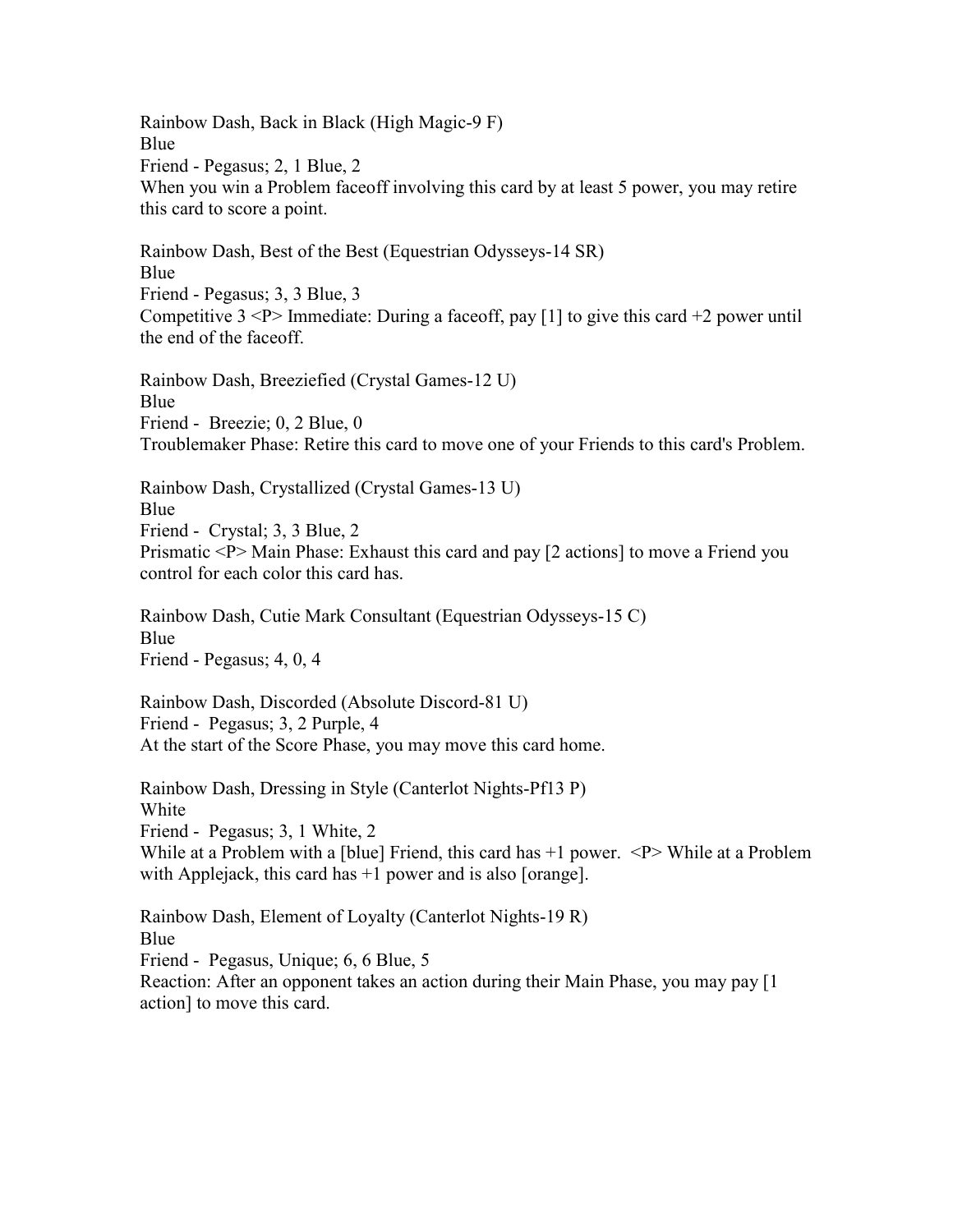Rainbow Dash, Back in Black (High Magic-9 F) Blue Friend - Pegasus; 2, 1 Blue, 2 When you win a Problem faceoff involving this card by at least 5 power, you may retire this card to score a point.

Rainbow Dash, Best of the Best (Equestrian Odysseys-14 SR) Blue Friend - Pegasus; 3, 3 Blue, 3 Competitive  $3$  <P> Immediate: During a faceoff, pay [1] to give this card +2 power until the end of the faceoff.

Rainbow Dash, Breeziefied (Crystal Games-12 U) Blue Friend - Breezie; 0, 2 Blue, 0 Troublemaker Phase: Retire this card to move one of your Friends to this card's Problem.

Rainbow Dash, Crystallized (Crystal Games-13 U) Blue Friend - Crystal; 3, 3 Blue, 2 Prismatic <P> Main Phase: Exhaust this card and pay [2 actions] to move a Friend you control for each color this card has.

Rainbow Dash, Cutie Mark Consultant (Equestrian Odysseys-15 C) Blue Friend - Pegasus; 4, 0, 4

Rainbow Dash, Discorded (Absolute Discord-81 U) Friend - Pegasus; 3, 2 Purple, 4 At the start of the Score Phase, you may move this card home.

Rainbow Dash, Dressing in Style (Canterlot Nights-Pf13 P) White Friend - Pegasus; 3, 1 White, 2 While at a Problem with a [blue] Friend, this card has  $+1$  power.  $\langle P \rangle$  While at a Problem with Applejack, this card has  $+1$  power and is also [orange].

Rainbow Dash, Element of Loyalty (Canterlot Nights-19 R) Blue Friend - Pegasus, Unique; 6, 6 Blue, 5 Reaction: After an opponent takes an action during their Main Phase, you may pay [1 action] to move this card.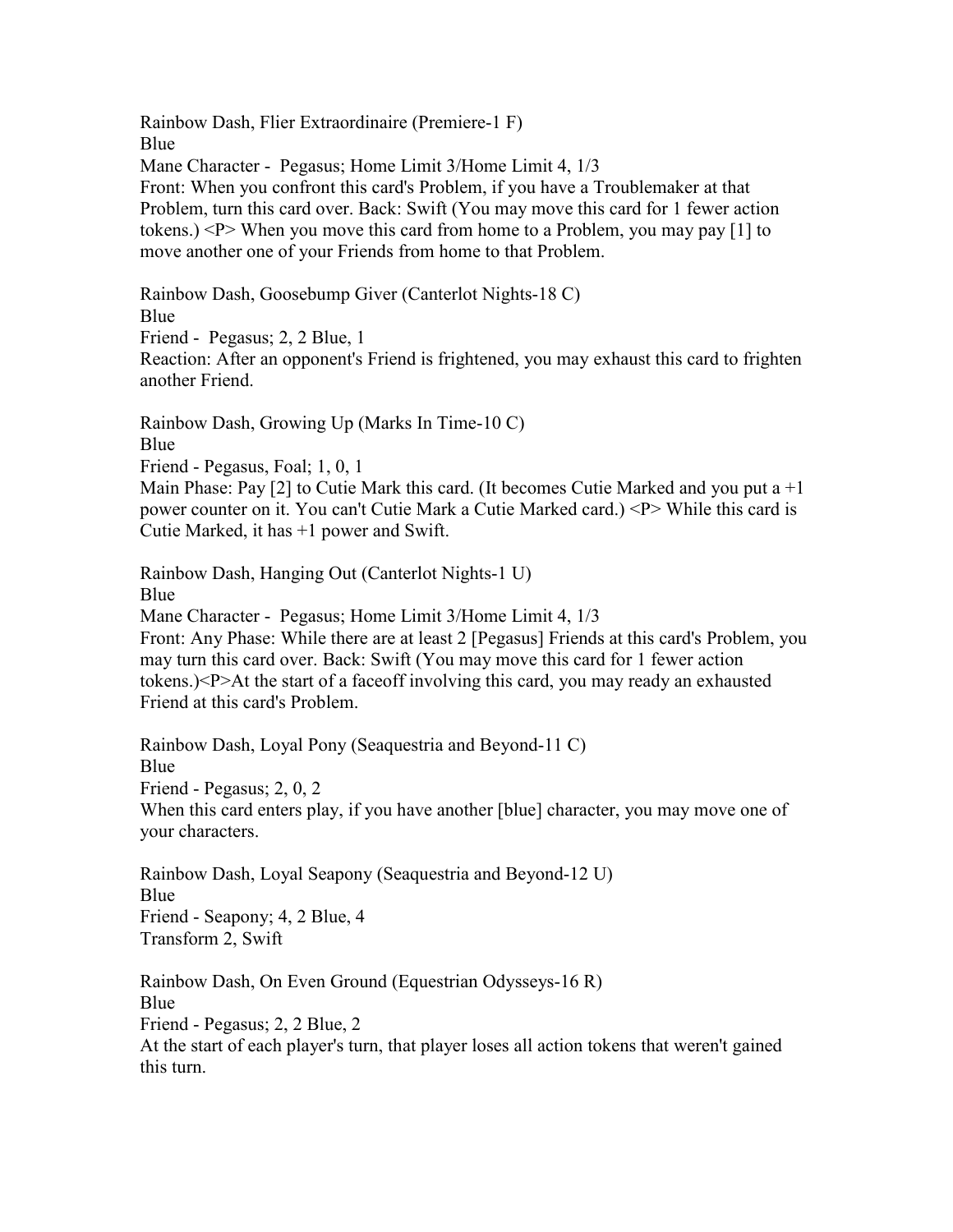Rainbow Dash, Flier Extraordinaire (Premiere-1 F) Blue Mane Character - Pegasus; Home Limit 3/Home Limit 4, 1/3 Front: When you confront this card's Problem, if you have a Troublemaker at that Problem, turn this card over. Back: Swift (You may move this card for 1 fewer action tokens.) <P> When you move this card from home to a Problem, you may pay [1] to move another one of your Friends from home to that Problem.

Rainbow Dash, Goosebump Giver (Canterlot Nights-18 C) Blue Friend - Pegasus; 2, 2 Blue, 1 Reaction: After an opponent's Friend is frightened, you may exhaust this card to frighten another Friend.

Rainbow Dash, Growing Up (Marks In Time-10 C) Blue

Friend - Pegasus, Foal; 1, 0, 1

Main Phase: Pay [2] to Cutie Mark this card. (It becomes Cutie Marked and you put a  $+1$ power counter on it. You can't Cutie Mark a Cutie Marked card.) <P> While this card is Cutie Marked, it has +1 power and Swift.

Rainbow Dash, Hanging Out (Canterlot Nights-1 U) Blue

Mane Character - Pegasus; Home Limit 3/Home Limit 4, 1/3 Front: Any Phase: While there are at least 2 [Pegasus] Friends at this card's Problem, you may turn this card over. Back: Swift (You may move this card for 1 fewer action tokens.)<P>At the start of a faceoff involving this card, you may ready an exhausted Friend at this card's Problem.

Rainbow Dash, Loyal Pony (Seaquestria and Beyond-11 C) Blue Friend - Pegasus; 2, 0, 2 When this card enters play, if you have another [blue] character, you may move one of your characters.

Rainbow Dash, Loyal Seapony (Seaquestria and Beyond-12 U) Blue Friend - Seapony; 4, 2 Blue, 4 Transform 2, Swift

Rainbow Dash, On Even Ground (Equestrian Odysseys-16 R) Blue Friend - Pegasus; 2, 2 Blue, 2 At the start of each player's turn, that player loses all action tokens that weren't gained this turn.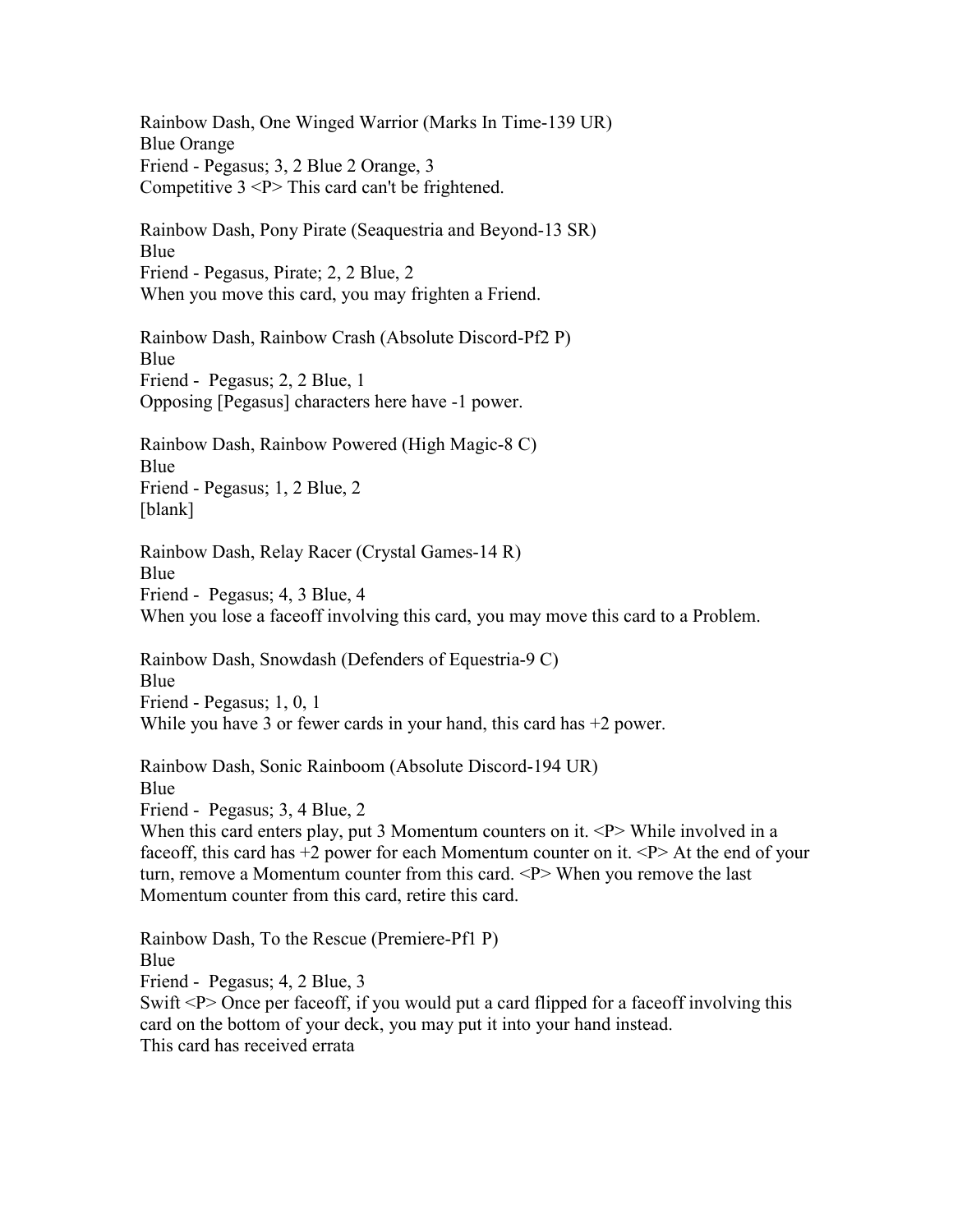Rainbow Dash, One Winged Warrior (Marks In Time-139 UR) Blue Orange Friend - Pegasus; 3, 2 Blue 2 Orange, 3 Competitive 3 <P> This card can't be frightened.

Rainbow Dash, Pony Pirate (Seaquestria and Beyond-13 SR) Blue Friend - Pegasus, Pirate; 2, 2 Blue, 2 When you move this card, you may frighten a Friend.

Rainbow Dash, Rainbow Crash (Absolute Discord-Pf2 P) Blue Friend - Pegasus; 2, 2 Blue, 1 Opposing [Pegasus] characters here have -1 power.

Rainbow Dash, Rainbow Powered (High Magic-8 C) Blue Friend - Pegasus; 1, 2 Blue, 2 [blank]

Rainbow Dash, Relay Racer (Crystal Games-14 R) Blue Friend - Pegasus; 4, 3 Blue, 4 When you lose a faceoff involving this card, you may move this card to a Problem.

Rainbow Dash, Snowdash (Defenders of Equestria-9 C) Blue Friend - Pegasus; 1, 0, 1 While you have 3 or fewer cards in your hand, this card has  $+2$  power.

Rainbow Dash, Sonic Rainboom (Absolute Discord-194 UR) Blue Friend - Pegasus; 3, 4 Blue, 2 When this card enters play, put 3 Momentum counters on it.  $\langle P \rangle$  While involved in a faceoff, this card has  $+2$  power for each Momentum counter on it.  $\langle P \rangle$  At the end of your turn, remove a Momentum counter from this card. <P> When you remove the last Momentum counter from this card, retire this card.

Rainbow Dash, To the Rescue (Premiere-Pf1 P) Blue Friend - Pegasus; 4, 2 Blue, 3 Swift <P> Once per faceoff, if you would put a card flipped for a faceoff involving this card on the bottom of your deck, you may put it into your hand instead. This card has received errata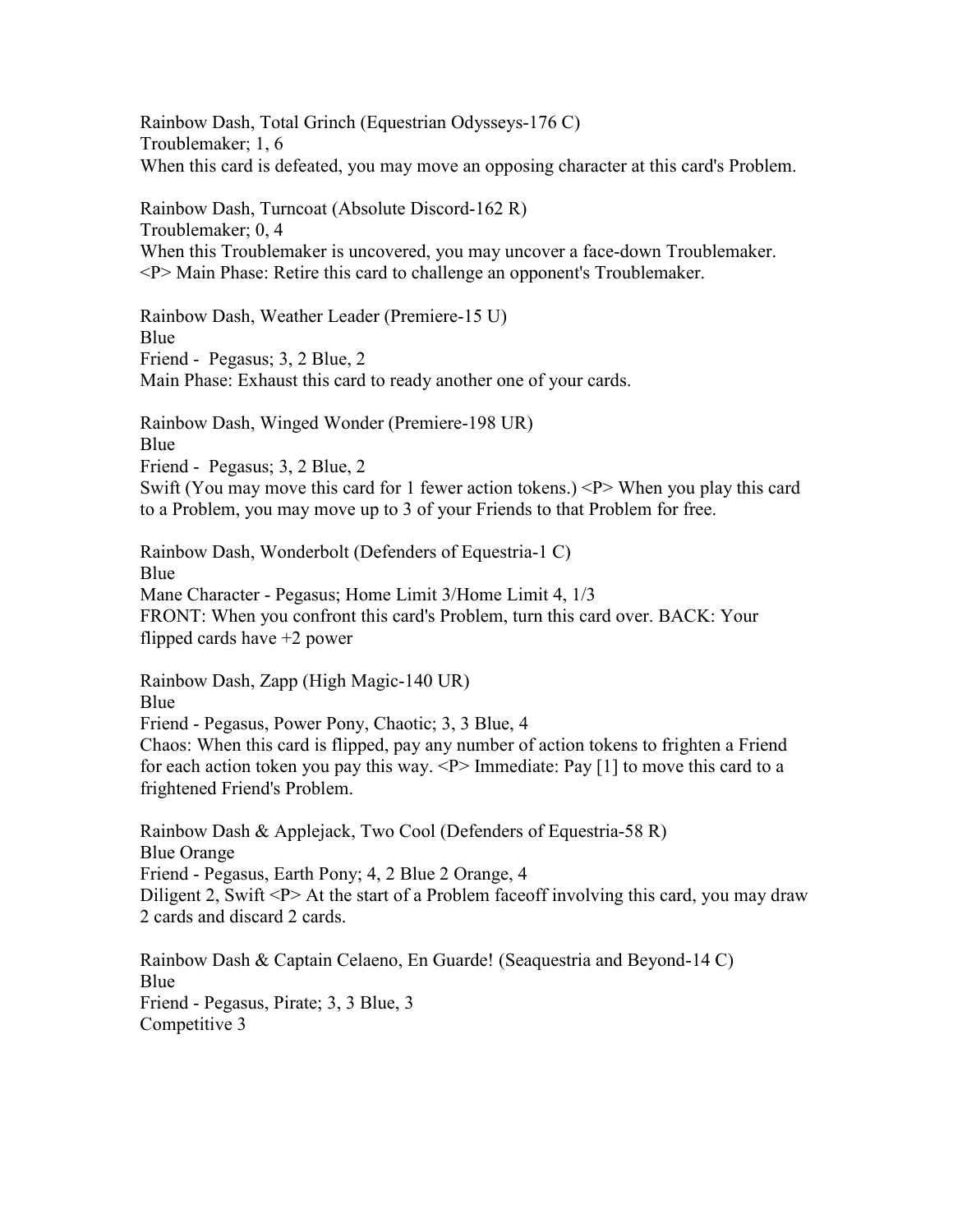Rainbow Dash, Total Grinch (Equestrian Odysseys-176 C) Troublemaker; 1, 6 When this card is defeated, you may move an opposing character at this card's Problem.

Rainbow Dash, Turncoat (Absolute Discord-162 R) Troublemaker; 0, 4 When this Troublemaker is uncovered, you may uncover a face-down Troublemaker. <P> Main Phase: Retire this card to challenge an opponent's Troublemaker.

Rainbow Dash, Weather Leader (Premiere-15 U) Blue Friend - Pegasus; 3, 2 Blue, 2 Main Phase: Exhaust this card to ready another one of your cards.

Rainbow Dash, Winged Wonder (Premiere-198 UR) Blue Friend - Pegasus; 3, 2 Blue, 2 Swift (You may move this card for 1 fewer action tokens.) <P> When you play this card to a Problem, you may move up to 3 of your Friends to that Problem for free.

Rainbow Dash, Wonderbolt (Defenders of Equestria-1 C) Blue Mane Character - Pegasus; Home Limit 3/Home Limit 4, 1/3 FRONT: When you confront this card's Problem, turn this card over. BACK: Your flipped cards have +2 power

Rainbow Dash, Zapp (High Magic-140 UR) Blue Friend - Pegasus, Power Pony, Chaotic; 3, 3 Blue, 4 Chaos: When this card is flipped, pay any number of action tokens to frighten a Friend for each action token you pay this way.  $\langle P \rangle$  Immediate: Pay [1] to move this card to a frightened Friend's Problem.

Rainbow Dash & Applejack, Two Cool (Defenders of Equestria-58 R) Blue Orange Friend - Pegasus, Earth Pony; 4, 2 Blue 2 Orange, 4 Diligent 2, Swift <P> At the start of a Problem faceoff involving this card, you may draw 2 cards and discard 2 cards.

Rainbow Dash & Captain Celaeno, En Guarde! (Seaquestria and Beyond-14 C) Blue Friend - Pegasus, Pirate; 3, 3 Blue, 3 Competitive 3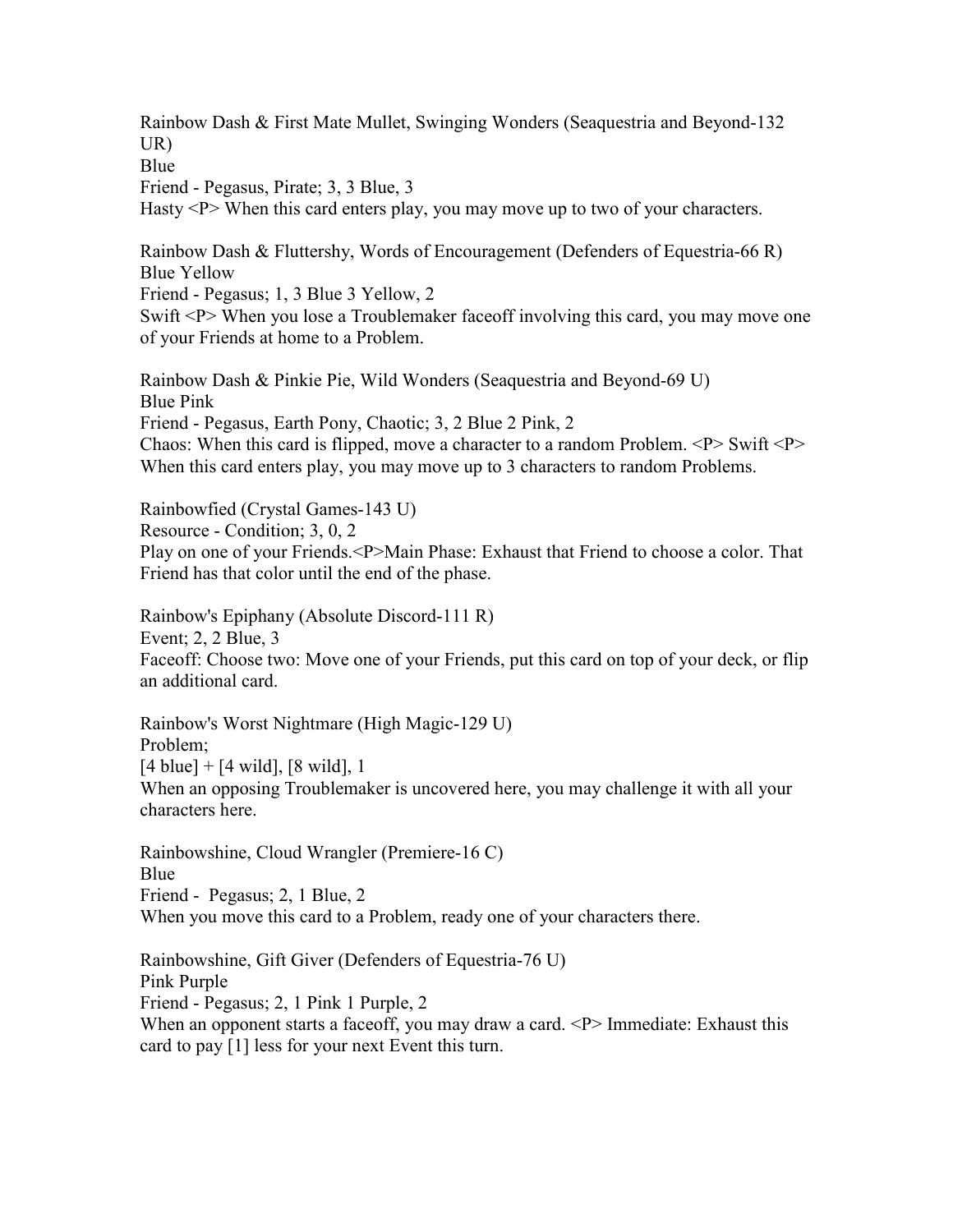Rainbow Dash & First Mate Mullet, Swinging Wonders (Seaquestria and Beyond-132 UR)

Blue

Friend - Pegasus, Pirate; 3, 3 Blue, 3

Hasty <P> When this card enters play, you may move up to two of your characters.

Rainbow Dash & Fluttershy, Words of Encouragement (Defenders of Equestria-66 R) Blue Yellow

Friend - Pegasus; 1, 3 Blue 3 Yellow, 2

Swift <P> When you lose a Troublemaker face of involving this card, you may move one of your Friends at home to a Problem.

Rainbow Dash & Pinkie Pie, Wild Wonders (Seaquestria and Beyond-69 U) Blue Pink Friend - Pegasus, Earth Pony, Chaotic; 3, 2 Blue 2 Pink, 2 Chaos: When this card is flipped, move a character to a random Problem. <P> Swift <P> When this card enters play, you may move up to 3 characters to random Problems.

Rainbowfied (Crystal Games-143 U) Resource - Condition; 3, 0, 2 Play on one of your Friends.<P>Main Phase: Exhaust that Friend to choose a color. That Friend has that color until the end of the phase.

Rainbow's Epiphany (Absolute Discord-111 R) Event; 2, 2 Blue, 3 Faceoff: Choose two: Move one of your Friends, put this card on top of your deck, or flip an additional card.

Rainbow's Worst Nightmare (High Magic-129 U) Problem;  $[4 \text{ blue}] + [4 \text{ wild}], [8 \text{ wild}], 1$ When an opposing Troublemaker is uncovered here, you may challenge it with all your characters here.

Rainbowshine, Cloud Wrangler (Premiere-16 C) Blue Friend - Pegasus; 2, 1 Blue, 2 When you move this card to a Problem, ready one of your characters there.

Rainbowshine, Gift Giver (Defenders of Equestria-76 U) Pink Purple Friend - Pegasus; 2, 1 Pink 1 Purple, 2 When an opponent starts a faceoff, you may draw a card.  $\langle P \rangle$  Immediate: Exhaust this card to pay [1] less for your next Event this turn.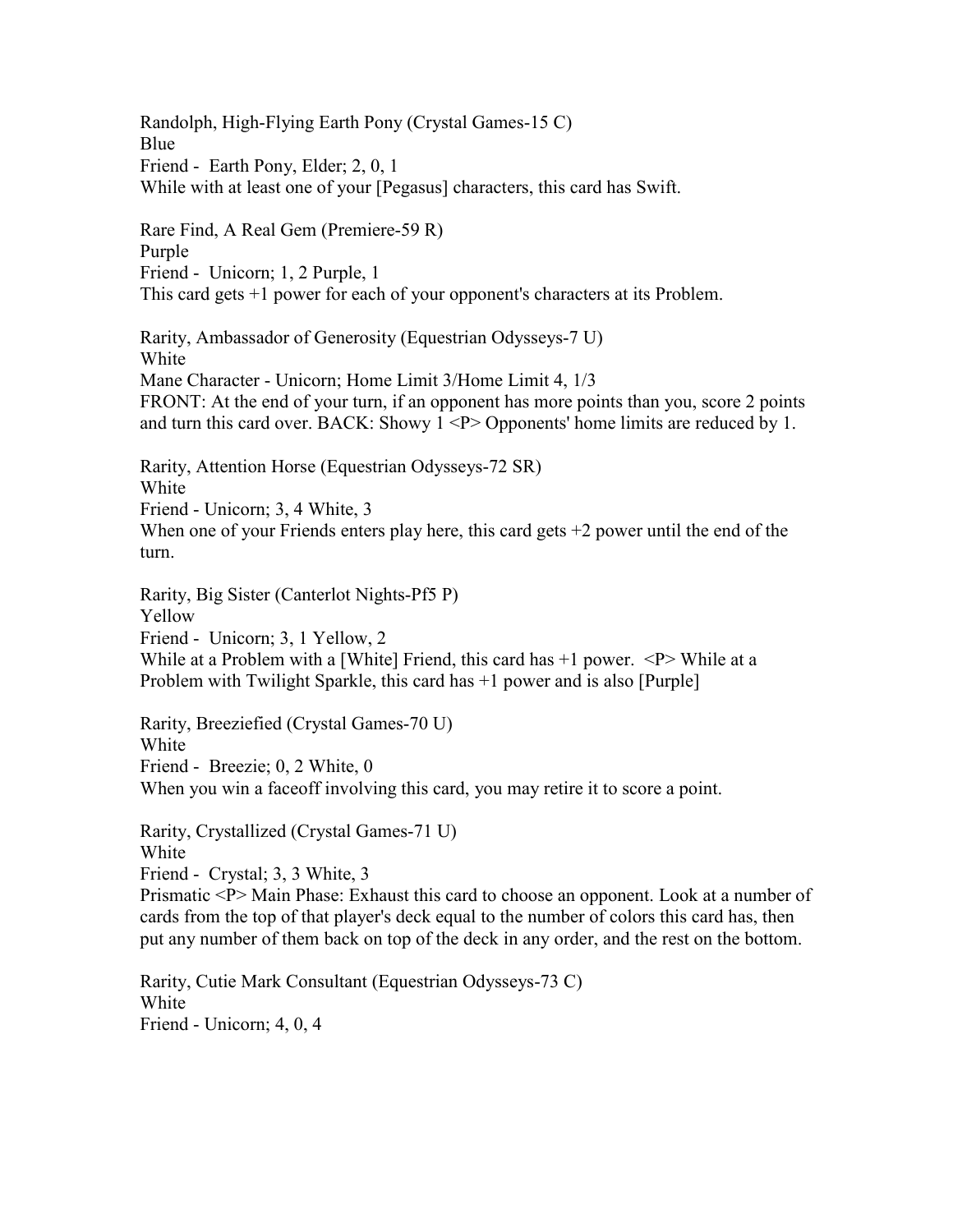Randolph, High-Flying Earth Pony (Crystal Games-15 C) Blue Friend - Earth Pony, Elder; 2, 0, 1 While with at least one of your [Pegasus] characters, this card has Swift.

Rare Find, A Real Gem (Premiere-59 R) Purple Friend - Unicorn; 1, 2 Purple, 1 This card gets +1 power for each of your opponent's characters at its Problem.

Rarity, Ambassador of Generosity (Equestrian Odysseys-7 U) White Mane Character - Unicorn; Home Limit 3/Home Limit 4, 1/3 FRONT: At the end of your turn, if an opponent has more points than you, score 2 points and turn this card over. BACK: Showy  $1 \leq P$  Opponents' home limits are reduced by 1.

Rarity, Attention Horse (Equestrian Odysseys-72 SR) White Friend - Unicorn; 3, 4 White, 3 When one of your Friends enters play here, this card gets  $+2$  power until the end of the turn.

Rarity, Big Sister (Canterlot Nights-Pf5 P) Yellow Friend - Unicorn; 3, 1 Yellow, 2 While at a Problem with a [White] Friend, this card has  $+1$  power.  $\langle P \rangle$  While at a Problem with Twilight Sparkle, this card has +1 power and is also [Purple]

Rarity, Breeziefied (Crystal Games-70 U) White Friend - Breezie; 0, 2 White, 0 When you win a face of involving this card, you may retire it to score a point.

Rarity, Crystallized (Crystal Games-71 U) White Friend - Crystal; 3, 3 White, 3

Prismatic <P> Main Phase: Exhaust this card to choose an opponent. Look at a number of cards from the top of that player's deck equal to the number of colors this card has, then put any number of them back on top of the deck in any order, and the rest on the bottom.

Rarity, Cutie Mark Consultant (Equestrian Odysseys-73 C) White Friend - Unicorn; 4, 0, 4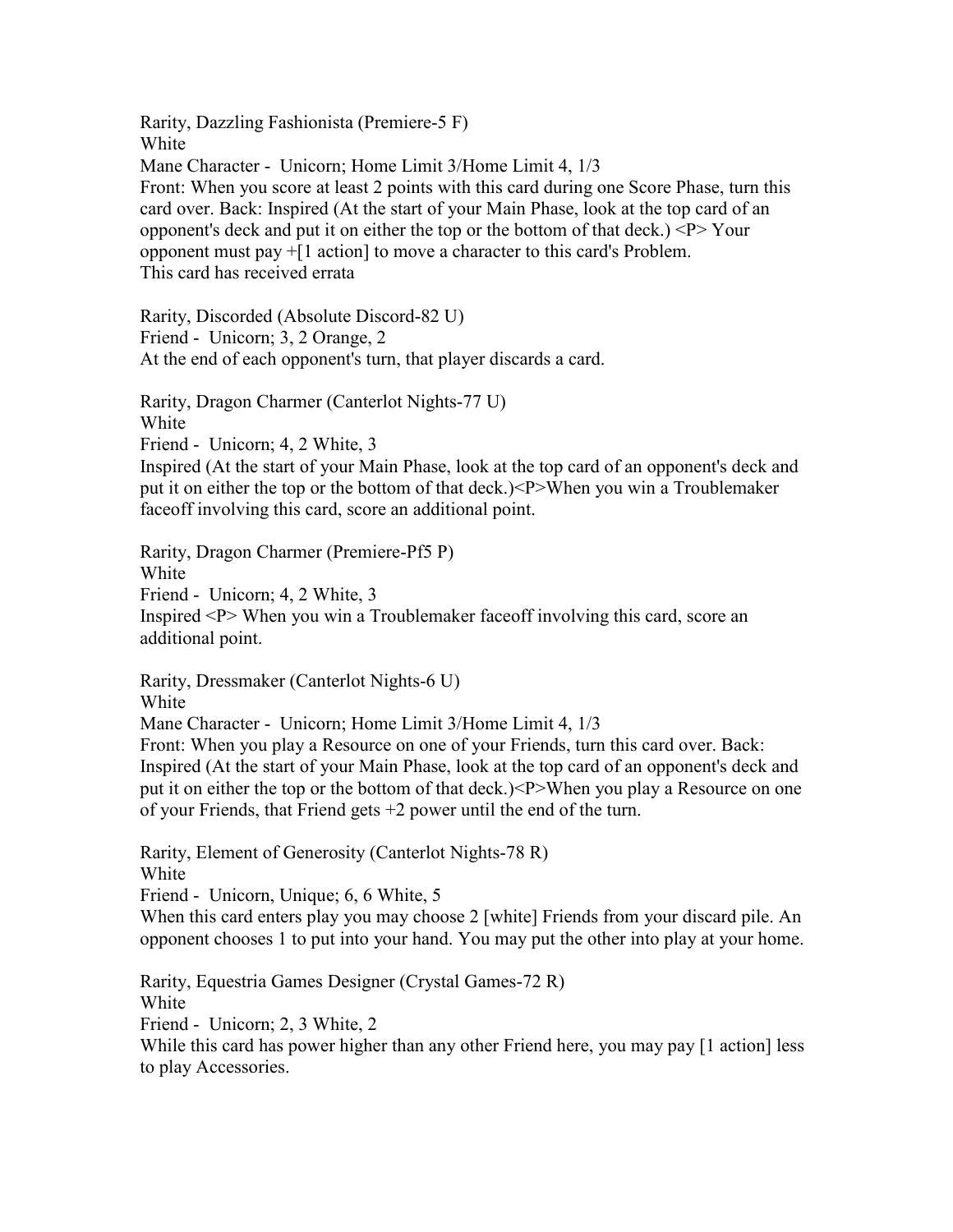Rarity, Dazzling Fashionista (Premiere-5 F) White Mane Character - Unicorn; Home Limit 3/Home Limit 4, 1/3 Front: When you score at least 2 points with this card during one Score Phase, turn this card over. Back: Inspired (At the start of your Main Phase, look at the top card of an opponent's deck and put it on either the top or the bottom of that deck.) <P> Your opponent must pay +[1 action] to move a character to this card's Problem. This card has received errata

Rarity, Discorded (Absolute Discord-82 U) Friend - Unicorn; 3, 2 Orange, 2 At the end of each opponent's turn, that player discards a card.

Rarity, Dragon Charmer (Canterlot Nights-77 U) White Friend - Unicorn; 4, 2 White, 3 Inspired (At the start of your Main Phase, look at the top card of an opponent's deck and put it on either the top or the bottom of that deck.)<P>When you win a Troublemaker faceoff involving this card, score an additional point.

Rarity, Dragon Charmer (Premiere-Pf5 P) White Friend - Unicorn; 4, 2 White, 3 Inspired <P> When you win a Troublemaker faceoff involving this card, score an additional point.

Rarity, Dressmaker (Canterlot Nights-6 U) White Mane Character - Unicorn; Home Limit 3/Home Limit 4, 1/3 Front: When you play a Resource on one of your Friends, turn this card over. Back: Inspired (At the start of your Main Phase, look at the top card of an opponent's deck and put it on either the top or the bottom of that deck.)<P>When you play a Resource on one of your Friends, that Friend gets +2 power until the end of the turn.

Rarity, Element of Generosity (Canterlot Nights-78 R) White Friend - Unicorn, Unique; 6, 6 White, 5

When this card enters play you may choose 2 [white] Friends from your discard pile. An opponent chooses 1 to put into your hand. You may put the other into play at your home.

Rarity, Equestria Games Designer (Crystal Games-72 R) White Friend - Unicorn; 2, 3 White, 2 While this card has power higher than any other Friend here, you may pay [1 action] less to play Accessories.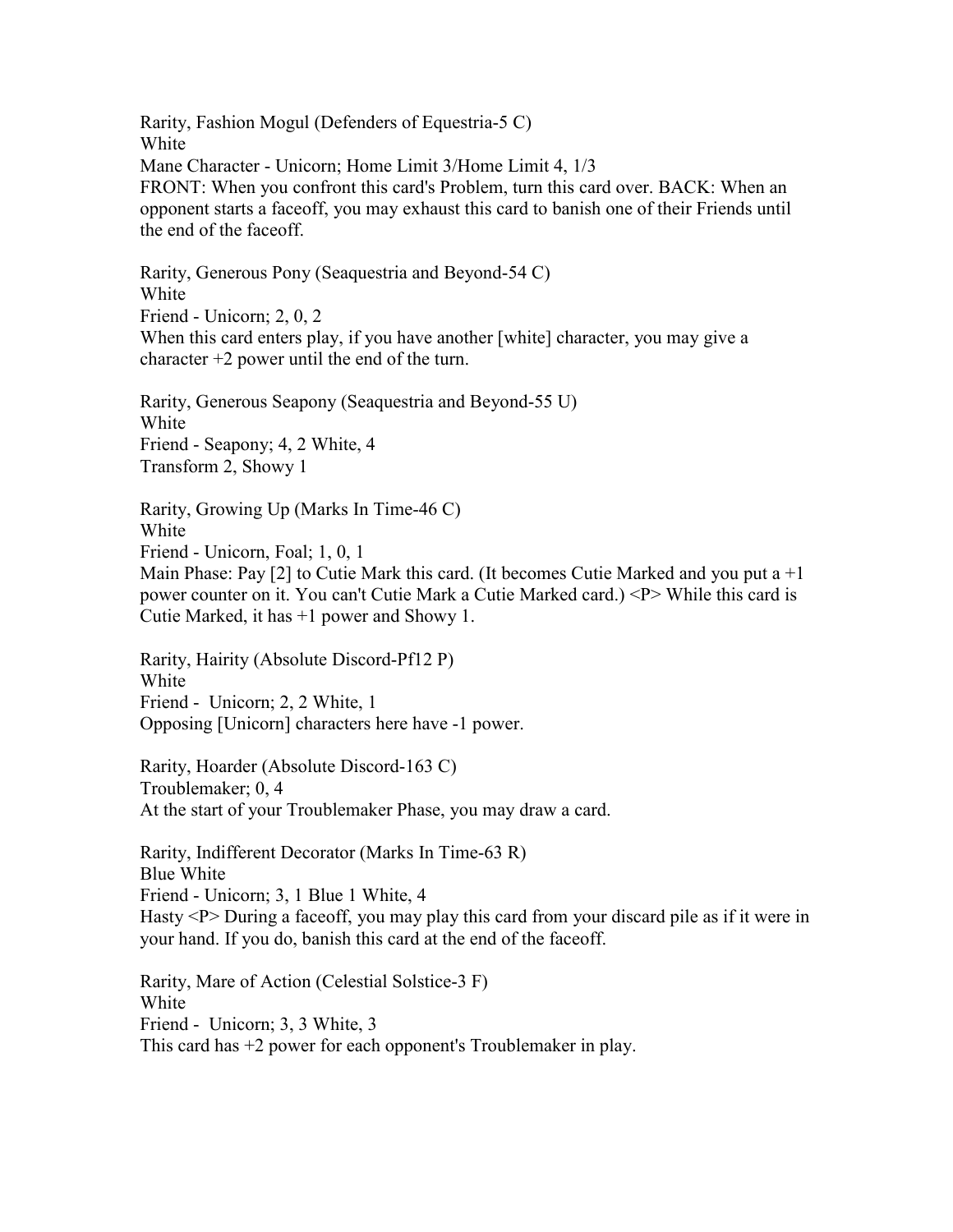Rarity, Fashion Mogul (Defenders of Equestria-5 C) White Mane Character - Unicorn; Home Limit 3/Home Limit 4, 1/3 FRONT: When you confront this card's Problem, turn this card over. BACK: When an opponent starts a faceoff, you may exhaust this card to banish one of their Friends until the end of the faceoff.

Rarity, Generous Pony (Seaquestria and Beyond-54 C) White Friend - Unicorn; 2, 0, 2 When this card enters play, if you have another [white] character, you may give a character +2 power until the end of the turn.

Rarity, Generous Seapony (Seaquestria and Beyond-55 U) White Friend - Seapony; 4, 2 White, 4 Transform 2, Showy 1

Rarity, Growing Up (Marks In Time-46 C) White Friend - Unicorn, Foal; 1, 0, 1 Main Phase: Pay [2] to Cutie Mark this card. (It becomes Cutie Marked and you put a  $+1$ 

power counter on it. You can't Cutie Mark a Cutie Marked card.) <P> While this card is Cutie Marked, it has +1 power and Showy 1.

Rarity, Hairity (Absolute Discord-Pf12 P) White Friend - Unicorn; 2, 2 White, 1 Opposing [Unicorn] characters here have -1 power.

Rarity, Hoarder (Absolute Discord-163 C) Troublemaker; 0, 4 At the start of your Troublemaker Phase, you may draw a card.

Rarity, Indifferent Decorator (Marks In Time-63 R) Blue White Friend - Unicorn; 3, 1 Blue 1 White, 4 Hasty <P> During a faceoff, you may play this card from your discard pile as if it were in your hand. If you do, banish this card at the end of the faceoff.

Rarity, Mare of Action (Celestial Solstice-3 F) White Friend - Unicorn; 3, 3 White, 3 This card has +2 power for each opponent's Troublemaker in play.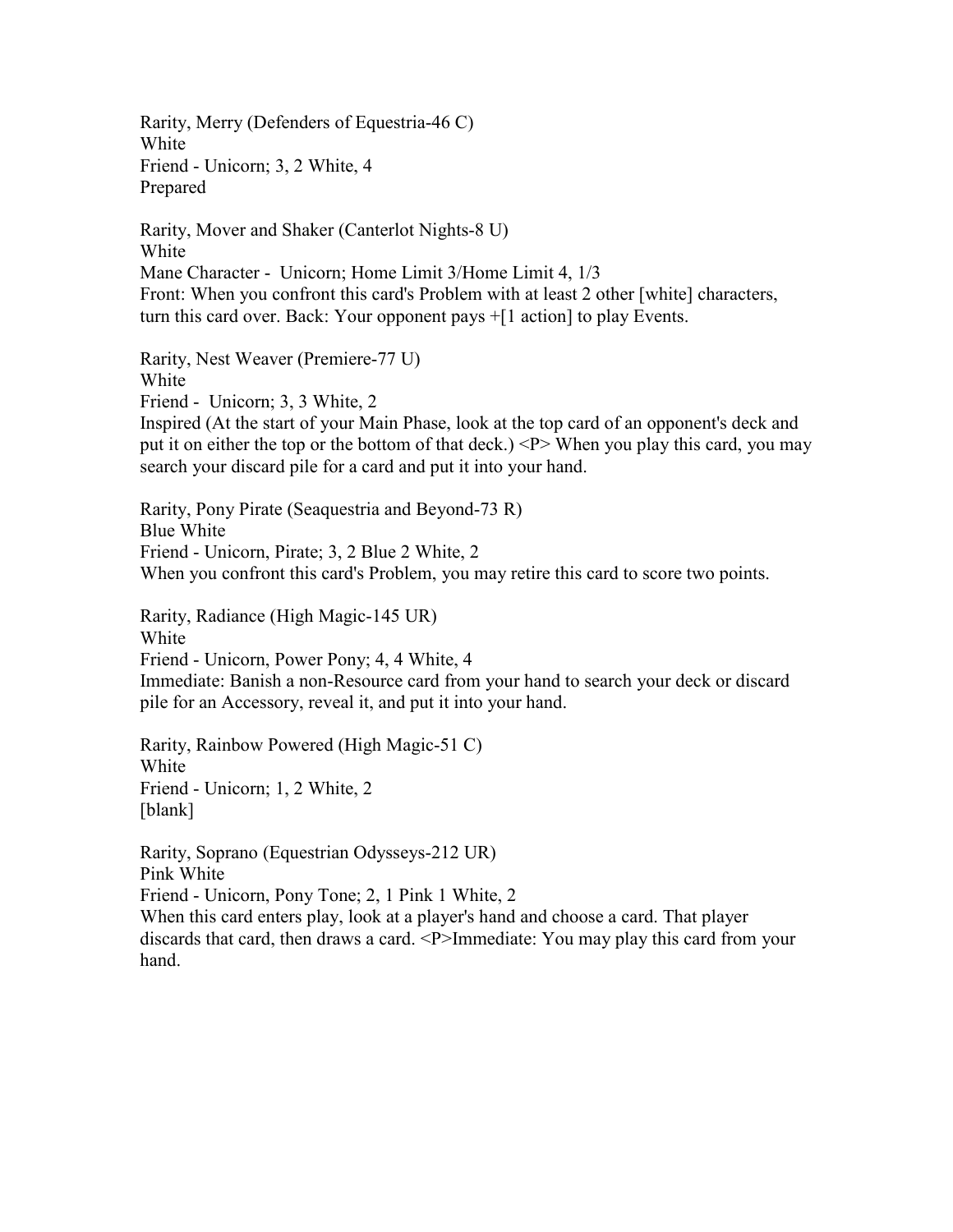Rarity, Merry (Defenders of Equestria-46 C) White Friend - Unicorn; 3, 2 White, 4 Prepared

Rarity, Mover and Shaker (Canterlot Nights-8 U) White Mane Character - Unicorn; Home Limit 3/Home Limit 4, 1/3 Front: When you confront this card's Problem with at least 2 other [white] characters, turn this card over. Back: Your opponent pays +[1 action] to play Events.

Rarity, Nest Weaver (Premiere-77 U) White Friend - Unicorn; 3, 3 White, 2 Inspired (At the start of your Main Phase, look at the top card of an opponent's deck and put it on either the top or the bottom of that deck.) <P> When you play this card, you may search your discard pile for a card and put it into your hand.

Rarity, Pony Pirate (Seaquestria and Beyond-73 R) Blue White Friend - Unicorn, Pirate; 3, 2 Blue 2 White, 2 When you confront this card's Problem, you may retire this card to score two points.

Rarity, Radiance (High Magic-145 UR) White Friend - Unicorn, Power Pony; 4, 4 White, 4 Immediate: Banish a non-Resource card from your hand to search your deck or discard pile for an Accessory, reveal it, and put it into your hand.

Rarity, Rainbow Powered (High Magic-51 C) White Friend - Unicorn; 1, 2 White, 2 [blank]

Rarity, Soprano (Equestrian Odysseys-212 UR) Pink White Friend - Unicorn, Pony Tone; 2, 1 Pink 1 White, 2 When this card enters play, look at a player's hand and choose a card. That player discards that card, then draws a card. <P>Immediate: You may play this card from your hand.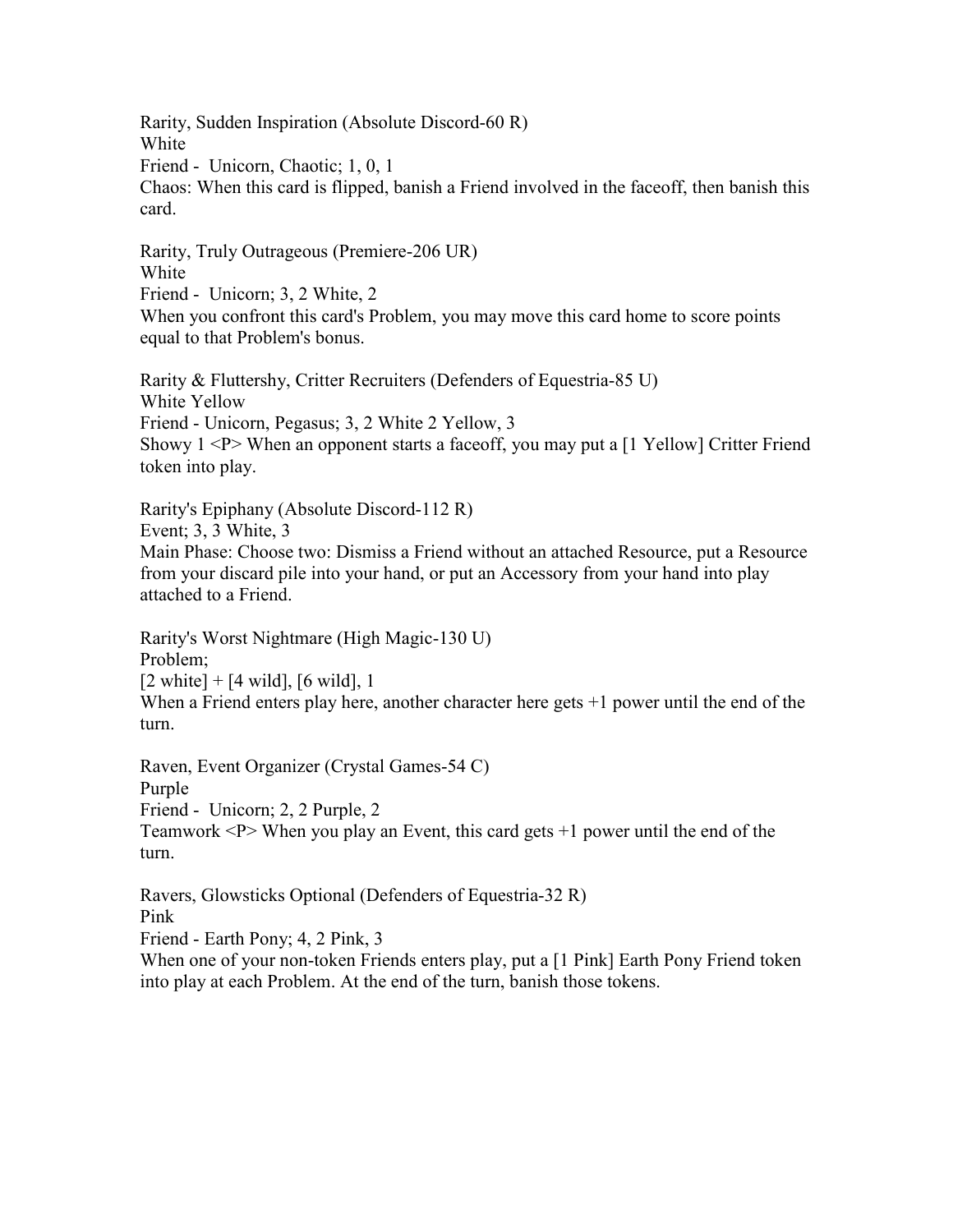Rarity, Sudden Inspiration (Absolute Discord-60 R) White Friend - Unicorn, Chaotic; 1, 0, 1 Chaos: When this card is flipped, banish a Friend involved in the faceoff, then banish this card.

Rarity, Truly Outrageous (Premiere-206 UR) White Friend - Unicorn; 3, 2 White, 2 When you confront this card's Problem, you may move this card home to score points equal to that Problem's bonus.

Rarity & Fluttershy, Critter Recruiters (Defenders of Equestria-85 U) White Yellow Friend - Unicorn, Pegasus; 3, 2 White 2 Yellow, 3 Showy  $1 \le P$  When an opponent starts a faceoff, you may put a [1 Yellow] Critter Friend token into play.

Rarity's Epiphany (Absolute Discord-112 R) Event; 3, 3 White, 3 Main Phase: Choose two: Dismiss a Friend without an attached Resource, put a Resource from your discard pile into your hand, or put an Accessory from your hand into play attached to a Friend.

Rarity's Worst Nightmare (High Magic-130 U) Problem;  $[2 \text{ white}] + [4 \text{ wild}], [6 \text{ wild}], 1$ 

When a Friend enters play here, another character here gets  $+1$  power until the end of the turn.

Raven, Event Organizer (Crystal Games-54 C) Purple Friend - Unicorn; 2, 2 Purple, 2 Teamwork  $\langle P \rangle$  When you play an Event, this card gets  $+1$  power until the end of the turn.

Ravers, Glowsticks Optional (Defenders of Equestria-32 R) Pink Friend - Earth Pony; 4, 2 Pink, 3 When one of your non-token Friends enters play, put a [1 Pink] Earth Pony Friend token

into play at each Problem. At the end of the turn, banish those tokens.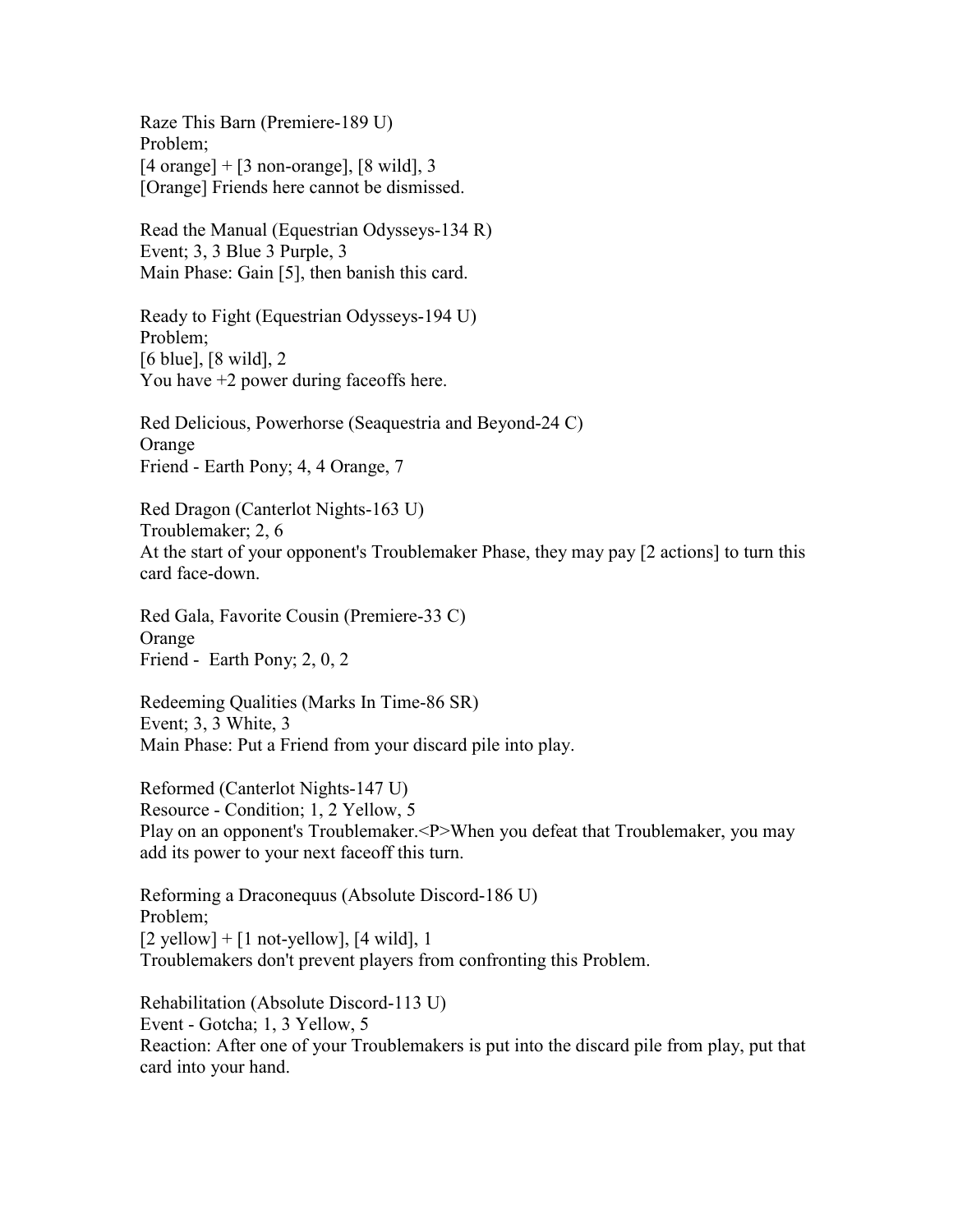Raze This Barn (Premiere-189 U) Problem;  $[4 \text{ orange}] + [3 \text{ non-orange}], [8 \text{ wild}], 3$ [Orange] Friends here cannot be dismissed.

Read the Manual (Equestrian Odysseys-134 R) Event; 3, 3 Blue 3 Purple, 3 Main Phase: Gain [5], then banish this card.

Ready to Fight (Equestrian Odysseys-194 U) Problem; [6 blue], [8 wild], 2 You have  $+2$  power during faceoffs here.

Red Delicious, Powerhorse (Seaquestria and Beyond-24 C) Orange Friend - Earth Pony; 4, 4 Orange, 7

Red Dragon (Canterlot Nights-163 U) Troublemaker; 2, 6 At the start of your opponent's Troublemaker Phase, they may pay [2 actions] to turn this card face-down.

Red Gala, Favorite Cousin (Premiere-33 C) Orange Friend - Earth Pony; 2, 0, 2

Redeeming Qualities (Marks In Time-86 SR) Event; 3, 3 White, 3 Main Phase: Put a Friend from your discard pile into play.

Reformed (Canterlot Nights-147 U) Resource - Condition; 1, 2 Yellow, 5 Play on an opponent's Troublemaker.<P>When you defeat that Troublemaker, you may add its power to your next faceoff this turn.

Reforming a Draconequus (Absolute Discord-186 U) Problem;  $[2$  yellow] +  $[1$  not-yellow],  $[4$  wild], 1 Troublemakers don't prevent players from confronting this Problem.

Rehabilitation (Absolute Discord-113 U) Event - Gotcha; 1, 3 Yellow, 5 Reaction: After one of your Troublemakers is put into the discard pile from play, put that card into your hand.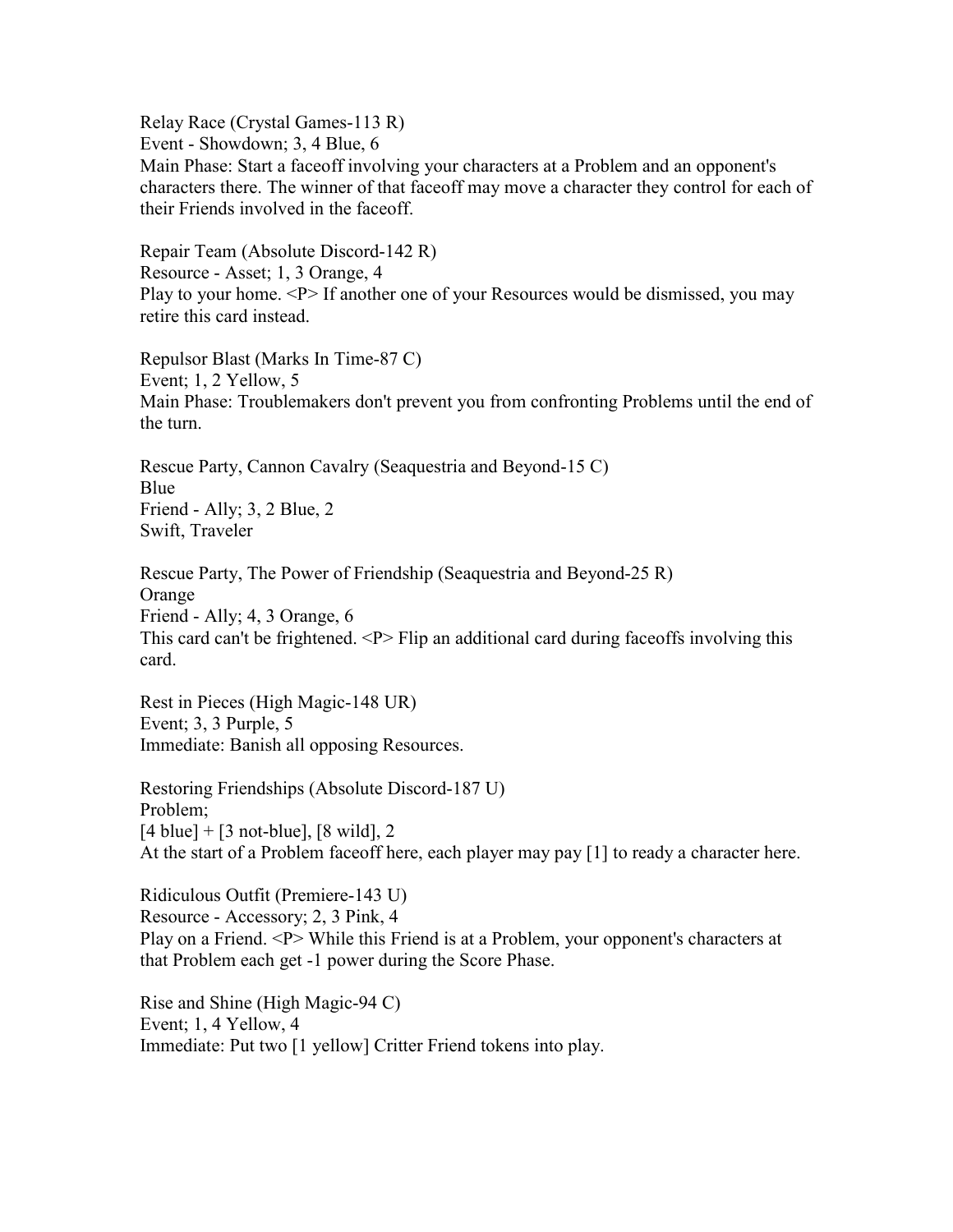Relay Race (Crystal Games-113 R) Event - Showdown; 3, 4 Blue, 6 Main Phase: Start a faceoff involving your characters at a Problem and an opponent's characters there. The winner of that faceoff may move a character they control for each of their Friends involved in the faceoff.

Repair Team (Absolute Discord-142 R) Resource - Asset; 1, 3 Orange, 4 Play to your home. <P> If another one of your Resources would be dismissed, you may retire this card instead.

Repulsor Blast (Marks In Time-87 C) Event; 1, 2 Yellow, 5 Main Phase: Troublemakers don't prevent you from confronting Problems until the end of the turn.

Rescue Party, Cannon Cavalry (Seaquestria and Beyond-15 C) Blue Friend - Ally; 3, 2 Blue, 2 Swift, Traveler

Rescue Party, The Power of Friendship (Seaquestria and Beyond-25 R) Orange Friend - Ally; 4, 3 Orange, 6 This card can't be frightened. <P> Flip an additional card during faceoffs involving this card.

Rest in Pieces (High Magic-148 UR) Event; 3, 3 Purple, 5 Immediate: Banish all opposing Resources.

Restoring Friendships (Absolute Discord-187 U) Problem;  $[4 \text{ blue}] + [3 \text{ not-blue}], [8 \text{ wild}], 2$ At the start of a Problem faceoff here, each player may pay [1] to ready a character here.

Ridiculous Outfit (Premiere-143 U) Resource - Accessory; 2, 3 Pink, 4 Play on a Friend. <P> While this Friend is at a Problem, your opponent's characters at that Problem each get -1 power during the Score Phase.

Rise and Shine (High Magic-94 C) Event; 1, 4 Yellow, 4 Immediate: Put two [1 yellow] Critter Friend tokens into play.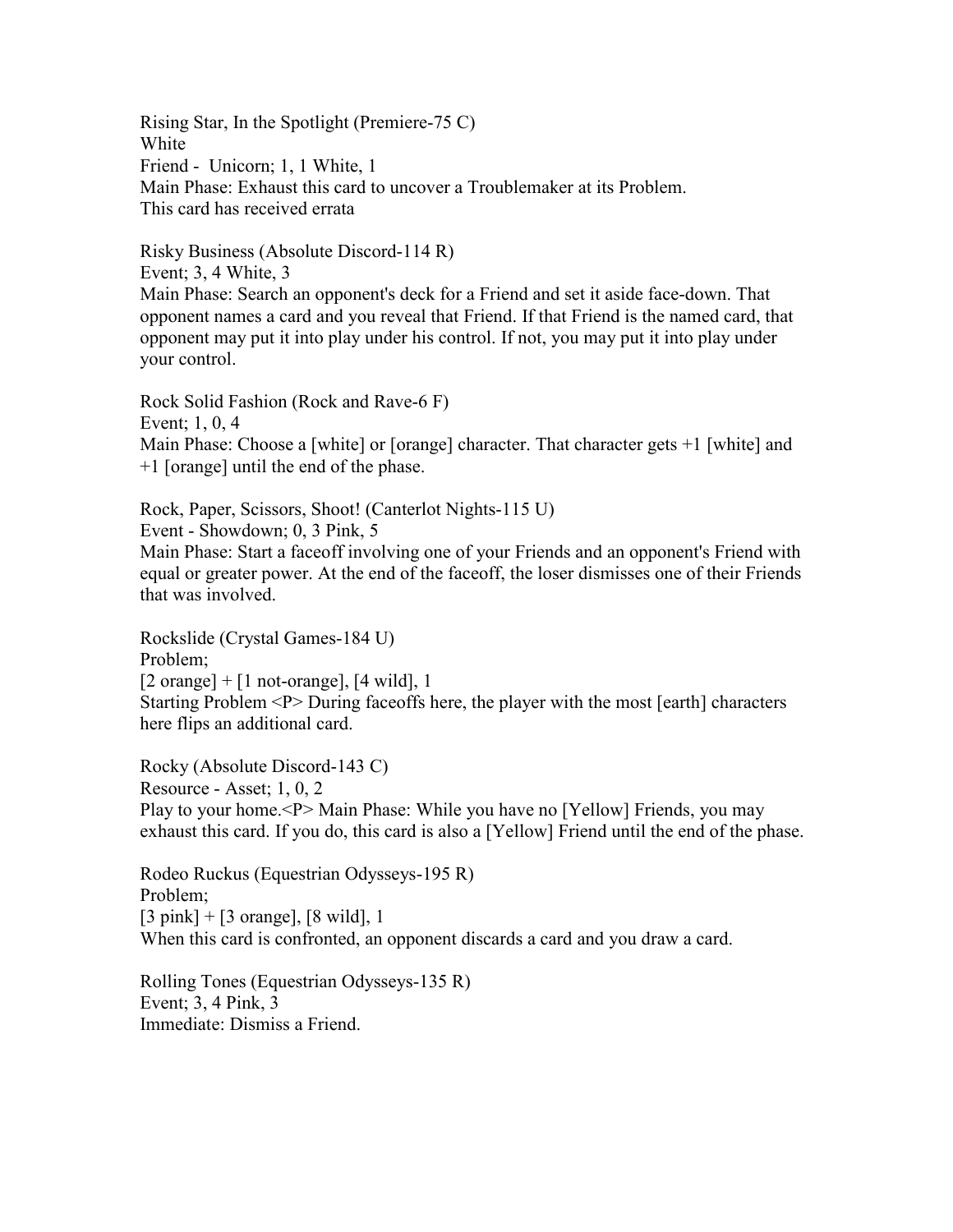Rising Star, In the Spotlight (Premiere-75 C) White Friend - Unicorn; 1, 1 White, 1 Main Phase: Exhaust this card to uncover a Troublemaker at its Problem. This card has received errata

Risky Business (Absolute Discord-114 R) Event; 3, 4 White, 3 Main Phase: Search an opponent's deck for a Friend and set it aside face-down. That opponent names a card and you reveal that Friend. If that Friend is the named card, that opponent may put it into play under his control. If not, you may put it into play under your control.

Rock Solid Fashion (Rock and Rave-6 F) Event; 1, 0, 4 Main Phase: Choose a [white] or [orange] character. That character gets +1 [white] and +1 [orange] until the end of the phase.

Rock, Paper, Scissors, Shoot! (Canterlot Nights-115 U) Event - Showdown; 0, 3 Pink, 5 Main Phase: Start a faceoff involving one of your Friends and an opponent's Friend with equal or greater power. At the end of the faceoff, the loser dismisses one of their Friends that was involved.

Rockslide (Crystal Games-184 U) Problem;  $[2 \text{ orange}] + [1 \text{ not-orange}], [4 \text{ wild}], 1$ Starting Problem <P> During faceoffs here, the player with the most [earth] characters here flips an additional card.

Rocky (Absolute Discord-143 C) Resource - Asset; 1, 0, 2 Play to your home.<P> Main Phase: While you have no [Yellow] Friends, you may exhaust this card. If you do, this card is also a [Yellow] Friend until the end of the phase.

Rodeo Ruckus (Equestrian Odysseys-195 R) Problem;  $[3 \text{ pink}] + [3 \text{ orange}], [8 \text{ wild}], 1$ When this card is confronted, an opponent discards a card and you draw a card.

Rolling Tones (Equestrian Odysseys-135 R) Event; 3, 4 Pink, 3 Immediate: Dismiss a Friend.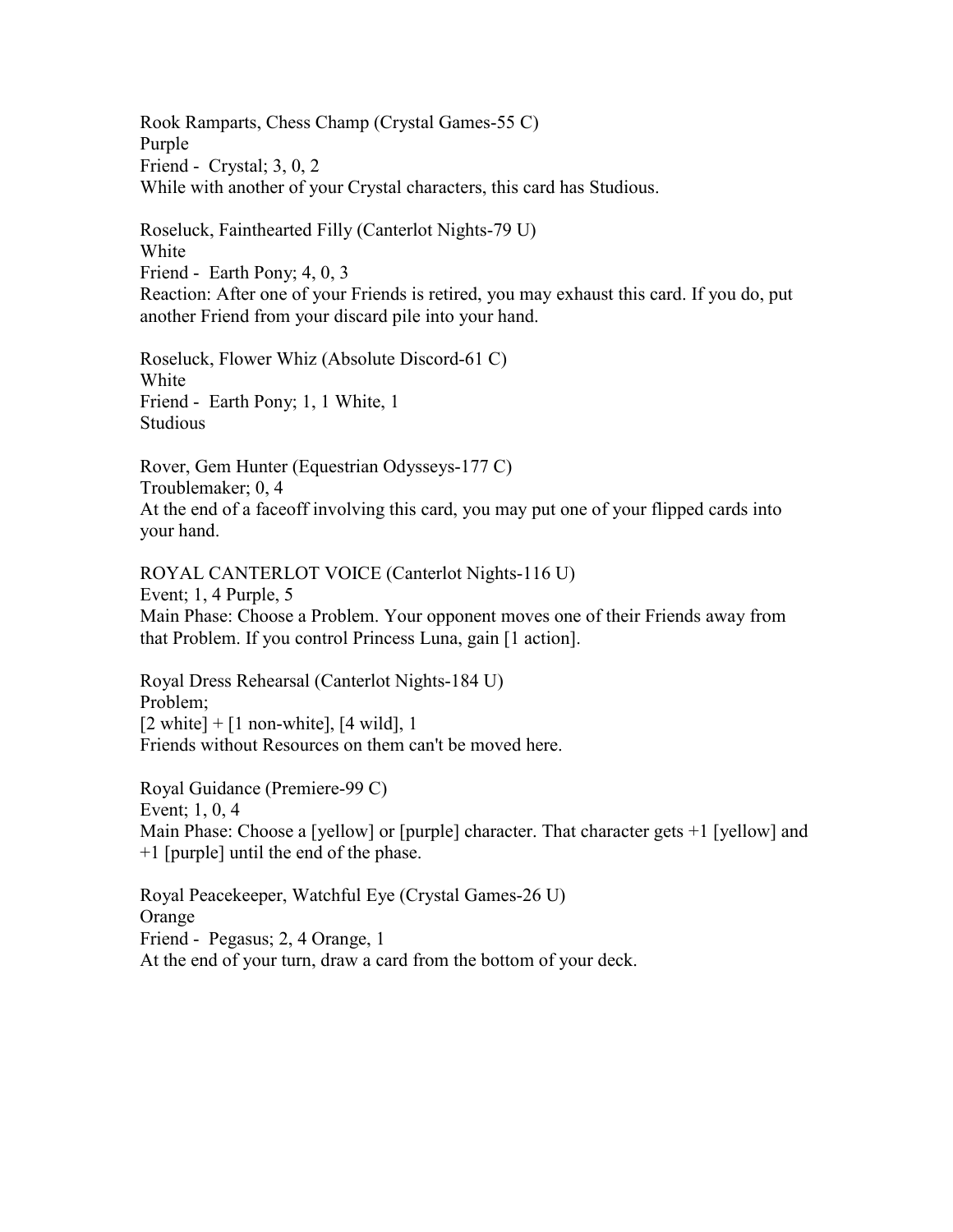Rook Ramparts, Chess Champ (Crystal Games-55 C) Purple Friend - Crystal; 3, 0, 2 While with another of your Crystal characters, this card has Studious.

Roseluck, Fainthearted Filly (Canterlot Nights-79 U) White Friend - Earth Pony; 4, 0, 3 Reaction: After one of your Friends is retired, you may exhaust this card. If you do, put another Friend from your discard pile into your hand.

Roseluck, Flower Whiz (Absolute Discord-61 C) White Friend - Earth Pony; 1, 1 White, 1 Studious

Rover, Gem Hunter (Equestrian Odysseys-177 C) Troublemaker; 0, 4 At the end of a faceoff involving this card, you may put one of your flipped cards into your hand.

ROYAL CANTERLOT VOICE (Canterlot Nights-116 U) Event; 1, 4 Purple, 5 Main Phase: Choose a Problem. Your opponent moves one of their Friends away from that Problem. If you control Princess Luna, gain [1 action].

Royal Dress Rehearsal (Canterlot Nights-184 U) Problem;  $[2 \text{ white}] + [1 \text{ non-white}], [4 \text{ wild}], 1$ Friends without Resources on them can't be moved here.

Royal Guidance (Premiere-99 C) Event; 1, 0, 4 Main Phase: Choose a [yellow] or [purple] character. That character gets +1 [yellow] and +1 [purple] until the end of the phase.

Royal Peacekeeper, Watchful Eye (Crystal Games-26 U) Orange Friend - Pegasus; 2, 4 Orange, 1 At the end of your turn, draw a card from the bottom of your deck.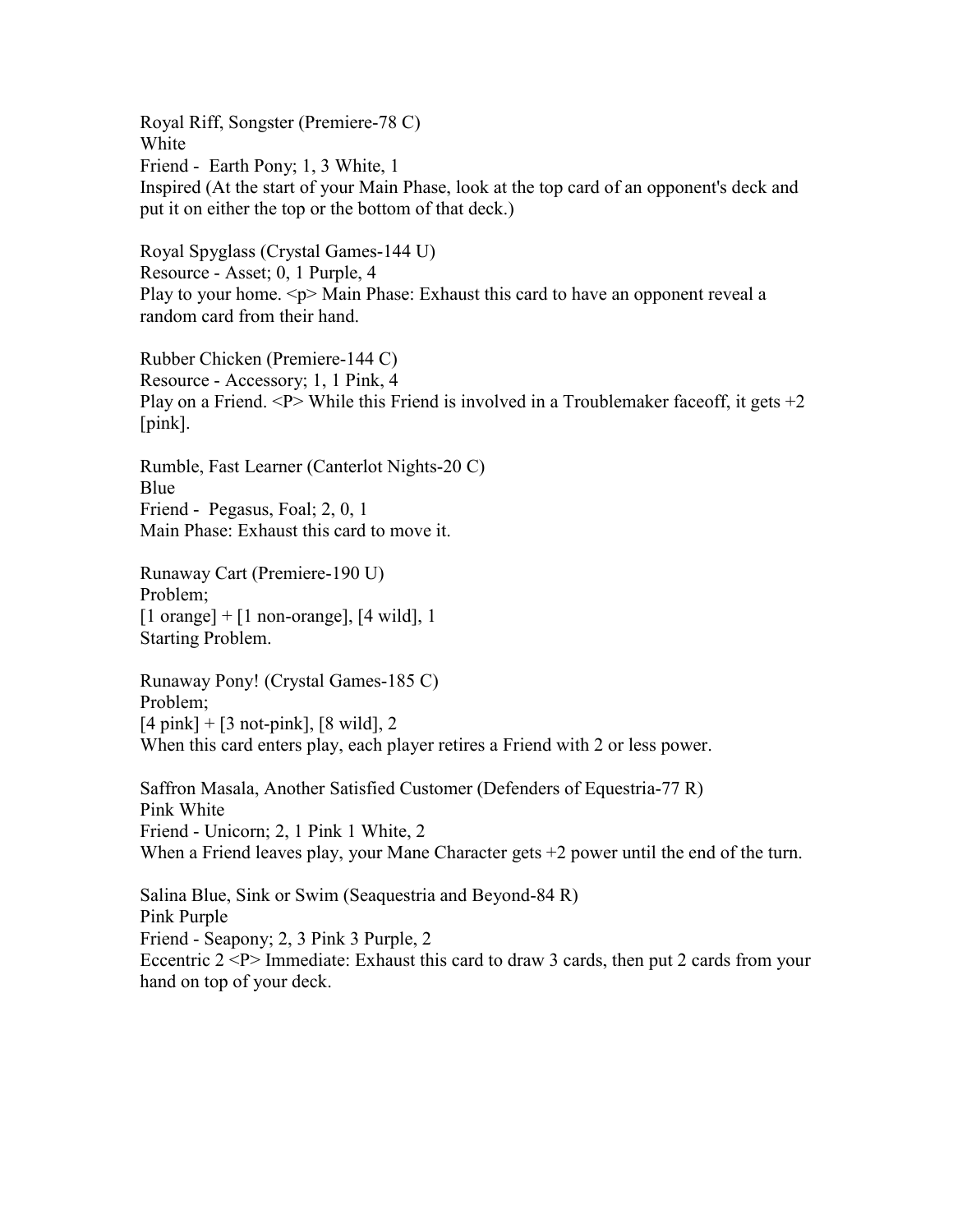Royal Riff, Songster (Premiere-78 C) White Friend - Earth Pony; 1, 3 White, 1 Inspired (At the start of your Main Phase, look at the top card of an opponent's deck and put it on either the top or the bottom of that deck.)

Royal Spyglass (Crystal Games-144 U) Resource - Asset; 0, 1 Purple, 4 Play to your home.  $\langle p \rangle$  Main Phase: Exhaust this card to have an opponent reveal a random card from their hand.

Rubber Chicken (Premiere-144 C) Resource - Accessory; 1, 1 Pink, 4 Play on a Friend.  $\langle P \rangle$  While this Friend is involved in a Troublemaker faceoff, it gets  $+2$ [pink].

Rumble, Fast Learner (Canterlot Nights-20 C) Blue Friend - Pegasus, Foal; 2, 0, 1 Main Phase: Exhaust this card to move it.

Runaway Cart (Premiere-190 U) Problem;  $[1 \text{ orange}] + [1 \text{ non-orange}], [4 \text{ wild}], 1$ Starting Problem.

Runaway Pony! (Crystal Games-185 C) Problem;  $[4 \text{ pink}] + [3 \text{ not-pink}], [8 \text{ wild}], 2$ When this card enters play, each player retires a Friend with 2 or less power.

Saffron Masala, Another Satisfied Customer (Defenders of Equestria-77 R) Pink White Friend - Unicorn; 2, 1 Pink 1 White, 2 When a Friend leaves play, your Mane Character gets  $+2$  power until the end of the turn.

Salina Blue, Sink or Swim (Seaquestria and Beyond-84 R) Pink Purple Friend - Seapony; 2, 3 Pink 3 Purple, 2 Eccentric  $2 < P$  Immediate: Exhaust this card to draw 3 cards, then put 2 cards from your hand on top of your deck.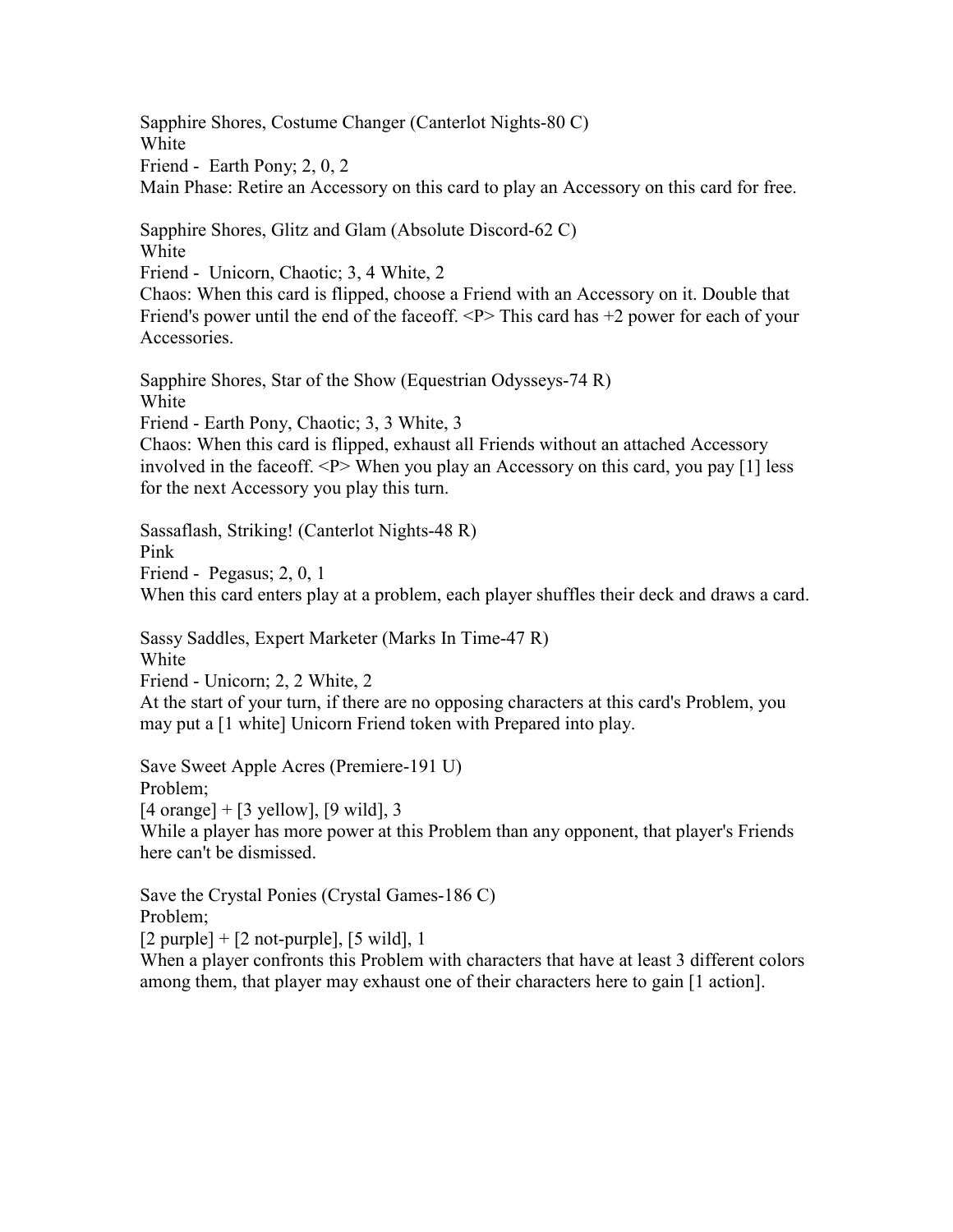Sapphire Shores, Costume Changer (Canterlot Nights-80 C) White Friend - Earth Pony; 2, 0, 2 Main Phase: Retire an Accessory on this card to play an Accessory on this card for free.

Sapphire Shores, Glitz and Glam (Absolute Discord-62 C) White

Friend - Unicorn, Chaotic; 3, 4 White, 2

Chaos: When this card is flipped, choose a Friend with an Accessory on it. Double that Friend's power until the end of the faceoff.  $\langle P \rangle$  This card has  $+2$  power for each of your Accessories.

Sapphire Shores, Star of the Show (Equestrian Odysseys-74 R) White Friend - Earth Pony, Chaotic; 3, 3 White, 3 Chaos: When this card is flipped, exhaust all Friends without an attached Accessory

involved in the faceoff. <P> When you play an Accessory on this card, you pay [1] less for the next Accessory you play this turn.

Sassaflash, Striking! (Canterlot Nights-48 R) Pink Friend - Pegasus; 2, 0, 1 When this card enters play at a problem, each player shuffles their deck and draws a card.

Sassy Saddles, Expert Marketer (Marks In Time-47 R) White

Friend - Unicorn; 2, 2 White, 2

At the start of your turn, if there are no opposing characters at this card's Problem, you may put a [1 white] Unicorn Friend token with Prepared into play.

Save Sweet Apple Acres (Premiere-191 U)

Problem;

 $[4 \text{ orange}] + [3 \text{ yellow}], [9 \text{ wild}], 3$ 

While a player has more power at this Problem than any opponent, that player's Friends here can't be dismissed.

Save the Crystal Ponies (Crystal Games-186 C) Problem;

 $[2$  purple] +  $[2$  not-purple],  $[5 \text{ wild}]$ , 1

When a player confronts this Problem with characters that have at least 3 different colors among them, that player may exhaust one of their characters here to gain [1 action].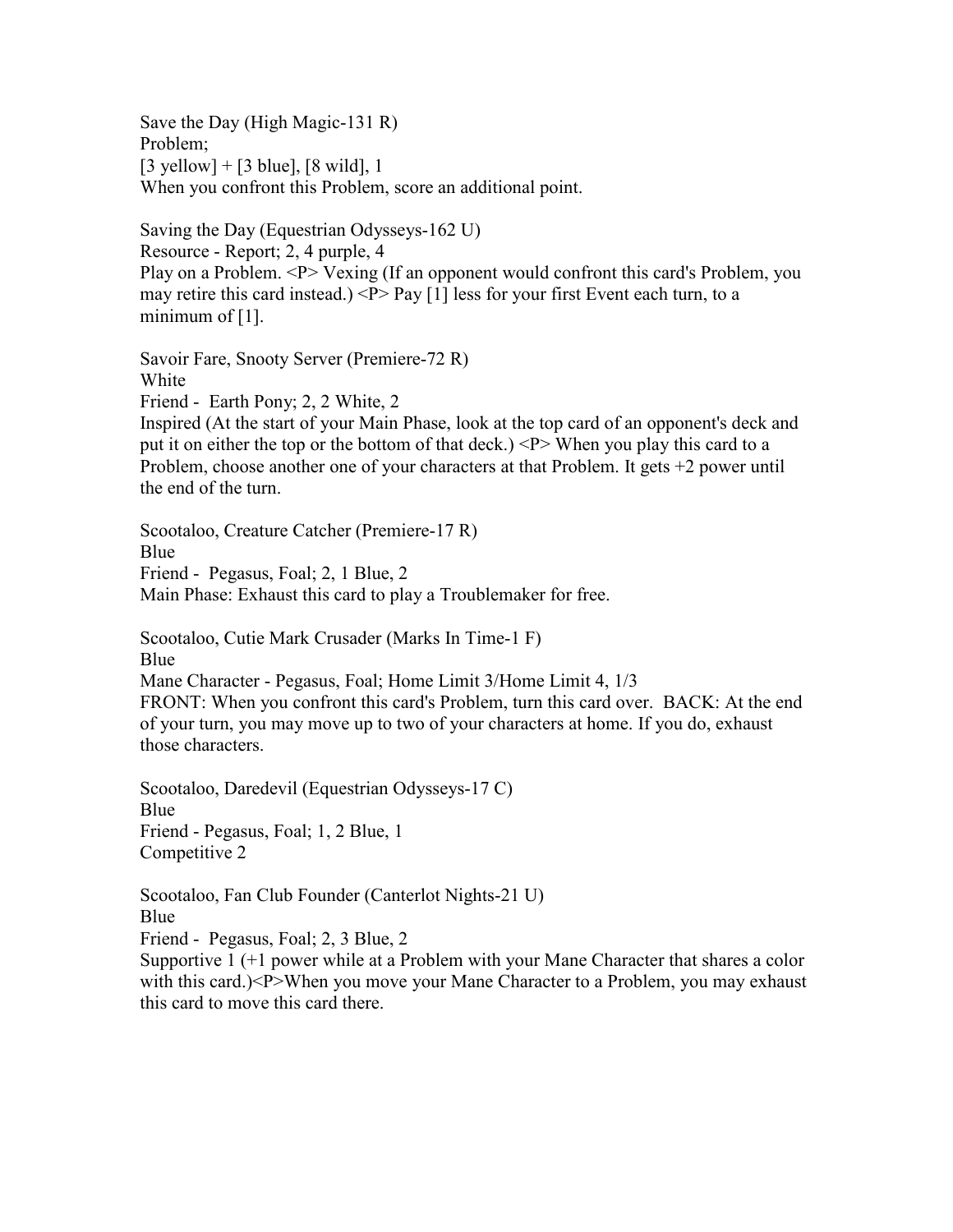Save the Day (High Magic-131 R) Problem;  $[3 \text{ yellow}] + [3 \text{ blue}], [8 \text{ wild}], 1$ When you confront this Problem, score an additional point.

Saving the Day (Equestrian Odysseys-162 U) Resource - Report; 2, 4 purple, 4 Play on a Problem. <P> Vexing (If an opponent would confront this card's Problem, you may retire this card instead.)  $\langle P \rangle$  Pay [1] less for your first Event each turn, to a minimum of  $[1]$ .

Savoir Fare, Snooty Server (Premiere-72 R) White Friend - Earth Pony; 2, 2 White, 2 Inspired (At the start of your Main Phase, look at the top card of an opponent's deck and put it on either the top or the bottom of that deck.) <P> When you play this card to a Problem, choose another one of your characters at that Problem. It gets +2 power until the end of the turn.

Scootaloo, Creature Catcher (Premiere-17 R) Blue Friend - Pegasus, Foal; 2, 1 Blue, 2 Main Phase: Exhaust this card to play a Troublemaker for free.

Scootaloo, Cutie Mark Crusader (Marks In Time-1 F) **Blue** Mane Character - Pegasus, Foal; Home Limit 3/Home Limit 4, 1/3 FRONT: When you confront this card's Problem, turn this card over. BACK: At the end of your turn, you may move up to two of your characters at home. If you do, exhaust those characters.

Scootaloo, Daredevil (Equestrian Odysseys-17 C) Blue Friend - Pegasus, Foal; 1, 2 Blue, 1 Competitive 2

Scootaloo, Fan Club Founder (Canterlot Nights-21 U) Blue

Friend - Pegasus, Foal; 2, 3 Blue, 2

Supportive 1 (+1 power while at a Problem with your Mane Character that shares a color with this card.)<P>When you move your Mane Character to a Problem, you may exhaust this card to move this card there.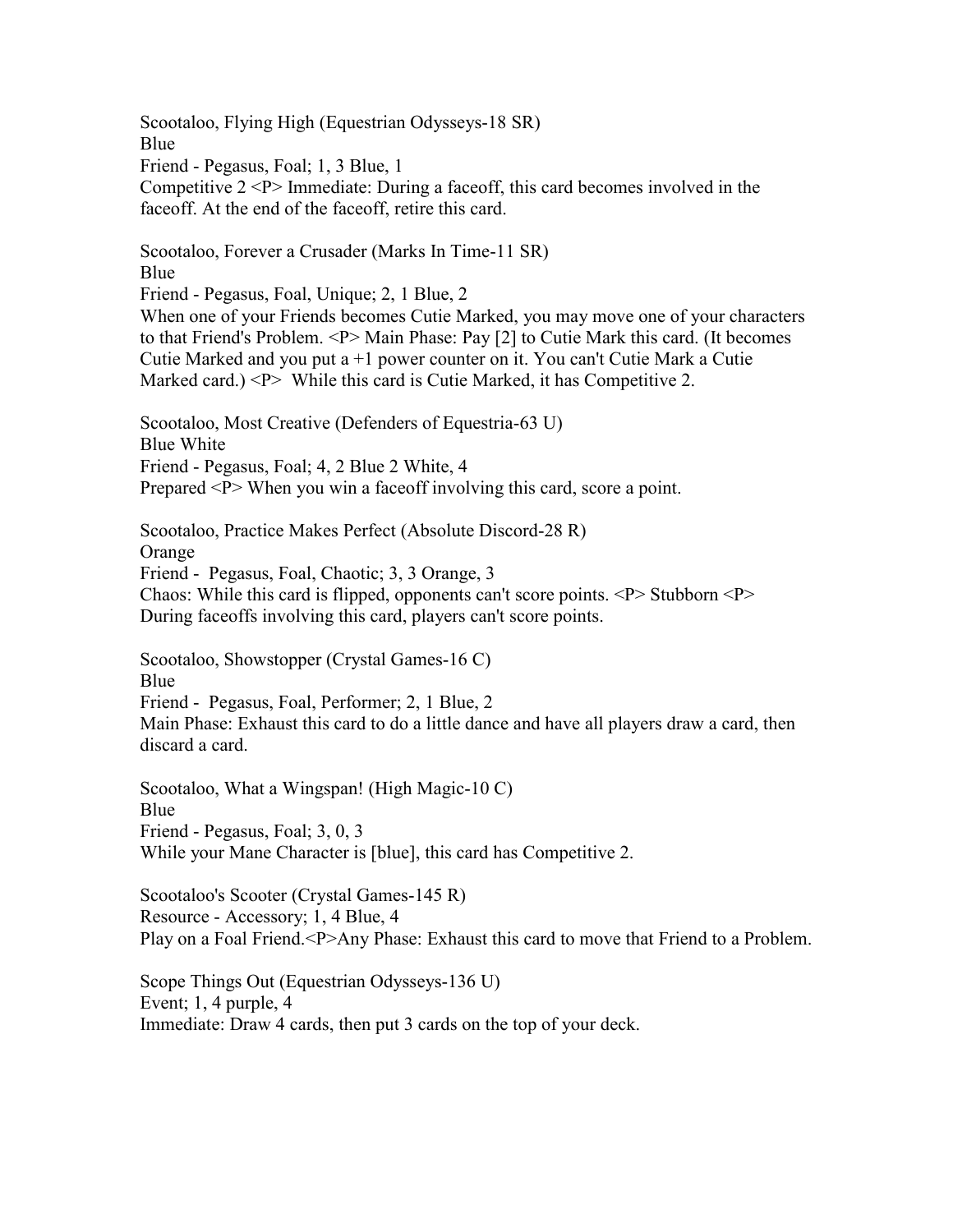Scootaloo, Flying High (Equestrian Odysseys-18 SR) Blue Friend - Pegasus, Foal; 1, 3 Blue, 1 Competitive 2 <P> Immediate: During a faceoff, this card becomes involved in the faceoff. At the end of the faceoff, retire this card. Scootaloo, Forever a Crusader (Marks In Time-11 SR) Blue Friend - Pegasus, Foal, Unique; 2, 1 Blue, 2 When one of your Friends becomes Cutie Marked, you may move one of your characters to that Friend's Problem. <P> Main Phase: Pay [2] to Cutie Mark this card. (It becomes Cutie Marked and you put a  $+1$  power counter on it. You can't Cutie Mark a Cutie Marked card.)  $\langle P \rangle$  While this card is Cutie Marked, it has Competitive 2. Scootaloo, Most Creative (Defenders of Equestria-63 U) Blue White Friend - Pegasus, Foal; 4, 2 Blue 2 White, 4 Prepared <P> When you win a faceoff involving this card, score a point. Scootaloo, Practice Makes Perfect (Absolute Discord-28 R) Orange Friend - Pegasus, Foal, Chaotic; 3, 3 Orange, 3 Chaos: While this card is flipped, opponents can't score points.  $\langle P \rangle$  Stubborn  $\langle P \rangle$ During faceoffs involving this card, players can't score points. Scootaloo, Showstopper (Crystal Games-16 C) Blue Friend - Pegasus, Foal, Performer; 2, 1 Blue, 2 Main Phase: Exhaust this card to do a little dance and have all players draw a card, then discard a card. Scootaloo, What a Wingspan! (High Magic-10 C) Blue Friend - Pegasus, Foal; 3, 0, 3 While your Mane Character is [blue], this card has Competitive 2. Scootaloo's Scooter (Crystal Games-145 R) Resource - Accessory; 1, 4 Blue, 4 Play on a Foal Friend.<P>Any Phase: Exhaust this card to move that Friend to a Problem. Scope Things Out (Equestrian Odysseys-136 U) Event; 1, 4 purple, 4

Immediate: Draw 4 cards, then put 3 cards on the top of your deck.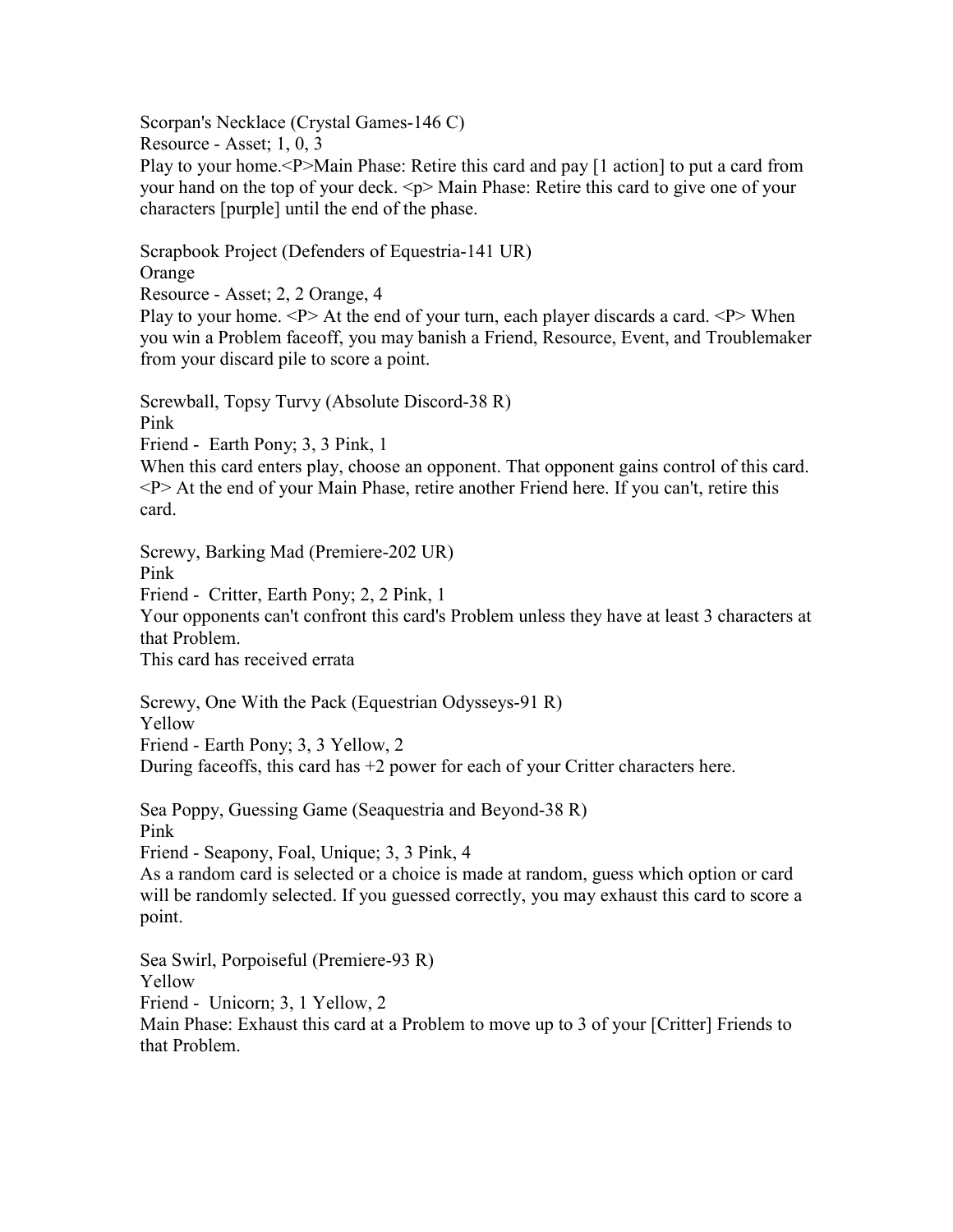Scorpan's Necklace (Crystal Games-146 C)

Resource - Asset; 1, 0, 3

Play to your home.<P>Main Phase: Retire this card and pay [1 action] to put a card from your hand on the top of your deck. <p> Main Phase: Retire this card to give one of your characters [purple] until the end of the phase.

Scrapbook Project (Defenders of Equestria-141 UR) Orange

Resource - Asset; 2, 2 Orange, 4

Play to your home.  $\langle P \rangle$  At the end of your turn, each player discards a card.  $\langle P \rangle$  When you win a Problem faceoff, you may banish a Friend, Resource, Event, and Troublemaker from your discard pile to score a point.

Screwball, Topsy Turvy (Absolute Discord-38 R) Pink

Friend - Earth Pony; 3, 3 Pink, 1

When this card enters play, choose an opponent. That opponent gains control of this card. <P> At the end of your Main Phase, retire another Friend here. If you can't, retire this card.

Screwy, Barking Mad (Premiere-202 UR)

Pink

Friend - Critter, Earth Pony; 2, 2 Pink, 1

Your opponents can't confront this card's Problem unless they have at least 3 characters at that Problem.

This card has received errata

Screwy, One With the Pack (Equestrian Odysseys-91 R) Yellow Friend - Earth Pony; 3, 3 Yellow, 2 During faceoffs, this card has  $+2$  power for each of your Critter characters here.

Sea Poppy, Guessing Game (Seaquestria and Beyond-38 R) Pink Friend - Seapony, Foal, Unique; 3, 3 Pink, 4

As a random card is selected or a choice is made at random, guess which option or card will be randomly selected. If you guessed correctly, you may exhaust this card to score a point.

Sea Swirl, Porpoiseful (Premiere-93 R) Yellow Friend - Unicorn; 3, 1 Yellow, 2 Main Phase: Exhaust this card at a Problem to move up to 3 of your [Critter] Friends to that Problem.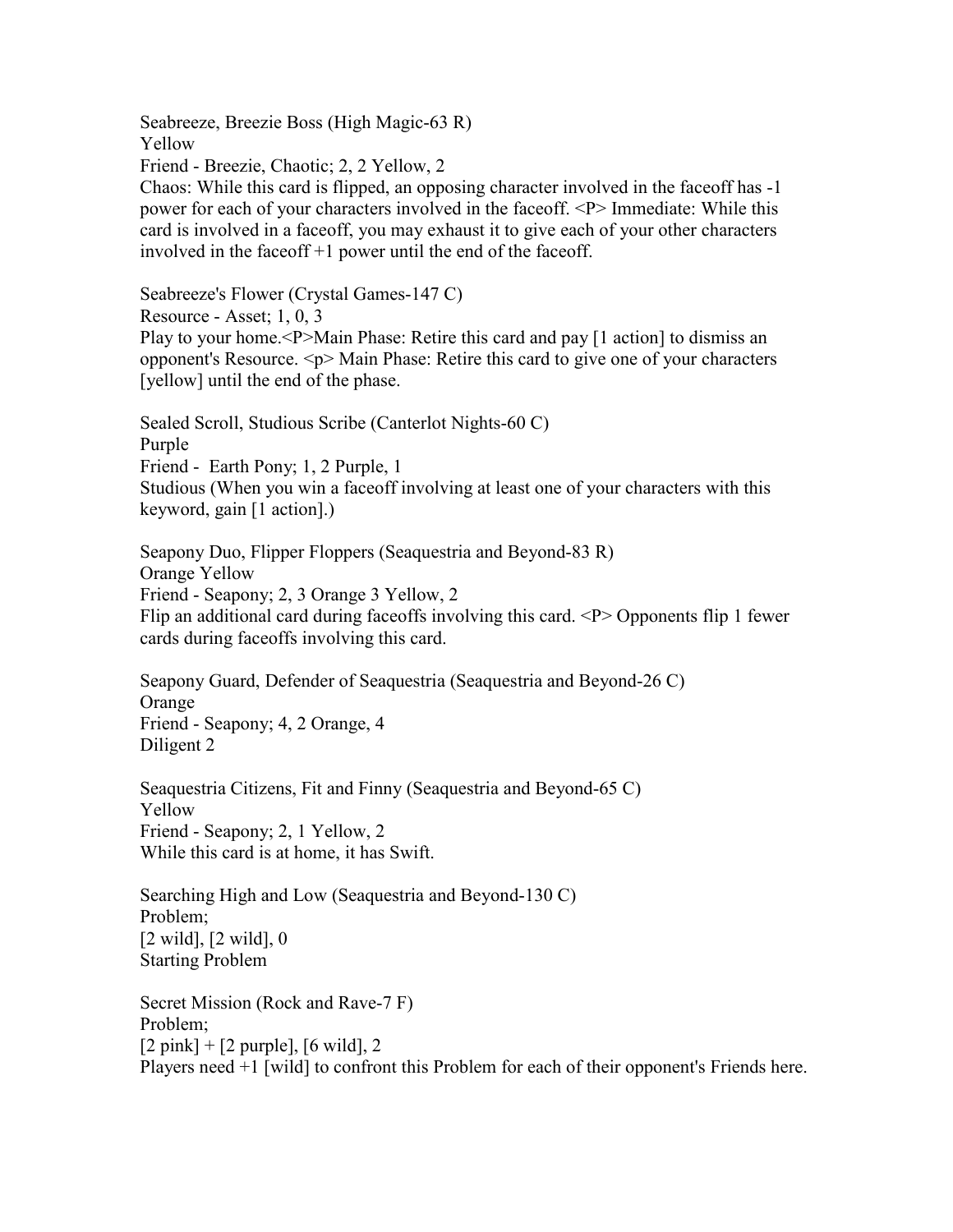Seabreeze, Breezie Boss (High Magic-63 R) Yellow

Friend - Breezie, Chaotic; 2, 2 Yellow, 2

Chaos: While this card is flipped, an opposing character involved in the faceoff has -1 power for each of your characters involved in the faceoff. <P> Immediate: While this card is involved in a faceoff, you may exhaust it to give each of your other characters involved in the faceoff +1 power until the end of the faceoff.

Seabreeze's Flower (Crystal Games-147 C)

Resource - Asset; 1, 0, 3

Play to your home.<P>Main Phase: Retire this card and pay [1 action] to dismiss an opponent's Resource. <p> Main Phase: Retire this card to give one of your characters [yellow] until the end of the phase.

Sealed Scroll, Studious Scribe (Canterlot Nights-60 C) Purple Friend - Earth Pony; 1, 2 Purple, 1 Studious (When you win a faceoff involving at least one of your characters with this keyword, gain [1 action].)

Seapony Duo, Flipper Floppers (Seaquestria and Beyond-83 R) Orange Yellow Friend - Seapony; 2, 3 Orange 3 Yellow, 2 Flip an additional card during faceoffs involving this card.  $\langle P \rangle$  Opponents flip 1 fewer cards during faceoffs involving this card.

Seapony Guard, Defender of Seaquestria (Seaquestria and Beyond-26 C) Orange Friend - Seapony; 4, 2 Orange, 4 Diligent 2

Seaquestria Citizens, Fit and Finny (Seaquestria and Beyond-65 C) Yellow Friend - Seapony; 2, 1 Yellow, 2 While this card is at home, it has Swift.

Searching High and Low (Seaquestria and Beyond-130 C) Problem;  $[2 \text{ wild}], [2 \text{ wild}], 0$ Starting Problem

Secret Mission (Rock and Rave-7 F) Problem;  $[2 \text{ pink}] + [2 \text{ purple}], [6 \text{ wild}], 2$ Players need +1 [wild] to confront this Problem for each of their opponent's Friends here.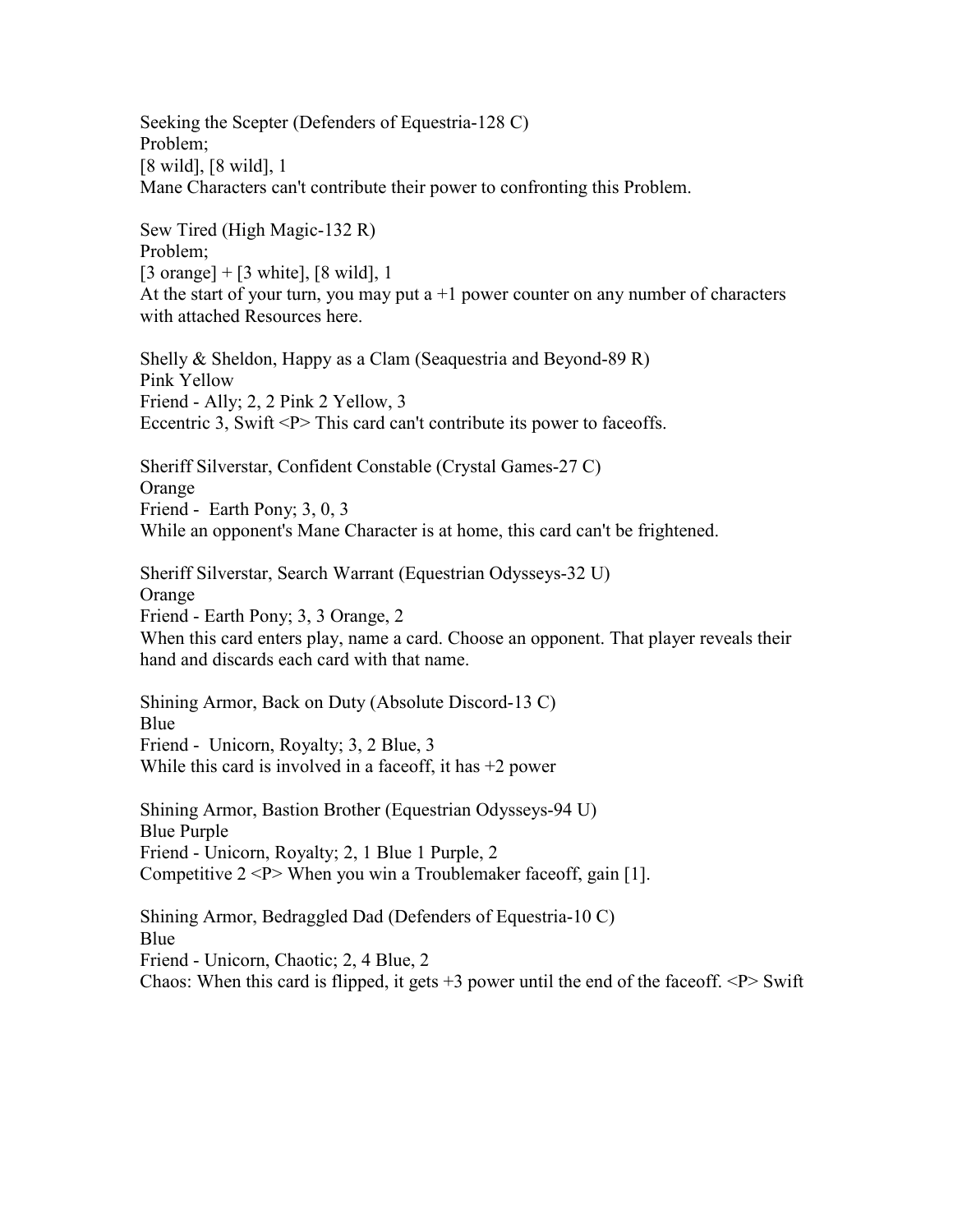Seeking the Scepter (Defenders of Equestria-128 C) Problem; [8 wild], [8 wild], 1 Mane Characters can't contribute their power to confronting this Problem.

Sew Tired (High Magic-132 R) Problem; [3 orange]  $+$  [3 white], [8 wild], 1 At the start of your turn, you may put  $a+1$  power counter on any number of characters with attached Resources here.

Shelly & Sheldon, Happy as a Clam (Seaquestria and Beyond-89 R) Pink Yellow Friend - Ally; 2, 2 Pink 2 Yellow, 3 Eccentric 3, Swift <P> This card can't contribute its power to faceoffs.

Sheriff Silverstar, Confident Constable (Crystal Games-27 C) Orange Friend - Earth Pony; 3, 0, 3 While an opponent's Mane Character is at home, this card can't be frightened.

Sheriff Silverstar, Search Warrant (Equestrian Odysseys-32 U) Orange Friend - Earth Pony; 3, 3 Orange, 2 When this card enters play, name a card. Choose an opponent. That player reveals their hand and discards each card with that name.

Shining Armor, Back on Duty (Absolute Discord-13 C) Blue Friend - Unicorn, Royalty; 3, 2 Blue, 3 While this card is involved in a faceoff, it has  $+2$  power

Shining Armor, Bastion Brother (Equestrian Odysseys-94 U) Blue Purple Friend - Unicorn, Royalty; 2, 1 Blue 1 Purple, 2 Competitive  $2 < P$  When you win a Troublemaker faceoff, gain [1].

Shining Armor, Bedraggled Dad (Defenders of Equestria-10 C) Blue Friend - Unicorn, Chaotic; 2, 4 Blue, 2 Chaos: When this card is flipped, it gets  $+3$  power until the end of the faceoff.  $\langle P \rangle$  Swift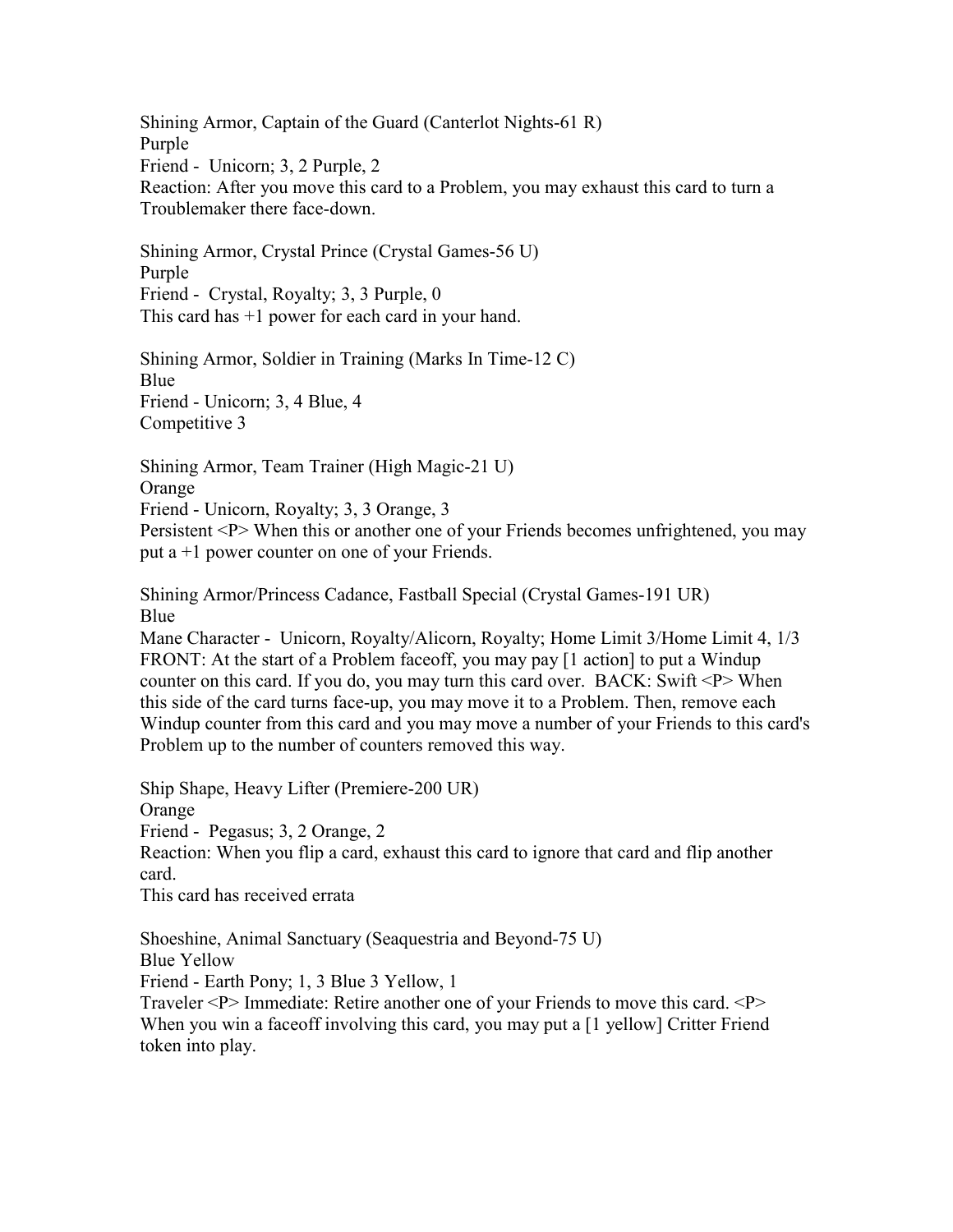Shining Armor, Captain of the Guard (Canterlot Nights-61 R) Purple Friend - Unicorn; 3, 2 Purple, 2 Reaction: After you move this card to a Problem, you may exhaust this card to turn a Troublemaker there face-down.

Shining Armor, Crystal Prince (Crystal Games-56 U) Purple Friend - Crystal, Royalty; 3, 3 Purple, 0 This card has +1 power for each card in your hand.

Shining Armor, Soldier in Training (Marks In Time-12 C) Blue Friend - Unicorn; 3, 4 Blue, 4 Competitive 3

Shining Armor, Team Trainer (High Magic-21 U) Orange Friend - Unicorn, Royalty; 3, 3 Orange, 3

Persistent <P> When this or another one of your Friends becomes unfrightened, you may put a +1 power counter on one of your Friends.

Shining Armor/Princess Cadance, Fastball Special (Crystal Games-191 UR) Blue

Mane Character - Unicorn, Royalty/Alicorn, Royalty; Home Limit 3/Home Limit 4, 1/3 FRONT: At the start of a Problem faceoff, you may pay [1 action] to put a Windup counter on this card. If you do, you may turn this card over. BACK: Swift <P> When this side of the card turns face-up, you may move it to a Problem. Then, remove each Windup counter from this card and you may move a number of your Friends to this card's Problem up to the number of counters removed this way.

Ship Shape, Heavy Lifter (Premiere-200 UR) Orange Friend - Pegasus; 3, 2 Orange, 2 Reaction: When you flip a card, exhaust this card to ignore that card and flip another card. This card has received errata

Shoeshine, Animal Sanctuary (Seaquestria and Beyond-75 U) Blue Yellow

Friend - Earth Pony; 1, 3 Blue 3 Yellow, 1

Traveler <P> Immediate: Retire another one of your Friends to move this card. <P> When you win a faceoff involving this card, you may put a [1 yellow] Critter Friend token into play.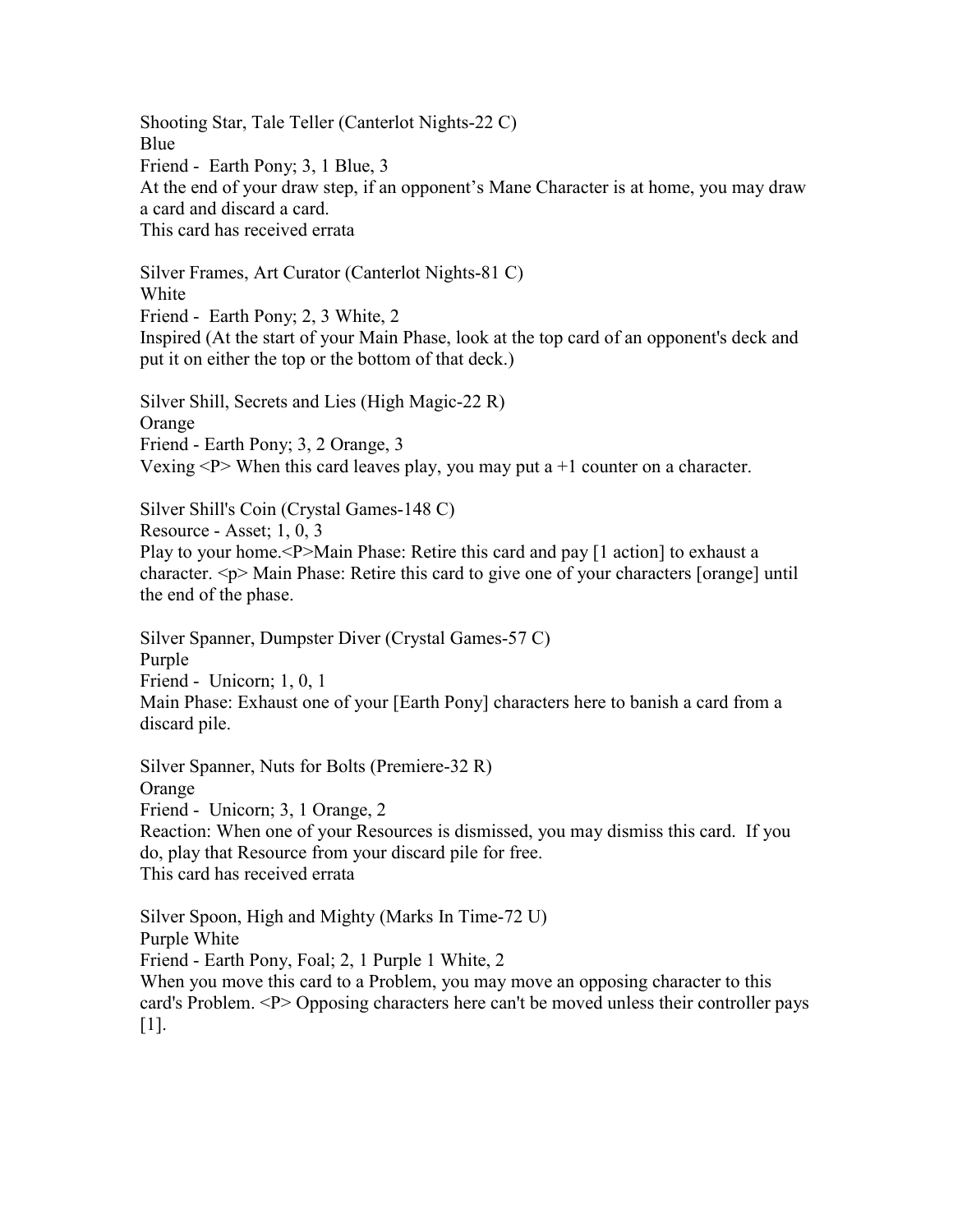Shooting Star, Tale Teller (Canterlot Nights-22 C) Blue Friend - Earth Pony; 3, 1 Blue, 3 At the end of your draw step, if an opponent's Mane Character is at home, you may draw a card and discard a card. This card has received errata

Silver Frames, Art Curator (Canterlot Nights-81 C) White Friend - Earth Pony; 2, 3 White, 2 Inspired (At the start of your Main Phase, look at the top card of an opponent's deck and put it on either the top or the bottom of that deck.)

Silver Shill, Secrets and Lies (High Magic-22 R) **Orange** Friend - Earth Pony; 3, 2 Orange, 3 Vexing  $\langle P \rangle$  When this card leaves play, you may put a +1 counter on a character.

Silver Shill's Coin (Crystal Games-148 C) Resource - Asset; 1, 0, 3 Play to your home.<P>Main Phase: Retire this card and pay [1 action] to exhaust a character. <p> Main Phase: Retire this card to give one of your characters [orange] until the end of the phase.

Silver Spanner, Dumpster Diver (Crystal Games-57 C) Purple Friend - Unicorn; 1, 0, 1 Main Phase: Exhaust one of your [Earth Pony] characters here to banish a card from a discard pile.

Silver Spanner, Nuts for Bolts (Premiere-32 R) Orange Friend - Unicorn; 3, 1 Orange, 2 Reaction: When one of your Resources is dismissed, you may dismiss this card. If you do, play that Resource from your discard pile for free. This card has received errata

Silver Spoon, High and Mighty (Marks In Time-72 U) Purple White Friend - Earth Pony, Foal; 2, 1 Purple 1 White, 2 When you move this card to a Problem, you may move an opposing character to this card's Problem. <P> Opposing characters here can't be moved unless their controller pays [1].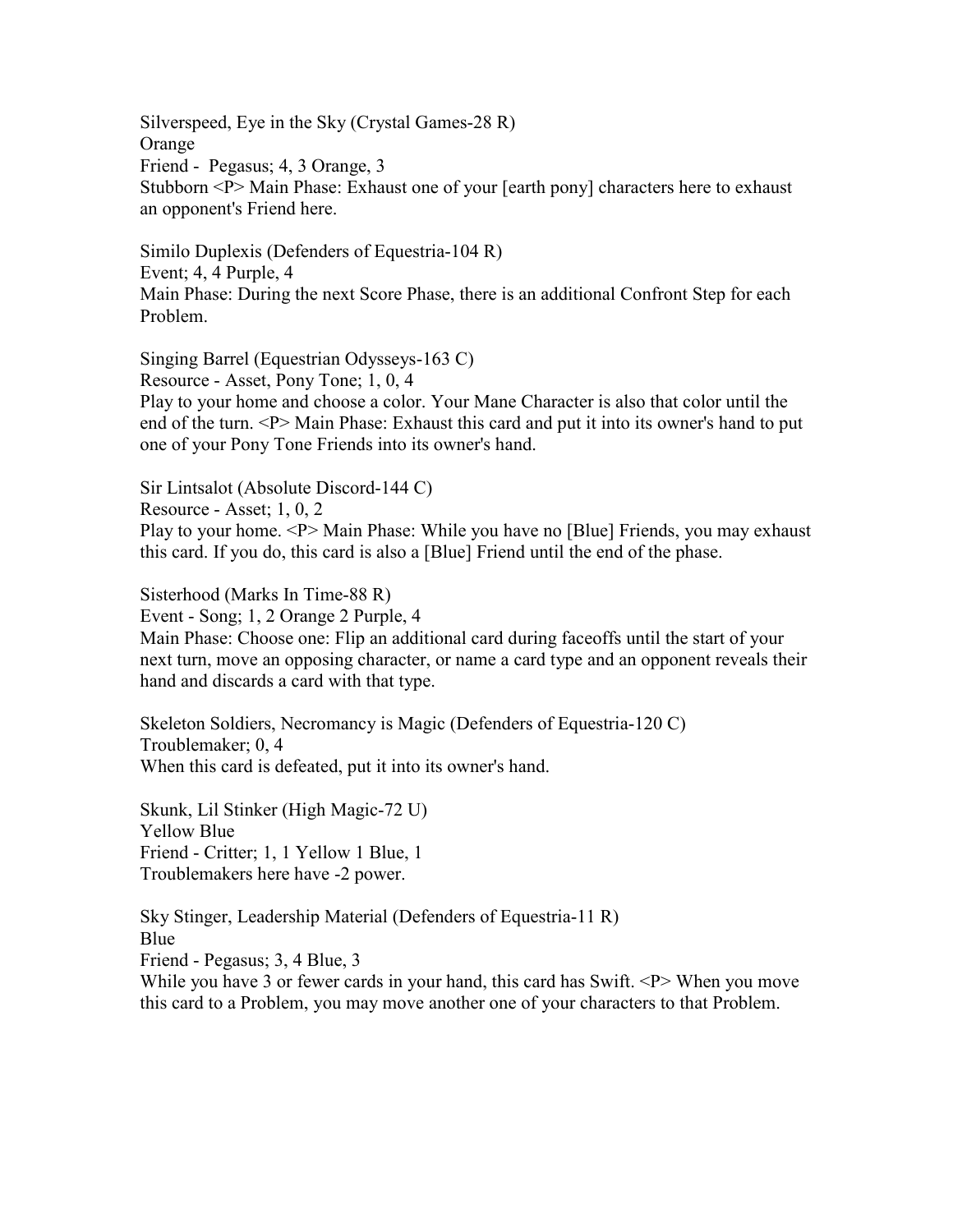Silverspeed, Eye in the Sky (Crystal Games-28 R) Orange Friend - Pegasus; 4, 3 Orange, 3 Stubborn <P> Main Phase: Exhaust one of your [earth pony] characters here to exhaust an opponent's Friend here.

Similo Duplexis (Defenders of Equestria-104 R) Event; 4, 4 Purple, 4 Main Phase: During the next Score Phase, there is an additional Confront Step for each Problem.

Singing Barrel (Equestrian Odysseys-163 C) Resource - Asset, Pony Tone; 1, 0, 4 Play to your home and choose a color. Your Mane Character is also that color until the end of the turn. <P> Main Phase: Exhaust this card and put it into its owner's hand to put one of your Pony Tone Friends into its owner's hand.

Sir Lintsalot (Absolute Discord-144 C)

Resource - Asset; 1, 0, 2

Play to your home. <P> Main Phase: While you have no [Blue] Friends, you may exhaust this card. If you do, this card is also a [Blue] Friend until the end of the phase.

Sisterhood (Marks In Time-88 R)

Event - Song; 1, 2 Orange 2 Purple, 4

Main Phase: Choose one: Flip an additional card during faceoffs until the start of your next turn, move an opposing character, or name a card type and an opponent reveals their hand and discards a card with that type.

Skeleton Soldiers, Necromancy is Magic (Defenders of Equestria-120 C) Troublemaker; 0, 4 When this card is defeated, put it into its owner's hand.

Skunk, Lil Stinker (High Magic-72 U) Yellow Blue Friend - Critter; 1, 1 Yellow 1 Blue, 1 Troublemakers here have -2 power.

Sky Stinger, Leadership Material (Defenders of Equestria-11 R) Blue Friend - Pegasus; 3, 4 Blue, 3 While you have 3 or fewer cards in your hand, this card has Swift. <P> When you move this card to a Problem, you may move another one of your characters to that Problem.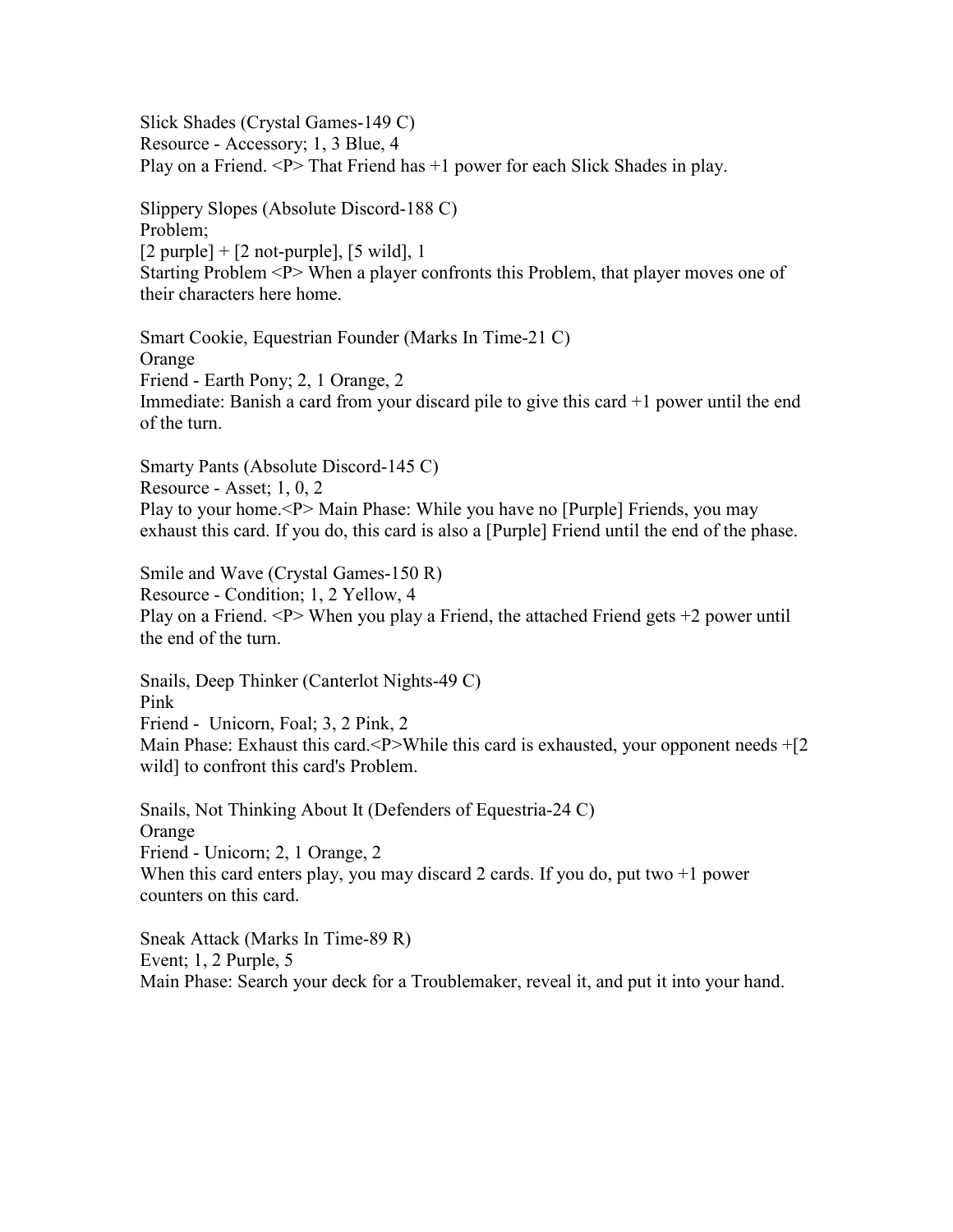Slick Shades (Crystal Games-149 C) Resource - Accessory; 1, 3 Blue, 4 Play on a Friend.  $\langle P \rangle$  That Friend has  $+1$  power for each Slick Shades in play.

Slippery Slopes (Absolute Discord-188 C) Problem;  $[2$  purple] +  $[2$  not-purple],  $[5 \text{ wild}]$ , 1 Starting Problem <P> When a player confronts this Problem, that player moves one of their characters here home.

Smart Cookie, Equestrian Founder (Marks In Time-21 C) Orange Friend - Earth Pony; 2, 1 Orange, 2 Immediate: Banish a card from your discard pile to give this card +1 power until the end of the turn.

Smarty Pants (Absolute Discord-145 C) Resource - Asset; 1, 0, 2 Play to your home.<P> Main Phase: While you have no [Purple] Friends, you may exhaust this card. If you do, this card is also a [Purple] Friend until the end of the phase.

Smile and Wave (Crystal Games-150 R) Resource - Condition; 1, 2 Yellow, 4 Play on a Friend. <P> When you play a Friend, the attached Friend gets +2 power until the end of the turn.

Snails, Deep Thinker (Canterlot Nights-49 C) Pink Friend - Unicorn, Foal; 3, 2 Pink, 2 Main Phase: Exhaust this card.<P>While this card is exhausted, your opponent needs  $+$ [2] wild] to confront this card's Problem.

Snails, Not Thinking About It (Defenders of Equestria-24 C) Orange Friend - Unicorn; 2, 1 Orange, 2 When this card enters play, you may discard 2 cards. If you do, put two  $+1$  power counters on this card.

Sneak Attack (Marks In Time-89 R) Event; 1, 2 Purple, 5 Main Phase: Search your deck for a Troublemaker, reveal it, and put it into your hand.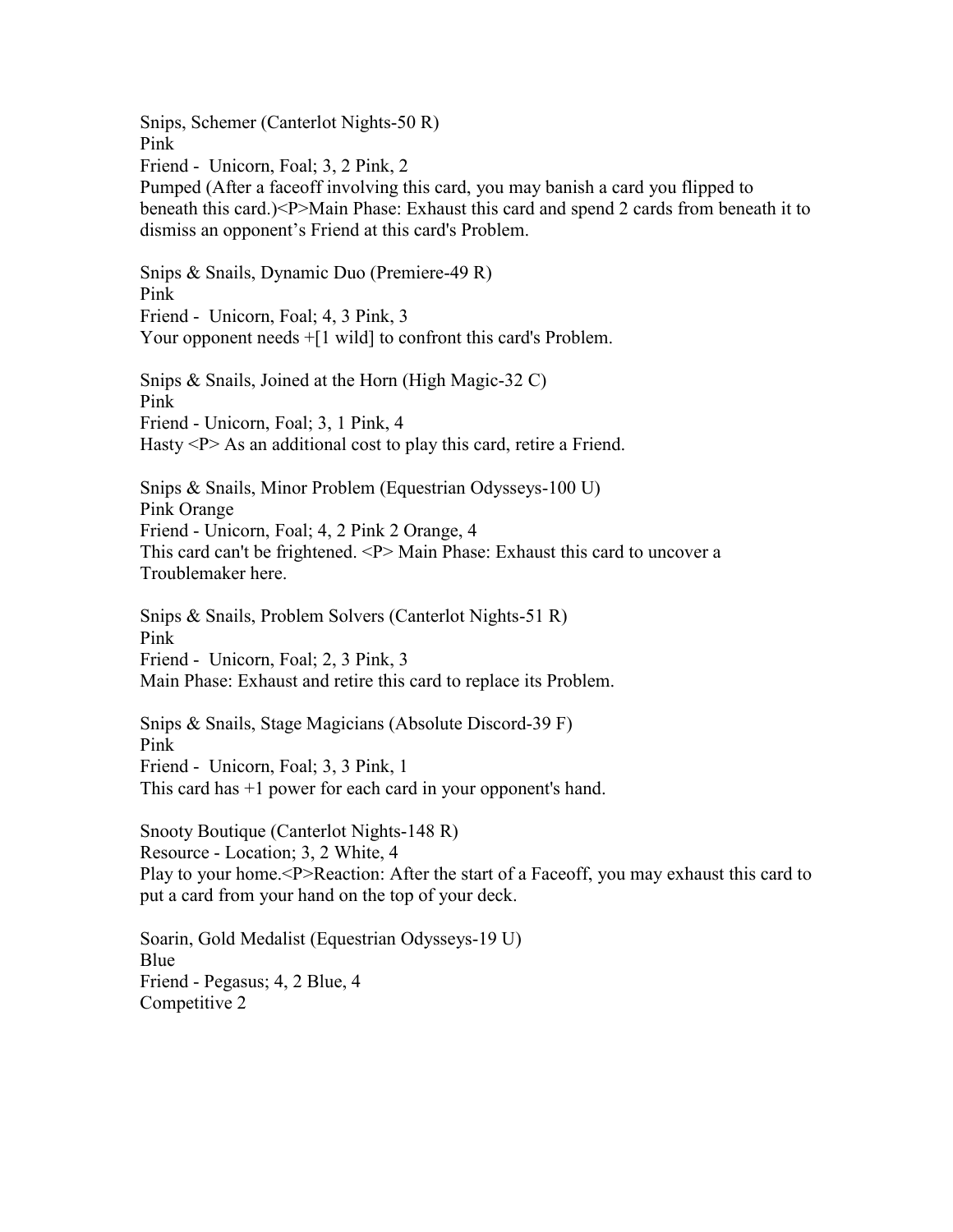Snips, Schemer (Canterlot Nights-50 R) Pink Friend - Unicorn, Foal; 3, 2 Pink, 2 Pumped (After a faceoff involving this card, you may banish a card you flipped to beneath this card.)<P>Main Phase: Exhaust this card and spend 2 cards from beneath it to dismiss an opponent's Friend at this card's Problem. Snips & Snails, Dynamic Duo (Premiere-49 R) Pink Friend - Unicorn, Foal; 4, 3 Pink, 3 Your opponent needs  $+[1 \text{ wild}]$  to confront this card's Problem. Snips & Snails, Joined at the Horn (High Magic-32 C) Pink Friend - Unicorn, Foal; 3, 1 Pink, 4 Hasty  $\langle P \rangle$  As an additional cost to play this card, retire a Friend. Snips & Snails, Minor Problem (Equestrian Odysseys-100 U) Pink Orange Friend - Unicorn, Foal; 4, 2 Pink 2 Orange, 4 This card can't be frightened. <P> Main Phase: Exhaust this card to uncover a Troublemaker here. Snips & Snails, Problem Solvers (Canterlot Nights-51 R) Pink Friend - Unicorn, Foal; 2, 3 Pink, 3 Main Phase: Exhaust and retire this card to replace its Problem. Snips & Snails, Stage Magicians (Absolute Discord-39 F) Pink Friend - Unicorn, Foal; 3, 3 Pink, 1 This card has +1 power for each card in your opponent's hand. Snooty Boutique (Canterlot Nights-148 R) Resource - Location; 3, 2 White, 4 Play to your home.<P>Reaction: After the start of a Faceoff, you may exhaust this card to put a card from your hand on the top of your deck.

Soarin, Gold Medalist (Equestrian Odysseys-19 U) Blue Friend - Pegasus; 4, 2 Blue, 4 Competitive 2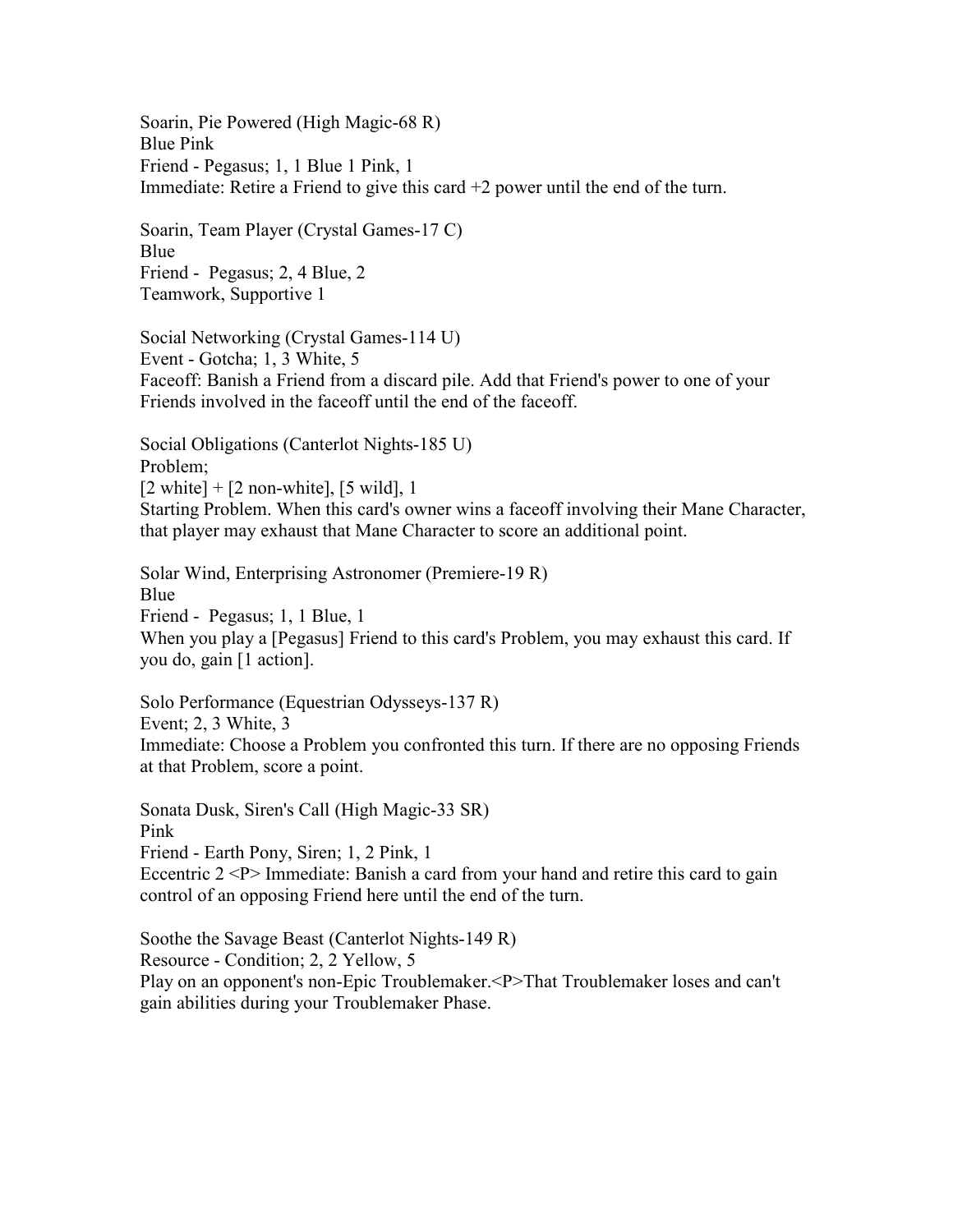Soarin, Pie Powered (High Magic-68 R) Blue Pink Friend - Pegasus; 1, 1 Blue 1 Pink, 1 Immediate: Retire a Friend to give this card +2 power until the end of the turn.

Soarin, Team Player (Crystal Games-17 C) Blue Friend - Pegasus; 2, 4 Blue, 2 Teamwork, Supportive 1

Social Networking (Crystal Games-114 U) Event - Gotcha; 1, 3 White, 5 Faceoff: Banish a Friend from a discard pile. Add that Friend's power to one of your Friends involved in the faceoff until the end of the faceoff.

Social Obligations (Canterlot Nights-185 U) Problem;  $[2 \text{ white}] + [2 \text{ non-white}], [5 \text{ wild}], 1$ Starting Problem. When this card's owner wins a faceoff involving their Mane Character, that player may exhaust that Mane Character to score an additional point.

Solar Wind, Enterprising Astronomer (Premiere-19 R) Blue Friend - Pegasus; 1, 1 Blue, 1 When you play a [Pegasus] Friend to this card's Problem, you may exhaust this card. If you do, gain [1 action].

Solo Performance (Equestrian Odysseys-137 R) Event; 2, 3 White, 3 Immediate: Choose a Problem you confronted this turn. If there are no opposing Friends at that Problem, score a point.

Sonata Dusk, Siren's Call (High Magic-33 SR) Pink Friend - Earth Pony, Siren; 1, 2 Pink, 1 Eccentric  $2 < P$  Immediate: Banish a card from your hand and retire this card to gain control of an opposing Friend here until the end of the turn.

Soothe the Savage Beast (Canterlot Nights-149 R) Resource - Condition; 2, 2 Yellow, 5 Play on an opponent's non-Epic Troublemaker.<P>That Troublemaker loses and can't gain abilities during your Troublemaker Phase.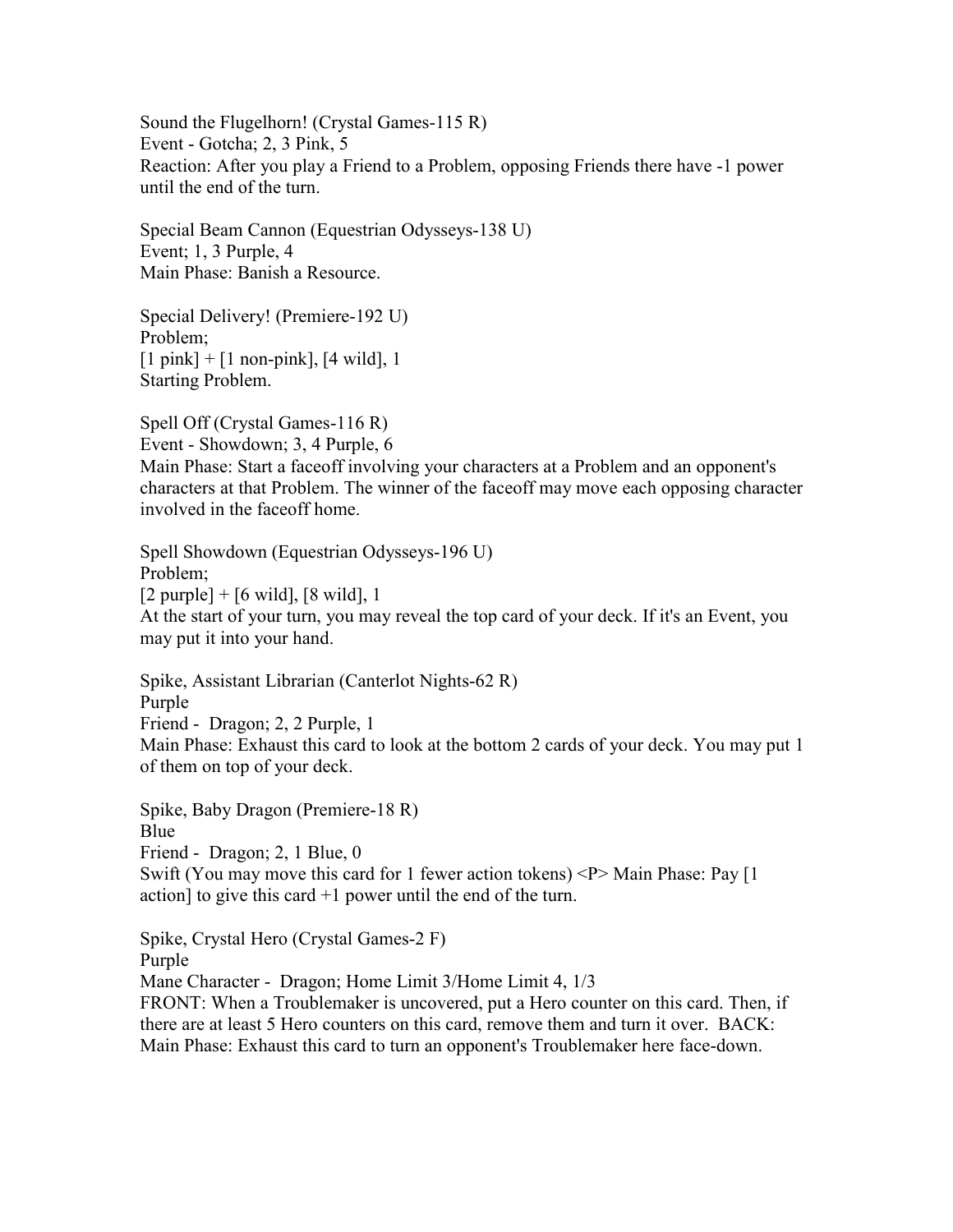Sound the Flugelhorn! (Crystal Games-115 R) Event - Gotcha; 2, 3 Pink, 5 Reaction: After you play a Friend to a Problem, opposing Friends there have -1 power until the end of the turn.

Special Beam Cannon (Equestrian Odysseys-138 U) Event; 1, 3 Purple, 4 Main Phase: Banish a Resource.

Special Delivery! (Premiere-192 U) Problem;  $[1 \text{ pink}] + [1 \text{ non-pink}], [4 \text{ wild}], 1$ Starting Problem.

Spell Off (Crystal Games-116 R) Event - Showdown; 3, 4 Purple, 6 Main Phase: Start a faceoff involving your characters at a Problem and an opponent's characters at that Problem. The winner of the faceoff may move each opposing character involved in the faceoff home.

Spell Showdown (Equestrian Odysseys-196 U) Problem; [2 purple] + [6 wild], [8 wild], 1 At the start of your turn, you may reveal the top card of your deck. If it's an Event, you may put it into your hand.

Spike, Assistant Librarian (Canterlot Nights-62 R) Purple Friend - Dragon; 2, 2 Purple, 1 Main Phase: Exhaust this card to look at the bottom 2 cards of your deck. You may put 1 of them on top of your deck.

Spike, Baby Dragon (Premiere-18 R) Blue Friend - Dragon; 2, 1 Blue, 0 Swift (You may move this card for 1 fewer action tokens) <P> Main Phase: Pay [1 action] to give this card  $+1$  power until the end of the turn.

Spike, Crystal Hero (Crystal Games-2 F) Purple Mane Character - Dragon; Home Limit 3/Home Limit 4, 1/3 FRONT: When a Troublemaker is uncovered, put a Hero counter on this card. Then, if there are at least 5 Hero counters on this card, remove them and turn it over. BACK: Main Phase: Exhaust this card to turn an opponent's Troublemaker here face-down.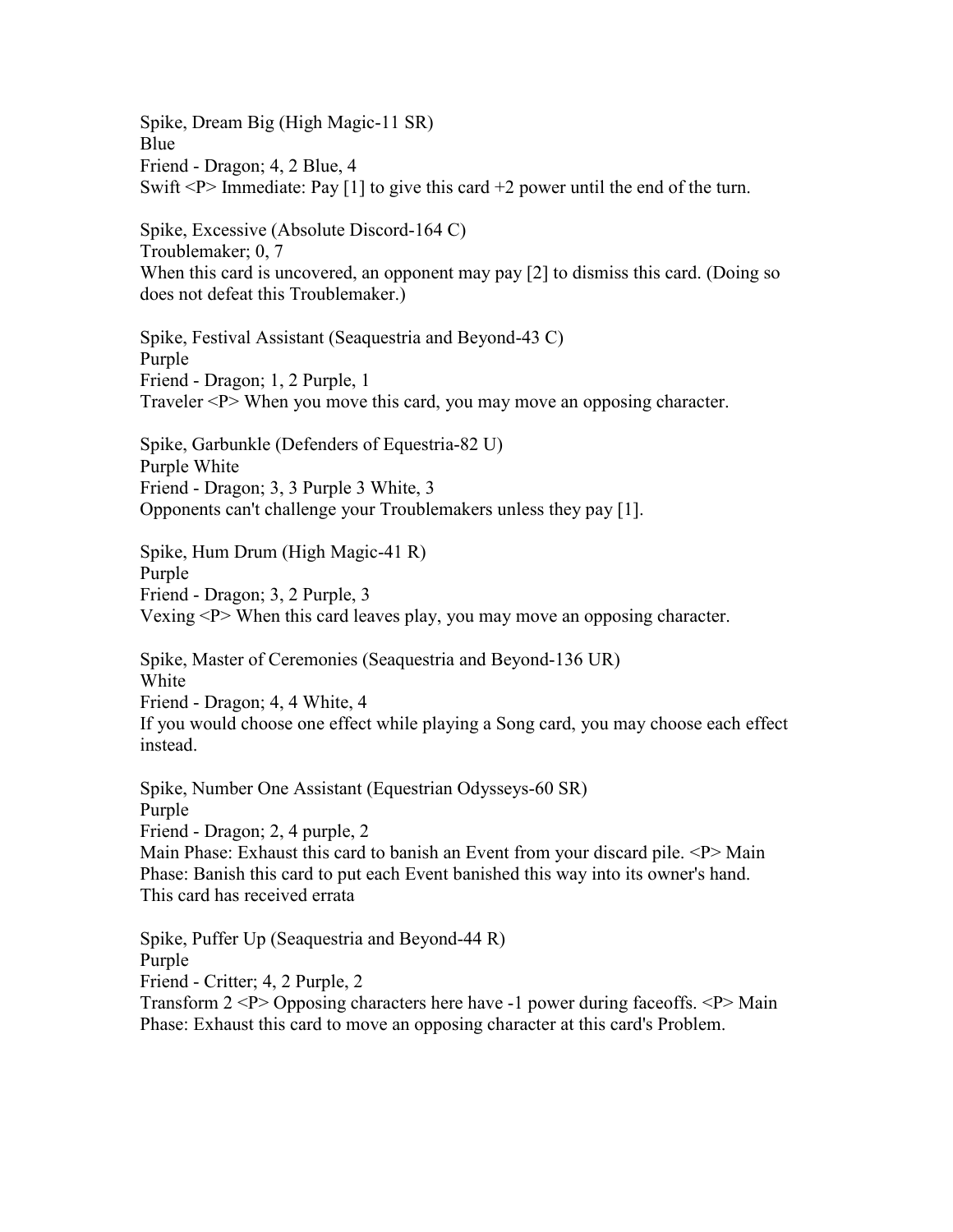Spike, Dream Big (High Magic-11 SR) **Blue** Friend - Dragon; 4, 2 Blue, 4 Swift  $\langle P \rangle$  Immediate: Pay [1] to give this card +2 power until the end of the turn.

Spike, Excessive (Absolute Discord-164 C) Troublemaker; 0, 7 When this card is uncovered, an opponent may pay [2] to dismiss this card. (Doing so does not defeat this Troublemaker.)

Spike, Festival Assistant (Seaquestria and Beyond-43 C) Purple Friend - Dragon; 1, 2 Purple, 1 Traveler <P> When you move this card, you may move an opposing character.

Spike, Garbunkle (Defenders of Equestria-82 U) Purple White Friend - Dragon; 3, 3 Purple 3 White, 3 Opponents can't challenge your Troublemakers unless they pay [1].

Spike, Hum Drum (High Magic-41 R) Purple Friend - Dragon; 3, 2 Purple, 3 Vexing <P> When this card leaves play, you may move an opposing character.

Spike, Master of Ceremonies (Seaquestria and Beyond-136 UR) White Friend - Dragon; 4, 4 White, 4 If you would choose one effect while playing a Song card, you may choose each effect instead.

Spike, Number One Assistant (Equestrian Odysseys-60 SR) Purple Friend - Dragon; 2, 4 purple, 2 Main Phase: Exhaust this card to banish an Event from your discard pile. <P> Main Phase: Banish this card to put each Event banished this way into its owner's hand. This card has received errata

Spike, Puffer Up (Seaquestria and Beyond-44 R) Purple Friend - Critter; 4, 2 Purple, 2 Transform 2 <P> Opposing characters here have -1 power during faceoffs. <P> Main Phase: Exhaust this card to move an opposing character at this card's Problem.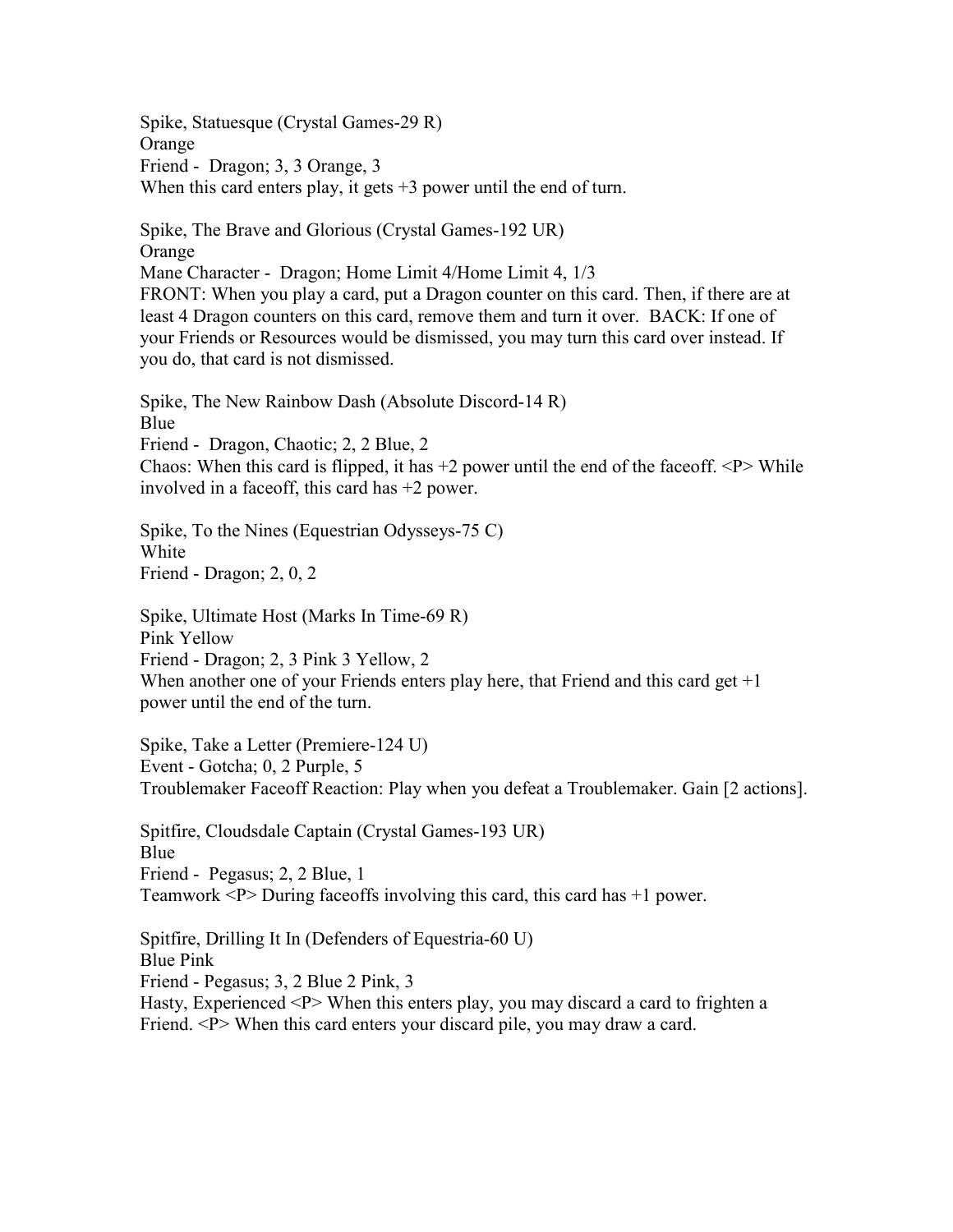Spike, Statuesque (Crystal Games-29 R) Orange Friend - Dragon; 3, 3 Orange, 3 When this card enters play, it gets  $+3$  power until the end of turn.

Spike, The Brave and Glorious (Crystal Games-192 UR) **Orange** Mane Character - Dragon; Home Limit 4/Home Limit 4, 1/3 FRONT: When you play a card, put a Dragon counter on this card. Then, if there are at least 4 Dragon counters on this card, remove them and turn it over. BACK: If one of your Friends or Resources would be dismissed, you may turn this card over instead. If you do, that card is not dismissed.

Spike, The New Rainbow Dash (Absolute Discord-14 R) Blue Friend - Dragon, Chaotic; 2, 2 Blue, 2 Chaos: When this card is flipped, it has  $+2$  power until the end of the faceoff.  $\langle P \rangle$  While involved in a faceoff, this card has +2 power.

Spike, To the Nines (Equestrian Odysseys-75 C) White Friend - Dragon; 2, 0, 2

Spike, Ultimate Host (Marks In Time-69 R) Pink Yellow Friend - Dragon; 2, 3 Pink 3 Yellow, 2 When another one of your Friends enters play here, that Friend and this card get  $+1$ power until the end of the turn.

Spike, Take a Letter (Premiere-124 U) Event - Gotcha; 0, 2 Purple, 5 Troublemaker Faceoff Reaction: Play when you defeat a Troublemaker. Gain [2 actions].

Spitfire, Cloudsdale Captain (Crystal Games-193 UR) Blue Friend - Pegasus; 2, 2 Blue, 1 Teamwork <P> During faceoffs involving this card, this card has +1 power.

Spitfire, Drilling It In (Defenders of Equestria-60 U) Blue Pink Friend - Pegasus; 3, 2 Blue 2 Pink, 3 Hasty, Experienced <P> When this enters play, you may discard a card to frighten a Friend. <P> When this card enters your discard pile, you may draw a card.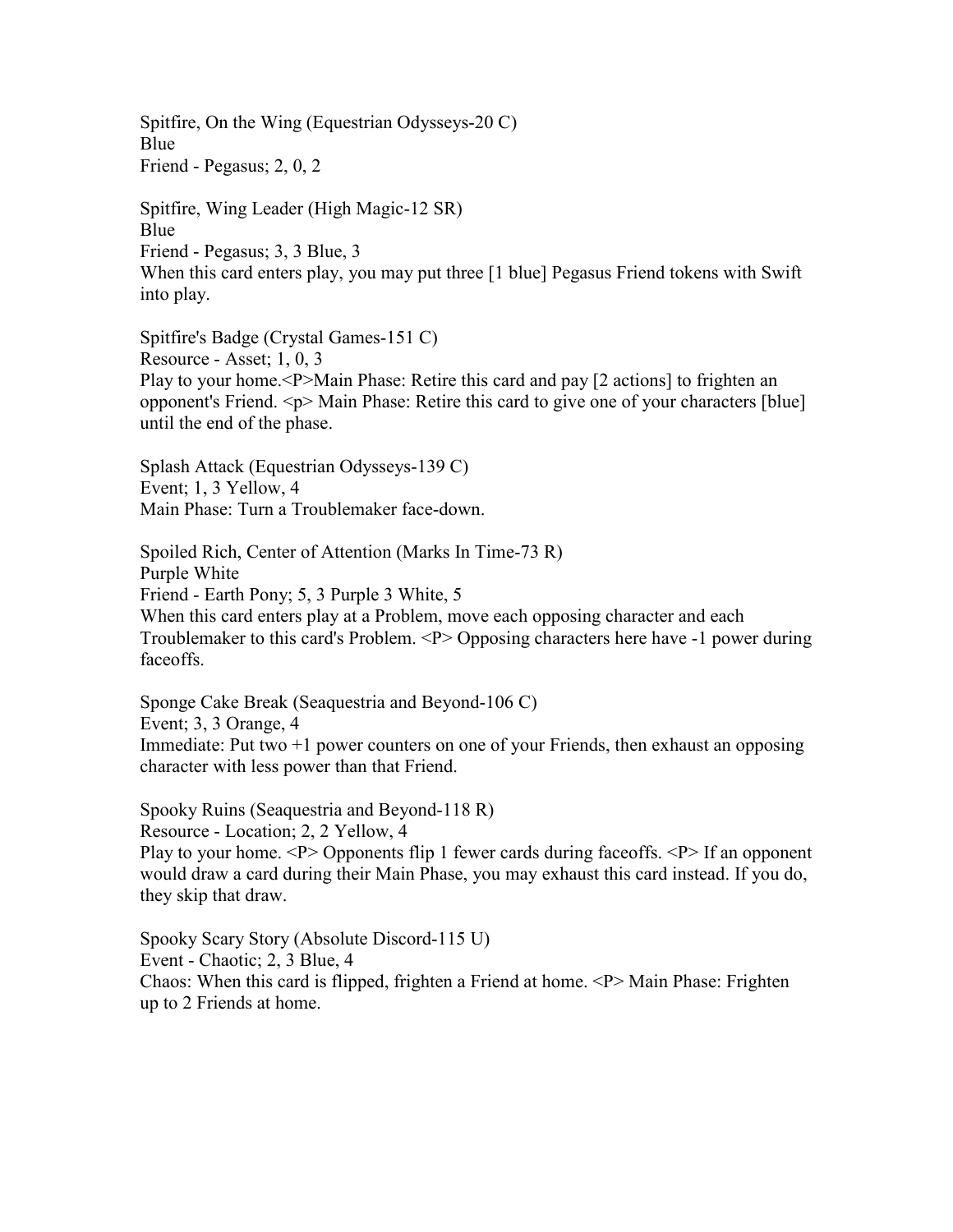Spitfire, On the Wing (Equestrian Odysseys-20 C) Blue Friend - Pegasus; 2, 0, 2

Spitfire, Wing Leader (High Magic-12 SR) Blue Friend - Pegasus; 3, 3 Blue, 3 When this card enters play, you may put three [1 blue] Pegasus Friend tokens with Swift into play.

Spitfire's Badge (Crystal Games-151 C) Resource - Asset; 1, 0, 3 Play to your home.<P>Main Phase: Retire this card and pay [2 actions] to frighten an opponent's Friend. <p> Main Phase: Retire this card to give one of your characters [blue] until the end of the phase.

Splash Attack (Equestrian Odysseys-139 C) Event; 1, 3 Yellow, 4 Main Phase: Turn a Troublemaker face-down.

Spoiled Rich, Center of Attention (Marks In Time-73 R) Purple White Friend - Earth Pony; 5, 3 Purple 3 White, 5 When this card enters play at a Problem, move each opposing character and each Troublemaker to this card's Problem. <P> Opposing characters here have -1 power during faceoffs.

Sponge Cake Break (Seaquestria and Beyond-106 C) Event; 3, 3 Orange, 4 Immediate: Put two +1 power counters on one of your Friends, then exhaust an opposing character with less power than that Friend.

Spooky Ruins (Seaquestria and Beyond-118 R) Resource - Location; 2, 2 Yellow, 4 Play to your home. <P> Opponents flip 1 fewer cards during faceoffs. <P> If an opponent would draw a card during their Main Phase, you may exhaust this card instead. If you do, they skip that draw.

Spooky Scary Story (Absolute Discord-115 U) Event - Chaotic; 2, 3 Blue, 4 Chaos: When this card is flipped, frighten a Friend at home. <P> Main Phase: Frighten up to 2 Friends at home.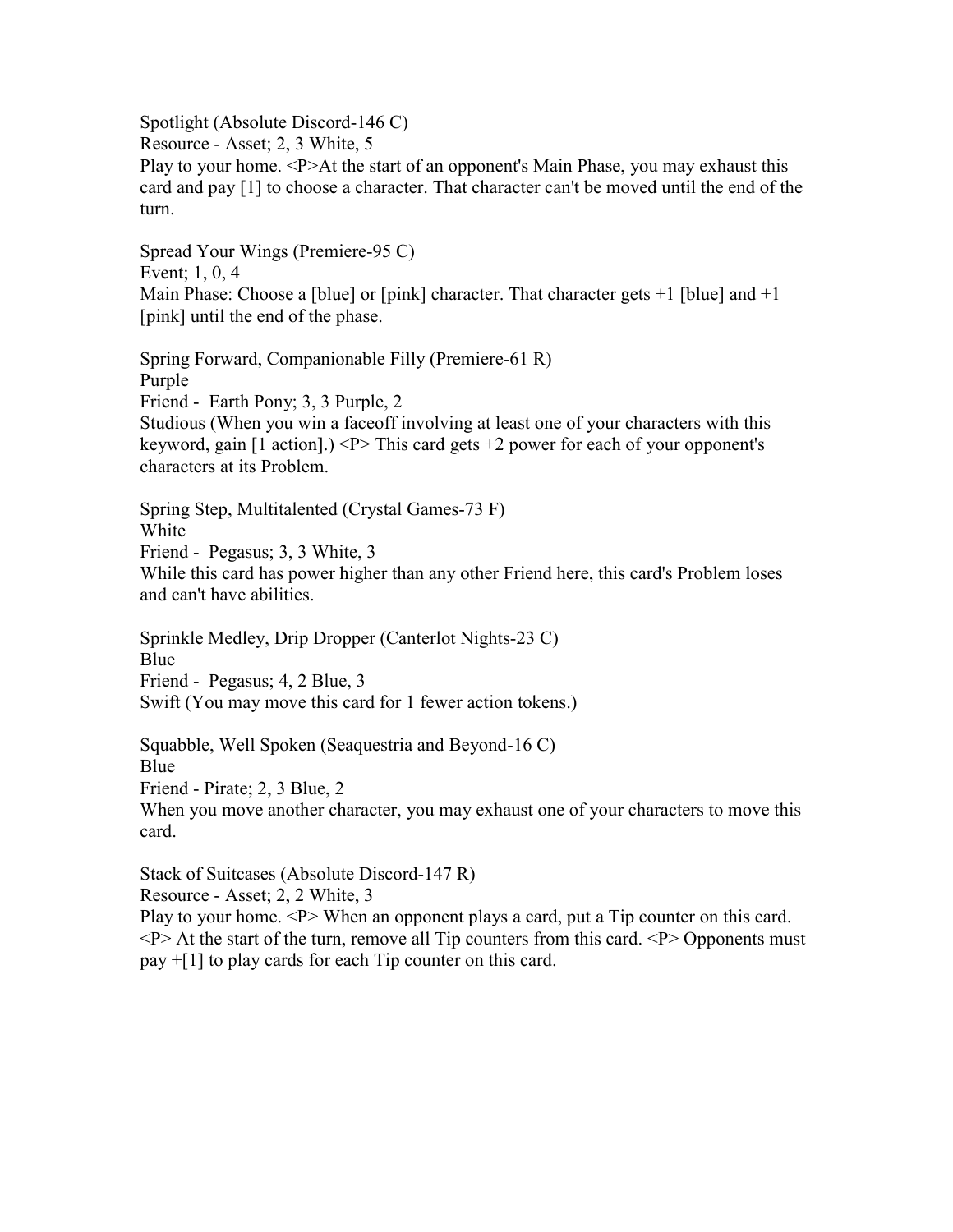Spotlight (Absolute Discord-146 C)

Resource - Asset; 2, 3 White, 5

Play to your home. <P>At the start of an opponent's Main Phase, you may exhaust this card and pay [1] to choose a character. That character can't be moved until the end of the turn.

Spread Your Wings (Premiere-95 C) Event; 1, 0, 4 Main Phase: Choose a [blue] or [pink] character. That character gets  $+1$  [blue] and  $+1$ [pink] until the end of the phase.

Spring Forward, Companionable Filly (Premiere-61 R) Purple Friend - Earth Pony; 3, 3 Purple, 2 Studious (When you win a faceoff involving at least one of your characters with this keyword, gain [1 action].) <P> This card gets +2 power for each of your opponent's characters at its Problem.

Spring Step, Multitalented (Crystal Games-73 F) White Friend - Pegasus; 3, 3 White, 3 While this card has power higher than any other Friend here, this card's Problem loses and can't have abilities.

Sprinkle Medley, Drip Dropper (Canterlot Nights-23 C) Blue Friend - Pegasus; 4, 2 Blue, 3 Swift (You may move this card for 1 fewer action tokens.)

Squabble, Well Spoken (Seaquestria and Beyond-16 C) **Blue** Friend - Pirate; 2, 3 Blue, 2

When you move another character, you may exhaust one of your characters to move this card.

Stack of Suitcases (Absolute Discord-147 R)

Resource - Asset; 2, 2 White, 3

Play to your home. <P> When an opponent plays a card, put a Tip counter on this card.  $\langle P \rangle$  At the start of the turn, remove all Tip counters from this card.  $\langle P \rangle$  Opponents must pay +[1] to play cards for each Tip counter on this card.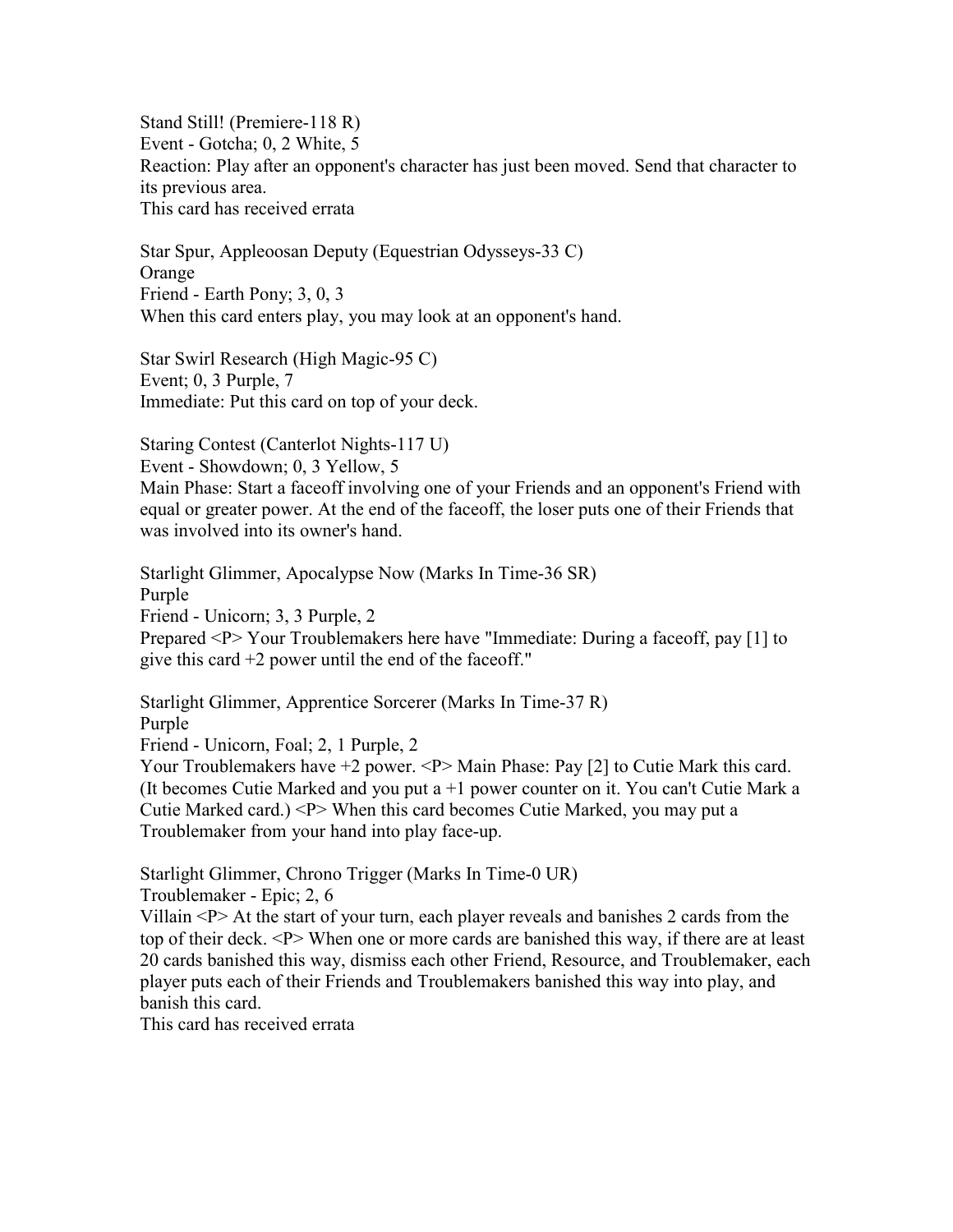Stand Still! (Premiere-118 R) Event - Gotcha; 0, 2 White, 5 Reaction: Play after an opponent's character has just been moved. Send that character to its previous area. This card has received errata

Star Spur, Appleoosan Deputy (Equestrian Odysseys-33 C) Orange Friend - Earth Pony; 3, 0, 3 When this card enters play, you may look at an opponent's hand.

Star Swirl Research (High Magic-95 C) Event; 0, 3 Purple, 7 Immediate: Put this card on top of your deck.

Staring Contest (Canterlot Nights-117 U) Event - Showdown; 0, 3 Yellow, 5 Main Phase: Start a faceoff involving one of your Friends and an opponent's Friend with equal or greater power. At the end of the faceoff, the loser puts one of their Friends that was involved into its owner's hand.

Starlight Glimmer, Apocalypse Now (Marks In Time-36 SR) Purple Friend - Unicorn; 3, 3 Purple, 2 Prepared <P> Your Troublemakers here have "Immediate: During a faceoff, pay [1] to give this card +2 power until the end of the faceoff."

Starlight Glimmer, Apprentice Sorcerer (Marks In Time-37 R) Purple Friend - Unicorn, Foal; 2, 1 Purple, 2 Your Troublemakers have +2 power. <P>Main Phase: Pay [2] to Cutie Mark this card. (It becomes Cutie Marked and you put a +1 power counter on it. You can't Cutie Mark a Cutie Marked card.) <P> When this card becomes Cutie Marked, you may put a Troublemaker from your hand into play face-up.

Starlight Glimmer, Chrono Trigger (Marks In Time-0 UR)

Troublemaker - Epic; 2, 6

Villain <P> At the start of your turn, each player reveals and banishes 2 cards from the top of their deck. <P> When one or more cards are banished this way, if there are at least 20 cards banished this way, dismiss each other Friend, Resource, and Troublemaker, each player puts each of their Friends and Troublemakers banished this way into play, and banish this card.

This card has received errata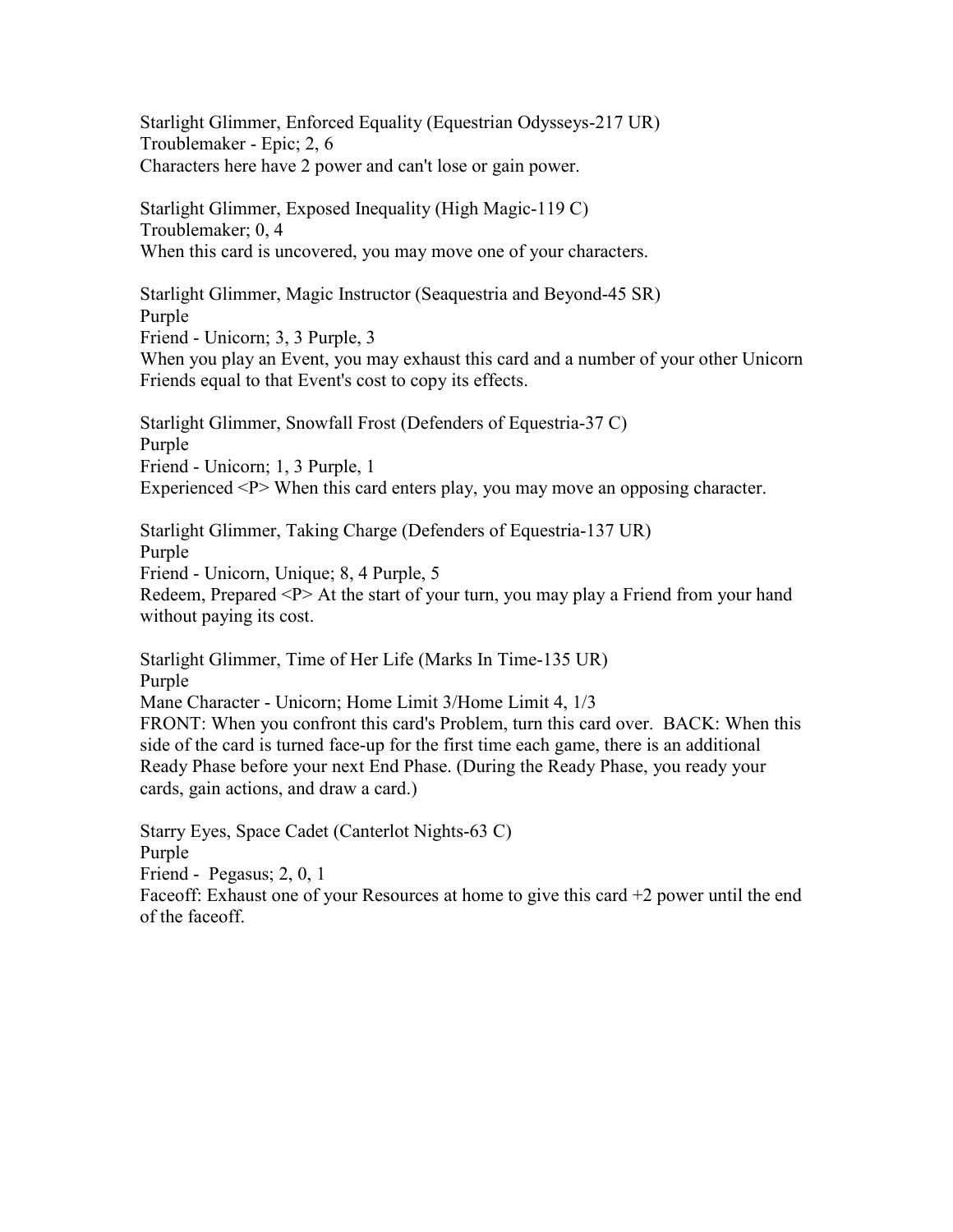Starlight Glimmer, Enforced Equality (Equestrian Odysseys-217 UR) Troublemaker - Epic; 2, 6 Characters here have 2 power and can't lose or gain power.

Starlight Glimmer, Exposed Inequality (High Magic-119 C) Troublemaker; 0, 4 When this card is uncovered, you may move one of your characters.

Starlight Glimmer, Magic Instructor (Seaquestria and Beyond-45 SR) Purple Friend - Unicorn; 3, 3 Purple, 3

When you play an Event, you may exhaust this card and a number of your other Unicorn Friends equal to that Event's cost to copy its effects.

Starlight Glimmer, Snowfall Frost (Defenders of Equestria-37 C) Purple Friend - Unicorn; 1, 3 Purple, 1 Experienced <P> When this card enters play, you may move an opposing character.

Starlight Glimmer, Taking Charge (Defenders of Equestria-137 UR) Purple Friend - Unicorn, Unique; 8, 4 Purple, 5 Redeem, Prepared <P> At the start of your turn, you may play a Friend from your hand without paying its cost.

Starlight Glimmer, Time of Her Life (Marks In Time-135 UR) Purple Mane Character - Unicorn; Home Limit 3/Home Limit 4, 1/3 FRONT: When you confront this card's Problem, turn this card over. BACK: When this side of the card is turned face-up for the first time each game, there is an additional Ready Phase before your next End Phase. (During the Ready Phase, you ready your cards, gain actions, and draw a card.)

Starry Eyes, Space Cadet (Canterlot Nights-63 C) Purple Friend - Pegasus; 2, 0, 1 Faceoff: Exhaust one of your Resources at home to give this card +2 power until the end of the faceoff.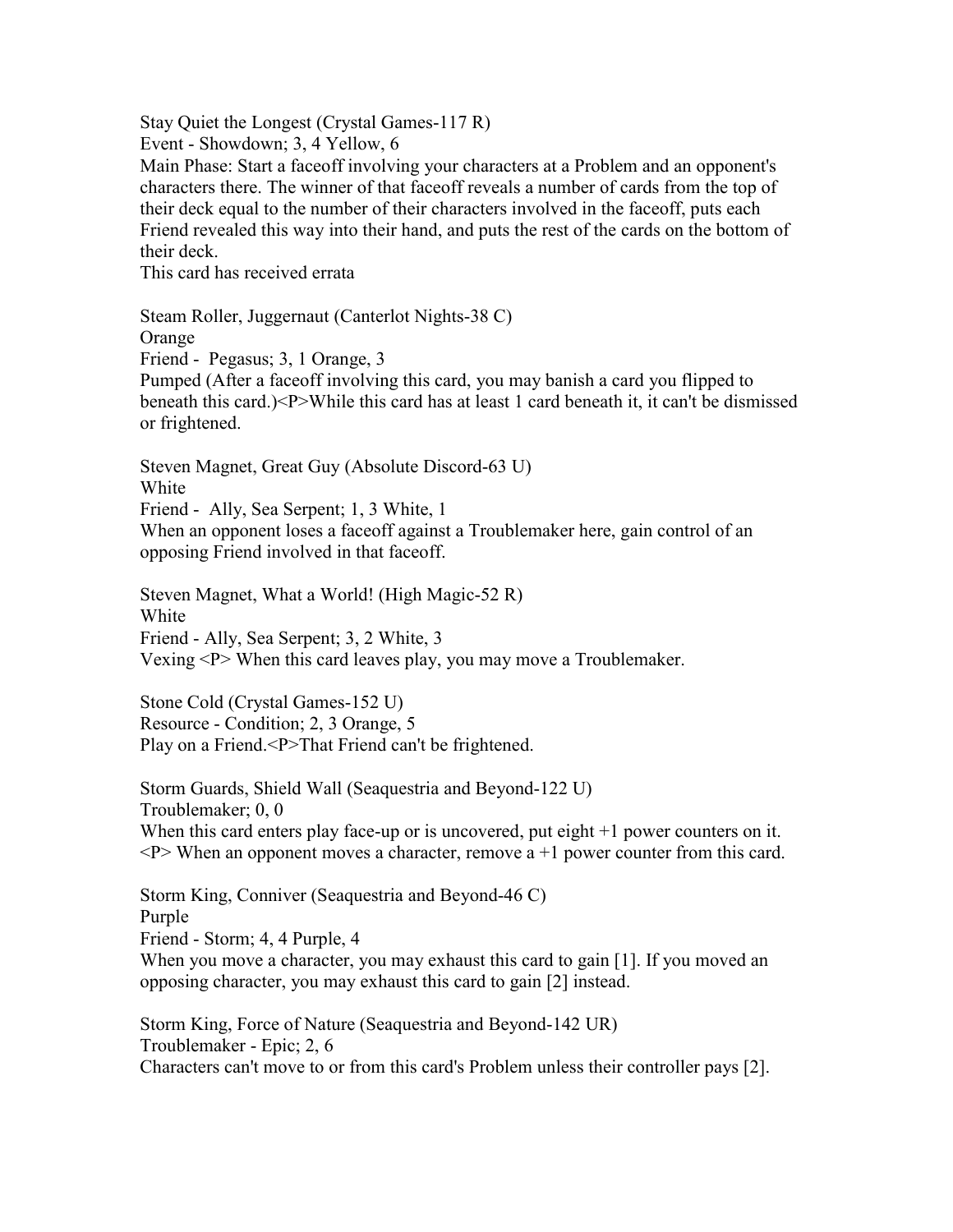Stay Quiet the Longest (Crystal Games-117 R)

Event - Showdown; 3, 4 Yellow, 6

Main Phase: Start a faceoff involving your characters at a Problem and an opponent's characters there. The winner of that faceoff reveals a number of cards from the top of their deck equal to the number of their characters involved in the faceoff, puts each Friend revealed this way into their hand, and puts the rest of the cards on the bottom of their deck.

This card has received errata

Steam Roller, Juggernaut (Canterlot Nights-38 C) Orange Friend - Pegasus; 3, 1 Orange, 3 Pumped (After a faceoff involving this card, you may banish a card you flipped to beneath this card.)<P>While this card has at least 1 card beneath it, it can't be dismissed

or frightened.

Steven Magnet, Great Guy (Absolute Discord-63 U) White

Friend - Ally, Sea Serpent; 1, 3 White, 1

When an opponent loses a faceoff against a Troublemaker here, gain control of an opposing Friend involved in that faceoff.

Steven Magnet, What a World! (High Magic-52 R) White Friend - Ally, Sea Serpent; 3, 2 White, 3 Vexing <P> When this card leaves play, you may move a Troublemaker.

Stone Cold (Crystal Games-152 U) Resource - Condition; 2, 3 Orange, 5 Play on a Friend.<P>That Friend can't be frightened.

Storm Guards, Shield Wall (Seaquestria and Beyond-122 U) Troublemaker; 0, 0 When this card enters play face-up or is uncovered, put eight  $+1$  power counters on it.  $\langle P \rangle$  When an opponent moves a character, remove a +1 power counter from this card.

Storm King, Conniver (Seaquestria and Beyond-46 C) Purple Friend - Storm; 4, 4 Purple, 4 When you move a character, you may exhaust this card to gain [1]. If you moved an opposing character, you may exhaust this card to gain [2] instead.

Storm King, Force of Nature (Seaquestria and Beyond-142 UR) Troublemaker - Epic; 2, 6 Characters can't move to or from this card's Problem unless their controller pays [2].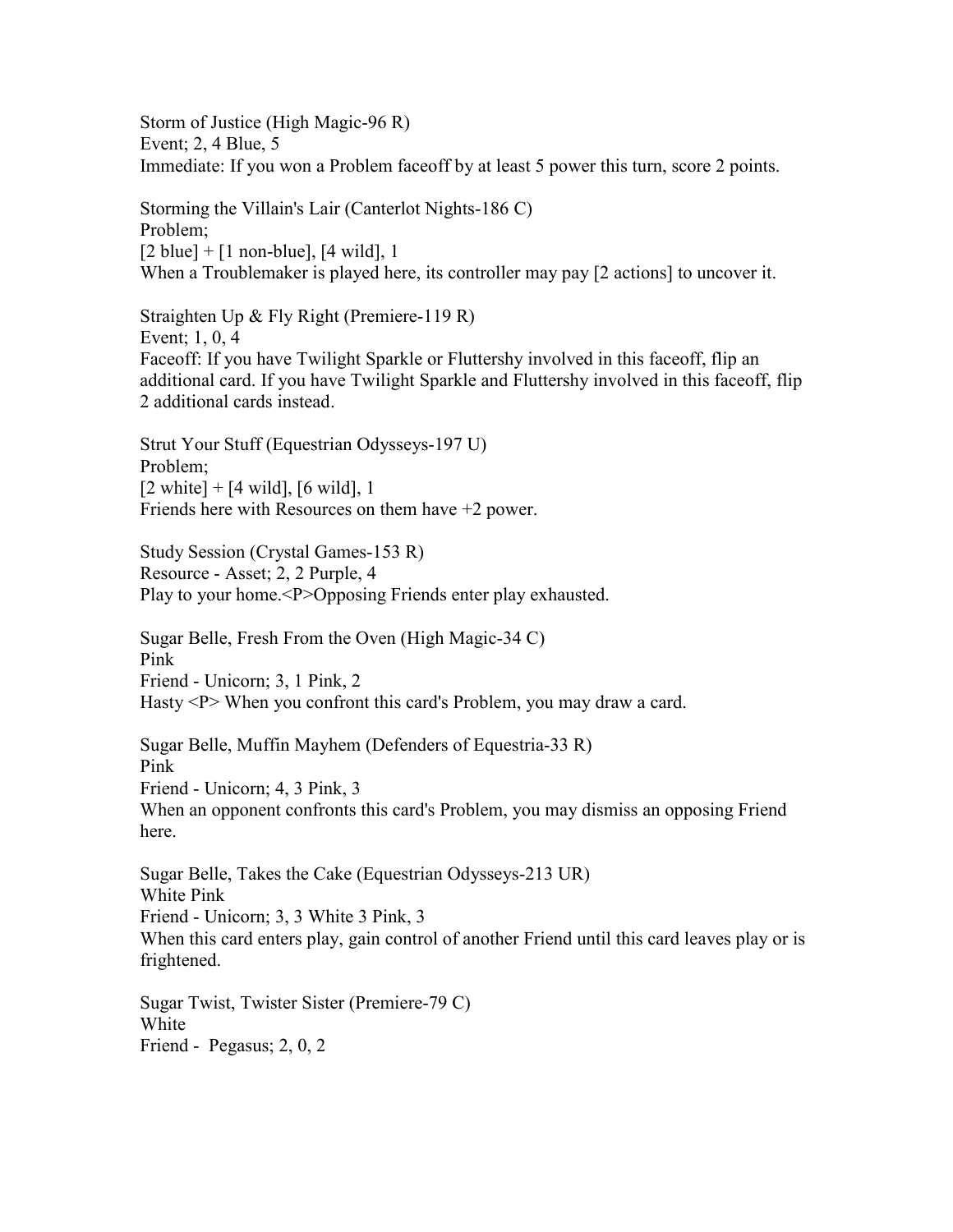Storm of Justice (High Magic-96 R) Event; 2, 4 Blue, 5 Immediate: If you won a Problem faceoff by at least 5 power this turn, score 2 points.

Storming the Villain's Lair (Canterlot Nights-186 C) Problem;  $[2 \text{ blue}] + [1 \text{ non-blue}], [4 \text{ wild}], 1$ When a Troublemaker is played here, its controller may pay [2 actions] to uncover it.

Straighten Up & Fly Right (Premiere-119 R) Event; 1, 0, 4 Faceoff: If you have Twilight Sparkle or Fluttershy involved in this faceoff, flip an additional card. If you have Twilight Sparkle and Fluttershy involved in this faceoff, flip 2 additional cards instead.

Strut Your Stuff (Equestrian Odysseys-197 U) Problem;  $[2 \text{ white}] + [4 \text{ wild}], [6 \text{ wild}], 1$ Friends here with Resources on them have +2 power.

Study Session (Crystal Games-153 R) Resource - Asset; 2, 2 Purple, 4 Play to your home.<P>Opposing Friends enter play exhausted.

Sugar Belle, Fresh From the Oven (High Magic-34 C) Pink Friend - Unicorn; 3, 1 Pink, 2 Hasty <P> When you confront this card's Problem, you may draw a card.

Sugar Belle, Muffin Mayhem (Defenders of Equestria-33 R) Pink Friend - Unicorn; 4, 3 Pink, 3 When an opponent confronts this card's Problem, you may dismiss an opposing Friend here.

Sugar Belle, Takes the Cake (Equestrian Odysseys-213 UR) White Pink Friend - Unicorn; 3, 3 White 3 Pink, 3 When this card enters play, gain control of another Friend until this card leaves play or is frightened.

Sugar Twist, Twister Sister (Premiere-79 C) White Friend - Pegasus; 2, 0, 2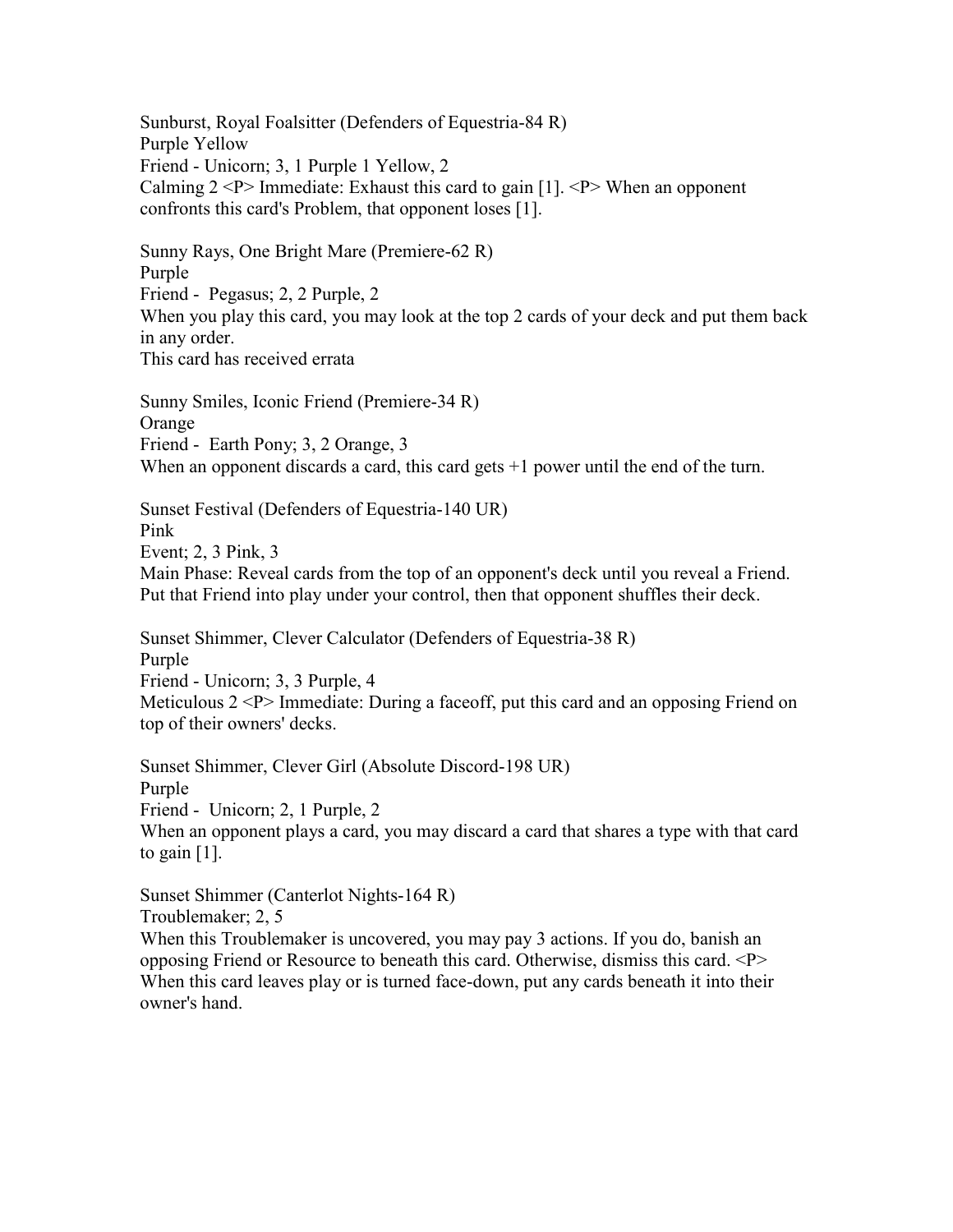Sunburst, Royal Foalsitter (Defenders of Equestria-84 R) Purple Yellow Friend - Unicorn; 3, 1 Purple 1 Yellow, 2 Calming  $2 < P$  Immediate: Exhaust this card to gain [1].  $< P$  When an opponent confronts this card's Problem, that opponent loses [1].

Sunny Rays, One Bright Mare (Premiere-62 R) Purple Friend - Pegasus; 2, 2 Purple, 2 When you play this card, you may look at the top 2 cards of your deck and put them back in any order. This card has received errata

Sunny Smiles, Iconic Friend (Premiere-34 R) **Orange** Friend - Earth Pony; 3, 2 Orange, 3 When an opponent discards a card, this card gets  $+1$  power until the end of the turn.

Sunset Festival (Defenders of Equestria-140 UR) Pink Event; 2, 3 Pink, 3 Main Phase: Reveal cards from the top of an opponent's deck until you reveal a Friend. Put that Friend into play under your control, then that opponent shuffles their deck.

Sunset Shimmer, Clever Calculator (Defenders of Equestria-38 R) Purple Friend - Unicorn; 3, 3 Purple, 4 Meticulous 2 <P> Immediate: During a faceoff, put this card and an opposing Friend on top of their owners' decks.

Sunset Shimmer, Clever Girl (Absolute Discord-198 UR) Purple Friend - Unicorn; 2, 1 Purple, 2 When an opponent plays a card, you may discard a card that shares a type with that card to gain  $[1]$ .

Sunset Shimmer (Canterlot Nights-164 R)

Troublemaker; 2, 5

When this Troublemaker is uncovered, you may pay 3 actions. If you do, banish an opposing Friend or Resource to beneath this card. Otherwise, dismiss this card. <P> When this card leaves play or is turned face-down, put any cards beneath it into their owner's hand.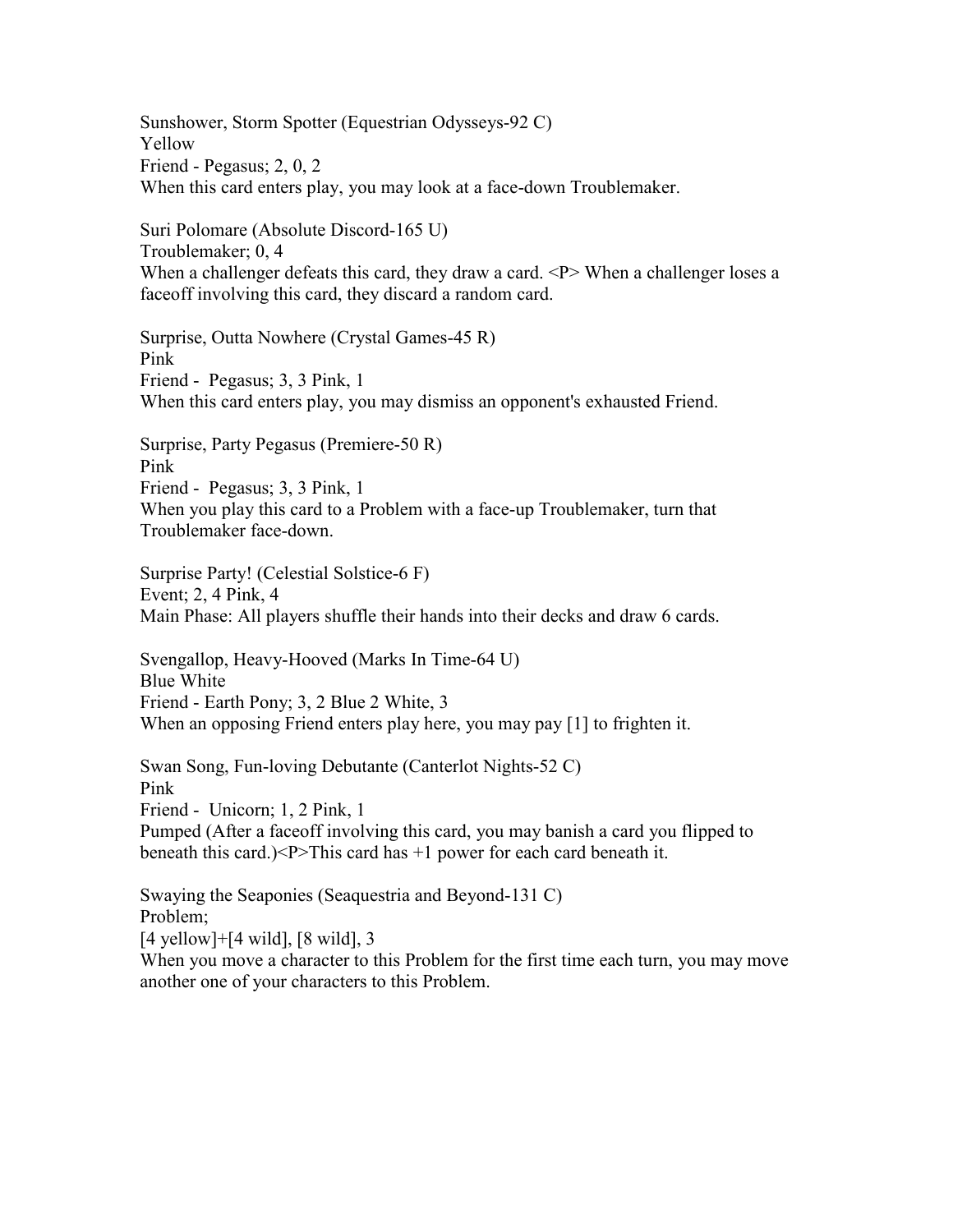Sunshower, Storm Spotter (Equestrian Odysseys-92 C) Yellow Friend - Pegasus; 2, 0, 2 When this card enters play, you may look at a face-down Troublemaker.

Suri Polomare (Absolute Discord-165 U) Troublemaker; 0, 4 When a challenger defeats this card, they draw a card. <P> When a challenger loses a faceoff involving this card, they discard a random card.

Surprise, Outta Nowhere (Crystal Games-45 R) Pink Friend - Pegasus; 3, 3 Pink, 1 When this card enters play, you may dismiss an opponent's exhausted Friend.

Surprise, Party Pegasus (Premiere-50 R) Pink Friend - Pegasus; 3, 3 Pink, 1 When you play this card to a Problem with a face-up Troublemaker, turn that Troublemaker face-down.

Surprise Party! (Celestial Solstice-6 F) Event; 2, 4 Pink, 4 Main Phase: All players shuffle their hands into their decks and draw 6 cards.

Svengallop, Heavy-Hooved (Marks In Time-64 U) Blue White Friend - Earth Pony; 3, 2 Blue 2 White, 3 When an opposing Friend enters play here, you may pay [1] to frighten it.

Swan Song, Fun-loving Debutante (Canterlot Nights-52 C) Pink Friend - Unicorn; 1, 2 Pink, 1 Pumped (After a faceoff involving this card, you may banish a card you flipped to beneath this card.)<P>This card has +1 power for each card beneath it.

Swaying the Seaponies (Seaquestria and Beyond-131 C) Problem; [4 yellow]+[4 wild], [8 wild], 3 When you move a character to this Problem for the first time each turn, you may move

another one of your characters to this Problem.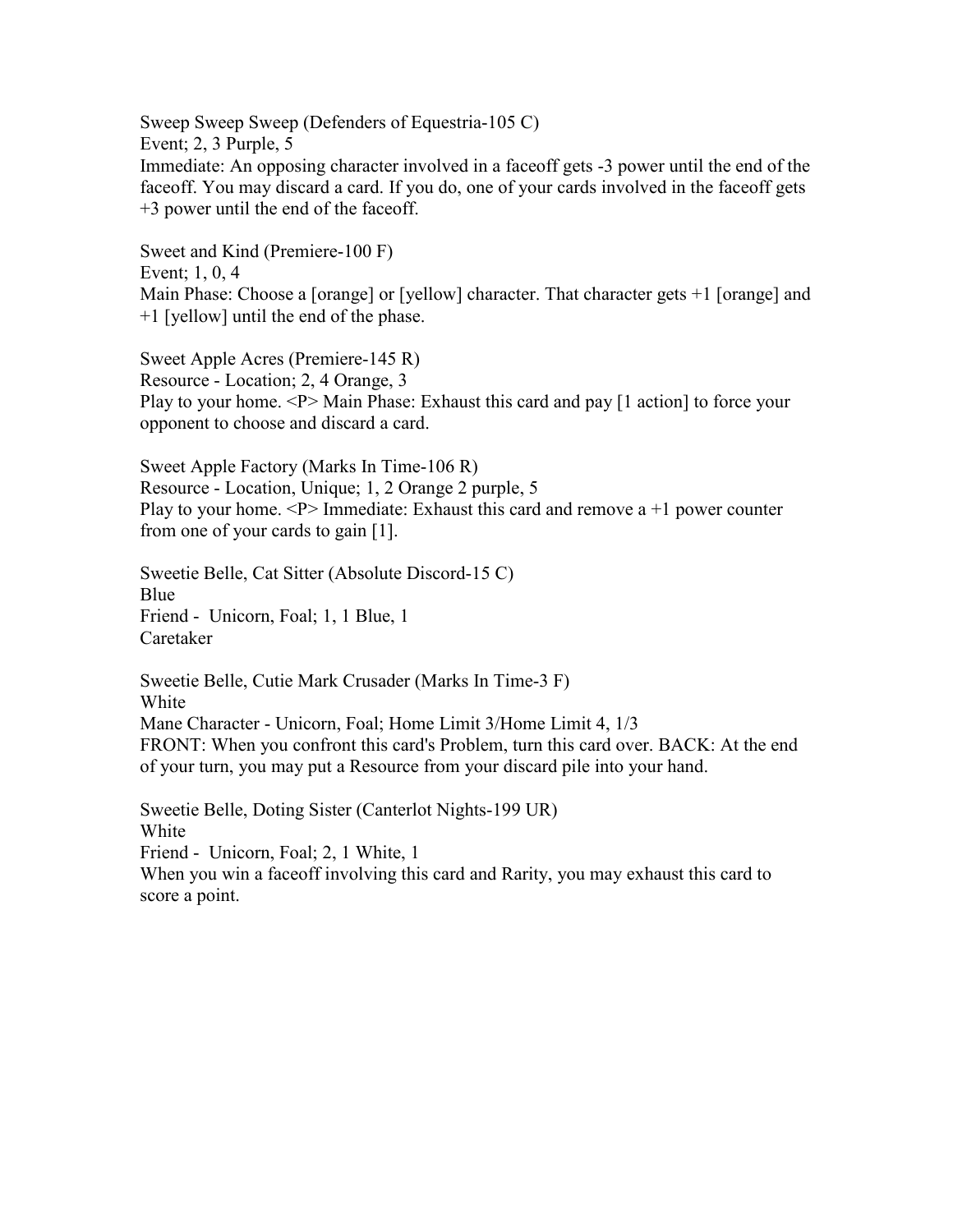Sweep Sweep Sweep (Defenders of Equestria-105 C) Event; 2, 3 Purple, 5 Immediate: An opposing character involved in a faceoff gets -3 power until the end of the faceoff. You may discard a card. If you do, one of your cards involved in the faceoff gets +3 power until the end of the faceoff.

Sweet and Kind (Premiere-100 F) Event; 1, 0, 4 Main Phase: Choose a [orange] or [yellow] character. That character gets +1 [orange] and +1 [yellow] until the end of the phase.

Sweet Apple Acres (Premiere-145 R) Resource - Location; 2, 4 Orange, 3 Play to your home. <P> Main Phase: Exhaust this card and pay [1 action] to force your opponent to choose and discard a card.

Sweet Apple Factory (Marks In Time-106 R) Resource - Location, Unique; 1, 2 Orange 2 purple, 5 Play to your home.  $\langle P \rangle$  Immediate: Exhaust this card and remove a +1 power counter from one of your cards to gain [1].

Sweetie Belle, Cat Sitter (Absolute Discord-15 C) Blue Friend - Unicorn, Foal; 1, 1 Blue, 1 Caretaker

Sweetie Belle, Cutie Mark Crusader (Marks In Time-3 F) White Mane Character - Unicorn, Foal; Home Limit 3/Home Limit 4, 1/3 FRONT: When you confront this card's Problem, turn this card over. BACK: At the end of your turn, you may put a Resource from your discard pile into your hand.

Sweetie Belle, Doting Sister (Canterlot Nights-199 UR) White Friend - Unicorn, Foal; 2, 1 White, 1 When you win a faceoff involving this card and Rarity, you may exhaust this card to score a point.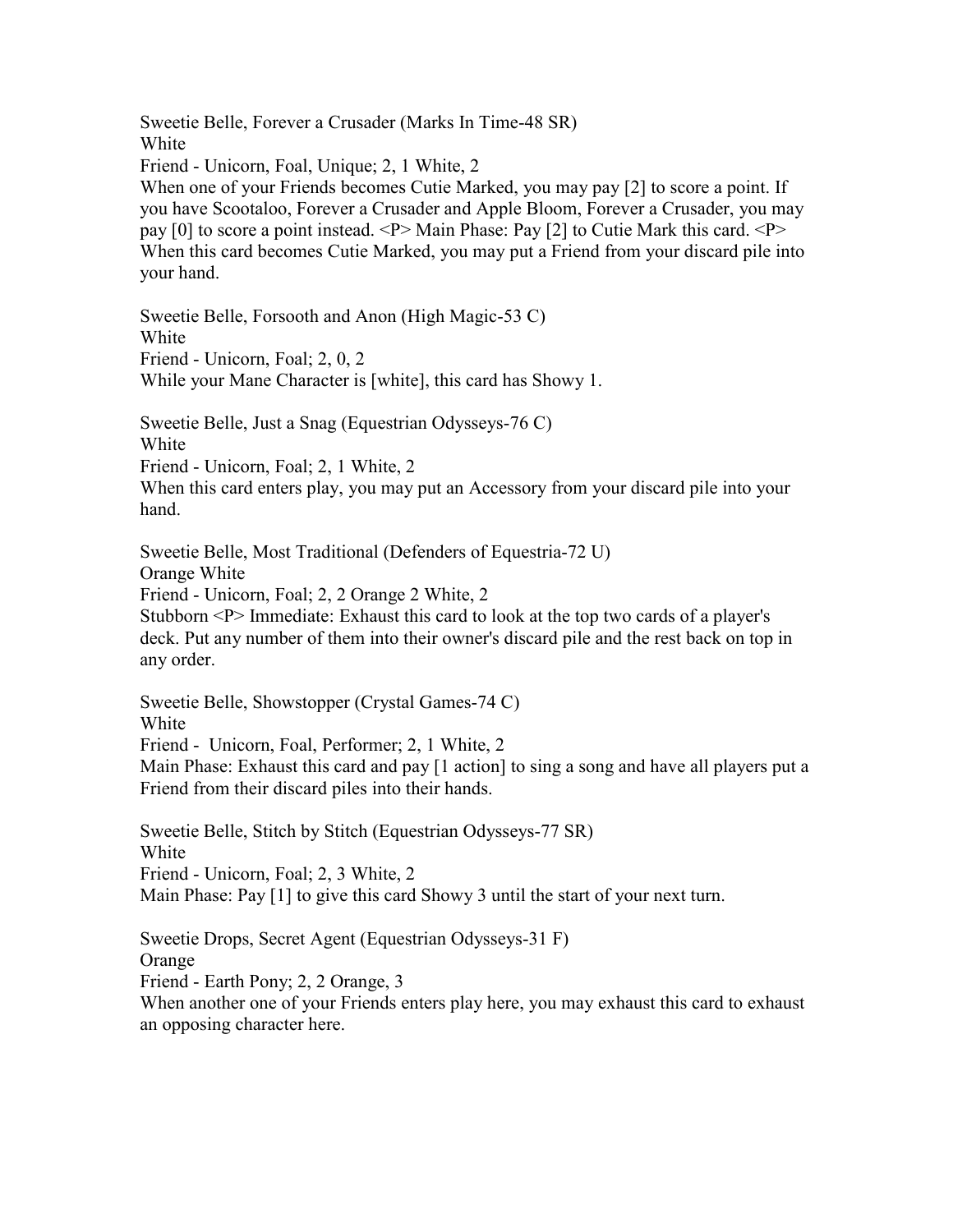Sweetie Belle, Forever a Crusader (Marks In Time-48 SR) White

Friend - Unicorn, Foal, Unique; 2, 1 White, 2

When one of your Friends becomes Cutie Marked, you may pay [2] to score a point. If you have Scootaloo, Forever a Crusader and Apple Bloom, Forever a Crusader, you may pay [0] to score a point instead. <P> Main Phase: Pay [2] to Cutie Mark this card. <P> When this card becomes Cutie Marked, you may put a Friend from your discard pile into your hand.

Sweetie Belle, Forsooth and Anon (High Magic-53 C) White Friend - Unicorn, Foal; 2, 0, 2 While your Mane Character is [white], this card has Showy 1.

Sweetie Belle, Just a Snag (Equestrian Odysseys-76 C)

White

Friend - Unicorn, Foal; 2, 1 White, 2

When this card enters play, you may put an Accessory from your discard pile into your hand.

Sweetie Belle, Most Traditional (Defenders of Equestria-72 U)

Orange White

Friend - Unicorn, Foal; 2, 2 Orange 2 White, 2

Stubborn <P> Immediate: Exhaust this card to look at the top two cards of a player's deck. Put any number of them into their owner's discard pile and the rest back on top in any order.

Sweetie Belle, Showstopper (Crystal Games-74 C) White Friend - Unicorn, Foal, Performer; 2, 1 White, 2 Main Phase: Exhaust this card and pay [1 action] to sing a song and have all players put a Friend from their discard piles into their hands.

Sweetie Belle, Stitch by Stitch (Equestrian Odysseys-77 SR) White Friend - Unicorn, Foal; 2, 3 White, 2 Main Phase: Pay [1] to give this card Showy 3 until the start of your next turn.

Sweetie Drops, Secret Agent (Equestrian Odysseys-31 F) Orange Friend - Earth Pony; 2, 2 Orange, 3 When another one of your Friends enters play here, you may exhaust this card to exhaust an opposing character here.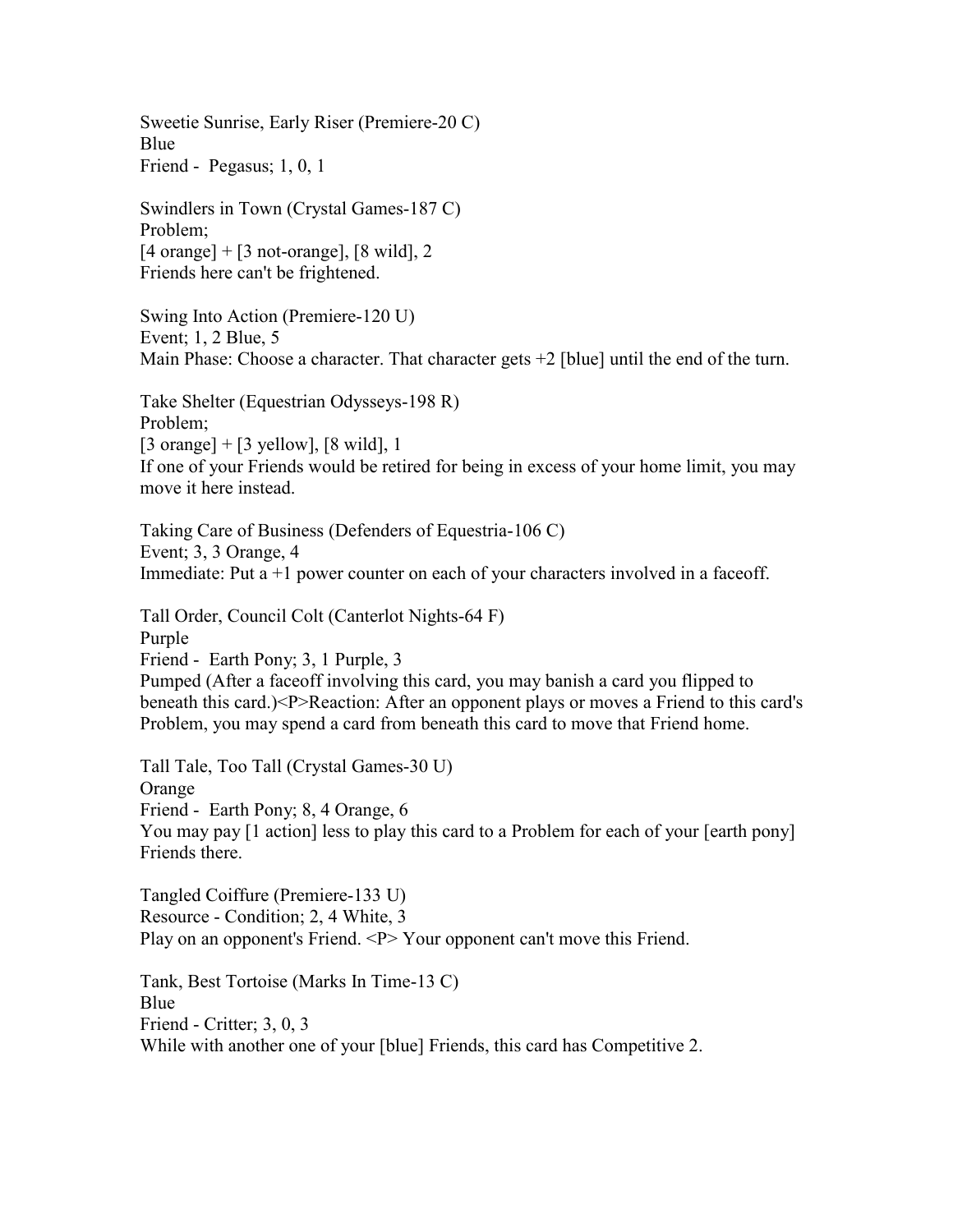Sweetie Sunrise, Early Riser (Premiere-20 C) Blue Friend - Pegasus; 1, 0, 1

Swindlers in Town (Crystal Games-187 C) Problem;  $[4 \text{ orange}] + [3 \text{ not-orange}], [8 \text{ wild}], 2$ Friends here can't be frightened.

Swing Into Action (Premiere-120 U) Event; 1, 2 Blue, 5 Main Phase: Choose a character. That character gets +2 [blue] until the end of the turn.

Take Shelter (Equestrian Odysseys-198 R) Problem;  $[3 \text{ orange}] + [3 \text{ yellow}], [8 \text{ wild}], 1$ If one of your Friends would be retired for being in excess of your home limit, you may move it here instead.

Taking Care of Business (Defenders of Equestria-106 C) Event; 3, 3 Orange, 4 Immediate: Put  $a + 1$  power counter on each of your characters involved in a faceoff.

Tall Order, Council Colt (Canterlot Nights-64 F) Purple Friend - Earth Pony; 3, 1 Purple, 3 Pumped (After a faceoff involving this card, you may banish a card you flipped to beneath this card.)<P>Reaction: After an opponent plays or moves a Friend to this card's Problem, you may spend a card from beneath this card to move that Friend home.

Tall Tale, Too Tall (Crystal Games-30 U) **Orange** Friend - Earth Pony; 8, 4 Orange, 6 You may pay [1 action] less to play this card to a Problem for each of your [earth pony] Friends there.

Tangled Coiffure (Premiere-133 U) Resource - Condition; 2, 4 White, 3 Play on an opponent's Friend. <P> Your opponent can't move this Friend.

Tank, Best Tortoise (Marks In Time-13 C) Blue Friend - Critter; 3, 0, 3 While with another one of your [blue] Friends, this card has Competitive 2.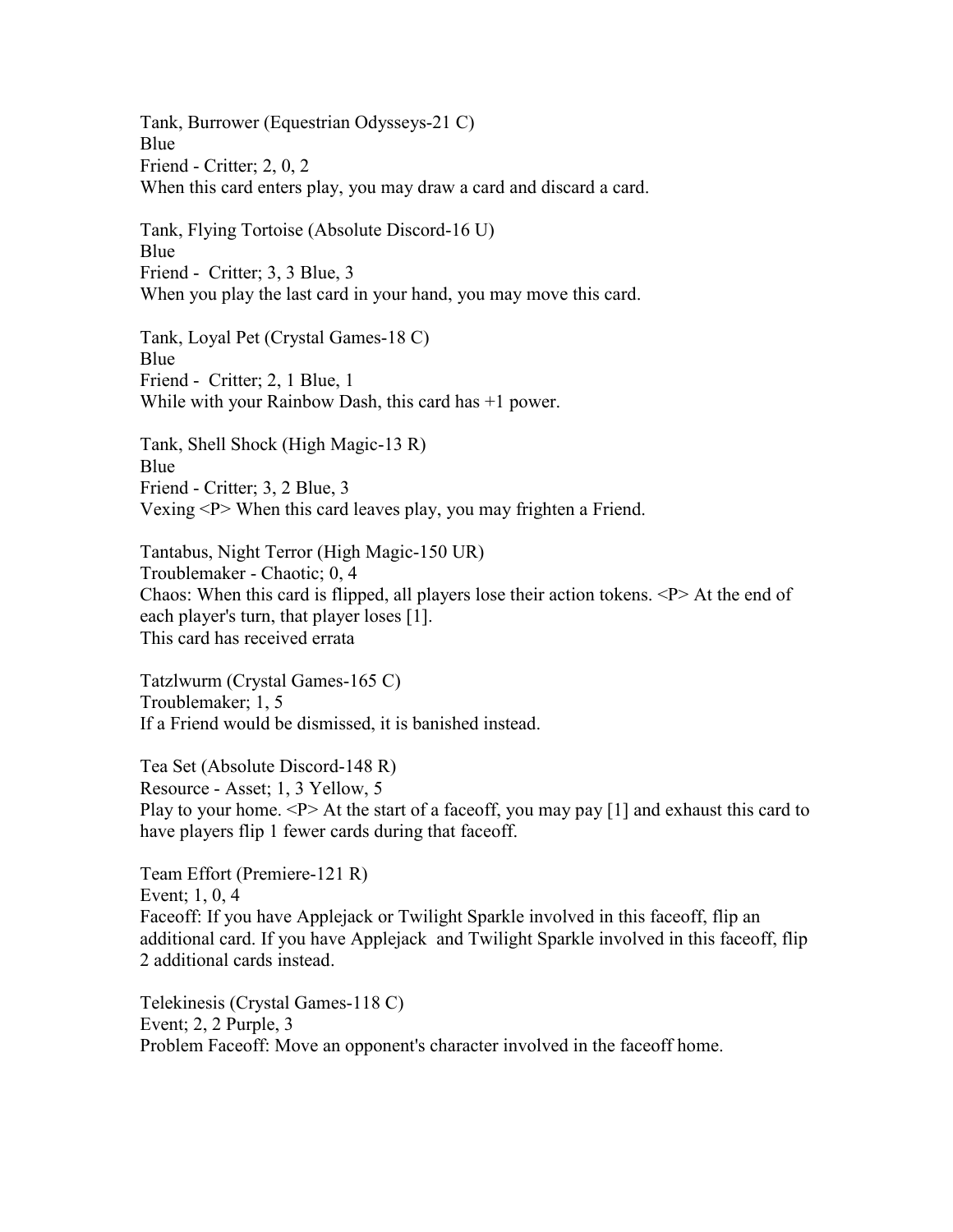Tank, Burrower (Equestrian Odysseys-21 C) Blue Friend - Critter; 2, 0, 2 When this card enters play, you may draw a card and discard a card.

Tank, Flying Tortoise (Absolute Discord-16 U) Blue Friend - Critter; 3, 3 Blue, 3 When you play the last card in your hand, you may move this card.

Tank, Loyal Pet (Crystal Games-18 C) Blue Friend - Critter; 2, 1 Blue, 1 While with your Rainbow Dash, this card has +1 power.

Tank, Shell Shock (High Magic-13 R) Blue Friend - Critter; 3, 2 Blue, 3 Vexing <P> When this card leaves play, you may frighten a Friend.

Tantabus, Night Terror (High Magic-150 UR) Troublemaker - Chaotic; 0, 4 Chaos: When this card is flipped, all players lose their action tokens. <P> At the end of each player's turn, that player loses [1]. This card has received errata

Tatzlwurm (Crystal Games-165 C) Troublemaker; 1, 5 If a Friend would be dismissed, it is banished instead.

Tea Set (Absolute Discord-148 R) Resource - Asset; 1, 3 Yellow, 5 Play to your home.  $\langle P \rangle$  At the start of a faceoff, you may pay [1] and exhaust this card to have players flip 1 fewer cards during that faceoff.

Team Effort (Premiere-121 R) Event; 1, 0, 4 Faceoff: If you have Applejack or Twilight Sparkle involved in this faceoff, flip an additional card. If you have Applejack and Twilight Sparkle involved in this faceoff, flip 2 additional cards instead.

Telekinesis (Crystal Games-118 C) Event; 2, 2 Purple, 3 Problem Faceoff: Move an opponent's character involved in the faceoff home.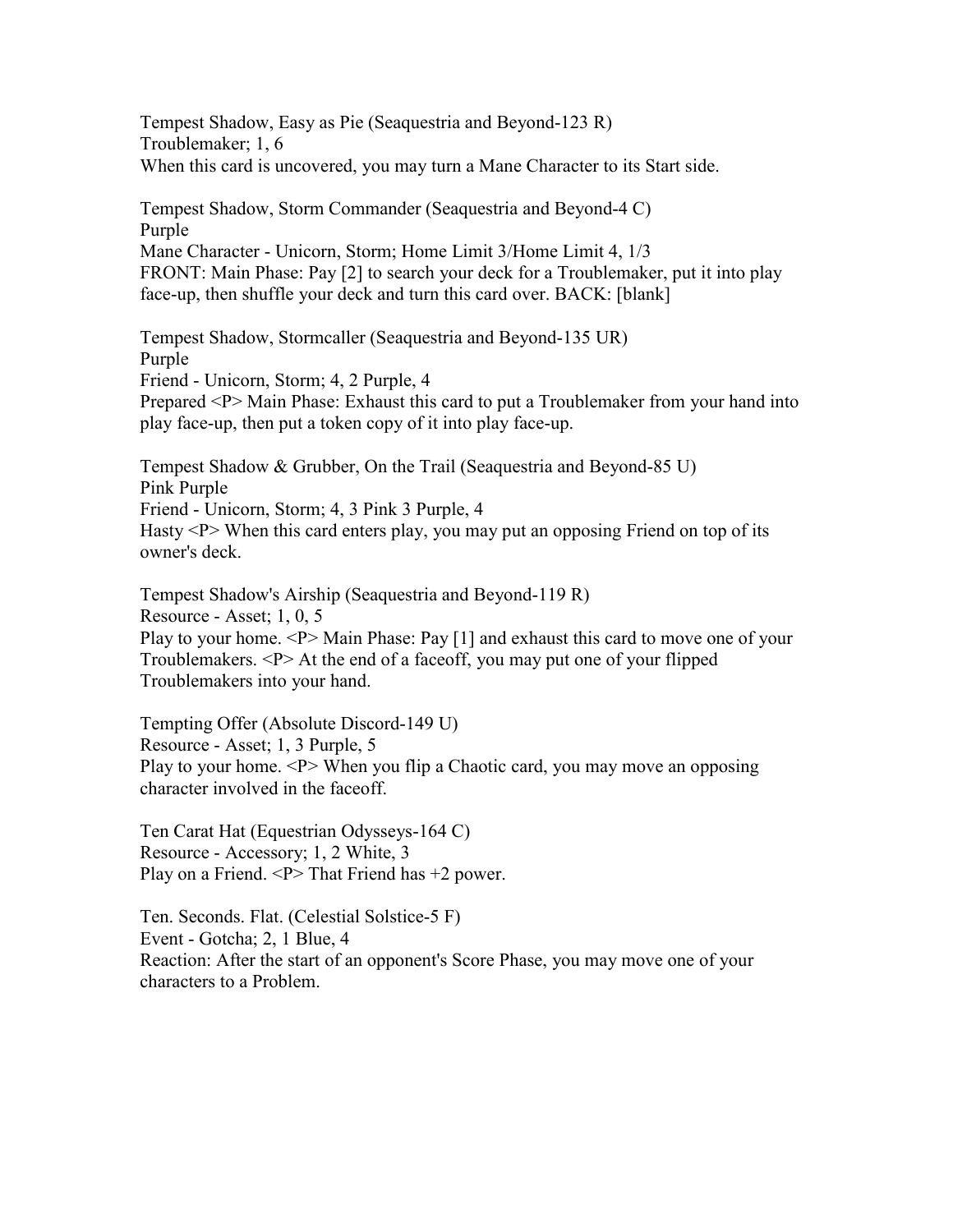Tempest Shadow, Easy as Pie (Seaquestria and Beyond-123 R) Troublemaker; 1, 6 When this card is uncovered, you may turn a Mane Character to its Start side.

Tempest Shadow, Storm Commander (Seaquestria and Beyond-4 C) Purple Mane Character - Unicorn, Storm; Home Limit 3/Home Limit 4, 1/3 FRONT: Main Phase: Pay [2] to search your deck for a Troublemaker, put it into play face-up, then shuffle your deck and turn this card over. BACK: [blank]

Tempest Shadow, Stormcaller (Seaquestria and Beyond-135 UR) Purple Friend - Unicorn, Storm; 4, 2 Purple, 4 Prepared <P> Main Phase: Exhaust this card to put a Troublemaker from your hand into play face-up, then put a token copy of it into play face-up.

Tempest Shadow & Grubber, On the Trail (Seaquestria and Beyond-85 U) Pink Purple Friend - Unicorn, Storm; 4, 3 Pink 3 Purple, 4 Hasty <P> When this card enters play, you may put an opposing Friend on top of its owner's deck.

Tempest Shadow's Airship (Seaquestria and Beyond-119 R) Resource - Asset; 1, 0, 5 Play to your home. <P> Main Phase: Pay [1] and exhaust this card to move one of your Troublemakers. <P> At the end of a faceoff, you may put one of your flipped Troublemakers into your hand.

Tempting Offer (Absolute Discord-149 U) Resource - Asset; 1, 3 Purple, 5 Play to your home.  $\langle P \rangle$  When you flip a Chaotic card, you may move an opposing character involved in the faceoff.

Ten Carat Hat (Equestrian Odysseys-164 C) Resource - Accessory; 1, 2 White, 3 Play on a Friend.  $\langle P \rangle$  That Friend has +2 power.

Ten. Seconds. Flat. (Celestial Solstice-5 F) Event - Gotcha; 2, 1 Blue, 4 Reaction: After the start of an opponent's Score Phase, you may move one of your characters to a Problem.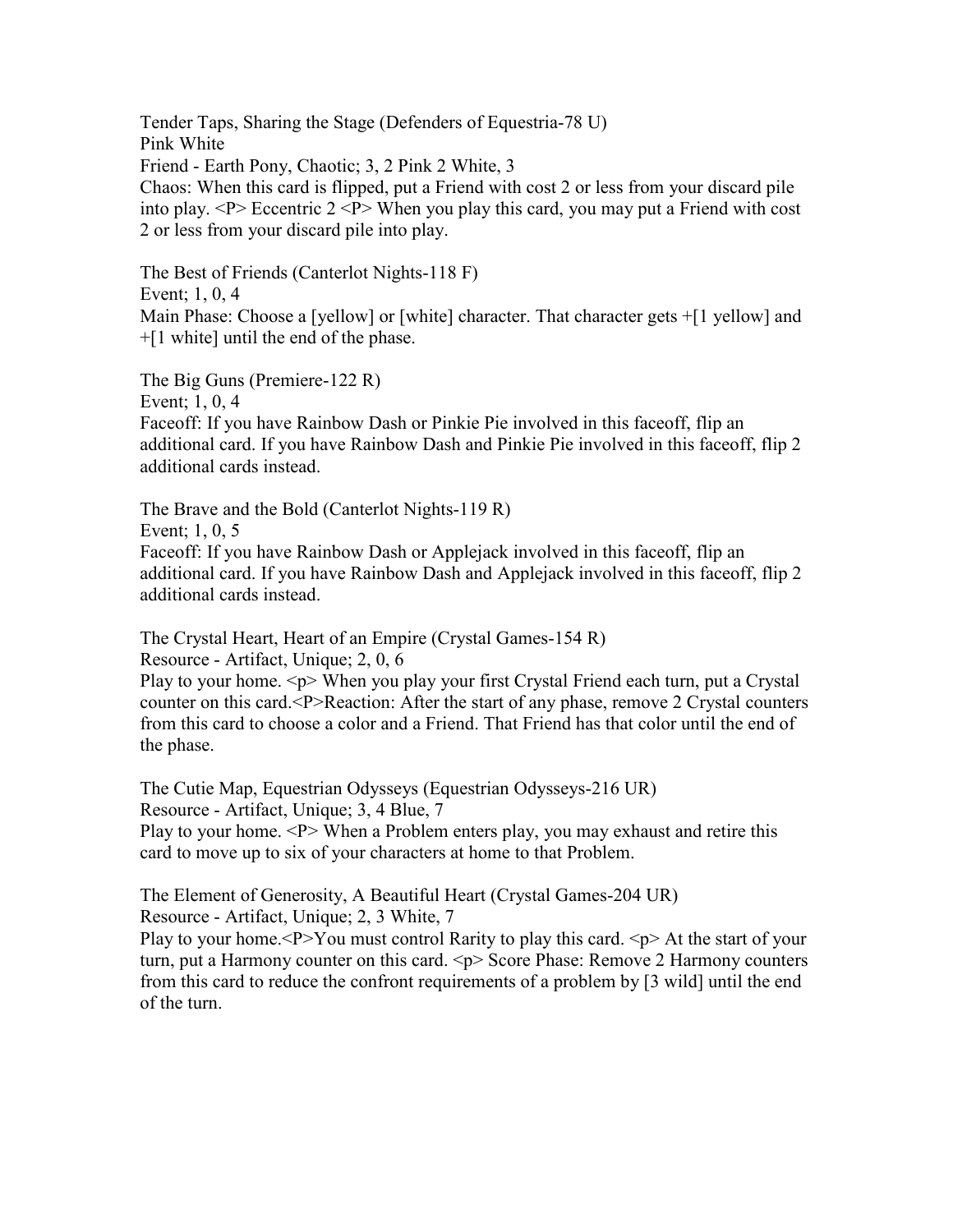Tender Taps, Sharing the Stage (Defenders of Equestria-78 U) Pink White Friend - Earth Pony, Chaotic; 3, 2 Pink 2 White, 3 Chaos: When this card is flipped, put a Friend with cost 2 or less from your discard pile into play.  $\langle P \rangle$  Eccentric 2  $\langle P \rangle$  When you play this card, you may put a Friend with cost 2 or less from your discard pile into play.

The Best of Friends (Canterlot Nights-118 F) Event; 1, 0, 4 Main Phase: Choose a [yellow] or [white] character. That character gets  $+[1 \text{ yellow}]$  and +[1 white] until the end of the phase.

The Big Guns (Premiere-122 R) Event; 1, 0, 4 Faceoff: If you have Rainbow Dash or Pinkie Pie involved in this faceoff, flip an additional card. If you have Rainbow Dash and Pinkie Pie involved in this faceoff, flip 2 additional cards instead.

The Brave and the Bold (Canterlot Nights-119 R) Event; 1, 0, 5 Faceoff: If you have Rainbow Dash or Applejack involved in this faceoff, flip an additional card. If you have Rainbow Dash and Applejack involved in this faceoff, flip 2 additional cards instead.

The Crystal Heart, Heart of an Empire (Crystal Games-154 R) Resource - Artifact, Unique; 2, 0, 6

Play to your home.  $\langle p \rangle$  When you play your first Crystal Friend each turn, put a Crystal counter on this card.<P>Reaction: After the start of any phase, remove 2 Crystal counters from this card to choose a color and a Friend. That Friend has that color until the end of the phase.

The Cutie Map, Equestrian Odysseys (Equestrian Odysseys-216 UR) Resource - Artifact, Unique; 3, 4 Blue, 7 Play to your home. <P> When a Problem enters play, you may exhaust and retire this card to move up to six of your characters at home to that Problem.

The Element of Generosity, A Beautiful Heart (Crystal Games-204 UR) Resource - Artifact, Unique; 2, 3 White, 7

Play to your home.  $P>Y$ ou must control Rarity to play this card.  $\leq_P$  At the start of your turn, put a Harmony counter on this card.  $\langle p \rangle$  Score Phase: Remove 2 Harmony counters from this card to reduce the confront requirements of a problem by [3 wild] until the end of the turn.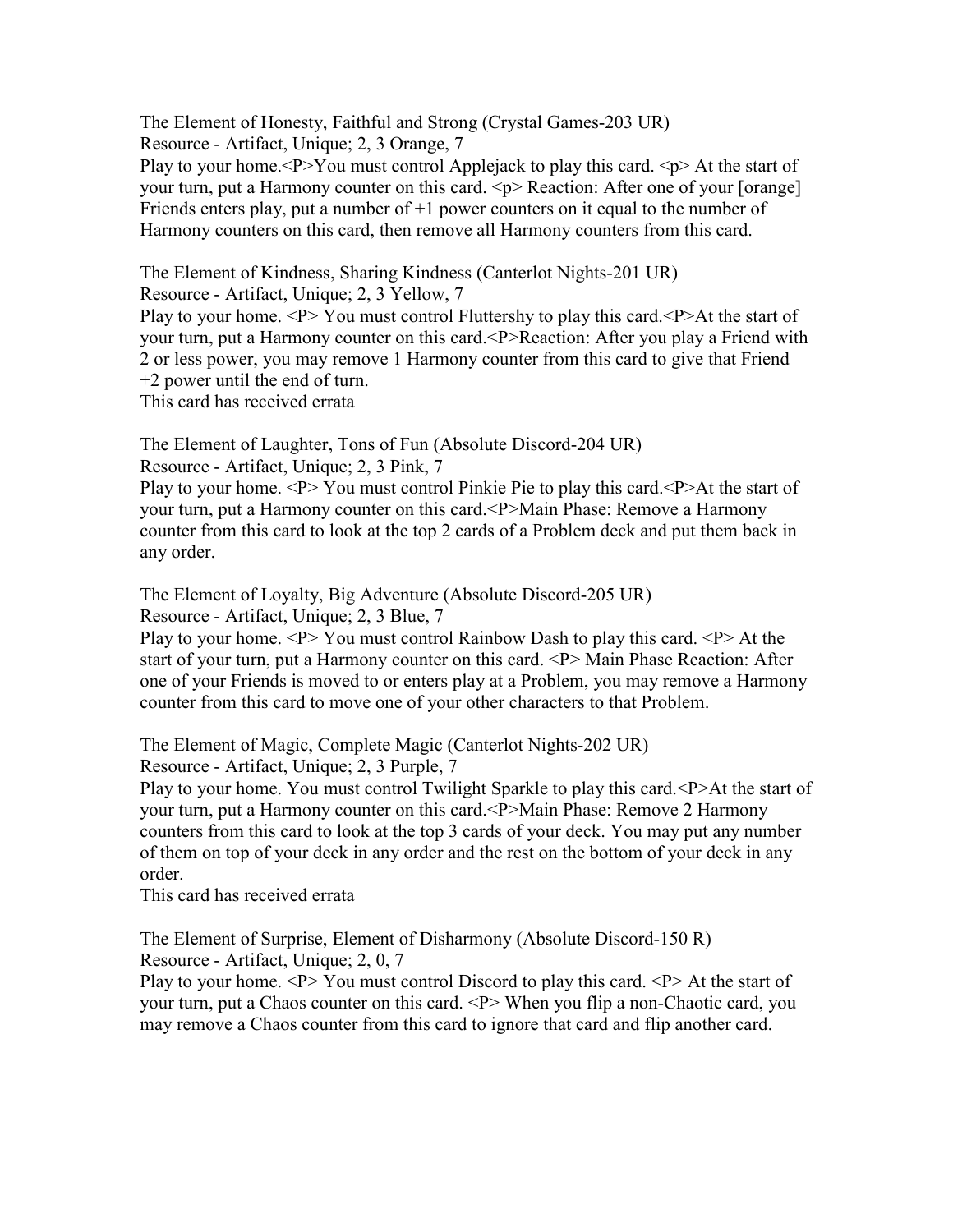The Element of Honesty, Faithful and Strong (Crystal Games-203 UR) Resource - Artifact, Unique; 2, 3 Orange, 7

Play to your home.  $P > You$  must control Applejack to play this card.  $\langle p \rangle$  At the start of your turn, put a Harmony counter on this card.  $\langle p \rangle$  Reaction: After one of your [orange] Friends enters play, put a number of  $+1$  power counters on it equal to the number of Harmony counters on this card, then remove all Harmony counters from this card.

The Element of Kindness, Sharing Kindness (Canterlot Nights-201 UR)

Resource - Artifact, Unique; 2, 3 Yellow, 7

Play to your home. <P> You must control Fluttershy to play this card. <P>At the start of your turn, put a Harmony counter on this card.<P>Reaction: After you play a Friend with 2 or less power, you may remove 1 Harmony counter from this card to give that Friend +2 power until the end of turn.

This card has received errata

The Element of Laughter, Tons of Fun (Absolute Discord-204 UR) Resource - Artifact, Unique; 2, 3 Pink, 7

Play to your home. <P> You must control Pinkie Pie to play this card. <P>At the start of your turn, put a Harmony counter on this card.<P>Main Phase: Remove a Harmony counter from this card to look at the top 2 cards of a Problem deck and put them back in any order.

The Element of Loyalty, Big Adventure (Absolute Discord-205 UR)

Resource - Artifact, Unique; 2, 3 Blue, 7

Play to your home.  $\langle P \rangle$  You must control Rainbow Dash to play this card.  $\langle P \rangle$  At the start of your turn, put a Harmony counter on this card. <P> Main Phase Reaction: After one of your Friends is moved to or enters play at a Problem, you may remove a Harmony counter from this card to move one of your other characters to that Problem.

The Element of Magic, Complete Magic (Canterlot Nights-202 UR)

Resource - Artifact, Unique; 2, 3 Purple, 7

Play to your home. You must control Twilight Sparkle to play this card. <P>At the start of your turn, put a Harmony counter on this card.<P>Main Phase: Remove 2 Harmony counters from this card to look at the top 3 cards of your deck. You may put any number of them on top of your deck in any order and the rest on the bottom of your deck in any order.

This card has received errata

The Element of Surprise, Element of Disharmony (Absolute Discord-150 R) Resource - Artifact, Unique; 2, 0, 7

Play to your home.  $\langle P \rangle$  You must control Discord to play this card.  $\langle P \rangle$  At the start of your turn, put a Chaos counter on this card. <P> When you flip a non-Chaotic card, you may remove a Chaos counter from this card to ignore that card and flip another card.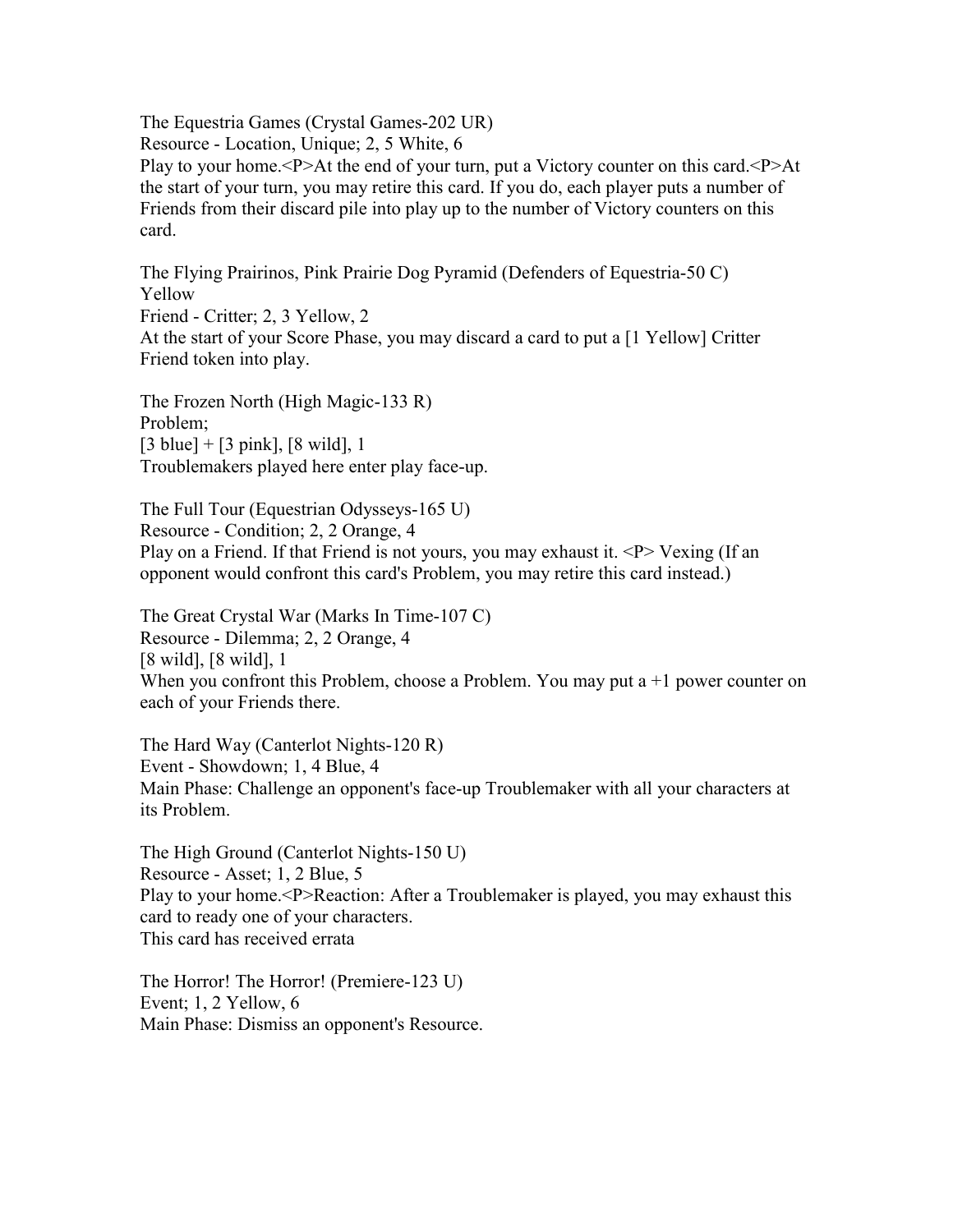The Equestria Games (Crystal Games-202 UR) Resource - Location, Unique; 2, 5 White, 6 Play to your home.<P>At the end of your turn, put a Victory counter on this card.<P>At the start of your turn, you may retire this card. If you do, each player puts a number of Friends from their discard pile into play up to the number of Victory counters on this card.

The Flying Prairinos, Pink Prairie Dog Pyramid (Defenders of Equestria-50 C) Yellow Friend - Critter; 2, 3 Yellow, 2 At the start of your Score Phase, you may discard a card to put a [1 Yellow] Critter Friend token into play.

The Frozen North (High Magic-133 R) Problem;  $[3 \text{ blue}] + [3 \text{ pink}], [8 \text{ wild}], 1$ Troublemakers played here enter play face-up.

The Full Tour (Equestrian Odysseys-165 U) Resource - Condition; 2, 2 Orange, 4 Play on a Friend. If that Friend is not yours, you may exhaust it.  $\langle P \rangle$  Vexing (If an opponent would confront this card's Problem, you may retire this card instead.)

The Great Crystal War (Marks In Time-107 C) Resource - Dilemma; 2, 2 Orange, 4 [8 wild], [8 wild], 1 When you confront this Problem, choose a Problem. You may put a  $+1$  power counter on each of your Friends there.

The Hard Way (Canterlot Nights-120 R) Event - Showdown; 1, 4 Blue, 4 Main Phase: Challenge an opponent's face-up Troublemaker with all your characters at its Problem.

The High Ground (Canterlot Nights-150 U) Resource - Asset; 1, 2 Blue, 5 Play to your home.<P>Reaction: After a Troublemaker is played, you may exhaust this card to ready one of your characters. This card has received errata

The Horror! The Horror! (Premiere-123 U) Event; 1, 2 Yellow, 6 Main Phase: Dismiss an opponent's Resource.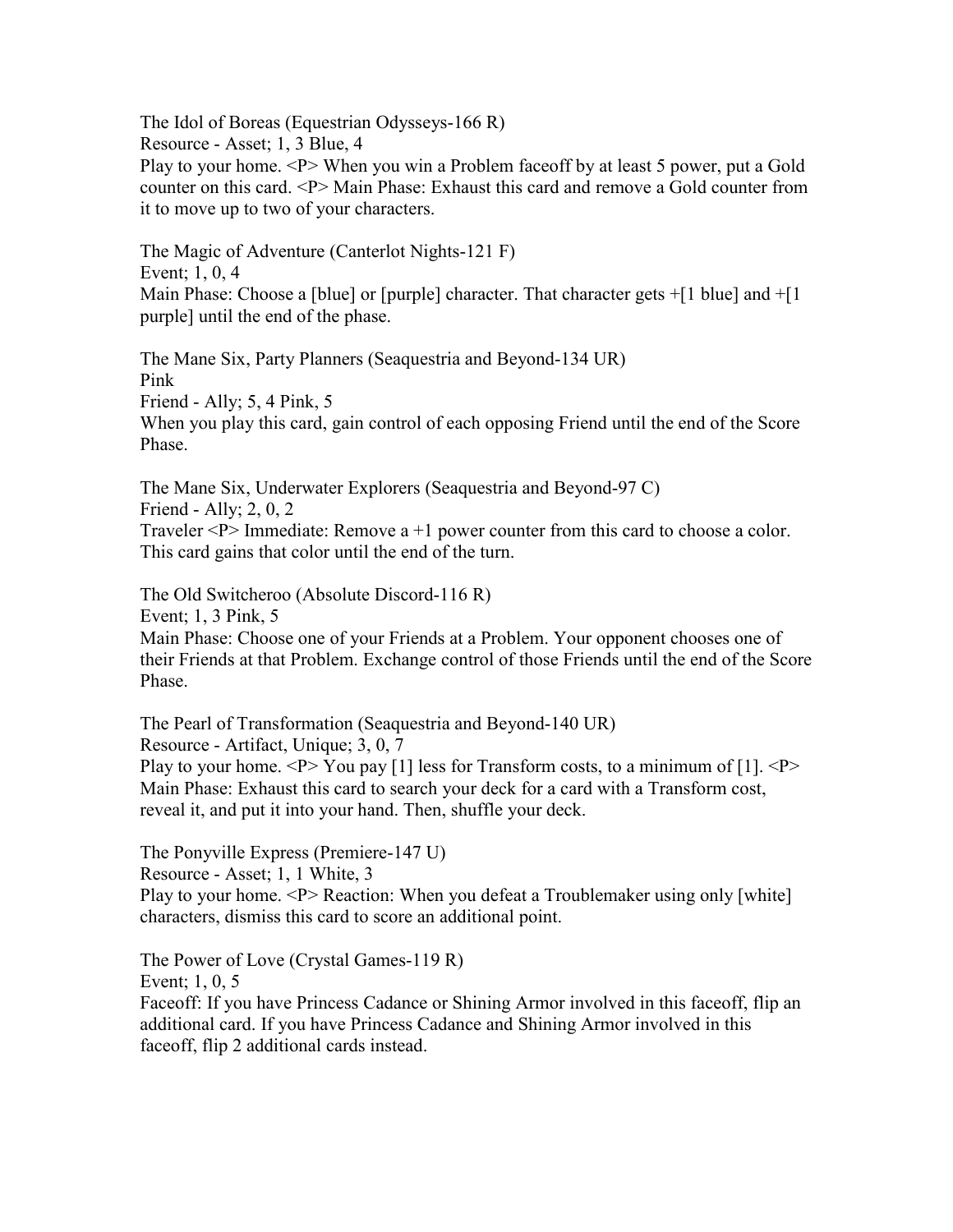The Idol of Boreas (Equestrian Odysseys-166 R) Resource - Asset; 1, 3 Blue, 4 Play to your home. <P> When you win a Problem faceoff by at least 5 power, put a Gold counter on this card. <P> Main Phase: Exhaust this card and remove a Gold counter from it to move up to two of your characters.

The Magic of Adventure (Canterlot Nights-121 F) Event; 1, 0, 4 Main Phase: Choose a [blue] or [purple] character. That character gets +[1 blue] and +[1 purple] until the end of the phase.

The Mane Six, Party Planners (Seaquestria and Beyond-134 UR) Pink Friend - Ally; 5, 4 Pink, 5 When you play this card, gain control of each opposing Friend until the end of the Score Phase.

The Mane Six, Underwater Explorers (Seaquestria and Beyond-97 C) Friend - Ally; 2, 0, 2 Traveler  $\langle P \rangle$  Immediate: Remove a +1 power counter from this card to choose a color. This card gains that color until the end of the turn.

The Old Switcheroo (Absolute Discord-116 R) Event; 1, 3 Pink, 5 Main Phase: Choose one of your Friends at a Problem. Your opponent chooses one of their Friends at that Problem. Exchange control of those Friends until the end of the Score Phase.

The Pearl of Transformation (Seaquestria and Beyond-140 UR) Resource - Artifact, Unique; 3, 0, 7 Play to your home.  $\langle P \rangle$  You pay [1] less for Transform costs, to a minimum of [1].  $\langle P \rangle$ Main Phase: Exhaust this card to search your deck for a card with a Transform cost, reveal it, and put it into your hand. Then, shuffle your deck.

The Ponyville Express (Premiere-147 U) Resource - Asset; 1, 1 White, 3 Play to your home. <P> Reaction: When you defeat a Troublemaker using only [white] characters, dismiss this card to score an additional point.

The Power of Love (Crystal Games-119 R) Event; 1, 0, 5 Faceoff: If you have Princess Cadance or Shining Armor involved in this faceoff, flip an additional card. If you have Princess Cadance and Shining Armor involved in this faceoff, flip 2 additional cards instead.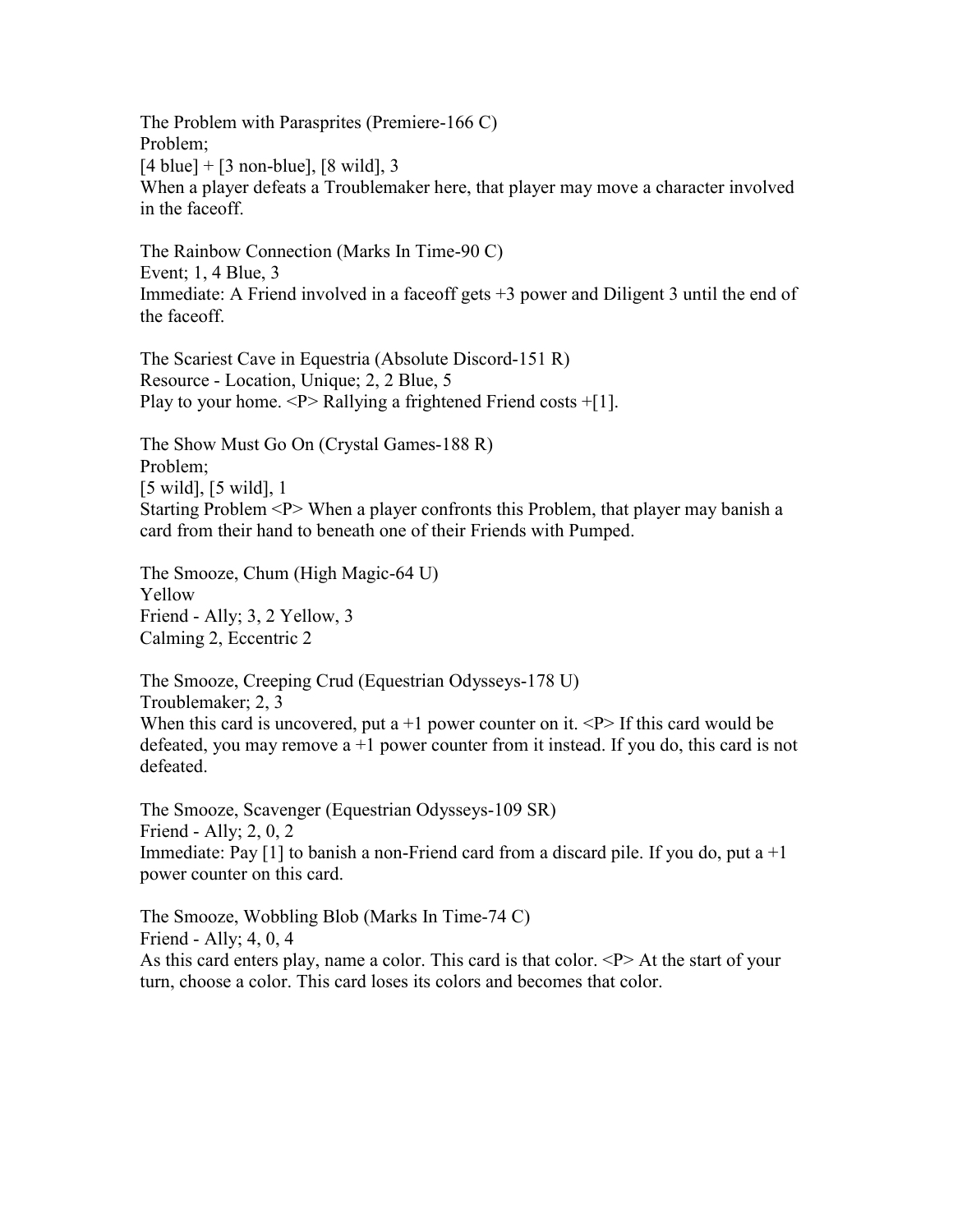The Problem with Parasprites (Premiere-166 C) Problem;  $[4 \text{ blue}] + [3 \text{ non-blue}], [8 \text{ wild}], 3$ When a player defeats a Troublemaker here, that player may move a character involved in the faceoff.

The Rainbow Connection (Marks In Time-90 C) Event; 1, 4 Blue, 3 Immediate: A Friend involved in a faceoff gets +3 power and Diligent 3 until the end of the faceoff.

The Scariest Cave in Equestria (Absolute Discord-151 R) Resource - Location, Unique; 2, 2 Blue, 5 Play to your home.  $\langle P \rangle$  Rallying a frightened Friend costs +[1].

The Show Must Go On (Crystal Games-188 R) Problem; [5 wild], [5 wild], 1 Starting Problem <P> When a player confronts this Problem, that player may banish a card from their hand to beneath one of their Friends with Pumped.

The Smooze, Chum (High Magic-64 U) Yellow Friend - Ally; 3, 2 Yellow, 3 Calming 2, Eccentric 2

The Smooze, Creeping Crud (Equestrian Odysseys-178 U) Troublemaker; 2, 3 When this card is uncovered, put a  $+1$  power counter on it.  $\langle P \rangle$  If this card would be defeated, you may remove  $a + 1$  power counter from it instead. If you do, this card is not defeated.

The Smooze, Scavenger (Equestrian Odysseys-109 SR) Friend - Ally; 2, 0, 2 Immediate: Pay  $[1]$  to banish a non-Friend card from a discard pile. If you do, put a  $+1$ power counter on this card.

The Smooze, Wobbling Blob (Marks In Time-74 C) Friend - Ally; 4, 0, 4 As this card enters play, name a color. This card is that color.  $\langle P \rangle$  At the start of your turn, choose a color. This card loses its colors and becomes that color.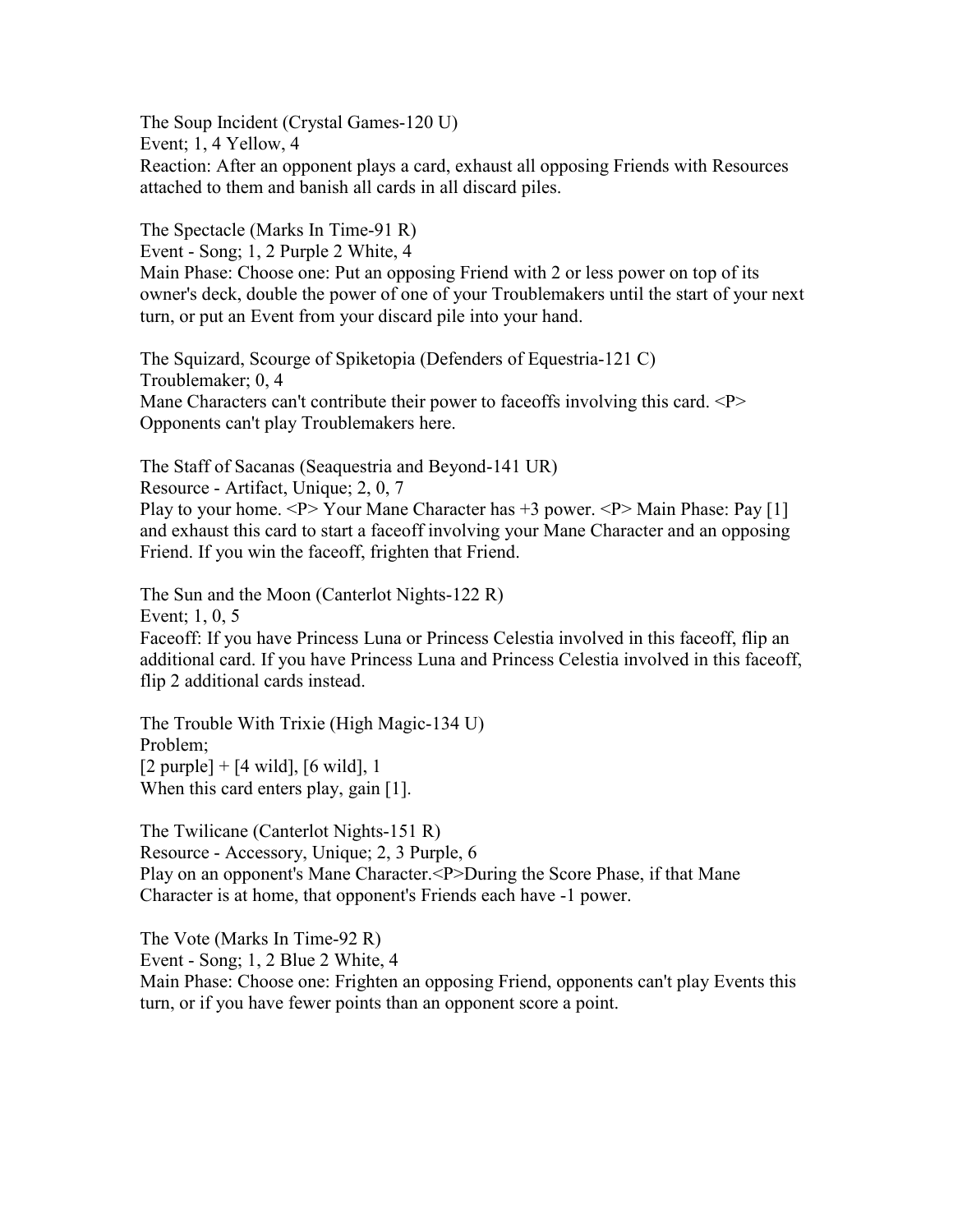The Soup Incident (Crystal Games-120 U) Event; 1, 4 Yellow, 4 Reaction: After an opponent plays a card, exhaust all opposing Friends with Resources attached to them and banish all cards in all discard piles.

The Spectacle (Marks In Time-91 R) Event - Song; 1, 2 Purple 2 White, 4 Main Phase: Choose one: Put an opposing Friend with 2 or less power on top of its owner's deck, double the power of one of your Troublemakers until the start of your next turn, or put an Event from your discard pile into your hand.

The Squizard, Scourge of Spiketopia (Defenders of Equestria-121 C) Troublemaker; 0, 4 Mane Characters can't contribute their power to faceoffs involving this card. <P> Opponents can't play Troublemakers here.

The Staff of Sacanas (Seaquestria and Beyond-141 UR) Resource - Artifact, Unique; 2, 0, 7

Play to your home.  $\langle P \rangle$  Your Mane Character has  $+3$  power.  $\langle P \rangle$  Main Phase: Pay [1] and exhaust this card to start a faceoff involving your Mane Character and an opposing Friend. If you win the faceoff, frighten that Friend.

The Sun and the Moon (Canterlot Nights-122 R) Event; 1, 0, 5 Faceoff: If you have Princess Luna or Princess Celestia involved in this faceoff, flip an additional card. If you have Princess Luna and Princess Celestia involved in this faceoff, flip 2 additional cards instead.

The Trouble With Trixie (High Magic-134 U) Problem;  $[2 \text{ purple}] + [4 \text{ wild}], [6 \text{ wild}], 1$ When this card enters play, gain [1].

The Twilicane (Canterlot Nights-151 R) Resource - Accessory, Unique; 2, 3 Purple, 6 Play on an opponent's Mane Character.<P>During the Score Phase, if that Mane Character is at home, that opponent's Friends each have -1 power.

The Vote (Marks In Time-92 R) Event - Song; 1, 2 Blue 2 White, 4 Main Phase: Choose one: Frighten an opposing Friend, opponents can't play Events this turn, or if you have fewer points than an opponent score a point.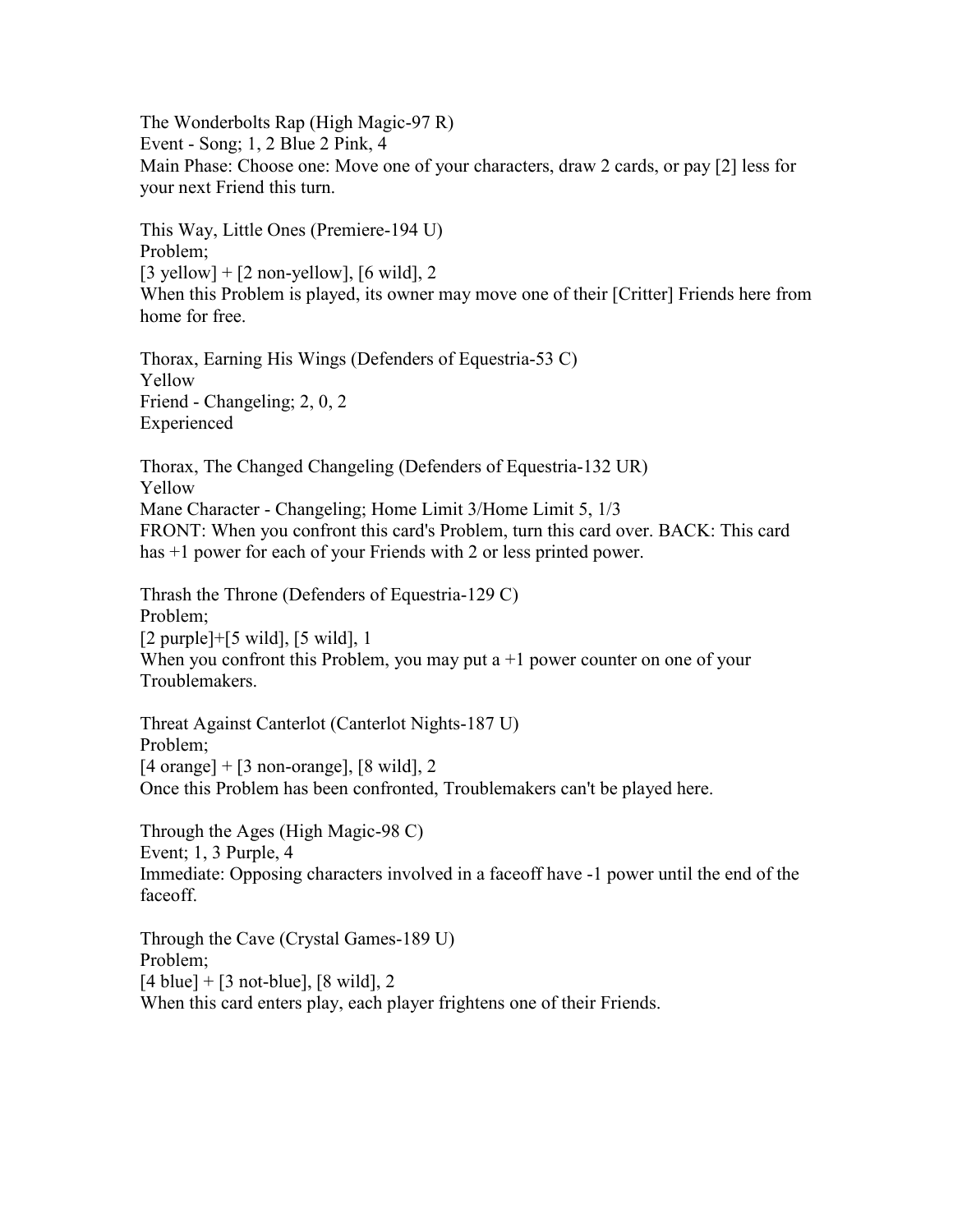The Wonderbolts Rap (High Magic-97 R) Event - Song; 1, 2 Blue 2 Pink, 4 Main Phase: Choose one: Move one of your characters, draw 2 cards, or pay [2] less for your next Friend this turn.

This Way, Little Ones (Premiere-194 U) Problem;  $[3 \text{ yellow}] + [2 \text{ non-yellow}], [6 \text{ wild}], 2$ When this Problem is played, its owner may move one of their [Critter] Friends here from home for free.

Thorax, Earning His Wings (Defenders of Equestria-53 C) Yellow Friend - Changeling; 2, 0, 2 Experienced

Thorax, The Changed Changeling (Defenders of Equestria-132 UR) Yellow Mane Character - Changeling; Home Limit 3/Home Limit 5, 1/3 FRONT: When you confront this card's Problem, turn this card over. BACK: This card has  $+1$  power for each of your Friends with 2 or less printed power.

Thrash the Throne (Defenders of Equestria-129 C) Problem; [2 purple]+[5 wild], [5 wild], 1 When you confront this Problem, you may put  $a + 1$  power counter on one of your Troublemakers.

Threat Against Canterlot (Canterlot Nights-187 U) Problem;  $[4 \text{ orange}] + [3 \text{ non-orange}], [8 \text{ wild}], 2$ Once this Problem has been confronted, Troublemakers can't be played here.

Through the Ages (High Magic-98 C) Event; 1, 3 Purple, 4 Immediate: Opposing characters involved in a faceoff have -1 power until the end of the faceoff.

Through the Cave (Crystal Games-189 U) Problem;  $[4 \text{ blue}] + [3 \text{ not-blue}], [8 \text{ wild}], 2$ When this card enters play, each player frightens one of their Friends.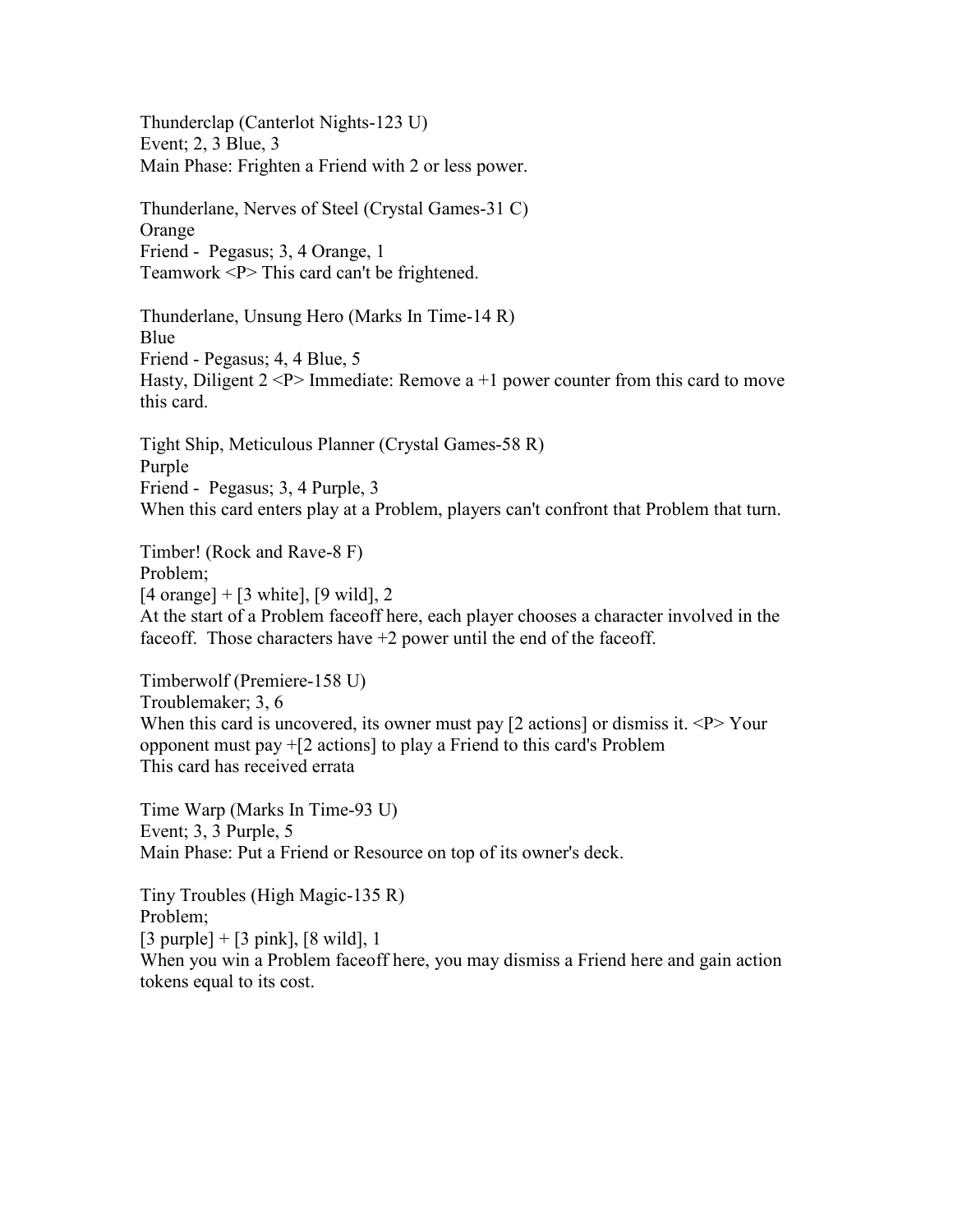Thunderclap (Canterlot Nights-123 U) Event; 2, 3 Blue, 3 Main Phase: Frighten a Friend with 2 or less power.

Thunderlane, Nerves of Steel (Crystal Games-31 C) Orange Friend - Pegasus; 3, 4 Orange, 1 Teamwork <P> This card can't be frightened.

Thunderlane, Unsung Hero (Marks In Time-14 R) Blue Friend - Pegasus; 4, 4 Blue, 5 Hasty, Diligent  $2 < P$  Immediate: Remove a +1 power counter from this card to move this card.

Tight Ship, Meticulous Planner (Crystal Games-58 R) Purple Friend - Pegasus; 3, 4 Purple, 3 When this card enters play at a Problem, players can't confront that Problem that turn.

Timber! (Rock and Rave-8 F)

Problem;

 $[4 \text{ orange}] + [3 \text{ white}], [9 \text{ wild}], 2$ 

At the start of a Problem faceoff here, each player chooses a character involved in the faceoff. Those characters have  $+2$  power until the end of the faceoff.

Timberwolf (Premiere-158 U) Troublemaker; 3, 6 When this card is uncovered, its owner must pay  $[2 \text{ actions}]$  or dismiss it.  $\langle P \rangle$  Your opponent must pay +[2 actions] to play a Friend to this card's Problem This card has received errata

Time Warp (Marks In Time-93 U) Event; 3, 3 Purple, 5 Main Phase: Put a Friend or Resource on top of its owner's deck.

Tiny Troubles (High Magic-135 R) Problem;  $[3 \text{ purple}] + [3 \text{ pink}], [8 \text{ wild}], 1$ When you win a Problem faceoff here, you may dismiss a Friend here and gain action tokens equal to its cost.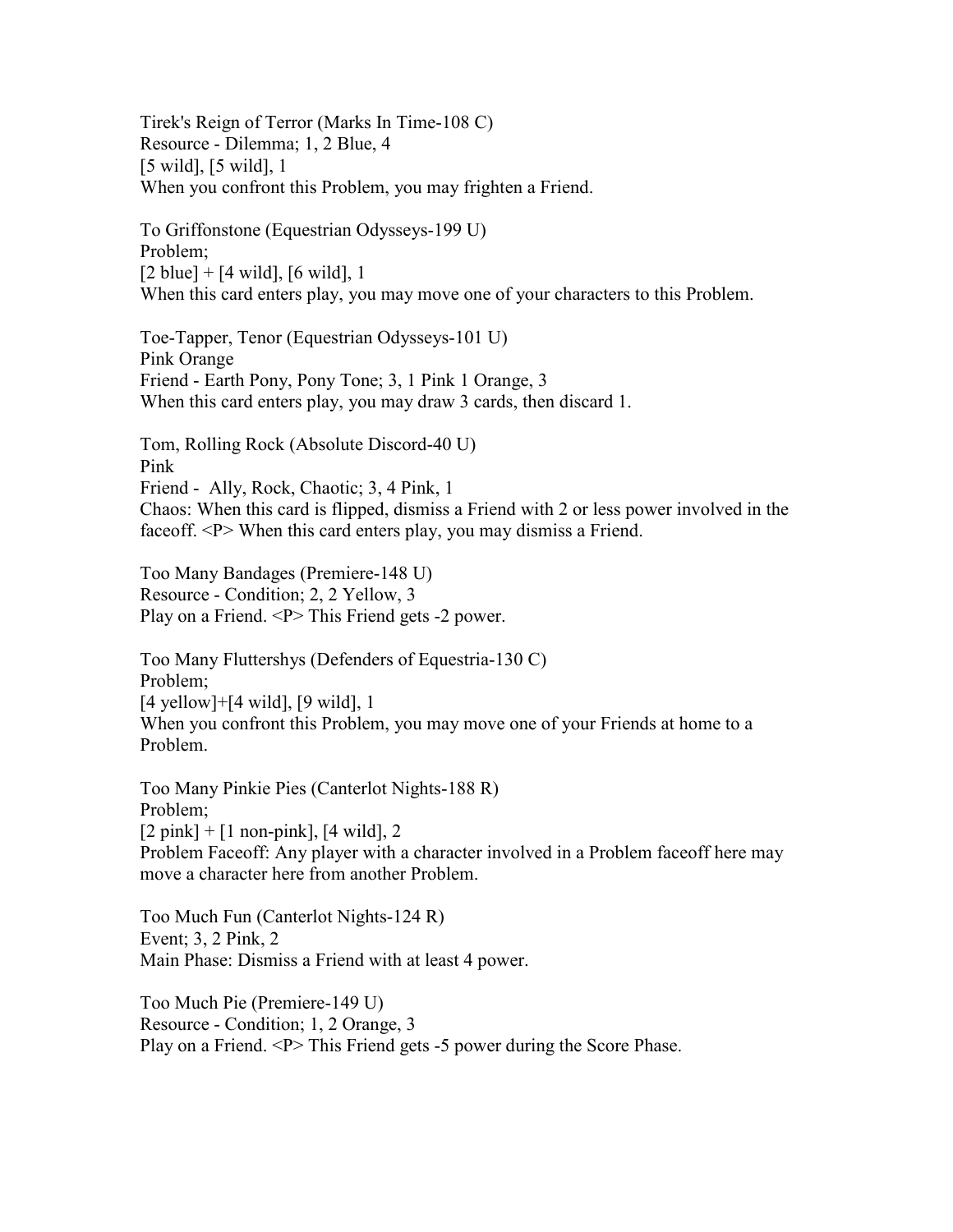Tirek's Reign of Terror (Marks In Time-108 C) Resource - Dilemma; 1, 2 Blue, 4 [5 wild], [5 wild], 1 When you confront this Problem, you may frighten a Friend.

To Griffonstone (Equestrian Odysseys-199 U) Problem;  $[2 \text{ blue}] + [4 \text{ wild}], [6 \text{ wild}], 1$ When this card enters play, you may move one of your characters to this Problem.

Toe-Tapper, Tenor (Equestrian Odysseys-101 U) Pink Orange Friend - Earth Pony, Pony Tone; 3, 1 Pink 1 Orange, 3 When this card enters play, you may draw 3 cards, then discard 1.

Tom, Rolling Rock (Absolute Discord-40 U) Pink Friend - Ally, Rock, Chaotic; 3, 4 Pink, 1 Chaos: When this card is flipped, dismiss a Friend with 2 or less power involved in the faceoff. <P> When this card enters play, you may dismiss a Friend.

Too Many Bandages (Premiere-148 U) Resource - Condition; 2, 2 Yellow, 3 Play on a Friend. <P> This Friend gets -2 power.

Too Many Fluttershys (Defenders of Equestria-130 C) Problem; [4 yellow]+[4 wild], [9 wild], 1 When you confront this Problem, you may move one of your Friends at home to a Problem.

Too Many Pinkie Pies (Canterlot Nights-188 R) Problem;  $[2 \text{ pink}] + [1 \text{ non-pink}], [4 \text{ wild}], 2$ Problem Faceoff: Any player with a character involved in a Problem faceoff here may move a character here from another Problem.

Too Much Fun (Canterlot Nights-124 R) Event; 3, 2 Pink, 2 Main Phase: Dismiss a Friend with at least 4 power.

Too Much Pie (Premiere-149 U) Resource - Condition; 1, 2 Orange, 3 Play on a Friend. <P> This Friend gets -5 power during the Score Phase.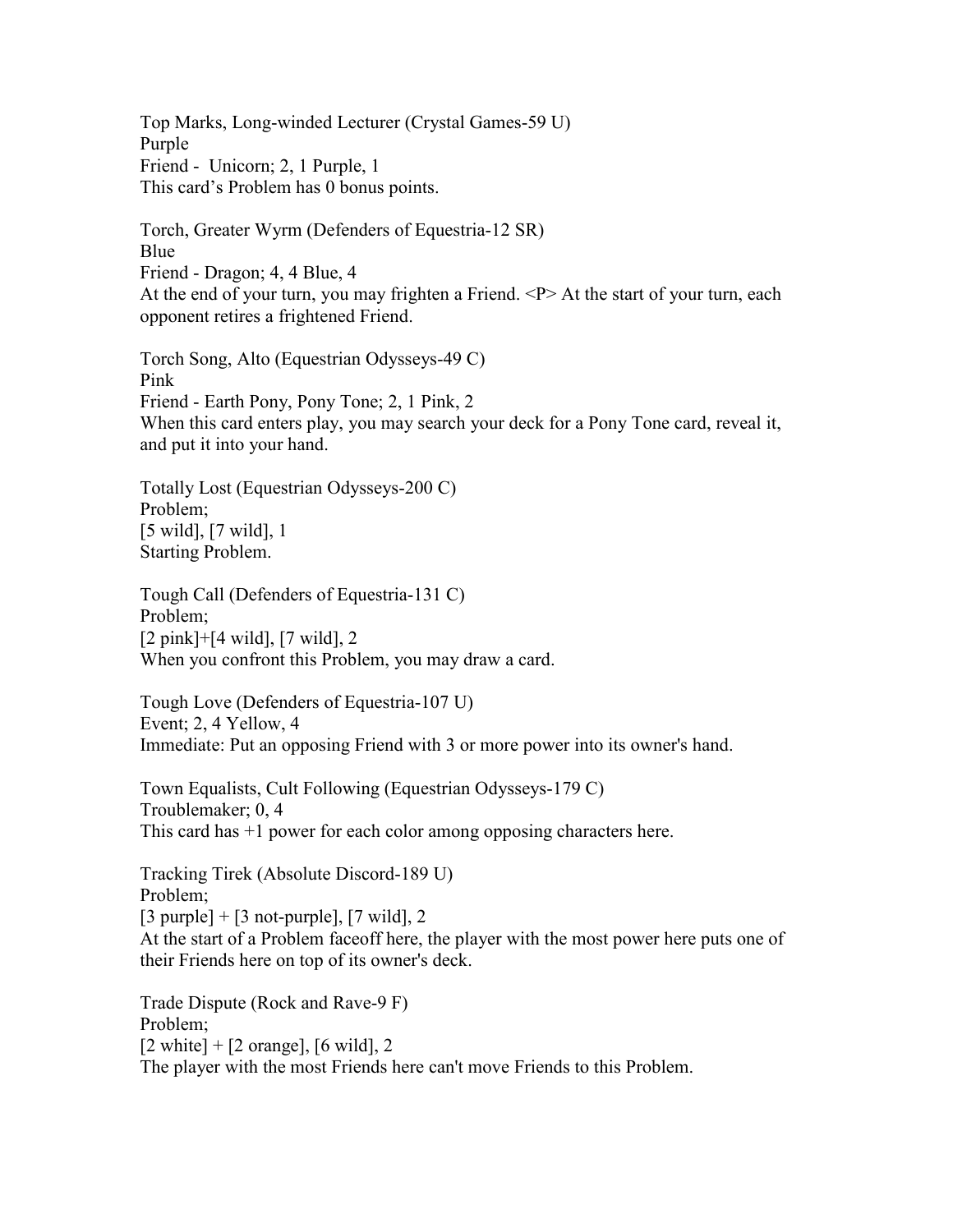Top Marks, Long-winded Lecturer (Crystal Games-59 U) Purple Friend - Unicorn; 2, 1 Purple, 1 This card's Problem has 0 bonus points.

Torch, Greater Wyrm (Defenders of Equestria-12 SR) Blue Friend - Dragon; 4, 4 Blue, 4 At the end of your turn, you may frighten a Friend. <P> At the start of your turn, each opponent retires a frightened Friend.

Torch Song, Alto (Equestrian Odysseys-49 C) Pink Friend - Earth Pony, Pony Tone; 2, 1 Pink, 2 When this card enters play, you may search your deck for a Pony Tone card, reveal it, and put it into your hand.

Totally Lost (Equestrian Odysseys-200 C) Problem; [5 wild], [7 wild], 1 Starting Problem.

Tough Call (Defenders of Equestria-131 C) Problem; [2 pink]+[4 wild], [7 wild], 2 When you confront this Problem, you may draw a card.

Tough Love (Defenders of Equestria-107 U) Event; 2, 4 Yellow, 4 Immediate: Put an opposing Friend with 3 or more power into its owner's hand.

Town Equalists, Cult Following (Equestrian Odysseys-179 C) Troublemaker; 0, 4 This card has +1 power for each color among opposing characters here.

Tracking Tirek (Absolute Discord-189 U) Problem;  $[3$  purple] +  $[3$  not-purple],  $[7 \text{ wild}]$ , 2 At the start of a Problem faceoff here, the player with the most power here puts one of their Friends here on top of its owner's deck.

Trade Dispute (Rock and Rave-9 F) Problem;  $[2 \text{ white}] + [2 \text{ orange}], [6 \text{ wild}], 2$ The player with the most Friends here can't move Friends to this Problem.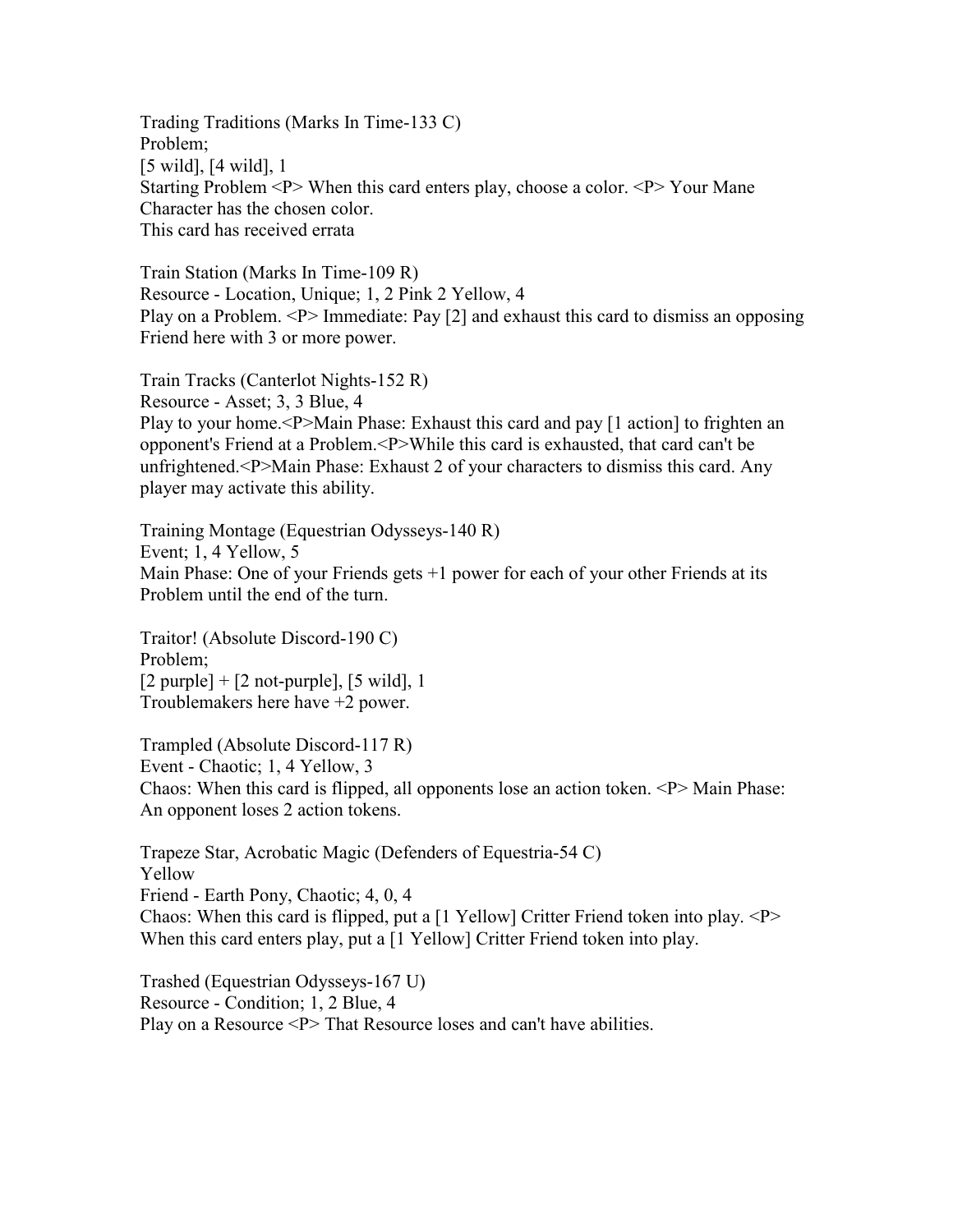Trading Traditions (Marks In Time-133 C) Problem; [5 wild], [4 wild], 1 Starting Problem <P> When this card enters play, choose a color. <P> Your Mane Character has the chosen color. This card has received errata

Train Station (Marks In Time-109 R) Resource - Location, Unique; 1, 2 Pink 2 Yellow, 4 Play on a Problem. <P> Immediate: Pay [2] and exhaust this card to dismiss an opposing Friend here with 3 or more power.

Train Tracks (Canterlot Nights-152 R) Resource - Asset; 3, 3 Blue, 4 Play to your home.<P>Main Phase: Exhaust this card and pay [1 action] to frighten an opponent's Friend at a Problem.<P>While this card is exhausted, that card can't be unfrightened.<P>Main Phase: Exhaust 2 of your characters to dismiss this card. Any player may activate this ability.

Training Montage (Equestrian Odysseys-140 R) Event; 1, 4 Yellow, 5 Main Phase: One of your Friends gets +1 power for each of your other Friends at its Problem until the end of the turn.

Traitor! (Absolute Discord-190 C) Problem;  $[2$  purple] +  $[2$  not-purple],  $[5 \text{ wild}]$ , 1 Troublemakers here have +2 power.

Trampled (Absolute Discord-117 R) Event - Chaotic; 1, 4 Yellow, 3 Chaos: When this card is flipped, all opponents lose an action token. <P> Main Phase: An opponent loses 2 action tokens.

Trapeze Star, Acrobatic Magic (Defenders of Equestria-54 C) Yellow Friend - Earth Pony, Chaotic; 4, 0, 4 Chaos: When this card is flipped, put a  $[1 \text{ Yellow}]$  Critter Friend token into play.  $\langle P \rangle$ When this card enters play, put a [1 Yellow] Critter Friend token into play.

Trashed (Equestrian Odysseys-167 U) Resource - Condition; 1, 2 Blue, 4 Play on a Resource <P> That Resource loses and can't have abilities.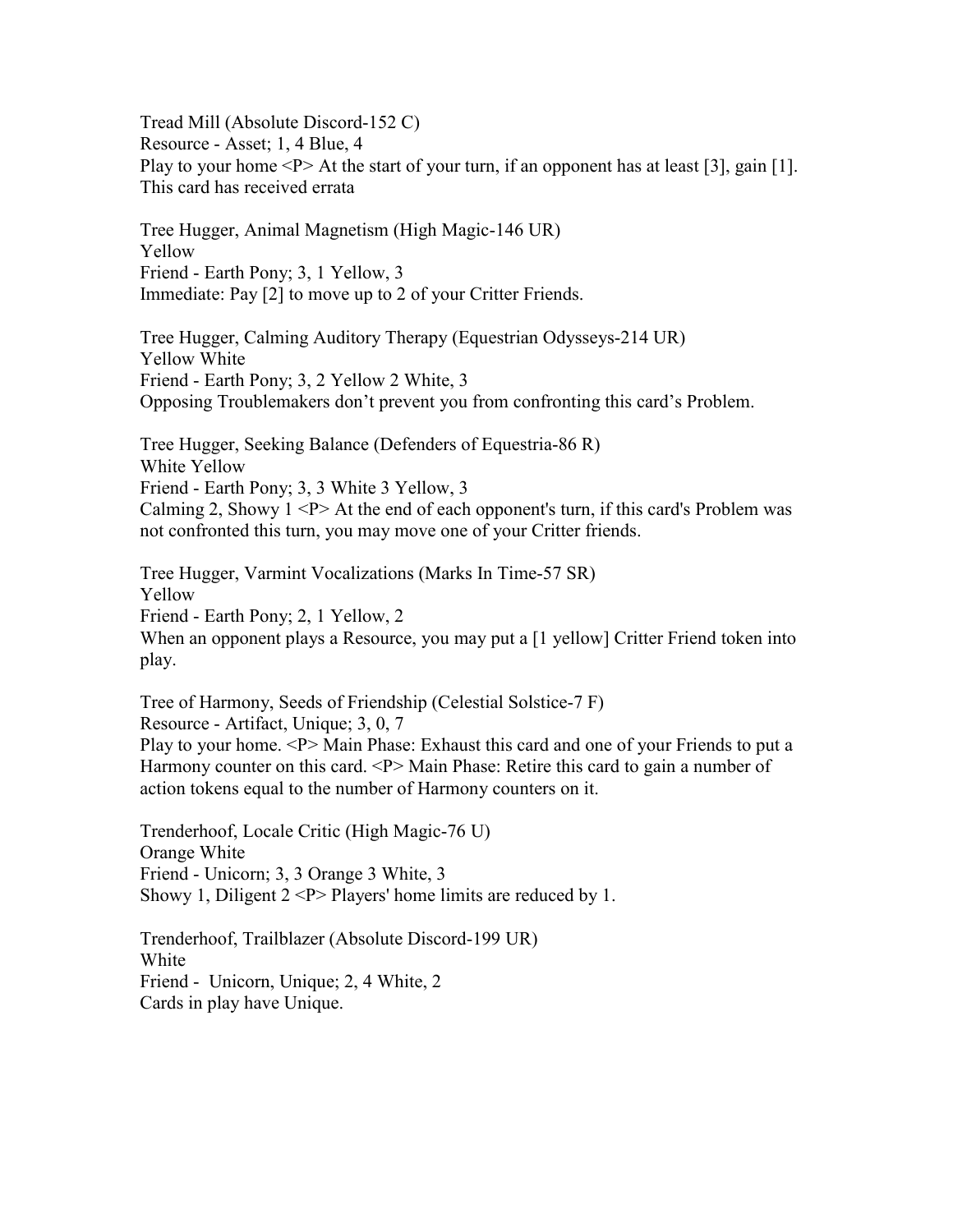Tread Mill (Absolute Discord-152 C) Resource - Asset; 1, 4 Blue, 4 Play to your home  $\langle P \rangle$  At the start of your turn, if an opponent has at least [3], gain [1]. This card has received errata

Tree Hugger, Animal Magnetism (High Magic-146 UR) Yellow Friend - Earth Pony; 3, 1 Yellow, 3 Immediate: Pay [2] to move up to 2 of your Critter Friends.

Tree Hugger, Calming Auditory Therapy (Equestrian Odysseys-214 UR) Yellow White Friend - Earth Pony; 3, 2 Yellow 2 White, 3 Opposing Troublemakers don't prevent you from confronting this card's Problem.

Tree Hugger, Seeking Balance (Defenders of Equestria-86 R) White Yellow Friend - Earth Pony; 3, 3 White 3 Yellow, 3 Calming 2, Showy  $1 \le P$  > At the end of each opponent's turn, if this card's Problem was not confronted this turn, you may move one of your Critter friends.

Tree Hugger, Varmint Vocalizations (Marks In Time-57 SR) Yellow Friend - Earth Pony; 2, 1 Yellow, 2 When an opponent plays a Resource, you may put a [1 yellow] Critter Friend token into play.

Tree of Harmony, Seeds of Friendship (Celestial Solstice-7 F) Resource - Artifact, Unique; 3, 0, 7 Play to your home. <P> Main Phase: Exhaust this card and one of your Friends to put a Harmony counter on this card. <P> Main Phase: Retire this card to gain a number of action tokens equal to the number of Harmony counters on it.

Trenderhoof, Locale Critic (High Magic-76 U) Orange White Friend - Unicorn; 3, 3 Orange 3 White, 3 Showy 1, Diligent  $2 < P$  Players' home limits are reduced by 1.

Trenderhoof, Trailblazer (Absolute Discord-199 UR) White Friend - Unicorn, Unique; 2, 4 White, 2 Cards in play have Unique.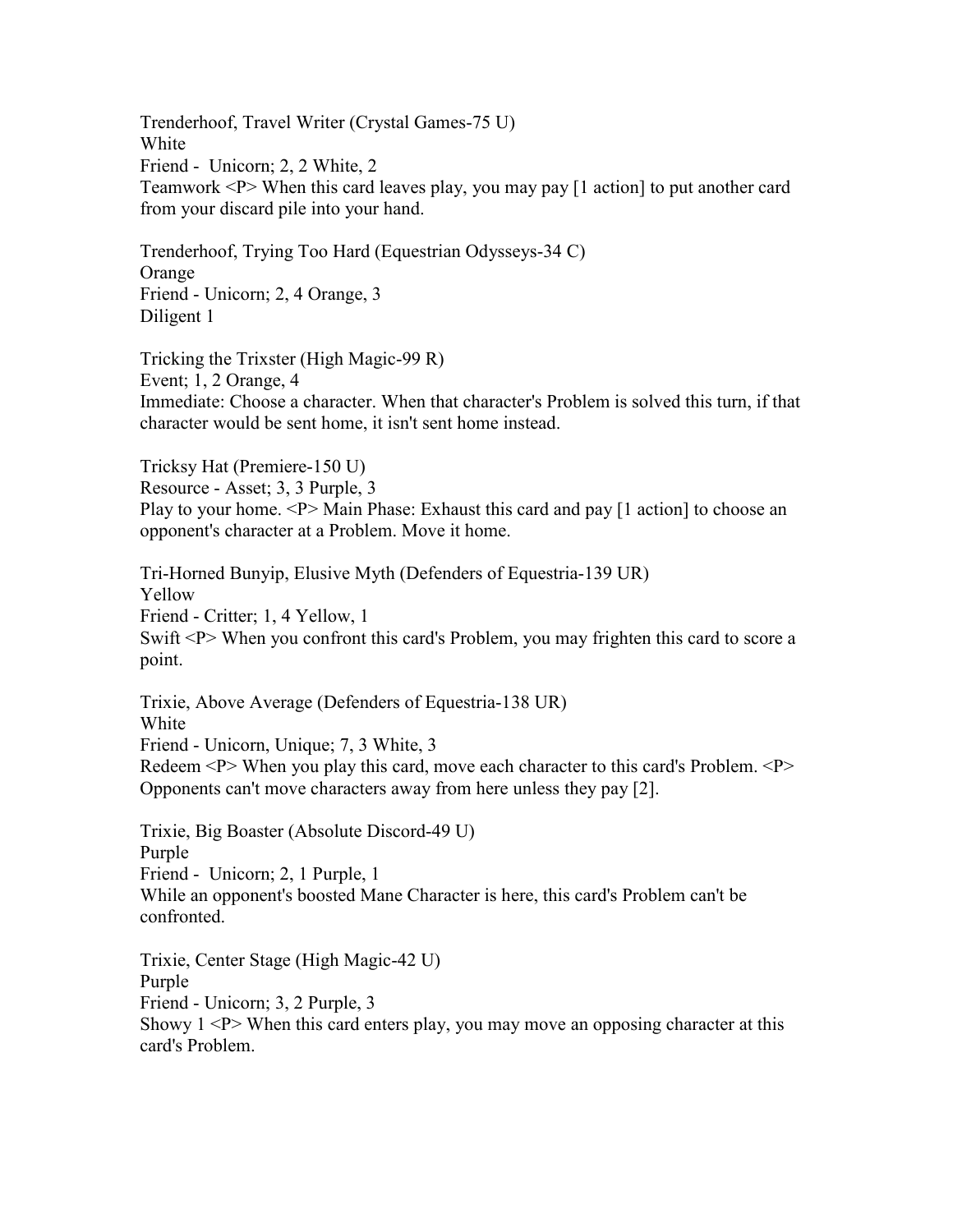Trenderhoof, Travel Writer (Crystal Games-75 U) White Friend - Unicorn; 2, 2 White, 2 Teamwork <P> When this card leaves play, you may pay [1 action] to put another card from your discard pile into your hand.

Trenderhoof, Trying Too Hard (Equestrian Odysseys-34 C) Orange Friend - Unicorn; 2, 4 Orange, 3 Diligent 1

Tricking the Trixster (High Magic-99 R) Event; 1, 2 Orange, 4 Immediate: Choose a character. When that character's Problem is solved this turn, if that character would be sent home, it isn't sent home instead.

Tricksy Hat (Premiere-150 U) Resource - Asset; 3, 3 Purple, 3 Play to your home. <P> Main Phase: Exhaust this card and pay [1 action] to choose an opponent's character at a Problem. Move it home.

Tri-Horned Bunyip, Elusive Myth (Defenders of Equestria-139 UR) Yellow Friend - Critter; 1, 4 Yellow, 1 Swift <P> When you confront this card's Problem, you may frighten this card to score a point.

Trixie, Above Average (Defenders of Equestria-138 UR) White Friend - Unicorn, Unique; 7, 3 White, 3 Redeem <P> When you play this card, move each character to this card's Problem. <P> Opponents can't move characters away from here unless they pay [2].

Trixie, Big Boaster (Absolute Discord-49 U) Purple Friend - Unicorn; 2, 1 Purple, 1 While an opponent's boosted Mane Character is here, this card's Problem can't be confronted.

Trixie, Center Stage (High Magic-42 U) Purple Friend - Unicorn; 3, 2 Purple, 3 Showy  $1 < P$  When this card enters play, you may move an opposing character at this card's Problem.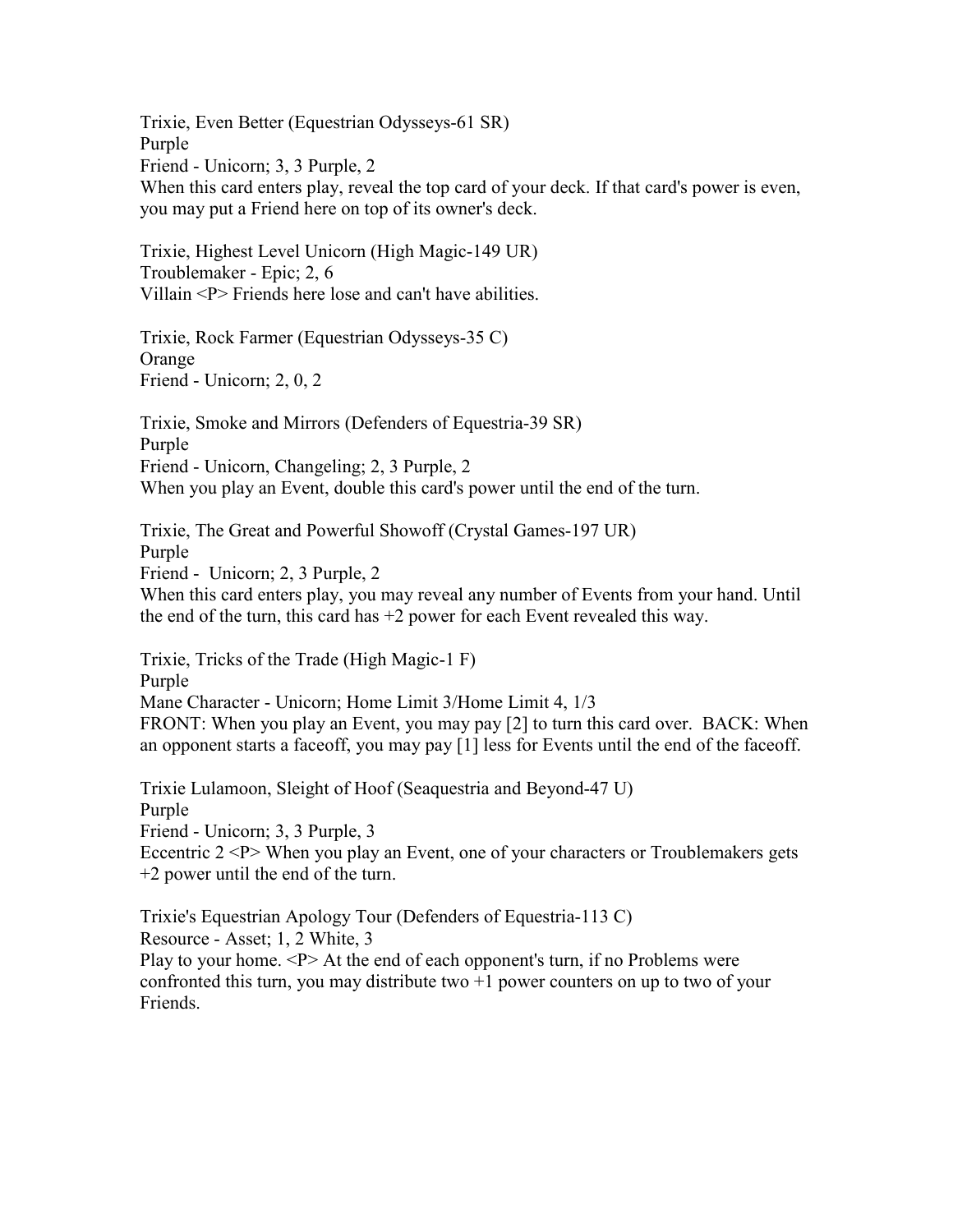Trixie, Even Better (Equestrian Odysseys-61 SR) Purple Friend - Unicorn; 3, 3 Purple, 2 When this card enters play, reveal the top card of your deck. If that card's power is even, you may put a Friend here on top of its owner's deck.

Trixie, Highest Level Unicorn (High Magic-149 UR) Troublemaker - Epic; 2, 6 Villain <P> Friends here lose and can't have abilities.

Trixie, Rock Farmer (Equestrian Odysseys-35 C) Orange Friend - Unicorn; 2, 0, 2

Trixie, Smoke and Mirrors (Defenders of Equestria-39 SR) Purple Friend - Unicorn, Changeling; 2, 3 Purple, 2 When you play an Event, double this card's power until the end of the turn.

Trixie, The Great and Powerful Showoff (Crystal Games-197 UR) Purple Friend - Unicorn; 2, 3 Purple, 2 When this card enters play, you may reveal any number of Events from your hand. Until the end of the turn, this card has +2 power for each Event revealed this way.

Trixie, Tricks of the Trade (High Magic-1 F) Purple Mane Character - Unicorn; Home Limit 3/Home Limit 4, 1/3 FRONT: When you play an Event, you may pay [2] to turn this card over. BACK: When an opponent starts a faceoff, you may pay [1] less for Events until the end of the faceoff.

Trixie Lulamoon, Sleight of Hoof (Seaquestria and Beyond-47 U) Purple Friend - Unicorn; 3, 3 Purple, 3 Eccentric  $2 < P$  When you play an Event, one of your characters or Troublemakers gets +2 power until the end of the turn.

Trixie's Equestrian Apology Tour (Defenders of Equestria-113 C) Resource - Asset; 1, 2 White, 3 Play to your home. <P> At the end of each opponent's turn, if no Problems were confronted this turn, you may distribute two  $+1$  power counters on up to two of your Friends.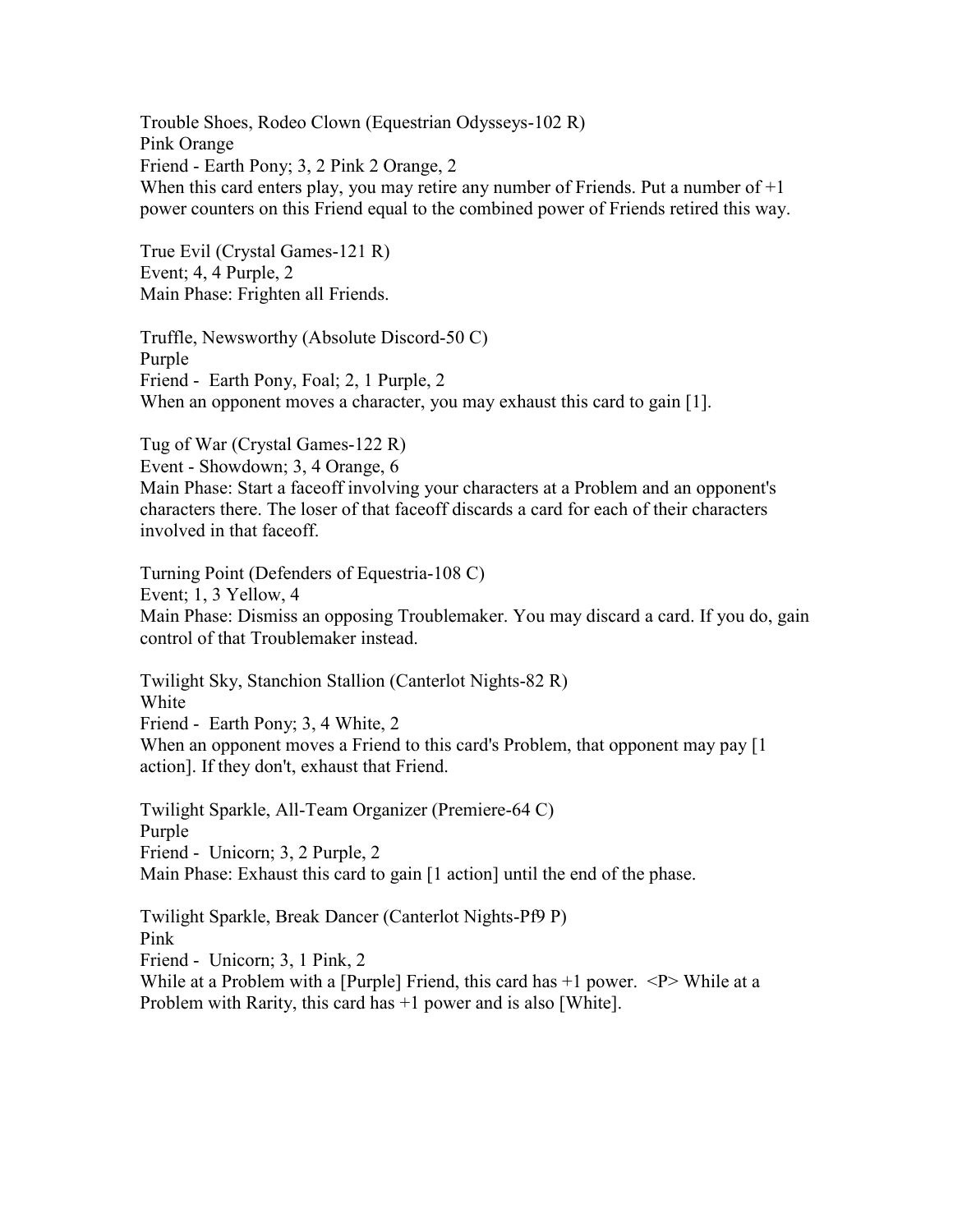Trouble Shoes, Rodeo Clown (Equestrian Odysseys-102 R) Pink Orange Friend - Earth Pony; 3, 2 Pink 2 Orange, 2 When this card enters play, you may retire any number of Friends. Put a number of  $+1$ power counters on this Friend equal to the combined power of Friends retired this way.

True Evil (Crystal Games-121 R) Event; 4, 4 Purple, 2 Main Phase: Frighten all Friends.

Truffle, Newsworthy (Absolute Discord-50 C) Purple Friend - Earth Pony, Foal; 2, 1 Purple, 2 When an opponent moves a character, you may exhaust this card to gain [1].

Tug of War (Crystal Games-122 R) Event - Showdown; 3, 4 Orange, 6 Main Phase: Start a faceoff involving your characters at a Problem and an opponent's characters there. The loser of that faceoff discards a card for each of their characters involved in that faceoff.

Turning Point (Defenders of Equestria-108 C) Event; 1, 3 Yellow, 4 Main Phase: Dismiss an opposing Troublemaker. You may discard a card. If you do, gain control of that Troublemaker instead.

Twilight Sky, Stanchion Stallion (Canterlot Nights-82 R) White Friend - Earth Pony; 3, 4 White, 2 When an opponent moves a Friend to this card's Problem, that opponent may pay [1] action]. If they don't, exhaust that Friend.

Twilight Sparkle, All-Team Organizer (Premiere-64 C) Purple Friend - Unicorn; 3, 2 Purple, 2 Main Phase: Exhaust this card to gain [1 action] until the end of the phase.

Twilight Sparkle, Break Dancer (Canterlot Nights-Pf9 P) Pink Friend - Unicorn; 3, 1 Pink, 2 While at a Problem with a [Purple] Friend, this card has  $+1$  power.  $\langle P \rangle$  While at a Problem with Rarity, this card has +1 power and is also [White].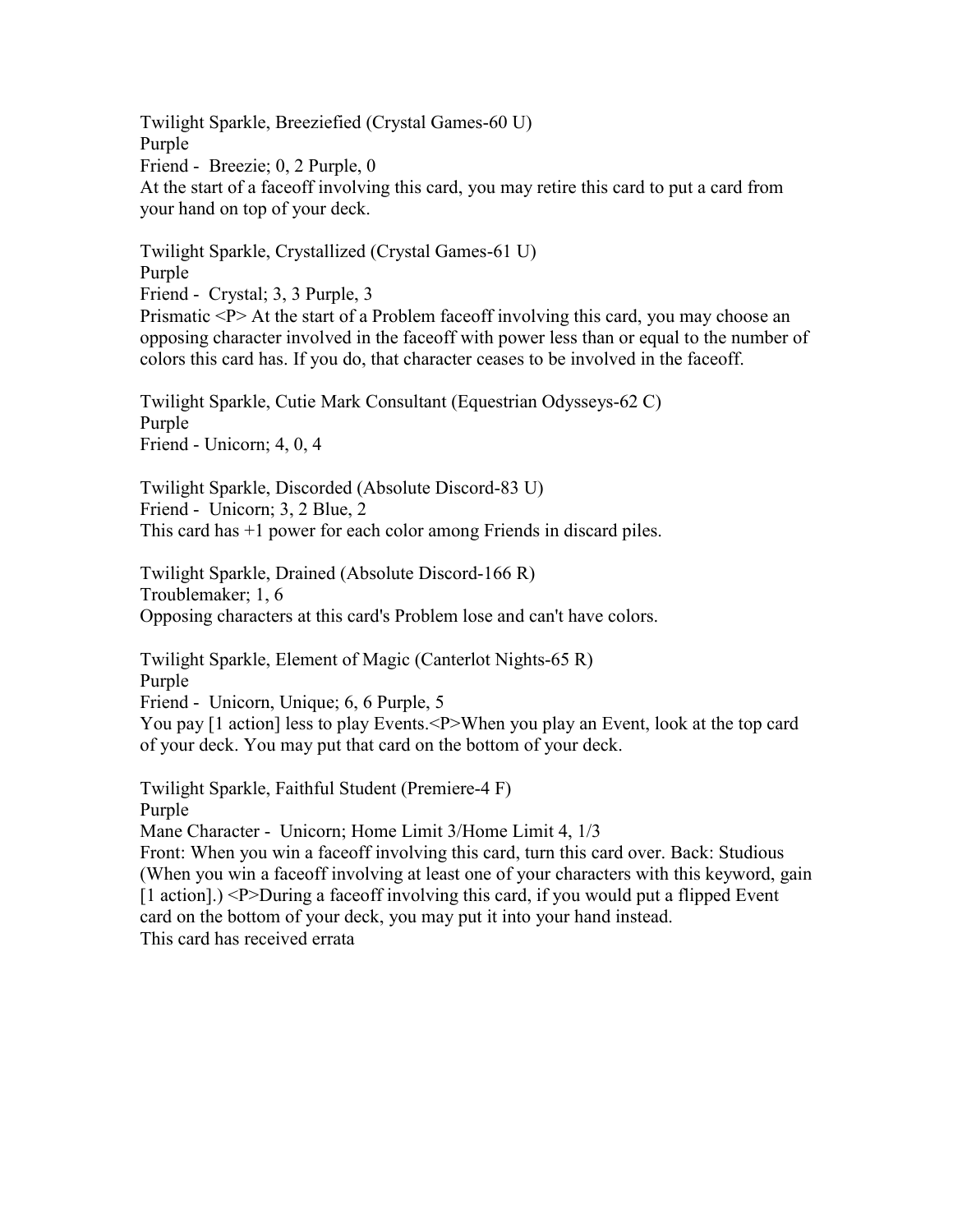Twilight Sparkle, Breeziefied (Crystal Games-60 U) Purple Friend - Breezie; 0, 2 Purple, 0 At the start of a faceoff involving this card, you may retire this card to put a card from your hand on top of your deck.

Twilight Sparkle, Crystallized (Crystal Games-61 U) Purple Friend - Crystal; 3, 3 Purple, 3

Prismatic <P> At the start of a Problem faceoff involving this card, you may choose an opposing character involved in the faceoff with power less than or equal to the number of colors this card has. If you do, that character ceases to be involved in the faceoff.

Twilight Sparkle, Cutie Mark Consultant (Equestrian Odysseys-62 C) Purple Friend - Unicorn; 4, 0, 4

Twilight Sparkle, Discorded (Absolute Discord-83 U) Friend - Unicorn; 3, 2 Blue, 2 This card has +1 power for each color among Friends in discard piles.

Twilight Sparkle, Drained (Absolute Discord-166 R) Troublemaker; 1, 6 Opposing characters at this card's Problem lose and can't have colors.

Twilight Sparkle, Element of Magic (Canterlot Nights-65 R) Purple Friend - Unicorn, Unique; 6, 6 Purple, 5 You pay [1 action] less to play Events.<P>When you play an Event, look at the top card of your deck. You may put that card on the bottom of your deck.

Twilight Sparkle, Faithful Student (Premiere-4 F) Purple

Mane Character - Unicorn; Home Limit 3/Home Limit 4, 1/3

Front: When you win a faceoff involving this card, turn this card over. Back: Studious (When you win a faceoff involving at least one of your characters with this keyword, gain [1 action].) <P>During a faceoff involving this card, if you would put a flipped Event card on the bottom of your deck, you may put it into your hand instead. This card has received errata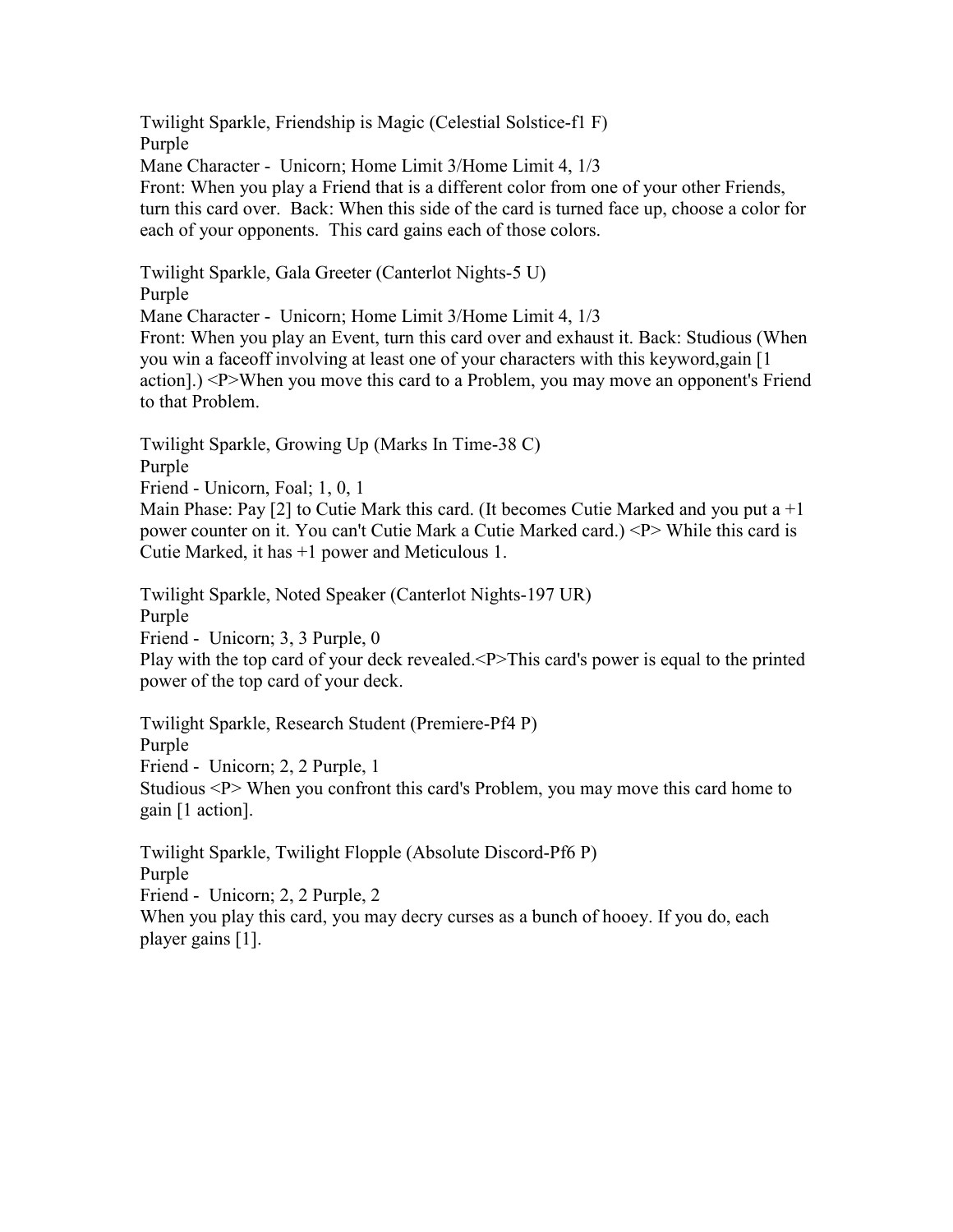Twilight Sparkle, Friendship is Magic (Celestial Solstice-f1 F) Purple Mane Character - Unicorn; Home Limit 3/Home Limit 4, 1/3 Front: When you play a Friend that is a different color from one of your other Friends, turn this card over. Back: When this side of the card is turned face up, choose a color for each of your opponents. This card gains each of those colors.

Twilight Sparkle, Gala Greeter (Canterlot Nights-5 U) Purple Mane Character - Unicorn; Home Limit 3/Home Limit 4, 1/3 Front: When you play an Event, turn this card over and exhaust it. Back: Studious (When you win a faceoff involving at least one of your characters with this keyword,gain [1 action].) <P>When you move this card to a Problem, you may move an opponent's Friend to that Problem.

Twilight Sparkle, Growing Up (Marks In Time-38 C) Purple

Friend - Unicorn, Foal; 1, 0, 1

Main Phase: Pay [2] to Cutie Mark this card. (It becomes Cutie Marked and you put a  $+1$ power counter on it. You can't Cutie Mark a Cutie Marked card.) <P> While this card is Cutie Marked, it has +1 power and Meticulous 1.

Twilight Sparkle, Noted Speaker (Canterlot Nights-197 UR) Purple Friend - Unicorn; 3, 3 Purple, 0 Play with the top card of your deck revealed.<P>This card's power is equal to the printed power of the top card of your deck.

Twilight Sparkle, Research Student (Premiere-Pf4 P) Purple Friend - Unicorn; 2, 2 Purple, 1 Studious <P> When you confront this card's Problem, you may move this card home to gain [1 action].

Twilight Sparkle, Twilight Flopple (Absolute Discord-Pf6 P) Purple

Friend - Unicorn; 2, 2 Purple, 2

When you play this card, you may decry curses as a bunch of hooey. If you do, each player gains [1].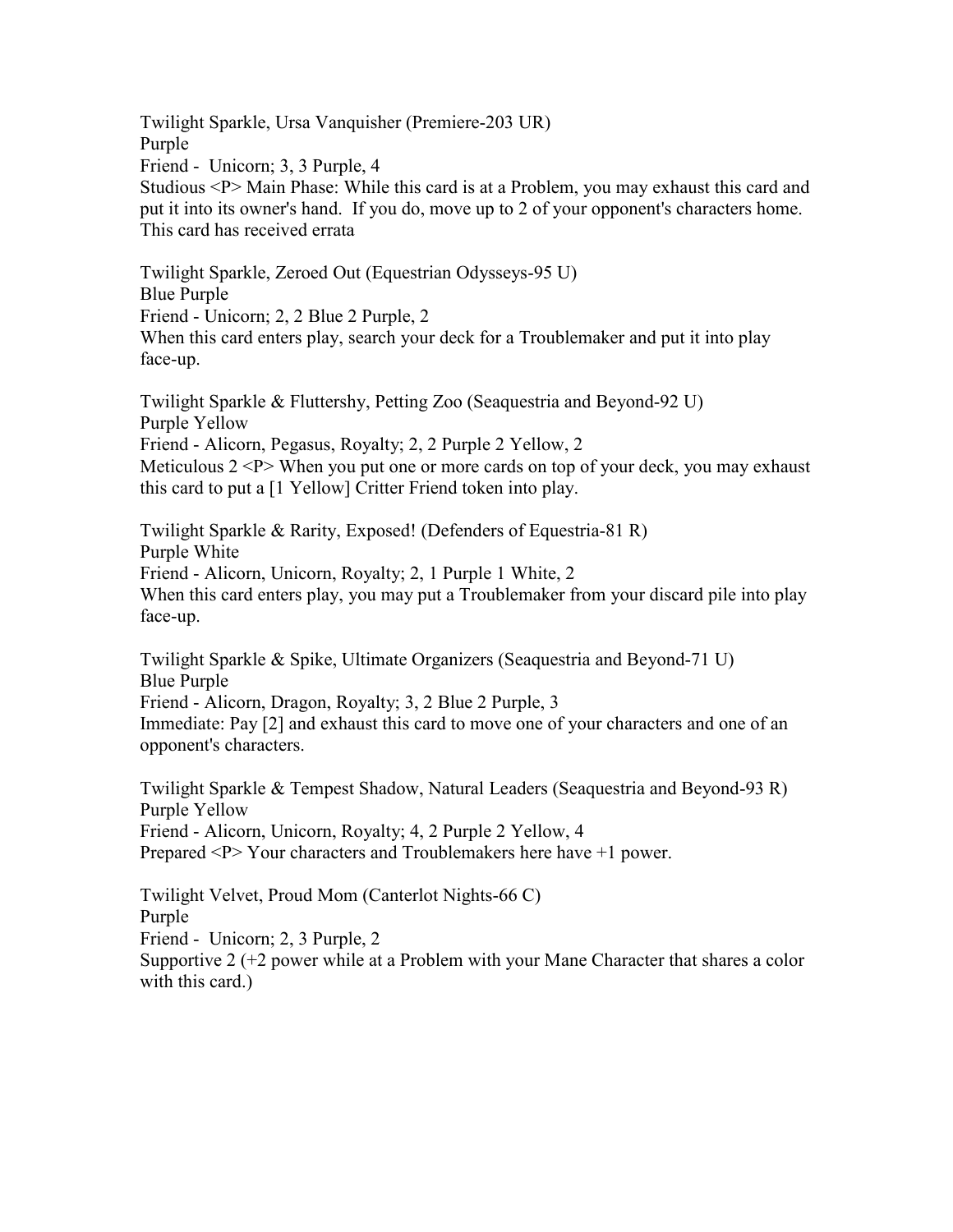Twilight Sparkle, Ursa Vanquisher (Premiere-203 UR) Purple Friend - Unicorn; 3, 3 Purple, 4 Studious <P> Main Phase: While this card is at a Problem, you may exhaust this card and put it into its owner's hand. If you do, move up to 2 of your opponent's characters home. This card has received errata

Twilight Sparkle, Zeroed Out (Equestrian Odysseys-95 U) Blue Purple Friend - Unicorn; 2, 2 Blue 2 Purple, 2 When this card enters play, search your deck for a Troublemaker and put it into play face-up.

Twilight Sparkle & Fluttershy, Petting Zoo (Seaquestria and Beyond-92 U) Purple Yellow Friend - Alicorn, Pegasus, Royalty; 2, 2 Purple 2 Yellow, 2 Meticulous  $2 < P$  When you put one or more cards on top of your deck, you may exhaust this card to put a [1 Yellow] Critter Friend token into play.

Twilight Sparkle & Rarity, Exposed! (Defenders of Equestria-81 R) Purple White Friend - Alicorn, Unicorn, Royalty; 2, 1 Purple 1 White, 2 When this card enters play, you may put a Troublemaker from your discard pile into play face-up.

Twilight Sparkle & Spike, Ultimate Organizers (Seaquestria and Beyond-71 U) Blue Purple Friend - Alicorn, Dragon, Royalty; 3, 2 Blue 2 Purple, 3 Immediate: Pay [2] and exhaust this card to move one of your characters and one of an opponent's characters.

Twilight Sparkle & Tempest Shadow, Natural Leaders (Seaquestria and Beyond-93 R) Purple Yellow Friend - Alicorn, Unicorn, Royalty; 4, 2 Purple 2 Yellow, 4 Prepared <P> Your characters and Troublemakers here have +1 power.

Twilight Velvet, Proud Mom (Canterlot Nights-66 C) Purple Friend - Unicorn; 2, 3 Purple, 2 Supportive 2 (+2 power while at a Problem with your Mane Character that shares a color with this card.)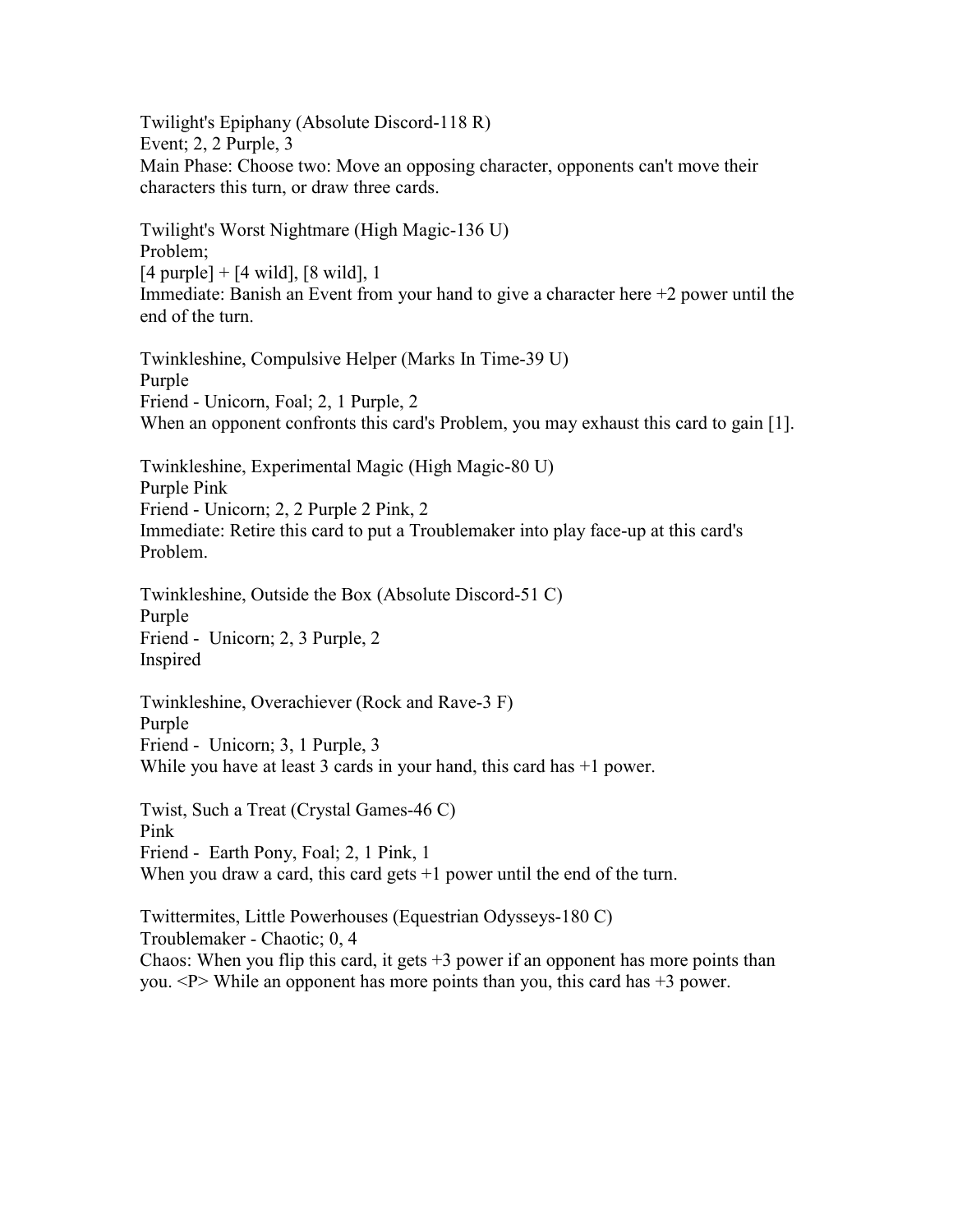Twilight's Epiphany (Absolute Discord-118 R) Event; 2, 2 Purple, 3 Main Phase: Choose two: Move an opposing character, opponents can't move their characters this turn, or draw three cards.

Twilight's Worst Nightmare (High Magic-136 U) Problem;  $[4 \text{ purple}] + [4 \text{ wild}], [8 \text{ wild}], 1$ Immediate: Banish an Event from your hand to give a character here  $+2$  power until the end of the turn.

Twinkleshine, Compulsive Helper (Marks In Time-39 U) Purple Friend - Unicorn, Foal; 2, 1 Purple, 2 When an opponent confronts this card's Problem, you may exhaust this card to gain [1].

Twinkleshine, Experimental Magic (High Magic-80 U) Purple Pink Friend - Unicorn; 2, 2 Purple 2 Pink, 2 Immediate: Retire this card to put a Troublemaker into play face-up at this card's Problem.

Twinkleshine, Outside the Box (Absolute Discord-51 C) Purple Friend - Unicorn; 2, 3 Purple, 2 Inspired

Twinkleshine, Overachiever (Rock and Rave-3 F) Purple Friend - Unicorn; 3, 1 Purple, 3 While you have at least 3 cards in your hand, this card has  $+1$  power.

Twist, Such a Treat (Crystal Games-46 C) Pink Friend - Earth Pony, Foal; 2, 1 Pink, 1 When you draw a card, this card gets  $+1$  power until the end of the turn.

Twittermites, Little Powerhouses (Equestrian Odysseys-180 C) Troublemaker - Chaotic; 0, 4 Chaos: When you flip this card, it gets  $+3$  power if an opponent has more points than you.  $\langle P \rangle$  While an opponent has more points than you, this card has  $+3$  power.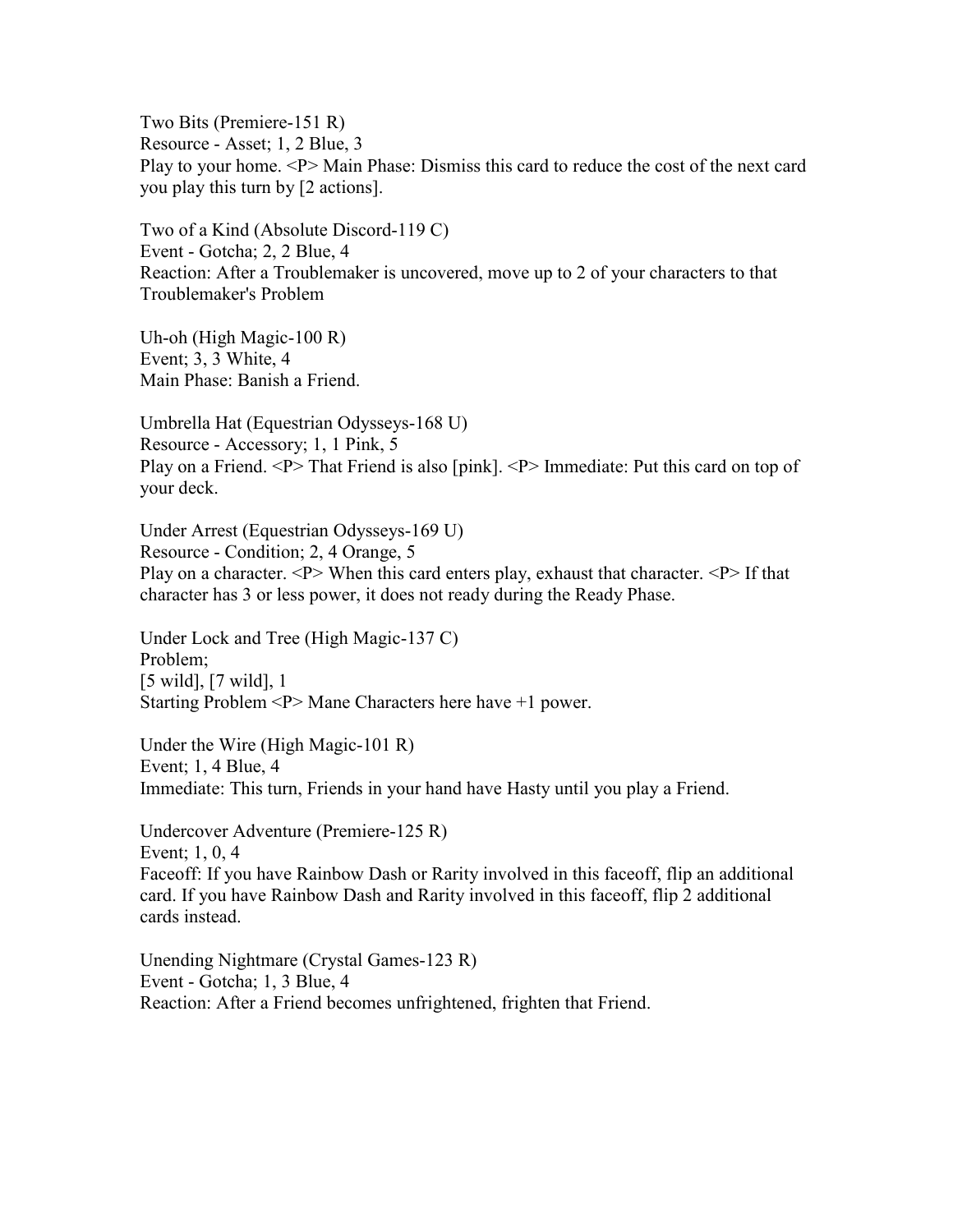Two Bits (Premiere-151 R) Resource - Asset; 1, 2 Blue, 3 Play to your home. <P> Main Phase: Dismiss this card to reduce the cost of the next card you play this turn by [2 actions].

Two of a Kind (Absolute Discord-119 C) Event - Gotcha; 2, 2 Blue, 4 Reaction: After a Troublemaker is uncovered, move up to 2 of your characters to that Troublemaker's Problem

Uh-oh (High Magic-100 R) Event; 3, 3 White, 4 Main Phase: Banish a Friend.

Umbrella Hat (Equestrian Odysseys-168 U) Resource - Accessory; 1, 1 Pink, 5 Play on a Friend. <P> That Friend is also [pink]. <P> Immediate: Put this card on top of your deck.

Under Arrest (Equestrian Odysseys-169 U) Resource - Condition; 2, 4 Orange, 5 Play on a character.  $\langle P \rangle$  When this card enters play, exhaust that character.  $\langle P \rangle$  If that character has 3 or less power, it does not ready during the Ready Phase.

Under Lock and Tree (High Magic-137 C) Problem; [5 wild], [7 wild], 1 Starting Problem <P> Mane Characters here have +1 power.

Under the Wire (High Magic-101 R) Event; 1, 4 Blue, 4 Immediate: This turn, Friends in your hand have Hasty until you play a Friend.

Undercover Adventure (Premiere-125 R) Event; 1, 0, 4 Faceoff: If you have Rainbow Dash or Rarity involved in this faceoff, flip an additional card. If you have Rainbow Dash and Rarity involved in this faceoff, flip 2 additional cards instead.

Unending Nightmare (Crystal Games-123 R) Event - Gotcha; 1, 3 Blue, 4 Reaction: After a Friend becomes unfrightened, frighten that Friend.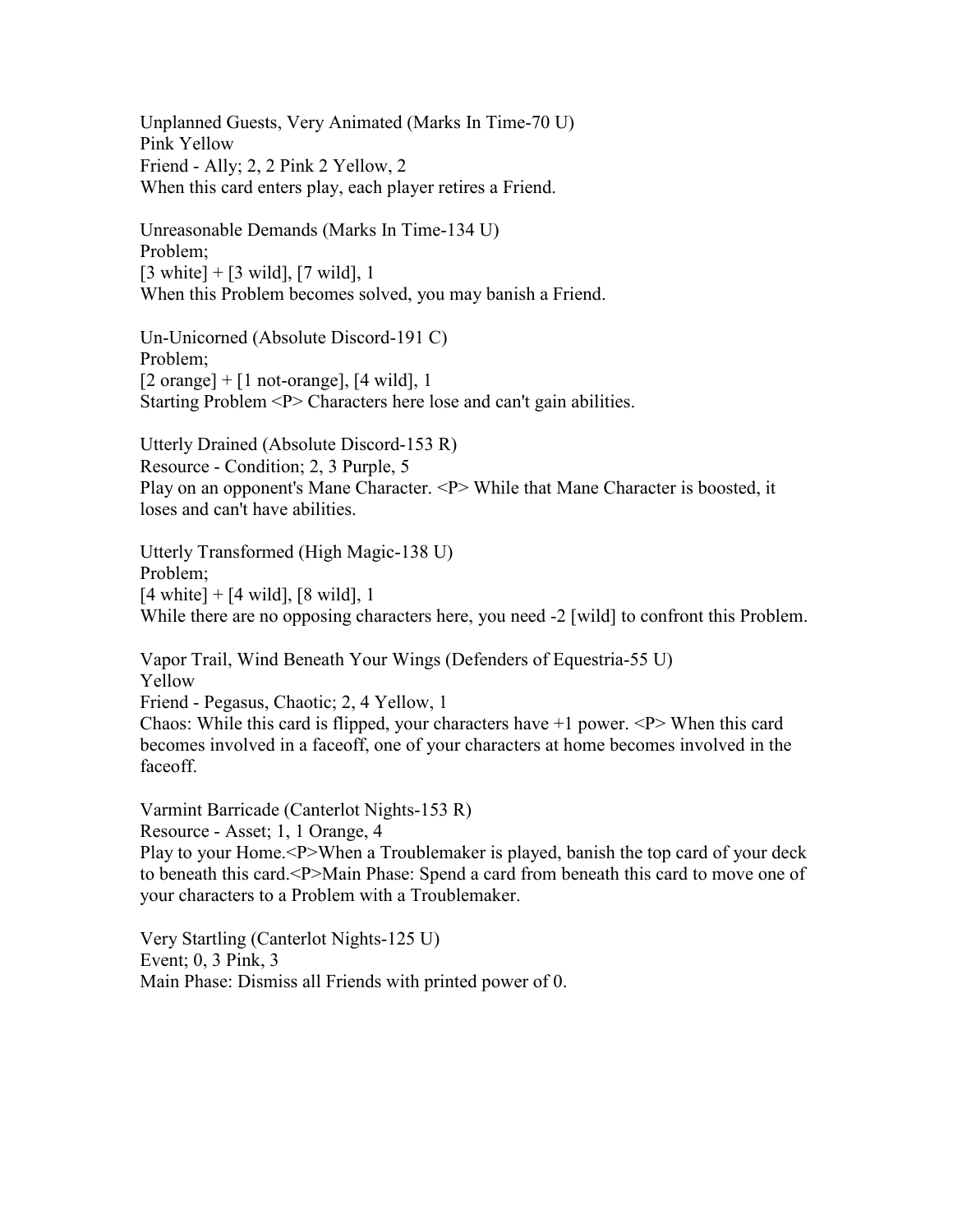Unplanned Guests, Very Animated (Marks In Time-70 U) Pink Yellow Friend - Ally; 2, 2 Pink 2 Yellow, 2 When this card enters play, each player retires a Friend.

Unreasonable Demands (Marks In Time-134 U) Problem;  $[3 \text{ white}] + [3 \text{ wild}], [7 \text{ wild}], 1$ When this Problem becomes solved, you may banish a Friend.

Un-Unicorned (Absolute Discord-191 C) Problem;  $[2 \text{ orange}] + [1 \text{ not-orange}], [4 \text{ wild}], 1$ Starting Problem <P> Characters here lose and can't gain abilities.

Utterly Drained (Absolute Discord-153 R) Resource - Condition; 2, 3 Purple, 5 Play on an opponent's Mane Character. <P> While that Mane Character is boosted, it loses and can't have abilities.

Utterly Transformed (High Magic-138 U) Problem; [4 white] + [4 wild], [8 wild], 1 While there are no opposing characters here, you need -2 [wild] to confront this Problem.

Vapor Trail, Wind Beneath Your Wings (Defenders of Equestria-55 U) Yellow Friend - Pegasus, Chaotic; 2, 4 Yellow, 1 Chaos: While this card is flipped, your characters have  $+1$  power.  $\langle P \rangle$  When this card becomes involved in a faceoff, one of your characters at home becomes involved in the faceoff.

Varmint Barricade (Canterlot Nights-153 R) Resource - Asset; 1, 1 Orange, 4 Play to your Home.<P>When a Troublemaker is played, banish the top card of your deck to beneath this card.<P>Main Phase: Spend a card from beneath this card to move one of your characters to a Problem with a Troublemaker.

Very Startling (Canterlot Nights-125 U) Event; 0, 3 Pink, 3 Main Phase: Dismiss all Friends with printed power of 0.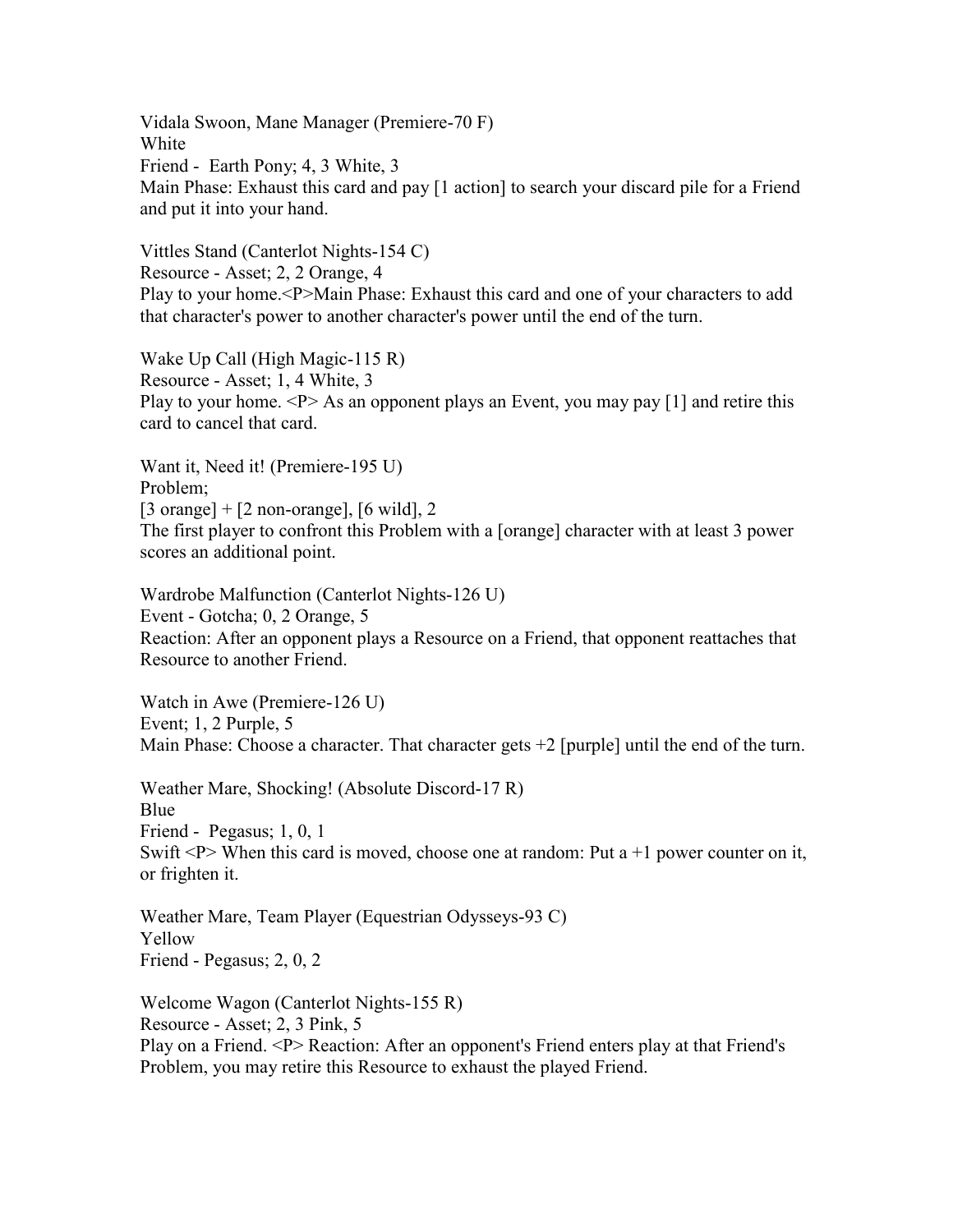Vidala Swoon, Mane Manager (Premiere-70 F) White Friend - Earth Pony; 4, 3 White, 3 Main Phase: Exhaust this card and pay [1 action] to search your discard pile for a Friend and put it into your hand.

Vittles Stand (Canterlot Nights-154 C) Resource - Asset; 2, 2 Orange, 4 Play to your home.<P>Main Phase: Exhaust this card and one of your characters to add that character's power to another character's power until the end of the turn.

Wake Up Call (High Magic-115 R) Resource - Asset; 1, 4 White, 3 Play to your home.  $\langle P \rangle$  As an opponent plays an Event, you may pay [1] and retire this card to cancel that card.

Want it, Need it! (Premiere-195 U) Problem;  $[3 \text{ orange}] + [2 \text{ non-orange}], [6 \text{ wild}], 2$ The first player to confront this Problem with a [orange] character with at least 3 power scores an additional point.

Wardrobe Malfunction (Canterlot Nights-126 U) Event - Gotcha; 0, 2 Orange, 5 Reaction: After an opponent plays a Resource on a Friend, that opponent reattaches that Resource to another Friend.

Watch in Awe (Premiere-126 U) Event; 1, 2 Purple, 5 Main Phase: Choose a character. That character gets  $+2$  [purple] until the end of the turn.

Weather Mare, Shocking! (Absolute Discord-17 R) Blue Friend - Pegasus; 1, 0, 1 Swift  $\langle P \rangle$  When this card is moved, choose one at random: Put a +1 power counter on it, or frighten it.

Weather Mare, Team Player (Equestrian Odysseys-93 C) Yellow Friend - Pegasus; 2, 0, 2

Welcome Wagon (Canterlot Nights-155 R) Resource - Asset; 2, 3 Pink, 5

Play on a Friend. <P> Reaction: After an opponent's Friend enters play at that Friend's Problem, you may retire this Resource to exhaust the played Friend.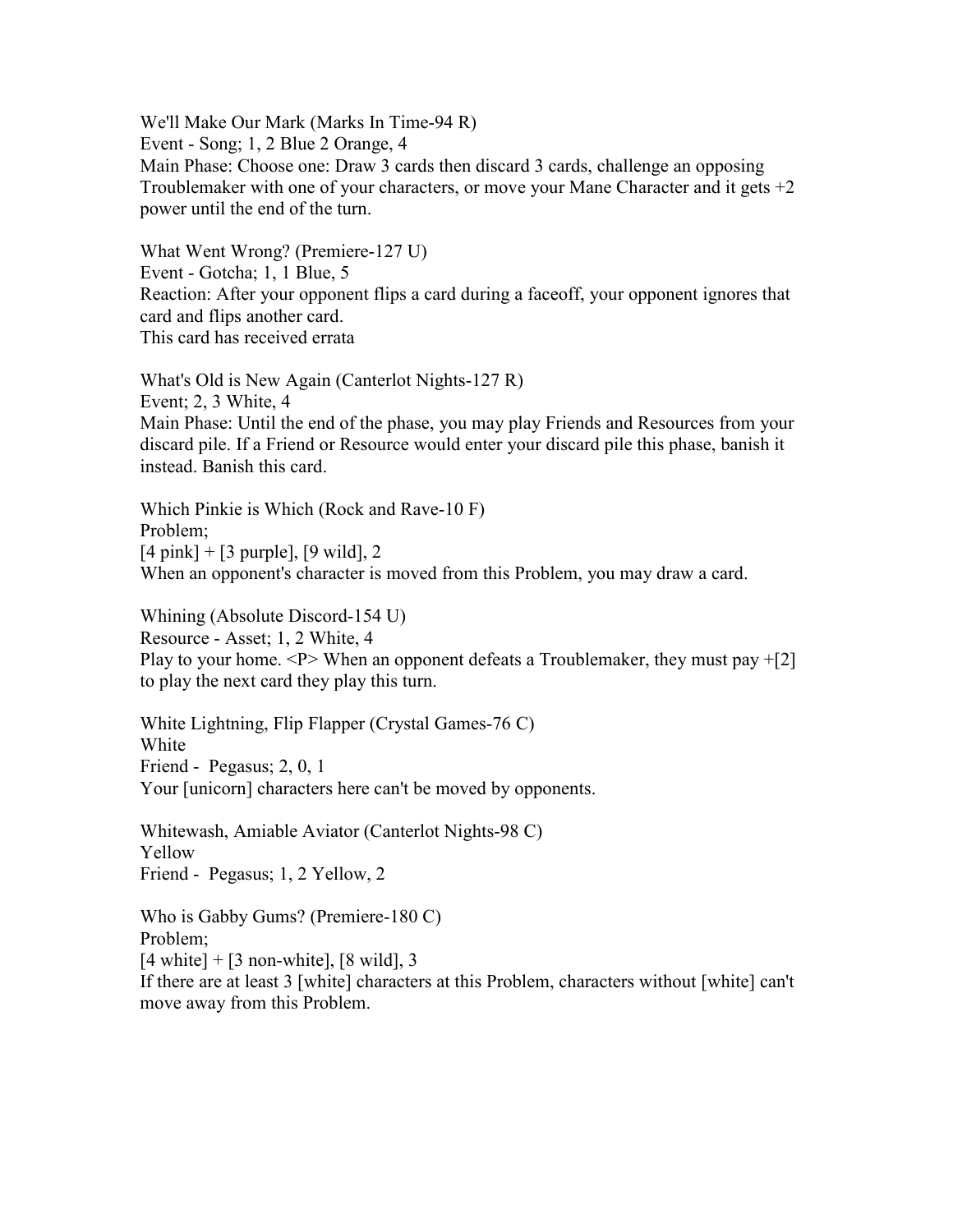We'll Make Our Mark (Marks In Time-94 R) Event - Song; 1, 2 Blue 2 Orange, 4 Main Phase: Choose one: Draw 3 cards then discard 3 cards, challenge an opposing Troublemaker with one of your characters, or move your Mane Character and it gets  $+2$ power until the end of the turn.

What Went Wrong? (Premiere-127 U) Event - Gotcha; 1, 1 Blue, 5 Reaction: After your opponent flips a card during a faceoff, your opponent ignores that card and flips another card. This card has received errata

What's Old is New Again (Canterlot Nights-127 R) Event; 2, 3 White, 4 Main Phase: Until the end of the phase, you may play Friends and Resources from your discard pile. If a Friend or Resource would enter your discard pile this phase, banish it instead. Banish this card.

Which Pinkie is Which (Rock and Rave-10 F) Problem;  $[4 \text{ pink}] + [3 \text{ purple}], [9 \text{ wild}], 2$ When an opponent's character is moved from this Problem, you may draw a card.

Whining (Absolute Discord-154 U) Resource - Asset; 1, 2 White, 4 Play to your home.  $\langle P \rangle$  When an opponent defeats a Troublemaker, they must pay  $+$ [2] to play the next card they play this turn.

White Lightning, Flip Flapper (Crystal Games-76 C) White Friend - Pegasus; 2, 0, 1 Your [unicorn] characters here can't be moved by opponents.

Whitewash, Amiable Aviator (Canterlot Nights-98 C) Yellow Friend - Pegasus; 1, 2 Yellow, 2

Who is Gabby Gums? (Premiere-180 C) Problem;  $[4 \text{ white}] + [3 \text{ non-white}], [8 \text{ wild}], 3$ 

If there are at least 3 [white] characters at this Problem, characters without [white] can't move away from this Problem.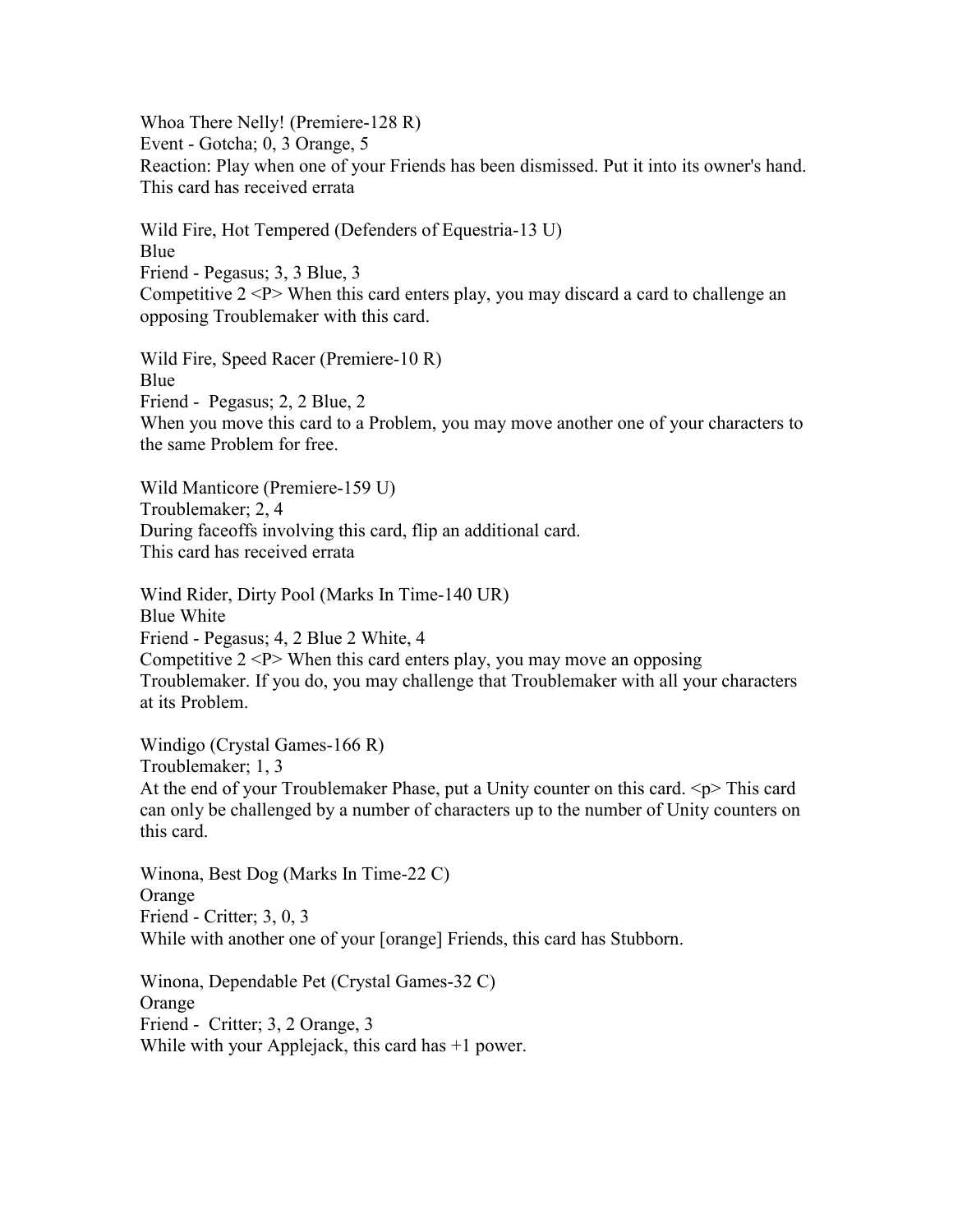Whoa There Nelly! (Premiere-128 R) Event - Gotcha; 0, 3 Orange, 5 Reaction: Play when one of your Friends has been dismissed. Put it into its owner's hand. This card has received errata

Wild Fire, Hot Tempered (Defenders of Equestria-13 U) Blue Friend - Pegasus; 3, 3 Blue, 3 Competitive  $2 < P$  When this card enters play, you may discard a card to challenge an opposing Troublemaker with this card.

Wild Fire, Speed Racer (Premiere-10 R) Blue Friend - Pegasus; 2, 2 Blue, 2 When you move this card to a Problem, you may move another one of your characters to the same Problem for free.

Wild Manticore (Premiere-159 U) Troublemaker; 2, 4 During faceoffs involving this card, flip an additional card. This card has received errata

Wind Rider, Dirty Pool (Marks In Time-140 UR) Blue White Friend - Pegasus; 4, 2 Blue 2 White, 4 Competitive  $2 < P$  When this card enters play, you may move an opposing Troublemaker. If you do, you may challenge that Troublemaker with all your characters at its Problem.

Windigo (Crystal Games-166 R) Troublemaker; 1, 3 At the end of your Troublemaker Phase, put a Unity counter on this card.  $\langle p \rangle$  This card can only be challenged by a number of characters up to the number of Unity counters on this card.

Winona, Best Dog (Marks In Time-22 C) Orange Friend - Critter; 3, 0, 3 While with another one of your [orange] Friends, this card has Stubborn.

Winona, Dependable Pet (Crystal Games-32 C) Orange Friend - Critter; 3, 2 Orange, 3 While with your Applejack, this card has  $+1$  power.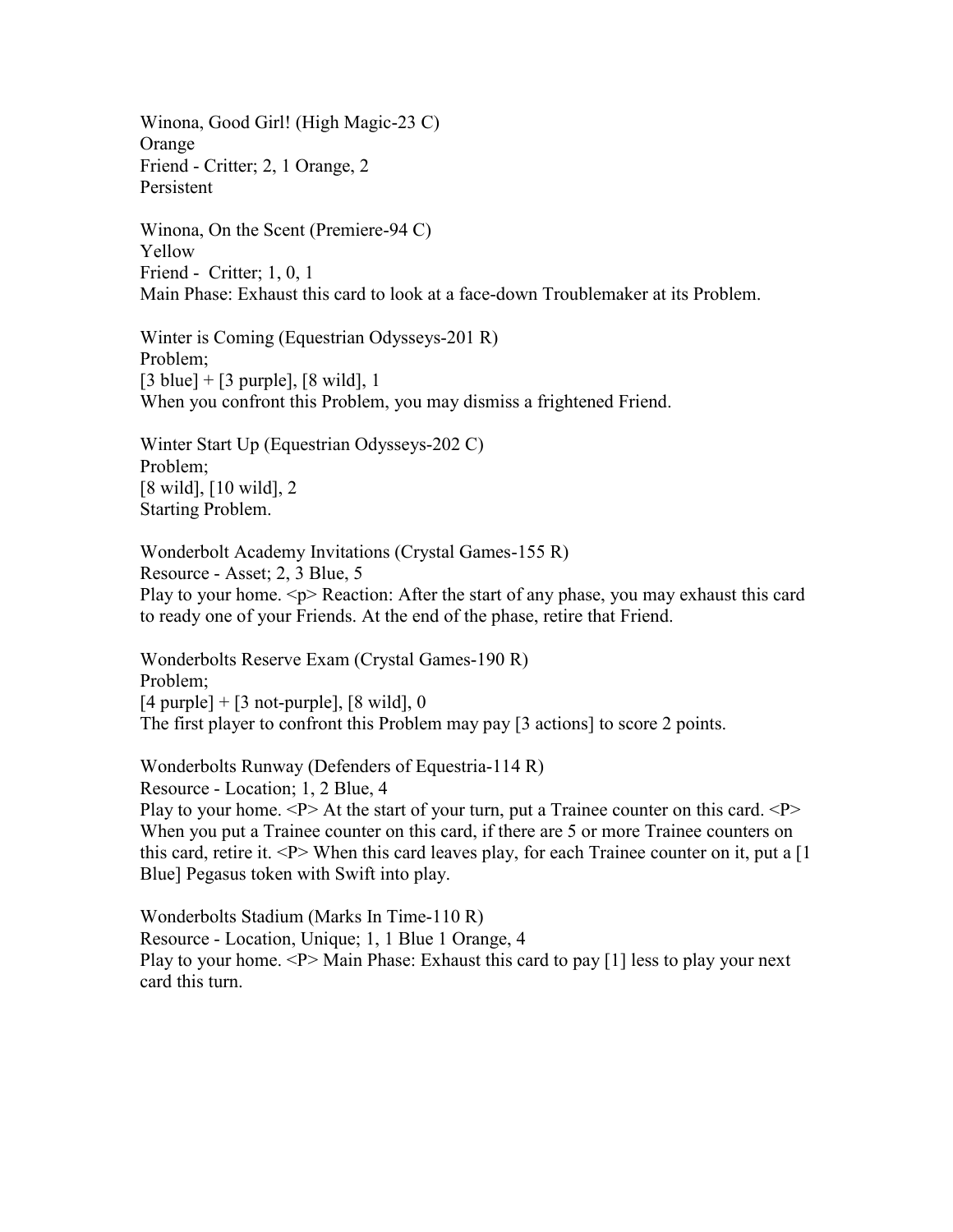Winona, Good Girl! (High Magic-23 C) **Orange** Friend - Critter; 2, 1 Orange, 2 Persistent

Winona, On the Scent (Premiere-94 C) Yellow Friend - Critter; 1, 0, 1 Main Phase: Exhaust this card to look at a face-down Troublemaker at its Problem.

Winter is Coming (Equestrian Odysseys-201 R) Problem;  $[3 \text{ blue}] + [3 \text{ purple}], [8 \text{ wild}], 1$ When you confront this Problem, you may dismiss a frightened Friend.

Winter Start Up (Equestrian Odysseys-202 C) Problem; [8 wild], [10 wild], 2 Starting Problem.

Wonderbolt Academy Invitations (Crystal Games-155 R) Resource - Asset; 2, 3 Blue, 5 Play to your home.  $\langle p \rangle$  Reaction: After the start of any phase, you may exhaust this card to ready one of your Friends. At the end of the phase, retire that Friend.

Wonderbolts Reserve Exam (Crystal Games-190 R) Problem;  $[4$  purple] +  $[3$  not-purple],  $[8 \text{ wild}]$ , 0 The first player to confront this Problem may pay [3 actions] to score 2 points.

Wonderbolts Runway (Defenders of Equestria-114 R) Resource - Location; 1, 2 Blue, 4 Play to your home.  $\langle P \rangle$  At the start of your turn, put a Trainee counter on this card.  $\langle P \rangle$ When you put a Trainee counter on this card, if there are 5 or more Trainee counters on this card, retire it.  $\langle P \rangle$  When this card leaves play, for each Trainee counter on it, put a [1] Blue] Pegasus token with Swift into play.

Wonderbolts Stadium (Marks In Time-110 R) Resource - Location, Unique; 1, 1 Blue 1 Orange, 4 Play to your home.  $\langle P \rangle$  Main Phase: Exhaust this card to pay [1] less to play your next card this turn.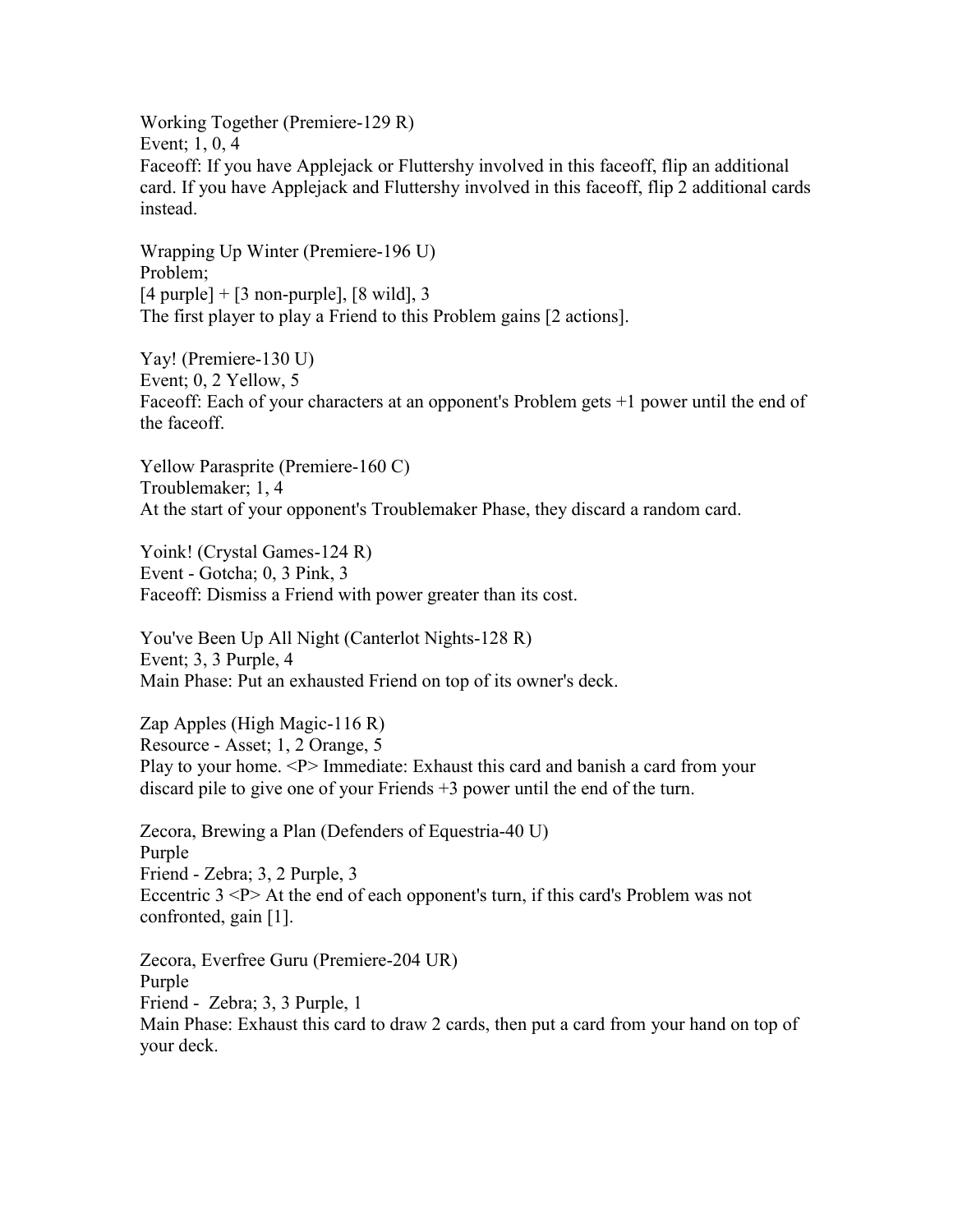Working Together (Premiere-129 R) Event; 1, 0, 4 Faceoff: If you have Applejack or Fluttershy involved in this faceoff, flip an additional card. If you have Applejack and Fluttershy involved in this faceoff, flip 2 additional cards instead.

Wrapping Up Winter (Premiere-196 U) Problem;  $[4 \text{ purple}] + [3 \text{ non-puple}], [8 \text{ wild}], 3$ The first player to play a Friend to this Problem gains [2 actions].

Yay! (Premiere-130 U) Event; 0, 2 Yellow, 5 Faceoff: Each of your characters at an opponent's Problem gets +1 power until the end of the faceoff.

Yellow Parasprite (Premiere-160 C) Troublemaker; 1, 4 At the start of your opponent's Troublemaker Phase, they discard a random card.

Yoink! (Crystal Games-124 R) Event - Gotcha; 0, 3 Pink, 3 Faceoff: Dismiss a Friend with power greater than its cost.

You've Been Up All Night (Canterlot Nights-128 R) Event; 3, 3 Purple, 4 Main Phase: Put an exhausted Friend on top of its owner's deck.

Zap Apples (High Magic-116 R) Resource - Asset; 1, 2 Orange, 5 Play to your home. <P> Immediate: Exhaust this card and banish a card from your discard pile to give one of your Friends +3 power until the end of the turn.

Zecora, Brewing a Plan (Defenders of Equestria-40 U) Purple Friend - Zebra; 3, 2 Purple, 3 Eccentric 3 <P> At the end of each opponent's turn, if this card's Problem was not confronted, gain [1].

Zecora, Everfree Guru (Premiere-204 UR) Purple Friend - Zebra; 3, 3 Purple, 1 Main Phase: Exhaust this card to draw 2 cards, then put a card from your hand on top of your deck.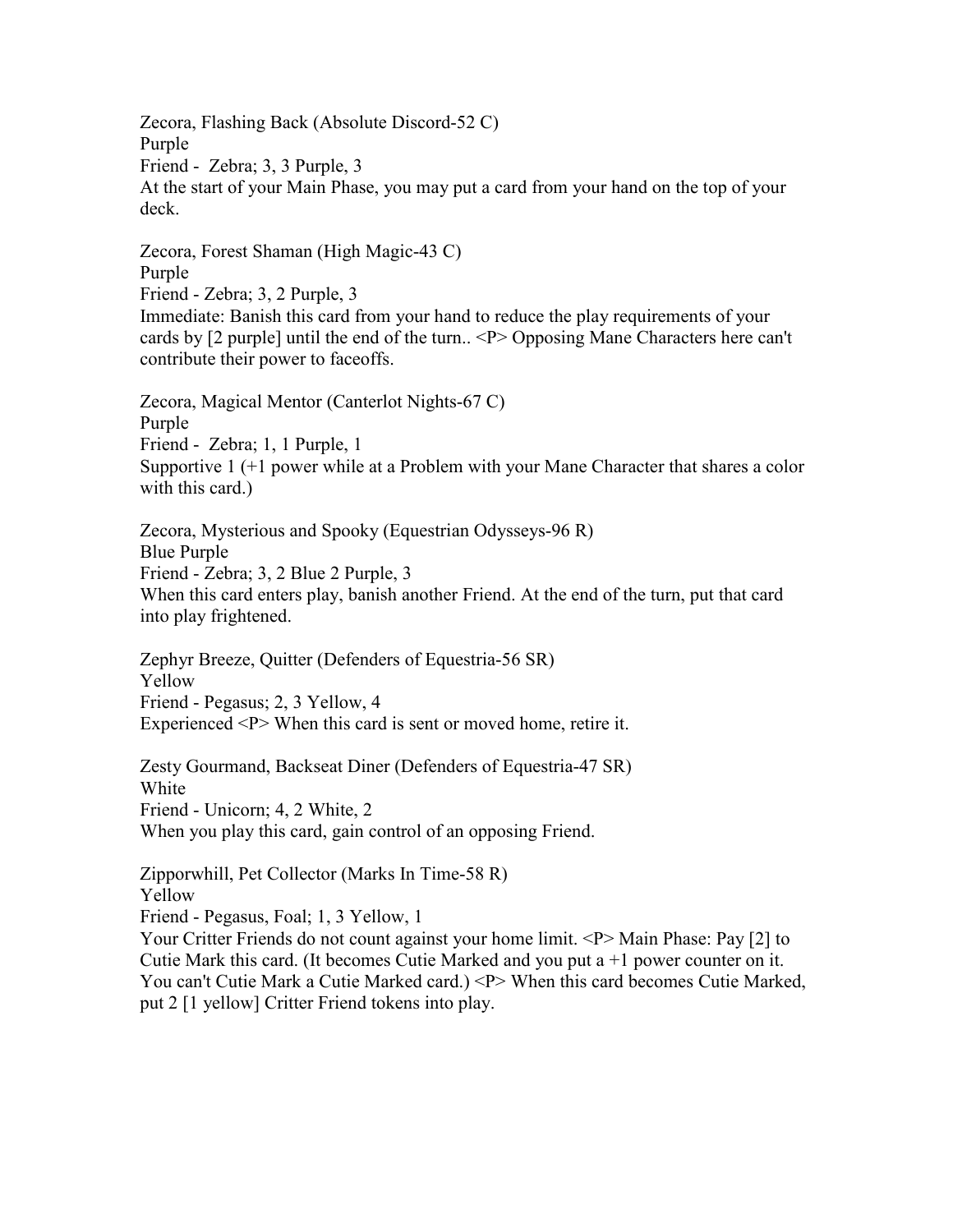Zecora, Flashing Back (Absolute Discord-52 C) Purple Friend - Zebra; 3, 3 Purple, 3 At the start of your Main Phase, you may put a card from your hand on the top of your deck.

Zecora, Forest Shaman (High Magic-43 C) Purple Friend - Zebra; 3, 2 Purple, 3 Immediate: Banish this card from your hand to reduce the play requirements of your cards by [2 purple] until the end of the turn.. <P> Opposing Mane Characters here can't contribute their power to faceoffs.

Zecora, Magical Mentor (Canterlot Nights-67 C) Purple Friend - Zebra; 1, 1 Purple, 1 Supportive 1 (+1 power while at a Problem with your Mane Character that shares a color with this card.)

Zecora, Mysterious and Spooky (Equestrian Odysseys-96 R) Blue Purple Friend - Zebra; 3, 2 Blue 2 Purple, 3 When this card enters play, banish another Friend. At the end of the turn, put that card into play frightened.

Zephyr Breeze, Quitter (Defenders of Equestria-56 SR) Yellow Friend - Pegasus; 2, 3 Yellow, 4 Experienced <P> When this card is sent or moved home, retire it.

Zesty Gourmand, Backseat Diner (Defenders of Equestria-47 SR) White Friend - Unicorn; 4, 2 White, 2 When you play this card, gain control of an opposing Friend.

Zipporwhill, Pet Collector (Marks In Time-58 R) Yellow

Friend - Pegasus, Foal; 1, 3 Yellow, 1

Your Critter Friends do not count against your home limit. <P>Main Phase: Pay [2] to Cutie Mark this card. (It becomes Cutie Marked and you put  $a + 1$  power counter on it. You can't Cutie Mark a Cutie Marked card.) <P> When this card becomes Cutie Marked, put 2 [1 yellow] Critter Friend tokens into play.